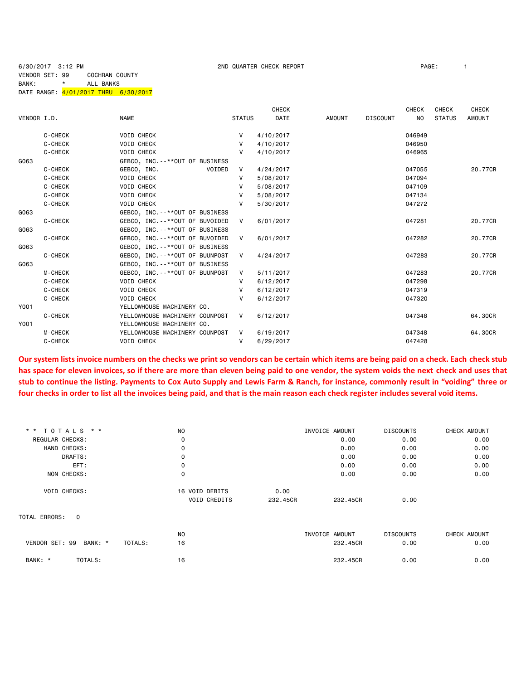6/30/2017 3:12 PM 2ND QUARTER CHECK REPORT PAGE: 1

# VENDOR SET: 99 COCHRAN COUNTY BANK: \* ALL BANKS

DATE RANGE:  $\frac{4}{01}/2017$  THRU 6/30/2017

|             |                |                                     |               | <b>CHECK</b> |               |                 | <b>CHECK</b> | CHECK         | <b>CHECK</b>  |
|-------------|----------------|-------------------------------------|---------------|--------------|---------------|-----------------|--------------|---------------|---------------|
| VENDOR I.D. |                | <b>NAME</b>                         | <b>STATUS</b> | <b>DATE</b>  | <b>AMOUNT</b> | <b>DISCOUNT</b> | <b>NO</b>    | <b>STATUS</b> | <b>AMOUNT</b> |
|             | C-CHECK        | <b>VOID CHECK</b>                   | v             | 4/10/2017    |               |                 | 046949       |               |               |
|             | C-CHECK        | <b>VOID CHECK</b>                   | v             | 4/10/2017    |               |                 | 046950       |               |               |
|             | C-CHECK        | <b>VOID CHECK</b>                   | V             | 4/10/2017    |               |                 | 046965       |               |               |
| G063        |                | GEBCO, INC. --**OUT OF BUSINESS     |               |              |               |                 |              |               |               |
|             | C-CHECK        | GEBCO, INC.<br>VOIDED               | $\mathsf{V}$  | 4/24/2017    |               |                 | 047055       |               | 20.77CR       |
|             | C-CHECK        | <b>VOID CHECK</b>                   | v             | 5/08/2017    |               |                 | 047094       |               |               |
|             | C-CHECK        | <b>VOID CHECK</b>                   |               | 5/08/2017    |               |                 | 047109       |               |               |
|             | C-CHECK        | <b>VOID CHECK</b>                   | v             | 5/08/2017    |               |                 | 047134       |               |               |
|             | C-CHECK        | <b>VOID CHECK</b>                   | v             | 5/30/2017    |               |                 | 047272       |               |               |
| G063        |                | GEBCO, INC. - - * * OUT OF BUSINESS |               |              |               |                 |              |               |               |
|             | C-CHECK        | GEBCO, INC. - - * * OUT OF BUVOIDED | V             | 6/01/2017    |               |                 | 047281       |               | 20.77CR       |
| G063        |                | GEBCO, INC. - - * * OUT OF BUSINESS |               |              |               |                 |              |               |               |
|             | C-CHECK        | GEBCO, INC. --**OUT OF BUVOIDED     | V             | 6/01/2017    |               |                 | 047282       |               | 20.77CR       |
| G063        |                | GEBCO, INC. - - * * OUT OF BUSINESS |               |              |               |                 |              |               |               |
|             | C-CHECK        | GEBCO, INC. - - * * OUT OF BUUNPOST | V             | 4/24/2017    |               |                 | 047283       |               | 20.77CR       |
| G063        |                | GEBCO, INC.--**OUT OF BUSINESS      |               |              |               |                 |              |               |               |
|             | <b>M-CHECK</b> | GEBCO, INC. - - * * OUT OF BUUNPOST | V             | 5/11/2017    |               |                 | 047283       |               | 20.77CR       |
|             | C-CHECK        | <b>VOID CHECK</b>                   | v             | 6/12/2017    |               |                 | 047298       |               |               |
|             | C-CHECK        | <b>VOID CHECK</b>                   | v             | 6/12/2017    |               |                 | 047319       |               |               |
|             | C-CHECK        | <b>VOID CHECK</b>                   | v             | 6/12/2017    |               |                 | 047320       |               |               |
| Y001        |                | YELLOWHOUSE MACHINERY CO.           |               |              |               |                 |              |               |               |
|             | C-CHECK        | YELLOWHOUSE MACHINERY COUNPOST      | $\vee$        | 6/12/2017    |               |                 | 047348       |               | 64,30CR       |
| Y001        |                | YELLOWHOUSE MACHINERY CO.           |               |              |               |                 |              |               |               |
|             | <b>M-CHECK</b> | YELLOWHOUSE MACHINERY COUNPOST      | V             | 6/19/2017    |               |                 | 047348       |               | 64.30CR       |
|             | C-CHECK        | <b>VOID CHECK</b>                   | V             | 6/29/2017    |               |                 | 047428       |               |               |
|             |                |                                     |               |              |               |                 |              |               |               |

**Our system lists invoice numbers on the checks we print so vendors can be certain which items are being paid on a check. Each check stub has space for eleven invoices, so if there are more than eleven being paid to one vendor, the system voids the next check and uses that stub to continue the listing. Payments to Cox Auto Supply and Lewis Farm & Ranch, for instance, commonly result in "voiding" three or four checks in order to list all the invoices being paid, and that is the main reason each check register includes several void items.**

| * * TOTALS * *                | N <sub>O</sub>      |          | INVOICE AMOUNT | <b>DISCOUNTS</b> | CHECK AMOUNT |
|-------------------------------|---------------------|----------|----------------|------------------|--------------|
| REGULAR CHECKS:               | 0                   |          | 0.00           | 0.00             | 0.00         |
| HAND CHECKS:                  | 0                   |          | 0.00           | 0.00             | 0.00         |
| DRAFTS:                       | 0                   |          | 0.00           | 0.00             | 0.00         |
| EFT:                          | 0                   |          | 0.00           | 0.00             | 0.00         |
| NON CHECKS:                   | 0                   |          | 0.00           | 0.00             | 0.00         |
| <b>VOID CHECKS:</b>           | 16 VOID DEBITS      | 0.00     |                |                  |              |
|                               | <b>VOID CREDITS</b> | 232,45CR | 232,45CR       | 0.00             |              |
| TOTAL ERRORS:<br>$\mathbf{0}$ |                     |          |                |                  |              |
|                               | N <sub>0</sub>      |          | INVOICE AMOUNT | <b>DISCOUNTS</b> | CHECK AMOUNT |
| VENDOR SET: 99<br>BANK: *     | 16<br>TOTALS:       |          | 232.45CR       | 0.00             | 0.00         |
| BANK: *<br>TOTALS:            | 16                  |          | 232,45CR       | 0.00             | 0.00         |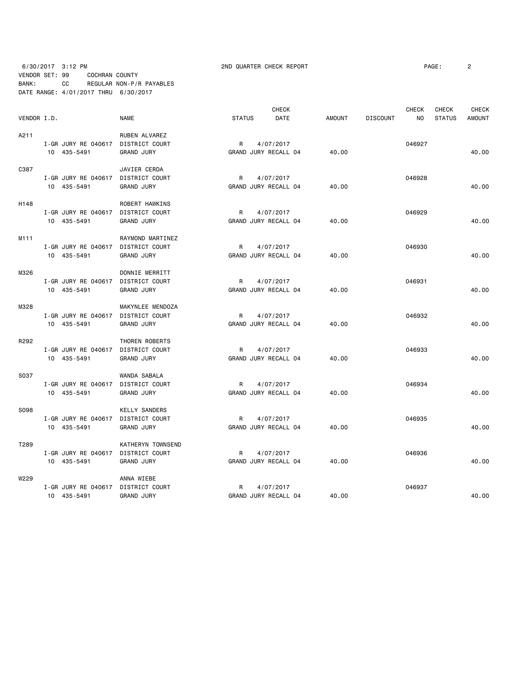# 6/30/2017 3:12 PM 2ND QUARTER CHECK REPORT PAGE: 2 VENDOR SET: 99 COCHRAN COUNTY BANK: CC REGULAR NON-P/R PAYABLES DATE RANGE: 4/01/2017 THRU 6/30/2017

|             |                                    |                      |                      | <b>CHECK</b>         |               |                 | <b>CHECK</b>   | <b>CHECK</b>  | <b>CHECK</b>  |
|-------------|------------------------------------|----------------------|----------------------|----------------------|---------------|-----------------|----------------|---------------|---------------|
| VENDOR I.D. |                                    | <b>NAME</b>          | <b>STATUS</b>        | DATE                 | <b>AMOUNT</b> | <b>DISCOUNT</b> | N <sub>O</sub> | <b>STATUS</b> | <b>AMOUNT</b> |
| A211        |                                    | RUBEN ALVAREZ        |                      |                      |               |                 |                |               |               |
|             | I-GR JURY RE 040617                | DISTRICT COURT       | R                    | 4/07/2017            |               |                 | 046927         |               |               |
|             | 10 435-5491                        | <b>GRAND JURY</b>    | GRAND JURY RECALL 04 |                      | 40.00         |                 |                |               | 40.00         |
| C387        |                                    | JAVIER CERDA         |                      |                      |               |                 |                |               |               |
|             | I-GR JURY RE 040617 DISTRICT COURT |                      | R                    | 4/07/2017            |               |                 | 046928         |               |               |
|             | 10 435-5491                        | <b>GRAND JURY</b>    | GRAND JURY RECALL 04 |                      | 40.00         |                 |                |               | 40.00         |
| H148        |                                    | ROBERT HAWKINS       |                      |                      |               |                 |                |               |               |
|             | I-GR JURY RE 040617 DISTRICT COURT |                      | R                    | 4/07/2017            |               |                 | 046929         |               |               |
|             | 10 435-5491                        | <b>GRAND JURY</b>    |                      | GRAND JURY RECALL 04 | 40.00         |                 |                |               | 40.00         |
| M111        |                                    | RAYMOND MARTINEZ     |                      |                      |               |                 |                |               |               |
|             | I-GR JURY RE 040617                | DISTRICT COURT       | R                    | 4/07/2017            |               |                 | 046930         |               |               |
|             | 10 435-5491                        | <b>GRAND JURY</b>    | GRAND JURY RECALL 04 |                      | 40.00         |                 |                |               | 40.00         |
| M326        |                                    | DONNIE MERRITT       |                      |                      |               |                 |                |               |               |
|             | I-GR JURY RE 040617                | DISTRICT COURT       | R                    | 4/07/2017            |               |                 | 046931         |               |               |
|             | 10 435-5491                        | <b>GRAND JURY</b>    | GRAND JURY RECALL 04 |                      | 40.00         |                 |                |               | 40.00         |
| M328        |                                    | MAKYNLEE MENDOZA     |                      |                      |               |                 |                |               |               |
|             | I-GR JURY RE 040617 DISTRICT COURT |                      | R                    | 4/07/2017            |               |                 | 046932         |               |               |
|             | 10 435-5491                        | <b>GRAND JURY</b>    | GRAND JURY RECALL 04 |                      | 40.00         |                 |                |               | 40.00         |
| R292        |                                    | THOREN ROBERTS       |                      |                      |               |                 |                |               |               |
|             | I-GR JURY RE 040617                | DISTRICT COURT       | R                    | 4/07/2017            |               |                 | 046933         |               |               |
|             | 10 435-5491                        | <b>GRAND JURY</b>    | GRAND JURY RECALL 04 |                      | 40.00         |                 |                |               | 40.00         |
| S037        |                                    | WANDA SABALA         |                      |                      |               |                 |                |               |               |
|             | I-GR JURY RE 040617                | DISTRICT COURT       | R                    | 4/07/2017            |               |                 | 046934         |               |               |
|             | 10 435-5491                        | <b>GRAND JURY</b>    | GRAND JURY RECALL 04 |                      | 40.00         |                 |                |               | 40.00         |
| S098        |                                    | <b>KELLY SANDERS</b> |                      |                      |               |                 |                |               |               |
|             | I-GR JURY RE 040617 DISTRICT COURT |                      | R                    | 4/07/2017            |               |                 | 046935         |               |               |
|             | 10 435-5491                        | <b>GRAND JURY</b>    |                      | GRAND JURY RECALL 04 | 40.00         |                 |                |               | 40.00         |
| T289        |                                    | KATHERYN TOWNSEND    |                      |                      |               |                 |                |               |               |
|             | I-GR JURY RE 040617 DISTRICT COURT |                      | R                    | 4/07/2017            |               |                 | 046936         |               |               |
|             | 10 435-5491                        | <b>GRAND JURY</b>    |                      | GRAND JURY RECALL 04 | 40.00         |                 |                |               | 40.00         |
| W229        |                                    | ANNA WIEBE           |                      |                      |               |                 |                |               |               |
|             | I-GR JURY RE 040617 DISTRICT COURT |                      | R                    | 4/07/2017            |               |                 | 046937         |               |               |
|             | 10 435-5491                        | <b>GRAND JURY</b>    |                      | GRAND JURY RECALL 04 | 40.00         |                 |                |               | 40.00         |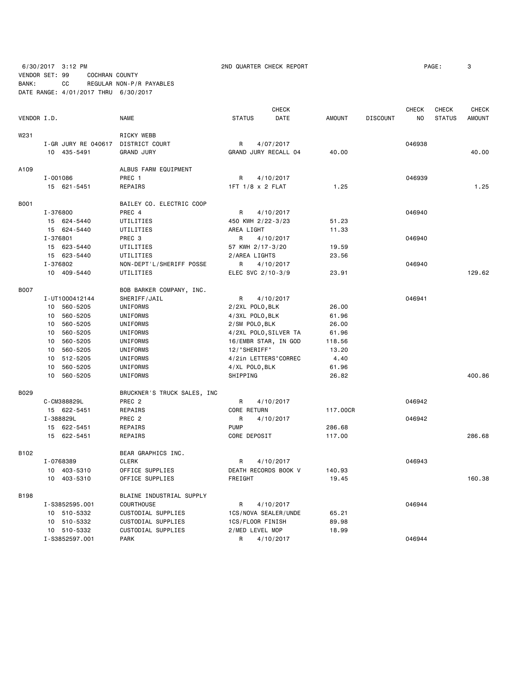6/30/2017 3:12 PM 2ND QUARTER CHECK REPORT PAGE: 3 VENDOR SET: 99 COCHRAN COUNTY BANK: CC REGULAR NON-P/R PAYABLES

DATE RANGE: 4/01/2017 THRU 6/30/2017

|             |          |                     |                             |               |                  | <b>CHECK</b>          |               |                 | <b>CHECK</b>   | <b>CHECK</b>  | <b>CHECK</b>  |
|-------------|----------|---------------------|-----------------------------|---------------|------------------|-----------------------|---------------|-----------------|----------------|---------------|---------------|
| VENDOR I.D. |          |                     | <b>NAME</b>                 | <b>STATUS</b> |                  | DATE                  | <b>AMOUNT</b> | <b>DISCOUNT</b> | N <sub>O</sub> | <b>STATUS</b> | <b>AMOUNT</b> |
| W231        |          |                     | RICKY WEBB                  |               |                  |                       |               |                 |                |               |               |
|             |          | I-GR JURY RE 040617 | DISTRICT COURT              | R             |                  | 4/07/2017             |               |                 | 046938         |               |               |
|             |          | 10 435-5491         | <b>GRAND JURY</b>           |               |                  | GRAND JURY RECALL 04  | 40.00         |                 |                |               | 40.00         |
| A109        |          |                     | ALBUS FARM EQUIPMENT        |               |                  |                       |               |                 |                |               |               |
|             | I-001086 |                     | PREC 1                      | R             |                  | 4/10/2017             |               |                 | 046939         |               |               |
|             |          | 15 621-5451         | <b>REPAIRS</b>              |               | 1FT 1/8 x 2 FLAT |                       | 1.25          |                 |                |               | 1.25          |
| <b>B001</b> |          |                     | BAILEY CO. ELECTRIC COOP    |               |                  |                       |               |                 |                |               |               |
|             | I-376800 |                     | PREC 4                      | R             |                  | 4/10/2017             |               |                 | 046940         |               |               |
|             |          | 15 624-5440         | UTILITIES                   |               |                  | 450 KWH 2/22-3/23     | 51.23         |                 |                |               |               |
|             |          | 15 624-5440         | UTILITIES                   | AREA LIGHT    |                  |                       | 11.33         |                 |                |               |               |
|             | I-376801 |                     | PREC 3                      | R             |                  | 4/10/2017             |               |                 | 046940         |               |               |
|             |          | 15 623-5440         | UTILITIES                   |               | 57 KWH 2/17-3/20 |                       | 19.59         |                 |                |               |               |
|             |          | 15 623-5440         | UTILITIES                   |               | 2/AREA LIGHTS    |                       | 23.56         |                 |                |               |               |
|             | I-376802 |                     | NON-DEPT'L/SHERIFF POSSE    | R             |                  | 4/10/2017             |               |                 | 046940         |               |               |
|             |          | 10 409-5440         | UTILITIES                   |               |                  | ELEC SVC 2/10-3/9     | 23.91         |                 |                |               | 129.62        |
| <b>B007</b> |          |                     | BOB BARKER COMPANY, INC.    |               |                  |                       |               |                 |                |               |               |
|             |          | I-UT1000412144      | SHERIFF/JAIL                | R             |                  | 4/10/2017             |               |                 | 046941         |               |               |
|             | 10       | 560-5205            | UNIFORMS                    |               | 2/2XL POLO, BLK  |                       | 26.00         |                 |                |               |               |
|             | 10       | 560-5205            | UNIFORMS                    |               | 4/3XL POLO, BLK  |                       | 61.96         |                 |                |               |               |
|             | 10       | 560-5205            | UNIFORMS                    |               | 2/SM POLO, BLK   |                       | 26.00         |                 |                |               |               |
|             | 10       | 560-5205            | UNIFORMS                    |               |                  | 4/2XL POLO, SILVER TA | 61.96         |                 |                |               |               |
|             | 10       | 560-5205            | UNIFORMS                    |               |                  | 16/EMBR STAR, IN GOD  | 118.56        |                 |                |               |               |
|             | 10       | 560-5205            | UNIFORMS                    |               | 12/"SHERIFF"     |                       | 13.20         |                 |                |               |               |
|             |          | 10 512-5205         | UNIFORMS                    |               |                  | 4/2in LETTERS"CORREC  | 4.40          |                 |                |               |               |
|             | 10       | 560-5205            | UNIFORMS                    |               | 4/XL POLO, BLK   |                       | 61.96         |                 |                |               |               |
|             | 10       | 560-5205            | UNIFORMS                    | SHIPPING      |                  |                       | 26.82         |                 |                |               | 400.86        |
| B029        |          |                     | BRUCKNER'S TRUCK SALES, INC |               |                  |                       |               |                 |                |               |               |
|             |          | C-CM388829L         | PREC <sub>2</sub>           | R             |                  | 4/10/2017             |               |                 | 046942         |               |               |
|             |          | 15 622-5451         | REPAIRS                     |               | CORE RETURN      |                       | 117.00CR      |                 |                |               |               |
|             |          | I-388829L           | PREC <sub>2</sub>           | R             |                  | 4/10/2017             |               |                 | 046942         |               |               |
|             |          | 15 622-5451         | REPAIRS                     | <b>PUMP</b>   |                  |                       | 286.68        |                 |                |               |               |
|             |          | 15 622-5451         | REPAIRS                     |               | CORE DEPOSIT     |                       | 117.00        |                 |                |               | 286.68        |
| B102        |          |                     | BEAR GRAPHICS INC.          |               |                  |                       |               |                 |                |               |               |
|             |          | I-0768389           | <b>CLERK</b>                | R             |                  | 4/10/2017             |               |                 | 046943         |               |               |
|             |          | 10 403-5310         | OFFICE SUPPLIES             |               |                  | DEATH RECORDS BOOK V  | 140.93        |                 |                |               |               |
|             |          | 10 403-5310         | OFFICE SUPPLIES             | FREIGHT       |                  |                       | 19.45         |                 |                |               | 160.38        |
| <b>B198</b> |          |                     | BLAINE INDUSTRIAL SUPPLY    |               |                  |                       |               |                 |                |               |               |
|             |          | I-S3852595.001      | <b>COURTHOUSE</b>           | R             |                  | 4/10/2017             |               |                 | 046944         |               |               |
|             | 10       | 510-5332            | CUSTODIAL SUPPLIES          |               |                  | 1CS/NOVA SEALER/UNDE  | 65.21         |                 |                |               |               |
|             | 10       | 510-5332            | CUSTODIAL SUPPLIES          |               | 1CS/FLOOR FINISH |                       | 89.98         |                 |                |               |               |
|             |          | 10 510-5332         | CUSTODIAL SUPPLIES          |               | 2/MED LEVEL MOP  |                       | 18.99         |                 |                |               |               |
|             |          | I-S3852597.001      | <b>PARK</b>                 | R             |                  | 4/10/2017             |               |                 | 046944         |               |               |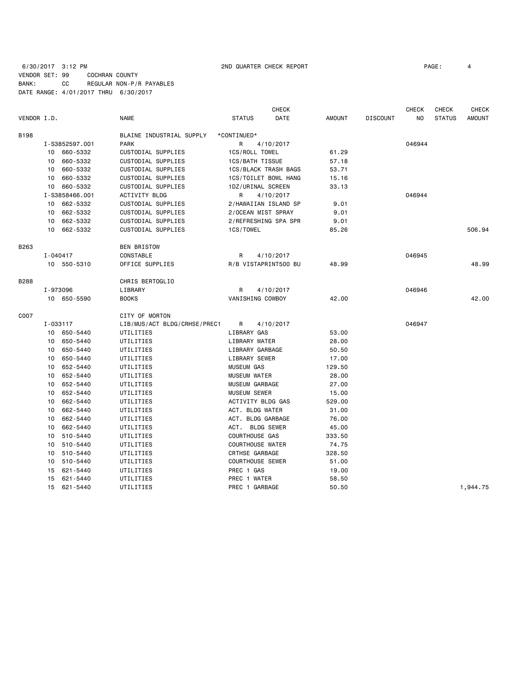# 6/30/2017 3:12 PM 2ND QUARTER CHECK REPORT PAGE: 4 VENDOR SET: 99 COCHRAN COUNTY BANK: CC REGULAR NON-P/R PAYABLES DATE RANGE: 4/01/2017 THRU 6/30/2017

| DATE<br>N <sub>O</sub><br><b>STATUS</b><br><b>AMOUNT</b><br>VENDOR I.D.<br><b>NAME</b><br><b>STATUS</b><br><b>AMOUNT</b><br><b>DISCOUNT</b><br><b>B198</b><br>BLAINE INDUSTRIAL SUPPLY<br>*CONTINUED*<br><b>PARK</b><br>046944<br>I-S3852597.001<br>R<br>4/10/2017<br>10 660-5332<br>CUSTODIAL SUPPLIES<br>1CS/ROLL TOWEL<br>61.29<br>660-5332<br>CUSTODIAL SUPPLIES<br>10<br>1CS/BATH TISSUE<br>57.18<br>660-5332<br>CUSTODIAL SUPPLIES<br>1CS/BLACK TRASH BAGS<br>53.71<br>10<br>660-5332<br>CUSTODIAL SUPPLIES<br>1CS/TOILET BOWL HANG<br>10<br>15.16<br>660-5332<br>CUSTODIAL SUPPLIES<br>1DZ/URINAL SCREEN<br>33.13<br>10<br>I-S3858466.001<br><b>ACTIVITY BLDG</b><br>R<br>4/10/2017<br>046944<br>662-5332<br>CUSTODIAL SUPPLIES<br>2/HAWAIIAN ISLAND SP<br>9.01<br>10<br>662-5332<br>CUSTODIAL SUPPLIES<br>2/OCEAN MIST SPRAY<br>9.01<br>10<br>662-5332<br>CUSTODIAL SUPPLIES<br>2/REFRESHING SPA SPR<br>10<br>9.01<br>10 662-5332<br>CUSTODIAL SUPPLIES<br>1CS/TOWEL<br>85.26<br>506.94<br>B263<br><b>BEN BRISTOW</b><br>I-040417<br>CONSTABLE<br>R<br>046945<br>4/10/2017<br>48.99<br>OFFICE SUPPLIES<br>R/B VISTAPRINT500 BU<br>48.99<br>10 550-5310<br>CHRIS BERTOGLIO<br><b>B288</b><br>I-973096<br>046946<br>LIBRARY<br>R<br>4/10/2017<br><b>BOOKS</b><br>42.00<br>10 650-5590<br>VANISHING COWBOY<br>42.00<br>C007<br>CITY OF MORTON<br>I-033117<br>LIB/MUS/ACT BLDG/CRHSE/PREC1<br>R<br>046947<br>4/10/2017<br>10 650-5440<br>LIBRARY GAS<br>53.00<br>UTILITIES<br>650-5440<br>LIBRARY WATER<br>10<br>UTILITIES<br>28.00<br>650-5440<br>LIBRARY GARBAGE<br>UTILITIES<br>50.50<br>10<br>650-5440<br>LIBRARY SEWER<br>UTILITIES<br>17.00<br>10<br>652-5440<br>UTILITIES<br><b>MUSEUM GAS</b><br>129.50<br>10<br>652-5440<br>UTILITIES<br><b>MUSEUM WATER</b><br>28.00<br>10<br>652-5440<br>MUSEUM GARBAGE<br>27.00<br>10<br>UTILITIES<br>652-5440<br><b>MUSEUM SEWER</b><br>15.00<br>10<br>UTILITIES<br>662-5440<br>UTILITIES<br>ACTIVITY BLDG GAS<br>529.00<br>10<br>662-5440<br>ACT. BLDG WATER<br>UTILITIES<br>31.00<br>10<br>662-5440<br>ACT. BLDG GARBAGE<br>10<br>UTILITIES<br>76.00<br>ACT. BLDG SEWER<br>662-5440<br>UTILITIES<br>45.00<br>10<br><b>COURTHOUSE GAS</b><br>510-5440<br>333.50<br>10<br>UTILITIES<br><b>COURTHOUSE WATER</b><br>510-5440<br>UTILITIES<br>74.75<br>10<br>510-5440<br>UTILITIES<br>CRTHSE GARBAGE<br>328.50<br>10<br><b>COURTHOUSE SEWER</b><br>510-5440<br>UTILITIES<br>51.00<br>10<br>621-5440<br>PREC 1 GAS<br>UTILITIES<br>19.00<br>15<br>621-5440<br>UTILITIES<br>PREC 1 WATER<br>58.50<br>15<br>PREC 1 GARBAGE<br>50.50<br>1,944.75<br>15<br>621-5440<br>UTILITIES |  |  | <b>CHECK</b> |  | <b>CHECK</b> | <b>CHECK</b> | <b>CHECK</b> |
|---------------------------------------------------------------------------------------------------------------------------------------------------------------------------------------------------------------------------------------------------------------------------------------------------------------------------------------------------------------------------------------------------------------------------------------------------------------------------------------------------------------------------------------------------------------------------------------------------------------------------------------------------------------------------------------------------------------------------------------------------------------------------------------------------------------------------------------------------------------------------------------------------------------------------------------------------------------------------------------------------------------------------------------------------------------------------------------------------------------------------------------------------------------------------------------------------------------------------------------------------------------------------------------------------------------------------------------------------------------------------------------------------------------------------------------------------------------------------------------------------------------------------------------------------------------------------------------------------------------------------------------------------------------------------------------------------------------------------------------------------------------------------------------------------------------------------------------------------------------------------------------------------------------------------------------------------------------------------------------------------------------------------------------------------------------------------------------------------------------------------------------------------------------------------------------------------------------------------------------------------------------------------------------------------------------------------------------------------------------------------------------------------------------------------------------------------------------------------------------------------------------------------------------------------------------------------------------------------------------------------|--|--|--------------|--|--------------|--------------|--------------|
|                                                                                                                                                                                                                                                                                                                                                                                                                                                                                                                                                                                                                                                                                                                                                                                                                                                                                                                                                                                                                                                                                                                                                                                                                                                                                                                                                                                                                                                                                                                                                                                                                                                                                                                                                                                                                                                                                                                                                                                                                                                                                                                                                                                                                                                                                                                                                                                                                                                                                                                                                                                                                           |  |  |              |  |              |              |              |
|                                                                                                                                                                                                                                                                                                                                                                                                                                                                                                                                                                                                                                                                                                                                                                                                                                                                                                                                                                                                                                                                                                                                                                                                                                                                                                                                                                                                                                                                                                                                                                                                                                                                                                                                                                                                                                                                                                                                                                                                                                                                                                                                                                                                                                                                                                                                                                                                                                                                                                                                                                                                                           |  |  |              |  |              |              |              |
|                                                                                                                                                                                                                                                                                                                                                                                                                                                                                                                                                                                                                                                                                                                                                                                                                                                                                                                                                                                                                                                                                                                                                                                                                                                                                                                                                                                                                                                                                                                                                                                                                                                                                                                                                                                                                                                                                                                                                                                                                                                                                                                                                                                                                                                                                                                                                                                                                                                                                                                                                                                                                           |  |  |              |  |              |              |              |
|                                                                                                                                                                                                                                                                                                                                                                                                                                                                                                                                                                                                                                                                                                                                                                                                                                                                                                                                                                                                                                                                                                                                                                                                                                                                                                                                                                                                                                                                                                                                                                                                                                                                                                                                                                                                                                                                                                                                                                                                                                                                                                                                                                                                                                                                                                                                                                                                                                                                                                                                                                                                                           |  |  |              |  |              |              |              |
|                                                                                                                                                                                                                                                                                                                                                                                                                                                                                                                                                                                                                                                                                                                                                                                                                                                                                                                                                                                                                                                                                                                                                                                                                                                                                                                                                                                                                                                                                                                                                                                                                                                                                                                                                                                                                                                                                                                                                                                                                                                                                                                                                                                                                                                                                                                                                                                                                                                                                                                                                                                                                           |  |  |              |  |              |              |              |
|                                                                                                                                                                                                                                                                                                                                                                                                                                                                                                                                                                                                                                                                                                                                                                                                                                                                                                                                                                                                                                                                                                                                                                                                                                                                                                                                                                                                                                                                                                                                                                                                                                                                                                                                                                                                                                                                                                                                                                                                                                                                                                                                                                                                                                                                                                                                                                                                                                                                                                                                                                                                                           |  |  |              |  |              |              |              |
|                                                                                                                                                                                                                                                                                                                                                                                                                                                                                                                                                                                                                                                                                                                                                                                                                                                                                                                                                                                                                                                                                                                                                                                                                                                                                                                                                                                                                                                                                                                                                                                                                                                                                                                                                                                                                                                                                                                                                                                                                                                                                                                                                                                                                                                                                                                                                                                                                                                                                                                                                                                                                           |  |  |              |  |              |              |              |
|                                                                                                                                                                                                                                                                                                                                                                                                                                                                                                                                                                                                                                                                                                                                                                                                                                                                                                                                                                                                                                                                                                                                                                                                                                                                                                                                                                                                                                                                                                                                                                                                                                                                                                                                                                                                                                                                                                                                                                                                                                                                                                                                                                                                                                                                                                                                                                                                                                                                                                                                                                                                                           |  |  |              |  |              |              |              |
|                                                                                                                                                                                                                                                                                                                                                                                                                                                                                                                                                                                                                                                                                                                                                                                                                                                                                                                                                                                                                                                                                                                                                                                                                                                                                                                                                                                                                                                                                                                                                                                                                                                                                                                                                                                                                                                                                                                                                                                                                                                                                                                                                                                                                                                                                                                                                                                                                                                                                                                                                                                                                           |  |  |              |  |              |              |              |
|                                                                                                                                                                                                                                                                                                                                                                                                                                                                                                                                                                                                                                                                                                                                                                                                                                                                                                                                                                                                                                                                                                                                                                                                                                                                                                                                                                                                                                                                                                                                                                                                                                                                                                                                                                                                                                                                                                                                                                                                                                                                                                                                                                                                                                                                                                                                                                                                                                                                                                                                                                                                                           |  |  |              |  |              |              |              |
|                                                                                                                                                                                                                                                                                                                                                                                                                                                                                                                                                                                                                                                                                                                                                                                                                                                                                                                                                                                                                                                                                                                                                                                                                                                                                                                                                                                                                                                                                                                                                                                                                                                                                                                                                                                                                                                                                                                                                                                                                                                                                                                                                                                                                                                                                                                                                                                                                                                                                                                                                                                                                           |  |  |              |  |              |              |              |
|                                                                                                                                                                                                                                                                                                                                                                                                                                                                                                                                                                                                                                                                                                                                                                                                                                                                                                                                                                                                                                                                                                                                                                                                                                                                                                                                                                                                                                                                                                                                                                                                                                                                                                                                                                                                                                                                                                                                                                                                                                                                                                                                                                                                                                                                                                                                                                                                                                                                                                                                                                                                                           |  |  |              |  |              |              |              |
|                                                                                                                                                                                                                                                                                                                                                                                                                                                                                                                                                                                                                                                                                                                                                                                                                                                                                                                                                                                                                                                                                                                                                                                                                                                                                                                                                                                                                                                                                                                                                                                                                                                                                                                                                                                                                                                                                                                                                                                                                                                                                                                                                                                                                                                                                                                                                                                                                                                                                                                                                                                                                           |  |  |              |  |              |              |              |
|                                                                                                                                                                                                                                                                                                                                                                                                                                                                                                                                                                                                                                                                                                                                                                                                                                                                                                                                                                                                                                                                                                                                                                                                                                                                                                                                                                                                                                                                                                                                                                                                                                                                                                                                                                                                                                                                                                                                                                                                                                                                                                                                                                                                                                                                                                                                                                                                                                                                                                                                                                                                                           |  |  |              |  |              |              |              |
|                                                                                                                                                                                                                                                                                                                                                                                                                                                                                                                                                                                                                                                                                                                                                                                                                                                                                                                                                                                                                                                                                                                                                                                                                                                                                                                                                                                                                                                                                                                                                                                                                                                                                                                                                                                                                                                                                                                                                                                                                                                                                                                                                                                                                                                                                                                                                                                                                                                                                                                                                                                                                           |  |  |              |  |              |              |              |
|                                                                                                                                                                                                                                                                                                                                                                                                                                                                                                                                                                                                                                                                                                                                                                                                                                                                                                                                                                                                                                                                                                                                                                                                                                                                                                                                                                                                                                                                                                                                                                                                                                                                                                                                                                                                                                                                                                                                                                                                                                                                                                                                                                                                                                                                                                                                                                                                                                                                                                                                                                                                                           |  |  |              |  |              |              |              |
|                                                                                                                                                                                                                                                                                                                                                                                                                                                                                                                                                                                                                                                                                                                                                                                                                                                                                                                                                                                                                                                                                                                                                                                                                                                                                                                                                                                                                                                                                                                                                                                                                                                                                                                                                                                                                                                                                                                                                                                                                                                                                                                                                                                                                                                                                                                                                                                                                                                                                                                                                                                                                           |  |  |              |  |              |              |              |
|                                                                                                                                                                                                                                                                                                                                                                                                                                                                                                                                                                                                                                                                                                                                                                                                                                                                                                                                                                                                                                                                                                                                                                                                                                                                                                                                                                                                                                                                                                                                                                                                                                                                                                                                                                                                                                                                                                                                                                                                                                                                                                                                                                                                                                                                                                                                                                                                                                                                                                                                                                                                                           |  |  |              |  |              |              |              |
|                                                                                                                                                                                                                                                                                                                                                                                                                                                                                                                                                                                                                                                                                                                                                                                                                                                                                                                                                                                                                                                                                                                                                                                                                                                                                                                                                                                                                                                                                                                                                                                                                                                                                                                                                                                                                                                                                                                                                                                                                                                                                                                                                                                                                                                                                                                                                                                                                                                                                                                                                                                                                           |  |  |              |  |              |              |              |
|                                                                                                                                                                                                                                                                                                                                                                                                                                                                                                                                                                                                                                                                                                                                                                                                                                                                                                                                                                                                                                                                                                                                                                                                                                                                                                                                                                                                                                                                                                                                                                                                                                                                                                                                                                                                                                                                                                                                                                                                                                                                                                                                                                                                                                                                                                                                                                                                                                                                                                                                                                                                                           |  |  |              |  |              |              |              |
|                                                                                                                                                                                                                                                                                                                                                                                                                                                                                                                                                                                                                                                                                                                                                                                                                                                                                                                                                                                                                                                                                                                                                                                                                                                                                                                                                                                                                                                                                                                                                                                                                                                                                                                                                                                                                                                                                                                                                                                                                                                                                                                                                                                                                                                                                                                                                                                                                                                                                                                                                                                                                           |  |  |              |  |              |              |              |
|                                                                                                                                                                                                                                                                                                                                                                                                                                                                                                                                                                                                                                                                                                                                                                                                                                                                                                                                                                                                                                                                                                                                                                                                                                                                                                                                                                                                                                                                                                                                                                                                                                                                                                                                                                                                                                                                                                                                                                                                                                                                                                                                                                                                                                                                                                                                                                                                                                                                                                                                                                                                                           |  |  |              |  |              |              |              |
|                                                                                                                                                                                                                                                                                                                                                                                                                                                                                                                                                                                                                                                                                                                                                                                                                                                                                                                                                                                                                                                                                                                                                                                                                                                                                                                                                                                                                                                                                                                                                                                                                                                                                                                                                                                                                                                                                                                                                                                                                                                                                                                                                                                                                                                                                                                                                                                                                                                                                                                                                                                                                           |  |  |              |  |              |              |              |
|                                                                                                                                                                                                                                                                                                                                                                                                                                                                                                                                                                                                                                                                                                                                                                                                                                                                                                                                                                                                                                                                                                                                                                                                                                                                                                                                                                                                                                                                                                                                                                                                                                                                                                                                                                                                                                                                                                                                                                                                                                                                                                                                                                                                                                                                                                                                                                                                                                                                                                                                                                                                                           |  |  |              |  |              |              |              |
|                                                                                                                                                                                                                                                                                                                                                                                                                                                                                                                                                                                                                                                                                                                                                                                                                                                                                                                                                                                                                                                                                                                                                                                                                                                                                                                                                                                                                                                                                                                                                                                                                                                                                                                                                                                                                                                                                                                                                                                                                                                                                                                                                                                                                                                                                                                                                                                                                                                                                                                                                                                                                           |  |  |              |  |              |              |              |
|                                                                                                                                                                                                                                                                                                                                                                                                                                                                                                                                                                                                                                                                                                                                                                                                                                                                                                                                                                                                                                                                                                                                                                                                                                                                                                                                                                                                                                                                                                                                                                                                                                                                                                                                                                                                                                                                                                                                                                                                                                                                                                                                                                                                                                                                                                                                                                                                                                                                                                                                                                                                                           |  |  |              |  |              |              |              |
|                                                                                                                                                                                                                                                                                                                                                                                                                                                                                                                                                                                                                                                                                                                                                                                                                                                                                                                                                                                                                                                                                                                                                                                                                                                                                                                                                                                                                                                                                                                                                                                                                                                                                                                                                                                                                                                                                                                                                                                                                                                                                                                                                                                                                                                                                                                                                                                                                                                                                                                                                                                                                           |  |  |              |  |              |              |              |
|                                                                                                                                                                                                                                                                                                                                                                                                                                                                                                                                                                                                                                                                                                                                                                                                                                                                                                                                                                                                                                                                                                                                                                                                                                                                                                                                                                                                                                                                                                                                                                                                                                                                                                                                                                                                                                                                                                                                                                                                                                                                                                                                                                                                                                                                                                                                                                                                                                                                                                                                                                                                                           |  |  |              |  |              |              |              |
|                                                                                                                                                                                                                                                                                                                                                                                                                                                                                                                                                                                                                                                                                                                                                                                                                                                                                                                                                                                                                                                                                                                                                                                                                                                                                                                                                                                                                                                                                                                                                                                                                                                                                                                                                                                                                                                                                                                                                                                                                                                                                                                                                                                                                                                                                                                                                                                                                                                                                                                                                                                                                           |  |  |              |  |              |              |              |
|                                                                                                                                                                                                                                                                                                                                                                                                                                                                                                                                                                                                                                                                                                                                                                                                                                                                                                                                                                                                                                                                                                                                                                                                                                                                                                                                                                                                                                                                                                                                                                                                                                                                                                                                                                                                                                                                                                                                                                                                                                                                                                                                                                                                                                                                                                                                                                                                                                                                                                                                                                                                                           |  |  |              |  |              |              |              |
|                                                                                                                                                                                                                                                                                                                                                                                                                                                                                                                                                                                                                                                                                                                                                                                                                                                                                                                                                                                                                                                                                                                                                                                                                                                                                                                                                                                                                                                                                                                                                                                                                                                                                                                                                                                                                                                                                                                                                                                                                                                                                                                                                                                                                                                                                                                                                                                                                                                                                                                                                                                                                           |  |  |              |  |              |              |              |
|                                                                                                                                                                                                                                                                                                                                                                                                                                                                                                                                                                                                                                                                                                                                                                                                                                                                                                                                                                                                                                                                                                                                                                                                                                                                                                                                                                                                                                                                                                                                                                                                                                                                                                                                                                                                                                                                                                                                                                                                                                                                                                                                                                                                                                                                                                                                                                                                                                                                                                                                                                                                                           |  |  |              |  |              |              |              |
|                                                                                                                                                                                                                                                                                                                                                                                                                                                                                                                                                                                                                                                                                                                                                                                                                                                                                                                                                                                                                                                                                                                                                                                                                                                                                                                                                                                                                                                                                                                                                                                                                                                                                                                                                                                                                                                                                                                                                                                                                                                                                                                                                                                                                                                                                                                                                                                                                                                                                                                                                                                                                           |  |  |              |  |              |              |              |
|                                                                                                                                                                                                                                                                                                                                                                                                                                                                                                                                                                                                                                                                                                                                                                                                                                                                                                                                                                                                                                                                                                                                                                                                                                                                                                                                                                                                                                                                                                                                                                                                                                                                                                                                                                                                                                                                                                                                                                                                                                                                                                                                                                                                                                                                                                                                                                                                                                                                                                                                                                                                                           |  |  |              |  |              |              |              |
|                                                                                                                                                                                                                                                                                                                                                                                                                                                                                                                                                                                                                                                                                                                                                                                                                                                                                                                                                                                                                                                                                                                                                                                                                                                                                                                                                                                                                                                                                                                                                                                                                                                                                                                                                                                                                                                                                                                                                                                                                                                                                                                                                                                                                                                                                                                                                                                                                                                                                                                                                                                                                           |  |  |              |  |              |              |              |
|                                                                                                                                                                                                                                                                                                                                                                                                                                                                                                                                                                                                                                                                                                                                                                                                                                                                                                                                                                                                                                                                                                                                                                                                                                                                                                                                                                                                                                                                                                                                                                                                                                                                                                                                                                                                                                                                                                                                                                                                                                                                                                                                                                                                                                                                                                                                                                                                                                                                                                                                                                                                                           |  |  |              |  |              |              |              |
|                                                                                                                                                                                                                                                                                                                                                                                                                                                                                                                                                                                                                                                                                                                                                                                                                                                                                                                                                                                                                                                                                                                                                                                                                                                                                                                                                                                                                                                                                                                                                                                                                                                                                                                                                                                                                                                                                                                                                                                                                                                                                                                                                                                                                                                                                                                                                                                                                                                                                                                                                                                                                           |  |  |              |  |              |              |              |
|                                                                                                                                                                                                                                                                                                                                                                                                                                                                                                                                                                                                                                                                                                                                                                                                                                                                                                                                                                                                                                                                                                                                                                                                                                                                                                                                                                                                                                                                                                                                                                                                                                                                                                                                                                                                                                                                                                                                                                                                                                                                                                                                                                                                                                                                                                                                                                                                                                                                                                                                                                                                                           |  |  |              |  |              |              |              |
|                                                                                                                                                                                                                                                                                                                                                                                                                                                                                                                                                                                                                                                                                                                                                                                                                                                                                                                                                                                                                                                                                                                                                                                                                                                                                                                                                                                                                                                                                                                                                                                                                                                                                                                                                                                                                                                                                                                                                                                                                                                                                                                                                                                                                                                                                                                                                                                                                                                                                                                                                                                                                           |  |  |              |  |              |              |              |
|                                                                                                                                                                                                                                                                                                                                                                                                                                                                                                                                                                                                                                                                                                                                                                                                                                                                                                                                                                                                                                                                                                                                                                                                                                                                                                                                                                                                                                                                                                                                                                                                                                                                                                                                                                                                                                                                                                                                                                                                                                                                                                                                                                                                                                                                                                                                                                                                                                                                                                                                                                                                                           |  |  |              |  |              |              |              |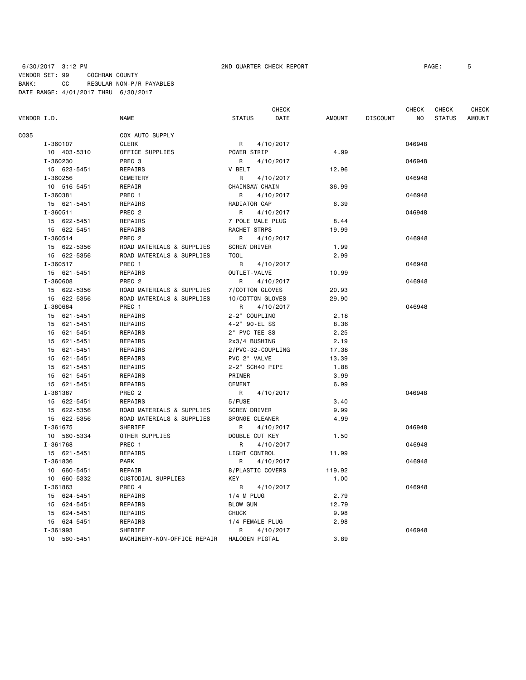### 6/30/2017 3:12 PM 2ND QUARTER CHECK REPORT PAGE: 5 VENDOR SET: 99 COCHRAN COUNTY BANK: CC REGULAR NON-P/R PAYABLES DATE RANGE: 4/01/2017 THRU 6/30/2017

|             |                |                             |                       | CHECK     |        |                 | CHECK  | CHECK         | <b>CHECK</b>  |
|-------------|----------------|-----------------------------|-----------------------|-----------|--------|-----------------|--------|---------------|---------------|
| VENDOR I.D. |                | <b>NAME</b>                 | <b>STATUS</b>         | DATE      | AMOUNT | <b>DISCOUNT</b> | NO     | <b>STATUS</b> | <b>AMOUNT</b> |
| C035        |                | COX AUTO SUPPLY             |                       |           |        |                 |        |               |               |
|             | I-360107       | <b>CLERK</b>                | R                     | 4/10/2017 |        |                 | 046948 |               |               |
|             | 10 403-5310    | OFFICE SUPPLIES             | POWER STRIP           |           | 4.99   |                 |        |               |               |
|             | I-360230       | PREC <sub>3</sub>           | R                     | 4/10/2017 |        |                 | 046948 |               |               |
|             | 15 623-5451    | REPAIRS                     | V BELT                |           | 12.96  |                 |        |               |               |
|             | I-360256       | <b>CEMETERY</b>             | R                     | 4/10/2017 |        |                 | 046948 |               |               |
|             | 10 516-5451    | REPAIR                      | <b>CHAINSAW CHAIN</b> |           | 36.99  |                 |        |               |               |
|             | I-360381       | PREC 1                      | R                     | 4/10/2017 |        |                 | 046948 |               |               |
|             | 15 621-5451    | REPAIRS                     | RADIATOR CAP          |           | 6.39   |                 |        |               |               |
|             | $I - 360511$   | PREC <sub>2</sub>           | R                     | 4/10/2017 |        |                 | 046948 |               |               |
|             | 15 622-5451    | REPAIRS                     | 7 POLE MALE PLUG      |           | 8.44   |                 |        |               |               |
|             | 15 622-5451    | REPAIRS                     | RACHET STRPS          |           | 19.99  |                 |        |               |               |
|             | I-360514       | PREC <sub>2</sub>           | R                     | 4/10/2017 |        |                 | 046948 |               |               |
|             | 15 622-5356    | ROAD MATERIALS & SUPPLIES   | <b>SCREW DRIVER</b>   |           | 1.99   |                 |        |               |               |
|             | 15 622-5356    | ROAD MATERIALS & SUPPLIES   | <b>TOOL</b>           |           | 2.99   |                 |        |               |               |
|             |                |                             |                       |           |        |                 |        |               |               |
|             | I-360517       | PREC 1                      | R                     | 4/10/2017 |        |                 | 046948 |               |               |
|             | 15 621-5451    | <b>REPAIRS</b>              | OUTLET-VALVE          |           | 10.99  |                 |        |               |               |
|             | I-360608       | PREC <sub>2</sub>           | R                     | 4/10/2017 |        |                 | 046948 |               |               |
|             | 15 622-5356    | ROAD MATERIALS & SUPPLIES   | 7/COTTON GLOVES       |           | 20.93  |                 |        |               |               |
|             | 15 622-5356    | ROAD MATERIALS & SUPPLIES   | 10/COTTON GLOVES      |           | 29.90  |                 |        |               |               |
|             | I-360684       | PREC 1                      | R                     | 4/10/2017 |        |                 | 046948 |               |               |
|             | 15 621-5451    | REPAIRS                     | 2-2" COUPLING         |           | 2.18   |                 |        |               |               |
|             | 15 621-5451    | REPAIRS                     | 4-2" 90-EL SS         |           | 8.36   |                 |        |               |               |
|             | 15 621-5451    | REPAIRS                     | 2" PVC TEE SS         |           | 2.25   |                 |        |               |               |
|             | 15 621-5451    | REPAIRS                     | 2x3/4 BUSHING         |           | 2.19   |                 |        |               |               |
|             | 15 621-5451    | REPAIRS                     | 2/PVC-32-COUPLING     |           | 17.38  |                 |        |               |               |
|             | 15 621-5451    | REPAIRS                     | PVC 2" VALVE          |           | 13.39  |                 |        |               |               |
|             | 15 621-5451    | REPAIRS                     | 2-2" SCH40 PIPE       |           | 1.88   |                 |        |               |               |
|             | 15<br>621-5451 | REPAIRS                     | PRIMER                |           | 3.99   |                 |        |               |               |
|             | 15 621-5451    | REPAIRS                     | <b>CEMENT</b>         |           | 6.99   |                 |        |               |               |
|             | I-361367       | PREC <sub>2</sub>           | R                     | 4/10/2017 |        |                 | 046948 |               |               |
|             | 15 622-5451    | REPAIRS                     | 5/FUSE                |           | 3.40   |                 |        |               |               |
|             | 15 622-5356    | ROAD MATERIALS & SUPPLIES   | <b>SCREW DRIVER</b>   |           | 9.99   |                 |        |               |               |
|             | 15 622-5356    | ROAD MATERIALS & SUPPLIES   | SPONGE CLEANER        |           | 4.99   |                 |        |               |               |
|             | I-361675       | <b>SHERIFF</b>              | R                     | 4/10/2017 |        |                 | 046948 |               |               |
|             | 10 560-5334    | OTHER SUPPLIES              | DOUBLE CUT KEY        |           | 1.50   |                 |        |               |               |
|             | I-361768       | PREC 1                      | R                     | 4/10/2017 |        |                 | 046948 |               |               |
|             | 15 621-5451    | REPAIRS                     | LIGHT CONTROL         |           | 11.99  |                 |        |               |               |
|             | I-361836       | <b>PARK</b>                 | R                     | 4/10/2017 |        |                 | 046948 |               |               |
|             | 10 660-5451    | REPAIR                      | 8/PLASTIC COVERS      |           | 119.92 |                 |        |               |               |
|             | 10 660-5332    | CUSTODIAL SUPPLIES          | <b>KEY</b>            |           | 1.00   |                 |        |               |               |
|             | I-361863       | PREC 4                      | R                     | 4/10/2017 |        |                 | 046948 |               |               |
|             | 15 624-5451    | REPAIRS                     | $1/4$ M PLUG          |           | 2.79   |                 |        |               |               |
|             | 624-5451<br>15 | REPAIRS                     | <b>BLOW GUN</b>       |           | 12.79  |                 |        |               |               |
|             | 15 624-5451    | REPAIRS                     | <b>CHUCK</b>          |           | 9.98   |                 |        |               |               |
|             | 15 624-5451    | REPAIRS                     | 1/4 FEMALE PLUG       |           | 2.98   |                 |        |               |               |
|             | I-361993       | SHERIFF                     | R                     | 4/10/2017 |        |                 | 046948 |               |               |
|             | 10 560-5451    | MACHINERY-NON-OFFICE REPAIR | HALOGEN PIGTAL        |           | 3.89   |                 |        |               |               |
|             |                |                             |                       |           |        |                 |        |               |               |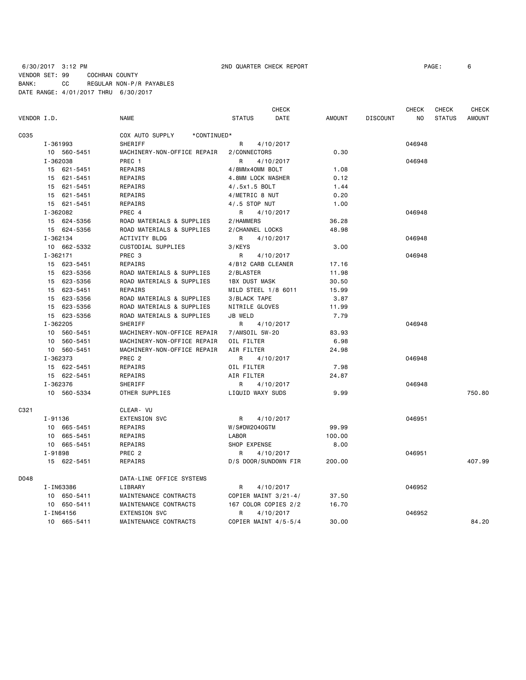### 6/30/2017 3:12 PM 2ND QUARTER CHECK REPORT PAGE: 6 VENDOR SET: 99 COCHRAN COUNTY BANK: CC REGULAR NON-P/R PAYABLES DATE RANGE: 4/01/2017 THRU 6/30/2017

| VENDOR I.D. |                | <b>NAME</b>                    | <b>CHECK</b><br><b>STATUS</b><br><b>DATE</b> | <b>AMOUNT</b> | <b>DISCOUNT</b> | <b>CHECK</b><br><b>NO</b> | <b>CHECK</b><br><b>STATUS</b> | <b>CHECK</b><br><b>AMOUNT</b> |
|-------------|----------------|--------------------------------|----------------------------------------------|---------------|-----------------|---------------------------|-------------------------------|-------------------------------|
| C035        |                | COX AUTO SUPPLY<br>*CONTINUED* |                                              |               |                 |                           |                               |                               |
|             | I-361993       | SHERIFF                        | R<br>4/10/2017                               |               |                 | 046948                    |                               |                               |
|             | 10 560-5451    | MACHINERY-NON-OFFICE REPAIR    | 2/CONNECTORS                                 | 0.30          |                 |                           |                               |                               |
|             | I-362038       | PREC 1                         | R<br>4/10/2017                               |               |                 | 046948                    |                               |                               |
|             | 15 621-5451    | REPAIRS                        | 4/8MMx40MM BOLT                              | 1.08          |                 |                           |                               |                               |
|             | 15<br>621-5451 | REPAIRS                        | 4.8MM LOCK WASHER                            | 0.12          |                 |                           |                               |                               |
|             | 621-5451<br>15 | REPAIRS                        | 4/.5x1.5 BOLT                                | 1.44          |                 |                           |                               |                               |
|             | 621-5451<br>15 | REPAIRS                        | 4/METRIC 8 NUT                               | 0.20          |                 |                           |                               |                               |
|             | 15 621-5451    | REPAIRS                        | 4/.5 STOP NUT                                | 1.00          |                 |                           |                               |                               |
|             | I-362082       | PREC 4                         | R<br>4/10/2017                               |               |                 | 046948                    |                               |                               |
|             | 15 624-5356    | ROAD MATERIALS & SUPPLIES      | 2/HAMMERS                                    | 36.28         |                 |                           |                               |                               |
|             | 15 624-5356    | ROAD MATERIALS & SUPPLIES      | 2/CHANNEL LOCKS                              | 48.98         |                 |                           |                               |                               |
|             | I-362134       | <b>ACTIVITY BLDG</b>           | R<br>4/10/2017                               |               |                 | 046948                    |                               |                               |
|             | 10 662-5332    | CUSTODIAL SUPPLIES             | 3/KEYS                                       | 3.00          |                 |                           |                               |                               |
|             | I-362171       | PREC <sub>3</sub>              | R<br>4/10/2017                               |               |                 | 046948                    |                               |                               |
|             | 15 623-5451    | <b>REPAIRS</b>                 | 4/B12 CARB CLEANER                           | 17.16         |                 |                           |                               |                               |
|             | 15<br>623-5356 | ROAD MATERIALS & SUPPLIES      | 2/BLASTER                                    | 11.98         |                 |                           |                               |                               |
|             | 623-5356<br>15 | ROAD MATERIALS & SUPPLIES      | <b>1BX DUST MASK</b>                         | 30.50         |                 |                           |                               |                               |
|             | 15<br>623-5451 | REPAIRS                        | MILD STEEL 1/8 6011                          | 15.99         |                 |                           |                               |                               |
|             | 15 623-5356    | ROAD MATERIALS & SUPPLIES      | 3/BLACK TAPE                                 | 3.87          |                 |                           |                               |                               |
|             | 623-5356<br>15 | ROAD MATERIALS & SUPPLIES      | NITRILE GLOVES                               | 11.99         |                 |                           |                               |                               |
|             | 15 623-5356    | ROAD MATERIALS & SUPPLIES      | JB WELD                                      | 7.79          |                 |                           |                               |                               |
|             | I-362205       | SHERIFF                        | R<br>4/10/2017                               |               |                 | 046948                    |                               |                               |
|             | 10<br>560-5451 | MACHINERY-NON-OFFICE REPAIR    | 7/AMSOIL 5W-20                               | 83.93         |                 |                           |                               |                               |
|             | 560-5451<br>10 | MACHINERY-NON-OFFICE REPAIR    | OIL FILTER                                   | 6.98          |                 |                           |                               |                               |
|             | 10 560-5451    | MACHINERY-NON-OFFICE REPAIR    | AIR FILTER                                   | 24.98         |                 |                           |                               |                               |
|             | I-362373       | PREC <sub>2</sub>              | R<br>4/10/2017                               |               |                 | 046948                    |                               |                               |
|             | 15 622-5451    | REPAIRS                        | OIL FILTER                                   | 7.98          |                 |                           |                               |                               |
|             | 15 622-5451    | REPAIRS                        | AIR FILTER                                   | 24.87         |                 |                           |                               |                               |
|             | I-362376       | SHERIFF                        | R<br>4/10/2017                               |               |                 | 046948                    |                               |                               |
|             | 10 560-5334    | OTHER SUPPLIES                 | LIQUID WAXY SUDS                             | 9.99          |                 |                           |                               | 750.80                        |
| C321        |                | CLEAR- VU                      |                                              |               |                 |                           |                               |                               |
|             | I-91136        | <b>EXTENSION SVC</b>           | R<br>4/10/2017                               |               |                 | 046951                    |                               |                               |
|             | 10 665-5451    | REPAIRS                        | W/S#DW2040GTM                                | 99.99         |                 |                           |                               |                               |
|             | 10 665-5451    | REPAIRS                        | <b>LABOR</b>                                 | 100.00        |                 |                           |                               |                               |
|             | 10 665-5451    | REPAIRS                        | SHOP EXPENSE                                 | 8.00          |                 |                           |                               |                               |
|             | I-91898        | PREC <sub>2</sub>              | R<br>4/10/2017                               |               |                 | 046951                    |                               |                               |
|             | 15 622-5451    | REPAIRS                        | D/S DOOR/SUNDOWN FIR                         | 200.00        |                 |                           |                               | 407.99                        |
| D048        |                | DATA-LINE OFFICE SYSTEMS       |                                              |               |                 |                           |                               |                               |
|             | I-IN63386      | LIBRARY                        | 4/10/2017<br>R                               |               |                 | 046952                    |                               |                               |
|             | 10 650-5411    | MAINTENANCE CONTRACTS          | COPIER MAINT $3/21 - 4/$                     | 37.50         |                 |                           |                               |                               |
|             | 10 650-5411    | MAINTENANCE CONTRACTS          | 167 COLOR COPIES 2/2                         | 16.70         |                 |                           |                               |                               |
|             | I-IN64156      | <b>EXTENSION SVC</b>           | R<br>4/10/2017                               |               |                 | 046952                    |                               |                               |
|             | 10 665-5411    | MAINTENANCE CONTRACTS          | COPIER MAINT 4/5-5/4                         | 30.00         |                 |                           |                               | 84.20                         |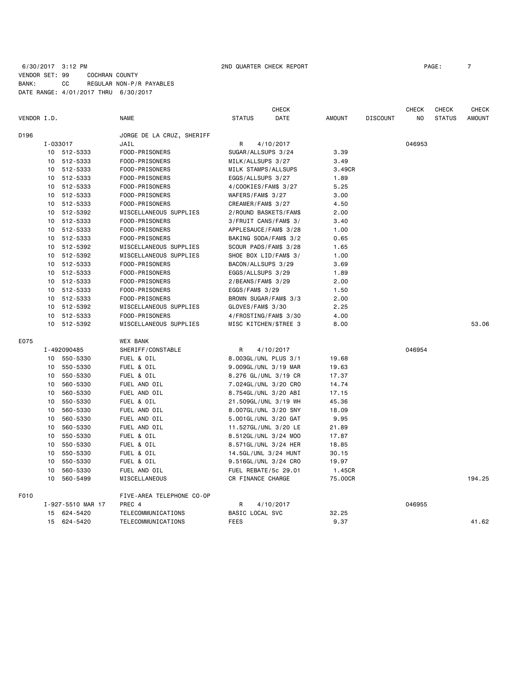# 6/30/2017 3:12 PM **2ND QUARTER CHECK REPORT 200 200 200 200 200 200 200 200 200 200 200 200 200 200 200 200 200 200 200 200 200 200 200 200 200 200 200 200 200 20** VENDOR SET: 99 COCHRAN COUNTY BANK: CC REGULAR NON-P/R PAYABLES DATE RANGE: 4/01/2017 THRU 6/30/2017

|                  |          |                   |                           |                       | <b>CHECK</b>          |               |                 | <b>CHECK</b> | <b>CHECK</b>  | <b>CHECK</b>  |
|------------------|----------|-------------------|---------------------------|-----------------------|-----------------------|---------------|-----------------|--------------|---------------|---------------|
| VENDOR I.D.      |          |                   | <b>NAME</b>               | <b>STATUS</b>         | <b>DATE</b>           | <b>AMOUNT</b> | <b>DISCOUNT</b> | NO.          | <b>STATUS</b> | <b>AMOUNT</b> |
| D <sub>196</sub> |          |                   | JORGE DE LA CRUZ, SHERIFF |                       |                       |               |                 |              |               |               |
|                  | I-033017 |                   | JAIL                      | R                     | 4/10/2017             |               |                 | 046953       |               |               |
|                  |          | 10 512-5333       | FOOD-PRISONERS            | SUGAR/ALLSUPS 3/24    |                       | 3.39          |                 |              |               |               |
|                  |          | 10 512-5333       | FOOD-PRISONERS            | MILK/ALLSUPS 3/27     |                       | 3.49          |                 |              |               |               |
|                  |          | 10 512-5333       | FOOD-PRISONERS            | MILK STAMPS/ALLSUPS   |                       | 3.49CR        |                 |              |               |               |
|                  |          | 10 512-5333       | FOOD-PRISONERS            | EGGS/ALLSUPS 3/27     |                       | 1.89          |                 |              |               |               |
|                  |          | 10 512-5333       | FOOD-PRISONERS            | 4/COOKIES/FAM\$ 3/27  |                       | 5.25          |                 |              |               |               |
|                  |          | 10 512-5333       | FOOD-PRISONERS            | WAFERS/FAM\$ 3/27     |                       | 3.00          |                 |              |               |               |
|                  |          | 10 512-5333       | FOOD-PRISONERS            | CREAMER/FAM\$ 3/27    |                       | 4.50          |                 |              |               |               |
|                  |          | 10 512-5392       | MISCELLANEOUS SUPPLIES    |                       | 2/ROUND BASKETS/FAM\$ | 2.00          |                 |              |               |               |
|                  |          | 10 512-5333       | FOOD-PRISONERS            |                       | 3/FRUIT CANS/FAM\$ 3/ | 3.40          |                 |              |               |               |
|                  |          | 10 512-5333       | FOOD-PRISONERS            |                       | APPLESAUCE/FAM\$ 3/28 | 1.00          |                 |              |               |               |
|                  |          | 10 512-5333       | FOOD-PRISONERS            |                       | BAKING SODA/FAM\$ 3/2 | 0.65          |                 |              |               |               |
|                  |          | 10 512-5392       | MISCELLANEOUS SUPPLIES    |                       | SCOUR PADS/FAM\$ 3/28 | 1.65          |                 |              |               |               |
|                  |          | 10 512-5392       | MISCELLANEOUS SUPPLIES    |                       | SHOE BOX LID/FAM\$ 3/ | 1.00          |                 |              |               |               |
|                  |          | 10 512-5333       | FOOD-PRISONERS            | BACON/ALLSUPS 3/29    |                       | 3.69          |                 |              |               |               |
|                  |          | 10 512-5333       | FOOD-PRISONERS            | EGGS/ALLSUPS 3/29     |                       | 1.89          |                 |              |               |               |
|                  |          | 10 512-5333       | FOOD-PRISONERS            | 2/BEANS/FAM\$ 3/29    |                       | 2.00          |                 |              |               |               |
|                  |          | 10 512-5333       | FOOD-PRISONERS            | EGGS/FAM\$ 3/29       |                       | 1.50          |                 |              |               |               |
|                  |          | 10 512-5333       | FOOD-PRISONERS            |                       | BROWN SUGAR/FAM\$ 3/3 | 2.00          |                 |              |               |               |
|                  |          | 10 512-5392       | MISCELLANEOUS SUPPLIES    | GLOVES/FAM\$ 3/30     |                       | 2.25          |                 |              |               |               |
|                  |          | 10 512-5333       | FOOD-PRISONERS            | 4/FROSTING/FAM\$ 3/30 |                       | 4.00          |                 |              |               |               |
|                  |          | 10 512-5392       | MISCELLANEOUS SUPPLIES    |                       | MISC KITCHEN/\$TREE 3 | 8.00          |                 |              |               | 53.06         |
| E075             |          |                   | <b>WEX BANK</b>           |                       |                       |               |                 |              |               |               |
|                  |          | I-492090485       | SHERIFF/CONSTABLE         | R                     | 4/10/2017             |               |                 | 046954       |               |               |
|                  |          | 10 550-5330       | FUEL & OIL                |                       | 8.003GL/UNL PLUS 3/1  | 19.68         |                 |              |               |               |
|                  |          | 10 550-5330       | FUEL & OIL                |                       | 9.009GL/UNL 3/19 MAR  | 19.63         |                 |              |               |               |
|                  | 10       | 550-5330          | FUEL & OIL                |                       | 8.276 GL/UNL 3/19 CR  | 17.37         |                 |              |               |               |
|                  |          | 10 560-5330       | FUEL AND OIL              |                       | 7.024GL/UNL 3/20 CRO  | 14.74         |                 |              |               |               |
|                  | 10       | 560-5330          | FUEL AND OIL              |                       | 8.754GL/UNL 3/20 ABI  | 17.15         |                 |              |               |               |
|                  | 10       | 550-5330          | FUEL & OIL                |                       | 21.509GL/UNL 3/19 WH  | 45.36         |                 |              |               |               |
|                  | 10       | 560-5330          | FUEL AND OIL              |                       | 8.007GL/UNL 3/20 SNY  | 18.09         |                 |              |               |               |
|                  | 10       | 560-5330          | FUEL AND OIL              |                       | 5.001GL/UNL 3/20 GAT  | 9.95          |                 |              |               |               |
|                  |          | 10 560-5330       | FUEL AND OIL              |                       | 11.527GL/UNL 3/20 LE  | 21.89         |                 |              |               |               |
|                  |          | 10 550-5330       | FUEL & OIL                |                       | 8.512GL/UNL 3/24 M00  | 17.87         |                 |              |               |               |
|                  |          | 10 550-5330       | FUEL & OIL                |                       | 8.571GL/UNL 3/24 HER  | 18.85         |                 |              |               |               |
|                  | 10       | 550-5330          | FUEL & OIL                |                       | 14.5GL/UNL 3/24 HUNT  | 30.15         |                 |              |               |               |
|                  | 10       | 550-5330          | FUEL & OIL                |                       | 9.516GL/UNL 3/24 CRO  | 19.97         |                 |              |               |               |
|                  | 10       | 560-5330          | FUEL AND OIL              |                       | FUEL REBATE/5c 29.01  | 1.45CR        |                 |              |               |               |
|                  |          | 10 560-5499       | MISCELLANEOUS             | CR FINANCE CHARGE     |                       | 75.00CR       |                 |              |               | 194.25        |
| F010             |          |                   | FIVE-AREA TELEPHONE CO-OP |                       |                       |               |                 |              |               |               |
|                  |          | I-927-5510 MAR 17 | PREC 4                    | R                     | 4/10/2017             |               |                 | 046955       |               |               |
|                  |          | 15 624-5420       | TELECOMMUNICATIONS        | BASIC LOCAL SVC       |                       | 32.25         |                 |              |               |               |
|                  | 15       | 624-5420          | TELECOMMUNICATIONS        | <b>FEES</b>           |                       | 9.37          |                 |              |               | 41.62         |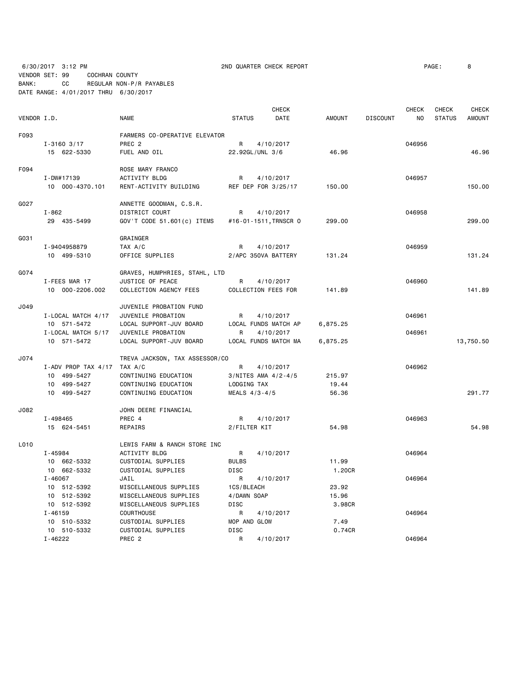6/30/2017 3:12 PM 2ND QUARTER CHECK REPORT PAGE: 8 VENDOR SET: 99 COCHRAN COUNTY

BANK: CC REGULAR NON-P/R PAYABLES

|             | DATE RANGE: 4/01/2017 THRU 6/30/2017 |                                |                   |                             |          |                 |              |                        |                               |
|-------------|--------------------------------------|--------------------------------|-------------------|-----------------------------|----------|-----------------|--------------|------------------------|-------------------------------|
| VENDOR I.D. |                                      | <b>NAME</b>                    | <b>STATUS</b>     | <b>CHECK</b><br><b>DATE</b> | AMOUNT   | <b>DISCOUNT</b> | CHECK<br>NO. | CHECK<br><b>STATUS</b> | <b>CHECK</b><br><b>AMOUNT</b> |
| F093        |                                      | FARMERS CO-OPERATIVE ELEVATOR  |                   |                             |          |                 |              |                        |                               |
|             | $I - 3160$ 3/17                      | PREC <sub>2</sub>              | R                 | 4/10/2017                   |          |                 | 046956       |                        |                               |
|             | 15 622-5330                          | FUEL AND OIL                   |                   | 22.92GL/UNL 3/6             | 46.96    |                 |              |                        | 46.96                         |
|             |                                      |                                |                   |                             |          |                 |              |                        |                               |
| F094        |                                      | ROSE MARY FRANCO               |                   |                             |          |                 |              |                        |                               |
|             | I-DW#17139                           | <b>ACTIVITY BLDG</b>           | R                 | 4/10/2017                   |          |                 | 046957       |                        |                               |
|             | 10 000-4370.101                      | RENT-ACTIVITY BUILDING         |                   | REF DEP FOR 3/25/17         | 150.00   |                 |              |                        | 150,00                        |
| G027        |                                      | ANNETTE GOODMAN, C.S.R.        |                   |                             |          |                 |              |                        |                               |
|             | $I - 862$                            | DISTRICT COURT                 | R                 | 4/10/2017                   |          |                 | 046958       |                        |                               |
|             | 29 435-5499                          | GOV'T CODE 51.601(c) ITEMS     |                   | #16-01-1511, TRNSCR 0       | 299.00   |                 |              |                        | 299.00                        |
| GO31        |                                      | GRAINGER                       |                   |                             |          |                 |              |                        |                               |
|             | I-9404958879                         | TAX A/C                        | R                 | 4/10/2017                   |          |                 | 046959       |                        |                               |
|             | 10 499-5310                          | OFFICE SUPPLIES                |                   | 2/APC 350VA BATTERY         | 131.24   |                 |              |                        | 131.24                        |
|             |                                      |                                |                   |                             |          |                 |              |                        |                               |
| G074        |                                      | GRAVES, HUMPHRIES, STAHL, LTD  |                   |                             |          |                 |              |                        |                               |
|             | I-FEES MAR 17                        | JUSTICE OF PEACE               | R                 | 4/10/2017                   |          |                 | 046960       |                        |                               |
|             | 10 000-2206.002                      | COLLECTION AGENCY FEES         |                   | COLLECTION FEES FOR         | 141.89   |                 |              |                        | 141.89                        |
| J049        |                                      | JUVENILE PROBATION FUND        |                   |                             |          |                 |              |                        |                               |
|             | I-LOCAL MATCH 4/17                   | JUVENILE PROBATION             | R                 | 4/10/2017                   |          |                 | 046961       |                        |                               |
|             | 10 571-5472                          | LOCAL SUPPORT-JUV BOARD        |                   | LOCAL FUNDS MATCH AP        | 6,875.25 |                 |              |                        |                               |
|             | I-LOCAL MATCH 5/17                   | JUVENILE PROBATION             | R                 | 4/10/2017                   |          |                 | 046961       |                        |                               |
|             | 10 571-5472                          | LOCAL SUPPORT-JUV BOARD        |                   | LOCAL FUNDS MATCH MA        | 6,875.25 |                 |              |                        | 13,750.50                     |
| J074        |                                      | TREVA JACKSON, TAX ASSESSOR/CO |                   |                             |          |                 |              |                        |                               |
|             | I-ADV PROP TAX $4/17$ TAX A/C        |                                | R                 | 4/10/2017                   |          |                 | 046962       |                        |                               |
|             | 10 499-5427                          | CONTINUING EDUCATION           |                   | $3/NITES$ AMA $4/2-4/5$     | 215.97   |                 |              |                        |                               |
|             | 10 499-5427                          | CONTINUING EDUCATION           | LODGING TAX       |                             | 19.44    |                 |              |                        |                               |
|             | 10 499-5427                          | CONTINUING EDUCATION           | MEALS $4/3 - 4/5$ |                             | 56.36    |                 |              |                        | 291.77                        |
| J082        |                                      | JOHN DEERE FINANCIAL           |                   |                             |          |                 |              |                        |                               |
|             | I-498465                             | PREC 4                         | R                 | 4/10/2017                   |          |                 | 046963       |                        |                               |
|             | 15 624-5451                          | REPAIRS                        | 2/FILTER KIT      |                             | 54.98    |                 |              |                        | 54.98                         |
| L010        |                                      | LEWIS FARM & RANCH STORE INC   |                   |                             |          |                 |              |                        |                               |
|             | I-45984                              | ACTIVITY BLDG                  | R                 | 4/10/2017                   |          |                 | 046964       |                        |                               |
|             | 10 662-5332                          | CUSTODIAL SUPPLIES             | <b>BULBS</b>      |                             | 11.99    |                 |              |                        |                               |
|             | 10 662-5332                          | CUSTODIAL SUPPLIES             | DISC              |                             | 1.20CR   |                 |              |                        |                               |
|             | I-46067                              | JAIL                           | R                 | 4/10/2017                   |          |                 | 046964       |                        |                               |
|             | 10 512-5392                          | MISCELLANEOUS SUPPLIES         | 1CS/BLEACH        |                             | 23.92    |                 |              |                        |                               |
|             | 10 512-5392                          | MISCELLANEOUS SUPPLIES         | 4/DAWN SOAP       |                             | 15.96    |                 |              |                        |                               |
|             | 10 512-5392                          | MISCELLANEOUS SUPPLIES         | DISC              |                             | 3.98CR   |                 |              |                        |                               |
|             | $I - 46159$                          | COURTHOUSE                     | R                 | 4/10/2017                   |          |                 | 046964       |                        |                               |
|             | 10 510-5332                          | CUSTODIAL SUPPLIES             | MOP AND GLOW      |                             | 7.49     |                 |              |                        |                               |
|             | 10 510-5332                          | CUSTODIAL SUPPLIES             | DISC              |                             | 0.74CR   |                 |              |                        |                               |
|             | I-46222                              | PREC 2                         | R                 | 4/10/2017                   |          |                 | 046964       |                        |                               |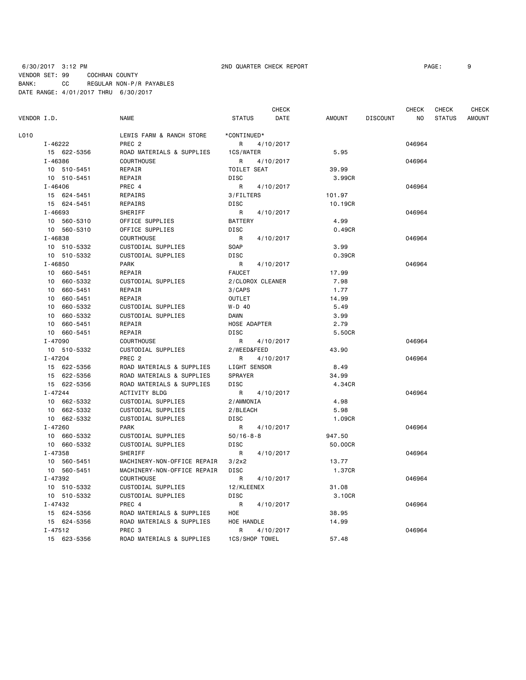# 6/30/2017 3:12 PM 2ND QUARTER CHECK REPORT PAGE: 9 VENDOR SET: 99 COCHRAN COUNTY BANK: CC REGULAR NON-P/R PAYABLES DATE RANGE: 4/01/2017 THRU 6/30/2017

|             |                |                             |                  | <b>CHECK</b> |         |                 | CHECK  | CHECK         | CHECK         |
|-------------|----------------|-----------------------------|------------------|--------------|---------|-----------------|--------|---------------|---------------|
| VENDOR I.D. |                | NAME                        | <b>STATUS</b>    | DATE         | AMOUNT  | <b>DISCOUNT</b> | ΝO     | <b>STATUS</b> | <b>AMOUNT</b> |
| L010        |                | LEWIS FARM & RANCH STORE    | *CONTINUED*      |              |         |                 |        |               |               |
|             | I-46222        | PREC <sub>2</sub>           | R                | 4/10/2017    |         |                 | 046964 |               |               |
|             | 15 622-5356    | ROAD MATERIALS & SUPPLIES   | 1CS/WATER        |              | 5.95    |                 |        |               |               |
|             | I-46386        | <b>COURTHOUSE</b>           | R                | 4/10/2017    |         |                 | 046964 |               |               |
|             | 10 510-5451    | REPAIR                      | TOILET SEAT      |              | 39.99   |                 |        |               |               |
|             | 10 510-5451    | REPAIR                      | <b>DISC</b>      |              | 3.99CR  |                 |        |               |               |
|             | $I - 46406$    | PREC 4                      | R                | 4/10/2017    |         |                 | 046964 |               |               |
|             | 15 624-5451    | REPAIRS                     | 3/FILTERS        |              | 101.97  |                 |        |               |               |
|             | 15 624-5451    | REPAIRS                     | <b>DISC</b>      |              | 10.19CR |                 |        |               |               |
|             | I-46693        | <b>SHERIFF</b>              | R                | 4/10/2017    |         |                 | 046964 |               |               |
|             | 10 560-5310    | OFFICE SUPPLIES             | <b>BATTERY</b>   |              | 4.99    |                 |        |               |               |
|             | 10 560-5310    | OFFICE SUPPLIES             | <b>DISC</b>      |              | 0.49CR  |                 |        |               |               |
|             | I-46838        | <b>COURTHOUSE</b>           | R                | 4/10/2017    |         |                 | 046964 |               |               |
|             | 10 510-5332    | CUSTODIAL SUPPLIES          | SOAP             |              | 3.99    |                 |        |               |               |
|             | 10 510-5332    | CUSTODIAL SUPPLIES          | <b>DISC</b>      |              | 0.39CR  |                 |        |               |               |
|             | $I - 46850$    | <b>PARK</b>                 | R                | 4/10/2017    |         |                 | 046964 |               |               |
|             | 10 660-5451    | REPAIR                      | <b>FAUCET</b>    |              | 17.99   |                 |        |               |               |
|             | 10 660-5332    | CUSTODIAL SUPPLIES          | 2/CLOROX CLEANER |              | 7.98    |                 |        |               |               |
|             | 660-5451<br>10 | REPAIR                      | 3/CAPS           |              | 1.77    |                 |        |               |               |
|             | 10<br>660-5451 | REPAIR                      | <b>OUTLET</b>    |              | 14.99   |                 |        |               |               |
|             | 10<br>660-5332 | CUSTODIAL SUPPLIES          | $W-D$ 40         |              | 5.49    |                 |        |               |               |
|             | 660-5332<br>10 | CUSTODIAL SUPPLIES          | <b>DAWN</b>      |              | 3.99    |                 |        |               |               |
|             | 10<br>660-5451 | REPAIR                      | HOSE ADAPTER     |              | 2.79    |                 |        |               |               |
|             | 10 660-5451    | REPAIR                      | <b>DISC</b>      |              | 5.50CR  |                 |        |               |               |
|             | I-47090        | <b>COURTHOUSE</b>           | R                | 4/10/2017    |         |                 | 046964 |               |               |
|             | 10 510-5332    | CUSTODIAL SUPPLIES          | 2/WEED&FEED      |              | 43.90   |                 |        |               |               |
|             | $I - 47204$    | PREC <sub>2</sub>           | R                | 4/10/2017    |         |                 | 046964 |               |               |
|             | 15 622-5356    | ROAD MATERIALS & SUPPLIES   | LIGHT SENSOR     |              | 8.49    |                 |        |               |               |
|             | 15 622-5356    | ROAD MATERIALS & SUPPLIES   | <b>SPRAYER</b>   |              | 34.99   |                 |        |               |               |
|             | 15 622-5356    | ROAD MATERIALS & SUPPLIES   | <b>DISC</b>      |              | 4.34CR  |                 |        |               |               |
|             | $I - 47244$    | <b>ACTIVITY BLDG</b>        | R                | 4/10/2017    |         |                 | 046964 |               |               |
|             | 10 662-5332    | CUSTODIAL SUPPLIES          | 2/AMMONIA        |              | 4.98    |                 |        |               |               |
|             | 10 662-5332    | CUSTODIAL SUPPLIES          | 2/BLEACH         |              | 5.98    |                 |        |               |               |
|             | 10 662-5332    | CUSTODIAL SUPPLIES          | <b>DISC</b>      |              | 1.09CR  |                 |        |               |               |
|             | $I - 47260$    | <b>PARK</b>                 | R                | 4/10/2017    |         |                 | 046964 |               |               |
|             | 10 660-5332    | CUSTODIAL SUPPLIES          | $50/16 - 8 - 8$  |              | 947.50  |                 |        |               |               |
|             | 10 660-5332    | CUSTODIAL SUPPLIES          | <b>DISC</b>      |              | 50.00CR |                 |        |               |               |
|             | $I - 47358$    | SHERIFF                     | R                | 4/10/2017    |         |                 | 046964 |               |               |
|             | 10 560-5451    | MACHINERY-NON-OFFICE REPAIR | 3/2x2            |              | 13.77   |                 |        |               |               |
|             | 10 560-5451    | MACHINERY-NON-OFFICE REPAIR | <b>DISC</b>      |              | 1.37CR  |                 |        |               |               |
|             | I-47392        | COURTHOUSE                  | R                | 4/10/2017    |         |                 | 046964 |               |               |
|             | 10 510-5332    | CUSTODIAL SUPPLIES          | 12/KLEENEX       |              | 31.08   |                 |        |               |               |
|             | 10 510-5332    | CUSTODIAL SUPPLIES          | <b>DISC</b>      |              | 3.10CR  |                 |        |               |               |
|             | $I - 47432$    | PREC 4                      | R                | 4/10/2017    |         |                 | 046964 |               |               |
|             | 15 624-5356    | ROAD MATERIALS & SUPPLIES   | HOE              |              | 38.95   |                 |        |               |               |
|             | 15 624-5356    | ROAD MATERIALS & SUPPLIES   | HOE HANDLE       |              | 14.99   |                 |        |               |               |
|             | $I - 47512$    | PREC <sub>3</sub>           | R                | 4/10/2017    |         |                 | 046964 |               |               |
|             | 15 623-5356    | ROAD MATERIALS & SUPPLIES   | 1CS/SHOP TOWEL   |              | 57.48   |                 |        |               |               |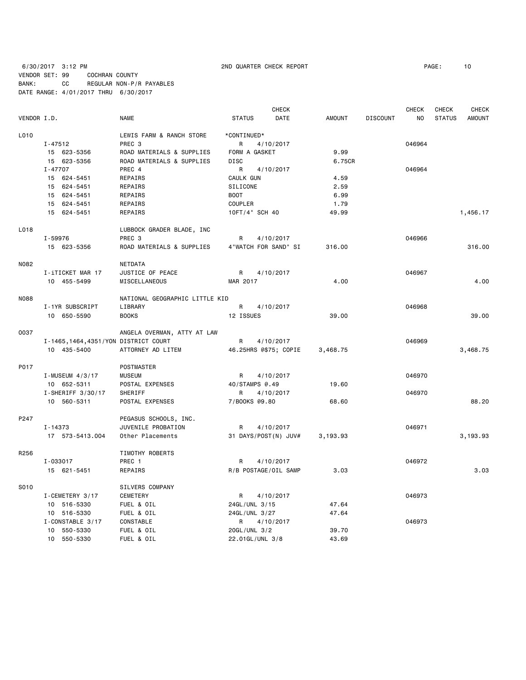6/30/2017 3:12 PM 2ND QUARTER CHECK REPORT PAGE: 10 VENDOR SET: 99 COCHRAN COUNTY BANK: CC REGULAR NON-P/R PAYABLES DATE RANGE: 4/01/2017 THRU 6/30/2017

|             |                                       |                                |                       | <b>CHECK</b> |               |                 | CHECK  | CHECK         | <b>CHECK</b>  |
|-------------|---------------------------------------|--------------------------------|-----------------------|--------------|---------------|-----------------|--------|---------------|---------------|
| VENDOR I.D. |                                       | <b>NAME</b>                    | <b>STATUS</b>         | DATE         | <b>AMOUNT</b> | <b>DISCOUNT</b> | NO.    | <b>STATUS</b> | <b>AMOUNT</b> |
| L010        |                                       | LEWIS FARM & RANCH STORE       | *CONTINUED*           |              |               |                 |        |               |               |
|             | $I - 47512$                           | PREC 3                         | R                     | 4/10/2017    |               |                 | 046964 |               |               |
|             | 15 623-5356                           | ROAD MATERIALS & SUPPLIES      | FORM A GASKET         |              | 9.99          |                 |        |               |               |
|             | 15 623-5356                           | ROAD MATERIALS & SUPPLIES      | <b>DISC</b>           |              | 6.75CR        |                 |        |               |               |
|             | I-47707                               | PREC 4                         | R                     | 4/10/2017    |               |                 | 046964 |               |               |
|             | 15 624-5451                           | REPAIRS                        | CAULK GUN             |              | 4.59          |                 |        |               |               |
|             | 15 624-5451                           | REPAIRS                        | SILICONE              |              | 2.59          |                 |        |               |               |
|             | 15 624-5451                           | REPAIRS                        | <b>BOOT</b>           |              | 6.99          |                 |        |               |               |
|             | 15 624-5451                           | REPAIRS                        | <b>COUPLER</b>        |              | 1.79          |                 |        |               |               |
|             | 15 624-5451                           | REPAIRS                        | 10FT/4" SCH 40        |              | 49.99         |                 |        |               | 1,456.17      |
| L018        |                                       | LUBBOCK GRADER BLADE, INC      |                       |              |               |                 |        |               |               |
|             | I-59976                               | PREC 3                         | R                     | 4/10/2017    |               |                 | 046966 |               |               |
|             | 15 623-5356                           | ROAD MATERIALS & SUPPLIES      | 4"WATCH FOR SAND" SI  |              | 316.00        |                 |        |               | 316.00        |
| N082        |                                       | <b>NETDATA</b>                 |                       |              |               |                 |        |               |               |
|             | I-iTICKET MAR 17                      | JUSTICE OF PEACE               | R                     | 4/10/2017    |               |                 | 046967 |               |               |
|             | 10 455-5499                           | MISCELLANEOUS                  | MAR 2017              |              | 4.00          |                 |        |               | 4.00          |
|             |                                       |                                |                       |              |               |                 |        |               |               |
| N088        |                                       | NATIONAL GEOGRAPHIC LITTLE KID |                       |              |               |                 | 046968 |               |               |
|             | I-1YR SUBSCRIPT                       | LIBRARY                        | R                     | 4/10/2017    |               |                 |        |               |               |
|             | 10 650-5590                           | <b>BOOKS</b>                   | 12 ISSUES             |              | 39.00         |                 |        |               | 39.00         |
| 0037        |                                       | ANGELA OVERMAN, ATTY AT LAW    |                       |              |               |                 |        |               |               |
|             | I-1465, 1464, 4351/YON DISTRICT COURT |                                | R                     | 4/10/2017    |               |                 | 046969 |               |               |
|             | 10 435-5400                           | ATTORNEY AD LITEM              | 46.25HRS @\$75; COPIE |              | 3,468.75      |                 |        |               | 3,468.75      |
| P017        |                                       | POSTMASTER                     |                       |              |               |                 |        |               |               |
|             | I-MUSEUM 4/3/17                       | <b>MUSEUM</b>                  | R                     | 4/10/2017    |               |                 | 046970 |               |               |
|             | 10 652-5311                           | POSTAL EXPENSES                | 40/STAMPS @.49        |              | 19,60         |                 |        |               |               |
|             | $I-SHERIFF 3/30/17$                   | SHERIFF                        | R                     | 4/10/2017    |               |                 | 046970 |               |               |
|             | 10 560-5311                           | POSTAL EXPENSES                | 7/B00KS @9.80         |              | 68.60         |                 |        |               | 88,20         |
| P247        |                                       | PEGASUS SCHOOLS, INC.          |                       |              |               |                 |        |               |               |
|             | I-14373                               | JUVENILE PROBATION             | R                     | 4/10/2017    |               |                 | 046971 |               |               |
|             | 17 573-5413.004                       | Other Placements               | 31 DAYS/POST(N) JUV#  |              | 3,193.93      |                 |        |               | 3,193.93      |
| R256        |                                       | TIMOTHY ROBERTS                |                       |              |               |                 |        |               |               |
|             | I-033017                              | PREC 1                         | R                     | 4/10/2017    |               |                 | 046972 |               |               |
|             | 15 621-5451                           | REPAIRS                        | R/B POSTAGE/OIL SAMP  |              | 3.03          |                 |        |               | 3.03          |
| S010        |                                       | SILVERS COMPANY                |                       |              |               |                 |        |               |               |
|             | I-CEMETERY 3/17                       | CEMETERY                       | R                     | 4/10/2017    |               |                 | 046973 |               |               |
|             |                                       |                                | 24GL/UNL 3/15         |              | 47.64         |                 |        |               |               |
|             | 10 516-5330                           | FUEL & OIL                     |                       |              |               |                 |        |               |               |
|             | 10 516-5330<br>I-CONSTABLE 3/17       | FUEL & OIL<br>CONSTABLE        | 24GL/UNL 3/27         |              | 47.64         |                 | 046973 |               |               |
|             | 10 550-5330                           |                                | R.<br>20GL/UNL 3/2    | 4/10/2017    | 39.70         |                 |        |               |               |
|             |                                       | FUEL & OIL                     |                       |              | 43.69         |                 |        |               |               |
|             | 10 550-5330                           | FUEL & OIL                     | 22.01GL/UNL 3/8       |              |               |                 |        |               |               |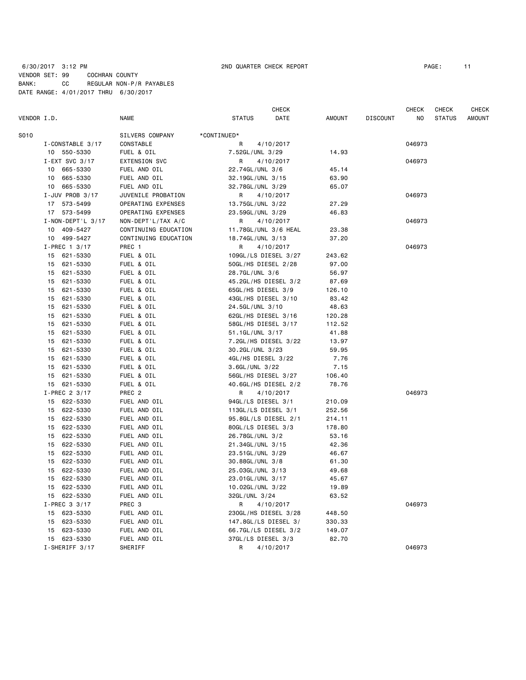# 6/30/2017 3:12 PM 2ND QUARTER CHECK REPORT PAGE: 11 VENDOR SET: 99 COCHRAN COUNTY BANK: CC REGULAR NON-P/R PAYABLES DATE RANGE: 4/01/2017 THRU 6/30/2017

|                             |                      |                     | <b>CHECK</b>         |        |                 | <b>CHECK</b> | <b>CHECK</b>  | CHECK         |
|-----------------------------|----------------------|---------------------|----------------------|--------|-----------------|--------------|---------------|---------------|
| VENDOR I.D.                 | NAME                 | <b>STATUS</b>       | DATE                 | AMOUNT | <b>DISCOUNT</b> | NO           | <b>STATUS</b> | <b>AMOUNT</b> |
| S010                        | SILVERS COMPANY      | *CONTINUED*         |                      |        |                 |              |               |               |
| I-CONSTABLE 3/17            | CONSTABLE            | R                   | 4/10/2017            |        |                 | 046973       |               |               |
| 10 550-5330                 | FUEL & OIL           | 7.52GL/UNL 3/29     |                      | 14.93  |                 |              |               |               |
| I-EXT SVC $3/17$            | <b>EXTENSION SVC</b> | R                   | 4/10/2017            |        |                 | 046973       |               |               |
| 10<br>665-5330              | FUEL AND OIL         | 22.74GL/UNL 3/6     |                      | 45.14  |                 |              |               |               |
| 665-5330<br>10              | FUEL AND OIL         | 32.19GL/UNL 3/15    |                      | 63.90  |                 |              |               |               |
| 665-5330<br>10              | FUEL AND OIL         | 32.78GL/UNL 3/29    |                      | 65.07  |                 |              |               |               |
| I-JUV PROB 3/17             | JUVENILE PROBATION   | R                   | 4/10/2017            |        |                 | 046973       |               |               |
| 17 573-5499                 | OPERATING EXPENSES   | 13.75GL/UNL 3/22    |                      | 27.29  |                 |              |               |               |
| 17 573-5499                 | OPERATING EXPENSES   | 23.59GL/UNL 3/29    |                      | 46.83  |                 |              |               |               |
| $I - NON - DEPT'L 3/17$     | NON-DEPT'L/TAX A/C   | R                   | 4/10/2017            |        |                 | 046973       |               |               |
| 409-5427<br>10              | CONTINUING EDUCATION |                     | 11.78GL/UNL 3/6 HEAL | 23.38  |                 |              |               |               |
| 10 <sub>1</sub><br>499-5427 | CONTINUING EDUCATION | 18.74GL/UNL 3/13    |                      | 37.20  |                 |              |               |               |
| I-PREC 1 3/17               | PREC 1               | R                   | 4/10/2017            |        |                 | 046973       |               |               |
| 15<br>621-5330              | FUEL & OIL           |                     | 109GL/LS DIESEL 3/27 | 243.62 |                 |              |               |               |
| 15<br>621-5330              | FUEL & OIL           | 50GL/HS DIESEL 2/28 |                      | 97.00  |                 |              |               |               |
| 15<br>621-5330              | FUEL & OIL           | 28.7GL/UNL 3/6      |                      | 56.97  |                 |              |               |               |
| 621-5330<br>15              | FUEL & OIL           |                     | 45.2GL/HS DIESEL 3/2 | 87.69  |                 |              |               |               |
| 15<br>621-5330              | FUEL & OIL           | 65GL/HS DIESEL 3/9  |                      | 126.10 |                 |              |               |               |
| 621-5330<br>15              | FUEL & OIL           | 43GL/HS DIESEL 3/10 |                      | 83.42  |                 |              |               |               |
| 621-5330<br>15              | FUEL & OIL           | 24.5GL/UNL 3/10     |                      | 48.63  |                 |              |               |               |
| 621-5330<br>15              | FUEL & OIL           | 62GL/HS DIESEL 3/16 |                      | 120.28 |                 |              |               |               |
| 15<br>621-5330              | FUEL & OIL           | 58GL/HS DIESEL 3/17 |                      | 112.52 |                 |              |               |               |
| 15<br>621-5330              | FUEL & OIL           | 51.1GL/UNL 3/17     |                      | 41.88  |                 |              |               |               |
| 15<br>621-5330              | FUEL & OIL           |                     | 7.2GL/HS DIESEL 3/22 | 13.97  |                 |              |               |               |
| 621-5330<br>15              | FUEL & OIL           | 30.2GL/UNL 3/23     |                      | 59.95  |                 |              |               |               |
| 15<br>621-5330              | FUEL & OIL           | 4GL/HS DIESEL 3/22  |                      | 7.76   |                 |              |               |               |
| 15<br>621-5330              | FUEL & OIL           | 3.6GL/UNL 3/22      |                      | 7.15   |                 |              |               |               |
| 15<br>621-5330              | FUEL & OIL           | 56GL/HS DIESEL 3/27 |                      | 106.40 |                 |              |               |               |
| 621-5330<br>15              | FUEL & OIL           |                     | 40.6GL/HS DIESEL 2/2 | 78.76  |                 |              |               |               |
| I-PREC 2 3/17               | PREC <sub>2</sub>    | R                   | 4/10/2017            |        |                 | 046973       |               |               |
| 15<br>622-5330              | FUEL AND OIL         | 94GL/LS DIESEL 3/1  |                      | 210.09 |                 |              |               |               |
| 15<br>622-5330              | FUEL AND OIL         | 113GL/LS DIESEL 3/1 |                      | 252.56 |                 |              |               |               |
| 15<br>622-5330              | FUEL AND OIL         |                     | 95.8GL/LS DIESEL 2/1 | 214.11 |                 |              |               |               |
| 622-5330<br>15              | FUEL AND OIL         | 80GL/LS DIESEL 3/3  |                      | 178.80 |                 |              |               |               |
| 622-5330<br>15              | FUEL AND OIL         | 26.78GL/UNL 3/2     |                      | 53.16  |                 |              |               |               |
| 15<br>622-5330              | FUEL AND OIL         | 21.34GL/UNL 3/15    |                      | 42.36  |                 |              |               |               |
| 622-5330<br>15              | FUEL AND OIL         | 23.51GL/UNL 3/29    |                      | 46.67  |                 |              |               |               |
| 15<br>622-5330              | FUEL AND OIL         | 30.88GL/UNL 3/8     |                      | 61.30  |                 |              |               |               |
| 622-5330<br>15              | FUEL AND OIL         | 25.03GL/UNL 3/13    |                      | 49.68  |                 |              |               |               |
| 15<br>622-5330              | FUEL AND OIL         | 23.01GL/UNL 3/17    |                      | 45.67  |                 |              |               |               |
| 15<br>622-5330              | FUEL AND OIL         | 10.02GL/UNL 3/22    |                      | 19.89  |                 |              |               |               |
| 15 622-5330                 | FUEL AND OIL         | 32GL/UNL 3/24       |                      | 63.52  |                 |              |               |               |
| I-PREC 3 3/17               | PREC <sub>3</sub>    | R                   | 4/10/2017            |        |                 | 046973       |               |               |
| 15<br>623-5330              | FUEL AND OIL         |                     | 230GL/HS DIESEL 3/28 | 448.50 |                 |              |               |               |
| 623-5330<br>15              | FUEL AND OIL         |                     | 147.8GL/LS DIESEL 3/ | 330.33 |                 |              |               |               |
| 15<br>623-5330              | FUEL AND OIL         |                     | 66.7GL/LS DIESEL 3/2 | 149.07 |                 |              |               |               |
| 15<br>623-5330              | FUEL AND OIL         | 37GL/LS DIESEL 3/3  |                      | 82.70  |                 |              |               |               |
| I-SHERIFF 3/17              | SHERIFF              | R                   | 4/10/2017            |        |                 | 046973       |               |               |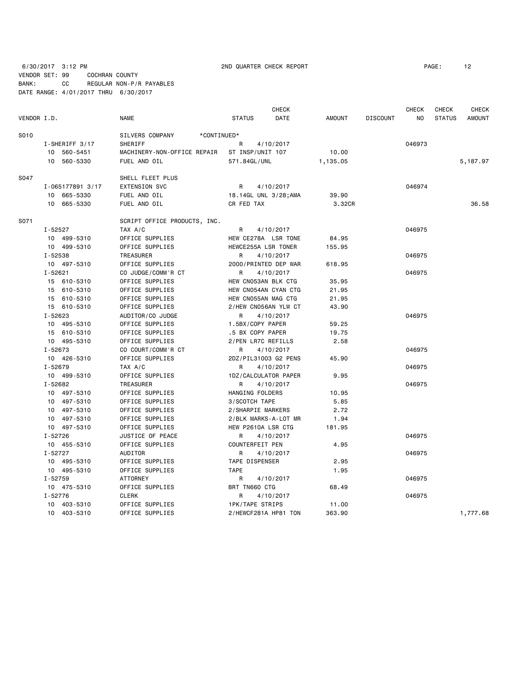6/30/2017 3:12 PM 2ND QUARTER CHECK REPORT PAGE: 12

VENDOR SET: 99 COCHRAN COUNTY

BANK: CC REGULAR NON-P/R PAYABLES DATE RANGE: 4/01/2017 THRU 6/30/2017

| VENDOR I.D. |                  | <b>NAME</b>                    | <b>STATUS</b>          | <b>CHECK</b><br>DATE | AMOUNT   | <b>DISCOUNT</b> | <b>CHECK</b><br>NO. | <b>CHECK</b><br><b>STATUS</b> | <b>CHECK</b><br><b>AMOUNT</b> |
|-------------|------------------|--------------------------------|------------------------|----------------------|----------|-----------------|---------------------|-------------------------------|-------------------------------|
|             |                  |                                |                        |                      |          |                 |                     |                               |                               |
| S010        |                  | SILVERS COMPANY<br>*CONTINUED* |                        |                      |          |                 |                     |                               |                               |
|             | I-SHERIFF 3/17   | SHERIFF                        | R                      | 4/10/2017            |          |                 | 046973              |                               |                               |
|             | 10 560-5451      | MACHINERY-NON-OFFICE REPAIR    | ST INSP/UNIT 107       |                      | 10.00    |                 |                     |                               |                               |
|             | 10 560-5330      | FUEL AND OIL                   | 571.84GL/UNL           |                      | 1,135.05 |                 |                     |                               | 5,187.97                      |
| S047        |                  | SHELL FLEET PLUS               |                        |                      |          |                 |                     |                               |                               |
|             | I-065177891 3/17 | <b>EXTENSION SVC</b>           | R                      | 4/10/2017            |          |                 | 046974              |                               |                               |
|             | 10 665-5330      | FUEL AND OIL                   | 18.14GL UNL 3/28; AMA  |                      | 39.90    |                 |                     |                               |                               |
|             | 10 665-5330      | FUEL AND OIL                   | CR FED TAX             |                      | 3.32CR   |                 |                     |                               | 36.58                         |
| S071        |                  | SCRIPT OFFICE PRODUCTS, INC.   |                        |                      |          |                 |                     |                               |                               |
|             | I-52527          | TAX A/C                        | R                      | 4/10/2017            |          |                 | 046975              |                               |                               |
|             | 10 499-5310      | OFFICE SUPPLIES                | HEW CE278A LSR TONE    |                      | 84.95    |                 |                     |                               |                               |
|             | 10 499-5310      | OFFICE SUPPLIES                | HEWCE255A LSR TONER    |                      | 155.95   |                 |                     |                               |                               |
|             | I-52538          | TREASURER                      | R                      | 4/10/2017            |          |                 | 046975              |                               |                               |
|             | 10 497-5310      | OFFICE SUPPLIES                | 2000/PRINTED DEP WAR   |                      | 618.95   |                 |                     |                               |                               |
|             | $I - 52621$      | CO JUDGE/COMM'R CT             | $\mathsf{R}$           | 4/10/2017            |          |                 | 046975              |                               |                               |
|             | 15 610-5310      | OFFICE SUPPLIES                | HEW CN053AN BLK CTG    |                      | 35.95    |                 |                     |                               |                               |
|             | 15 610-5310      | OFFICE SUPPLIES                | HEW CN054AN CYAN CTG   |                      | 21.95    |                 |                     |                               |                               |
|             | 15 610-5310      | OFFICE SUPPLIES                | HEW CN055AN MAG CTG    |                      | 21.95    |                 |                     |                               |                               |
|             | 15 610-5310      | OFFICE SUPPLIES                | 2/HEW CN056AN YLW CT   |                      | 43.90    |                 |                     |                               |                               |
|             | $I - 52623$      | AUDITOR/CO JUDGE               | R                      | 4/10/2017            |          |                 | 046975              |                               |                               |
|             | 10 495-5310      | OFFICE SUPPLIES                | 1.5BX/COPY PAPER       |                      | 59.25    |                 |                     |                               |                               |
|             | 15 610-5310      | OFFICE SUPPLIES                | .5 BX COPY PAPER       |                      | 19.75    |                 |                     |                               |                               |
|             | 10 495-5310      | OFFICE SUPPLIES                | 2/PEN LR7C REFILLS     |                      | 2.58     |                 |                     |                               |                               |
|             | $I - 52673$      | CO COURT/COMM'R CT             | $\mathsf{R}$           | 4/10/2017            |          |                 | 046975              |                               |                               |
|             | 10 426-5310      | OFFICE SUPPLIES                | 2DZ/PIL31003 G2 PENS   |                      | 45.90    |                 |                     |                               |                               |
|             | I-52679          | TAX A/C                        | R                      | 4/10/2017            |          |                 | 046975              |                               |                               |
|             | 10 499-5310      | OFFICE SUPPLIES                | 1DZ/CALCULATOR PAPER   |                      | 9.95     |                 |                     |                               |                               |
|             | I-52682          | TREASURER                      | R                      | 4/10/2017            |          |                 | 046975              |                               |                               |
|             | 10 497-5310      | OFFICE SUPPLIES                | HANGING FOLDERS        |                      | 10.95    |                 |                     |                               |                               |
|             | 10 497-5310      | OFFICE SUPPLIES                | 3/SCOTCH TAPE          |                      | 5.85     |                 |                     |                               |                               |
|             | 10 497-5310      | OFFICE SUPPLIES                | 2/SHARPIE MARKERS      |                      | 2.72     |                 |                     |                               |                               |
|             | 10 497-5310      | OFFICE SUPPLIES                | 2/BLK MARKS-A-LOT MR   |                      | 1.94     |                 |                     |                               |                               |
|             | 10 497-5310      | OFFICE SUPPLIES                | HEW P2610A LSR CTG     |                      | 181.95   |                 |                     |                               |                               |
|             | $I - 52726$      | JUSTICE OF PEACE               | R                      | 4/10/2017            |          |                 | 046975              |                               |                               |
|             | 10 455-5310      | OFFICE SUPPLIES                | COUNTERFEIT PEN        |                      | 4.95     |                 |                     |                               |                               |
|             | $I - 52727$      | AUDITOR                        | R                      | 4/10/2017            |          |                 | 046975              |                               |                               |
|             | 10 495-5310      | OFFICE SUPPLIES                | TAPE DISPENSER         |                      | 2.95     |                 |                     |                               |                               |
|             | 10 495-5310      | OFFICE SUPPLIES                | <b>TAPE</b>            |                      | 1.95     |                 |                     |                               |                               |
|             | $I - 52759$      | <b>ATTORNEY</b>                | R                      | 4/10/2017            |          |                 | 046975              |                               |                               |
|             | 10 475-5310      | OFFICE SUPPLIES                | BRT TN660 CTG          |                      | 68.49    |                 |                     |                               |                               |
|             | I-52776          | CLERK                          | R                      | 4/10/2017            |          |                 | 046975              |                               |                               |
|             | 10 403-5310      | OFFICE SUPPLIES                | <b>1PK/TAPE STRIPS</b> |                      | 11.00    |                 |                     |                               |                               |
|             | 10 403-5310      | OFFICE SUPPLIES                | 2/HEWCF281A HP81 TON   |                      | 363.90   |                 |                     |                               | 1,777.68                      |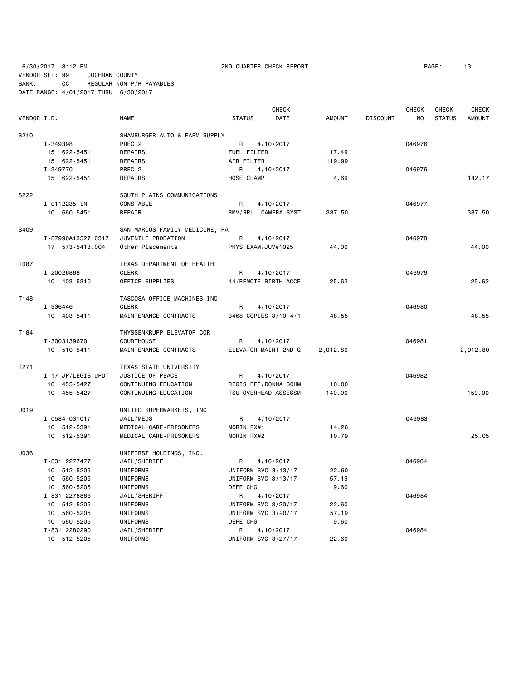6/30/2017 3:12 PM 2ND QUARTER CHECK REPORT PAGE: 13 VENDOR SET: 99 COCHRAN COUNTY BANK: CC REGULAR NON-P/R PAYABLES DATE RANGE: 4/01/2017 THRU 6/30/2017

|                  |                    |                                |               | <b>CHECK</b>         |               |                 | <b>CHECK</b> | CHECK         | CHECK         |
|------------------|--------------------|--------------------------------|---------------|----------------------|---------------|-----------------|--------------|---------------|---------------|
| VENDOR I.D.      |                    | <b>NAME</b>                    | <b>STATUS</b> | DATE                 | <b>AMOUNT</b> | <b>DISCOUNT</b> | NO.          | <b>STATUS</b> | <b>AMOUNT</b> |
| S210             |                    | SHAMBURGER AUTO & FARM SUPPLY  |               |                      |               |                 |              |               |               |
|                  | I-349398           | PREC <sub>2</sub>              | R             | 4/10/2017            |               |                 | 046976       |               |               |
|                  | 15 622-5451        | REPAIRS                        | FUEL FILTER   |                      | 17.49         |                 |              |               |               |
|                  | 15 622-5451        | REPAIRS                        | AIR FILTER    |                      | 119.99        |                 |              |               |               |
|                  | I-349770           | PREC <sub>2</sub>              | R             | 4/10/2017            |               |                 | 046976       |               |               |
|                  | 15 622-5451        | REPAIRS                        | HOSE CLAMP    |                      | 4.69          |                 |              |               | 142.17        |
|                  |                    |                                |               |                      |               |                 |              |               |               |
| S222             |                    | SOUTH PLAINS COMMUNICATIONS    |               |                      |               |                 |              |               |               |
|                  | I-0112235-IN       | CONSTABLE                      | R             | 4/10/2017            |               |                 | 046977       |               |               |
|                  | 10 660-5451        | REPAIR                         |               | RMV/RPL CAMERA SYST  | 337.50        |                 |              |               | 337.50        |
| S409             |                    | SAN MARCOS FAMILY MEDICINE, PA |               |                      |               |                 |              |               |               |
|                  | I-87990A13527 0317 | JUVENILE PROBATION             | R             | 4/10/2017            |               |                 | 046978       |               |               |
|                  | 17 573-5413.004    | Other Placements               |               | PHYS EXAM/JUV#1025   | 44.00         |                 |              |               | 44.00         |
|                  |                    |                                |               |                      |               |                 |              |               |               |
| T087             |                    | TEXAS DEPARTMENT OF HEALTH     |               |                      |               |                 |              |               |               |
|                  | I-20026868         | <b>CLERK</b>                   | R             | 4/10/2017            |               |                 | 046979       |               |               |
|                  | 10 403-5310        | OFFICE SUPPLIES                |               | 14/REMOTE BIRTH ACCE | 25.62         |                 |              |               | 25.62         |
| T148             |                    | TASCOSA OFFICE MACHINES INC    |               |                      |               |                 |              |               |               |
|                  | I-9G6446           | <b>CLERK</b>                   | R             | 4/10/2017            |               |                 | 046980       |               |               |
|                  | 10 403-5411        | MAINTENANCE CONTRACTS          |               | 3468 COPIES 3/10-4/1 | 48.55         |                 |              |               | 48.55         |
| T184             |                    | THYSSENKRUPP ELEVATOR COR      |               |                      |               |                 |              |               |               |
|                  | I-3003139670       | <b>COURTHOUSE</b>              | R             | 4/10/2017            |               |                 | 046981       |               |               |
|                  | 10 510-5411        | MAINTENANCE CONTRACTS          |               | ELEVATOR MAINT 2ND Q | 2,012.80      |                 |              |               | 2,012.80      |
|                  |                    |                                |               |                      |               |                 |              |               |               |
| T <sub>271</sub> |                    | TEXAS STATE UNIVERSITY         |               |                      |               |                 |              |               |               |
|                  | I-17 JP/LEGIS UPDT | JUSTICE OF PEACE               | R             | 4/10/2017            |               |                 | 046982       |               |               |
|                  | 10 455-5427        | CONTINUING EDUCATION           |               | REGIS FEE/DONNA SCHM | 10.00         |                 |              |               |               |
|                  | 10 455-5427        | CONTINUING EDUCATION           |               | TSU OVERHEAD ASSESSM | 140.00        |                 |              |               | 150.00        |
| U019             |                    | UNITED SUPERMARKETS, INC       |               |                      |               |                 |              |               |               |
|                  | I-0584 031017      | JAIL/MEDS                      | R             | 4/10/2017            |               |                 | 046983       |               |               |
|                  | 10 512-5391        | MEDICAL CARE-PRISONERS         | MORIN RX#1    |                      | 14.26         |                 |              |               |               |
|                  | 10 512-5391        | MEDICAL CARE-PRISONERS         | MORIN RX#2    |                      | 10.79         |                 |              |               | 25.05         |
|                  |                    |                                |               |                      |               |                 |              |               |               |
| U036             |                    | UNIFIRST HOLDINGS, INC.        |               |                      |               |                 |              |               |               |
|                  | I-831 2277477      | JAIL/SHERIFF                   | R             | 4/10/2017            |               |                 | 046984       |               |               |
|                  | 10 512-5205        | UNIFORMS                       |               | UNIFORM SVC 3/13/17  | 22.60         |                 |              |               |               |
|                  | 10 560-5205        | UNIFORMS                       |               | UNIFORM SVC 3/13/17  | 57.19         |                 |              |               |               |
|                  | 10 560-5205        | UNIFORMS                       | DEFE CHG      |                      | 9.60          |                 |              |               |               |
|                  | I-831 2278886      | JAIL/SHERIFF                   | R             | 4/10/2017            |               |                 | 046984       |               |               |
|                  | 10 512-5205        | UNIFORMS                       |               | UNIFORM SVC 3/20/17  | 22.60         |                 |              |               |               |
|                  | 10 560-5205        | UNIFORMS                       |               | UNIFORM SVC 3/20/17  | 57.19         |                 |              |               |               |
|                  | 10 560-5205        | UNIFORMS                       | DEFE CHG      |                      | 9.60          |                 |              |               |               |
|                  | I-831 2280290      | JAIL/SHERIFF                   | R             | 4/10/2017            |               |                 | 046984       |               |               |
|                  | 10 512-5205        | UNIFORMS                       |               | UNIFORM SVC 3/27/17  | 22,60         |                 |              |               |               |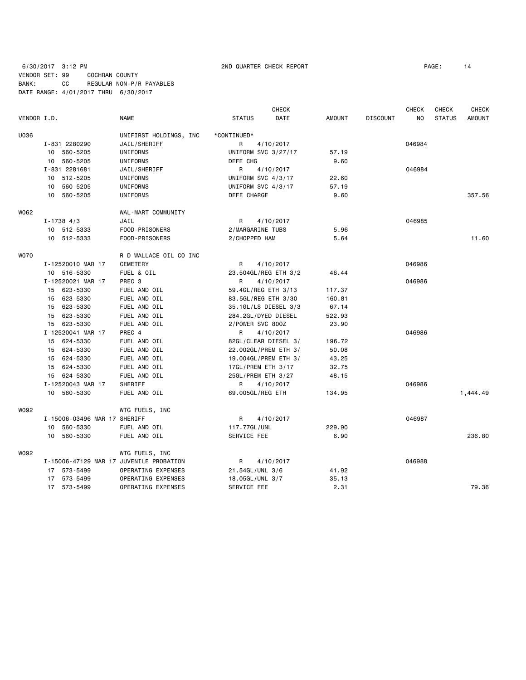# 6/30/2017 3:12 PM 2ND QUARTER CHECK REPORT PAGE: 14 VENDOR SET: 99 COCHRAN COUNTY BANK: CC REGULAR NON-P/R PAYABLES DATE RANGE: 4/01/2017 THRU 6/30/2017

|             |    |                              |                                         |               | <b>CHECK</b>         |               |                 | <b>CHECK</b> | <b>CHECK</b>  | <b>CHECK</b>  |
|-------------|----|------------------------------|-----------------------------------------|---------------|----------------------|---------------|-----------------|--------------|---------------|---------------|
| VENDOR I.D. |    |                              | <b>NAME</b>                             | <b>STATUS</b> | DATE                 | <b>AMOUNT</b> | <b>DISCOUNT</b> | NO           | <b>STATUS</b> | <b>AMOUNT</b> |
| U036        |    |                              | UNIFIRST HOLDINGS, INC                  | *CONTINUED*   |                      |               |                 |              |               |               |
|             |    | I-831 2280290                | JAIL/SHERIFF                            | R             | 4/10/2017            |               |                 | 046984       |               |               |
|             |    | 10 560-5205                  | UNIFORMS                                |               | UNIFORM SVC 3/27/17  | 57.19         |                 |              |               |               |
|             |    | 10 560-5205                  | UNIFORMS                                | DEFE CHG      |                      | 9.60          |                 |              |               |               |
|             |    | I-831 2281681                | JAIL/SHERIFF                            | R             | 4/10/2017            |               |                 | 046984       |               |               |
|             |    | 10 512-5205                  | UNIFORMS                                |               | UNIFORM SVC 4/3/17   | 22.60         |                 |              |               |               |
|             |    | 10 560-5205                  | UNIFORMS                                |               | UNIFORM SVC 4/3/17   | 57.19         |                 |              |               |               |
|             |    | 10 560-5205                  | UNIFORMS                                | DEFE CHARGE   |                      | 9.60          |                 |              |               | 357.56        |
| W062        |    |                              | WAL-MART COMMUNITY                      |               |                      |               |                 |              |               |               |
|             |    | $I - 1738$ 4/3               | JAIL                                    | R             | 4/10/2017            |               |                 | 046985       |               |               |
|             |    | 10 512-5333                  | FOOD-PRISONERS                          |               | 2/MARGARINE TUBS     | 5.96          |                 |              |               |               |
|             |    | 10 512-5333                  | FOOD-PRISONERS                          | 2/CHOPPED HAM |                      | 5.64          |                 |              |               | 11.60         |
| W070        |    |                              | R D WALLACE OIL CO INC                  |               |                      |               |                 |              |               |               |
|             |    | I-12520010 MAR 17            | <b>CEMETERY</b>                         | R             | 4/10/2017            |               |                 | 046986       |               |               |
|             |    | 10 516-5330                  | FUEL & OIL                              |               | 23.504GL/REG ETH 3/2 | 46.44         |                 |              |               |               |
|             |    | I-12520021 MAR 17            | PREC <sub>3</sub>                       | R             | 4/10/2017            |               |                 | 046986       |               |               |
|             |    | 15 623-5330                  | FUEL AND OIL                            |               | 59.4GL/REG ETH 3/13  | 117.37        |                 |              |               |               |
|             |    | 15 623-5330                  | FUEL AND OIL                            |               | 83.5GL/REG ETH 3/30  | 160.81        |                 |              |               |               |
|             |    | 15 623-5330                  | FUEL AND OIL                            |               | 35.1GL/LS DIESEL 3/3 | 67.14         |                 |              |               |               |
|             |    | 15 623-5330                  | FUEL AND OIL                            |               | 284.2GL/DYED DIESEL  | 522.93        |                 |              |               |               |
|             |    | 15 623-5330                  | FUEL AND OIL                            |               | 2/POWER SVC 800Z     | 23.90         |                 |              |               |               |
|             |    | I-12520041 MAR 17            | PREC 4                                  | R             | 4/10/2017            |               |                 | 046986       |               |               |
|             |    | 15 624-5330                  | FUEL AND OIL                            |               | 82GL/CLEAR DIESEL 3/ | 196.72        |                 |              |               |               |
|             |    | 15 624-5330                  | FUEL AND OIL                            |               | 22.002GL/PREM ETH 3/ | 50.08         |                 |              |               |               |
|             |    | 15 624-5330                  | FUEL AND OIL                            |               | 19.004GL/PREM ETH 3/ | 43.25         |                 |              |               |               |
|             |    | 15 624-5330                  | FUEL AND OIL                            |               | 17GL/PREM ETH 3/17   | 32.75         |                 |              |               |               |
|             |    | 15 624-5330                  | FUEL AND OIL                            |               | 25GL/PREM ETH 3/27   | 48.15         |                 |              |               |               |
|             |    | I-12520043 MAR 17            | SHERIFF                                 | R             | 4/10/2017            |               |                 | 046986       |               |               |
|             |    | 10 560-5330                  | FUEL AND OIL                            |               | 69.005GL/REG ETH     | 134.95        |                 |              |               | 1,444.49      |
| W092        |    |                              | WTG FUELS, INC                          |               |                      |               |                 |              |               |               |
|             |    | I-15006-03496 MAR 17 SHERIFF |                                         | R             | 4/10/2017            |               |                 | 046987       |               |               |
|             | 10 | 560-5330                     | FUEL AND OIL                            | 117.77GL/UNL  |                      | 229.90        |                 |              |               |               |
|             |    | 10 560-5330                  | FUEL AND OIL                            | SERVICE FEE   |                      | 6.90          |                 |              |               | 236.80        |
| W092        |    |                              | WTG FUELS, INC                          |               |                      |               |                 |              |               |               |
|             |    |                              | I-15006-47129 MAR 17 JUVENILE PROBATION | R             | 4/10/2017            |               |                 | 046988       |               |               |
|             |    | 17 573-5499                  | OPERATING EXPENSES                      |               | 21.54GL/UNL 3/6      | 41.92         |                 |              |               |               |
|             | 17 | 573-5499                     | OPERATING EXPENSES                      |               | 18.05GL/UNL 3/7      | 35.13         |                 |              |               |               |
|             |    | 17 573-5499                  | OPERATING EXPENSES                      | SERVICE FEE   |                      | 2.31          |                 |              |               | 79.36         |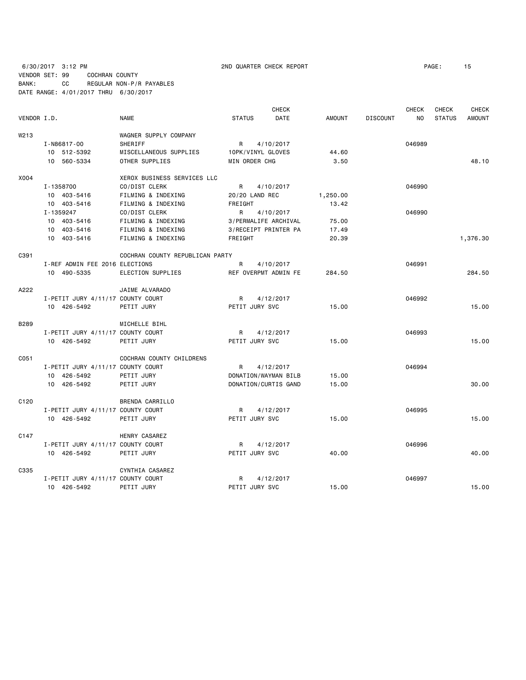6/30/2017 3:12 PM 2ND QUARTER CHECK REPORT PAGE: 15 VENDOR SET: 99 COCHRAN COUNTY BANK: CC REGULAR NON-P/R PAYABLES DATE RANGE: 4/01/2017 THRU 6/30/2017

|                  |                                   |                                 |               |                   | <b>CHECK</b>         |               |                 | CHECK  | CHECK         | <b>CHECK</b>  |
|------------------|-----------------------------------|---------------------------------|---------------|-------------------|----------------------|---------------|-----------------|--------|---------------|---------------|
| VENDOR I.D.      |                                   | <b>NAME</b>                     | <b>STATUS</b> |                   | DATE                 | <b>AMOUNT</b> | <b>DISCOUNT</b> | NO.    | <b>STATUS</b> | <b>AMOUNT</b> |
| W <sub>213</sub> |                                   | WAGNER SUPPLY COMPANY           |               |                   |                      |               |                 |        |               |               |
|                  | I-N86817-00                       | SHERIFF                         | R             | 4/10/2017         |                      |               |                 | 046989 |               |               |
|                  | 10 512-5392                       | MISCELLANEOUS SUPPLIES          |               | 10PK/VINYL GLOVES |                      | 44.60         |                 |        |               |               |
|                  | 10 560-5334                       | OTHER SUPPLIES                  |               | MIN ORDER CHG     |                      | 3.50          |                 |        |               | 48.10         |
| X004             |                                   | XEROX BUSINESS SERVICES LLC     |               |                   |                      |               |                 |        |               |               |
|                  | I-1358700                         | CO/DIST CLERK                   | R.            | 4/10/2017         |                      |               |                 | 046990 |               |               |
|                  | 10 403-5416                       | FILMING & INDEXING              |               | 20/20 LAND REC    |                      | 1,250.00      |                 |        |               |               |
|                  | 10 403-5416                       | FILMING & INDEXING              | FREIGHT       |                   |                      | 13.42         |                 |        |               |               |
|                  | I-1359247                         | CO/DIST CLERK                   | R             | 4/10/2017         |                      |               |                 | 046990 |               |               |
|                  | 10 403-5416                       | FILMING & INDEXING              |               |                   | 3/PERMALIFE ARCHIVAL | 75.00         |                 |        |               |               |
|                  | 10 403-5416                       | FILMING & INDEXING              |               |                   | 3/RECEIPT PRINTER PA | 17.49         |                 |        |               |               |
|                  | 10 403-5416                       | FILMING & INDEXING              | FREIGHT       |                   |                      | 20.39         |                 |        |               | 1,376.30      |
| C391             |                                   | COCHRAN COUNTY REPUBLICAN PARTY |               |                   |                      |               |                 |        |               |               |
|                  | I-REF ADMIN FEE 2016 ELECTIONS    |                                 | R             | 4/10/2017         |                      |               |                 | 046991 |               |               |
|                  | 10 490-5335                       | ELECTION SUPPLIES               |               |                   | REF OVERPMT ADMIN FE | 284.50        |                 |        |               | 284.50        |
| A222             |                                   | JAIME ALVARADO                  |               |                   |                      |               |                 |        |               |               |
|                  | I-PETIT JURY 4/11/17 COUNTY COURT |                                 | R             | 4/12/2017         |                      |               |                 | 046992 |               |               |
|                  | 10 426-5492                       | PETIT JURY                      |               | PETIT JURY SVC    |                      | 15.00         |                 |        |               | 15.00         |
| <b>B289</b>      |                                   | MICHELLE BIHL                   |               |                   |                      |               |                 |        |               |               |
|                  | I-PETIT JURY 4/11/17 COUNTY COURT |                                 | R             | 4/12/2017         |                      |               |                 | 046993 |               |               |
|                  | 10 426-5492                       | PETIT JURY                      |               | PETIT JURY SVC    |                      | 15.00         |                 |        |               | 15.00         |
| C051             |                                   | COCHRAN COUNTY CHILDRENS        |               |                   |                      |               |                 |        |               |               |
|                  | I-PETIT JURY 4/11/17 COUNTY COURT |                                 | R             | 4/12/2017         |                      |               |                 | 046994 |               |               |
|                  | 10 426-5492                       | PETIT JURY                      |               |                   | DONATION/WAYMAN BILB | 15.00         |                 |        |               |               |
|                  | 10 426-5492                       | PETIT JURY                      |               |                   | DONATION/CURTIS GAND | 15.00         |                 |        |               | 30.00         |
| C <sub>120</sub> |                                   | BRENDA CARRILLO                 |               |                   |                      |               |                 |        |               |               |
|                  | I-PETIT JURY 4/11/17 COUNTY COURT |                                 | $\mathsf{R}$  | 4/12/2017         |                      |               |                 | 046995 |               |               |
|                  | 10 426-5492                       | PETIT JURY                      |               | PETIT JURY SVC    |                      | 15.00         |                 |        |               | 15.00         |
| C147             |                                   | HENRY CASAREZ                   |               |                   |                      |               |                 |        |               |               |
|                  | I-PETIT JURY 4/11/17 COUNTY COURT |                                 | R             | 4/12/2017         |                      |               |                 | 046996 |               |               |
|                  | 10 426-5492                       | PETIT JURY                      |               | PETIT JURY SVC    |                      | 40.00         |                 |        |               | 40.00         |
| C335             |                                   | CYNTHIA CASAREZ                 |               |                   |                      |               |                 |        |               |               |
|                  | I-PETIT JURY 4/11/17 COUNTY COURT |                                 | R             | 4/12/2017         |                      |               |                 | 046997 |               |               |
|                  | 10 426-5492                       | PETIT JURY                      |               | PETIT JURY SVC    |                      | 15.00         |                 |        |               | 15.00         |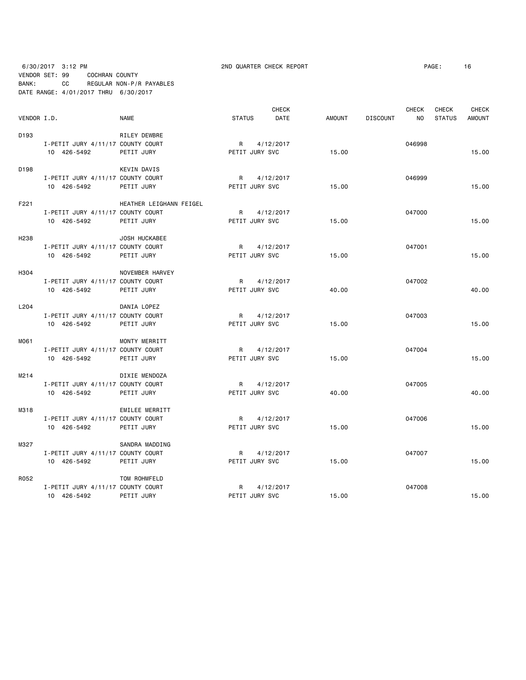6/30/2017 3:12 PM 2ND QUARTER CHECK REPORT PAGE: 16 VENDOR SET: 99 COCHRAN COUNTY BANK: CC REGULAR NON-P/R PAYABLES DATE RANGE: 4/01/2017 THRU 6/30/2017

|                  |                                   |                         |                | <b>CHECK</b> |               |                 | <b>CHECK</b> | <b>CHECK</b>  | <b>CHECK</b>  |
|------------------|-----------------------------------|-------------------------|----------------|--------------|---------------|-----------------|--------------|---------------|---------------|
| VENDOR I.D.      |                                   | <b>NAME</b>             | <b>STATUS</b>  | DATE         | <b>AMOUNT</b> | <b>DISCOUNT</b> | <b>NO</b>    | <b>STATUS</b> | <b>AMOUNT</b> |
| D <sub>193</sub> |                                   | RILEY DEWBRE            |                |              |               |                 |              |               |               |
|                  | I-PETIT JURY 4/11/17 COUNTY COURT |                         |                | R 4/12/2017  |               |                 | 046998       |               |               |
|                  | 10 426-5492                       | PETIT JURY              | PETIT JURY SVC |              | 15.00         |                 |              |               | 15.00         |
| D <sub>198</sub> |                                   | <b>KEVIN DAVIS</b>      |                |              |               |                 |              |               |               |
|                  | I-PETIT JURY 4/11/17 COUNTY COURT |                         |                | R 4/12/2017  |               |                 | 046999       |               |               |
|                  | 10 426-5492                       | PETIT JURY              | PETIT JURY SVC |              | 15.00         |                 |              |               | 15.00         |
| F221             |                                   | HEATHER LEIGHANN FEIGEL |                |              |               |                 |              |               |               |
|                  | I-PETIT JURY 4/11/17 COUNTY COURT |                         |                | R 4/12/2017  |               |                 | 047000       |               |               |
|                  | 10 426-5492                       | PETIT JURY              | PETIT JURY SVC |              | 15.00         |                 |              |               | 15.00         |
| H <sub>238</sub> |                                   | JOSH HUCKABEE           |                |              |               |                 |              |               |               |
|                  | I-PETIT JURY 4/11/17 COUNTY COURT |                         | R 4/12/2017    |              |               |                 | 047001       |               |               |
|                  | 10 426-5492                       | PETIT JURY              | PETIT JURY SVC |              | 15.00         |                 |              |               | 15.00         |
| H304             |                                   | NOVEMBER HARVEY         |                |              |               |                 |              |               |               |
|                  | I-PETIT JURY 4/11/17 COUNTY COURT |                         |                | R 4/12/2017  |               |                 | 047002       |               |               |
|                  | 10 426-5492                       | PETIT JURY              | PETIT JURY SVC |              | 40.00         |                 |              |               | 40.00         |
| L204             |                                   | DANIA LOPEZ             |                |              |               |                 |              |               |               |
|                  | I-PETIT JURY 4/11/17 COUNTY COURT |                         |                | R 4/12/2017  |               |                 | 047003       |               |               |
|                  | 10 426-5492                       | PETIT JURY              | PETIT JURY SVC |              | 15.00         |                 |              |               | 15.00         |
| M061             |                                   | MONTY MERRITT           |                |              |               |                 |              |               |               |
|                  | I-PETIT JURY 4/11/17 COUNTY COURT |                         | R 4/12/2017    |              |               |                 | 047004       |               |               |
|                  | 10 426-5492                       | PETIT JURY              | PETIT JURY SVC |              | 15.00         |                 |              |               | 15,00         |
| M214             |                                   | DIXIE MENDOZA           |                |              |               |                 |              |               |               |
|                  | I-PETIT JURY 4/11/17 COUNTY COURT |                         |                | R 4/12/2017  |               |                 | 047005       |               |               |
|                  | 10 426-5492                       | PETIT JURY              | PETIT JURY SVC |              | 40.00         |                 |              |               | 40.00         |
| M318             |                                   | EMILEE MERRITT          |                |              |               |                 |              |               |               |
|                  | I-PETIT JURY 4/11/17 COUNTY COURT |                         | R              | 4/12/2017    |               |                 | 047006       |               |               |
|                  | 10 426-5492                       | PETIT JURY              | PETIT JURY SVC |              | 15.00         |                 |              |               | 15.00         |
| M327             |                                   | SANDRA MADDING          |                |              |               |                 |              |               |               |
|                  | I-PETIT JURY 4/11/17 COUNTY COURT |                         | R              | 4/12/2017    |               |                 | 047007       |               |               |
|                  | 10 426-5492                       | PETIT JURY              | PETIT JURY SVC |              | 15.00         |                 |              |               | 15.00         |
| R052             |                                   | TOM ROHMFELD            |                |              |               |                 |              |               |               |
|                  | I-PETIT JURY 4/11/17 COUNTY COURT |                         | R              | 4/12/2017    |               |                 | 047008       |               |               |
|                  | 10 426-5492                       | PETIT JURY              | PETIT JURY SVC |              | 15.00         |                 |              |               | 15.00         |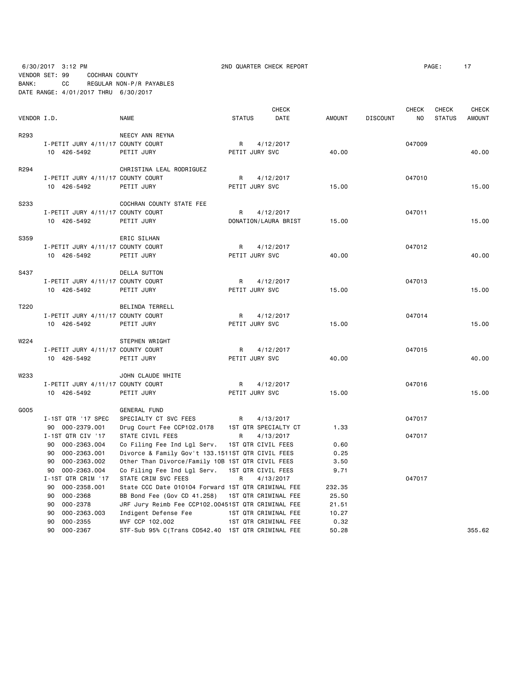6/30/2017 3:12 PM 2ND QUARTER CHECK REPORT PAGE: 17 VENDOR SET: 99 COCHRAN COUNTY BANK: CC REGULAR NON-P/R PAYABLES DATE RANGE: 4/01/2017 THRU 6/30/2017

|             |                                       |                                                    |                | <b>CHECK</b>                    |               |                 | <b>CHECK</b> | CHECK         | <b>CHECK</b>  |
|-------------|---------------------------------------|----------------------------------------------------|----------------|---------------------------------|---------------|-----------------|--------------|---------------|---------------|
| VENDOR I.D. |                                       | <b>NAME</b>                                        | <b>STATUS</b>  | DATE                            | <b>AMOUNT</b> | <b>DISCOUNT</b> | NO.          | <b>STATUS</b> | <b>AMOUNT</b> |
| R293        |                                       | NEECY ANN REYNA                                    |                |                                 |               |                 |              |               |               |
|             | I-PETIT JURY 4/11/17 COUNTY COURT     |                                                    | R              | 4/12/2017                       |               |                 | 047009       |               |               |
|             | 10 426-5492                           | PETIT JURY                                         | PETIT JURY SVC |                                 | 40.00         |                 |              |               | 40.00         |
| R294        |                                       | CHRISTINA LEAL RODRIGUEZ                           |                |                                 |               |                 |              |               |               |
|             | I-PETIT JURY 4/11/17 COUNTY COURT     |                                                    | R              | 4/12/2017                       |               |                 | 047010       |               |               |
|             | 10 426-5492                           | PETIT JURY                                         | PETIT JURY SVC |                                 | 15.00         |                 |              |               | 15.00         |
| <b>S233</b> |                                       | COCHRAN COUNTY STATE FEE                           |                |                                 |               |                 |              |               |               |
|             | I-PETIT JURY 4/11/17 COUNTY COURT     |                                                    | R              | 4/12/2017                       |               |                 | 047011       |               |               |
|             | 10 426-5492                           | PETIT JURY                                         |                | DONATION/LAURA BRIST            | 15.00         |                 |              |               | 15.00         |
| S359        |                                       | ERIC SILHAN                                        |                |                                 |               |                 |              |               |               |
|             | I-PETIT JURY 4/11/17 COUNTY COURT     |                                                    | R.             | 4/12/2017                       |               |                 | 047012       |               |               |
|             | 10 426-5492                           | PETIT JURY                                         | PETIT JURY SVC |                                 | 40.00         |                 |              |               | 40.00         |
| S437        |                                       | <b>DELLA SUTTON</b>                                |                |                                 |               |                 |              |               |               |
|             | I-PETIT JURY 4/11/17 COUNTY COURT     |                                                    | R.             | 4/12/2017                       |               |                 | 047013       |               |               |
|             | 10 426-5492                           | PETIT JURY                                         | PETIT JURY SVC |                                 | 15.00         |                 |              |               | 15.00         |
| T220        |                                       | BELINDA TERRELL                                    |                |                                 |               |                 |              |               |               |
|             | I-PETIT JURY 4/11/17 COUNTY COURT     |                                                    | R              | 4/12/2017                       |               |                 | 047014       |               |               |
|             | 10 426-5492                           | PETIT JURY                                         | PETIT JURY SVC |                                 | 15.00         |                 |              |               | 15.00         |
| W224        |                                       | STEPHEN WRIGHT                                     |                |                                 |               |                 |              |               |               |
|             | I-PETIT JURY 4/11/17 COUNTY COURT     |                                                    | R              | 4/12/2017                       |               |                 | 047015       |               |               |
|             | 10 426-5492                           | PETIT JURY                                         | PETIT JURY SVC |                                 | 40.00         |                 |              |               | 40.00         |
| W233        |                                       | JOHN CLAUDE WHITE                                  |                |                                 |               |                 |              |               |               |
|             | I-PETIT JURY 4/11/17 COUNTY COURT     |                                                    | R.             | 4/12/2017                       |               |                 | 047016       |               |               |
|             | 10 426-5492                           | PETIT JURY                                         | PETIT JURY SVC |                                 | 15.00         |                 |              |               | 15.00         |
| G005        |                                       | <b>GENERAL FUND</b>                                |                |                                 |               |                 |              |               |               |
|             | I-1ST QTR '17 SPEC                    | SPECIALTY CT SVC FEES                              | R              | 4/13/2017                       |               |                 | 047017       |               |               |
|             | 90 000-2379.001                       | Drug Court Fee CCP102.0178                         |                | 1ST QTR SPECIALTY CT            | 1.33          |                 |              |               |               |
|             | I-1ST QTR CIV '17                     | STATE CIVIL FEES                                   | R              | 4/13/2017                       |               |                 | 047017       |               |               |
|             | 90 000-2363.004                       | Co Filing Fee Ind Lgl Serv.                        |                | 1ST QTR CIVIL FEES              | 0.60          |                 |              |               |               |
|             | 90 000-2363.001                       | Divorce & Family Gov't 133.1511ST QTR CIVIL FEES   |                |                                 | 0.25          |                 |              |               |               |
|             | 90 000-2363.002                       | Other Than Divorce/Family 10B 1ST QTR CIVIL FEES   |                |                                 | 3.50          |                 |              |               |               |
|             | 90 000-2363.004<br>I-1ST QTR CRIM '17 | Co Filing Fee Ind Lgl Serv.<br>STATE CRIM SVC FEES | R              | 1ST QTR CIVIL FEES<br>4/13/2017 | 9.71          |                 | 047017       |               |               |
|             | 90<br>000-2358.001                    | State CCC Date 010104 Forward 1ST QTR CRIMINAL FEE |                |                                 | 232.35        |                 |              |               |               |
|             | 000-2368<br>90                        | BB Bond Fee (Gov CD 41.258)                        |                | 1ST QTR CRIMINAL FEE            | 25.50         |                 |              |               |               |
|             | 000-2378<br>90                        | JRF Jury Reimb Fee CCP102.00451ST QTR CRIMINAL FEE |                |                                 | 21.51         |                 |              |               |               |
|             | 90<br>000-2363.003                    | Indigent Defense Fee                               |                | 1ST QTR CRIMINAL FEE            | 10.27         |                 |              |               |               |
|             | 90<br>000-2355                        | MVF CCP 102.002                                    |                | 1ST QTR CRIMINAL FEE            | 0.32          |                 |              |               |               |
|             | 90<br>000-2367                        | STF-Sub 95% C(Trans CD542.40 1ST QTR CRIMINAL FEE  |                |                                 | 50.28         |                 |              |               | 355.62        |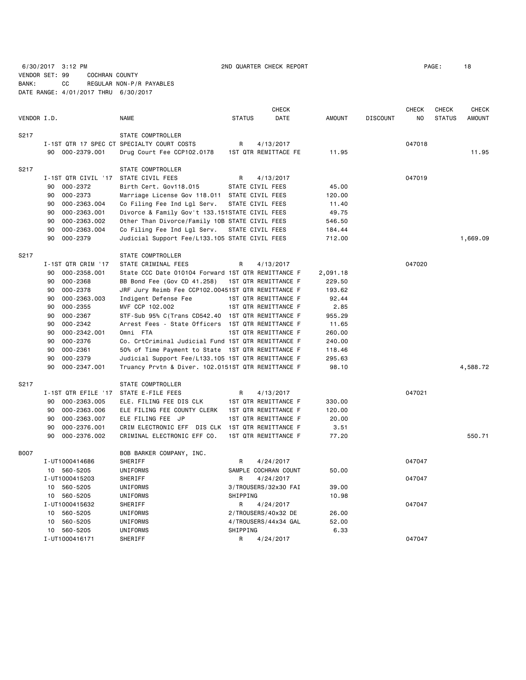6/30/2017 3:12 PM 2ND QUARTER CHECK REPORT PAGE: 18 VENDOR SET: 99 COCHRAN COUNTY BANK: CC REGULAR NON-P/R PAYABLES DATE RANGE: 4/01/2017 THRU 6/30/2017

|             |                     |                                                    |                  | CHECK                |               |                 | <b>CHECK</b> | CHECK         | <b>CHECK</b>  |
|-------------|---------------------|----------------------------------------------------|------------------|----------------------|---------------|-----------------|--------------|---------------|---------------|
| VENDOR I.D. |                     | <b>NAME</b>                                        | <b>STATUS</b>    | DATE                 | <b>AMOUNT</b> | <b>DISCOUNT</b> | NO.          | <b>STATUS</b> | <b>AMOUNT</b> |
| S217        |                     | STATE COMPTROLLER                                  |                  |                      |               |                 |              |               |               |
|             |                     | I-1ST QTR 17 SPEC CT SPECIALTY COURT COSTS         | R                | 4/13/2017            |               |                 | 047018       |               |               |
|             | 90 000-2379.001     | Drug Court Fee CCP102.0178                         |                  | 1ST QTR REMITTACE FE | 11.95         |                 |              |               | 11.95         |
|             |                     |                                                    |                  |                      |               |                 |              |               |               |
| S217        |                     | STATE COMPTROLLER                                  |                  |                      |               |                 |              |               |               |
|             | I-1ST QTR CIVIL '17 | STATE CIVIL FEES                                   | R                | 4/13/2017            |               |                 | 047019       |               |               |
|             | 000-2372<br>90      | Birth Cert. Gov118.015                             | STATE CIVIL FEES |                      | 45.00         |                 |              |               |               |
|             | 000-2373<br>90      | Marriage License Gov 118.011 STATE CIVIL FEES      |                  |                      | 120.00        |                 |              |               |               |
|             | 90<br>000-2363.004  | Co Filing Fee Ind Lgl Serv.                        | STATE CIVIL FEES |                      | 11.40         |                 |              |               |               |
|             | 000-2363.001<br>90  | Divorce & Family Gov't 133.151STATE CIVIL FEES     |                  |                      | 49.75         |                 |              |               |               |
|             | 90<br>000-2363.002  | Other Than Divorce/Family 10B STATE CIVIL FEES     |                  |                      | 546.50        |                 |              |               |               |
|             | 90<br>000-2363.004  | Co Filing Fee Ind Lgl Serv.                        | STATE CIVIL FEES |                      | 184.44        |                 |              |               |               |
|             | 000-2379<br>90      | Judicial Support Fee/L133.105 STATE CIVIL FEES     |                  |                      | 712.00        |                 |              |               | 1,669.09      |
| S217        |                     | STATE COMPTROLLER                                  |                  |                      |               |                 |              |               |               |
|             | I-1ST QTR CRIM '17  | STATE CRIMINAL FEES                                | R                | 4/13/2017            |               |                 | 047020       |               |               |
|             | 90<br>000-2358.001  | State CCC Date 010104 Forward 1ST QTR REMITTANCE F |                  |                      | 2,091.18      |                 |              |               |               |
|             | 90<br>000-2368      | BB Bond Fee (Gov CD 41.258)                        |                  | 1ST QTR REMITTANCE F | 229.50        |                 |              |               |               |
|             | 90<br>000-2378      | JRF Jury Reimb Fee CCP102.00451ST QTR REMITTANCE F |                  |                      | 193.62        |                 |              |               |               |
|             | 90<br>000-2363.003  | Indigent Defense Fee                               |                  | 1ST QTR REMITTANCE F | 92.44         |                 |              |               |               |
|             | 90<br>$000 - 2355$  | MVF CCP 102.002                                    |                  | 1ST QTR REMITTANCE F | 2.85          |                 |              |               |               |
|             | 90<br>000-2367      | STF-Sub 95% C(Trans CD542.40 1ST QTR REMITTANCE F  |                  |                      | 955.29        |                 |              |               |               |
|             | $000 - 2342$<br>90  | Arrest Fees - State Officers 1ST QTR REMITTANCE F  |                  |                      | 11.65         |                 |              |               |               |
|             | 90<br>000-2342.001  | Omni FTA                                           |                  | 1ST QTR REMITTANCE F | 260.00        |                 |              |               |               |
|             | 000-2376<br>90      | Co. CrtCriminal Judicial Fund 1ST QTR REMITTANCE F |                  |                      | 240.00        |                 |              |               |               |
|             | $000 - 2361$<br>90  | 50% of Time Payment to State 1ST QTR REMITTANCE F  |                  |                      | 118.46        |                 |              |               |               |
|             | 90<br>$000 - 2379$  | Judicial Support Fee/L133.105 1ST QTR REMITTANCE F |                  |                      | 295.63        |                 |              |               |               |
|             | 000-2347.001<br>90  | Truancy Prvtn & Diver. 102.0151ST QTR REMITTANCE F |                  |                      | 98.10         |                 |              |               | 4,588.72      |
| S217        |                     | STATE COMPTROLLER                                  |                  |                      |               |                 |              |               |               |
|             | I-1ST QTR EFILE '17 | STATE E-FILE FEES                                  | R                | 4/13/2017            |               |                 | 047021       |               |               |
|             | 90<br>000-2363.005  | ELE. FILING FEE DIS CLK                            |                  | 1ST QTR REMITTANCE F | 330.00        |                 |              |               |               |
|             | 90<br>000-2363.006  | ELE FILING FEE COUNTY CLERK                        |                  | 1ST QTR REMITTANCE F | 120.00        |                 |              |               |               |
|             | 000-2363.007<br>90  | ELE FILING FEE JP                                  |                  | 1ST QTR REMITTANCE F | 20.00         |                 |              |               |               |
|             | 000-2376.001<br>90  | CRIM ELECTRONIC EFF DIS CLK 1ST QTR REMITTANCE F   |                  |                      | 3.51          |                 |              |               |               |
|             | 90<br>000-2376.002  | CRIMINAL ELECTRONIC EFF CO.                        |                  | 1ST QTR REMITTANCE F | 77.20         |                 |              |               | 550.71        |
|             |                     |                                                    |                  |                      |               |                 |              |               |               |
| <b>B007</b> |                     | BOB BARKER COMPANY, INC.                           |                  |                      |               |                 |              |               |               |
|             | I-UT1000414686      | SHERIFF                                            | R                | 4/24/2017            |               |                 | 047047       |               |               |
|             | 10 560-5205         | UNIFORMS                                           |                  | SAMPLE COCHRAN COUNT | 50.00         |                 |              |               |               |
|             | I-UT1000415203      | SHERIFF                                            | R                | 4/24/2017            |               |                 | 047047       |               |               |
|             | 10 560-5205         | UNIFORMS                                           |                  | 3/TROUSERS/32x30 FAI | 39.00         |                 |              |               |               |
|             | 10 560-5205         | UNIFORMS                                           | SHIPPING         |                      | 10.98         |                 |              |               |               |
|             | I-UT1000415632      | SHERIFF                                            | R                | 4/24/2017            |               |                 | 047047       |               |               |
|             | 560-5205<br>10      | UNIFORMS                                           |                  | 2/TROUSERS/40x32 DE  | 26.00         |                 |              |               |               |
|             | 560-5205<br>10      | UNIFORMS                                           |                  | 4/TROUSERS/44x34 GAL | 52.00         |                 |              |               |               |
|             | 560-5205<br>10      | UNIFORMS                                           | SHIPPING         |                      | 6.33          |                 |              |               |               |
|             | I-UT1000416171      | SHERIFF                                            | R                | 4/24/2017            |               |                 | 047047       |               |               |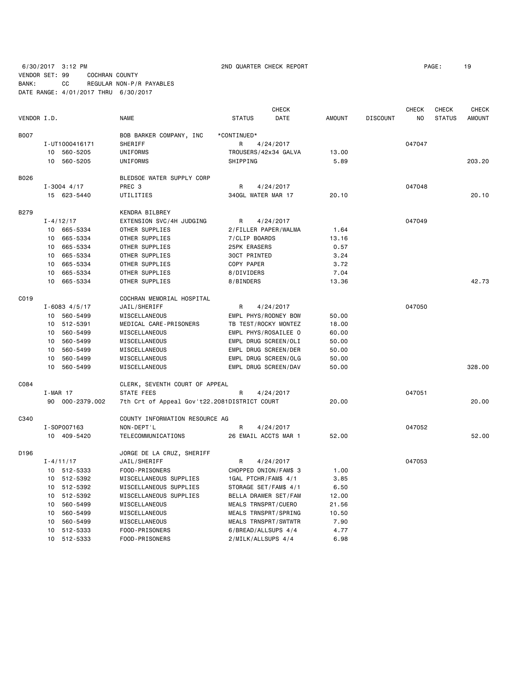6/30/2017 3:12 PM 2ND QUARTER CHECK REPORT PAGE: 19 VENDOR SET: 99 COCHRAN COUNTY BANK: CC REGULAR NON-P/R PAYABLES

DATE RANGE: 4/01/2017 THRU 6/30/2017

 CHECK CHECK CHECK CHECK VENDOR I.D. NAME STATUS DATE AMOUNT DISCOUNT NO STATUS AMOUNT BOO7 BOB BARKER COMPANY, INC \*CONTINUED\* I-UT1000416171 SHERIFF R A/24/2017 R 4/24/2017 10 560-5205 UNIFORMS TROUSERS/42x34 GALVA 13.00 10 560-5205 UNIFORMS SHIPPING 5.89 203.20 B026 BLEDSOE WATER SUPPLY CORP I-3004 4/17 PREC 3 R 4/24/2017 047048 15 623-5440 UTILITIES 340GL WATER MAR 17 20.10 20.10 B279 KENDRA BILBREY I-4/12/17 EXTENSION SVC/4H JUDGING R 4/24/2017 047049 10 665-5334 OTHER SUPPLIES 2/FILLER PAPER/WALMA 1.64 10 665-5334 OTHER SUPPLIES 7/CLIP BOARDS 13.16 10 665-5334 OTHER SUPPLIES 25PK ERASERS 0.57 10 665-5334 OTHER SUPPLIES 30CT PRINTED 3.24 10 665-5334 OTHER SUPPLIES COPY PAPER 3.72 10 665-5334 OTHER SUPPLIES 8/DIVIDERS 7.04 10 665-5334 OTHER SUPPLIES 8/BINDERS 13.36 42.73 C019 COCHRAN MEMORIAL HOSPITAL I-6083 4/5/17 JAIL/SHERIFF R R 4/24/2017 047050 10 560-5499 MISCELLANEOUS EMPL PHYS/RODNEY BOW 50.00 10 512-5391 MEDICAL CARE-PRISONERS TB TEST/ROCKY MONTEZ 18.00 10 560-5499 MISCELLANEOUS EMPL PHYS/ROSAILEE O 60.00 10 560-5499 MISCELLANEOUS EMPL DRUG SCREEN/OLI 50.00 10 560-5499 MISCELLANEOUS EMPL DRUG SCREEN/DER 50.00 10 560-5499 MISCELLANEOUS EMPL DRUG SCREEN/OLG 50.00 10 560-5499 MISCELLANEOUS EMPL DRUG SCREEN/DAV 50.00 328.00 C084 CLERK, SEVENTH COURT OF APPEAL I-MAR 17 STATE FEES R 4/24/2017 R 4024/2017 047051 90 000-2379.002 7th Crt of Appeal Gov't22.2081DISTRICT COURT 20.00 20.00 C340 COUNTY INFORMATION RESOURCE AG I-SOP007163 NON-DEPT'L R 4/24/2017 047052 10 409-5420 TELECOMMUNICATIONS 26 EMAIL ACCTS MAR 1 52.00 52.00 D196 JORGE DE LA CRUZ, SHERIFF I-4/11/17 JAIL/SHERIFF R 4/24/2017 047053 10 512-5333 FOOD-PRISONERS CHOPPED ONION/FAM\$ 3 1.00 10 512-5392 MISCELLANEOUS SUPPLIES 1GAL PTCHR/FAM\$ 4/1 3.85 10 512-5392 MISCELLANEOUS SUPPLIES STORAGE SET/FAM\$ 4/1 6.50 10 512-5392 MISCELLANEOUS SUPPLIES BELLA DRAWER SET/FAM 12.00 10 560-5499 MISCELLANEOUS MEALS TRNSPRT/CUERO 21.56 10 560-5499 MISCELLANEOUS MEALS TRNSPRT/SPRING 10.50 10 560-5499 MISCELLANEOUS MEALS TRNSPRT/SWTWTR 7.90 10 512-5333 FOOD-PRISONERS 6/BREAD/ALLSUPS 4/4 4.77

10 512-5333 FOOD-PRISONERS 2/MILK/ALLSUPS 4/4 6.98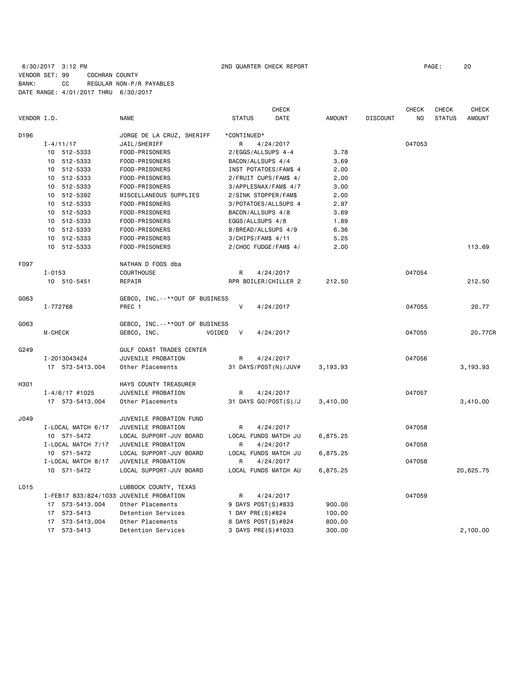# 6/30/2017 3:12 PM 2ND QUARTER CHECK REPORT PAGE: 20 VENDOR SET: 99 COCHRAN COUNTY BANK: CC REGULAR NON-P/R PAYABLES DATE RANGE: 4/01/2017 THRU 6/30/2017

|             |                                         |                                     | CHECK                         |               |                 | <b>CHECK</b> | <b>CHECK</b>  | <b>CHECK</b>  |
|-------------|-----------------------------------------|-------------------------------------|-------------------------------|---------------|-----------------|--------------|---------------|---------------|
| VENDOR I.D. |                                         | <b>NAME</b>                         | <b>DATE</b><br><b>STATUS</b>  | <b>AMOUNT</b> | <b>DISCOUNT</b> | NO.          | <b>STATUS</b> | <b>AMOUNT</b> |
| D196        |                                         | JORGE DE LA CRUZ, SHERIFF           | *CONTINUED*                   |               |                 |              |               |               |
|             | $I - 4/11/17$                           | JAIL/SHERIFF                        | 4/24/2017<br>R                |               |                 | 047053       |               |               |
|             | 10 512-5333                             | FOOD-PRISONERS                      | 2/EGGS/ALLSUPS 4-4            | 3.78          |                 |              |               |               |
|             | 10 512-5333                             | FOOD-PRISONERS                      | BACON/ALLSUPS 4/4             | 3.69          |                 |              |               |               |
|             | 10 512-5333                             | FOOD-PRISONERS                      | INST POTATOES/FAM\$ 4         | 2.00          |                 |              |               |               |
|             | 10 512-5333                             | FOOD-PRISONERS                      | 2/FRUIT CUPS/FAM\$ 4/         | 2.00          |                 |              |               |               |
|             | 512-5333<br>10                          | FOOD-PRISONERS                      | 3/APPLESNAX/FAM\$ 4/7         | 3.00          |                 |              |               |               |
|             | 10 512-5392                             | MISCELLANEOUS SUPPLIES              | 2/SINK STOPPER/FAM\$          | 2.00          |                 |              |               |               |
|             | 10 512-5333                             | FOOD-PRISONERS                      | 3/POTATOES/ALLSUPS 4          | 2.97          |                 |              |               |               |
|             | 10 512-5333                             | FOOD-PRISONERS                      | BACON/ALLSUPS 4/8             | 3.69          |                 |              |               |               |
|             | 10 512-5333                             | FOOD-PRISONERS                      | EGGS/ALLSUPS 4/8              | 1.89          |                 |              |               |               |
|             | 10 512-5333                             | FOOD-PRISONERS                      | 8/BREAD/ALLSUPS 4/9           | 6.36          |                 |              |               |               |
|             | 10 512-5333                             | FOOD-PRISONERS                      | $3/CHIPS/FAMS$ 4/11           | 5.25          |                 |              |               |               |
|             | 10 512-5333                             | FOOD-PRISONERS                      | 2/CHOC FUDGE/FAM\$ 4/         | 2.00          |                 |              |               | 113.69        |
| F097        |                                         | NATHAN D FOOS dba                   |                               |               |                 |              |               |               |
|             | $I - 0153$                              | <b>COURTHOUSE</b>                   | R<br>4/24/2017                |               |                 | 047054       |               |               |
|             | 10 510-5451                             | REPAIR                              | RPR BOILER/CHILLER 2          | 212.50        |                 |              |               | 212.50        |
| G063        |                                         | GEBCO, INC. --**OUT OF BUSINESS     |                               |               |                 |              |               |               |
|             | I-772768                                | PREC 1                              | $\vee$<br>4/24/2017           |               |                 | 047055       |               | 20.77         |
| G063        |                                         | GEBCO, INC. - - * * OUT OF BUSINESS |                               |               |                 |              |               |               |
|             | <b>M-CHECK</b>                          | GEBCO, INC.                         | $\vee$<br>VOIDED<br>4/24/2017 |               |                 | 047055       |               | 20.77CR       |
| G249        |                                         | GULF COAST TRADES CENTER            |                               |               |                 |              |               |               |
|             | I-2013043424                            | JUVENILE PROBATION                  | R<br>4/24/2017                |               |                 | 047056       |               |               |
|             | 17 573-5413.004                         | Other Placements                    | 31 DAYS/POST(N)/JUV#          | 3,193.93      |                 |              |               | 3,193.93      |
| H301        |                                         | HAYS COUNTY TREASURER               |                               |               |                 |              |               |               |
|             | $I - 4/6/17$ #1025                      | JUVENILE PROBATION                  | R<br>4/24/2017                |               |                 | 047057       |               |               |
|             | 17 573-5413.004                         | Other Placements                    | 31 DAYS GO/POST(S)/J          | 3,410.00      |                 |              |               | 3,410.00      |
| J049        |                                         | JUVENILE PROBATION FUND             |                               |               |                 |              |               |               |
|             | I-LOCAL MATCH 6/17                      | JUVENILE PROBATION                  | 4/24/2017<br>R                |               |                 | 047058       |               |               |
|             | 10 571-5472                             | LOCAL SUPPORT-JUV BOARD             | LOCAL FUNDS MATCH JU          | 6,875.25      |                 |              |               |               |
|             | I-LOCAL MATCH 7/17                      | JUVENILE PROBATION                  | R<br>4/24/2017                |               |                 | 047058       |               |               |
|             | 10 571-5472                             | LOCAL SUPPORT-JUV BOARD             | LOCAL FUNDS MATCH JU          | 6,875.25      |                 |              |               |               |
|             | I-LOCAL MATCH 8/17                      | JUVENILE PROBATION                  | R<br>4/24/2017                |               |                 | 047058       |               |               |
|             | 10 571-5472                             | LOCAL SUPPORT-JUV BOARD             | LOCAL FUNDS MATCH AU          | 6,875.25      |                 |              |               | 20,625.75     |
| L015        |                                         | LUBBOCK COUNTY, TEXAS               |                               |               |                 |              |               |               |
|             | I-FEB17 833/824/1033 JUVENILE PROBATION |                                     | 4/24/2017<br>R                |               |                 | 047059       |               |               |
|             | 17 573-5413.004                         | Other Placements                    | 9 DAYS POST(S)#833            | 900.00        |                 |              |               |               |
|             | 17 573-5413                             | Detention Services                  | 1 DAY PRE(S)#824              | 100.00        |                 |              |               |               |
|             | 17 573-5413.004                         | Other Placements                    | 8 DAYS POST(S)#824            | 800.00        |                 |              |               |               |
|             | 17 573-5413                             | Detention Services                  | 3 DAYS PRE(S)#1033            | 300.00        |                 |              |               | 2,100.00      |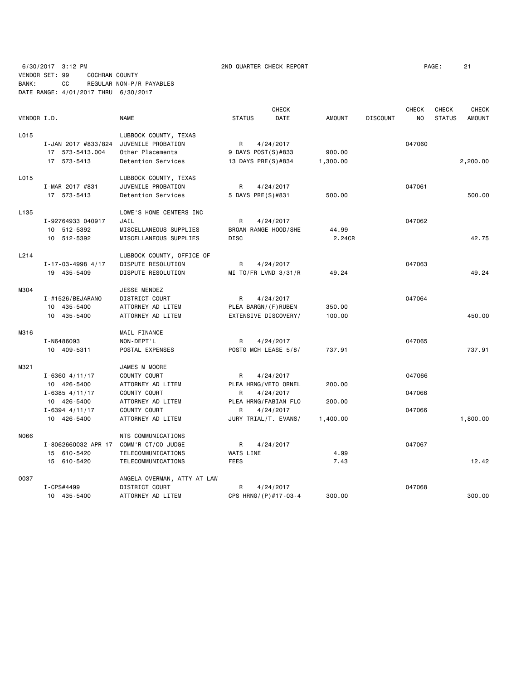6/30/2017 3:12 PM 2ND QUARTER CHECK REPORT PAGE: 21 VENDOR SET: 99 COCHRAN COUNTY BANK: CC REGULAR NON-P/R PAYABLES DATE RANGE: 4/01/2017 THRU 6/30/2017

|             |                           |                             |                      | <b>CHECK</b> |               |                 | <b>CHECK</b> | <b>CHECK</b>  | <b>CHECK</b>  |
|-------------|---------------------------|-----------------------------|----------------------|--------------|---------------|-----------------|--------------|---------------|---------------|
| VENDOR I.D. |                           | <b>NAME</b>                 | <b>STATUS</b>        | DATE         | <b>AMOUNT</b> | <b>DISCOUNT</b> | NO           | <b>STATUS</b> | <b>AMOUNT</b> |
| L015        |                           | LUBBOCK COUNTY, TEXAS       |                      |              |               |                 |              |               |               |
|             | I-JAN 2017 #833/824       | JUVENILE PROBATION          | R                    | 4/24/2017    |               |                 | 047060       |               |               |
|             | 17 573-5413.004           | Other Placements            | 9 DAYS POST(S)#833   |              | 900.00        |                 |              |               |               |
|             | 17 573-5413               | Detention Services          | 13 DAYS PRE(S)#834   |              | 1,300.00      |                 |              |               | 2,200.00      |
|             |                           |                             |                      |              |               |                 |              |               |               |
| L015        |                           | LUBBOCK COUNTY, TEXAS       |                      |              |               |                 |              |               |               |
|             | I-MAR 2017 #831           | JUVENILE PROBATION          | R                    | 4/24/2017    |               |                 | 047061       |               |               |
|             | 17 573-5413               | Detention Services          | 5 DAYS PRE(S)#831    |              | 500.00        |                 |              |               | 500.00        |
| L135        |                           | LOWE'S HOME CENTERS INC     |                      |              |               |                 |              |               |               |
|             | I-92764933 040917         | JAIL                        | R                    | 4/24/2017    |               |                 | 047062       |               |               |
|             | 10 512-5392               | MISCELLANEOUS SUPPLIES      | BROAN RANGE HOOD/SHE |              | 44.99         |                 |              |               |               |
|             | 10 512-5392               | MISCELLANEOUS SUPPLIES      | <b>DISC</b>          |              | 2.24CR        |                 |              |               | 42.75         |
| L214        |                           |                             |                      |              |               |                 |              |               |               |
|             |                           | LUBBOCK COUNTY, OFFICE OF   |                      |              |               |                 | 047063       |               |               |
|             | $I - 17 - 03 - 4998$ 4/17 | DISPUTE RESOLUTION          | R                    | 4/24/2017    |               |                 |              |               |               |
|             | 19 435-5409               | DISPUTE RESOLUTION          | MI TO/FR LVND 3/31/R |              | 49.24         |                 |              |               | 49.24         |
| M304        |                           | JESSE MENDEZ                |                      |              |               |                 |              |               |               |
|             | I-#1526/BEJARANO          | DISTRICT COURT              | R                    | 4/24/2017    |               |                 | 047064       |               |               |
|             | 10 435-5400               | ATTORNEY AD LITEM           | PLEA BARGN/(F)RUBEN  |              | 350.00        |                 |              |               |               |
|             | 10 435-5400               | ATTORNEY AD LITEM           | EXTENSIVE DISCOVERY/ |              | 100.00        |                 |              |               | 450.00        |
| M316        |                           | MAIL FINANCE                |                      |              |               |                 |              |               |               |
|             | I-N6486093                | NON-DEPT'L                  | R                    | 4/24/2017    |               |                 | 047065       |               |               |
|             | 10 409-5311               | POSTAL EXPENSES             | POSTG MCH LEASE 5/8/ |              | 737.91        |                 |              |               | 737.91        |
|             |                           |                             |                      |              |               |                 |              |               |               |
| M321        |                           | JAMES M MOORE               |                      |              |               |                 |              |               |               |
|             | $I - 6360$ 4/11/17        | COUNTY COURT                | R                    | 4/24/2017    |               |                 | 047066       |               |               |
|             | 10 426-5400               | ATTORNEY AD LITEM           | PLEA HRNG/VETO ORNEL |              | 200,00        |                 |              |               |               |
|             | $I - 6385$ 4/11/17        | COUNTY COURT                | R                    | 4/24/2017    |               |                 | 047066       |               |               |
|             | 10 426-5400               | ATTORNEY AD LITEM           | PLEA HRNG/FABIAN FLO |              | 200.00        |                 |              |               |               |
|             | $I - 6394$ 4/11/17        | COUNTY COURT                | R                    | 4/24/2017    |               |                 | 047066       |               |               |
|             | 10 426-5400               | ATTORNEY AD LITEM           | JURY TRIAL/T. EVANS/ |              | 1,400.00      |                 |              |               | 1,800.00      |
| N066        |                           | NTS COMMUNICATIONS          |                      |              |               |                 |              |               |               |
|             | I-8062660032 APR 17       | COMM'R CT/CO JUDGE          | R                    | 4/24/2017    |               |                 | 047067       |               |               |
|             | 15 610-5420               | TELECOMMUNICATIONS          | WATS LINE            |              | 4.99          |                 |              |               |               |
|             | 15 610-5420               | TELECOMMUNICATIONS          | <b>FEES</b>          |              | 7.43          |                 |              |               | 12.42         |
| 0037        |                           | ANGELA OVERMAN, ATTY AT LAW |                      |              |               |                 |              |               |               |
|             | I-CPS#4499                | DISTRICT COURT              | R                    | 4/24/2017    |               |                 | 047068       |               |               |
|             | 10 435-5400               | ATTORNEY AD LITEM           | CPS HRNG/(P)#17-03-4 |              | 300.00        |                 |              |               | 300.00        |
|             |                           |                             |                      |              |               |                 |              |               |               |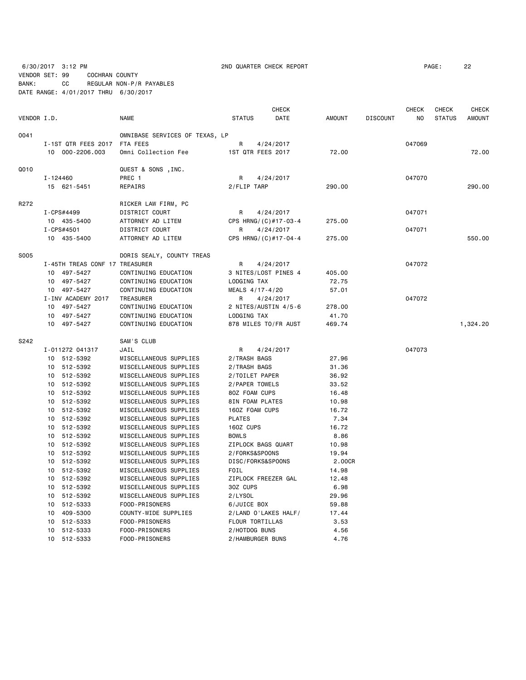6/30/2017 3:12 PM 2ND QUARTER CHECK REPORT PAGE: 22

VENDOR SET: 99 COCHRAN COUNTY BANK: CC REGULAR NON-P/R PAYABLES DATE RANGE: 4/01/2017 THRU 6/30/2017

|             |          |                                |                                |                      | <b>CHECK</b> |               |                 | <b>CHECK</b> | CHECK         | <b>CHECK</b>  |
|-------------|----------|--------------------------------|--------------------------------|----------------------|--------------|---------------|-----------------|--------------|---------------|---------------|
| VENDOR I.D. |          |                                | <b>NAME</b>                    | <b>STATUS</b>        | <b>DATE</b>  | <b>AMOUNT</b> | <b>DISCOUNT</b> | NO.          | <b>STATUS</b> | <b>AMOUNT</b> |
| 0041        |          |                                | OMNIBASE SERVICES OF TEXAS, LP |                      |              |               |                 |              |               |               |
|             |          | I-1ST QTR FEES 2017            | FTA FEES                       | R                    | 4/24/2017    |               |                 | 047069       |               |               |
|             |          | 10 000-2206.003                | Omni Collection Fee            | 1ST QTR FEES 2017    |              | 72.00         |                 |              |               | 72.00         |
|             |          |                                |                                |                      |              |               |                 |              |               |               |
| Q010        |          |                                | QUEST & SONS , INC.            |                      |              |               |                 |              |               |               |
|             | I-124460 |                                | PREC 1                         | R                    | 4/24/2017    |               |                 | 047070       |               |               |
|             |          | 15 621-5451                    | REPAIRS                        | 2/FLIP TARP          |              | 290.00        |                 |              |               | 290.00        |
| R272        |          |                                | RICKER LAW FIRM, PC            |                      |              |               |                 |              |               |               |
|             |          | I-CPS#4499                     | DISTRICT COURT                 | R                    | 4/24/2017    |               |                 | 047071       |               |               |
|             |          | 10 435-5400                    | ATTORNEY AD LITEM              | CPS HRNG/(C)#17-03-4 |              | 275.00        |                 |              |               |               |
|             |          | I-CPS#4501                     | DISTRICT COURT                 | R                    | 4/24/2017    |               |                 | 047071       |               |               |
|             |          | 10 435-5400                    | ATTORNEY AD LITEM              | CPS HRNG/(C)#17-04-4 |              | 275.00        |                 |              |               | 550.00        |
|             |          |                                |                                |                      |              |               |                 |              |               |               |
| <b>S005</b> |          |                                | DORIS SEALY, COUNTY TREAS      |                      |              |               |                 |              |               |               |
|             |          | I-45TH TREAS CONF 17 TREASURER |                                | R                    | 4/24/2017    |               |                 | 047072       |               |               |
|             |          | 10 497-5427                    | CONTINUING EDUCATION           | 3 NITES/LOST PINES 4 |              | 405.00        |                 |              |               |               |
|             |          | 10 497-5427                    | CONTINUING EDUCATION           | LODGING TAX          |              | 72.75         |                 |              |               |               |
|             |          | 10 497-5427                    | CONTINUING EDUCATION           | MEALS 4/17-4/20      |              | 57.01         |                 |              |               |               |
|             |          | I-INV ACADEMY 2017             | TREASURER                      | R                    | 4/24/2017    |               |                 | 047072       |               |               |
|             |          | 10 497-5427                    | CONTINUING EDUCATION           | 2 NITES/AUSTIN 4/5-6 |              | 278.00        |                 |              |               |               |
|             |          | 10 497-5427                    | CONTINUING EDUCATION           | LODGING TAX          |              | 41.70         |                 |              |               |               |
|             |          | 10 497-5427                    | CONTINUING EDUCATION           | 878 MILES TO/FR AUST |              | 469.74        |                 |              |               | 1,324.20      |
| S242        |          |                                | SAM'S CLUB                     |                      |              |               |                 |              |               |               |
|             |          | I-011272 041317                | JAIL                           | R                    | 4/24/2017    |               |                 | 047073       |               |               |
|             |          | 10 512-5392                    | MISCELLANEOUS SUPPLIES         | 2/TRASH BAGS         |              | 27.96         |                 |              |               |               |
|             |          | 10 512-5392                    | MISCELLANEOUS SUPPLIES         | 2/TRASH BAGS         |              | 31.36         |                 |              |               |               |
|             |          | 10 512-5392                    | MISCELLANEOUS SUPPLIES         | 2/TOILET PAPER       |              | 36.92         |                 |              |               |               |
|             |          | 10 512-5392                    | MISCELLANEOUS SUPPLIES         | 2/PAPER TOWELS       |              | 33.52         |                 |              |               |               |
|             |          | 10 512-5392                    | MISCELLANEOUS SUPPLIES         | 80Z FOAM CUPS        |              | 16.48         |                 |              |               |               |
|             |          | 10 512-5392                    | MISCELLANEOUS SUPPLIES         | 8IN FOAM PLATES      |              | 10.98         |                 |              |               |               |
|             |          | 10 512-5392                    | MISCELLANEOUS SUPPLIES         | 160Z FOAM CUPS       |              | 16.72         |                 |              |               |               |
|             |          | 10 512-5392                    | MISCELLANEOUS SUPPLIES         | <b>PLATES</b>        |              | 7.34          |                 |              |               |               |
|             |          | 10 512-5392                    | MISCELLANEOUS SUPPLIES         | 160Z CUPS            |              | 16.72         |                 |              |               |               |
|             |          | 10 512-5392                    | MISCELLANEOUS SUPPLIES         | <b>BOWLS</b>         |              | 8.86          |                 |              |               |               |
|             |          | 10 512-5392                    | MISCELLANEOUS SUPPLIES         | ZIPLOCK BAGS QUART   |              | 10.98         |                 |              |               |               |
|             |          | 10 512-5392                    | MISCELLANEOUS SUPPLIES         | 2/FORKS&SPOONS       |              | 19.94         |                 |              |               |               |
|             |          | 10 512-5392                    | MISCELLANEOUS SUPPLIES         | DISC/FORKS&SPOONS    |              | 2.00CR        |                 |              |               |               |
|             |          | 10 512-5392                    | MISCELLANEOUS SUPPLIES         | FOIL                 |              | 14.98         |                 |              |               |               |
|             |          | 10 512-5392                    | MISCELLANEOUS SUPPLIES         | ZIPLOCK FREEZER GAL  |              | 12.48         |                 |              |               |               |
|             |          | 10 512-5392                    | MISCELLANEOUS SUPPLIES         | 30Z CUPS             |              | 6.98          |                 |              |               |               |
|             |          | 10 512-5392                    | MISCELLANEOUS SUPPLIES         | 2/LYSOL              |              | 29.96         |                 |              |               |               |
|             |          | 10 512-5333                    | FOOD-PRISONERS                 | 6/JUICE BOX          |              | 59.88         |                 |              |               |               |
|             |          | 10 409-5300                    | COUNTY-WIDE SUPPLIES           | 2/LAND O'LAKES HALF/ |              | 17.44         |                 |              |               |               |
|             | 10       | 512-5333                       | FOOD-PRISONERS                 | FLOUR TORTILLAS      |              | 3.53          |                 |              |               |               |
|             | 10       | 512-5333                       | FOOD-PRISONERS                 | 2/HOTDOG BUNS        |              | 4.56          |                 |              |               |               |
|             |          | 10 512-5333                    | FOOD-PRISONERS                 | 2/HAMBURGER BUNS     |              | 4.76          |                 |              |               |               |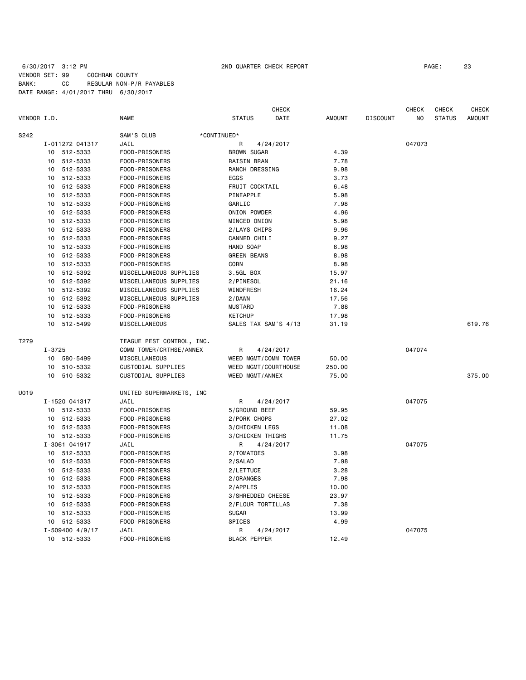# 6/30/2017 3:12 PM 2ND QUARTER CHECK REPORT PAGE: 23 VENDOR SET: 99 COCHRAN COUNTY BANK: CC REGULAR NON-P/R PAYABLES DATE RANGE: 4/01/2017 THRU 6/30/2017

|             |            |                 |                           |                      | <b>CHECK</b> |               |                 | <b>CHECK</b>   | <b>CHECK</b>  | <b>CHECK</b>  |
|-------------|------------|-----------------|---------------------------|----------------------|--------------|---------------|-----------------|----------------|---------------|---------------|
| VENDOR I.D. |            |                 | <b>NAME</b>               | <b>STATUS</b>        | DATE         | <b>AMOUNT</b> | <b>DISCOUNT</b> | N <sub>O</sub> | <b>STATUS</b> | <b>AMOUNT</b> |
| S242        |            |                 | SAM'S CLUB                | *CONTINUED*          |              |               |                 |                |               |               |
|             |            | I-011272 041317 | JAIL                      | R                    | 4/24/2017    |               |                 | 047073         |               |               |
|             |            | 10 512-5333     | FOOD-PRISONERS            | <b>BROWN SUGAR</b>   |              | 4.39          |                 |                |               |               |
|             | 10         | 512-5333        | FOOD-PRISONERS            | <b>RAISIN BRAN</b>   |              | 7.78          |                 |                |               |               |
|             |            | 10 512-5333     | FOOD-PRISONERS            | RANCH DRESSING       |              | 9.98          |                 |                |               |               |
|             |            | 10 512-5333     | FOOD-PRISONERS            | EGGS                 |              | 3.73          |                 |                |               |               |
|             | 10         | 512-5333        | FOOD-PRISONERS            | FRUIT COCKTAIL       |              | 6.48          |                 |                |               |               |
|             |            | 10 512-5333     | FOOD-PRISONERS            | PINEAPPLE            |              | 5.98          |                 |                |               |               |
|             | 10         | 512-5333        | FOOD-PRISONERS            | GARLIC               |              | 7.98          |                 |                |               |               |
|             | 10         | 512-5333        | FOOD-PRISONERS            | ONION POWDER         |              | 4.96          |                 |                |               |               |
|             | 10         | 512-5333        | FOOD-PRISONERS            | MINCED ONION         |              | 5.98          |                 |                |               |               |
|             | 10         | 512-5333        | FOOD-PRISONERS            | 2/LAYS CHIPS         |              | 9.96          |                 |                |               |               |
|             | 10         | 512-5333        | FOOD-PRISONERS            | CANNED CHILI         |              | 9.27          |                 |                |               |               |
|             | 10         | 512-5333        | FOOD-PRISONERS            | HAND SOAP            |              | 6.98          |                 |                |               |               |
|             |            | 10 512-5333     | FOOD-PRISONERS            | <b>GREEN BEANS</b>   |              | 8.98          |                 |                |               |               |
|             |            | 10 512-5333     | FOOD-PRISONERS            | CORN                 |              | 8.98          |                 |                |               |               |
|             |            | 10 512-5392     | MISCELLANEOUS SUPPLIES    | 3.5GL BOX            |              | 15.97         |                 |                |               |               |
|             |            | 10 512-5392     | MISCELLANEOUS SUPPLIES    | 2/PINESOL            |              | 21.16         |                 |                |               |               |
|             |            | 10 512-5392     | MISCELLANEOUS SUPPLIES    | WINDFRESH            |              | 16.24         |                 |                |               |               |
|             | 10         | 512-5392        | MISCELLANEOUS SUPPLIES    | 2/DAWN               |              | 17.56         |                 |                |               |               |
|             |            | 10 512-5333     | FOOD-PRISONERS            | <b>MUSTARD</b>       |              | 7.88          |                 |                |               |               |
|             | 10         | 512-5333        | FOOD-PRISONERS            | <b>KETCHUP</b>       |              | 17.98         |                 |                |               |               |
|             | 10         | 512-5499        | MISCELLANEOUS             | SALES TAX SAM'S 4/13 |              | 31.19         |                 |                |               | 619.76        |
| T279        |            |                 | TEAGUE PEST CONTROL, INC. |                      |              |               |                 |                |               |               |
|             | $I - 3725$ |                 | COMM TOWER/CRTHSE/ANNEX   | R                    | 4/24/2017    |               |                 | 047074         |               |               |
|             |            | 10 580-5499     | MISCELLANEOUS             | WEED MGMT/COMM TOWER |              | 50.00         |                 |                |               |               |
|             |            | 10 510-5332     | CUSTODIAL SUPPLIES        | WEED MGMT/COURTHOUSE |              | 250.00        |                 |                |               |               |
|             |            | 10 510-5332     | CUSTODIAL SUPPLIES        | WEED MGMT/ANNEX      |              | 75.00         |                 |                |               | 375.00        |
| U019        |            |                 | UNITED SUPERMARKETS, INC  |                      |              |               |                 |                |               |               |
|             |            | I-1520 041317   | JAIL                      | R                    | 4/24/2017    |               |                 | 047075         |               |               |
|             |            | 10 512-5333     | FOOD-PRISONERS            | 5/GROUND BEEF        |              | 59.95         |                 |                |               |               |
|             |            | 10 512-5333     | FOOD-PRISONERS            | 2/PORK CHOPS         |              | 27.02         |                 |                |               |               |
|             |            | 10 512-5333     | FOOD-PRISONERS            | 3/CHICKEN LEGS       |              | 11.08         |                 |                |               |               |
|             |            | 10 512-5333     | FOOD-PRISONERS            | 3/CHICKEN THIGHS     |              | 11.75         |                 |                |               |               |
|             |            | I-3061 041917   | JAIL                      | R                    | 4/24/2017    |               |                 | 047075         |               |               |
|             |            | 10 512-5333     | FOOD-PRISONERS            | 2/TOMATOES           |              | 3.98          |                 |                |               |               |
|             |            | 10 512-5333     | FOOD-PRISONERS            | 2/SALAD              |              | 7.98          |                 |                |               |               |
|             |            | 10 512-5333     | FOOD-PRISONERS            | 2/LETTUCE            |              | 3.28          |                 |                |               |               |
|             | 10         | 512-5333        | FOOD-PRISONERS            | 2/ORANGES            |              | 7.98          |                 |                |               |               |
|             |            | 10 512-5333     | FOOD-PRISONERS            | 2/APPLES             |              | 10.00         |                 |                |               |               |
|             | 10         | 512-5333        | FOOD-PRISONERS            | 3/SHREDDED CHEESE    |              | 23.97         |                 |                |               |               |
|             | 10         | 512-5333        | FOOD-PRISONERS            | 2/FLOUR TORTILLAS    |              | 7.38          |                 |                |               |               |
|             | 10         | 512-5333        | FOOD-PRISONERS            | <b>SUGAR</b>         |              | 13.99         |                 |                |               |               |
|             |            | 10 512-5333     | FOOD-PRISONERS            | SPICES               |              | 4.99          |                 |                |               |               |
|             |            | I-509400 4/9/17 | JAIL                      | R                    | 4/24/2017    |               |                 | 047075         |               |               |
|             |            | 10 512-5333     | FOOD-PRISONERS            | <b>BLACK PEPPER</b>  |              | 12.49         |                 |                |               |               |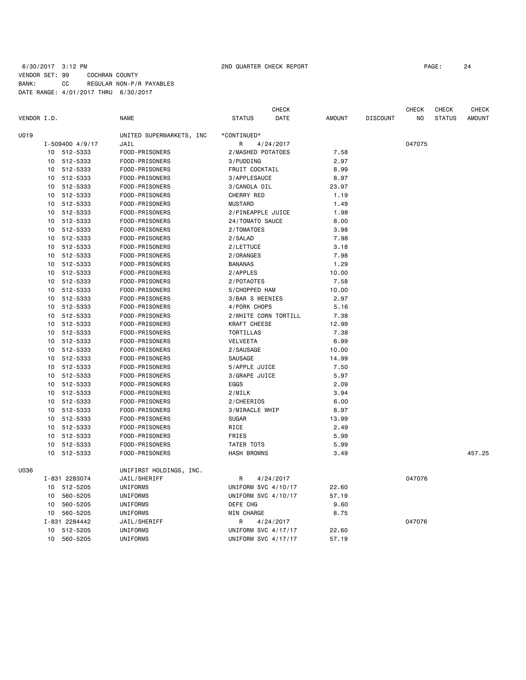## 6/30/2017 3:12 PM 2ND QUARTER CHECK REPORT PAGE: 24 VENDOR SET: 99 COCHRAN COUNTY BANK: CC REGULAR NON-P/R PAYABLES DATE RANGE: 4/01/2017 THRU 6/30/2017

|             |                            |                                  | CHECK                           |               |                 | CHECK  | CHECK         | <b>CHECK</b>  |
|-------------|----------------------------|----------------------------------|---------------------------------|---------------|-----------------|--------|---------------|---------------|
| VENDOR I.D. |                            | <b>NAME</b>                      | <b>STATUS</b><br>DATE           | <b>AMOUNT</b> | <b>DISCOUNT</b> | NO     | <b>STATUS</b> | <b>AMOUNT</b> |
| U019        |                            | UNITED SUPERMARKETS, INC         | *CONTINUED*                     |               |                 |        |               |               |
|             | $I - 509400$ 4/9/17        | JAIL                             | R<br>4/24/2017                  |               |                 | 047075 |               |               |
|             | 10 512-5333                | FOOD-PRISONERS                   | 2/MASHED POTATOES               | 7.58          |                 |        |               |               |
|             | 512-5333<br>10             | FOOD-PRISONERS                   | 3/PUDDING                       | 2.97          |                 |        |               |               |
|             | 512-5333<br>10             | FOOD-PRISONERS                   | FRUIT COCKTAIL                  | 8.99          |                 |        |               |               |
|             | 512-5333<br>10             | FOOD-PRISONERS                   | 3/APPLESAUCE                    | 8.97          |                 |        |               |               |
|             | 10<br>512-5333             | FOOD-PRISONERS                   | 3/CANOLA OIL                    | 23.97         |                 |        |               |               |
|             | 10<br>512-5333             | FOOD-PRISONERS                   | CHERRY RED                      | 1.19          |                 |        |               |               |
|             | 512-5333<br>10             | FOOD-PRISONERS                   | <b>MUSTARD</b>                  | 1.49          |                 |        |               |               |
|             | 512-5333<br>10             | FOOD-PRISONERS                   | 2/PINEAPPLE JUICE               | 1.98          |                 |        |               |               |
|             | 512-5333<br>10             | FOOD-PRISONERS                   | 24/TOMATO SAUCE                 | 8.00          |                 |        |               |               |
|             | 512-5333<br>10             | FOOD-PRISONERS                   | 2/TOMATOES                      | 3.98          |                 |        |               |               |
|             | 512-5333<br>10             | FOOD-PRISONERS                   | 2/SALAD                         | 7.98          |                 |        |               |               |
|             | 512-5333<br>10             | FOOD-PRISONERS                   | 2/LETTUCE                       | 3.18          |                 |        |               |               |
|             | 512-5333<br>10             | FOOD-PRISONERS                   | 2/ORANGES                       | 7.98          |                 |        |               |               |
|             | 512-5333<br>10             | FOOD-PRISONERS                   | <b>BANANAS</b>                  | 1.29          |                 |        |               |               |
|             | 512-5333<br>10             | FOOD-PRISONERS                   | 2/APPLES                        | 10.00         |                 |        |               |               |
|             | 10<br>512-5333             | FOOD-PRISONERS                   | 2/POTAOTES                      | 7.58          |                 |        |               |               |
|             | 10<br>512-5333             | FOOD-PRISONERS                   | 5/CHOPPED HAM                   | 10.00         |                 |        |               |               |
|             | 10                         |                                  |                                 | 2.97          |                 |        |               |               |
|             | 512-5333<br>10<br>512-5333 | FOOD-PRISONERS<br>FOOD-PRISONERS | 3/BAR S WEENIES<br>4/PORK CHOPS | 5.16          |                 |        |               |               |
|             | 10                         |                                  |                                 |               |                 |        |               |               |
|             | 512-5333<br>512-5333<br>10 | FOOD-PRISONERS                   | 2/WHITE CORN TORTILL            | 7.38<br>12.99 |                 |        |               |               |
|             | 512-5333                   | FOOD-PRISONERS                   | KRAFT CHEESE<br>TORTILLAS       | 7.38          |                 |        |               |               |
|             | 10                         | FOOD-PRISONERS                   |                                 |               |                 |        |               |               |
|             | 512-5333<br>10             | FOOD-PRISONERS                   | <b>VELVEETA</b>                 | 6.99          |                 |        |               |               |
|             | 512-5333<br>10             | FOOD-PRISONERS                   | 2/SAUSAGE                       | 10.00         |                 |        |               |               |
|             | 512-5333<br>10             | FOOD-PRISONERS                   | SAUSAGE                         | 14.99         |                 |        |               |               |
|             | 512-5333<br>10             | FOOD-PRISONERS                   | 5/APPLE JUICE                   | 7.50          |                 |        |               |               |
|             | 512-5333<br>10             | FOOD-PRISONERS                   | 3/GRAPE JUICE                   | 5.97          |                 |        |               |               |
|             | 10<br>512-5333             | FOOD-PRISONERS                   | EGGS                            | 2.09          |                 |        |               |               |
|             | 10<br>512-5333             | FOOD-PRISONERS                   | 2/MILK                          | 3.94          |                 |        |               |               |
|             | 512-5333<br>10             | FOOD-PRISONERS                   | 2/CHEERIOS                      | 6.00          |                 |        |               |               |
|             | 512-5333<br>10             | FOOD-PRISONERS                   | 3/MIRACLE WHIP                  | 8.97          |                 |        |               |               |
|             | 512-5333<br>10             | FOOD-PRISONERS                   | <b>SUGAR</b>                    | 13.99         |                 |        |               |               |
|             | 512-5333<br>10             | FOOD-PRISONERS                   | RICE                            | 2.49          |                 |        |               |               |
|             | 10 512-5333                | FOOD-PRISONERS                   | FRIES                           | 5.99          |                 |        |               |               |
|             | 512-5333<br>10             | FOOD-PRISONERS                   | TATER TOTS                      | 5.99          |                 |        |               |               |
|             | 10 512-5333                | FOOD-PRISONERS                   | <b>HASH BROWNS</b>              | 3.49          |                 |        |               | 457.25        |
| U036        |                            | UNIFIRST HOLDINGS, INC.          |                                 |               |                 |        |               |               |
|             | I-831 2283074              | JAIL/SHERIFF                     | R<br>4/24/2017                  |               |                 | 047076 |               |               |
|             | 512-5205<br>10             | UNIFORMS                         | UNIFORM SVC 4/10/17             | 22.60         |                 |        |               |               |
|             | 560-5205<br>10             | UNIFORMS                         | UNIFORM SVC 4/10/17             | 57.19         |                 |        |               |               |
|             | 10<br>560-5205             | UNIFORMS                         | DEFE CHG                        | 9.60          |                 |        |               |               |
|             | 560-5205<br>10             | UNIFORMS                         | MIN CHARGE                      | 8.75          |                 |        |               |               |
|             | I-831 2284442              | JAIL/SHERIFF                     | R<br>4/24/2017                  |               |                 | 047076 |               |               |
|             | 512-5205<br>10             | <b>UNIFORMS</b>                  | UNIFORM SVC 4/17/17             | 22.60         |                 |        |               |               |
|             | 10<br>560-5205             | <b>UNIFORMS</b>                  | UNIFORM SVC 4/17/17             | 57.19         |                 |        |               |               |
|             |                            |                                  |                                 |               |                 |        |               |               |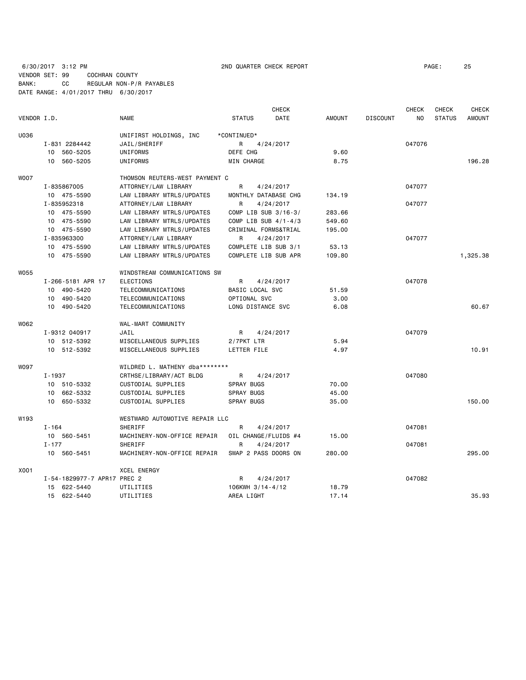6/30/2017 3:12 PM 2ND QUARTER CHECK REPORT PAGE: 25 VENDOR SET: 99 COCHRAN COUNTY

BANK: CC REGULAR NON-P/R PAYABLES

|                  | DATE RANGE: 4/01/2017 THRU 6/30/2017 |                                |                              |               |                 |              |               |               |
|------------------|--------------------------------------|--------------------------------|------------------------------|---------------|-----------------|--------------|---------------|---------------|
|                  |                                      |                                | <b>CHECK</b>                 |               |                 | <b>CHECK</b> | CHECK         | <b>CHECK</b>  |
| VENDOR I.D.      |                                      | <b>NAME</b>                    | <b>DATE</b><br><b>STATUS</b> | <b>AMOUNT</b> | <b>DISCOUNT</b> | NO           | <b>STATUS</b> | <b>AMOUNT</b> |
| U036             |                                      | UNIFIRST HOLDINGS, INC         | *CONTINUED*                  |               |                 |              |               |               |
|                  | I-831 2284442                        | JAIL/SHERIFF                   | R<br>4/24/2017               |               |                 | 047076       |               |               |
|                  | 10 560-5205                          | UNIFORMS                       | DEFE CHG                     | 9.60          |                 |              |               |               |
|                  | 10 560-5205                          | UNIFORMS                       | <b>MIN CHARGE</b>            | 8.75          |                 |              |               | 196.28        |
| <b>WO07</b>      |                                      | THOMSON REUTERS-WEST PAYMENT C |                              |               |                 |              |               |               |
|                  | I-835867005                          | ATTORNEY/LAW LIBRARY           | R<br>4/24/2017               |               |                 | 047077       |               |               |
|                  | 10 475-5590                          | LAW LIBRARY MTRLS/UPDATES      | MONTHLY DATABASE CHG         | 134.19        |                 |              |               |               |
|                  | I-835952318                          | ATTORNEY/LAW LIBRARY           | R<br>4/24/2017               |               |                 | 047077       |               |               |
|                  | 10 475-5590                          | LAW LIBRARY MTRLS/UPDATES      | COMP LIB SUB 3/16-3/         | 283.66        |                 |              |               |               |
|                  | 10 475-5590                          | LAW LIBRARY MTRLS/UPDATES      | COMP LIB SUB 4/1-4/3         | 549.60        |                 |              |               |               |
|                  | 10 475-5590                          | LAW LIBRARY MTRLS/UPDATES      | CRIMINAL FORMS&TRIAL         | 195.00        |                 |              |               |               |
|                  | I-835963300                          | ATTORNEY/LAW LIBRARY           | R<br>4/24/2017               |               |                 | 047077       |               |               |
|                  | 10 475-5590                          | LAW LIBRARY MTRLS/UPDATES      | COMPLETE LIB SUB 3/1         | 53.13         |                 |              |               |               |
|                  | 10 475-5590                          | LAW LIBRARY MTRLS/UPDATES      | COMPLETE LIB SUB APR         | 109.80        |                 |              |               | 1,325.38      |
| <b>W055</b>      |                                      | WINDSTREAM COMMUNICATIONS SW   |                              |               |                 |              |               |               |
|                  | I-266-5181 APR 17                    | <b>ELECTIONS</b>               | 4/24/2017<br>R               |               |                 | 047078       |               |               |
|                  | 10 490-5420                          | TELECOMMUNICATIONS             | BASIC LOCAL SVC              | 51.59         |                 |              |               |               |
|                  | 10 490-5420                          | TELECOMMUNICATIONS             | OPTIONAL SVC                 | 3.00          |                 |              |               |               |
|                  | 10 490-5420                          | TELECOMMUNICATIONS             | LONG DISTANCE SVC            | 6.08          |                 |              |               | 60.67         |
| W062             |                                      | WAL-MART COMMUNITY             |                              |               |                 |              |               |               |
|                  | I-9312 040917                        | JAIL                           | R<br>4/24/2017               |               |                 | 047079       |               |               |
|                  | 10 512-5392                          | MISCELLANEOUS SUPPLIES         | 2/7PKT LTR                   | 5.94          |                 |              |               |               |
|                  | 10 512-5392                          | MISCELLANEOUS SUPPLIES         | LETTER FILE                  | 4.97          |                 |              |               | 10.91         |
|                  |                                      |                                |                              |               |                 |              |               |               |
| <b>WO97</b>      |                                      | WILDRED L. MATHENY dba******** |                              |               |                 |              |               |               |
|                  | I-1937                               | CRTHSE/LIBRARY/ACT BLDG        | R<br>4/24/2017               |               |                 | 047080       |               |               |
|                  | 10 510-5332                          | CUSTODIAL SUPPLIES             | <b>SPRAY BUGS</b>            | 70.00         |                 |              |               |               |
|                  | 10 662-5332                          | CUSTODIAL SUPPLIES             | <b>SPRAY BUGS</b>            | 45.00         |                 |              |               |               |
|                  | 10 650-5332                          | CUSTODIAL SUPPLIES             | <b>SPRAY BUGS</b>            | 35.00         |                 |              |               | 150.00        |
| W <sub>193</sub> |                                      | WESTWARD AUTOMOTIVE REPAIR LLC |                              |               |                 |              |               |               |
|                  | $I - 164$                            | <b>SHERIFF</b>                 | R<br>4/24/2017               |               |                 | 047081       |               |               |
|                  | 10 560-5451                          | MACHINERY-NON-OFFICE REPAIR    | OIL CHANGE/FLUIDS #4         | 15.00         |                 |              |               |               |
|                  | $I - 177$                            | <b>SHERIFF</b>                 | R<br>4/24/2017               |               |                 | 047081       |               |               |
|                  | 10 560-5451                          | MACHINERY-NON-OFFICE REPAIR    | SWAP 2 PASS DOORS ON         | 280.00        |                 |              |               | 295,00        |
| X001             |                                      | <b>XCEL ENERGY</b>             |                              |               |                 |              |               |               |
|                  | I-54-1829977-7 APR17 PREC 2          |                                | 4/24/2017<br>R               |               |                 | 047082       |               |               |
|                  | 15 622-5440                          | UTILITIES                      | 106KWH 3/14-4/12             | 18.79         |                 |              |               |               |
|                  | 15 622-5440                          | UTILITIES                      | AREA LIGHT                   | 17.14         |                 |              |               | 35.93         |
|                  |                                      |                                |                              |               |                 |              |               |               |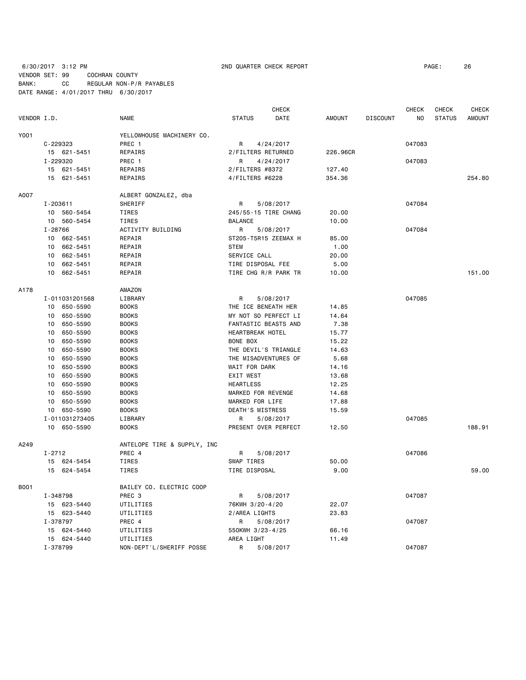6/30/2017 3:12 PM 2ND QUARTER CHECK REPORT PAGE: 26 VENDOR SET: 99 COCHRAN COUNTY BANK: CC REGULAR NON-P/R PAYABLES DATE RANGE: 4/01/2017 THRU 6/30/2017

|             |                             |                             | <b>CHECK</b>            |               |                 | <b>CHECK</b>   | <b>CHECK</b>  | <b>CHECK</b>  |
|-------------|-----------------------------|-----------------------------|-------------------------|---------------|-----------------|----------------|---------------|---------------|
| VENDOR I.D. |                             | <b>NAME</b>                 | <b>STATUS</b><br>DATE   | <b>AMOUNT</b> | <b>DISCOUNT</b> | N <sub>O</sub> | <b>STATUS</b> | <b>AMOUNT</b> |
| Y001        |                             | YELLOWHOUSE MACHINERY CO.   |                         |               |                 |                |               |               |
|             | C-229323                    | PREC 1                      | 4/24/2017<br>R          |               |                 | 047083         |               |               |
|             | 15 621-5451                 | REPAIRS                     | 2/FILTERS RETURNED      | 226.96CR      |                 |                |               |               |
|             | I-229320                    | PREC 1                      | R<br>4/24/2017          |               |                 | 047083         |               |               |
|             | 15 621-5451                 | REPAIRS                     | 2/FILTERS #8372         | 127.40        |                 |                |               |               |
|             | 15 621-5451                 | REPAIRS                     | 4/FILTERS #6228         | 354.36        |                 |                |               | 254.80        |
| A007        |                             | ALBERT GONZALEZ, dba        |                         |               |                 |                |               |               |
|             | I-203611                    | SHERIFF                     | 5/08/2017<br>R          |               |                 | 047084         |               |               |
|             | 10 560-5454                 | TIRES                       | 245/55-15 TIRE CHANG    | 20.00         |                 |                |               |               |
|             | 10 560-5454                 | <b>TIRES</b>                | <b>BALANCE</b>          | 10.00         |                 |                |               |               |
|             | I-28766                     | ACTIVITY BUILDING           | R<br>5/08/2017          |               |                 | 047084         |               |               |
|             | 10 662-5451                 | REPAIR                      | ST205-T5R15 ZEEMAX H    | 85.00         |                 |                |               |               |
|             | 10 662-5451                 | REPAIR                      | <b>STEM</b>             | 1.00          |                 |                |               |               |
|             | 10 662-5451                 | REPAIR                      | SERVICE CALL            | 20.00         |                 |                |               |               |
|             | 10 662-5451                 | REPAIR                      | TIRE DISPOSAL FEE       | 5.00          |                 |                |               |               |
|             | 10 662-5451                 | REPAIR                      | TIRE CHG R/R PARK TR    | 10.00         |                 |                |               | 151.00        |
| A178        |                             | AMAZON                      |                         |               |                 |                |               |               |
|             | I-011031201568              | LIBRARY                     | R<br>5/08/2017          |               |                 | 047085         |               |               |
|             | 10 650-5590                 | <b>BOOKS</b>                | THE ICE BENEATH HER     | 14.85         |                 |                |               |               |
|             | 650-5590<br>10              | <b>BOOKS</b>                | MY NOT SO PERFECT LI    | 14.64         |                 |                |               |               |
|             | 10 650-5590                 | <b>BOOKS</b>                | FANTASTIC BEASTS AND    | 7.38          |                 |                |               |               |
|             | 10 <sup>1</sup><br>650-5590 | <b>BOOKS</b>                | <b>HEARTBREAK HOTEL</b> | 15.77         |                 |                |               |               |
|             | 10<br>650-5590              | <b>BOOKS</b>                | BONE BOX                | 15.22         |                 |                |               |               |
|             | 650-5590<br>10              | <b>BOOKS</b>                | THE DEVIL'S TRIANGLE    | 14.63         |                 |                |               |               |
|             | 10<br>650-5590              | <b>BOOKS</b>                | THE MISADVENTURES OF    | 5.68          |                 |                |               |               |
|             | 10<br>650-5590              | <b>BOOKS</b>                | WAIT FOR DARK           | 14.16         |                 |                |               |               |
|             | 10<br>650-5590              | <b>BOOKS</b>                | <b>EXIT WEST</b>        | 13.68         |                 |                |               |               |
|             | 10<br>650-5590              | <b>BOOKS</b>                | <b>HEARTLESS</b>        | 12.25         |                 |                |               |               |
|             | 650-5590<br>10              | <b>BOOKS</b>                | MARKED FOR REVENGE      | 14.68         |                 |                |               |               |
|             | 10 650-5590                 | <b>BOOKS</b>                | MARKED FOR LIFE         | 17.88         |                 |                |               |               |
|             | 10 650-5590                 | <b>BOOKS</b>                | DEATH'S MISTRESS        | 15.59         |                 |                |               |               |
|             | I-011031273405              | LIBRARY                     | 5/08/2017<br>R          |               |                 | 047085         |               |               |
|             | 10 650-5590                 | <b>BOOKS</b>                | PRESENT OVER PERFECT    | 12.50         |                 |                |               | 188.91        |
| A249        |                             | ANTELOPE TIRE & SUPPLY, INC |                         |               |                 |                |               |               |
|             | $I - 2712$                  | PREC 4                      | R<br>5/08/2017          |               |                 | 047086         |               |               |
|             | 15 624-5454                 | TIRES                       | SWAP TIRES              | 50.00         |                 |                |               |               |
|             | 15 624-5454                 | <b>TIRES</b>                | TIRE DISPOSAL           | 9.00          |                 |                |               | 59.00         |
| B001        |                             | BAILEY CO. ELECTRIC COOP    |                         |               |                 |                |               |               |
|             | I-348798                    | PREC <sub>3</sub>           | 5/08/2017<br>R.         |               |                 | 047087         |               |               |
|             | 15 623-5440                 | UTILITIES                   | 76KWH 3/20-4/20         | 22.07         |                 |                |               |               |
|             | 15 623-5440                 | UTILITIES                   | 2/AREA LIGHTS           | 23.83         |                 |                |               |               |
|             | I-378797                    | PREC 4                      | 5/08/2017<br>R          |               |                 | 047087         |               |               |
|             | 15 624-5440                 | UTILITIES                   | 550KWH 3/23-4/25        | 66.16         |                 |                |               |               |
|             | 15 624-5440                 | UTILITIES                   | AREA LIGHT              | 11.49         |                 |                |               |               |
|             | I-378799                    | NON-DEPT'L/SHERIFF POSSE    | R<br>5/08/2017          |               |                 | 047087         |               |               |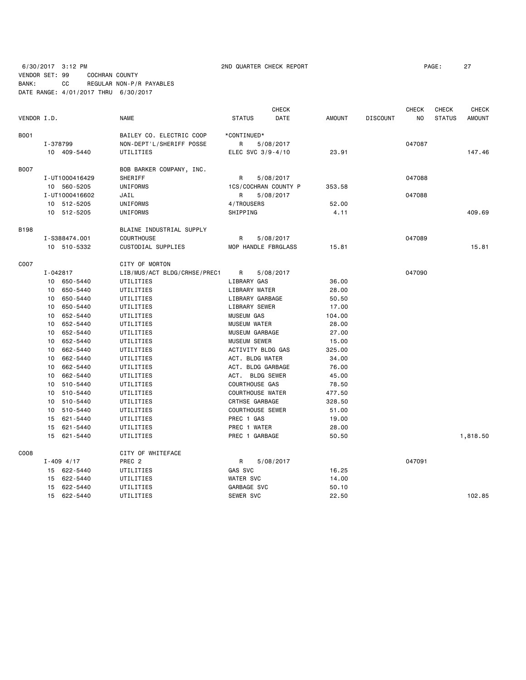# 6/30/2017 3:12 PM 2ND QUARTER CHECK REPORT PAGE: 27 VENDOR SET: 99 COCHRAN COUNTY BANK: CC REGULAR NON-P/R PAYABLES DATE RANGE: 4/01/2017 THRU 6/30/2017

|             |          |                |                              |                         | <b>CHECK</b> |               |                 | <b>CHECK</b>   | <b>CHECK</b>  | <b>CHECK</b>  |
|-------------|----------|----------------|------------------------------|-------------------------|--------------|---------------|-----------------|----------------|---------------|---------------|
| VENDOR I.D. |          |                | <b>NAME</b>                  | <b>STATUS</b>           | DATE         | <b>AMOUNT</b> | <b>DISCOUNT</b> | N <sub>O</sub> | <b>STATUS</b> | <b>AMOUNT</b> |
| <b>B001</b> |          |                | BAILEY CO. ELECTRIC COOP     | *CONTINUED*             |              |               |                 |                |               |               |
|             | I-378799 |                | NON-DEPT'L/SHERIFF POSSE     | R                       | 5/08/2017    |               |                 | 047087         |               |               |
|             |          | 10 409-5440    | UTILITIES                    | ELEC SVC 3/9-4/10       |              | 23.91         |                 |                |               | 147.46        |
| <b>B007</b> |          |                | BOB BARKER COMPANY, INC.     |                         |              |               |                 |                |               |               |
|             |          | I-UT1000416429 | SHERIFF                      | R                       | 5/08/2017    |               |                 | 047088         |               |               |
|             |          | 10 560-5205    | UNIFORMS                     | 1CS/COCHRAN COUNTY P    |              | 353.58        |                 |                |               |               |
|             |          | I-UT1000416602 | JAIL                         | R                       | 5/08/2017    |               |                 | 047088         |               |               |
|             |          | 10 512-5205    | UNIFORMS                     | 4/TROUSERS              |              | 52.00         |                 |                |               |               |
|             |          | 10 512-5205    | UNIFORMS                     | SHIPPING                |              | 4.11          |                 |                |               | 409.69        |
| <b>B198</b> |          |                | BLAINE INDUSTRIAL SUPPLY     |                         |              |               |                 |                |               |               |
|             |          | I-S388474.001  | <b>COURTHOUSE</b>            | R                       | 5/08/2017    |               |                 | 047089         |               |               |
|             |          | 10 510-5332    | CUSTODIAL SUPPLIES           | MOP HANDLE FBRGLASS     |              | 15.81         |                 |                |               | 15.81         |
| C007        |          |                | CITY OF MORTON               |                         |              |               |                 |                |               |               |
|             | I-042817 |                | LIB/MUS/ACT BLDG/CRHSE/PREC1 | R                       | 5/08/2017    |               |                 | 047090         |               |               |
|             |          | 10 650-5440    | UTILITIES                    | LIBRARY GAS             |              | 36.00         |                 |                |               |               |
|             |          | 10 650-5440    | UTILITIES                    | LIBRARY WATER           |              | 28.00         |                 |                |               |               |
|             |          | 10 650-5440    | UTILITIES                    | LIBRARY GARBAGE         |              | 50.50         |                 |                |               |               |
|             | 10       | 650-5440       | UTILITIES                    | LIBRARY SEWER           |              | 17.00         |                 |                |               |               |
|             | 10       | 652-5440       | UTILITIES                    | <b>MUSEUM GAS</b>       |              | 104.00        |                 |                |               |               |
|             |          | 10 652-5440    | UTILITIES                    | <b>MUSEUM WATER</b>     |              | 28.00         |                 |                |               |               |
|             | 10       | 652-5440       | UTILITIES                    | MUSEUM GARBAGE          |              | 27.00         |                 |                |               |               |
|             |          | 10 652-5440    | UTILITIES                    | <b>MUSEUM SEWER</b>     |              | 15.00         |                 |                |               |               |
|             |          | 10 662-5440    | UTILITIES                    | ACTIVITY BLDG GAS       |              | 325.00        |                 |                |               |               |
|             |          | 10 662-5440    | UTILITIES                    | ACT. BLDG WATER         |              | 34.00         |                 |                |               |               |
|             | 10       | 662-5440       | UTILITIES                    | ACT. BLDG GARBAGE       |              | 76.00         |                 |                |               |               |
|             | 10       | 662-5440       | UTILITIES                    | ACT. BLDG SEWER         |              | 45.00         |                 |                |               |               |
|             |          | 10 510-5440    | UTILITIES                    | <b>COURTHOUSE GAS</b>   |              | 78.50         |                 |                |               |               |
|             |          | 10 510-5440    | UTILITIES                    | <b>COURTHOUSE WATER</b> |              | 477.50        |                 |                |               |               |
|             | 10       | 510-5440       | UTILITIES                    | <b>CRTHSE GARBAGE</b>   |              | 328.50        |                 |                |               |               |
|             |          | 10 510-5440    | UTILITIES                    | <b>COURTHOUSE SEWER</b> |              | 51.00         |                 |                |               |               |
|             | 15       | 621-5440       | UTILITIES                    | PREC 1 GAS              |              | 19.00         |                 |                |               |               |
|             | 15       | 621 - 5440     | UTILITIES                    | PREC 1 WATER            |              | 28.00         |                 |                |               |               |
|             | 15       | 621-5440       | UTILITIES                    | PREC 1 GARBAGE          |              | 50.50         |                 |                |               | 1,818.50      |
| C008        |          |                | CITY OF WHITEFACE            |                         |              |               |                 |                |               |               |
|             |          | $I - 409$ 4/17 | PREC 2                       | R                       | 5/08/2017    |               |                 | 047091         |               |               |
|             |          | 15 622-5440    | UTILITIES                    | GAS SVC                 |              | 16.25         |                 |                |               |               |
|             |          | 15 622-5440    | UTILITIES                    | <b>WATER SVC</b>        |              | 14.00         |                 |                |               |               |
|             | 15       | 622-5440       | UTILITIES                    | GARBAGE SVC             |              | 50.10         |                 |                |               |               |
|             |          | 15 622-5440    | UTILITIES                    | SEWER SVC               |              | 22.50         |                 |                |               | 102.85        |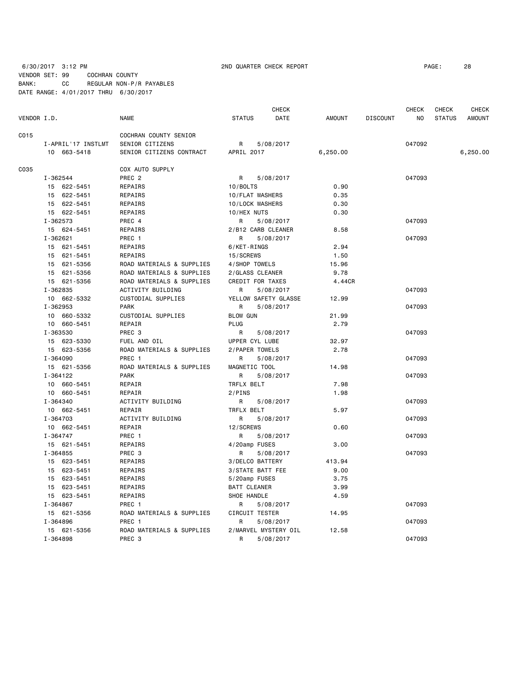# 6/30/2017 3:12 PM 2ND QUARTER CHECK REPORT PAGE: 28 VENDOR SET: 99 COCHRAN COUNTY BANK: CC REGULAR NON-P/R PAYABLES DATE RANGE: 4/01/2017 THRU 6/30/2017

|             |                    |                           |                       | <b>CHECK</b>         |               |                 | <b>CHECK</b>   | <b>CHECK</b>  | <b>CHECK</b>  |
|-------------|--------------------|---------------------------|-----------------------|----------------------|---------------|-----------------|----------------|---------------|---------------|
| VENDOR I.D. |                    | <b>NAME</b>               | <b>STATUS</b>         | DATE                 | <b>AMOUNT</b> | <b>DISCOUNT</b> | N <sub>O</sub> | <b>STATUS</b> | <b>AMOUNT</b> |
| C015        |                    | COCHRAN COUNTY SENIOR     |                       |                      |               |                 |                |               |               |
|             | I-APRIL'17 INSTLMT | SENIOR CITIZENS           | R                     | 5/08/2017            |               |                 | 047092         |               |               |
|             | 10 663-5418        | SENIOR CITIZENS CONTRACT  | APRIL 2017            |                      | 6,250.00      |                 |                |               | 6,250.00      |
| C035        |                    | COX AUTO SUPPLY           |                       |                      |               |                 |                |               |               |
|             | I-362544           | PREC <sub>2</sub>         | R                     | 5/08/2017            |               |                 | 047093         |               |               |
|             | 15 622-5451        | REPAIRS                   | 10/BOLTS              |                      | 0.90          |                 |                |               |               |
|             | 15<br>622-5451     | REPAIRS                   | 10/FLAT WASHERS       |                      | 0.35          |                 |                |               |               |
|             | 15 622-5451        | REPAIRS                   | 10/LOCK WASHERS       |                      | 0.30          |                 |                |               |               |
|             | 15 622-5451        | REPAIRS                   | 10/HEX NUTS           |                      | 0.30          |                 |                |               |               |
|             | I-362573           | PREC 4                    | R                     | 5/08/2017            |               |                 | 047093         |               |               |
|             | 15 624-5451        | REPAIRS                   | 2/B12 CARB CLEANER    |                      | 8.58          |                 |                |               |               |
|             | I-362621           | PREC 1                    | R                     | 5/08/2017            |               |                 | 047093         |               |               |
|             | 15 621-5451        | REPAIRS                   | 6/KET-RINGS           |                      | 2.94          |                 |                |               |               |
|             | 15<br>621-5451     | REPAIRS                   | 15/SCREWS             |                      | 1.50          |                 |                |               |               |
|             | 621-5356<br>15     | ROAD MATERIALS & SUPPLIES | 4/SHOP TOWELS         |                      | 15.96         |                 |                |               |               |
|             | 621-5356<br>15     | ROAD MATERIALS & SUPPLIES | 2/GLASS CLEANER       |                      | 9.78          |                 |                |               |               |
|             | 15 621-5356        | ROAD MATERIALS & SUPPLIES | CREDIT FOR TAXES      |                      | 4.44CR        |                 |                |               |               |
|             | I-362835           | ACTIVITY BUILDING         | R                     | 5/08/2017            |               |                 | 047093         |               |               |
|             | 10 662-5332        | CUSTODIAL SUPPLIES        | YELLOW SAFETY GLASSE  |                      | 12.99         |                 |                |               |               |
|             | I-362953           | <b>PARK</b>               | R                     | 5/08/2017            |               |                 | 047093         |               |               |
|             | 10 660-5332        | CUSTODIAL SUPPLIES        | <b>BLOW GUN</b>       |                      | 21.99         |                 |                |               |               |
|             | 10 660-5451        | REPAIR                    | PLUG                  |                      | 2.79          |                 |                |               |               |
|             | I-363530           | PREC 3                    | R                     | 5/08/2017            |               |                 | 047093         |               |               |
|             | 15 623-5330        | FUEL AND OIL              | UPPER CYL LUBE        |                      | 32.97         |                 |                |               |               |
|             | 15 623-5356        | ROAD MATERIALS & SUPPLIES | 2/PAPER TOWELS        |                      | 2.78          |                 |                |               |               |
|             | I-364090           | PREC 1                    | R                     | 5/08/2017            |               |                 | 047093         |               |               |
|             | 15 621-5356        | ROAD MATERIALS & SUPPLIES | MAGNETIC TOOL         |                      | 14.98         |                 |                |               |               |
|             | I-364122           | <b>PARK</b>               | R                     | 5/08/2017            |               |                 | 047093         |               |               |
|             | 10 660-5451        | REPAIR                    | TRFLX BELT            |                      | 7.98          |                 |                |               |               |
|             | 10 660-5451        | REPAIR                    | 2/PINS                |                      | 1.98          |                 |                |               |               |
|             | I-364340           | ACTIVITY BUILDING         | R                     | 5/08/2017            |               |                 | 047093         |               |               |
|             | 10 662-5451        | REPAIR                    | TRFLX BELT            |                      | 5.97          |                 |                |               |               |
|             | I-364703           | <b>ACTIVITY BUILDING</b>  | R                     | 5/08/2017            |               |                 | 047093         |               |               |
|             | 10 662-5451        | REPAIR                    | 12/SCREWS             |                      | 0.60          |                 |                |               |               |
|             | $I - 364747$       | PREC 1                    | R                     | 5/08/2017            |               |                 | 047093         |               |               |
|             | 15 621-5451        | <b>REPAIRS</b>            | 4/20amp FUSES         |                      | 3.00          |                 |                |               |               |
|             | I-364855           | PREC 3                    | R                     | 5/08/2017            |               |                 | 047093         |               |               |
|             | 15 623-5451        | REPAIRS                   | 3/DELCO BATTERY       |                      | 413.94        |                 |                |               |               |
|             | 623-5451<br>15     | REPAIRS                   | 3/STATE BATT FEE      |                      | 9.00          |                 |                |               |               |
|             | 15<br>623-5451     | REPAIRS                   | 5/20amp FUSES         |                      | 3.75          |                 |                |               |               |
|             | 15 623-5451        | REPAIRS                   | <b>BATT CLEANER</b>   |                      | 3.99          |                 |                |               |               |
|             | 15 623-5451        | REPAIRS                   | SHOE HANDLE           |                      | 4.59          |                 |                |               |               |
|             | I-364867           | PREC 1                    | R                     | 5/08/2017            |               |                 | 047093         |               |               |
|             | 15 621-5356        | ROAD MATERIALS & SUPPLIES | <b>CIRCUIT TESTER</b> |                      | 14.95         |                 |                |               |               |
|             | I-364896           | PREC 1                    | R                     | 5/08/2017            |               |                 | 047093         |               |               |
|             | 15 621-5356        | ROAD MATERIALS & SUPPLIES |                       | 2/MARVEL MYSTERY OIL | 12.58         |                 |                |               |               |
|             | I-364898           | PREC <sub>3</sub>         | R                     | 5/08/2017            |               |                 | 047093         |               |               |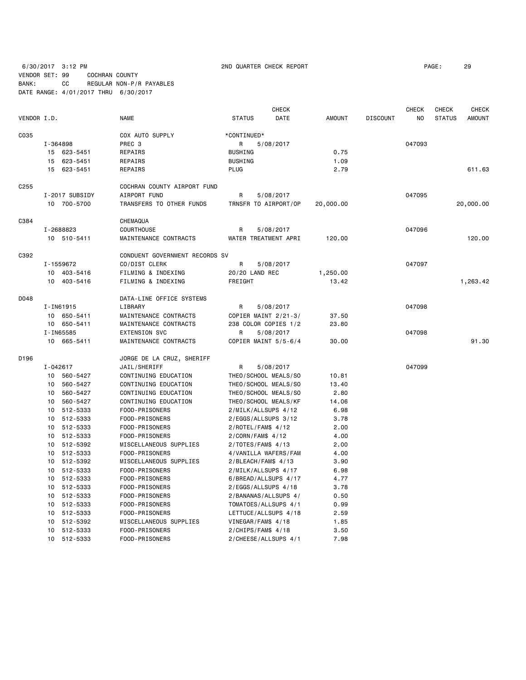6/30/2017 3:12 PM 2ND QUARTER CHECK REPORT PAGE: 29 VENDOR SET: 99 COCHRAN COUNTY BANK: CC REGULAR NON-P/R PAYABLES

DATE RANGE: 4/01/2017 THRU 6/30/2017

|                  |          |                |                                |                      | <b>CHECK</b> |               |                 | <b>CHECK</b> | <b>CHECK</b>  | <b>CHECK</b>  |
|------------------|----------|----------------|--------------------------------|----------------------|--------------|---------------|-----------------|--------------|---------------|---------------|
| VENDOR I.D.      |          |                | <b>NAME</b>                    | <b>STATUS</b>        | DATE         | <b>AMOUNT</b> | <b>DISCOUNT</b> | NO           | <b>STATUS</b> | <b>AMOUNT</b> |
| C035             |          |                | COX AUTO SUPPLY                | *CONTINUED*          |              |               |                 |              |               |               |
|                  | I-364898 |                | PREC <sub>3</sub>              | R                    | 5/08/2017    |               |                 | 047093       |               |               |
|                  |          | 15 623-5451    | REPAIRS                        | <b>BUSHING</b>       |              | 0.75          |                 |              |               |               |
|                  | 15       | 623-5451       | REPAIRS                        | <b>BUSHING</b>       |              | 1.09          |                 |              |               |               |
|                  |          | 15 623-5451    | REPAIRS                        | <b>PLUG</b>          |              | 2.79          |                 |              |               | 611.63        |
| C <sub>255</sub> |          |                | COCHRAN COUNTY AIRPORT FUND    |                      |              |               |                 |              |               |               |
|                  |          | I-2017 SUBSIDY | AIRPORT FUND                   | R                    | 5/08/2017    |               |                 | 047095       |               |               |
|                  |          | 10 700-5700    | TRANSFERS TO OTHER FUNDS       | TRNSFR TO AIRPORT/OP |              | 20,000.00     |                 |              |               | 20,000.00     |
| C384             |          |                | CHEMAQUA                       |                      |              |               |                 |              |               |               |
|                  |          | I-2688823      | <b>COURTHOUSE</b>              | R                    | 5/08/2017    |               |                 | 047096       |               |               |
|                  |          | 10 510-5411    | MAINTENANCE CONTRACTS          | WATER TREATMENT APRI |              | 120.00        |                 |              |               | 120.00        |
| C392             |          |                | CONDUENT GOVERNMENT RECORDS SV |                      |              |               |                 |              |               |               |
|                  |          | I-1559672      | CO/DIST CLERK                  | R                    | 5/08/2017    |               |                 | 047097       |               |               |
|                  |          | 10 403-5416    | FILMING & INDEXING             | 20/20 LAND REC       |              | 1,250.00      |                 |              |               |               |
|                  |          | 10 403-5416    | FILMING & INDEXING             | FREIGHT              |              | 13.42         |                 |              |               | 1,263.42      |
| D048             |          |                | DATA-LINE OFFICE SYSTEMS       |                      |              |               |                 |              |               |               |
|                  |          | I-IN61915      | LIBRARY                        | R                    | 5/08/2017    |               |                 | 047098       |               |               |
|                  |          | 10 650-5411    | MAINTENANCE CONTRACTS          | COPIER MAINT 2/21-3/ |              | 37.50         |                 |              |               |               |
|                  |          | 10 650-5411    | MAINTENANCE CONTRACTS          | 238 COLOR COPIES 1/2 |              | 23.80         |                 |              |               |               |
|                  |          | I-IN65585      | <b>EXTENSION SVC</b>           | R                    | 5/08/2017    |               |                 | 047098       |               |               |
|                  |          | 10 665-5411    | MAINTENANCE CONTRACTS          | COPIER MAINT 5/5-6/4 |              | 30.00         |                 |              |               | 91.30         |
| D196             |          |                | JORGE DE LA CRUZ, SHERIFF      |                      |              |               |                 |              |               |               |
|                  | I-042617 |                | JAIL/SHERIFF                   | R                    | 5/08/2017    |               |                 | 047099       |               |               |
|                  |          | 10 560-5427    | CONTINUING EDUCATION           | THEO/SCHOOL MEALS/SO |              | 10.81         |                 |              |               |               |
|                  | 10       | 560-5427       | CONTINUING EDUCATION           | THEO/SCHOOL MEALS/SO |              | 13.40         |                 |              |               |               |
|                  | 10       | 560-5427       | CONTINUING EDUCATION           | THEO/SCHOOL MEALS/SO |              | 2.80          |                 |              |               |               |
|                  | 10       | 560-5427       | CONTINUING EDUCATION           | THEO/SCHOOL MEALS/KF |              | 14.06         |                 |              |               |               |
|                  | 10       | 512-5333       | FOOD-PRISONERS                 | 2/MILK/ALLSUPS 4/12  |              | 6.98          |                 |              |               |               |
|                  | 10       | 512-5333       | FOOD-PRISONERS                 | 2/EGGS/ALLSUPS 3/12  |              | 3.78          |                 |              |               |               |
|                  | 10       | 512-5333       | FOOD-PRISONERS                 | 2/ROTEL/FAM\$ 4/12   |              | 2.00          |                 |              |               |               |
|                  | 10       | 512-5333       | FOOD-PRISONERS                 | 2/CORN/FAM\$ 4/12    |              | 4.00          |                 |              |               |               |
|                  | 10       | 512-5392       | MISCELLANEOUS SUPPLIES         | $2/TOTES/FAMS$ 4/13  |              | 2.00          |                 |              |               |               |
|                  | 10       | 512-5333       | FOOD-PRISONERS                 | 4/VANILLA WAFERS/FAM |              | 4.00          |                 |              |               |               |
|                  | 10       | 512-5392       | MISCELLANEOUS SUPPLIES         | 2/BLEACH/FAM\$ 4/13  |              | 3.90          |                 |              |               |               |
|                  |          | 10 512-5333    | FOOD-PRISONERS                 | 2/MILK/ALLSUPS 4/17  |              | 6.98          |                 |              |               |               |
|                  | 10       | 512-5333       | FOOD-PRISONERS                 | 6/BREAD/ALLSUPS 4/17 |              | 4.77          |                 |              |               |               |
|                  |          | 10 512-5333    | FOOD-PRISONERS                 | 2/EGGS/ALLSUPS 4/18  |              | 3.78          |                 |              |               |               |
|                  | 10       | 512-5333       | FOOD-PRISONERS                 | 2/BANANAS/ALLSUPS 4/ |              | 0.50          |                 |              |               |               |
|                  | 10       | 512-5333       | FOOD-PRISONERS                 | TOMATOES/ALLSUPS 4/1 |              | 0.99          |                 |              |               |               |
|                  | 10       | 512-5333       | FOOD-PRISONERS                 | LETTUCE/ALLSUPS 4/18 |              | 2.59          |                 |              |               |               |
|                  | 10       | 512-5392       | MISCELLANEOUS SUPPLIES         | VINEGAR/FAM\$ 4/18   |              | 1.85          |                 |              |               |               |
|                  | 10       | 512-5333       | FOOD-PRISONERS                 | $2/CHIPS/FAMS$ 4/18  |              | 3.50          |                 |              |               |               |
|                  | 10       | 512-5333       | FOOD-PRISONERS                 | 2/CHEESE/ALLSUPS 4/1 |              | 7.98          |                 |              |               |               |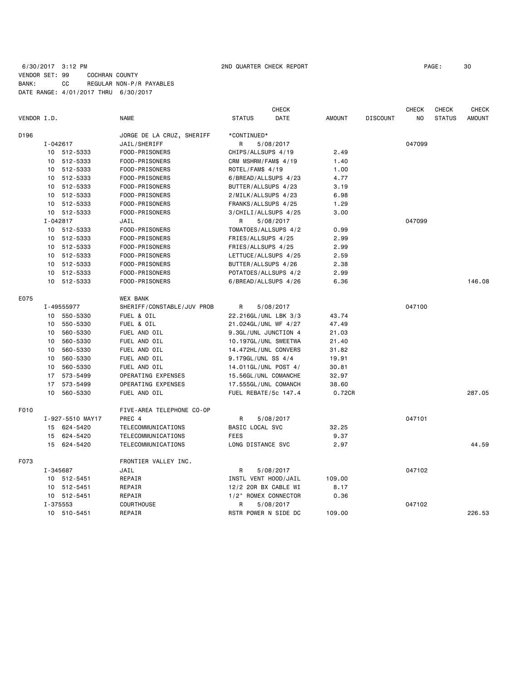# 6/30/2017 3:12 PM 2ND QUARTER CHECK REPORT PAGE: 30 VENDOR SET: 99 COCHRAN COUNTY BANK: CC REGULAR NON-P/R PAYABLES DATE RANGE: 4/01/2017 THRU 6/30/2017

| VENDOR I.D. |    |                  | <b>NAME</b>                      | <b>STATUS</b>                            | <b>CHECK</b><br><b>DATE</b> | <b>AMOUNT</b> | <b>DISCOUNT</b> | <b>CHECK</b><br>NO. | <b>CHECK</b><br><b>STATUS</b> | <b>CHECK</b><br><b>AMOUNT</b> |
|-------------|----|------------------|----------------------------------|------------------------------------------|-----------------------------|---------------|-----------------|---------------------|-------------------------------|-------------------------------|
|             |    |                  |                                  |                                          |                             |               |                 |                     |                               |                               |
| D196        |    | $I - 042617$     | JORGE DE LA CRUZ, SHERIFF        | *CONTINUED*<br>R                         |                             |               |                 | 047099              |                               |                               |
|             |    | 10 512-5333      | JAIL/SHERIFF<br>FOOD-PRISONERS   |                                          | 5/08/2017                   | 2.49          |                 |                     |                               |                               |
|             |    | 10 512-5333      |                                  | CHIPS/ALLSUPS 4/19                       |                             |               |                 |                     |                               |                               |
|             |    | 10 512-5333      | FOOD-PRISONERS<br>FOOD-PRISONERS | CRM MSHRM/FAM\$ 4/19<br>ROTEL/FAM\$ 4/19 |                             | 1.40<br>1.00  |                 |                     |                               |                               |
|             |    | 10 512-5333      | FOOD-PRISONERS                   |                                          | 6/BREAD/ALLSUPS 4/23        | 4.77          |                 |                     |                               |                               |
|             |    | 10 512-5333      | FOOD-PRISONERS                   | BUTTER/ALLSUPS 4/23                      |                             | 3.19          |                 |                     |                               |                               |
|             |    | 10 512-5333      | FOOD-PRISONERS                   |                                          |                             |               |                 |                     |                               |                               |
|             |    | 10 512-5333      |                                  | 2/MILK/ALLSUPS 4/23                      |                             | 6.98          |                 |                     |                               |                               |
|             |    |                  | FOOD-PRISONERS                   | FRANKS/ALLSUPS 4/25                      |                             | 1.29          |                 |                     |                               |                               |
|             |    | 10 512-5333      | FOOD-PRISONERS                   |                                          | 3/CHILI/ALLSUPS 4/25        | 3.00          |                 |                     |                               |                               |
|             |    | $I - 042817$     | JAIL                             | R                                        | 5/08/2017                   |               |                 | 047099              |                               |                               |
|             |    | 10 512-5333      | FOOD-PRISONERS                   |                                          | TOMATOES/ALLSUPS 4/2        | 0.99          |                 |                     |                               |                               |
|             |    | 10 512-5333      | FOOD-PRISONERS                   | FRIES/ALLSUPS 4/25                       |                             | 2.99          |                 |                     |                               |                               |
|             |    | 10 512-5333      | FOOD-PRISONERS                   | FRIES/ALLSUPS 4/25                       |                             | 2.99          |                 |                     |                               |                               |
|             |    | 10 512-5333      | FOOD-PRISONERS                   |                                          | LETTUCE/ALLSUPS 4/25        | 2.59          |                 |                     |                               |                               |
|             |    | 10 512-5333      | FOOD-PRISONERS                   | BUTTER/ALLSUPS 4/26                      |                             | 2.38          |                 |                     |                               |                               |
|             |    | 10 512-5333      | FOOD-PRISONERS                   |                                          | POTATOES/ALLSUPS 4/2        | 2.99          |                 |                     |                               |                               |
|             |    | 10 512-5333      | FOOD-PRISONERS                   |                                          | 6/BREAD/ALLSUPS 4/26        | 6.36          |                 |                     |                               | 146.08                        |
| E075        |    |                  | <b>WEX BANK</b>                  |                                          |                             |               |                 |                     |                               |                               |
|             |    | I-49555977       | SHERIFF/CONSTABLE/JUV PROB       | R                                        | 5/08/2017                   |               |                 | 047100              |                               |                               |
|             |    | 10 550-5330      | FUEL & OIL                       |                                          | 22.216GL/UNL LBK 3/3        | 43.74         |                 |                     |                               |                               |
|             | 10 | 550-5330         | FUEL & OIL                       |                                          | 21.024GL/UNL WF 4/27        | 47.49         |                 |                     |                               |                               |
|             | 10 | 560-5330         | FUEL AND OIL                     |                                          | 9.3GL/UNL JUNCTION 4        | 21.03         |                 |                     |                               |                               |
|             | 10 | 560-5330         | FUEL AND OIL                     |                                          | 10.197GL/UNL SWEETWA        | 21.40         |                 |                     |                               |                               |
|             | 10 | 560-5330         | FUEL AND OIL                     |                                          | 14.472HL/UNL CONVERS        | 31.82         |                 |                     |                               |                               |
|             | 10 | 560-5330         | FUEL AND OIL                     | 9.179GL/UNL SS 4/4                       |                             | 19.91         |                 |                     |                               |                               |
|             | 10 | 560-5330         | FUEL AND OIL                     |                                          | 14.011GL/UNL POST 4/        | 30.81         |                 |                     |                               |                               |
|             |    | 17 573-5499      | OPERATING EXPENSES               |                                          | 15.56GL/UNL COMANCHE        | 32.97         |                 |                     |                               |                               |
|             |    | 17 573-5499      | OPERATING EXPENSES               |                                          | 17.555GL/UNL COMANCH        | 38.60         |                 |                     |                               |                               |
|             | 10 | 560-5330         | FUEL AND OIL                     |                                          | FUEL REBATE/5c 147.4        | 0.72CR        |                 |                     |                               | 287.05                        |
| F010        |    |                  | FIVE-AREA TELEPHONE CO-OP        |                                          |                             |               |                 |                     |                               |                               |
|             |    | I-927-5510 MAY17 | PREC 4                           | R                                        | 5/08/2017                   |               |                 | 047101              |                               |                               |
|             |    | 15 624-5420      | TELECOMMUNICATIONS               | BASIC LOCAL SVC                          |                             | 32.25         |                 |                     |                               |                               |
|             |    | 15 624-5420      | TELECOMMUNICATIONS               | <b>FEES</b>                              |                             | 9.37          |                 |                     |                               |                               |
|             | 15 | 624-5420         | TELECOMMUNICATIONS               | LONG DISTANCE SVC                        |                             | 2.97          |                 |                     |                               | 44.59                         |
| F073        |    |                  | FRONTIER VALLEY INC.             |                                          |                             |               |                 |                     |                               |                               |
|             |    | I-345687         | JAIL                             | R                                        | 5/08/2017                   |               |                 | 047102              |                               |                               |
|             |    | 10 512-5451      | REPAIR                           |                                          | INSTL VENT HOOD/JAIL        | 109.00        |                 |                     |                               |                               |
|             |    | 10 512-5451      | REPAIR                           |                                          | 12/2 20R BX CABLE WI        | 8.17          |                 |                     |                               |                               |
|             |    | 10 512-5451      | REPAIR                           |                                          | 1/2" ROMEX CONNECTOR        | 0.36          |                 |                     |                               |                               |
|             |    | I-375553         | COURTHOUSE                       | R                                        | 5/08/2017                   |               |                 | 047102              |                               |                               |
|             |    | 10 510-5451      | REPAIR                           |                                          | RSTR POWER N SIDE DC        | 109.00        |                 |                     |                               | 226.53                        |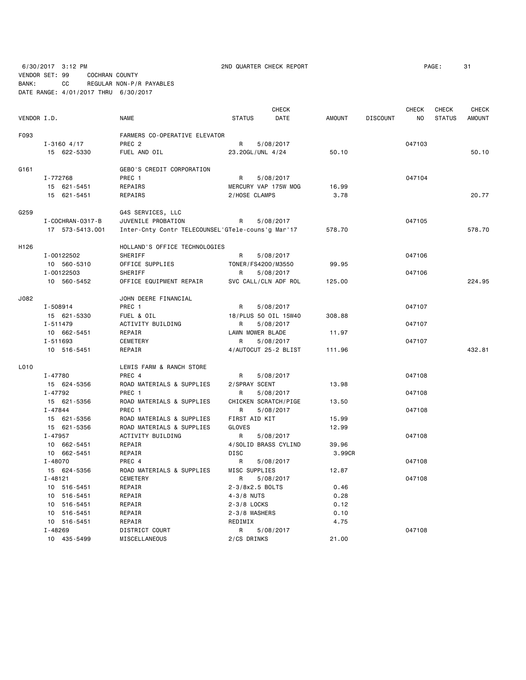6/30/2017 3:12 PM 2ND QUARTER CHECK REPORT PAGE: 31

VENDOR SET: 99 COCHRAN COUNTY BANK: CC REGULAR NON-P/R PAYABLES DATE RANGE: 4/01/2017 THRU 6/30/2017

|             |                        |                                                   |                  | <b>CHECK</b>         |               |                 | CHECK  | CHECK         | CHECK  |
|-------------|------------------------|---------------------------------------------------|------------------|----------------------|---------------|-----------------|--------|---------------|--------|
| VENDOR I.D. |                        | <b>NAME</b>                                       | <b>STATUS</b>    | DATE                 | <b>AMOUNT</b> | <b>DISCOUNT</b> | NO     | <b>STATUS</b> | AMOUNT |
| F093        |                        | FARMERS CO-OPERATIVE ELEVATOR                     |                  |                      |               |                 |        |               |        |
|             | $I - 3160$ 4/17        | PREC <sub>2</sub>                                 | R                | 5/08/2017            |               |                 | 047103 |               |        |
|             | 15 622-5330            | FUEL AND OIL                                      | 23.20GL/UNL 4/24 |                      | 50.10         |                 |        |               | 50.10  |
|             |                        |                                                   |                  |                      |               |                 |        |               |        |
| G161        |                        | GEBO'S CREDIT CORPORATION                         |                  |                      |               |                 |        |               |        |
|             | I-772768               | PREC 1                                            | R                | 5/08/2017            |               |                 | 047104 |               |        |
|             | 15 621-5451            | REPAIRS                                           |                  | MERCURY VAP 175W MOG | 16.99         |                 |        |               |        |
|             | 15 621-5451            | REPAIRS                                           | 2/HOSE CLAMPS    |                      | 3.78          |                 |        |               | 20.77  |
| G259        |                        | G4S SERVICES, LLC                                 |                  |                      |               |                 |        |               |        |
|             | I - COCHRAN - 0317 - B | JUVENILE PROBATION                                | R                | 5/08/2017            |               |                 | 047105 |               |        |
|             | 17 573-5413.001        | Inter-Cnty Contr TELECOUNSEL'GTele-couns'g Mar'17 |                  |                      | 578.70        |                 |        |               | 578.70 |
| H126        |                        | HOLLAND'S OFFICE TECHNOLOGIES                     |                  |                      |               |                 |        |               |        |
|             | I-00122502             | <b>SHERIFF</b>                                    | R.               | 5/08/2017            |               |                 | 047106 |               |        |
|             | 10 560-5310            | OFFICE SUPPLIES                                   |                  | TONER/FS4200/M3550   | 99.95         |                 |        |               |        |
|             | I-00122503             | SHERIFF                                           | R                | 5/08/2017            |               |                 | 047106 |               |        |
|             | 10 560-5452            | OFFICE EQUIPMENT REPAIR                           |                  | SVC CALL/CLN ADF ROL | 125.00        |                 |        |               | 224.95 |
|             |                        |                                                   |                  |                      |               |                 |        |               |        |
| J082        |                        | JOHN DEERE FINANCIAL                              |                  |                      |               |                 |        |               |        |
|             | I-508914               | PREC 1                                            | R                | 5/08/2017            |               |                 | 047107 |               |        |
|             | 15 621-5330            | FUEL & OIL                                        |                  | 18/PLUS 50 OIL 15W40 | 308.88        |                 |        |               |        |
|             | $I - 511479$           | ACTIVITY BUILDING                                 | R                | 5/08/2017            |               |                 | 047107 |               |        |
|             | 10 662-5451            | REPAIR                                            | LAWN MOWER BLADE |                      | 11.97         |                 |        |               |        |
|             | I-511693               | <b>CEMETERY</b>                                   | R                | 5/08/2017            |               |                 | 047107 |               |        |
|             | 10 516-5451            | REPAIR                                            |                  | 4/AUTOCUT 25-2 BLIST | 111.96        |                 |        |               | 432.81 |
| L010        |                        | LEWIS FARM & RANCH STORE                          |                  |                      |               |                 |        |               |        |
|             | I-47780                | PREC 4                                            | R                | 5/08/2017            |               |                 | 047108 |               |        |
|             | 15 624-5356            | ROAD MATERIALS & SUPPLIES                         | 2/SPRAY SCENT    |                      | 13.98         |                 |        |               |        |
|             | I-47792                | PREC 1                                            | R                | 5/08/2017            |               |                 | 047108 |               |        |
|             | 15 621-5356            | ROAD MATERIALS & SUPPLIES                         |                  | CHICKEN SCRATCH/PIGE | 13.50         |                 |        |               |        |
|             | I-47844                | PREC 1                                            | R                | 5/08/2017            |               |                 | 047108 |               |        |
|             | 15 621-5356            | ROAD MATERIALS & SUPPLIES                         | FIRST AID KIT    |                      | 15.99         |                 |        |               |        |
|             | 15 621-5356            | ROAD MATERIALS & SUPPLIES                         | <b>GLOVES</b>    |                      | 12.99         |                 |        |               |        |
|             | I-47957                | ACTIVITY BUILDING                                 | R                | 5/08/2017            |               |                 | 047108 |               |        |
|             | 10 662-5451            | REPAIR                                            |                  | 4/SOLID BRASS CYLIND | 39.96         |                 |        |               |        |
|             | 10 662-5451            | REPAIR                                            | DISC             |                      | 3.99CR        |                 |        |               |        |
|             | $I - 48070$            | PREC 4                                            | R                | 5/08/2017            |               |                 | 047108 |               |        |
|             | 15 624-5356            | ROAD MATERIALS & SUPPLIES                         | MISC SUPPLIES    |                      | 12.87         |                 |        |               |        |
|             | $I - 48121$            | <b>CEMETERY</b>                                   | R                | 5/08/2017            |               |                 | 047108 |               |        |
|             | 10 516-5451            | REPAIR                                            | 2-3/8x2.5 BOLTS  |                      | 0.46          |                 |        |               |        |
|             | 10 516-5451            | REPAIR                                            | $4 - 3/8$ NUTS   |                      | 0.28          |                 |        |               |        |
|             | 10 516-5451            | REPAIR                                            | 2-3/8 LOCKS      |                      | 0.12          |                 |        |               |        |
|             | 10 516-5451            | REPAIR                                            | 2-3/8 WASHERS    |                      | 0.10          |                 |        |               |        |
|             | 10 516-5451            | REPAIR                                            | REDIMIX          |                      | 4.75          |                 |        |               |        |
|             | I-48269                | DISTRICT COURT                                    | R.               | 5/08/2017            |               |                 | 047108 |               |        |
|             | 10 435-5499            | MISCELLANEOUS                                     | 2/CS DRINKS      |                      | 21.00         |                 |        |               |        |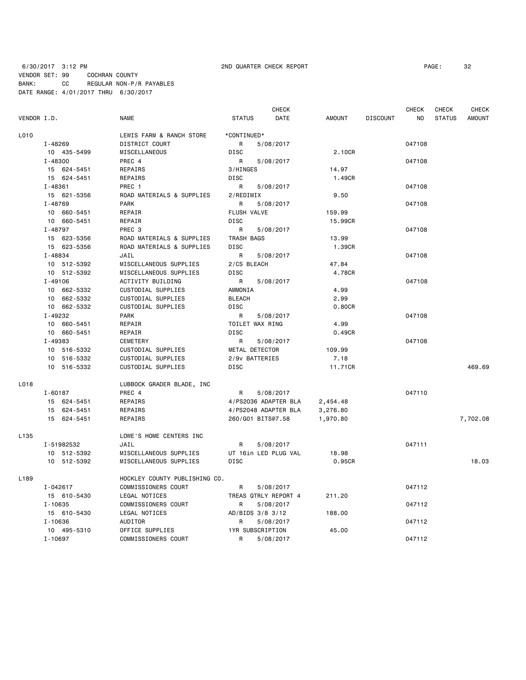# 6/30/2017 3:12 PM 2ND QUARTER CHECK REPORT PAGE: 32 VENDOR SET: 99 COCHRAN COUNTY BANK: CC REGULAR NON-P/R PAYABLES DATE RANGE: 4/01/2017 THRU 6/30/2017

|                  |              |                               |                   | <b>CHECK</b>         |               |                 | CHECK  | CHECK         | CHECK         |
|------------------|--------------|-------------------------------|-------------------|----------------------|---------------|-----------------|--------|---------------|---------------|
| VENDOR I.D.      |              | NAME                          | <b>STATUS</b>     | DATE                 | <b>AMOUNT</b> | <b>DISCOUNT</b> | NO.    | <b>STATUS</b> | <b>AMOUNT</b> |
| L010             |              | LEWIS FARM & RANCH STORE      | *CONTINUED*       |                      |               |                 |        |               |               |
|                  | I-48269      | DISTRICT COURT                | R                 | 5/08/2017            |               |                 | 047108 |               |               |
|                  | 10 435-5499  | MISCELLANEOUS                 | <b>DISC</b>       |                      | 2.10CR        |                 |        |               |               |
|                  | I-48300      | PREC 4                        | R                 | 5/08/2017            |               |                 | 047108 |               |               |
|                  | 15 624-5451  | REPAIRS                       | 3/HINGES          |                      | 14.97         |                 |        |               |               |
|                  | 15 624-5451  | REPAIRS                       | <b>DISC</b>       |                      | 1.49CR        |                 |        |               |               |
|                  | $I - 48361$  | PREC 1                        | R                 | 5/08/2017            |               |                 | 047108 |               |               |
|                  | 15 621-5356  | ROAD MATERIALS & SUPPLIES     | 2/REDIMIX         |                      | 9.50          |                 |        |               |               |
|                  | $I - 48769$  | <b>PARK</b>                   | R                 | 5/08/2017            |               |                 | 047108 |               |               |
|                  | 10 660-5451  | REPAIR                        | FLUSH VALVE       |                      | 159.99        |                 |        |               |               |
|                  | 10 660-5451  | REPAIR                        | <b>DISC</b>       |                      | 15.99CR       |                 |        |               |               |
|                  | $I - 48797$  | PREC <sub>3</sub>             | R                 | 5/08/2017            |               |                 | 047108 |               |               |
|                  | 15 623-5356  | ROAD MATERIALS & SUPPLIES     | TRASH BAGS        |                      | 13.99         |                 |        |               |               |
|                  | 15 623-5356  | ROAD MATERIALS & SUPPLIES     | <b>DISC</b>       |                      | 1.39CR        |                 |        |               |               |
|                  | I-48834      | JAIL                          | R                 | 5/08/2017            |               |                 | 047108 |               |               |
|                  | 10 512-5392  | MISCELLANEOUS SUPPLIES        | 2/CS BLEACH       |                      | 47.84         |                 |        |               |               |
|                  | 10 512-5392  | MISCELLANEOUS SUPPLIES        | <b>DISC</b>       |                      | 4.78CR        |                 |        |               |               |
|                  | $I - 49106$  | ACTIVITY BUILDING             | R                 | 5/08/2017            |               |                 | 047108 |               |               |
|                  | 10 662-5332  | CUSTODIAL SUPPLIES            | AMMONIA           |                      | 4.99          |                 |        |               |               |
|                  | 10 662-5332  | CUSTODIAL SUPPLIES            | <b>BLEACH</b>     |                      | 2.99          |                 |        |               |               |
|                  | 10 662-5332  | CUSTODIAL SUPPLIES            | <b>DISC</b>       |                      | 0.80CR        |                 |        |               |               |
|                  | I-49232      | PARK                          | R                 | 5/08/2017            |               |                 | 047108 |               |               |
|                  | 10 660-5451  | REPAIR                        | TOILET WAX RING   |                      | 4.99          |                 |        |               |               |
|                  | 10 660-5451  | REPAIR                        | <b>DISC</b>       |                      | 0.49CR        |                 |        |               |               |
|                  | I-49383      | <b>CEMETERY</b>               | R                 | 5/08/2017            |               |                 | 047108 |               |               |
|                  | 10 516-5332  | CUSTODIAL SUPPLIES            | METAL DETECTOR    |                      | 109.99        |                 |        |               |               |
|                  | 10 516-5332  | CUSTODIAL SUPPLIES            | 2/9v BATTERIES    |                      | 7.18          |                 |        |               |               |
|                  | 10 516-5332  | CUSTODIAL SUPPLIES            | <b>DISC</b>       |                      | 11.71CR       |                 |        |               | 469.69        |
|                  |              |                               |                   |                      |               |                 |        |               |               |
| L018             |              | LUBBOCK GRADER BLADE, INC     |                   |                      |               |                 |        |               |               |
|                  | I-60187      | PREC 4                        | R                 | 5/08/2017            |               |                 | 047110 |               |               |
|                  | 15 624-5451  | <b>REPAIRS</b>                |                   | 4/PS2036 ADAPTER BLA | 2,454.48      |                 |        |               |               |
|                  | 15 624-5451  | REPAIRS                       |                   | 4/PS2048 ADAPTER BLA | 3,276.80      |                 |        |               |               |
|                  | 15 624-5451  | REPAIRS                       | 260/G01 BITS@7.58 |                      | 1,970.80      |                 |        |               | 7,702.08      |
| L135             |              | LOWE'S HOME CENTERS INC       |                   |                      |               |                 |        |               |               |
|                  | I-51982532   | JAIL                          | R                 | 5/08/2017            |               |                 | 047111 |               |               |
|                  | 10 512-5392  | MISCELLANEOUS SUPPLIES        |                   | UT 16in LED PLUG VAL | 18.98         |                 |        |               |               |
|                  | 10 512-5392  | MISCELLANEOUS SUPPLIES        | <b>DISC</b>       |                      | 0.95CR        |                 |        |               | 18.03         |
| L <sub>189</sub> |              | HOCKLEY COUNTY PUBLISHING CO. |                   |                      |               |                 |        |               |               |
|                  | $I - 042617$ | COMMISSIONERS COURT           | R                 | 5/08/2017            |               |                 | 047112 |               |               |
|                  | 15 610-5430  | LEGAL NOTICES                 |                   | TREAS QTRLY REPORT 4 | 211.20        |                 |        |               |               |
|                  | $I - 10635$  | COMMISSIONERS COURT           | R                 | 5/08/2017            |               |                 | 047112 |               |               |
|                  | 15 610-5430  | LEGAL NOTICES                 | AD/BIDS 3/8 3/12  |                      | 188.00        |                 |        |               |               |
|                  | $I - 10636$  | AUDITOR                       | R                 | 5/08/2017            |               |                 | 047112 |               |               |
|                  | 10 495-5310  | OFFICE SUPPLIES               | 1YR SUBSCRIPTION  |                      | 45.00         |                 |        |               |               |
|                  | $I - 10697$  | COMMISSIONERS COURT           | R                 | 5/08/2017            |               |                 | 047112 |               |               |
|                  |              |                               |                   |                      |               |                 |        |               |               |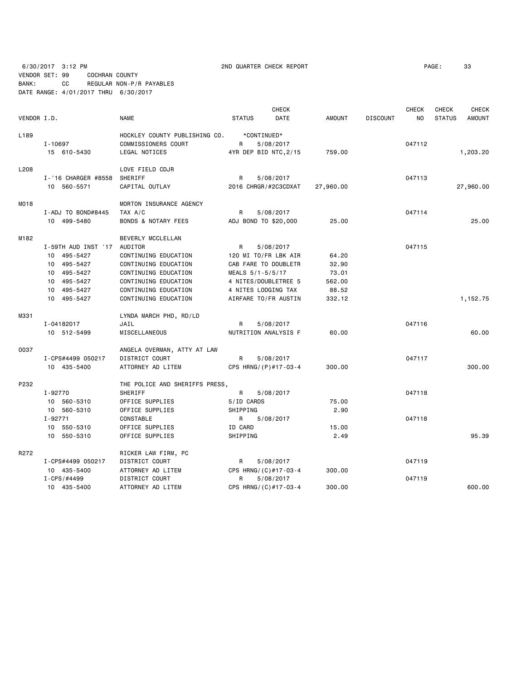6/30/2017 3:12 PM 2ND QUARTER CHECK REPORT PAGE: 33 VENDOR SET: 99 COCHRAN COUNTY BANK: CC REGULAR NON-P/R PAYABLES DATE RANGE: 4/01/2017 THRU 6/30/2017

|             |                             |                                |                       | <b>CHECK</b> |               |                 | <b>CHECK</b>   | CHECK         | CHECK         |
|-------------|-----------------------------|--------------------------------|-----------------------|--------------|---------------|-----------------|----------------|---------------|---------------|
| VENDOR I.D. |                             | <b>NAME</b>                    | <b>STATUS</b>         | <b>DATE</b>  | <b>AMOUNT</b> | <b>DISCOUNT</b> | N <sub>O</sub> | <b>STATUS</b> | <b>AMOUNT</b> |
| L189        |                             | HOCKLEY COUNTY PUBLISHING CO.  | *CONTINUED*           |              |               |                 |                |               |               |
|             | I-10697                     | COMMISSIONERS COURT            | R                     | 5/08/2017    |               |                 | 047112         |               |               |
|             | 15 610-5430                 | LEGAL NOTICES                  | 4YR DEP BID NTC, 2/15 |              | 759.00        |                 |                |               | 1,203.20      |
| L208        |                             | LOVE FIELD CDJR                |                       |              |               |                 |                |               |               |
|             | I-'16 CHARGER #8558         | SHERIFF                        | R                     | 5/08/2017    |               |                 | 047113         |               |               |
|             | 10 560-5571                 | CAPITAL OUTLAY                 | 2016 CHRGR/#2C3CDXAT  |              | 27,960.00     |                 |                |               | 27,960.00     |
| M018        |                             | MORTON INSURANCE AGENCY        |                       |              |               |                 |                |               |               |
|             | I-ADJ TO BOND#8445          | TAX A/C                        | R                     | 5/08/2017    |               |                 | 047114         |               |               |
|             | 10 499-5480                 | BONDS & NOTARY FEES            | ADJ BOND TO \$20,000  |              | 25.00         |                 |                |               | 25.00         |
| M182        |                             | BEVERLY MCCLELLAN              |                       |              |               |                 |                |               |               |
|             | I-59TH AUD INST '17 AUDITOR |                                | R                     | 5/08/2017    |               |                 | 047115         |               |               |
|             | 10 495-5427                 | CONTINUING EDUCATION           | 120 MI TO/FR LBK AIR  |              | 64.20         |                 |                |               |               |
|             | 10 495-5427                 | CONTINUING EDUCATION           | CAB FARE TO DOUBLETR  |              | 32.90         |                 |                |               |               |
|             | 10 495-5427                 | CONTINUING EDUCATION           | MEALS 5/1-5/5/17      |              | 73.01         |                 |                |               |               |
|             | 10 495-5427                 | CONTINUING EDUCATION           | 4 NITES/DOUBLETREE 5  |              | 562.00        |                 |                |               |               |
|             | 10 495-5427                 | CONTINUING EDUCATION           | 4 NITES LODGING TAX   |              | 88.52         |                 |                |               |               |
|             | 10 495-5427                 | CONTINUING EDUCATION           | AIRFARE TO/FR AUSTIN  |              | 332.12        |                 |                |               | 1,152.75      |
| M331        |                             | LYNDA MARCH PHD, RD/LD         |                       |              |               |                 |                |               |               |
|             | I-04182017                  | JAIL                           | R                     | 5/08/2017    |               |                 | 047116         |               |               |
|             | 10 512-5499                 | MISCELLANEOUS                  | NUTRITION ANALYSIS F  |              | 60.00         |                 |                |               | 60.00         |
| 0037        |                             | ANGELA OVERMAN, ATTY AT LAW    |                       |              |               |                 |                |               |               |
|             | I-CPS#4499 050217           | DISTRICT COURT                 | R                     | 5/08/2017    |               |                 | 047117         |               |               |
|             | 10 435-5400                 | ATTORNEY AD LITEM              | CPS HRNG/(P)#17-03-4  |              | 300.00        |                 |                |               | 300.00        |
| P232        |                             | THE POLICE AND SHERIFFS PRESS, |                       |              |               |                 |                |               |               |
|             | I-92770                     | SHERIFF                        | R                     | 5/08/2017    |               |                 | 047118         |               |               |
|             | 10 560-5310                 | OFFICE SUPPLIES                | 5/ID CARDS            |              | 75.00         |                 |                |               |               |
|             | 10 560-5310                 | OFFICE SUPPLIES                | SHIPPING              |              | 2.90          |                 |                |               |               |
|             | I-92771                     | CONSTABLE                      | R                     | 5/08/2017    |               |                 | 047118         |               |               |
|             | 10 550-5310                 | OFFICE SUPPLIES                | ID CARD               |              | 15.00         |                 |                |               |               |
|             | 10 550-5310                 | OFFICE SUPPLIES                | SHIPPING              |              | 2.49          |                 |                |               | 95.39         |
| R272        |                             | RICKER LAW FIRM, PC            |                       |              |               |                 |                |               |               |
|             | I-CPS#4499 050217           | DISTRICT COURT                 | R                     | 5/08/2017    |               |                 | 047119         |               |               |
|             | 10 435-5400                 | ATTORNEY AD LITEM              | CPS HRNG/(C)#17-03-4  |              | 300.00        |                 |                |               |               |
|             | $I - CPS / #4499$           | DISTRICT COURT                 | R.                    | 5/08/2017    |               |                 | 047119         |               |               |
|             | 10 435-5400                 | ATTORNEY AD LITEM              | CPS HRNG/(C)#17-03-4  |              | 300.00        |                 |                |               | 600.00        |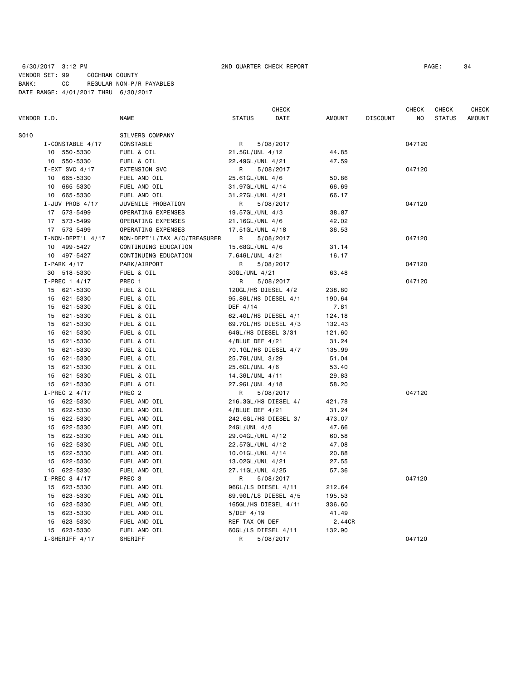# 6/30/2017 3:12 PM 2ND QUARTER CHECK REPORT PAGE: 34 VENDOR SET: 99 COCHRAN COUNTY BANK: CC REGULAR NON-P/R PAYABLES DATE RANGE: 4/01/2017 THRU 6/30/2017

|             |                         |                              |                      | CHECK     |               |                 | CHECK  | CHECK         | <b>CHECK</b>  |
|-------------|-------------------------|------------------------------|----------------------|-----------|---------------|-----------------|--------|---------------|---------------|
| VENDOR I.D. |                         | <b>NAME</b>                  | <b>STATUS</b>        | DATE      | <b>AMOUNT</b> | <b>DISCOUNT</b> | NO     | <b>STATUS</b> | <b>AMOUNT</b> |
| S010        |                         | SILVERS COMPANY              |                      |           |               |                 |        |               |               |
|             | I-CONSTABLE 4/17        | CONSTABLE                    | R                    | 5/08/2017 |               |                 | 047120 |               |               |
|             | 10 550-5330             | FUEL & OIL                   | 21.5GL/UNL 4/12      |           | 44.85         |                 |        |               |               |
|             | 10 550-5330             | FUEL & OIL                   | 22.49GL/UNL 4/21     |           | 47.59         |                 |        |               |               |
|             | I-EXT SVC $4/17$        | <b>EXTENSION SVC</b>         | R                    | 5/08/2017 |               |                 | 047120 |               |               |
|             | 10 665-5330             | FUEL AND OIL                 | 25.61GL/UNL 4/6      |           | 50.86         |                 |        |               |               |
|             | 10 665-5330             | FUEL AND OIL                 | 31.97GL/UNL 4/14     |           | 66.69         |                 |        |               |               |
|             | 10 665-5330             | FUEL AND OIL                 | 31.27GL/UNL 4/21     |           | 66.17         |                 |        |               |               |
|             | I-JUV PROB $4/17$       | JUVENILE PROBATION           | R.                   | 5/08/2017 |               |                 | 047120 |               |               |
|             | 17 573-5499             | OPERATING EXPENSES           | 19.57GL/UNL 4/3      |           | 38.87         |                 |        |               |               |
|             | 17 573-5499             | OPERATING EXPENSES           | 21.16GL/UNL 4/6      |           | 42.02         |                 |        |               |               |
|             | 17 573-5499             | OPERATING EXPENSES           | 17.51GL/UNL 4/18     |           | 36.53         |                 |        |               |               |
|             | $I - NON - DEPT'L 4/17$ | NON-DEPT'L/TAX A/C/TREASURER | R                    | 5/08/2017 |               |                 | 047120 |               |               |
|             | 10 499-5427             | CONTINUING EDUCATION         | 15.68GL/UNL 4/6      |           | 31.14         |                 |        |               |               |
|             | 10 497-5427             | CONTINUING EDUCATION         | 7.64GL/UNL 4/21      |           | 16.17         |                 |        |               |               |
|             | $I-PARK$ 4/17           | PARK/AIRPORT                 | R                    | 5/08/2017 |               |                 | 047120 |               |               |
|             | 30 518-5330             | FUEL & OIL                   | 30GL/UNL 4/21        |           | 63.48         |                 |        |               |               |
|             | $I-PREC$ 1 4/17         | PREC 1                       | R                    | 5/08/2017 |               |                 | 047120 |               |               |
|             | 15 621-5330             | FUEL & OIL                   | 120GL/HS DIESEL 4/2  |           | 238.80        |                 |        |               |               |
|             | 15 621-5330             | FUEL & OIL                   | 95.8GL/HS DIESEL 4/1 |           | 190.64        |                 |        |               |               |
|             | 15 621-5330             | FUEL & OIL                   | DEF 4/14             |           | 7.81          |                 |        |               |               |
|             | 15 621-5330             | FUEL & OIL                   | 62.4GL/HS DIESEL 4/1 |           | 124.18        |                 |        |               |               |
|             | 15<br>621-5330          | FUEL & OIL                   | 69.7GL/HS DIESEL 4/3 |           | 132.43        |                 |        |               |               |
|             | 15 621-5330             | FUEL & OIL                   | 64GL/HS DIESEL 3/31  |           | 121.60        |                 |        |               |               |
|             | 621-5330<br>15          | FUEL & OIL                   | $4/BLUE$ DEF $4/21$  |           | 31.24         |                 |        |               |               |
|             | 15 621-5330             | FUEL & OIL                   | 70.1GL/HS DIESEL 4/7 |           | 135.99        |                 |        |               |               |
|             | 15 621-5330             | FUEL & OIL                   | 25.7GL/UNL 3/29      |           | 51.04         |                 |        |               |               |
|             | 15 621-5330             | FUEL & OIL                   | 25.6GL/UNL 4/6       |           | 53.40         |                 |        |               |               |
|             | 15 621-5330             | FUEL & OIL                   | 14.3GL/UNL 4/11      |           | 29.83         |                 |        |               |               |
|             | 15 621-5330             | FUEL & OIL                   | 27.9GL/UNL 4/18      |           | 58.20         |                 |        |               |               |
|             | I-PREC 2 4/17           | PREC <sub>2</sub>            | R                    | 5/08/2017 |               |                 | 047120 |               |               |
|             | 15 622-5330             | FUEL AND OIL                 | 216.3GL/HS DIESEL 4/ |           | 421.78        |                 |        |               |               |
|             | 15 622-5330             | FUEL AND OIL                 | $4/BLUE$ DEF $4/21$  |           | 31.24         |                 |        |               |               |
|             | 15 622-5330             | FUEL AND OIL                 | 242.6GL/HS DIESEL 3/ |           | 473.07        |                 |        |               |               |
|             | 15 622-5330             | FUEL AND OIL                 | 24GL/UNL 4/5         |           | 47.66         |                 |        |               |               |
|             | 622-5330<br>15          | FUEL AND OIL                 | 29.04GL/UNL 4/12     |           | 60.58         |                 |        |               |               |
|             | 15<br>622-5330          | FUEL AND OIL                 | 22.57GL/UNL 4/12     |           | 47.08         |                 |        |               |               |
|             | 622-5330<br>15          | FUEL AND OIL                 | 10.01GL/UNL 4/14     |           | 20.88         |                 |        |               |               |
|             | 15 622-5330             | FUEL AND OIL                 | 13.02GL/UNL 4/21     |           | 27.55         |                 |        |               |               |
|             | 15 622-5330             | FUEL AND OIL                 | 27.11GL/UNL 4/25     |           | 57.36         |                 |        |               |               |
|             | I-PREC 3 4/17           | PREC <sub>3</sub>            | R                    | 5/08/2017 |               |                 | 047120 |               |               |
|             | 15 623-5330             | FUEL AND OIL                 | 96GL/LS DIESEL 4/11  |           | 212.64        |                 |        |               |               |
|             | 15 623-5330             | FUEL AND OIL                 | 89.9GL/LS DIESEL 4/5 |           | 195.53        |                 |        |               |               |
|             | 15 623-5330             | FUEL AND OIL                 | 165GL/HS DIESEL 4/11 |           | 336.60        |                 |        |               |               |
|             | 15 623-5330             | FUEL AND OIL                 | $5/DEF$ 4/19         |           | 41.49         |                 |        |               |               |
|             | 15<br>623-5330          | FUEL AND OIL                 | REF TAX ON DEF       |           | 2.44CR        |                 |        |               |               |
|             | 15 623-5330             | FUEL AND OIL                 | 60GL/LS DIESEL 4/11  |           | 132.90        |                 |        |               |               |
|             | $I-SHERIFF 4/17$        | SHERIFF                      | R                    | 5/08/2017 |               |                 | 047120 |               |               |
|             |                         |                              |                      |           |               |                 |        |               |               |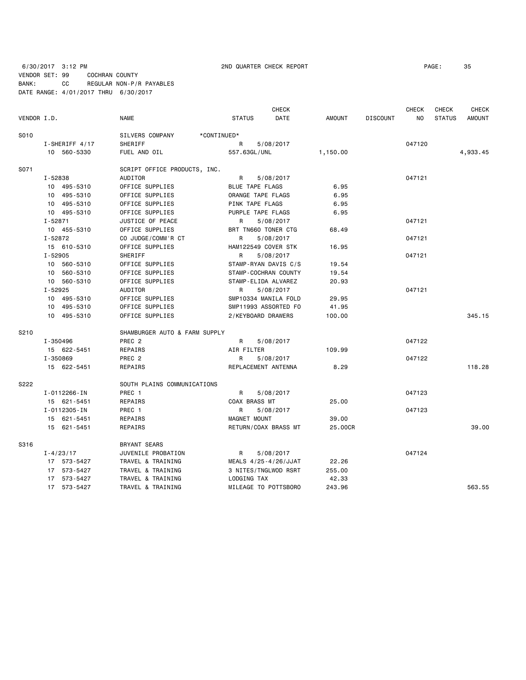# 6/30/2017 3:12 PM 2ND QUARTER CHECK REPORT PAGE: 35 VENDOR SET: 99 COCHRAN COUNTY BANK: CC REGULAR NON-P/R PAYABLES DATE RANGE: 4/01/2017 THRU 6/30/2017

|             |                   |                               | <b>CHECK</b>          |               |                 | <b>CHECK</b> | CHECK         | <b>CHECK</b>  |
|-------------|-------------------|-------------------------------|-----------------------|---------------|-----------------|--------------|---------------|---------------|
| VENDOR I.D. |                   | <b>NAME</b>                   | <b>STATUS</b><br>DATE | <b>AMOUNT</b> | <b>DISCOUNT</b> | NO           | <b>STATUS</b> | <b>AMOUNT</b> |
| S010        |                   | SILVERS COMPANY               | *CONTINUED*           |               |                 |              |               |               |
|             | $I$ -SHERIFF 4/17 | SHERIFF                       | R<br>5/08/2017        |               |                 | 047120       |               |               |
|             | 10 560-5330       | FUEL AND OIL                  | 557.63GL/UNL          | 1,150.00      |                 |              |               | 4,933.45      |
| S071        |                   | SCRIPT OFFICE PRODUCTS, INC.  |                       |               |                 |              |               |               |
|             | I-52838           | AUDITOR                       | R<br>5/08/2017        |               |                 | 047121       |               |               |
|             | 10 495-5310       | OFFICE SUPPLIES               | BLUE TAPE FLAGS       | 6.95          |                 |              |               |               |
|             | 10 495-5310       | OFFICE SUPPLIES               | ORANGE TAPE FLAGS     | 6.95          |                 |              |               |               |
|             | 10 495-5310       | OFFICE SUPPLIES               | PINK TAPE FLAGS       | 6.95          |                 |              |               |               |
|             | 10 495-5310       | OFFICE SUPPLIES               | PURPLE TAPE FLAGS     | 6.95          |                 |              |               |               |
|             | $I - 52871$       | JUSTICE OF PEACE              | 5/08/2017<br>R        |               |                 | 047121       |               |               |
|             | 10 455-5310       | OFFICE SUPPLIES               | BRT TN660 TONER CTG   | 68.49         |                 |              |               |               |
|             | I-52872           | CO JUDGE/COMM'R CT            | 5/08/2017<br>R        |               |                 | 047121       |               |               |
|             | 15 610-5310       | OFFICE SUPPLIES               | HAM122549 COVER STK   | 16.95         |                 |              |               |               |
|             | $I - 52905$       | SHERIFF                       | R<br>5/08/2017        |               |                 | 047121       |               |               |
|             | 10 560-5310       | OFFICE SUPPLIES               | STAMP-RYAN DAVIS C/S  | 19.54         |                 |              |               |               |
|             | 10 560-5310       | OFFICE SUPPLIES               | STAMP-COCHRAN COUNTY  | 19.54         |                 |              |               |               |
|             | 10 560-5310       | OFFICE SUPPLIES               | STAMP-ELIDA ALVAREZ   | 20.93         |                 |              |               |               |
|             | $I - 52925$       | <b>AUDITOR</b>                | 5/08/2017<br>R        |               |                 | 047121       |               |               |
|             | 10 495-5310       | OFFICE SUPPLIES               | SMP10334 MANILA FOLD  | 29.95         |                 |              |               |               |
|             | 10 495-5310       | OFFICE SUPPLIES               | SMP11993 ASSORTED FO  | 41.95         |                 |              |               |               |
|             | 10 495-5310       | OFFICE SUPPLIES               | 2/KEYBOARD DRAWERS    | 100.00        |                 |              |               | 345.15        |
| S210        |                   | SHAMBURGER AUTO & FARM SUPPLY |                       |               |                 |              |               |               |
|             | I-350496          | PREC <sub>2</sub>             | R<br>5/08/2017        |               |                 | 047122       |               |               |
|             | 15 622-5451       | REPAIRS                       | AIR FILTER            | 109.99        |                 |              |               |               |
|             | I-350869          | PREC <sub>2</sub>             | R<br>5/08/2017        |               |                 | 047122       |               |               |
|             | 15 622-5451       | REPAIRS                       | REPLACEMENT ANTENNA   | 8.29          |                 |              |               | 118.28        |
| S222        |                   | SOUTH PLAINS COMMUNICATIONS   |                       |               |                 |              |               |               |
|             | I-0112266-IN      | PREC 1                        | R<br>5/08/2017        |               |                 | 047123       |               |               |
|             | 15 621-5451       | REPAIRS                       | COAX BRASS MT         | 25.00         |                 |              |               |               |
|             | I-0112305-IN      | PREC 1                        | R<br>5/08/2017        |               |                 | 047123       |               |               |
|             | 15 621-5451       | REPAIRS                       | MAGNET MOUNT          | 39.00         |                 |              |               |               |
|             | 15 621-5451       | REPAIRS                       | RETURN/COAX BRASS MT  | 25.00CR       |                 |              |               | 39,00         |
| S316        |                   | <b>BRYANT SEARS</b>           |                       |               |                 |              |               |               |
|             | $I - 4/23/17$     | JUVENILE PROBATION            | 5/08/2017<br>R        |               |                 | 047124       |               |               |
|             | 17 573-5427       | TRAVEL & TRAINING             | MEALS 4/25-4/26/JJAT  | 22.26         |                 |              |               |               |
|             | 17 573-5427       | TRAVEL & TRAINING             | 3 NITES/TNGLWOD RSRT  | 255.00        |                 |              |               |               |
|             | 17 573-5427       | TRAVEL & TRAINING             | LODGING TAX           | 42.33         |                 |              |               |               |
|             | 17 573-5427       | TRAVEL & TRAINING             | MILEAGE TO POTTSBORO  | 243.96        |                 |              |               | 563.55        |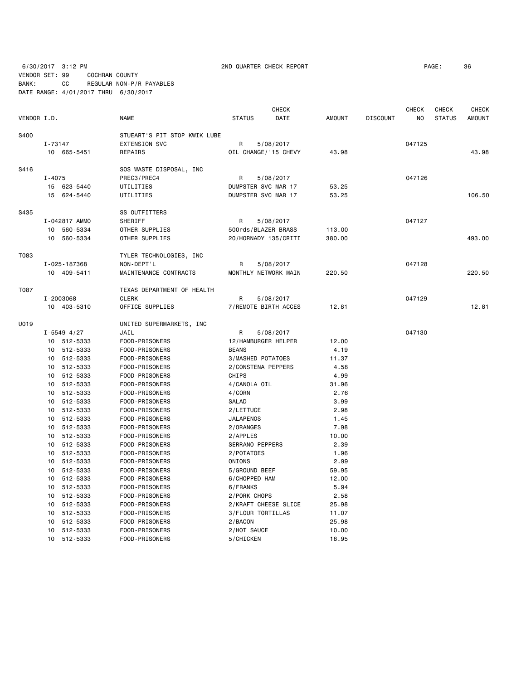6/30/2017 3:12 PM 2ND QUARTER CHECK REPORT PAGE: 36 VENDOR SET: 99 COCHRAN COUNTY

BANK: CC REGULAR NON-P/R PAYABLES DATE RANGE: 4/01/2017 THRU 6/30/2017

| VENDOR I.D. |                                                                                   |                                                                                                                                                                                                                                                                                                       | <b>NAME</b>                                                                                                                                                                                                                                                                                                                                                                                                                                  | <b>STATUS</b>                                                                                                                                                                                                                                                                                                                                                     | <b>CHECK</b><br>DATE | <b>AMOUNT</b>                                                                                                                                                                         | <b>DISCOUNT</b> | <b>CHECK</b><br>NO. | <b>CHECK</b><br><b>STATUS</b> | <b>CHECK</b><br><b>AMOUNT</b> |
|-------------|-----------------------------------------------------------------------------------|-------------------------------------------------------------------------------------------------------------------------------------------------------------------------------------------------------------------------------------------------------------------------------------------------------|----------------------------------------------------------------------------------------------------------------------------------------------------------------------------------------------------------------------------------------------------------------------------------------------------------------------------------------------------------------------------------------------------------------------------------------------|-------------------------------------------------------------------------------------------------------------------------------------------------------------------------------------------------------------------------------------------------------------------------------------------------------------------------------------------------------------------|----------------------|---------------------------------------------------------------------------------------------------------------------------------------------------------------------------------------|-----------------|---------------------|-------------------------------|-------------------------------|
| S400        | $I - 73147$                                                                       | 10 665-5451                                                                                                                                                                                                                                                                                           | STUEART'S PIT STOP KWIK LUBE<br><b>EXTENSION SVC</b><br>REPAIRS                                                                                                                                                                                                                                                                                                                                                                              | R<br>OIL CHANGE/'15 CHEVY                                                                                                                                                                                                                                                                                                                                         | 5/08/2017            | 43.98                                                                                                                                                                                 |                 | 047125              |                               | 43.98                         |
| S416        | $I - 4075$                                                                        | 15 623-5440<br>15 624-5440                                                                                                                                                                                                                                                                            | SOS WASTE DISPOSAL, INC<br>PREC3/PREC4<br>UTILITIES<br>UTILITIES                                                                                                                                                                                                                                                                                                                                                                             | R<br>DUMPSTER SVC MAR 17<br>DUMPSTER SVC MAR 17                                                                                                                                                                                                                                                                                                                   | 5/08/2017            | 53.25<br>53.25                                                                                                                                                                        |                 | 047126              |                               | 106.50                        |
| S435        |                                                                                   | I-042817 AMMO<br>10 560-5334<br>10 560-5334                                                                                                                                                                                                                                                           | SS OUTFITTERS<br>SHERIFF<br>OTHER SUPPLIES<br>OTHER SUPPLIES                                                                                                                                                                                                                                                                                                                                                                                 | R<br>500rds/BLAZER BRASS<br>20/HORNADY 135/CRITI                                                                                                                                                                                                                                                                                                                  | 5/08/2017            | 113.00<br>380.00                                                                                                                                                                      |                 | 047127              |                               | 493.00                        |
| T083        |                                                                                   | I-025-187368<br>10 409-5411                                                                                                                                                                                                                                                                           | TYLER TECHNOLOGIES, INC<br>NON-DEPT'L<br>MAINTENANCE CONTRACTS                                                                                                                                                                                                                                                                                                                                                                               | R<br>MONTHLY NETWORK MAIN                                                                                                                                                                                                                                                                                                                                         | 5/08/2017            | 220.50                                                                                                                                                                                |                 | 047128              |                               | 220.50                        |
| T087        | I-2003068                                                                         | 10 403-5310                                                                                                                                                                                                                                                                                           | TEXAS DEPARTMENT OF HEALTH<br><b>CLERK</b><br>OFFICE SUPPLIES                                                                                                                                                                                                                                                                                                                                                                                | R<br>7/REMOTE BIRTH ACCES                                                                                                                                                                                                                                                                                                                                         | 5/08/2017            | 12.81                                                                                                                                                                                 |                 | 047129              |                               | 12.81                         |
| U019        | $I - 5549$ 4/27<br>10<br>10<br>10<br>10<br>10<br>10<br>10<br>10<br>10<br>10<br>10 | 10 512-5333<br>10 512-5333<br>10 512-5333<br>10 512-5333<br>512-5333<br>10 512-5333<br>512-5333<br>512-5333<br>512-5333<br>10 512-5333<br>10 512-5333<br>512-5333<br>512-5333<br>512-5333<br>10 512-5333<br>10 512-5333<br>512-5333<br>512-5333<br>10 512-5333<br>10 512-5333<br>512-5333<br>512-5333 | UNITED SUPERMARKETS, INC<br>JAIL<br>FOOD-PRISONERS<br>FOOD-PRISONERS<br>FOOD-PRISONERS<br>FOOD-PRISONERS<br>FOOD-PRISONERS<br>FOOD-PRISONERS<br>FOOD-PRISONERS<br>FOOD-PRISONERS<br>FOOD-PRISONERS<br>FOOD-PRISONERS<br>FOOD-PRISONERS<br>FOOD-PRISONERS<br>FOOD-PRISONERS<br>FOOD-PRISONERS<br>FOOD-PRISONERS<br>FOOD-PRISONERS<br>FOOD-PRISONERS<br>FOOD-PRISONERS<br>FOOD-PRISONERS<br>FOOD-PRISONERS<br>FOOD-PRISONERS<br>FOOD-PRISONERS | R<br>12/HAMBURGER HELPER<br><b>BEANS</b><br>3/MASHED POTATOES<br>2/CONSTENA PEPPERS<br>CHIPS<br>4/CANOLA OIL<br>4/CORN<br>SALAD<br>2/LETTUCE<br><b>JALAPENOS</b><br>2/ORANGES<br>2/APPLES<br><b>SERRANO PEPPERS</b><br>2/POTATOES<br>ONIONS<br>5/GROUND BEEF<br>6/CHOPPED HAM<br>6/FRANKS<br>2/PORK CHOPS<br>2/KRAFT CHEESE SLICE<br>3/FLOUR TORTILLAS<br>2/BACON | 5/08/2017            | 12.00<br>4.19<br>11.37<br>4.58<br>4.99<br>31.96<br>2.76<br>3.99<br>2.98<br>1.45<br>7.98<br>10.00<br>2.39<br>1.96<br>2.99<br>59.95<br>12.00<br>5.94<br>2.58<br>25.98<br>11.07<br>25.98 |                 | 047130              |                               |                               |
|             | 10                                                                                | 512-5333<br>10 512-5333                                                                                                                                                                                                                                                                               | FOOD-PRISONERS<br>FOOD-PRISONERS                                                                                                                                                                                                                                                                                                                                                                                                             | 2/HOT SAUCE<br>5/CHICKEN                                                                                                                                                                                                                                                                                                                                          |                      | 10.00<br>18.95                                                                                                                                                                        |                 |                     |                               |                               |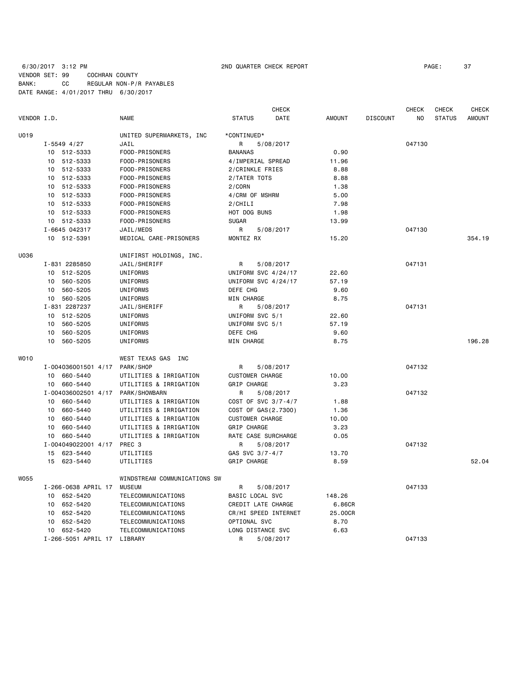# 6/30/2017 3:12 PM 2ND QUARTER CHECK REPORT PAGE: 37 VENDOR SET: 99 COCHRAN COUNTY BANK: CC REGULAR NON-P/R PAYABLES DATE RANGE: 4/01/2017 THRU 6/30/2017

|             |                               |                                        |                        | <b>CHECK</b> |               |                 | <b>CHECK</b> | CHECK         | <b>CHECK</b>  |
|-------------|-------------------------------|----------------------------------------|------------------------|--------------|---------------|-----------------|--------------|---------------|---------------|
| VENDOR I.D. |                               | <b>NAME</b>                            | <b>STATUS</b>          | DATE         | <b>AMOUNT</b> | <b>DISCOUNT</b> | NO           | <b>STATUS</b> | <b>AMOUNT</b> |
| U019        |                               | UNITED SUPERMARKETS, INC               | *CONTINUED*            |              |               |                 |              |               |               |
|             | $I - 5549$ 4/27               | JAIL                                   | R                      | 5/08/2017    |               |                 | 047130       |               |               |
|             | 10 512-5333                   | FOOD-PRISONERS                         | <b>BANANAS</b>         |              | 0.90          |                 |              |               |               |
|             | 10 512-5333                   | FOOD-PRISONERS                         | 4/IMPERIAL SPREAD      |              | 11.96         |                 |              |               |               |
|             | 10 512-5333                   | FOOD-PRISONERS                         | 2/CRINKLE FRIES        |              | 8.88          |                 |              |               |               |
|             | 10 512-5333                   | FOOD-PRISONERS                         | 2/TATER TOTS           |              | 8.88          |                 |              |               |               |
|             | 10 512-5333                   | FOOD-PRISONERS                         | 2/CORN                 |              | 1.38          |                 |              |               |               |
|             | 10 512-5333                   | FOOD-PRISONERS                         | 4/CRM OF MSHRM         |              | 5.00          |                 |              |               |               |
|             | 10 512-5333                   | FOOD-PRISONERS                         | 2/CHILI                |              | 7.98          |                 |              |               |               |
|             | 10 512-5333                   | FOOD-PRISONERS                         | HOT DOG BUNS           |              | 1.98          |                 |              |               |               |
|             | 10 512-5333                   | FOOD-PRISONERS                         | <b>SUGAR</b>           |              | 13.99         |                 |              |               |               |
|             | I-6645 042317                 | JAIL/MEDS                              | R                      | 5/08/2017    |               |                 | 047130       |               |               |
|             | 10 512-5391                   | MEDICAL CARE-PRISONERS                 | MONTEZ RX              |              | 15.20         |                 |              |               | 354.19        |
|             |                               |                                        |                        |              |               |                 |              |               |               |
| U036        |                               | UNIFIRST HOLDINGS, INC.                |                        |              |               |                 |              |               |               |
|             | I-831 2285850                 | JAIL/SHERIFF                           | R                      | 5/08/2017    |               |                 | 047131       |               |               |
|             | 10 512-5205                   | UNIFORMS                               | UNIFORM SVC 4/24/17    |              | 22.60         |                 |              |               |               |
|             | 10 560-5205                   | UNIFORMS                               | UNIFORM SVC 4/24/17    |              | 57.19         |                 |              |               |               |
|             | 10 560-5205                   | UNIFORMS                               | DEFE CHG               |              | 9.60          |                 |              |               |               |
|             | 10 560-5205                   | UNIFORMS                               | MIN CHARGE             |              | 8.75          |                 |              |               |               |
|             | I-831 2287237                 | JAIL/SHERIFF                           | R                      | 5/08/2017    |               |                 | 047131       |               |               |
|             | 10 512-5205                   | UNIFORMS                               | UNIFORM SVC 5/1        |              | 22.60         |                 |              |               |               |
|             | 560-5205<br>10                | UNIFORMS                               | UNIFORM SVC 5/1        |              | 57.19         |                 |              |               |               |
|             | 10<br>560-5205                | UNIFORMS                               | DEFE CHG               |              | 9.60          |                 |              |               |               |
|             | 10<br>560-5205                | UNIFORMS                               | MIN CHARGE             |              | 8.75          |                 |              |               | 196.28        |
| <b>WO10</b> |                               | WEST TEXAS GAS INC                     |                        |              |               |                 |              |               |               |
|             | I-004036001501 4/17 PARK/SHOP |                                        | R                      | 5/08/2017    |               |                 | 047132       |               |               |
|             | 10 660-5440                   | UTILITIES & IRRIGATION                 | <b>CUSTOMER CHARGE</b> |              | 10.00         |                 |              |               |               |
|             | 660-5440<br>10                | UTILITIES & IRRIGATION                 | <b>GRIP CHARGE</b>     |              | 3.23          |                 |              |               |               |
|             | I-004036002501 4/17           | PARK/SHOWBARN                          | R                      | 5/08/2017    |               |                 | 047132       |               |               |
|             | 660-5440<br>10                | UTILITIES & IRRIGATION                 | COST OF SVC 3/7-4/7    |              | 1.88          |                 |              |               |               |
|             | 660-5440<br>10                | UTILITIES & IRRIGATION                 | COST OF GAS(2.7300)    |              | 1.36          |                 |              |               |               |
|             | 660-5440<br>10                | UTILITIES & IRRIGATION                 | <b>CUSTOMER CHARGE</b> |              | 10.00         |                 |              |               |               |
|             | 660-5440<br>10                | UTILITIES & IRRIGATION                 | GRIP CHARGE            |              | 3.23          |                 |              |               |               |
|             | 10 660-5440                   | UTILITIES & IRRIGATION                 | RATE CASE SURCHARGE    |              | 0.05          |                 |              |               |               |
|             | I-004049022001 4/17 PREC 3    |                                        | R                      | 5/08/2017    |               |                 | 047132       |               |               |
|             | 15 623-5440                   | UTILITIES                              | GAS SVC 3/7-4/7        |              | 13.70         |                 |              |               |               |
|             | 15 623-5440                   | UTILITIES                              | GRIP CHARGE            |              | 8.59          |                 |              |               | 52.04         |
|             |                               |                                        |                        |              |               |                 |              |               |               |
| <b>W055</b> | I-266-0638 APRIL 17           | WINDSTREAM COMMUNICATIONS SW<br>MUSEUM | R                      | 5/08/2017    |               |                 | 047133       |               |               |
|             | 10 652-5420                   | TELECOMMUNICATIONS                     | BASIC LOCAL SVC        |              | 148.26        |                 |              |               |               |
|             | 652-5420<br>10                | TELECOMMUNICATIONS                     | CREDIT LATE CHARGE     |              | 6.86CR        |                 |              |               |               |
|             | 652-5420<br>10                | TELECOMMUNICATIONS                     | CR/HI SPEED INTERNET   |              | 25.00CR       |                 |              |               |               |
|             | 10 <sub>1</sub><br>652-5420   | TELECOMMUNICATIONS                     | OPTIONAL SVC           |              | 8.70          |                 |              |               |               |
|             | 10 652-5420                   | TELECOMMUNICATIONS                     | LONG DISTANCE SVC      |              | 6.63          |                 |              |               |               |
|             | I-266-5051 APRIL 17 LIBRARY   |                                        | R                      | 5/08/2017    |               |                 | 047133       |               |               |
|             |                               |                                        |                        |              |               |                 |              |               |               |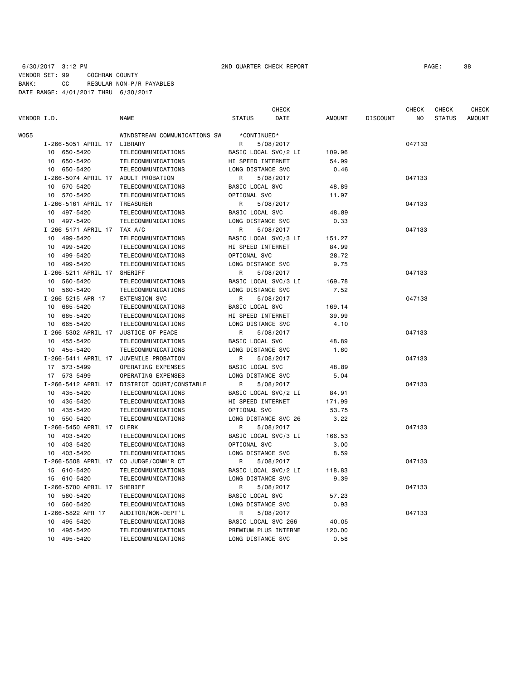# 6/30/2017 3:12 PM 2ND QUARTER CHECK REPORT PAGE: 38 VENDOR SET: 99 COCHRAN COUNTY BANK: CC REGULAR NON-P/R PAYABLES DATE RANGE: 4/01/2017 THRU 6/30/2017

| VENDOR I.D. |                             | <b>NAME</b>                   | <b>STATUS</b>        | <b>CHECK</b><br>DATE | <b>AMOUNT</b> | <b>DISCOUNT</b> | CHECK<br>N <sub>O</sub> | <b>CHECK</b><br><b>STATUS</b> | <b>CHECK</b><br><b>AMOUNT</b> |
|-------------|-----------------------------|-------------------------------|----------------------|----------------------|---------------|-----------------|-------------------------|-------------------------------|-------------------------------|
| WO55        |                             | WINDSTREAM COMMUNICATIONS SW  | *CONTINUED*          |                      |               |                 |                         |                               |                               |
|             | I-266-5051 APRIL 17 LIBRARY |                               | R<br>5/08/2017       |                      |               |                 | 047133                  |                               |                               |
|             | 10 650-5420                 | TELECOMMUNICATIONS            | BASIC LOCAL SVC/2 LI |                      | 109.96        |                 |                         |                               |                               |
|             | 650-5420<br>10              | TELECOMMUNICATIONS            | HI SPEED INTERNET    |                      | 54.99         |                 |                         |                               |                               |
|             | 10 650-5420                 | TELECOMMUNICATIONS            | LONG DISTANCE SVC    |                      | 0.46          |                 |                         |                               |                               |
|             | I-266-5074 APRIL 17         | ADULT PROBATION               | 5/08/2017<br>R       |                      |               |                 | 047133                  |                               |                               |
|             | 10<br>570-5420              | TELECOMMUNICATIONS            | BASIC LOCAL SVC      |                      | 48.89         |                 |                         |                               |                               |
|             | 10<br>570-5420              | TELECOMMUNICATIONS            | OPTIONAL SVC         |                      | 11.97         |                 |                         |                               |                               |
|             | I-266-5161 APRIL 17         | TREASURER                     | 5/08/2017<br>R       |                      |               |                 | 047133                  |                               |                               |
|             | 10 497-5420                 | TELECOMMUNICATIONS            | BASIC LOCAL SVC      |                      | 48.89         |                 |                         |                               |                               |
|             | 10 497-5420                 | TELECOMMUNICATIONS            | LONG DISTANCE SVC    |                      | 0.33          |                 |                         |                               |                               |
|             | I-266-5171 APRIL 17         | TAX A/C                       | R<br>5/08/2017       |                      |               |                 | 047133                  |                               |                               |
|             | 10 499-5420                 | TELECOMMUNICATIONS            | BASIC LOCAL SVC/3 LI |                      | 151.27        |                 |                         |                               |                               |
|             | 10 499-5420                 | TELECOMMUNICATIONS            | HI SPEED INTERNET    |                      | 84.99         |                 |                         |                               |                               |
|             | 10 499-5420                 | TELECOMMUNICATIONS            | OPTIONAL SVC         |                      | 28.72         |                 |                         |                               |                               |
|             |                             |                               |                      |                      |               |                 |                         |                               |                               |
|             | 10 499-5420                 | TELECOMMUNICATIONS<br>SHERIFF | LONG DISTANCE SVC    |                      | 9.75          |                 |                         |                               |                               |
|             | I-266-5211 APRIL 17         |                               | R<br>5/08/2017       |                      |               |                 | 047133                  |                               |                               |
|             | 10<br>560-5420              | TELECOMMUNICATIONS            | BASIC LOCAL SVC/3 LI |                      | 169.78        |                 |                         |                               |                               |
|             | 560-5420<br>10              | TELECOMMUNICATIONS            | LONG DISTANCE SVC    |                      | 7.52          |                 |                         |                               |                               |
|             | I-266-5215 APR 17           | <b>EXTENSION SVC</b>          | 5/08/2017<br>R       |                      |               |                 | 047133                  |                               |                               |
|             | 10 665-5420                 | TELECOMMUNICATIONS            | BASIC LOCAL SVC      |                      | 169.14        |                 |                         |                               |                               |
|             | 10 665-5420                 | TELECOMMUNICATIONS            | HI SPEED INTERNET    |                      | 39.99         |                 |                         |                               |                               |
|             | 10 665-5420                 | TELECOMMUNICATIONS            | LONG DISTANCE SVC    |                      | 4.10          |                 |                         |                               |                               |
|             | I-266-5302 APRIL 17         | JUSTICE OF PEACE              | 5/08/2017<br>R       |                      |               |                 | 047133                  |                               |                               |
|             | 10 455-5420                 | TELECOMMUNICATIONS            | BASIC LOCAL SVC      |                      | 48.89         |                 |                         |                               |                               |
|             | 10 455-5420                 | TELECOMMUNICATIONS            | LONG DISTANCE SVC    |                      | 1.60          |                 |                         |                               |                               |
|             | I-266-5411 APRIL 17         | JUVENILE PROBATION            | R<br>5/08/2017       |                      |               |                 | 047133                  |                               |                               |
|             | 17 573-5499                 | OPERATING EXPENSES            | BASIC LOCAL SVC      |                      | 48.89         |                 |                         |                               |                               |
|             | 17 573-5499                 | OPERATING EXPENSES            | LONG DISTANCE SVC    |                      | 5.04          |                 |                         |                               |                               |
|             | I-266-5412 APRIL 17         | DISTRICT COURT/CONSTABLE      | R<br>5/08/2017       |                      |               |                 | 047133                  |                               |                               |
|             | 10 435-5420                 | TELECOMMUNICATIONS            | BASIC LOCAL SVC/2 LI |                      | 84.91         |                 |                         |                               |                               |
|             | 10 435-5420                 | TELECOMMUNICATIONS            | HI SPEED INTERNET    |                      | 171.99        |                 |                         |                               |                               |
|             | 10 435-5420                 | TELECOMMUNICATIONS            | OPTIONAL SVC         |                      | 53.75         |                 |                         |                               |                               |
|             | 550-5420<br>10              | TELECOMMUNICATIONS            | LONG DISTANCE SVC 26 |                      | 3.22          |                 |                         |                               |                               |
|             | I-266-5450 APRIL 17         | CLERK                         | 5/08/2017<br>R       |                      |               |                 | 047133                  |                               |                               |
|             | 10 403-5420                 | TELECOMMUNICATIONS            | BASIC LOCAL SVC/3 LI |                      | 166.53        |                 |                         |                               |                               |
|             | 10 403-5420                 | TELECOMMUNICATIONS            | OPTIONAL SVC         |                      | 3.00          |                 |                         |                               |                               |
|             | 10 403-5420                 | TELECOMMUNICATIONS            | LONG DISTANCE SVC    |                      | 8.59          |                 |                         |                               |                               |
|             | I-266-5508 APRIL 17         | CO JUDGE/COMM'R CT            | R<br>5/08/2017       |                      |               |                 | 047133                  |                               |                               |
|             | 610-5420<br>15              | TELECOMMUNICATIONS            | BASIC LOCAL SVC/2 LI |                      | 118.83        |                 |                         |                               |                               |
|             | 610-5420<br>15              | TELECOMMUNICATIONS            | LONG DISTANCE SVC    |                      | 9.39          |                 |                         |                               |                               |
|             | I-266-5700 APRIL 17         | SHERIFF                       | R<br>5/08/2017       |                      |               |                 | 047133                  |                               |                               |
|             | 10 560-5420                 | TELECOMMUNICATIONS            | BASIC LOCAL SVC      |                      | 57.23         |                 |                         |                               |                               |
|             | 10 560-5420                 | TELECOMMUNICATIONS            | LONG DISTANCE SVC    |                      | 0.93          |                 |                         |                               |                               |
|             | I-266-5822 APR 17           | AUDITOR/NON-DEPT'L            | R<br>5/08/2017       |                      |               |                 | 047133                  |                               |                               |
|             | 10 495-5420                 | TELECOMMUNICATIONS            | BASIC LOCAL SVC 266- |                      | 40.05         |                 |                         |                               |                               |
|             | 495-5420<br>10              | TELECOMMUNICATIONS            | PREMIUM PLUS INTERNE |                      | 120.00        |                 |                         |                               |                               |
|             | 10 495-5420                 | TELECOMMUNICATIONS            | LONG DISTANCE SVC    |                      | 0.58          |                 |                         |                               |                               |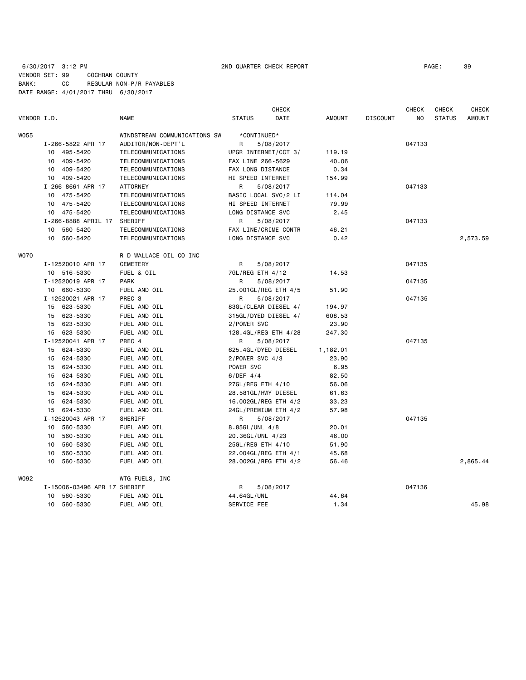# 6/30/2017 3:12 PM 2ND QUARTER CHECK REPORT PAGE: 39 VENDOR SET: 99 COCHRAN COUNTY BANK: CC REGULAR NON-P/R PAYABLES DATE RANGE: 4/01/2017 THRU 6/30/2017

|             |                              |                              |                      | <b>CHECK</b>         |               |                 | <b>CHECK</b>   | <b>CHECK</b>  | <b>CHECK</b>  |
|-------------|------------------------------|------------------------------|----------------------|----------------------|---------------|-----------------|----------------|---------------|---------------|
| VENDOR I.D. |                              | NAME                         | <b>STATUS</b>        | DATE                 | <b>AMOUNT</b> | <b>DISCOUNT</b> | N <sub>O</sub> | <b>STATUS</b> | <b>AMOUNT</b> |
| <b>W055</b> |                              | WINDSTREAM COMMUNICATIONS SW | *CONTINUED*          |                      |               |                 |                |               |               |
|             | I-266-5822 APR 17            | AUDITOR/NON-DEPT'L           | R                    | 5/08/2017            |               |                 | 047133         |               |               |
|             | 10 495-5420                  | TELECOMMUNICATIONS           | UPGR INTERNET/CCT 3/ |                      | 119.19        |                 |                |               |               |
|             | 10 409-5420                  | TELECOMMUNICATIONS           | FAX LINE 266-5629    |                      | 40.06         |                 |                |               |               |
|             | 10 409-5420                  | TELECOMMUNICATIONS           | FAX LONG DISTANCE    |                      | 0.34          |                 |                |               |               |
|             | 10 409-5420                  | TELECOMMUNICATIONS           | HI SPEED INTERNET    |                      | 154.99        |                 |                |               |               |
|             | I-266-8661 APR 17            | <b>ATTORNEY</b>              | R                    | 5/08/2017            |               |                 | 047133         |               |               |
|             | 10 475-5420                  | TELECOMMUNICATIONS           | BASIC LOCAL SVC/2 LI |                      | 114.04        |                 |                |               |               |
|             | 10 475-5420                  | TELECOMMUNICATIONS           | HI SPEED INTERNET    |                      | 79.99         |                 |                |               |               |
|             | 10 475-5420                  | TELECOMMUNICATIONS           | LONG DISTANCE SVC    |                      | 2.45          |                 |                |               |               |
|             | I-266-8888 APRIL 17 SHERIFF  |                              | R                    | 5/08/2017            |               |                 | 047133         |               |               |
|             | 10 560-5420                  | TELECOMMUNICATIONS           | FAX LINE/CRIME CONTR |                      | 46.21         |                 |                |               |               |
|             | 10 560-5420                  | TELECOMMUNICATIONS           | LONG DISTANCE SVC    |                      | 0.42          |                 |                |               | 2,573.59      |
| <b>WO70</b> |                              | R D WALLACE OIL CO INC       |                      |                      |               |                 |                |               |               |
|             | I-12520010 APR 17            | <b>CEMETERY</b>              | R                    | 5/08/2017            |               |                 | 047135         |               |               |
|             | 10 516-5330                  | FUEL & OIL                   | 7GL/REG ETH 4/12     |                      | 14.53         |                 |                |               |               |
|             | I-12520019 APR 17            | <b>PARK</b>                  | R                    | 5/08/2017            |               |                 | 047135         |               |               |
|             | 10 660-5330                  | FUEL AND OIL                 |                      | 25.001GL/REG ETH 4/5 | 51.90         |                 |                |               |               |
|             | I-12520021 APR 17            | PREC <sub>3</sub>            | R                    | 5/08/2017            |               |                 | 047135         |               |               |
|             | 15 623-5330                  | FUEL AND OIL                 | 83GL/CLEAR DIESEL 4/ |                      | 194.97        |                 |                |               |               |
|             | 15 623-5330                  | FUEL AND OIL                 | 315GL/DYED DIESEL 4/ |                      | 608.53        |                 |                |               |               |
|             | 15 623-5330                  | FUEL AND OIL                 | 2/POWER SVC          |                      | 23.90         |                 |                |               |               |
|             | 15 623-5330                  | FUEL AND OIL                 | 128.4GL/REG ETH 4/28 |                      | 247.30        |                 |                |               |               |
|             | I-12520041 APR 17            | PREC 4                       | R                    | 5/08/2017            |               |                 | 047135         |               |               |
|             | 15 624-5330                  | FUEL AND OIL                 | 625.4GL/DYED DIESEL  |                      | 1,182.01      |                 |                |               |               |
|             | 15 624-5330                  | FUEL AND OIL                 | 2/POWER SVC 4/3      |                      | 23.90         |                 |                |               |               |
|             | 15 624-5330                  | FUEL AND OIL                 | POWER SVC            |                      | 6.95          |                 |                |               |               |
|             | 15 624-5330                  | FUEL AND OIL                 | $6/DEF$ 4/4          |                      | 82.50         |                 |                |               |               |
|             | 15 624-5330                  | FUEL AND OIL                 | 27GL/REG ETH 4/10    |                      | 56.06         |                 |                |               |               |
|             | 15 624-5330                  | FUEL AND OIL                 | 28.581GL/HWY DIESEL  |                      | 61.63         |                 |                |               |               |
|             | 15 624-5330                  | FUEL AND OIL                 |                      | 16.002GL/REG ETH 4/2 | 33.23         |                 |                |               |               |
|             | 15 624-5330                  | FUEL AND OIL                 |                      | 24GL/PREMIUM ETH 4/2 | 57.98         |                 |                |               |               |
|             | I-12520043 APR 17            | SHERIFF                      | R                    | 5/08/2017            |               |                 | 047135         |               |               |
|             | 10 560-5330                  | FUEL AND OIL                 | 8.85GL/UNL 4/8       |                      | 20.01         |                 |                |               |               |
|             | 560-5330<br>10               | FUEL AND OIL                 | 20.36GL/UNL 4/23     |                      | 46.00         |                 |                |               |               |
|             | 10 560-5330                  | FUEL AND OIL                 | 25GL/REG ETH 4/10    |                      | 51.90         |                 |                |               |               |
|             | 10 560-5330                  | FUEL AND OIL                 | 22.004GL/REG ETH 4/1 |                      | 45.68         |                 |                |               |               |
|             | 560-5330<br>10               | FUEL AND OIL                 |                      | 28.002GL/REG ETH 4/2 | 56.46         |                 |                |               | 2,865.44      |
|             |                              |                              |                      |                      |               |                 |                |               |               |
| W092        |                              | WTG FUELS, INC               |                      |                      |               |                 | 047136         |               |               |
|             | I-15006-03496 APR 17 SHERIFF |                              | R                    | 5/08/2017            |               |                 |                |               |               |
|             | 10 560-5330                  | FUEL AND OIL                 | 44.64GL/UNL          |                      | 44.64         |                 |                |               |               |
|             | 560-5330<br>10               | FUEL AND OIL                 | SERVICE FEE          |                      | 1.34          |                 |                |               | 45.98         |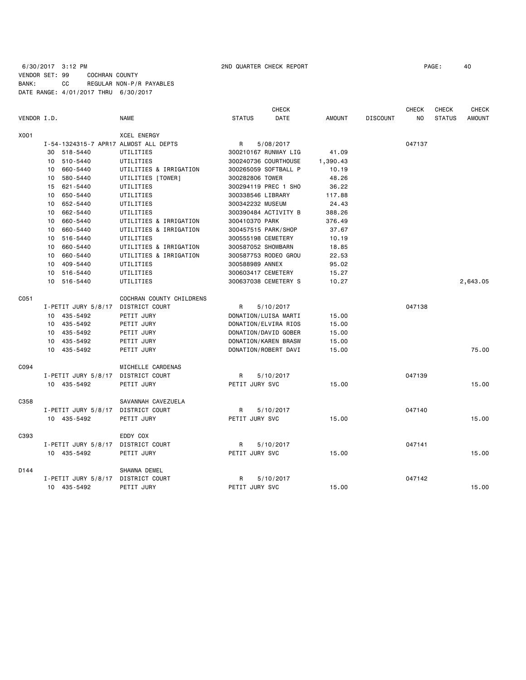### 6/30/2017 3:12 PM 2ND QUARTER CHECK REPORT PAGE: 40 VENDOR SET: 99 COCHRAN COUNTY BANK: CC REGULAR NON-P/R PAYABLES DATE RANGE: 4/01/2017 THRU 6/30/2017

|             |                                       |                          | <b>CHECK</b>                 |               |                 | <b>CHECK</b>   | <b>CHECK</b>  | <b>CHECK</b>  |
|-------------|---------------------------------------|--------------------------|------------------------------|---------------|-----------------|----------------|---------------|---------------|
| VENDOR I.D. |                                       | <b>NAME</b>              | <b>DATE</b><br><b>STATUS</b> | <b>AMOUNT</b> | <b>DISCOUNT</b> | N <sub>O</sub> | <b>STATUS</b> | <b>AMOUNT</b> |
| X001        |                                       | <b>XCEL ENERGY</b>       |                              |               |                 |                |               |               |
|             | I-54-1324315-7 APR17 ALMOST ALL DEPTS |                          | R<br>5/08/2017               |               |                 | 047137         |               |               |
|             | 30 518-5440                           | UTILITIES                | 300210167 RUNWAY LIG         | 41.09         |                 |                |               |               |
|             | 10 510-5440                           | UTILITIES                | 300240736 COURTHOUSE         | 1,390.43      |                 |                |               |               |
|             | 660-5440<br>10                        | UTILITIES & IRRIGATION   | 300265059 SOFTBALL P         | 10.19         |                 |                |               |               |
|             | 580-5440<br>10                        | UTILITIES [TOWER]        | 300282806 TOWER              | 48.26         |                 |                |               |               |
|             | 15 621-5440                           | UTILITIES                | 300294119 PREC 1 SHO         | 36.22         |                 |                |               |               |
|             | 650-5440<br>10                        | UTILITIES                | 300338546 LIBRARY            | 117.88        |                 |                |               |               |
|             | 10 652-5440                           | UTILITIES                | 300342232 MUSEUM             | 24.43         |                 |                |               |               |
|             | 662-5440<br>10                        | UTILITIES                | 300390484 ACTIVITY B         | 388.26        |                 |                |               |               |
|             | 660-5440<br>10                        | UTILITIES & IRRIGATION   | 300410370 PARK               | 376.49        |                 |                |               |               |
|             | 660-5440<br>10                        | UTILITIES & IRRIGATION   | 300457515 PARK/SHOP          | 37.67         |                 |                |               |               |
|             | 516-5440<br>10                        | UTILITIES                | 300555198 CEMETERY           | 10.19         |                 |                |               |               |
|             | 660-5440<br>10                        | UTILITIES & IRRIGATION   | 300587052 SHOWBARN           | 18.85         |                 |                |               |               |
|             | 10 660-5440                           | UTILITIES & IRRIGATION   | 300587753 RODEO GROU         | 22.53         |                 |                |               |               |
|             | 409-5440<br>10                        | UTILITIES                | 300588989 ANNEX              | 95.02         |                 |                |               |               |
|             | 10 516-5440                           | UTILITIES                | 300603417 CEMETERY           | 15.27         |                 |                |               |               |
|             | 10 516-5440                           | UTILITIES                | 300637038 CEMETERY S         | 10.27         |                 |                |               | 2,643.05      |
| C051        |                                       | COCHRAN COUNTY CHILDRENS |                              |               |                 |                |               |               |
|             | I-PETIT JURY 5/8/17                   | DISTRICT COURT           | R<br>5/10/2017               |               |                 | 047138         |               |               |
|             | 10 435-5492                           | PETIT JURY               | DONATION/LUISA MARTI         | 15.00         |                 |                |               |               |
|             | 10 435-5492                           | PETIT JURY               | DONATION/ELVIRA RIOS         | 15.00         |                 |                |               |               |
|             | 10 435-5492                           | PETIT JURY               | DONATION/DAVID GOBER         | 15.00         |                 |                |               |               |
|             | 10 435-5492                           | PETIT JURY               | DONATION/KAREN BRASW         | 15.00         |                 |                |               |               |
|             | 10 435-5492                           | PETIT JURY               | DONATION/ROBERT DAVI         | 15.00         |                 |                |               | 75.00         |
| C094        |                                       | MICHELLE CARDENAS        |                              |               |                 |                |               |               |
|             | I-PETIT JURY 5/8/17                   | DISTRICT COURT           | R<br>5/10/2017               |               |                 | 047139         |               |               |
|             | 10 435-5492                           | PETIT JURY               | PETIT JURY SVC               | 15.00         |                 |                |               | 15.00         |
|             |                                       |                          |                              |               |                 |                |               |               |
| C358        |                                       | SAVANNAH CAVEZUELA       |                              |               |                 |                |               |               |
|             | I-PETIT JURY 5/8/17 DISTRICT COURT    |                          | 5/10/2017<br>R               |               |                 | 047140         |               |               |
|             | 10 435-5492                           | PETIT JURY               | PETIT JURY SVC               | 15.00         |                 |                |               | 15.00         |
| C393        |                                       | EDDY COX                 |                              |               |                 |                |               |               |
|             | I-PETIT JURY 5/8/17                   | DISTRICT COURT           | R<br>5/10/2017               |               |                 | 047141         |               |               |
|             | 10 435-5492                           | PETIT JURY               | PETIT JURY SVC               | 15.00         |                 |                |               | 15.00         |
| D144        |                                       | SHAWNA DEMEL             |                              |               |                 |                |               |               |
|             | I-PETIT JURY 5/8/17                   | DISTRICT COURT           | R<br>5/10/2017               |               |                 | 047142         |               |               |
|             | 10 435-5492                           | PETIT JURY               | PETIT JURY SVC               | 15.00         |                 |                |               | 15.00         |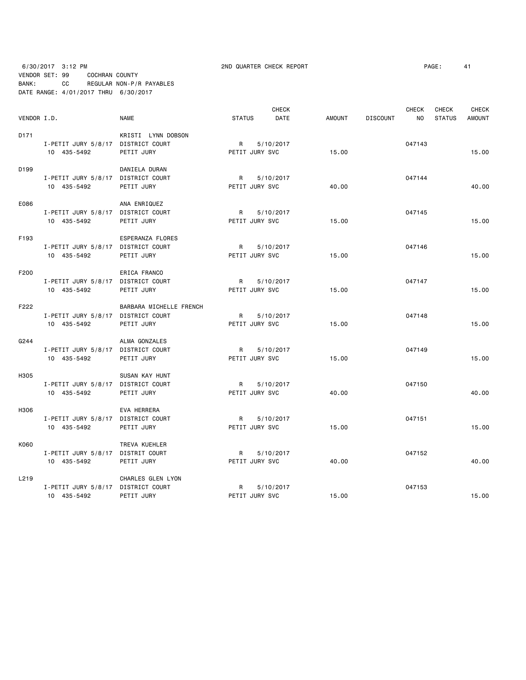6/30/2017 3:12 PM 2ND QUARTER CHECK REPORT PAGE: 41 VENDOR SET: 99 COCHRAN COUNTY BANK: CC REGULAR NON-P/R PAYABLES DATE RANGE: 4/01/2017 THRU 6/30/2017

| VENDOR I.D.      |                                    | <b>NAME</b>             | <b>STATUS</b>  | <b>CHECK</b><br>DATE | <b>AMOUNT</b> | <b>DISCOUNT</b> | <b>CHECK</b><br>NO. | <b>CHECK</b><br><b>STATUS</b> | <b>CHECK</b><br><b>AMOUNT</b> |
|------------------|------------------------------------|-------------------------|----------------|----------------------|---------------|-----------------|---------------------|-------------------------------|-------------------------------|
| D <sub>171</sub> |                                    | KRISTI LYNN DOBSON      |                |                      |               |                 |                     |                               |                               |
|                  | I-PETIT JURY 5/8/17 DISTRICT COURT |                         | R              | 5/10/2017            |               |                 | 047143              |                               |                               |
|                  | 10 435-5492                        | PETIT JURY              | PETIT JURY SVC |                      | 15.00         |                 |                     |                               | 15.00                         |
| D199             |                                    | DANIELA DURAN           |                |                      |               |                 |                     |                               |                               |
|                  | I-PETIT JURY 5/8/17 DISTRICT COURT |                         | R              | 5/10/2017            |               |                 | 047144              |                               |                               |
|                  | 10 435-5492                        | PETIT JURY              | PETIT JURY SVC |                      | 40.00         |                 |                     |                               | 40.00                         |
| E086             |                                    | ANA ENRIQUEZ            |                |                      |               |                 |                     |                               |                               |
|                  | I-PETIT JURY 5/8/17 DISTRICT COURT |                         | R              | 5/10/2017            |               |                 | 047145              |                               |                               |
|                  | 10 435-5492                        | PETIT JURY              | PETIT JURY SVC |                      | 15.00         |                 |                     |                               | 15.00                         |
| F193             |                                    | ESPERANZA FLORES        |                |                      |               |                 |                     |                               |                               |
|                  | I-PETIT JURY 5/8/17 DISTRICT COURT |                         | R              | 5/10/2017            |               |                 | 047146              |                               |                               |
|                  | 10 435-5492                        | PETIT JURY              | PETIT JURY SVC |                      | 15.00         |                 |                     |                               | 15.00                         |
| F200             |                                    | ERICA FRANCO            |                |                      |               |                 |                     |                               |                               |
|                  | I-PETIT JURY 5/8/17 DISTRICT COURT |                         | $\mathsf{R}$   | 5/10/2017            |               |                 | 047147              |                               |                               |
|                  | 10 435-5492                        | PETIT JURY              | PETIT JURY SVC |                      | 15.00         |                 |                     |                               | 15.00                         |
| F222             |                                    | BARBARA MICHELLE FRENCH |                |                      |               |                 |                     |                               |                               |
|                  | I-PETIT JURY 5/8/17 DISTRICT COURT |                         | $R \sim$       | 5/10/2017            |               |                 | 047148              |                               |                               |
|                  | 10 435-5492                        | PETIT JURY              | PETIT JURY SVC |                      | 15.00         |                 |                     |                               | 15.00                         |
| G244             |                                    | ALMA GONZALES           |                |                      |               |                 |                     |                               |                               |
|                  | I-PETIT JURY 5/8/17 DISTRICT COURT |                         | $\mathsf{R}$   | 5/10/2017            |               |                 | 047149              |                               |                               |
|                  | 10 435-5492                        | PETIT JURY              | PETIT JURY SVC |                      | 15.00         |                 |                     |                               | 15.00                         |
| H305             |                                    | SUSAN KAY HUNT          |                |                      |               |                 |                     |                               |                               |
|                  | I-PETIT JURY 5/8/17 DISTRICT COURT |                         | R              | 5/10/2017            |               |                 | 047150              |                               |                               |
|                  | 10 435-5492                        | PETIT JURY              | PETIT JURY SVC |                      | 40.00         |                 |                     |                               | 40.00                         |
| H306             |                                    | EVA HERRERA             |                |                      |               |                 |                     |                               |                               |
|                  | I-PETIT JURY 5/8/17 DISTRICT COURT |                         | $\mathsf{R}$   | 5/10/2017            |               |                 | 047151              |                               |                               |
|                  | 10 435-5492                        | PETIT JURY              | PETIT JURY SVC |                      | 15.00         |                 |                     |                               | 15.00                         |
| K060             |                                    | TREVA KUEHLER           |                |                      |               |                 |                     |                               |                               |
|                  | I-PETIT JURY 5/8/17 DISTRIT COURT  |                         | R              | 5/10/2017            |               |                 | 047152              |                               |                               |
|                  | 10 435-5492                        | PETIT JURY              | PETIT JURY SVC |                      | 40.00         |                 |                     |                               | 40.00                         |
| L219             |                                    | CHARLES GLEN LYON       |                |                      |               |                 |                     |                               |                               |
|                  | I-PETIT JURY 5/8/17 DISTRICT COURT |                         | R              | 5/10/2017            |               |                 | 047153              |                               |                               |
|                  | 10 435-5492                        | PETIT JURY              | PETIT JURY SVC |                      | 15.00         |                 |                     |                               | 15.00                         |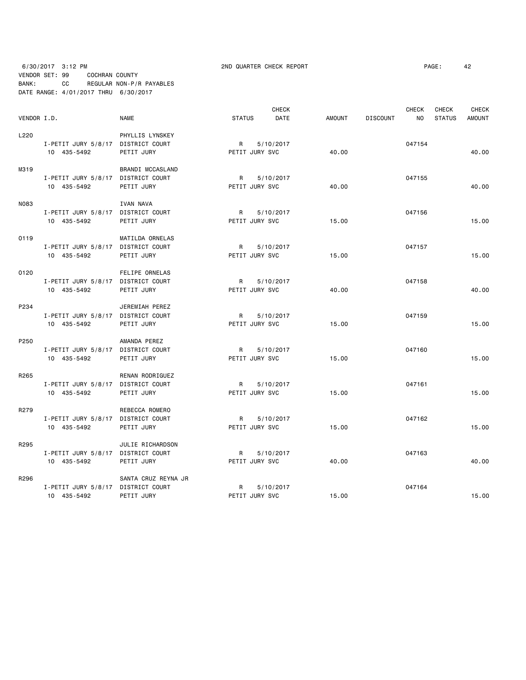# 6/30/2017 3:12 PM 2ND QUARTER CHECK REPORT PAGE: 42 VENDOR SET: 99 COCHRAN COUNTY BANK: CC REGULAR NON-P/R PAYABLES DATE RANGE: 4/01/2017 THRU 6/30/2017

|             |                                    |                       |                | <b>CHECK</b> |               |                 | <b>CHECK</b> | <b>CHECK</b>  | <b>CHECK</b>  |
|-------------|------------------------------------|-----------------------|----------------|--------------|---------------|-----------------|--------------|---------------|---------------|
| VENDOR I.D. |                                    | <b>NAME</b>           | <b>STATUS</b>  | <b>DATE</b>  | <b>AMOUNT</b> | <b>DISCOUNT</b> | <b>NO</b>    | <b>STATUS</b> | <b>AMOUNT</b> |
| L220        |                                    | PHYLLIS LYNSKEY       |                |              |               |                 |              |               |               |
|             | I-PETIT JURY 5/8/17 DISTRICT COURT |                       | R              | 5/10/2017    |               |                 | 047154       |               |               |
|             | 10 435-5492                        | PETIT JURY            | PETIT JURY SVC |              | 40.00         |                 |              |               | 40.00         |
| M319        |                                    | BRANDI MCCASLAND      |                |              |               |                 |              |               |               |
|             | I-PETIT JURY 5/8/17 DISTRICT COURT |                       | R              | 5/10/2017    |               |                 | 047155       |               |               |
|             | 10 435-5492                        | PETIT JURY            | PETIT JURY SVC |              | 40.00         |                 |              |               | 40.00         |
| <b>N083</b> |                                    | <b>IVAN NAVA</b>      |                |              |               |                 |              |               |               |
|             | I-PETIT JURY 5/8/17 DISTRICT COURT |                       | $\mathsf{R}$   | 5/10/2017    |               |                 | 047156       |               |               |
|             | 10 435-5492                        | PETIT JURY            | PETIT JURY SVC |              | 15.00         |                 |              |               | 15.00         |
| 0119        |                                    | MATILDA ORNELAS       |                |              |               |                 |              |               |               |
|             | I-PETIT JURY 5/8/17 DISTRICT COURT |                       | R              | 5/10/2017    |               |                 | 047157       |               |               |
|             | 10 435-5492                        | PETIT JURY            | PETIT JURY SVC |              | 15.00         |                 |              |               | 15.00         |
| 0120        |                                    | <b>FELIPE ORNELAS</b> |                |              |               |                 |              |               |               |
|             | I-PETIT JURY 5/8/17 DISTRICT COURT |                       | R              | 5/10/2017    |               |                 | 047158       |               |               |
|             | 10 435-5492                        | PETIT JURY            | PETIT JURY SVC |              | 40.00         |                 |              |               | 40.00         |
| P234        |                                    | JEREMIAH PEREZ        |                |              |               |                 |              |               |               |
|             | I-PETIT JURY 5/8/17 DISTRICT COURT |                       | R              | 5/10/2017    |               |                 | 047159       |               |               |
|             | 10 435-5492                        | PETIT JURY            | PETIT JURY SVC |              | 15.00         |                 |              |               | 15.00         |
| P250        |                                    | AMANDA PEREZ          |                |              |               |                 |              |               |               |
|             | I-PETIT JURY 5/8/17 DISTRICT COURT |                       | R              | 5/10/2017    |               |                 | 047160       |               |               |
|             | 10 435-5492                        | PETIT JURY            | PETIT JURY SVC |              | 15.00         |                 |              |               | 15.00         |
| R265        |                                    | RENAN RODRIGUEZ       |                |              |               |                 |              |               |               |
|             | I-PETIT JURY 5/8/17 DISTRICT COURT |                       | R              | 5/10/2017    |               |                 | 047161       |               |               |
|             | 10 435-5492                        | PETIT JURY            | PETIT JURY SVC |              | 15.00         |                 |              |               | 15.00         |
| R279        |                                    | REBECCA ROMERO        |                |              |               |                 |              |               |               |
|             | I-PETIT JURY 5/8/17 DISTRICT COURT |                       | R              | 5/10/2017    |               |                 | 047162       |               |               |
|             | 10 435-5492                        | PETIT JURY            | PETIT JURY SVC |              | 15.00         |                 |              |               | 15.00         |
| R295        |                                    | JULIE RICHARDSON      |                |              |               |                 |              |               |               |
|             | I-PETIT JURY 5/8/17 DISTRICT COURT |                       | R              | 5/10/2017    |               |                 | 047163       |               |               |
|             | 10 435-5492                        | PETIT JURY            | PETIT JURY SVC |              | 40.00         |                 |              |               | 40.00         |
| R296        |                                    | SANTA CRUZ REYNA JR   |                |              |               |                 |              |               |               |
|             | I-PETIT JURY 5/8/17 DISTRICT COURT |                       | R              | 5/10/2017    |               |                 | 047164       |               |               |
|             | 10 435-5492                        | PETIT JURY            | PETIT JURY SVC |              | 15.00         |                 |              |               | 15.00         |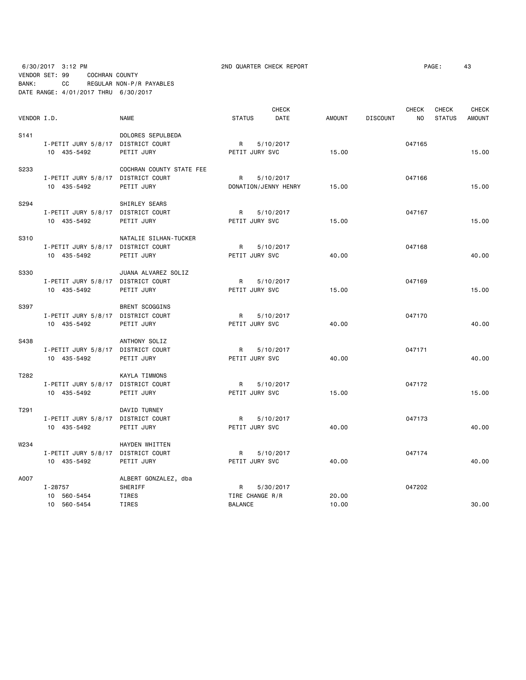6/30/2017 3:12 PM 2ND QUARTER CHECK REPORT PAGE: 43 VENDOR SET: 99 COCHRAN COUNTY BANK: CC REGULAR NON-P/R PAYABLES DATE RANGE: 4/01/2017 THRU 6/30/2017

|                  |                                    |                          |                 | <b>CHECK</b>         |        |                 | <b>CHECK</b> | <b>CHECK</b>  | <b>CHECK</b>  |
|------------------|------------------------------------|--------------------------|-----------------|----------------------|--------|-----------------|--------------|---------------|---------------|
| VENDOR I.D.      |                                    | <b>NAME</b>              | <b>STATUS</b>   | DATE                 | AMOUNT | <b>DISCOUNT</b> | NO.          | <b>STATUS</b> | <b>AMOUNT</b> |
| S <sub>141</sub> |                                    | DOLORES SEPULBEDA        |                 |                      |        |                 |              |               |               |
|                  | I-PETIT JURY 5/8/17 DISTRICT COURT |                          | $\mathsf{R}$    | 5/10/2017            |        |                 | 047165       |               |               |
|                  | 10 435-5492                        | PETIT JURY               | PETIT JURY SVC  |                      | 15.00  |                 |              |               | 15.00         |
| S233             |                                    | COCHRAN COUNTY STATE FEE |                 |                      |        |                 |              |               |               |
|                  | I-PETIT JURY 5/8/17 DISTRICT COURT |                          | R               | 5/10/2017            |        |                 | 047166       |               |               |
|                  | 10 435-5492                        | PETIT JURY               |                 | DONATION/JENNY HENRY | 15.00  |                 |              |               | 15.00         |
| S294             |                                    | SHIRLEY SEARS            |                 |                      |        |                 |              |               |               |
|                  | I-PETIT JURY 5/8/17 DISTRICT COURT |                          | R               | 5/10/2017            |        |                 | 047167       |               |               |
|                  | 10 435-5492                        | PETIT JURY               | PETIT JURY SVC  |                      | 15.00  |                 |              |               | 15.00         |
| S310             |                                    | NATALIE SILHAN-TUCKER    |                 |                      |        |                 |              |               |               |
|                  | I-PETIT JURY 5/8/17 DISTRICT COURT |                          | R               | 5/10/2017            |        |                 | 047168       |               |               |
|                  | 10 435-5492                        | PETIT JURY               | PETIT JURY SVC  |                      | 40.00  |                 |              |               | 40.00         |
| <b>S330</b>      |                                    | JUANA ALVAREZ SOLIZ      |                 |                      |        |                 |              |               |               |
|                  | I-PETIT JURY 5/8/17 DISTRICT COURT |                          | R 5/10/2017     |                      |        |                 | 047169       |               |               |
|                  | 10 435-5492                        | PETIT JURY               | PETIT JURY SVC  |                      | 15.00  |                 |              |               | 15.00         |
| S397             |                                    | <b>BRENT SCOGGINS</b>    |                 |                      |        |                 |              |               |               |
|                  | I-PETIT JURY 5/8/17 DISTRICT COURT |                          | R               | 5/10/2017            |        |                 | 047170       |               |               |
|                  | 10 435-5492                        | PETIT JURY               | PETIT JURY SVC  |                      | 40.00  |                 |              |               | 40.00         |
| S438             |                                    | ANTHONY SOLIZ            |                 |                      |        |                 |              |               |               |
|                  | I-PETIT JURY 5/8/17 DISTRICT COURT |                          | R               | 5/10/2017            |        |                 | 047171       |               |               |
|                  | 10 435-5492                        | PETIT JURY               | PETIT JURY SVC  |                      | 40.00  |                 |              |               | 40.00         |
| T282             |                                    | <b>KAYLA TIMMONS</b>     |                 |                      |        |                 |              |               |               |
|                  | I-PETIT JURY 5/8/17 DISTRICT COURT |                          | <b>R</b>        | 5/10/2017            |        |                 | 047172       |               |               |
|                  | 10 435-5492                        | PETIT JURY               | PETIT JURY SVC  |                      | 15.00  |                 |              |               | 15.00         |
| T291             |                                    | DAVID TURNEY             |                 |                      |        |                 |              |               |               |
|                  | I-PETIT JURY 5/8/17 DISTRICT COURT |                          | <b>R</b>        | 5/10/2017            |        |                 | 047173       |               |               |
|                  | 10 435-5492                        | PETIT JURY               | PETIT JURY SVC  |                      | 40.00  |                 |              |               | 40.00         |
| W234             |                                    | HAYDEN WHITTEN           |                 |                      |        |                 |              |               |               |
|                  | I-PETIT JURY 5/8/17 DISTRICT COURT |                          | R               | 5/10/2017            |        |                 | 047174       |               |               |
|                  | 10 435-5492                        | PETIT JURY               | PETIT JURY SVC  |                      | 40.00  |                 |              |               | 40.00         |
| A007             |                                    | ALBERT GONZALEZ, dba     |                 |                      |        |                 |              |               |               |
|                  | I-28757                            | SHERIFF                  | R               | 5/30/2017            |        |                 | 047202       |               |               |
|                  | 10 560-5454                        | TIRES                    | TIRE CHANGE R/R |                      | 20.00  |                 |              |               |               |
|                  | 10 560-5454                        | TIRES                    | <b>BALANCE</b>  |                      | 10.00  |                 |              |               | 30.00         |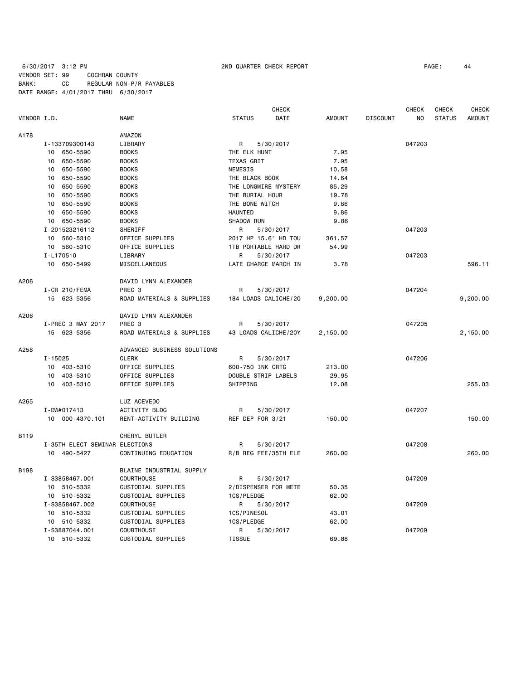### 6/30/2017 3:12 PM **2ND QUARTER CHECK REPORT 200 200 200 200 200 200 200 200 200 200 200 200 200 200 200 200 200 200 200 200 200 200 200 200 200 200 200 200 200 20** VENDOR SET: 99 COCHRAN COUNTY BANK: CC REGULAR NON-P/R PAYABLES DATE RANGE: 4/01/2017 THRU 6/30/2017

|             |                                | CHECK                       |                      |           |               |                 | <b>CHECK</b> | CHECK         | <b>CHECK</b>  |
|-------------|--------------------------------|-----------------------------|----------------------|-----------|---------------|-----------------|--------------|---------------|---------------|
| VENDOR I.D. |                                | <b>NAME</b>                 | <b>STATUS</b>        | DATE      | <b>AMOUNT</b> | <b>DISCOUNT</b> | NO.          | <b>STATUS</b> | <b>AMOUNT</b> |
| A178        |                                | AMAZON                      |                      |           |               |                 |              |               |               |
|             | I-133709300143                 | LIBRARY                     | R                    | 5/30/2017 |               |                 | 047203       |               |               |
|             | 10 650-5590                    | <b>BOOKS</b>                | THE ELK HUNT         |           | 7.95          |                 |              |               |               |
|             | 10<br>650-5590                 | <b>BOOKS</b>                | TEXAS GRIT           |           | 7.95          |                 |              |               |               |
|             | 650-5590<br>10                 | <b>BOOKS</b>                | <b>NEMESIS</b>       |           | 10.58         |                 |              |               |               |
|             | 650-5590<br>10                 | <b>BOOKS</b>                | THE BLACK BOOK       |           | 14.64         |                 |              |               |               |
|             | 10<br>650-5590                 | <b>BOOKS</b>                | THE LONGMIRE MYSTERY |           | 85.29         |                 |              |               |               |
|             | 10<br>650-5590                 | <b>BOOKS</b>                | THE BURIAL HOUR      |           | 19.78         |                 |              |               |               |
|             | 650-5590<br>10                 | <b>BOOKS</b>                | THE BONE WITCH       |           | 9.86          |                 |              |               |               |
|             | 650-5590<br>10                 | <b>BOOKS</b>                | <b>HAUNTED</b>       |           | 9.86          |                 |              |               |               |
|             | 650-5590<br>10                 | <b>BOOKS</b>                | <b>SHADOW RUN</b>    |           | 9.86          |                 |              |               |               |
|             | I-201523216112                 | SHERIFF                     | R                    | 5/30/2017 |               |                 | 047203       |               |               |
|             | 10 560-5310                    | OFFICE SUPPLIES             | 2017 HP 15.6" HD TOU |           | 361.57        |                 |              |               |               |
|             | 10 560-5310                    | OFFICE SUPPLIES             | 1TB PORTABLE HARD DR |           | 54.99         |                 |              |               |               |
|             | I-L170510                      | LIBRARY                     | R                    | 5/30/2017 |               |                 | 047203       |               |               |
|             | 10 650-5499                    | MISCELLANEOUS               | LATE CHARGE MARCH IN |           | 3.78          |                 |              |               | 596.11        |
|             |                                |                             |                      |           |               |                 |              |               |               |
| A206        |                                | DAVID LYNN ALEXANDER        |                      |           |               |                 |              |               |               |
|             | I-CR 210/FEMA                  | PREC <sub>3</sub>           | R                    | 5/30/2017 |               |                 | 047204       |               |               |
|             | 15 623-5356                    | ROAD MATERIALS & SUPPLIES   | 184 LOADS CALICHE/20 |           | 9,200.00      |                 |              |               | 9,200.00      |
| A206        |                                | DAVID LYNN ALEXANDER        |                      |           |               |                 |              |               |               |
|             | I-PREC 3 MAY 2017              | PREC 3                      | R                    | 5/30/2017 |               |                 | 047205       |               |               |
|             | 15 623-5356                    | ROAD MATERIALS & SUPPLIES   | 43 LOADS CALICHE/20Y |           | 2,150.00      |                 |              |               | 2,150.00      |
| A258        |                                | ADVANCED BUSINESS SOLUTIONS |                      |           |               |                 |              |               |               |
|             | $I - 15025$                    | <b>CLERK</b>                | R                    | 5/30/2017 |               |                 | 047206       |               |               |
|             | 10 403-5310                    | OFFICE SUPPLIES             | 600-750 INK CRTG     |           | 213.00        |                 |              |               |               |
|             | 403-5310<br>10                 | OFFICE SUPPLIES             | DOUBLE STRIP LABELS  |           | 29.95         |                 |              |               |               |
|             | 10 403-5310                    | OFFICE SUPPLIES             | SHIPPING             |           | 12.08         |                 |              |               | 255.03        |
| A265        |                                | LUZ ACEVEDO                 |                      |           |               |                 |              |               |               |
|             | I-DW#017413                    | ACTIVITY BLDG               | R                    | 5/30/2017 |               |                 | 047207       |               |               |
|             | 10 000-4370.101                | RENT-ACTIVITY BUILDING      | REF DEP FOR 3/21     |           | 150.00        |                 |              |               | 150.00        |
|             |                                |                             |                      |           |               |                 |              |               |               |
| B119        |                                | CHERYL BUTLER               |                      |           |               |                 |              |               |               |
|             | I-35TH ELECT SEMINAR ELECTIONS |                             | R                    | 5/30/2017 |               |                 | 047208       |               |               |
|             | 10 490-5427                    | CONTINUING EDUCATION        | R/B REG FEE/35TH ELE |           | 260.00        |                 |              |               | 260.00        |
| <b>B198</b> |                                | BLAINE INDUSTRIAL SUPPLY    |                      |           |               |                 |              |               |               |
|             | I-S3858467.001                 | <b>COURTHOUSE</b>           | R                    | 5/30/2017 |               |                 | 047209       |               |               |
|             | 10 510-5332                    | CUSTODIAL SUPPLIES          | 2/DISPENSER FOR METE |           | 50.35         |                 |              |               |               |
|             | 10 510-5332                    | CUSTODIAL SUPPLIES          | 1CS/PLEDGE           |           | 62.00         |                 |              |               |               |
|             | I-S3858467.002                 | <b>COURTHOUSE</b>           | R                    | 5/30/2017 |               |                 | 047209       |               |               |
|             | 510-5332<br>10                 | CUSTODIAL SUPPLIES          | 1CS/PINESOL          |           | 43.01         |                 |              |               |               |
|             | 10 510-5332                    | CUSTODIAL SUPPLIES          | 1CS/PLEDGE           |           | 62.00         |                 |              |               |               |
|             | I-S3887044.001                 | COURTHOUSE                  | R                    | 5/30/2017 |               |                 | 047209       |               |               |
|             | 10 510-5332                    | CUSTODIAL SUPPLIES          | <b>TISSUE</b>        |           | 69.88         |                 |              |               |               |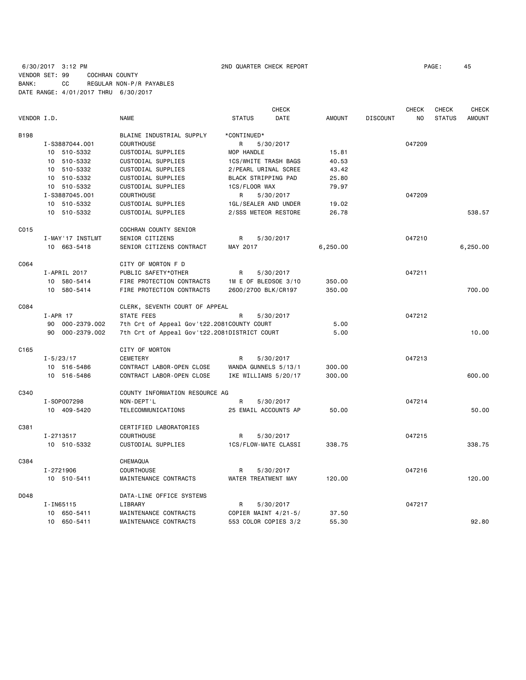6/30/2017 3:12 PM 2ND QUARTER CHECK REPORT PAGE: 45 VENDOR SET: 99 COCHRAN COUNTY BANK: CC REGULAR NON-P/R PAYABLES DATE RANGE: 4/01/2017 THRU 6/30/2017

|             |                  |                                              |                      | <b>CHECK</b> |          |                 | <b>CHECK</b> | <b>CHECK</b>  | <b>CHECK</b>  |
|-------------|------------------|----------------------------------------------|----------------------|--------------|----------|-----------------|--------------|---------------|---------------|
| VENDOR I.D. |                  | <b>NAME</b>                                  | <b>STATUS</b>        | DATE         | AMOUNT   | <b>DISCOUNT</b> | NO.          | <b>STATUS</b> | <b>AMOUNT</b> |
| B198        |                  | BLAINE INDUSTRIAL SUPPLY                     | *CONTINUED*          |              |          |                 |              |               |               |
|             | I-S3887044.001   | COURTHOUSE                                   | R                    | 5/30/2017    |          |                 | 047209       |               |               |
|             | 10 510-5332      | CUSTODIAL SUPPLIES                           | MOP HANDLE           |              | 15.81    |                 |              |               |               |
|             | 10 510-5332      | CUSTODIAL SUPPLIES                           | 1CS/WHITE TRASH BAGS |              | 40.53    |                 |              |               |               |
|             | 10 510-5332      | CUSTODIAL SUPPLIES                           | 2/PEARL URINAL SCREE |              | 43.42    |                 |              |               |               |
|             | 10 510-5332      | CUSTODIAL SUPPLIES                           | BLACK STRIPPING PAD  |              | 25.80    |                 |              |               |               |
|             | 10 510-5332      | CUSTODIAL SUPPLIES                           | 1CS/FLOOR WAX        |              | 79.97    |                 |              |               |               |
|             | I-S3887045.001   | <b>COURTHOUSE</b>                            | R                    | 5/30/2017    |          |                 | 047209       |               |               |
|             | 10 510-5332      | CUSTODIAL SUPPLIES                           | 1GL/SEALER AND UNDER |              | 19.02    |                 |              |               |               |
|             | 10 510-5332      | CUSTODIAL SUPPLIES                           | 2/SSS METEOR RESTORE |              | 26.78    |                 |              |               | 538.57        |
| C015        |                  | COCHRAN COUNTY SENIOR                        |                      |              |          |                 |              |               |               |
|             | I-MAY'17 INSTLMT | SENIOR CITIZENS                              | R                    | 5/30/2017    |          |                 | 047210       |               |               |
|             | 10 663-5418      | SENIOR CITIZENS CONTRACT                     | MAY 2017             |              | 6,250.00 |                 |              |               | 6,250.00      |
| C064        |                  | CITY OF MORTON F D                           |                      |              |          |                 |              |               |               |
|             | I-APRIL 2017     | PUBLIC SAFETY*OTHER                          | R                    | 5/30/2017    |          |                 | 047211       |               |               |
|             | 10 580-5414      | FIRE PROTECTION CONTRACTS                    | 1M E OF BLEDSOE 3/10 |              | 350.00   |                 |              |               |               |
|             | 10 580-5414      | FIRE PROTECTION CONTRACTS                    | 2600/2700 BLK/CR197  |              | 350.00   |                 |              |               | 700.00        |
| C084        |                  | CLERK, SEVENTH COURT OF APPEAL               |                      |              |          |                 |              |               |               |
|             | $I-APR$ 17       | STATE FEES                                   | R                    | 5/30/2017    |          |                 | 047212       |               |               |
|             | 90 000-2379.002  | 7th Crt of Appeal Gov't22.2081COUNTY COURT   |                      |              | 5.00     |                 |              |               |               |
|             | 90 000-2379.002  | 7th Crt of Appeal Gov't22.2081DISTRICT COURT |                      |              | 5.00     |                 |              |               | 10.00         |
| C165        |                  | CITY OF MORTON                               |                      |              |          |                 |              |               |               |
|             | $I - 5/23/17$    | <b>CEMETERY</b>                              | R                    | 5/30/2017    |          |                 | 047213       |               |               |
|             | 10 516-5486      | CONTRACT LABOR-OPEN CLOSE                    | WANDA GUNNELS 5/13/1 |              | 300.00   |                 |              |               |               |
|             | 10 516-5486      | CONTRACT LABOR-OPEN CLOSE                    | IKE WILLIAMS 5/20/17 |              | 300.00   |                 |              |               | 600.00        |
| C340        |                  | COUNTY INFORMATION RESOURCE AG               |                      |              |          |                 |              |               |               |
|             | I-S0P007298      | NON-DEPT'L                                   | R                    | 5/30/2017    |          |                 | 047214       |               |               |
|             | 10 409-5420      | TELECOMMUNICATIONS                           | 25 EMAIL ACCOUNTS AP |              | 50.00    |                 |              |               | 50.00         |
| C381        |                  | CERTIFIED LABORATORIES                       |                      |              |          |                 |              |               |               |
|             | I-2713517        | <b>COURTHOUSE</b>                            | R                    | 5/30/2017    |          |                 | 047215       |               |               |
|             | 10 510-5332      | CUSTODIAL SUPPLIES                           | 1CS/FLOW-MATE CLASSI |              | 338.75   |                 |              |               | 338.75        |
| C384        |                  | CHEMAQUA                                     |                      |              |          |                 |              |               |               |
|             | I-2721906        | <b>COURTHOUSE</b>                            | R                    | 5/30/2017    |          |                 | 047216       |               |               |
|             | 10 510-5411      | MAINTENANCE CONTRACTS                        | WATER TREATMENT MAY  |              | 120.00   |                 |              |               | 120.00        |
| D048        |                  | DATA-LINE OFFICE SYSTEMS                     |                      |              |          |                 |              |               |               |
|             | I-IN65115        | LIBRARY                                      | R                    | 5/30/2017    |          |                 | 047217       |               |               |
|             | 10 650-5411      | MAINTENANCE CONTRACTS                        | COPIER MAINT 4/21-5/ |              | 37.50    |                 |              |               |               |
|             | 10 650-5411      | MAINTENANCE CONTRACTS                        | 553 COLOR COPIES 3/2 |              | 55.30    |                 |              |               | 92.80         |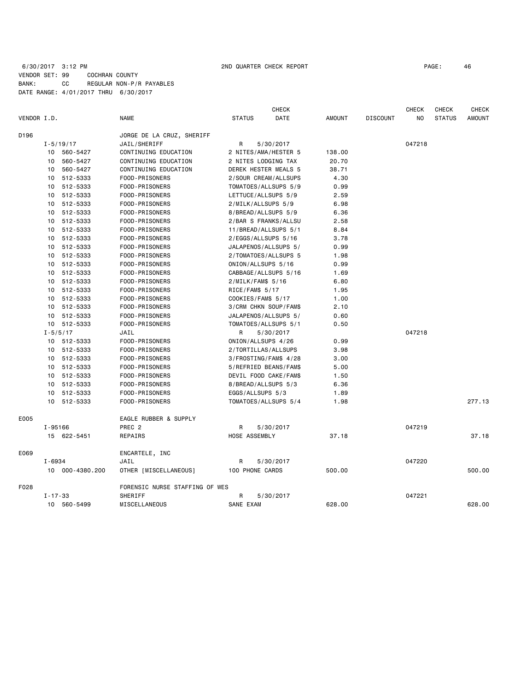# 6/30/2017 3:12 PM 2ND QUARTER CHECK REPORT PAGE: 46 VENDOR SET: 99 COCHRAN COUNTY BANK: CC REGULAR NON-P/R PAYABLES DATE RANGE: 4/01/2017 THRU 6/30/2017

|             |               |                 |                                |                     | <b>CHECK</b>          |               |                 | <b>CHECK</b> | <b>CHECK</b>  | <b>CHECK</b> |
|-------------|---------------|-----------------|--------------------------------|---------------------|-----------------------|---------------|-----------------|--------------|---------------|--------------|
| VENDOR I.D. |               |                 | <b>NAME</b>                    | <b>STATUS</b>       | DATE                  | <b>AMOUNT</b> | <b>DISCOUNT</b> | NO           | <b>STATUS</b> | AMOUNT       |
| D196        |               |                 | JORGE DE LA CRUZ, SHERIFF      |                     |                       |               |                 |              |               |              |
|             |               | $I - 5/19/17$   | JAIL/SHERIFF                   | R                   | 5/30/2017             |               |                 | 047218       |               |              |
|             |               | 10 560-5427     | CONTINUING EDUCATION           |                     | 2 NITES/AMA/HESTER 5  | 138.00        |                 |              |               |              |
|             | 10            | 560-5427        | CONTINUING EDUCATION           | 2 NITES LODGING TAX |                       | 20.70         |                 |              |               |              |
|             | 10            | 560-5427        | CONTINUING EDUCATION           |                     | DEREK HESTER MEALS 5  | 38.71         |                 |              |               |              |
|             | 10            | 512-5333        | FOOD-PRISONERS                 |                     | 2/SOUR CREAM/ALLSUPS  | 4.30          |                 |              |               |              |
|             | 10            | 512-5333        | FOOD-PRISONERS                 |                     | TOMATOES/ALLSUPS 5/9  | 0.99          |                 |              |               |              |
|             | 10            | 512-5333        | FOOD-PRISONERS                 | LETTUCE/ALLSUPS 5/9 |                       | 2.59          |                 |              |               |              |
|             |               | 10 512-5333     | FOOD-PRISONERS                 | 2/MILK/ALLSUPS 5/9  |                       | 6.98          |                 |              |               |              |
|             | 10            | 512-5333        | FOOD-PRISONERS                 | 8/BREAD/ALLSUPS 5/9 |                       | 6.36          |                 |              |               |              |
|             |               | 10 512-5333     | FOOD-PRISONERS                 |                     | 2/BAR S FRANKS/ALLSU  | 2.58          |                 |              |               |              |
|             | 10            | 512-5333        | FOOD-PRISONERS                 |                     | 11/BREAD/ALLSUPS 5/1  | 8.84          |                 |              |               |              |
|             | 10            | 512-5333        | FOOD-PRISONERS                 | 2/EGGS/ALLSUPS 5/16 |                       | 3.78          |                 |              |               |              |
|             |               | 10 512-5333     | FOOD-PRISONERS                 |                     | JALAPENOS/ALLSUPS 5/  | 0.99          |                 |              |               |              |
|             | 10            | 512-5333        | FOOD-PRISONERS                 |                     | 2/TOMATOES/ALLSUPS 5  | 1.98          |                 |              |               |              |
|             | 10            | 512-5333        | FOOD-PRISONERS                 | ONION/ALLSUPS 5/16  |                       | 0.99          |                 |              |               |              |
|             | 10            | 512-5333        | FOOD-PRISONERS                 |                     | CABBAGE/ALLSUPS 5/16  | 1.69          |                 |              |               |              |
|             | 10            | 512-5333        | FOOD-PRISONERS                 | $2/MILK/FAM$$ 5/16  |                       | 6.80          |                 |              |               |              |
|             |               | 10 512-5333     | FOOD-PRISONERS                 | RICE/FAM\$ 5/17     |                       | 1.95          |                 |              |               |              |
|             | 10            | 512-5333        | FOOD-PRISONERS                 | COOKIES/FAM\$ 5/17  |                       | 1.00          |                 |              |               |              |
|             | 10            | 512-5333        | FOOD-PRISONERS                 |                     | 3/CRM CHKN SOUP/FAM\$ | 2.10          |                 |              |               |              |
|             | 10            | 512-5333        | FOOD-PRISONERS                 |                     | JALAPENOS/ALLSUPS 5/  | 0.60          |                 |              |               |              |
|             |               | 10 512-5333     | FOOD-PRISONERS                 |                     | TOMATOES/ALLSUPS 5/1  | 0.50          |                 |              |               |              |
|             | $I - 5/5/17$  |                 | JAIL                           | R                   | 5/30/2017             |               |                 | 047218       |               |              |
|             |               | 10 512-5333     | FOOD-PRISONERS                 | ONION/ALLSUPS 4/26  |                       | 0.99          |                 |              |               |              |
|             |               | 10 512-5333     | FOOD-PRISONERS                 | 2/TORTILLAS/ALLSUPS |                       | 3.98          |                 |              |               |              |
|             | 10            | 512-5333        | FOOD-PRISONERS                 |                     | 3/FROSTING/FAM\$ 4/28 | 3.00          |                 |              |               |              |
|             |               | 10 512-5333     | FOOD-PRISONERS                 |                     | 5/REFRIED BEANS/FAM\$ | 5.00          |                 |              |               |              |
|             |               | 10 512-5333     | FOOD-PRISONERS                 |                     | DEVIL FOOD CAKE/FAM\$ | 1.50          |                 |              |               |              |
|             | 10            | 512-5333        | FOOD-PRISONERS                 | 8/BREAD/ALLSUPS 5/3 |                       | 6.36          |                 |              |               |              |
|             | 10            | 512-5333        | FOOD-PRISONERS                 | EGGS/ALLSUPS 5/3    |                       | 1.89          |                 |              |               |              |
|             | 10            | 512-5333        | FOOD-PRISONERS                 |                     | TOMATOES/ALLSUPS 5/4  | 1.98          |                 |              |               | 277.13       |
| E005        |               |                 | EAGLE RUBBER & SUPPLY          |                     |                       |               |                 |              |               |              |
|             | I-95166       |                 | PREC <sub>2</sub>              | R                   | 5/30/2017             |               |                 | 047219       |               |              |
|             |               | 15 622-5451     | REPAIRS                        | HOSE ASSEMBLY       |                       | 37.18         |                 |              |               | 37.18        |
| E069        |               |                 | ENCARTELE, INC                 |                     |                       |               |                 |              |               |              |
|             | I-6934        |                 | JAIL                           | R                   | 5/30/2017             |               |                 | 047220       |               |              |
|             |               | 10 000-4380.200 | OTHER [MISCELLANEOUS]          | 100 PHONE CARDS     |                       | 500.00        |                 |              |               | 500.00       |
| F028        |               |                 | FORENSIC NURSE STAFFING OF WES |                     |                       |               |                 |              |               |              |
|             | $I - 17 - 33$ |                 | SHERIFF                        | R                   | 5/30/2017             |               |                 | 047221       |               |              |
|             | 10            | 560-5499        | MISCELLANEOUS                  | SANE EXAM           |                       | 628.00        |                 |              |               | 628.00       |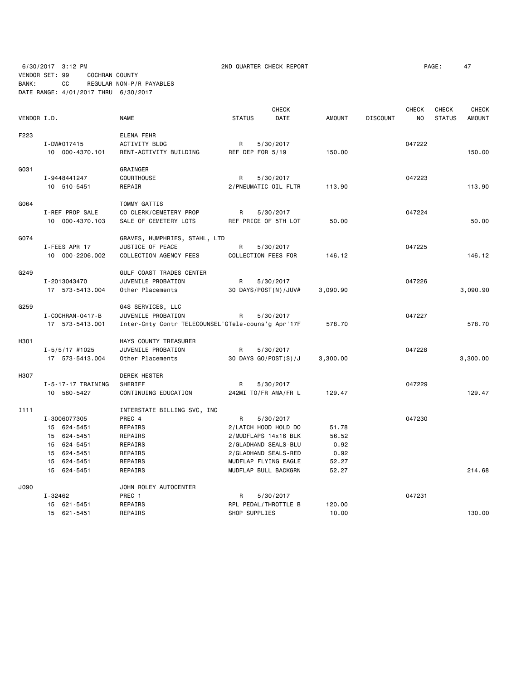6/30/2017 3:12 PM 2ND QUARTER CHECK REPORT PAGE: 47 VENDOR SET: 99 COCHRAN COUNTY BANK: CC REGULAR NON-P/R PAYABLES

DATE RANGE: 4/01/2017 THRU 6/30/2017

| VENDOR I.D. |                        | <b>NAME</b>                                        | <b>STATUS</b>        | <b>CHECK</b><br>DATE | <b>AMOUNT</b> | <b>DISCOUNT</b> | <b>CHECK</b><br>NO | <b>CHECK</b><br><b>STATUS</b> | CHECK<br><b>AMOUNT</b> |
|-------------|------------------------|----------------------------------------------------|----------------------|----------------------|---------------|-----------------|--------------------|-------------------------------|------------------------|
| F223        |                        | ELENA FEHR                                         |                      |                      |               |                 |                    |                               |                        |
|             | I-DW#017415            | ACTIVITY BLDG                                      | R                    | 5/30/2017            |               |                 | 047222             |                               |                        |
|             | 10 000-4370.101        | RENT-ACTIVITY BUILDING                             | REF DEP FOR 5/19     |                      | 150.00        |                 |                    |                               | 150.00                 |
| G031        |                        | GRAINGER                                           |                      |                      |               |                 |                    |                               |                        |
|             | I-9448441247           | <b>COURTHOUSE</b>                                  | R                    | 5/30/2017            |               |                 | 047223             |                               |                        |
|             | 10 510-5451            | REPAIR                                             | 2/PNEUMATIC OIL FLTR |                      | 113.90        |                 |                    |                               | 113.90                 |
| G064        |                        | TOMMY GATTIS                                       |                      |                      |               |                 |                    |                               |                        |
|             | I-REF PROP SALE        | CO CLERK/CEMETERY PROP                             | R                    | 5/30/2017            |               |                 | 047224             |                               |                        |
|             | 10 000-4370.103        | SALE OF CEMETERY LOTS                              | REF PRICE OF 5TH LOT |                      | 50.00         |                 |                    |                               | 50.00                  |
| G074        |                        | GRAVES, HUMPHRIES, STAHL, LTD                      |                      |                      |               |                 |                    |                               |                        |
|             | I-FEES APR 17          | JUSTICE OF PEACE                                   | R                    | 5/30/2017            |               |                 | 047225             |                               |                        |
|             | 10 000-2206.002        | COLLECTION AGENCY FEES                             | COLLECTION FEES FOR  |                      | 146.12        |                 |                    |                               | 146.12                 |
| G249        |                        | GULF COAST TRADES CENTER                           |                      |                      |               |                 |                    |                               |                        |
|             | I-2013043470           | JUVENILE PROBATION                                 | R                    | 5/30/2017            |               |                 | 047226             |                               |                        |
|             | 17 573-5413.004        | Other Placements                                   | 30 DAYS/POST(N)/JUV# |                      | 3,090.90      |                 |                    |                               | 3,090.90               |
| G259        |                        | G4S SERVICES, LLC                                  |                      |                      |               |                 |                    |                               |                        |
|             | I - COCHRAN - 0417 - B | JUVENILE PROBATION                                 | R                    | 5/30/2017            |               |                 | 047227             |                               |                        |
|             | 17 573-5413.001        | Inter-Cnty Contr TELECOUNSEL'GTele-couns'g Apr'17F |                      |                      | 578.70        |                 |                    |                               | 578.70                 |
| H301        |                        | HAYS COUNTY TREASURER                              |                      |                      |               |                 |                    |                               |                        |
|             | $I - 5/5/17$ #1025     | JUVENILE PROBATION                                 | R                    | 5/30/2017            |               |                 | 047228             |                               |                        |
|             | 17 573-5413.004        | Other Placements                                   | 30 DAYS GO/POST(S)/J |                      | 3,300.00      |                 |                    |                               | 3,300.00               |
| H307        |                        | <b>DEREK HESTER</b>                                |                      |                      |               |                 |                    |                               |                        |
|             | I-5-17-17 TRAINING     | SHERIFF                                            | R                    | 5/30/2017            |               |                 | 047229             |                               |                        |
|             | 10 560-5427            | CONTINUING EDUCATION                               | 242MI TO/FR AMA/FR L |                      | 129.47        |                 |                    |                               | 129.47                 |
| I111        |                        | INTERSTATE BILLING SVC, INC                        |                      |                      |               |                 |                    |                               |                        |
|             | I-3006077305           | PREC 4                                             | R                    | 5/30/2017            |               |                 | 047230             |                               |                        |
|             | 15 624-5451            | REPAIRS                                            | 2/LATCH HOOD HOLD DO |                      | 51.78         |                 |                    |                               |                        |
|             | 15 624-5451            | REPAIRS                                            | 2/MUDFLAPS 14x16 BLK |                      | 56.52         |                 |                    |                               |                        |
|             | 15 624-5451            | REPAIRS                                            | 2/GLADHAND SEALS-BLU |                      | 0.92          |                 |                    |                               |                        |
|             | 15 624-5451            | REPAIRS                                            | 2/GLADHAND SEALS-RED |                      | 0.92          |                 |                    |                               |                        |
|             | 15 624-5451            | REPAIRS                                            | MUDFLAP FLYING EAGLE |                      | 52.27         |                 |                    |                               |                        |
|             | 15 624-5451            | REPAIRS                                            | MUDFLAP BULL BACKGRN |                      | 52.27         |                 |                    |                               | 214.68                 |
| J090        |                        | JOHN ROLEY AUTOCENTER                              |                      |                      |               |                 |                    |                               |                        |
|             | I-32462                | PREC 1                                             | R                    | 5/30/2017            |               |                 | 047231             |                               |                        |
|             | 15 621-5451            | REPAIRS                                            | RPL PEDAL/THROTTLE B |                      | 120.00        |                 |                    |                               |                        |
|             | 15 621-5451            | REPAIRS                                            | SHOP SUPPLIES        |                      | 10.00         |                 |                    |                               | 130.00                 |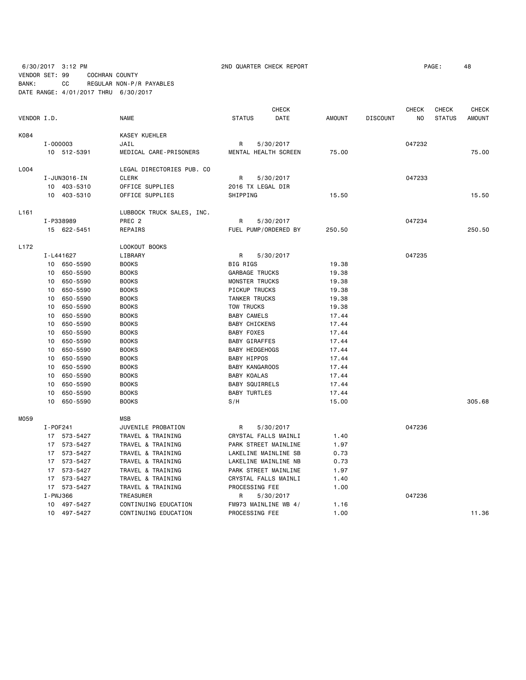### 6/30/2017 3:12 PM 2ND QUARTER CHECK REPORT PAGE: 48 VENDOR SET: 99 COCHRAN COUNTY BANK: CC REGULAR NON-P/R PAYABLES DATE RANGE: 4/01/2017 THRU 6/30/2017

|                  |              |              |                           |                       | <b>CHECK</b>         |               |                 | <b>CHECK</b>   | <b>CHECK</b>  | <b>CHECK</b>  |
|------------------|--------------|--------------|---------------------------|-----------------------|----------------------|---------------|-----------------|----------------|---------------|---------------|
| VENDOR I.D.      |              |              | <b>NAME</b>               | <b>STATUS</b>         | DATE                 | <b>AMOUNT</b> | <b>DISCOUNT</b> | N <sub>0</sub> | <b>STATUS</b> | <b>AMOUNT</b> |
| K084             |              |              | KASEY KUEHLER             |                       |                      |               |                 |                |               |               |
|                  | $I - 000003$ |              | JAIL                      | R                     | 5/30/2017            |               |                 | 047232         |               |               |
|                  |              | 10 512-5391  | MEDICAL CARE-PRISONERS    |                       | MENTAL HEALTH SCREEN | 75.00         |                 |                |               | 75.00         |
| L004             |              |              | LEGAL DIRECTORIES PUB. CO |                       |                      |               |                 |                |               |               |
|                  |              | I-JUN3016-IN | <b>CLERK</b>              | R                     | 5/30/2017            |               |                 | 047233         |               |               |
|                  |              | 10 403-5310  | OFFICE SUPPLIES           | 2016 TX LEGAL DIR     |                      |               |                 |                |               |               |
|                  |              | 10 403-5310  | OFFICE SUPPLIES           | SHIPPING              |                      | 15.50         |                 |                |               | 15.50         |
| L <sub>161</sub> |              |              | LUBBOCK TRUCK SALES, INC. |                       |                      |               |                 |                |               |               |
|                  |              | I-P338989    | PREC <sub>2</sub>         | R                     | 5/30/2017            |               |                 | 047234         |               |               |
|                  |              | 15 622-5451  | REPAIRS                   |                       | FUEL PUMP/ORDERED BY | 250.50        |                 |                |               | 250.50        |
| L <sub>172</sub> |              |              | LOOKOUT BOOKS             |                       |                      |               |                 |                |               |               |
|                  |              | I-L441627    | LIBRARY                   | R                     | 5/30/2017            |               |                 | 047235         |               |               |
|                  |              | 10 650-5590  | <b>BOOKS</b>              | <b>BIG RIGS</b>       |                      | 19.38         |                 |                |               |               |
|                  | 10           | 650-5590     | <b>BOOKS</b>              | <b>GARBAGE TRUCKS</b> |                      | 19.38         |                 |                |               |               |
|                  | 10           | 650-5590     | <b>BOOKS</b>              | MONSTER TRUCKS        |                      | 19.38         |                 |                |               |               |
|                  | 10           | 650-5590     | <b>BOOKS</b>              | PICKUP TRUCKS         |                      | 19.38         |                 |                |               |               |
|                  | 10           | 650-5590     | <b>BOOKS</b>              | <b>TANKER TRUCKS</b>  |                      | 19.38         |                 |                |               |               |
|                  | 10           | 650-5590     | <b>BOOKS</b>              | TOW TRUCKS            |                      | 19.38         |                 |                |               |               |
|                  | 10           | 650-5590     | <b>BOOKS</b>              | <b>BABY CAMELS</b>    |                      | 17.44         |                 |                |               |               |
|                  | 10           | 650-5590     | <b>BOOKS</b>              | <b>BABY CHICKENS</b>  |                      | 17.44         |                 |                |               |               |
|                  | 10           | 650-5590     | <b>BOOKS</b>              | <b>BABY FOXES</b>     |                      | 17.44         |                 |                |               |               |
|                  | 10           | 650-5590     | <b>BOOKS</b>              | <b>BABY GIRAFFES</b>  |                      | 17.44         |                 |                |               |               |
|                  | 10           | 650-5590     | <b>BOOKS</b>              | <b>BABY HEDGEHOGS</b> |                      | 17.44         |                 |                |               |               |
|                  | 10           | 650-5590     | <b>BOOKS</b>              | <b>BABY HIPPOS</b>    |                      | 17.44         |                 |                |               |               |
|                  | 10           | 650-5590     | <b>BOOKS</b>              | <b>BABY KANGAROOS</b> |                      | 17.44         |                 |                |               |               |
|                  | 10           | 650-5590     | <b>BOOKS</b>              | <b>BABY KOALAS</b>    |                      | 17.44         |                 |                |               |               |
|                  | 10           | 650-5590     | <b>BOOKS</b>              | <b>BABY SQUIRRELS</b> |                      | 17.44         |                 |                |               |               |
|                  | 10           | 650-5590     | <b>BOOKS</b>              | <b>BABY TURTLES</b>   |                      | 17.44         |                 |                |               |               |
|                  | 10           | 650-5590     | <b>BOOKS</b>              | S/H                   |                      | 15.00         |                 |                |               | 305.68        |
| M059             |              |              | <b>MSB</b>                |                       |                      |               |                 |                |               |               |
|                  | I-P0F241     |              | JUVENILE PROBATION        | R                     | 5/30/2017            |               |                 | 047236         |               |               |
|                  |              | 17 573-5427  | TRAVEL & TRAINING         |                       | CRYSTAL FALLS MAINLI | 1.40          |                 |                |               |               |
|                  |              | 17 573-5427  | TRAVEL & TRAINING         |                       | PARK STREET MAINLINE | 1.97          |                 |                |               |               |
|                  |              | 17 573-5427  | TRAVEL & TRAINING         |                       | LAKELINE MAINLINE SB | 0.73          |                 |                |               |               |
|                  |              | 17 573-5427  | TRAVEL & TRAINING         |                       | LAKELINE MAINLINE NB | 0.73          |                 |                |               |               |
|                  |              | 17 573-5427  | TRAVEL & TRAINING         |                       | PARK STREET MAINLINE | 1.97          |                 |                |               |               |
|                  |              | 17 573-5427  | TRAVEL & TRAINING         |                       | CRYSTAL FALLS MAINLI | 1.40          |                 |                |               |               |
|                  |              | 17 573-5427  | TRAVEL & TRAINING         | PROCESSING FEE        |                      | 1.00          |                 |                |               |               |
|                  | I-PWJ366     |              | TREASURER                 | R                     | 5/30/2017            |               |                 | 047236         |               |               |
|                  |              | 10 497-5427  | CONTINUING EDUCATION      |                       | FM973 MAINLINE WB 4/ | 1.16          |                 |                |               |               |
|                  |              | 10 497-5427  | CONTINUING EDUCATION      | PROCESSING FEE        |                      | 1.00          |                 |                |               | 11.36         |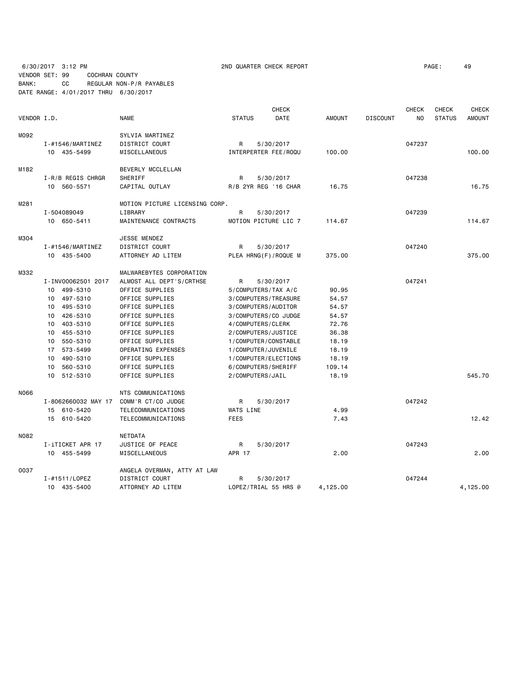6/30/2017 3:12 PM **2ND QUARTER CHECK REPORT 200 200 200 200 200 200 200 200 200 200 PAGE:** 49 VENDOR SET: 99 COCHRAN COUNTY BANK: CC REGULAR NON-P/R PAYABLES DATE RANGE: 4/01/2017 THRU 6/30/2017

|             |                      |                                |                      | <b>CHECK</b>         |               |                 | <b>CHECK</b> | <b>CHECK</b>  | <b>CHECK</b>  |
|-------------|----------------------|--------------------------------|----------------------|----------------------|---------------|-----------------|--------------|---------------|---------------|
| VENDOR I.D. |                      | <b>NAME</b>                    | <b>STATUS</b>        | <b>DATE</b>          | <b>AMOUNT</b> | <b>DISCOUNT</b> | <b>NO</b>    | <b>STATUS</b> | <b>AMOUNT</b> |
| M092        |                      | SYLVIA MARTINEZ                |                      |                      |               |                 |              |               |               |
|             | $I - #1546/MARTINEZ$ | DISTRICT COURT                 | R                    | 5/30/2017            |               |                 | 047237       |               |               |
|             | 10 435-5499          | MISCELLANEOUS                  | INTERPERTER FEE/ROQU |                      | 100.00        |                 |              |               | 100.00        |
| M182        |                      | BEVERLY MCCLELLAN              |                      |                      |               |                 |              |               |               |
|             | I-R/B REGIS CHRGR    | SHERIFF                        | R                    | 5/30/2017            |               |                 | 047238       |               |               |
|             | 10 560-5571          | CAPITAL OUTLAY                 | R/B 2YR REG '16 CHAR |                      | 16.75         |                 |              |               | 16.75         |
| M281        |                      | MOTION PICTURE LICENSING CORP. |                      |                      |               |                 |              |               |               |
|             | I-504089049          | LIBRARY                        | R                    | 5/30/2017            |               |                 | 047239       |               |               |
|             | 10 650-5411          | MAINTENANCE CONTRACTS          | MOTION PICTURE LIC 7 |                      | 114.67        |                 |              |               | 114.67        |
| M304        |                      | JESSE MENDEZ                   |                      |                      |               |                 |              |               |               |
|             | $I - #1546/MARTINEZ$ | DISTRICT COURT                 | R                    | 5/30/2017            |               |                 | 047240       |               |               |
|             | 10 435-5400          | ATTORNEY AD LITEM              | PLEA HRNG(F)/ROQUE M |                      | 375.00        |                 |              |               | 375.00        |
| M332        |                      | MALWAREBYTES CORPORATION       |                      |                      |               |                 |              |               |               |
|             | I-INV00062501 2017   | ALMOST ALL DEPT'S/CRTHSE       | R                    | 5/30/2017            |               |                 | 047241       |               |               |
|             | 10 499-5310          | OFFICE SUPPLIES                | 5/COMPUTERS/TAX A/C  |                      | 90.95         |                 |              |               |               |
|             | 10 497-5310          | OFFICE SUPPLIES                | 3/COMPUTERS/TREASURE |                      | 54.57         |                 |              |               |               |
|             | 10 495-5310          | OFFICE SUPPLIES                | 3/COMPUTERS/AUDITOR  |                      | 54.57         |                 |              |               |               |
|             | 10 426-5310          | OFFICE SUPPLIES                | 3/COMPUTERS/CO JUDGE |                      | 54.57         |                 |              |               |               |
|             | 10 403-5310          | OFFICE SUPPLIES                | 4/COMPUTERS/CLERK    |                      | 72.76         |                 |              |               |               |
|             | 10 455-5310          | OFFICE SUPPLIES                | 2/COMPUTERS/JUSTICE  |                      | 36.38         |                 |              |               |               |
|             | 10 550-5310          | OFFICE SUPPLIES                | 1/COMPUTER/CONSTABLE |                      | 18.19         |                 |              |               |               |
|             | 17 573-5499          | OPERATING EXPENSES             | 1/COMPUTER/JUVENILE  |                      | 18.19         |                 |              |               |               |
|             | 10 490-5310          | OFFICE SUPPLIES                | 1/COMPUTER/ELECTIONS |                      | 18.19         |                 |              |               |               |
|             | 10 560-5310          | OFFICE SUPPLIES                | 6/COMPUTERS/SHERIFF  |                      | 109.14        |                 |              |               |               |
|             | 10 512-5310          | OFFICE SUPPLIES                | 2/COMPUTERS/JAIL     |                      | 18.19         |                 |              |               | 545.70        |
| N066        |                      | NTS COMMUNICATIONS             |                      |                      |               |                 |              |               |               |
|             | I-8062660032 MAY 17  | COMM'R CT/CO JUDGE             | R                    | 5/30/2017            |               |                 | 047242       |               |               |
|             | 15 610-5420          | TELECOMMUNICATIONS             | WATS LINE            |                      | 4.99          |                 |              |               |               |
|             | 15 610-5420          | TELECOMMUNICATIONS             | <b>FEES</b>          |                      | 7.43          |                 |              |               | 12.42         |
| N082        |                      | NETDATA                        |                      |                      |               |                 |              |               |               |
|             | I-iTICKET APR 17     | JUSTICE OF PEACE               | R                    | 5/30/2017            |               |                 | 047243       |               |               |
|             | 10 455-5499          | MISCELLANEOUS                  | APR 17               |                      | 2.00          |                 |              |               | 2.00          |
| 0037        |                      | ANGELA OVERMAN, ATTY AT LAW    |                      |                      |               |                 |              |               |               |
|             | I-#1511/LOPEZ        | DISTRICT COURT                 | R                    | 5/30/2017            |               |                 | 047244       |               |               |
|             | 10 435-5400          | ATTORNEY AD LITEM              |                      | LOPEZ/TRIAL 55 HRS @ | 4,125.00      |                 |              |               | 4,125.00      |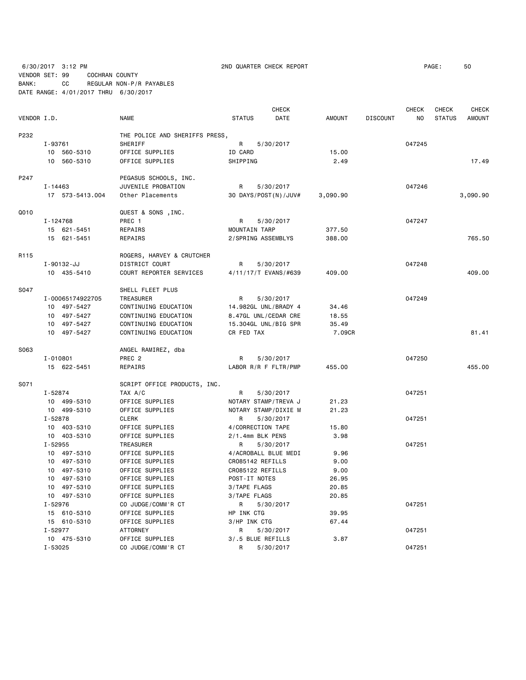6/30/2017 3:12 PM 2ND QUARTER CHECK REPORT PAGE: 50 VENDOR SET: 99 COCHRAN COUNTY BANK: CC REGULAR NON-P/R PAYABLES

DATE RANGE: 4/01/2017 THRU 6/30/2017

 CHECK CHECK CHECK CHECK VENDOR I.D. NAME STATUS DATE AMOUNT DISCOUNT NO STATUS AMOUNT P232 THE POLICE AND SHERIFFS PRESS, I-93761 SHERIFF R R 5/30/2017 R 93761 047245 10 560-5310 OFFICE SUPPLIES ID CARD 15.00 10 560-5310 OFFICE SUPPLIES SHIPPING 2.49 17.49 P247 PEGASUS SCHOOLS, INC. I-14463 JUVENILE PROBATION R 5/30/2017 047246 17 573-5413.004 Other Placements 30 DAYS/POST(N)/JUV# 3,090.90 3,090.90 Q010 QUEST & SONS ,INC. I-124768 PREC 1 R 5/30/2017 047247 15 621-5451 REPAIRS MOUNTAIN TARP 377.50 15 621-5451 REPAIRS 2/SPRING ASSEMBLYS 388.00 765.50 R115 ROGERS, HARVEY & CRUTCHER I-90132-JJ DISTRICT COURT R 5/30/2017 047248 10 435-5410 COURT REPORTER SERVICES 4/11/17/T EVANS/#639 409.00 409.00 S047 SHELL FLEET PLUS I-00065174922705 TREASURER R 5/30/2017 10 497-5427 CONTINUING EDUCATION 14.982GL UNL/BRADY 4 34.46 10 497-5427 CONTINUING EDUCATION 8.47GL UNL/CEDAR CRE 18.55 10 497-5427 CONTINUING EDUCATION 15.304GL UNL/BIG SPR 35.49 10 497-5427 CONTINUING EDUCATION CR FED TAX 7.09CR 81.41 S063 ANGEL RAMIREZ, dba I-010801 PREC 2 R 5/30/2017 047250 15 622-5451 REPAIRS LABOR R/R F FLTR/PMP 455.00 455.00 S071 SCRIPT OFFICE PRODUCTS, INC. I-52874 TAX A/C R 5/30/2017 047251 10 499-5310 OFFICE SUPPLIES NOTARY STAMP/TREVA J 21.23 10 499-5310 OFFICE SUPPLIES NOTARY STAMP/DIXIE M 21.23 I-52878 CLERK R 5/30/2017 047251 10 403-5310 OFFICE SUPPLIES 4/CORRECTION TAPE 15.80 10 403-5310 OFFICE SUPPLIES 2/1.4mm BLK PENS 3.98 I-52955 TREASURER R 5/30/2017 047251 10 497-5310 OFFICE SUPPLIES 4/ACROBALL BLUE MEDI 9.96 10 497-5310 OFFICE SUPPLIES CRO85142 REFILLS 9.00 10 497-5310 OFFICE SUPPLIES CRO85122 REFILLS 9.00 10 497-5310 OFFICE SUPPLIES POST-IT NOTES 26.95 10 497-5310 OFFICE SUPPLIES 3/TAPE FLAGS 20.85 10 497-5310 OFFICE SUPPLIES 3/TAPE FLAGS 20.85 I-52976 CO JUDGE/COMM'R CT R 5/30/2017 047251 15 610-5310 OFFICE SUPPLIES HP INK CTG 39.95 15 610-5310 OFFICE SUPPLIES 3/HP INK CTG 67.44 I-52977 ATTORNEY R 5/30/2017 047251 10 475-5310 OFFICE SUPPLIES 3/.5 BLUE REFILLS 3.87

I-53025 CO JUDGE/COMM'R CT R 5/30/2017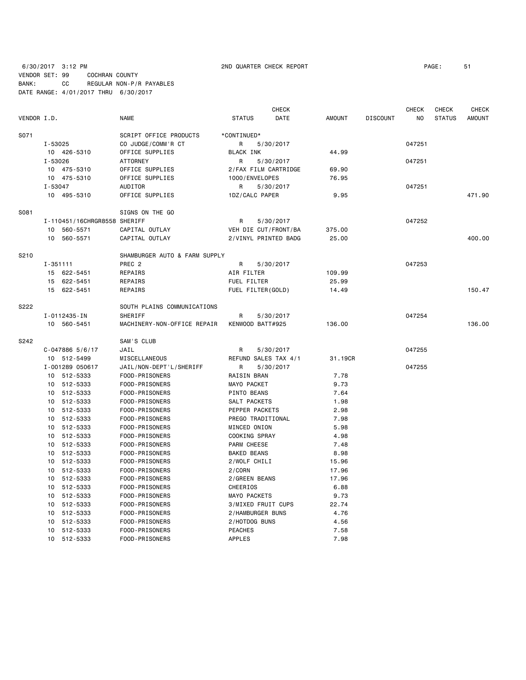6/30/2017 3:12 PM 2ND QUARTER CHECK REPORT PAGE: 51 VENDOR SET: 99 COCHRAN COUNTY BANK: CC REGULAR NON-P/R PAYABLES DATE RANGE: 4/01/2017 THRU 6/30/2017

|             |              |                              |                               |                      | <b>CHECK</b> |               |                 | <b>CHECK</b> | <b>CHECK</b>  | <b>CHECK</b>  |
|-------------|--------------|------------------------------|-------------------------------|----------------------|--------------|---------------|-----------------|--------------|---------------|---------------|
| VENDOR I.D. |              |                              | <b>NAME</b>                   | <b>STATUS</b>        | <b>DATE</b>  | <b>AMOUNT</b> | <b>DISCOUNT</b> | NO           | <b>STATUS</b> | <b>AMOUNT</b> |
| S071        |              |                              | SCRIPT OFFICE PRODUCTS        | *CONTINUED*          |              |               |                 |              |               |               |
|             | $I - 53025$  |                              | CO JUDGE/COMM'R CT            | R                    | 5/30/2017    |               |                 | 047251       |               |               |
|             |              | 10 426-5310                  | OFFICE SUPPLIES               | <b>BLACK INK</b>     |              | 44.99         |                 |              |               |               |
|             | I-53026      |                              | <b>ATTORNEY</b>               | R                    | 5/30/2017    |               |                 | 047251       |               |               |
|             |              | 10 475-5310                  | OFFICE SUPPLIES               | 2/FAX FILM CARTRIDGE |              | 69.90         |                 |              |               |               |
|             |              | 10 475-5310                  | OFFICE SUPPLIES               | 1000/ENVELOPES       |              | 76.95         |                 |              |               |               |
|             | I-53047      |                              | AUDITOR                       | R                    | 5/30/2017    |               |                 | 047251       |               |               |
|             |              | 10 495-5310                  | OFFICE SUPPLIES               | 1DZ/CALC PAPER       |              | 9.95          |                 |              |               | 471.90        |
| S081        |              |                              | SIGNS ON THE GO               |                      |              |               |                 |              |               |               |
|             |              | I-110451/16CHRGR8558 SHERIFF |                               | R                    | 5/30/2017    |               |                 | 047252       |               |               |
|             | 10           | 560-5571                     | CAPITAL OUTLAY                | VEH DIE CUT/FRONT/BA |              | 375.00        |                 |              |               |               |
|             | 10           | 560-5571                     | CAPITAL OUTLAY                | 2/VINYL PRINTED BADG |              | 25,00         |                 |              |               | 400.00        |
| S210        |              |                              | SHAMBURGER AUTO & FARM SUPPLY |                      |              |               |                 |              |               |               |
|             | $I - 351111$ |                              | PREC <sub>2</sub>             | R                    | 5/30/2017    |               |                 | 047253       |               |               |
|             |              | 15 622-5451                  | REPAIRS                       | AIR FILTER           |              | 109.99        |                 |              |               |               |
|             |              | 15 622-5451                  | REPAIRS                       | FUEL FILTER          |              | 25.99         |                 |              |               |               |
|             |              | 15 622-5451                  | REPAIRS                       | FUEL FILTER(GOLD)    |              | 14.49         |                 |              |               | 150.47        |
| S222        |              |                              | SOUTH PLAINS COMMUNICATIONS   |                      |              |               |                 |              |               |               |
|             |              | I-0112435-IN                 | SHERIFF                       | R                    | 5/30/2017    |               |                 | 047254       |               |               |
|             |              | 10 560-5451                  | MACHINERY-NON-OFFICE REPAIR   | KENWOOD BATT#925     |              | 136.00        |                 |              |               | 136.00        |
| S242        |              |                              | SAM'S CLUB                    |                      |              |               |                 |              |               |               |
|             |              | $C-047886$ 5/6/17            | JAIL                          | R                    | 5/30/2017    |               |                 | 047255       |               |               |
|             |              | 10 512-5499                  | MISCELLANEOUS                 | REFUND SALES TAX 4/1 |              | 31.19CR       |                 |              |               |               |
|             |              | I-001289 050617              | JAIL/NON-DEPT'L/SHERIFF       | R                    | 5/30/2017    |               |                 | 047255       |               |               |
|             |              | 10 512-5333                  | FOOD-PRISONERS                | <b>RAISIN BRAN</b>   |              | 7.78          |                 |              |               |               |
|             | 10           | 512-5333                     | FOOD-PRISONERS                | MAYO PACKET          |              | 9.73          |                 |              |               |               |
|             | 10           | 512-5333                     | FOOD-PRISONERS                | PINTO BEANS          |              | 7.64          |                 |              |               |               |
|             | 10           | 512-5333                     | FOOD-PRISONERS                | SALT PACKETS         |              | 1.98          |                 |              |               |               |
|             | 10           | 512-5333                     | FOOD-PRISONERS                | PEPPER PACKETS       |              | 2.98          |                 |              |               |               |
|             | 10           | 512-5333                     | FOOD-PRISONERS                | PREGO TRADITIONAL    |              | 7.98          |                 |              |               |               |
|             | 10           | 512-5333                     | FOOD-PRISONERS                | MINCED ONION         |              | 5.98          |                 |              |               |               |
|             |              | 10 512-5333                  | FOOD-PRISONERS                | COOKING SPRAY        |              | 4.98          |                 |              |               |               |
|             | 10           | 512-5333                     | FOOD-PRISONERS                | PARM CHEESE          |              | 7.48          |                 |              |               |               |
|             |              | 10 512-5333                  | FOOD-PRISONERS                | <b>BAKED BEANS</b>   |              | 8.98          |                 |              |               |               |
|             |              | 10 512-5333                  | FOOD-PRISONERS                | 2/WOLF CHILI         |              | 15.96         |                 |              |               |               |
|             |              | 10 512-5333                  | FOOD-PRISONERS                | 2/CORN               |              | 17.96         |                 |              |               |               |
|             | 10           | 512-5333                     | FOOD-PRISONERS                | 2/GREEN BEANS        |              | 17.96         |                 |              |               |               |
|             | 10           | 512-5333                     | FOOD-PRISONERS                | <b>CHEERIOS</b>      |              | 6.88          |                 |              |               |               |
|             | 10           | 512-5333                     | FOOD-PRISONERS                | MAYO PACKETS         |              | 9.73          |                 |              |               |               |
|             | 10           | 512-5333                     | FOOD-PRISONERS                | 3/MIXED FRUIT CUPS   |              | 22.74         |                 |              |               |               |
|             | 10           | 512-5333                     | FOOD-PRISONERS                | 2/HAMBURGER BUNS     |              | 4.76          |                 |              |               |               |
|             | 10           | 512-5333                     | FOOD-PRISONERS                | 2/HOTDOG BUNS        |              | 4.56          |                 |              |               |               |
|             | 10           | 512-5333                     | FOOD-PRISONERS                | <b>PEACHES</b>       |              | 7.58          |                 |              |               |               |
|             |              | 10 512-5333                  | FOOD-PRISONERS                | <b>APPLES</b>        |              | 7.98          |                 |              |               |               |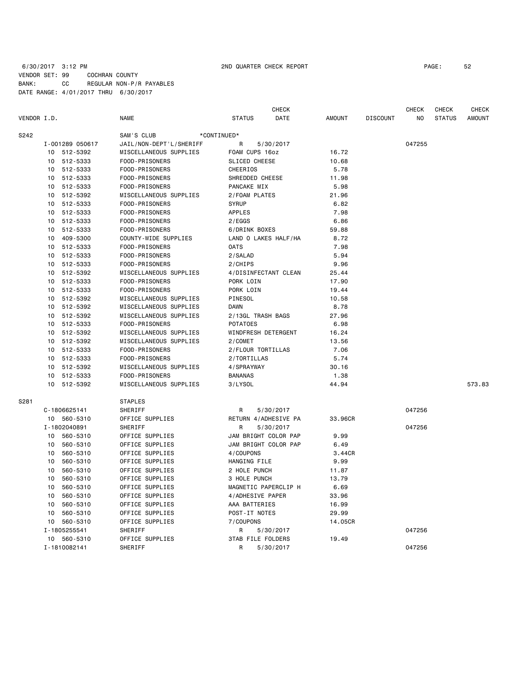# 6/30/2017 3:12 PM 2ND QUARTER CHECK REPORT PAGE: 52 VENDOR SET: 99 COCHRAN COUNTY BANK: CC REGULAR NON-P/R PAYABLES DATE RANGE: 4/01/2017 THRU 6/30/2017

| VENDOR I.D. |                 |                 | <b>NAME</b>             | <b>STATUS</b>            | <b>CHECK</b><br>DATE | <b>AMOUNT</b> | <b>DISCOUNT</b> | <b>CHECK</b><br>NO | <b>CHECK</b><br><b>STATUS</b> | <b>CHECK</b><br><b>AMOUNT</b> |
|-------------|-----------------|-----------------|-------------------------|--------------------------|----------------------|---------------|-----------------|--------------------|-------------------------------|-------------------------------|
|             |                 |                 |                         |                          |                      |               |                 |                    |                               |                               |
| S242        | SAM'S CLUB      |                 |                         | *CONTINUED*              |                      |               |                 |                    |                               |                               |
|             |                 | I-001289 050617 | JAIL/NON-DEPT'L/SHERIFF | R                        | 5/30/2017            |               |                 | 047255             |                               |                               |
|             | 10 <sup>1</sup> | 512-5392        | MISCELLANEOUS SUPPLIES  | FOAM CUPS 16oz           |                      | 16.72         |                 |                    |                               |                               |
|             | 10              | 512-5333        | FOOD-PRISONERS          | SLICED CHEESE            |                      | 10.68         |                 |                    |                               |                               |
|             |                 | 10 512-5333     | FOOD-PRISONERS          | CHEERIOS                 |                      | 5.78          |                 |                    |                               |                               |
|             |                 | 10 512-5333     | FOOD-PRISONERS          | SHREDDED CHEESE          |                      | 11.98         |                 |                    |                               |                               |
|             | 10              | 512-5333        | FOOD-PRISONERS          | PANCAKE MIX              |                      | 5.98          |                 |                    |                               |                               |
|             | 10              | 512-5392        | MISCELLANEOUS SUPPLIES  | 2/FOAM PLATES            |                      | 21.96         |                 |                    |                               |                               |
|             | 10              | 512-5333        | FOOD-PRISONERS          | <b>SYRUP</b>             |                      | 6.82          |                 |                    |                               |                               |
|             |                 | 10 512-5333     | FOOD-PRISONERS          | APPLES                   |                      | 7.98          |                 |                    |                               |                               |
|             | 10              | 512-5333        | FOOD-PRISONERS          | 2/EGGS                   |                      | 6.86          |                 |                    |                               |                               |
|             | 10              | 512-5333        | FOOD-PRISONERS          | 6/DRINK BOXES            |                      | 59.88         |                 |                    |                               |                               |
|             | 10              | 409-5300        | COUNTY-WIDE SUPPLIES    | LAND O LAKES HALF/HA     |                      | 8.72          |                 |                    |                               |                               |
|             |                 | 10 512-5333     | FOOD-PRISONERS          | <b>OATS</b>              |                      | 7.98          |                 |                    |                               |                               |
|             | 10              | 512-5333        | FOOD-PRISONERS          | 2/SALAD                  |                      | 5.94          |                 |                    |                               |                               |
|             | 10              | 512-5333        | FOOD-PRISONERS          | 2/CHIPS                  |                      | 9.96          |                 |                    |                               |                               |
|             | 10              | 512-5392        | MISCELLANEOUS SUPPLIES  | 4/DISINFECTANT CLEAN     |                      | 25.44         |                 |                    |                               |                               |
|             | 10              | 512-5333        | FOOD-PRISONERS          | PORK LOIN                |                      | 17.90         |                 |                    |                               |                               |
|             | 10              | 512-5333        | FOOD-PRISONERS          | PORK LOIN                |                      | 19.44         |                 |                    |                               |                               |
|             | 10              | 512-5392        | MISCELLANEOUS SUPPLIES  | PINESOL                  |                      | 10.58         |                 |                    |                               |                               |
|             |                 | 10 512-5392     | MISCELLANEOUS SUPPLIES  | <b>DAWN</b>              |                      | 8.78          |                 |                    |                               |                               |
|             |                 | 10 512-5392     | MISCELLANEOUS SUPPLIES  | 2/13GL TRASH BAGS        |                      | 27.96         |                 |                    |                               |                               |
|             |                 | 10 512-5333     | FOOD-PRISONERS          | <b>POTATOES</b>          |                      | 6.98          |                 |                    |                               |                               |
|             |                 | 10 512-5392     | MISCELLANEOUS SUPPLIES  | WINDFRESH DETERGENT      |                      | 16.24         |                 |                    |                               |                               |
|             |                 | 10 512-5392     | MISCELLANEOUS SUPPLIES  | 2/COMET                  |                      | 13.56         |                 |                    |                               |                               |
|             |                 | 10 512-5333     | FOOD-PRISONERS          | 2/FLOUR TORTILLAS        |                      | 7.06          |                 |                    |                               |                               |
|             | 10              | 512-5333        | FOOD-PRISONERS          | 2/TORTILLAS              |                      | 5.74          |                 |                    |                               |                               |
|             | 10              | 512-5392        | MISCELLANEOUS SUPPLIES  | 4/SPRAYWAY               |                      | 30.16         |                 |                    |                               |                               |
|             | 10              | 512-5333        | FOOD-PRISONERS          | <b>BANANAS</b>           |                      | 1.38          |                 |                    |                               |                               |
|             | 10              | 512-5392        | MISCELLANEOUS SUPPLIES  | 3/LYSOL                  |                      | 44.94         |                 |                    |                               | 573.83                        |
| S281        |                 |                 | <b>STAPLES</b>          |                          |                      |               |                 |                    |                               |                               |
|             |                 | C-1806625141    | SHERIFF                 | R                        | 5/30/2017            |               |                 | 047256             |                               |                               |
|             |                 | 10 560-5310     | OFFICE SUPPLIES         | RETURN 4/ADHESIVE PA     |                      | 33,96CR       |                 |                    |                               |                               |
|             |                 | I-1802040891    | <b>SHERIFF</b>          | R                        | 5/30/2017            |               |                 | 047256             |                               |                               |
|             | 10              | 560-5310        | OFFICE SUPPLIES         | JAM BRIGHT COLOR PAP     |                      | 9.99          |                 |                    |                               |                               |
|             | 10              | 560-5310        | OFFICE SUPPLIES         | JAM BRIGHT COLOR PAP     |                      | 6.49          |                 |                    |                               |                               |
|             | 10              | 560-5310        | OFFICE SUPPLIES         | 4/COUPONS                |                      | 3.44CR        |                 |                    |                               |                               |
|             | 10              | 560-5310        | OFFICE SUPPLIES         | HANGING FILE             |                      | 9.99          |                 |                    |                               |                               |
|             | 10              | 560-5310        | OFFICE SUPPLIES         | 2 HOLE PUNCH             |                      | 11.87         |                 |                    |                               |                               |
|             | 10              | 560-5310        | OFFICE SUPPLIES         | 3 HOLE PUNCH             |                      | 13.79         |                 |                    |                               |                               |
|             | 10              | 560-5310        | OFFICE SUPPLIES         | MAGNETIC PAPERCLIP H     |                      | 6.69          |                 |                    |                               |                               |
|             | 10              | 560-5310        | OFFICE SUPPLIES         | 4/ADHESIVE PAPER         |                      | 33.96         |                 |                    |                               |                               |
|             | 10              | 560-5310        | OFFICE SUPPLIES         | AAA BATTERIES            |                      | 16.99         |                 |                    |                               |                               |
|             | 10              | 560-5310        | OFFICE SUPPLIES         | POST-IT NOTES            |                      | 29.99         |                 |                    |                               |                               |
|             |                 | 10 560-5310     | OFFICE SUPPLIES         | 7/COUPONS                |                      | 14.05CR       |                 |                    |                               |                               |
|             |                 | I-1805255541    | SHERIFF                 | R                        | 5/30/2017            |               |                 | 047256             |                               |                               |
|             |                 | 10 560-5310     | OFFICE SUPPLIES         | <b>3TAB FILE FOLDERS</b> |                      | 19.49         |                 |                    |                               |                               |
|             |                 | I-1810082141    | SHERIFF                 | R                        | 5/30/2017            |               |                 | 047256             |                               |                               |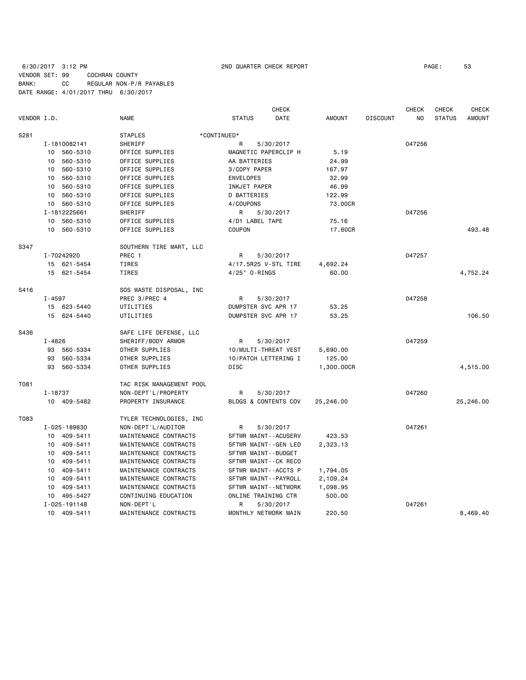6/30/2017 3:12 PM 2ND QUARTER CHECK REPORT PAGE: 53 VENDOR SET: 99 COCHRAN COUNTY BANK: CC REGULAR NON-P/R PAYABLES DATE RANGE: 4/01/2017 THRU 6/30/2017

|             |                |                          | <b>CHECK</b>          |               |                 | <b>CHECK</b> | <b>CHECK</b>  | <b>CHECK</b>  |
|-------------|----------------|--------------------------|-----------------------|---------------|-----------------|--------------|---------------|---------------|
| VENDOR I.D. |                | <b>NAME</b>              | <b>STATUS</b><br>DATE | <b>AMOUNT</b> | <b>DISCOUNT</b> | NO           | <b>STATUS</b> | <b>AMOUNT</b> |
| S281        |                | <b>STAPLES</b>           | *CONTINUED*           |               |                 |              |               |               |
|             | I-1810082141   | SHERIFF                  | 5/30/2017<br>R        |               |                 | 047256       |               |               |
|             | 10 560-5310    | OFFICE SUPPLIES          | MAGNETIC PAPERCLIP H  | 5.19          |                 |              |               |               |
|             | 560-5310<br>10 | OFFICE SUPPLIES          | AA BATTERIES          | 24.99         |                 |              |               |               |
|             | 10 560-5310    | OFFICE SUPPLIES          | 3/COPY PAPER          | 167.97        |                 |              |               |               |
|             | 560-5310<br>10 | OFFICE SUPPLIES          | <b>ENVELOPES</b>      | 32.99         |                 |              |               |               |
|             | 560-5310<br>10 | OFFICE SUPPLIES          | INKJET PAPER          | 46.99         |                 |              |               |               |
|             | 10 560-5310    | OFFICE SUPPLIES          | <b>D BATTERIES</b>    | 122.99        |                 |              |               |               |
|             | 10 560-5310    | OFFICE SUPPLIES          | 4/COUPONS             | 73.00CR       |                 |              |               |               |
|             | I-1812225661   | SHERIFF                  | R<br>5/30/2017        |               |                 | 047256       |               |               |
|             | 560-5310<br>10 | OFFICE SUPPLIES          | 4/D1 LABEL TAPE       | 75.16         |                 |              |               |               |
|             | 10 560-5310    | OFFICE SUPPLIES          | COUPON                | 17.60CR       |                 |              |               | 493.48        |
|             |                |                          |                       |               |                 |              |               |               |
| S347        |                | SOUTHERN TIRE MART, LLC  |                       |               |                 |              |               |               |
|             | I-70242920     | PREC 1                   | R<br>5/30/2017        |               |                 | 047257       |               |               |
|             | 15 621-5454    | TIRES                    | 4/17.5R25 V-STL TIRE  | 4,692.24      |                 |              |               |               |
|             | 15 621-5454    | <b>TIRES</b>             | 4/25" 0-RINGS         | 60.00         |                 |              |               | 4,752.24      |
| S416        |                | SOS WASTE DISPOSAL, INC  |                       |               |                 |              |               |               |
|             | $I - 4597$     | PREC 3/PREC 4            | 5/30/2017<br>R        |               |                 | 047258       |               |               |
|             | 15 623-5440    | UTILITIES                | DUMPSTER SVC APR 17   | 53.25         |                 |              |               |               |
|             | 15 624-5440    | UTILITIES                | DUMPSTER SVC APR 17   | 53.25         |                 |              |               | 106.50        |
| S436        |                | SAFE LIFE DEFENSE, LLC   |                       |               |                 |              |               |               |
|             | I-4826         | SHERIFF/BODY ARMOR       | 5/30/2017<br>R.       |               |                 | 047259       |               |               |
|             | 93 560-5334    | OTHER SUPPLIES           | 10/MULTI-THREAT VEST  | 5,690.00      |                 |              |               |               |
|             | 93<br>560-5334 | OTHER SUPPLIES           | 10/PATCH LETTERING I  | 125.00        |                 |              |               |               |
|             | 93 560-5334    | OTHER SUPPLIES           | <b>DISC</b>           | 1,300.00CR    |                 |              |               | 4,515.00      |
|             |                |                          |                       |               |                 |              |               |               |
| T081        |                | TAC RISK MANAGEMENT POOL |                       |               |                 |              |               |               |
|             | I-18737        | NON-DEPT'L/PROPERTY      | R<br>5/30/2017        |               |                 | 047260       |               |               |
|             | 10 409-5482    | PROPERTY INSURANCE       | BLDGS & CONTENTS COV  | 25,246.00     |                 |              |               | 25,246.00     |
| T083        |                | TYLER TECHNOLOGIES, INC  |                       |               |                 |              |               |               |
|             | I-025-189830   | NON-DEPT'L/AUDITOR       | 5/30/2017<br>R        |               |                 | 047261       |               |               |
|             | 10 409-5411    | MAINTENANCE CONTRACTS    | SFTWR MAINT--ACUSERV  | 423.53        |                 |              |               |               |
|             | 10 409-5411    | MAINTENANCE CONTRACTS    | SFTWR MAINT--GEN LED  | 2,323.13      |                 |              |               |               |
|             | 409-5411<br>10 | MAINTENANCE CONTRACTS    | SFTWR MAINT--BUDGET   |               |                 |              |               |               |
|             | 10 409-5411    | MAINTENANCE CONTRACTS    | SFTWR MAINT--CK RECO  |               |                 |              |               |               |
|             | 10 409-5411    | MAINTENANCE CONTRACTS    | SFTWR MAINT--ACCTS P  | 1,794.05      |                 |              |               |               |
|             | 409-5411<br>10 | MAINTENANCE CONTRACTS    | SFTWR MAINT--PAYROLL  | 2,109.24      |                 |              |               |               |
|             | 10<br>409-5411 | MAINTENANCE CONTRACTS    | SFTWR MAINT--NETWORK  | 1,098.95      |                 |              |               |               |
|             | 10 495-5427    | CONTINUING EDUCATION     | ONLINE TRAINING CTR   | 500.00        |                 |              |               |               |
|             | I-025-191148   | NON-DEPT'L               | R<br>5/30/2017        |               |                 | 047261       |               |               |
|             | 10 409-5411    | MAINTENANCE CONTRACTS    | MONTHLY NETWORK MAIN  | 220.50        |                 |              |               | 8,469.40      |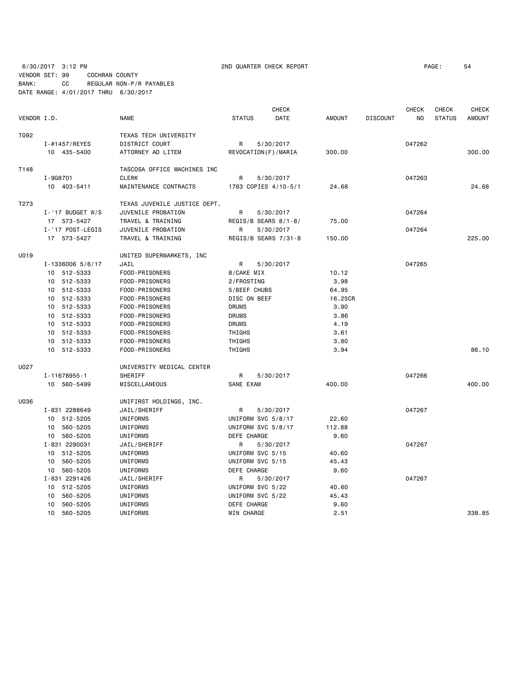6/30/2017 3:12 PM 2ND QUARTER CHECK REPORT PAGE: 54 VENDOR SET: 99 COCHRAN COUNTY

BANK: CC REGULAR NON-P/R PAYABLES DATE RANGE: 4/01/2017 THRU 6/30/2017

|             |                             |                              |                    | <b>CHECK</b>           |               |                 | CHECK  | <b>CHECK</b>  | <b>CHECK</b>  |
|-------------|-----------------------------|------------------------------|--------------------|------------------------|---------------|-----------------|--------|---------------|---------------|
| VENDOR I.D. |                             | <b>NAME</b>                  | <b>STATUS</b>      | DATE                   | <b>AMOUNT</b> | <b>DISCOUNT</b> | NO     | <b>STATUS</b> | <b>AMOUNT</b> |
| T092        |                             | TEXAS TECH UNIVERSITY        |                    |                        |               |                 |        |               |               |
|             | $I - #1457 / REYES$         | DISTRICT COURT               | R                  | 5/30/2017              |               |                 | 047262 |               |               |
|             | 10 435-5400                 | ATTORNEY AD LITEM            |                    | REVOCATION (F) / MARIA | 300.00        |                 |        |               | 300,00        |
| T148        |                             | TASCOSA OFFICE MACHINES INC  |                    |                        |               |                 |        |               |               |
|             | I-9G8701                    | <b>CLERK</b>                 | R                  | 5/30/2017              |               |                 | 047263 |               |               |
|             | 10 403-5411                 | MAINTENANCE CONTRACTS        |                    | 1763 COPIES 4/10-5/1   | 24.68         |                 |        |               | 24.68         |
| T273        |                             | TEXAS JUVENILE JUSTICE DEPT. |                    |                        |               |                 |        |               |               |
|             | $I - '17$ BUDGET W/S        | JUVENILE PROBATION           | R                  | 5/30/2017              |               |                 | 047264 |               |               |
|             | 17 573-5427                 | TRAVEL & TRAINING            |                    | REGIS/B SEARS 8/1-8/   | 75.00         |                 |        |               |               |
|             | I-'17 POST-LEGIS            | JUVENILE PROBATION           | R                  | 5/30/2017              |               |                 | 047264 |               |               |
|             | 17 573-5427                 | TRAVEL & TRAINING            |                    | REGIS/B SEARS 7/31-8   | 150.00        |                 |        |               | 225.00        |
| U019        |                             | UNITED SUPERMARKETS, INC     |                    |                        |               |                 |        |               |               |
|             | I-1336006 5/6/17            | JAIL                         | R                  | 5/30/2017              |               |                 | 047265 |               |               |
|             | 10 512-5333                 | FOOD-PRISONERS               | 8/CAKE MIX         |                        | 10.12         |                 |        |               |               |
|             | 10 512-5333                 | FOOD-PRISONERS               | 2/FROSTING         |                        | 3.98          |                 |        |               |               |
|             | 10 512-5333                 | FOOD-PRISONERS               | 5/BEEF CHUBS       |                        | 64.95         |                 |        |               |               |
|             | 512-5333<br>10 <sup>1</sup> | FOOD-PRISONERS               | DISC ON BEEF       |                        | 16.25CR       |                 |        |               |               |
|             | 10 512-5333                 | FOOD-PRISONERS               | <b>DRUMS</b>       |                        | 3.90          |                 |        |               |               |
|             | 10 512-5333                 | FOOD-PRISONERS               | <b>DRUMS</b>       |                        | 3.86          |                 |        |               |               |
|             | 10 512-5333                 | FOOD-PRISONERS               | <b>DRUMS</b>       |                        | 4.19          |                 |        |               |               |
|             | 10 512-5333                 | FOOD-PRISONERS               | THIGHS             |                        | 3.61          |                 |        |               |               |
|             | 10 512-5333                 | FOOD-PRISONERS               | THIGHS             |                        | 3.80          |                 |        |               |               |
|             | 10 512-5333                 | FOOD-PRISONERS               | THIGHS             |                        | 3.94          |                 |        |               | 86.10         |
| U027        |                             | UNIVERSITY MEDICAL CENTER    |                    |                        |               |                 |        |               |               |
|             | I-11678955-1                | SHERIFF                      | R                  | 5/30/2017              |               |                 | 047266 |               |               |
|             | 10 560-5499                 | MISCELLANEOUS                | SANE EXAM          |                        | 400.00        |                 |        |               | 400.00        |
| U036        |                             | UNIFIRST HOLDINGS, INC.      |                    |                        |               |                 |        |               |               |
|             | I-831 2288649               | JAIL/SHERIFF                 | R                  | 5/30/2017              |               |                 | 047267 |               |               |
|             | 10 512-5205                 | UNIFORMS                     | UNIFORM SVC 5/8/17 |                        | 22.60         |                 |        |               |               |
|             | 10 560-5205                 | UNIFORMS                     | UNIFORM SVC 5/8/17 |                        | 112.88        |                 |        |               |               |
|             | 10 560-5205                 | UNIFORMS                     | DEFE CHARGE        |                        | 9.60          |                 |        |               |               |
|             | I-831 2290031               | JAIL/SHERIFF                 | R                  | 5/30/2017              |               |                 | 047267 |               |               |
|             | 10 512-5205                 | UNIFORMS                     | UNIFORM SVC 5/15   |                        | 40.60         |                 |        |               |               |
|             | 10 560-5205                 | UNIFORMS                     | UNIFORM SVC 5/15   |                        | 45.43         |                 |        |               |               |
|             | 10 560-5205                 | UNIFORMS                     | DEFE CHARGE        |                        | 9.60          |                 |        |               |               |
|             | I-831 2291426               | JAIL/SHERIFF                 | R                  | 5/30/2017              |               |                 | 047267 |               |               |
|             | 10<br>512-5205              | UNIFORMS                     | UNIFORM SVC 5/22   |                        | 40.60         |                 |        |               |               |
|             | 560-5205<br>10              | UNIFORMS                     | UNIFORM SVC 5/22   |                        | 45.43         |                 |        |               |               |
|             | 560-5205<br>10              | UNIFORMS                     | DEFE CHARGE        |                        | 9.60          |                 |        |               |               |
|             | 10<br>560-5205              | UNIFORMS                     | MIN CHARGE         |                        | 2.51          |                 |        |               | 338.85        |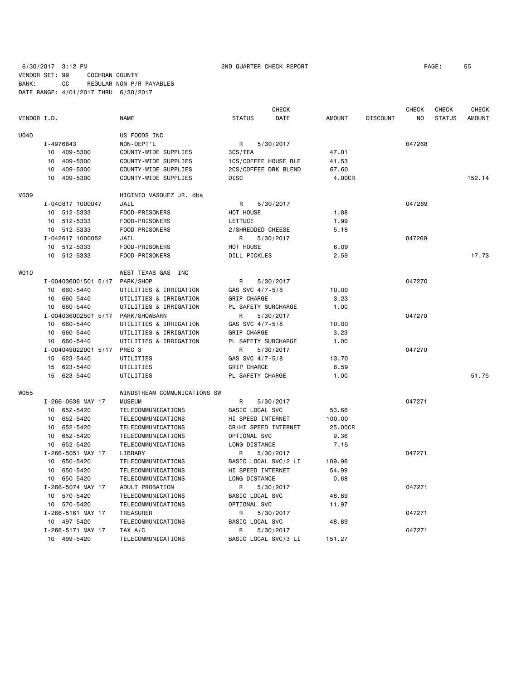|             |                     |                              |                      | <b>CHECK</b>         |               |                 | <b>CHECK</b> | <b>CHECK</b>  | <b>CHECK</b>  |
|-------------|---------------------|------------------------------|----------------------|----------------------|---------------|-----------------|--------------|---------------|---------------|
| VENDOR I.D. |                     | <b>NAME</b>                  | <b>STATUS</b>        | DATE                 | <b>AMOUNT</b> | <b>DISCOUNT</b> | NO           | <b>STATUS</b> | <b>AMOUNT</b> |
| U040        |                     | US FOODS INC                 |                      |                      |               |                 |              |               |               |
|             | I-4976843           | NON-DEPT'L                   | R                    | 5/30/2017            |               |                 | 047268       |               |               |
|             | 10 409-5300         | COUNTY-WIDE SUPPLIES         | 3CS/TEA              |                      | 47.01         |                 |              |               |               |
|             | 409-5300<br>10      | COUNTY-WIDE SUPPLIES         | 1CS/COFFEE HOUSE BLE |                      | 41.53         |                 |              |               |               |
|             | 409-5300<br>10      | COUNTY-WIDE SUPPLIES         |                      | 2CS/COFFEE DRK BLEND | 67.60         |                 |              |               |               |
|             | 409-5300<br>10      | COUNTY-WIDE SUPPLIES         | <b>DISC</b>          |                      | 4.00CR        |                 |              |               | 152.14        |
| V039        |                     | HIGINIO VASQUEZ JR. dba      |                      |                      |               |                 |              |               |               |
|             | I-040817 1000047    | JAIL                         | R                    | 5/30/2017            |               |                 | 047269       |               |               |
|             | 10 512-5333         | FOOD-PRISONERS               | HOT HOUSE            |                      | 1.88          |                 |              |               |               |
|             | 10 512-5333         | FOOD-PRISONERS               | LETTUCE              |                      | 1.99          |                 |              |               |               |
|             | 10 512-5333         | FOOD-PRISONERS               | 2/SHREDDED CHEESE    |                      | 5.18          |                 |              |               |               |
|             | I-042617 1000052    | JAIL                         | R                    | 5/30/2017            |               |                 | 047269       |               |               |
|             | 10 512-5333         | FOOD-PRISONERS               | HOT HOUSE            |                      | 6.09          |                 |              |               |               |
|             | 10 512-5333         | FOOD-PRISONERS               | <b>DILL PICKLES</b>  |                      | 2.59          |                 |              |               | 17.73         |
| WO10        |                     | WEST TEXAS GAS INC           |                      |                      |               |                 |              |               |               |
|             | I-004036001501 5/17 | PARK/SHOP                    | R                    | 5/30/2017            |               |                 | 047270       |               |               |
|             | 10 660-5440         | UTILITIES & IRRIGATION       | GAS SVC 4/7-5/8      |                      | 10.00         |                 |              |               |               |
|             | 10 660-5440         | UTILITIES & IRRIGATION       | GRIP CHARGE          |                      | 3.23          |                 |              |               |               |
|             | 10 660-5440         | UTILITIES & IRRIGATION       | PL SAFETY SURCHARGE  |                      | 1.00          |                 |              |               |               |
|             | I-004036002501 5/17 | PARK/SHOWBARN                | R                    | 5/30/2017            |               |                 | 047270       |               |               |
|             | 10 660-5440         | UTILITIES & IRRIGATION       | GAS SVC 4/7-5/8      |                      | 10.00         |                 |              |               |               |
|             | 10 660-5440         | UTILITIES & IRRIGATION       | GRIP CHARGE          |                      | 3.23          |                 |              |               |               |
|             | 10 660-5440         | UTILITIES & IRRIGATION       | PL SAFETY SURCHARGE  |                      | 1.00          |                 |              |               |               |
|             | I-004049022001 5/17 | PREC <sub>3</sub>            | R                    | 5/30/2017            |               |                 | 047270       |               |               |
|             | 15 623-5440         | UTILITIES                    | GAS SVC 4/7-5/8      |                      | 13.70         |                 |              |               |               |
|             | 15 623-5440         | UTILITIES                    | GRIP CHARGE          |                      | 8.59          |                 |              |               |               |
|             | 15 623-5440         | UTILITIES                    | PL SAFETY CHARGE     |                      | 1.00          |                 |              |               | 51.75         |
| <b>W055</b> |                     | WINDSTREAM COMMUNICATIONS SW |                      |                      |               |                 |              |               |               |
|             | I-266-0638 MAY 17   | <b>MUSEUM</b>                | R                    | 5/30/2017            |               |                 | 047271       |               |               |
|             | 10 652-5420         | TELECOMMUNICATIONS           | BASIC LOCAL SVC      |                      | 53.66         |                 |              |               |               |
|             | 10 652-5420         | TELECOMMUNICATIONS           | HI SPEED INTERNET    |                      | 100.00        |                 |              |               |               |
|             | 10 652-5420         | TELECOMMUNICATIONS           | CR/HI SPEED INTERNET |                      | 25.00CR       |                 |              |               |               |
|             | 10 652-5420         | TELECOMMUNICATIONS           | OPTIONAL SVC         |                      | 9.36          |                 |              |               |               |
|             | 10 652-5420         | TELECOMMUNICATIONS           | LONG DISTANCE        |                      | 7.15          |                 |              |               |               |
|             | I-266-5051 MAY 17   | LIBRARY                      | R                    | 5/30/2017            |               |                 | 047271       |               |               |
|             | 10 650-5420         | TELECOMMUNICATIONS           | BASIC LOCAL SVC/2 LI |                      | 109.96        |                 |              |               |               |
|             | 10 650-5420         | TELECOMMUNICATIONS           | HI SPEED INTERNET    |                      | 54.99         |                 |              |               |               |
|             | 10 650-5420         | TELECOMMUNICATIONS           | LONG DISTANCE        |                      | 0.68          |                 |              |               |               |
|             | I-266-5074 MAY 17   | ADULT PROBATION              | R                    | 5/30/2017            |               |                 | 047271       |               |               |
|             | 10 570-5420         | TELECOMMUNICATIONS           | BASIC LOCAL SVC      |                      | 48.89         |                 |              |               |               |
|             | 10 570-5420         | TELECOMMUNICATIONS           | OPTIONAL SVC         |                      | 11.97         |                 |              |               |               |
|             | I-266-5161 MAY 17   | TREASURER                    | R                    | 5/30/2017            |               |                 | 047271       |               |               |
|             | 10 497-5420         | TELECOMMUNICATIONS           | BASIC LOCAL SVC      |                      | 48.89         |                 |              |               |               |
|             | I-266-5171 MAY 17   | TAX A/C                      | R                    | 5/30/2017            |               |                 | 047271       |               |               |

10 499-5420 TELECOMMUNICATIONS BASIC LOCAL SVC/3 LI 151.27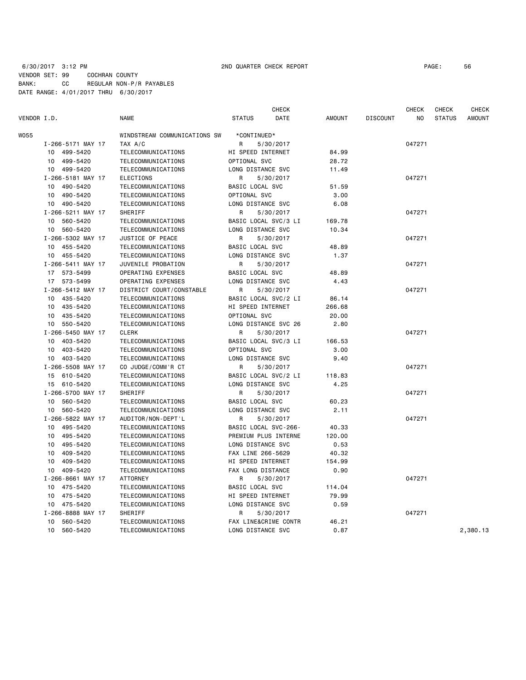# 6/30/2017 3:12 PM 2ND QUARTER CHECK REPORT PAGE: 56 VENDOR SET: 99 COCHRAN COUNTY BANK: CC REGULAR NON-P/R PAYABLES DATE RANGE: 4/01/2017 THRU 6/30/2017

| VENDOR I.D. |                             | <b>NAME</b>                  | <b>STATUS</b>                        | <b>CHECK</b><br>DATE | <b>AMOUNT</b> | <b>DISCOUNT</b> | <b>CHECK</b><br>NO | CHECK<br><b>STATUS</b> | <b>CHECK</b><br><b>AMOUNT</b> |
|-------------|-----------------------------|------------------------------|--------------------------------------|----------------------|---------------|-----------------|--------------------|------------------------|-------------------------------|
| W055        |                             | WINDSTREAM COMMUNICATIONS SW | *CONTINUED*                          |                      |               |                 |                    |                        |                               |
|             | I-266-5171 MAY 17           | TAX A/C                      | R                                    | 5/30/2017            |               |                 | 047271             |                        |                               |
|             | 10 499-5420                 | TELECOMMUNICATIONS           | HI SPEED INTERNET                    |                      | 84.99         |                 |                    |                        |                               |
|             | 499-5420<br>10              | TELECOMMUNICATIONS           | OPTIONAL SVC                         |                      | 28.72         |                 |                    |                        |                               |
|             | 499-5420<br>10              | TELECOMMUNICATIONS           | LONG DISTANCE SVC                    |                      | 11.49         |                 |                    |                        |                               |
|             | I-266-5181 MAY 17           | <b>ELECTIONS</b>             | R                                    | 5/30/2017            |               |                 | 047271             |                        |                               |
|             | 490-5420<br>10              | TELECOMMUNICATIONS           | BASIC LOCAL SVC                      |                      | 51.59         |                 |                    |                        |                               |
|             | 490-5420<br>10              | TELECOMMUNICATIONS           | OPTIONAL SVC                         |                      | 3.00          |                 |                    |                        |                               |
|             | 490-5420<br>10              | TELECOMMUNICATIONS           | LONG DISTANCE SVC                    |                      | 6.08          |                 |                    |                        |                               |
|             | I-266-5211 MAY 17           | SHERIFF                      | R                                    | 5/30/2017            |               |                 | 047271             |                        |                               |
|             | 10<br>560-5420              | TELECOMMUNICATIONS           | BASIC LOCAL SVC/3 LI                 |                      | 169.78        |                 |                    |                        |                               |
|             | 10<br>560-5420              | TELECOMMUNICATIONS           | LONG DISTANCE SVC                    |                      | 10.34         |                 |                    |                        |                               |
|             | I-266-5302 MAY 17           | JUSTICE OF PEACE             | R                                    | 5/30/2017            |               |                 | 047271             |                        |                               |
|             | 10 455-5420                 | TELECOMMUNICATIONS           | BASIC LOCAL SVC                      |                      | 48.89         |                 |                    |                        |                               |
|             | 10 455-5420                 | TELECOMMUNICATIONS           | LONG DISTANCE SVC                    |                      | 1.37          |                 |                    |                        |                               |
|             | I-266-5411 MAY 17           | JUVENILE PROBATION           | R                                    | 5/30/2017            |               |                 | 047271             |                        |                               |
|             | 17 573-5499                 | <b>OPERATING EXPENSES</b>    | BASIC LOCAL SVC                      |                      | 48.89         |                 |                    |                        |                               |
|             | 17 573-5499                 | OPERATING EXPENSES           | LONG DISTANCE SVC                    |                      | 4.43          |                 |                    |                        |                               |
|             | I-266-5412 MAY 17           | DISTRICT COURT/CONSTABLE     | R                                    | 5/30/2017            |               |                 | 047271             |                        |                               |
|             | 435-5420<br>10              | TELECOMMUNICATIONS           | BASIC LOCAL SVC/2 LI                 |                      | 86.14         |                 |                    |                        |                               |
|             | 435-5420<br>10              | TELECOMMUNICATIONS           | HI SPEED INTERNET                    |                      | 266.68        |                 |                    |                        |                               |
|             | 435-5420<br>10              | TELECOMMUNICATIONS           | OPTIONAL SVC                         |                      | 20.00         |                 |                    |                        |                               |
|             | 10 550-5420                 | TELECOMMUNICATIONS           | LONG DISTANCE SVC 26                 |                      | 2.80          |                 |                    |                        |                               |
|             | I-266-5450 MAY 17           | <b>CLERK</b>                 | R                                    | 5/30/2017            |               |                 | 047271             |                        |                               |
|             | 10 403-5420                 |                              |                                      |                      | 166.53        |                 |                    |                        |                               |
|             | 403-5420                    | TELECOMMUNICATIONS           | BASIC LOCAL SVC/3 LI<br>OPTIONAL SVC |                      |               |                 |                    |                        |                               |
|             | 10                          | TELECOMMUNICATIONS           |                                      |                      | 3.00          |                 |                    |                        |                               |
|             | 10 403-5420                 | TELECOMMUNICATIONS           | LONG DISTANCE SVC                    |                      | 9.40          |                 |                    |                        |                               |
|             | I-266-5508 MAY 17           | CO JUDGE/COMM'R CT           | R                                    | 5/30/2017            |               |                 | 047271             |                        |                               |
|             | 15 610-5420                 | TELECOMMUNICATIONS           |                                      | BASIC LOCAL SVC/2 LI | 118.83        |                 |                    |                        |                               |
|             | 15 610-5420                 | TELECOMMUNICATIONS           | LONG DISTANCE SVC                    |                      | 4.25          |                 |                    |                        |                               |
|             | I-266-5700 MAY 17           | <b>SHERIFF</b>               | R                                    | 5/30/2017            |               |                 | 047271             |                        |                               |
|             | 560-5420<br>10              | TELECOMMUNICATIONS           | BASIC LOCAL SVC                      |                      | 60.23         |                 |                    |                        |                               |
|             | 10 560-5420                 | TELECOMMUNICATIONS           | LONG DISTANCE SVC                    |                      | 2.11          |                 |                    |                        |                               |
|             | I-266-5822 MAY 17           | AUDITOR/NON-DEPT'L           | R                                    | 5/30/2017            |               |                 | 047271             |                        |                               |
|             | 10 495-5420                 | TELECOMMUNICATIONS           | BASIC LOCAL SVC-266-                 |                      | 40.33         |                 |                    |                        |                               |
|             | 495-5420<br>10              | TELECOMMUNICATIONS           | PREMIUM PLUS INTERNE                 |                      | 120.00        |                 |                    |                        |                               |
|             | 495-5420<br>10              | TELECOMMUNICATIONS           | LONG DISTANCE SVC                    |                      | 0.53          |                 |                    |                        |                               |
|             | 409-5420<br>10              | TELECOMMUNICATIONS           | FAX LINE 266-5629                    |                      | 40.32         |                 |                    |                        |                               |
|             | 409-5420<br>10              | TELECOMMUNICATIONS           | HI SPEED INTERNET                    |                      | 154.99        |                 |                    |                        |                               |
|             | 409-5420<br>10              | TELECOMMUNICATIONS           | FAX LONG DISTANCE                    |                      | 0.90          |                 |                    |                        |                               |
|             | I-266-8661 MAY 17           | <b>ATTORNEY</b>              | R                                    | 5/30/2017            |               |                 | 047271             |                        |                               |
|             | 475-5420<br>10              | TELECOMMUNICATIONS           | BASIC LOCAL SVC                      |                      | 114.04        |                 |                    |                        |                               |
|             | 10 475-5420                 | TELECOMMUNICATIONS           | HI SPEED INTERNET                    |                      | 79.99         |                 |                    |                        |                               |
|             | 10 475-5420                 | TELECOMMUNICATIONS           | LONG DISTANCE SVC                    |                      | 0.59          |                 |                    |                        |                               |
|             | I-266-8888 MAY 17           | SHERIFF                      | R                                    | 5/30/2017            |               |                 | 047271             |                        |                               |
|             | 560-5420<br>10              | TELECOMMUNICATIONS           | FAX LINE&CRIME CONTR                 |                      | 46.21         |                 |                    |                        |                               |
|             | 10 <sup>1</sup><br>560-5420 | TELECOMMUNICATIONS           | LONG DISTANCE SVC                    |                      | 0.87          |                 |                    |                        | 2,380.13                      |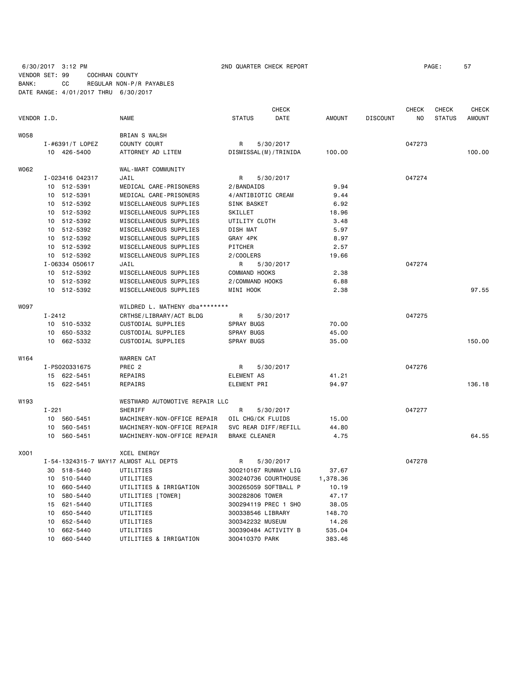# 6/30/2017 3:12 PM 2ND QUARTER CHECK REPORT PAGE: 57 VENDOR SET: 99 COCHRAN COUNTY BANK: CC REGULAR NON-P/R PAYABLES DATE RANGE: 4/01/2017 THRU 6/30/2017

|             |                 |                 | <b>CHECK</b>                          |                         |           |      | <b>CHECK</b> | <b>CHECK</b>    | CHECK          |               |               |
|-------------|-----------------|-----------------|---------------------------------------|-------------------------|-----------|------|--------------|-----------------|----------------|---------------|---------------|
| VENDOR I.D. |                 |                 | <b>NAME</b>                           | <b>STATUS</b>           |           | DATE | AMOUNT       | <b>DISCOUNT</b> | N <sub>O</sub> | <b>STATUS</b> | <b>AMOUNT</b> |
| <b>W058</b> |                 |                 | <b>BRIAN S WALSH</b>                  |                         |           |      |              |                 |                |               |               |
|             |                 | I-#6391/T LOPEZ | COUNTY COURT                          | R                       | 5/30/2017 |      |              |                 | 047273         |               |               |
|             |                 | 10 426-5400     | ATTORNEY AD LITEM                     | DISMISSAL (M) / TRINIDA |           |      | 100.00       |                 |                |               | 100.00        |
| W062        |                 |                 | WAL-MART COMMUNITY                    |                         |           |      |              |                 |                |               |               |
|             |                 | I-023416 042317 | JAIL                                  | R                       | 5/30/2017 |      |              |                 | 047274         |               |               |
|             |                 | 10 512-5391     | MEDICAL CARE-PRISONERS                | 2/BANDAIDS              |           |      | 9.94         |                 |                |               |               |
|             | 10              | 512-5391        | MEDICAL CARE-PRISONERS                | 4/ANTIBIOTIC CREAM      |           |      | 9.44         |                 |                |               |               |
|             | 10              | 512-5392        | MISCELLANEOUS SUPPLIES                | <b>SINK BASKET</b>      |           |      | 6.92         |                 |                |               |               |
|             | 10              | 512-5392        | MISCELLANEOUS SUPPLIES                | SKILLET                 |           |      | 18.96        |                 |                |               |               |
|             | 10              | 512-5392        | MISCELLANEOUS SUPPLIES                | UTILITY CLOTH           |           |      | 3.48         |                 |                |               |               |
|             | 10              | 512-5392        | MISCELLANEOUS SUPPLIES                | DISH MAT                |           |      | 5.97         |                 |                |               |               |
|             | 10 <sub>1</sub> | 512-5392        | MISCELLANEOUS SUPPLIES                | GRAY 4PK                |           |      | 8.97         |                 |                |               |               |
|             | 10              | 512-5392        | MISCELLANEOUS SUPPLIES                | PITCHER                 |           |      | 2.57         |                 |                |               |               |
|             |                 | 10 512-5392     | MISCELLANEOUS SUPPLIES                | 2/COOLERS               |           |      | 19.66        |                 |                |               |               |
|             |                 | I-06334 050617  | JAIL                                  | R                       | 5/30/2017 |      |              |                 | 047274         |               |               |
|             |                 | 10 512-5392     | MISCELLANEOUS SUPPLIES                | COMMAND HOOKS           |           |      | 2.38         |                 |                |               |               |
|             |                 | 10 512-5392     | MISCELLANEOUS SUPPLIES                | 2/COMMAND HOOKS         |           |      | 6.88         |                 |                |               |               |
|             |                 | 10 512-5392     | MISCELLANEOUS SUPPLIES                | <b>MINI HOOK</b>        |           |      | 2.38         |                 |                |               | 97.55         |
| <b>WO97</b> |                 |                 | WILDRED L. MATHENY dba********        |                         |           |      |              |                 |                |               |               |
|             | $I - 2412$      |                 | CRTHSE/LIBRARY/ACT BLDG               | R                       | 5/30/2017 |      |              |                 | 047275         |               |               |
|             |                 | 10 510-5332     | CUSTODIAL SUPPLIES                    | SPRAY BUGS              |           |      | 70.00        |                 |                |               |               |
|             | 10              | 650-5332        | CUSTODIAL SUPPLIES                    | <b>SPRAY BUGS</b>       |           |      | 45.00        |                 |                |               |               |
|             | 10 <sup>1</sup> | 662-5332        | CUSTODIAL SUPPLIES                    | <b>SPRAY BUGS</b>       |           |      | 35.00        |                 |                |               | 150.00        |
| W164        |                 |                 | WARREN CAT                            |                         |           |      |              |                 |                |               |               |
|             |                 | I-PS020331675   | PREC <sub>2</sub>                     | R                       | 5/30/2017 |      |              |                 | 047276         |               |               |
|             |                 | 15 622-5451     | REPAIRS                               | ELEMENT AS              |           |      | 41.21        |                 |                |               |               |
|             |                 | 15 622-5451     | REPAIRS                               | ELEMENT PRI             |           |      | 94.97        |                 |                |               | 136.18        |
| W193        |                 |                 | WESTWARD AUTOMOTIVE REPAIR LLC        |                         |           |      |              |                 |                |               |               |
|             | I-221           |                 | SHERIFF                               | R                       | 5/30/2017 |      |              |                 | 047277         |               |               |
|             |                 | 10 560-5451     | MACHINERY-NON-OFFICE REPAIR           | OIL CHG/CK FLUIDS       |           |      | 15.00        |                 |                |               |               |
|             | 10              | 560-5451        | MACHINERY-NON-OFFICE REPAIR           | SVC REAR DIFF/REFILL    |           |      | 44.80        |                 |                |               |               |
|             |                 | 10 560-5451     | MACHINERY-NON-OFFICE REPAIR           | <b>BRAKE CLEANER</b>    |           |      | 4.75         |                 |                |               | 64.55         |
| X001        |                 |                 | <b>XCEL ENERGY</b>                    |                         |           |      |              |                 |                |               |               |
|             |                 |                 | I-54-1324315-7 MAY17 ALMOST ALL DEPTS | R                       | 5/30/2017 |      |              |                 | 047278         |               |               |
|             | 30              | 518-5440        | UTILITIES                             | 300210167 RUNWAY LIG    |           |      | 37.67        |                 |                |               |               |
|             | 10              | 510-5440        | UTILITIES                             | 300240736 COURTHOUSE    |           |      | 1,378.36     |                 |                |               |               |
|             | 10              | 660-5440        | UTILITIES & IRRIGATION                | 300265059 SOFTBALL P    |           |      | 10.19        |                 |                |               |               |
|             | 10              | 580-5440        | UTILITIES [TOWER]                     | 300282806 TOWER         |           |      | 47.17        |                 |                |               |               |
|             | 15              | 621-5440        | UTILITIES                             | 300294119 PREC 1 SHO    |           |      | 38.05        |                 |                |               |               |
|             | 10              | 650-5440        | UTILITIES                             | 300338546 LIBRARY       |           |      | 148.70       |                 |                |               |               |
|             | 10              | 652-5440        | UTILITIES                             | 300342232 MUSEUM        |           |      | 14.26        |                 |                |               |               |
|             | 10 <sup>1</sup> | 662-5440        | UTILITIES                             | 300390484 ACTIVITY B    |           |      | 535.04       |                 |                |               |               |

10 660-5440 UTILITIES & IRRIGATION 300410370 PARK 383.46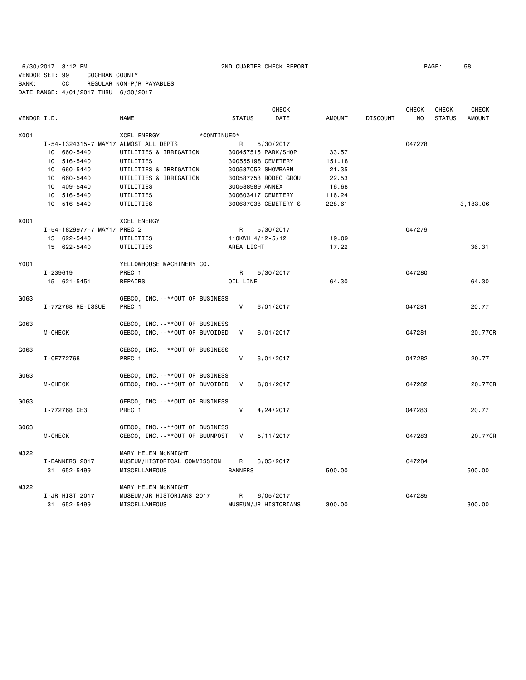6/30/2017 3:12 PM 2ND QUARTER CHECK REPORT PAGE: 58 VENDOR SET: 99 COCHRAN COUNTY BANK: CC REGULAR NON-P/R PAYABLES DATE RANGE: 4/01/2017 THRU 6/30/2017

|             |                                       |                                   |                | <b>CHECK</b>         |               |                 | <b>CHECK</b> | <b>CHECK</b>  | <b>CHECK</b>  |
|-------------|---------------------------------------|-----------------------------------|----------------|----------------------|---------------|-----------------|--------------|---------------|---------------|
| VENDOR I.D. |                                       | NAME                              | <b>STATUS</b>  | DATE                 | <b>AMOUNT</b> | <b>DISCOUNT</b> | NO.          | <b>STATUS</b> | <b>AMOUNT</b> |
| X001        |                                       | <b>XCEL ENERGY</b><br>*CONTINUED* |                |                      |               |                 |              |               |               |
|             | I-54-1324315-7 MAY17 ALMOST ALL DEPTS |                                   | R              | 5/30/2017            |               |                 | 047278       |               |               |
|             | 10 660-5440                           | UTILITIES & IRRIGATION            |                | 300457515 PARK/SHOP  | 33.57         |                 |              |               |               |
|             | 10 516-5440                           | UTILITIES                         |                | 300555198 CEMETERY   | 151.18        |                 |              |               |               |
|             | 10 660-5440                           | UTILITIES & IRRIGATION            |                | 300587052 SHOWBARN   | 21.35         |                 |              |               |               |
|             | 10 660-5440                           | UTILITIES & IRRIGATION            |                | 300587753 RODEO GROU | 22.53         |                 |              |               |               |
|             | 10 409-5440                           | UTILITIES                         |                | 300588989 ANNEX      | 16.68         |                 |              |               |               |
|             | 10 516-5440                           | UTILITIES                         |                | 300603417 CEMETERY   | 116.24        |                 |              |               |               |
|             | 10 516-5440                           | UTILITIES                         |                | 300637038 CEMETERY S | 228.61        |                 |              |               | 3,183.06      |
| X001        |                                       | <b>XCEL ENERGY</b>                |                |                      |               |                 |              |               |               |
|             | I-54-1829977-7 MAY17 PREC 2           |                                   | R              | 5/30/2017            |               |                 | 047279       |               |               |
|             | 15 622-5440                           | UTILITIES                         |                | 110KWH 4/12-5/12     | 19.09         |                 |              |               |               |
|             | 15 622-5440                           | UTILITIES                         | AREA LIGHT     |                      | 17.22         |                 |              |               | 36.31         |
| Y001        |                                       | YELLOWHOUSE MACHINERY CO.         |                |                      |               |                 |              |               |               |
|             | I-239619                              | PREC 1                            | R              | 5/30/2017            |               |                 | 047280       |               |               |
|             | 15 621-5451                           | REPAIRS                           | OIL LINE       |                      | 64.30         |                 |              |               | 64.30         |
| G063        |                                       | GEBCO, INC.--**OUT OF BUSINESS    |                |                      |               |                 |              |               |               |
|             | I-772768 RE-ISSUE                     | PREC 1                            | V              | 6/01/2017            |               |                 | 047281       |               | 20.77         |
| G063        |                                       | GEBCO, INC. --**OUT OF BUSINESS   |                |                      |               |                 |              |               |               |
|             | <b>M-CHECK</b>                        | GEBCO, INC. --**OUT OF BUVOIDED   | V              | 6/01/2017            |               |                 | 047281       |               | 20.77CR       |
| G063        |                                       | GEBCO, INC. --**OUT OF BUSINESS   |                |                      |               |                 |              |               |               |
|             | I-CE772768                            | PREC 1                            | V              | 6/01/2017            |               |                 | 047282       |               | 20.77         |
| G063        |                                       | GEBCO, INC. --**OUT OF BUSINESS   |                |                      |               |                 |              |               |               |
|             | <b>M-CHECK</b>                        | GEBCO, INC. --**OUT OF BUVOIDED   | V              | 6/01/2017            |               |                 | 047282       |               | 20.77CR       |
| G063        |                                       | GEBCO, INC.--**OUT OF BUSINESS    |                |                      |               |                 |              |               |               |
|             | I-772768 CE3                          | PREC 1                            | $\mathsf{V}$   | 4/24/2017            |               |                 | 047283       |               | 20.77         |
| G063        |                                       | GEBCO, INC.--**OUT OF BUSINESS    |                |                      |               |                 |              |               |               |
|             | <b>M-CHECK</b>                        | GEBCO, INC. --**OUT OF BUUNPOST   | V              | 5/11/2017            |               |                 | 047283       |               | 20.77CR       |
| M322        |                                       | MARY HELEN McKNIGHT               |                |                      |               |                 |              |               |               |
|             | I-BANNERS 2017                        | MUSEUM/HISTORICAL COMMISSION      | R              | 6/05/2017            |               |                 | 047284       |               |               |
|             | 31 652-5499                           | MISCELLANEOUS                     | <b>BANNERS</b> |                      | 500.00        |                 |              |               | 500.00        |
| M322        |                                       | MARY HELEN MCKNIGHT               |                |                      |               |                 |              |               |               |
|             | I-JR HIST 2017                        | MUSEUM/JR HISTORIANS 2017         | R              | 6/05/2017            |               |                 | 047285       |               |               |
|             | 31 652-5499                           | MISCELLANEOUS                     |                | MUSEUM/JR HISTORIANS | 300.00        |                 |              |               | 300.00        |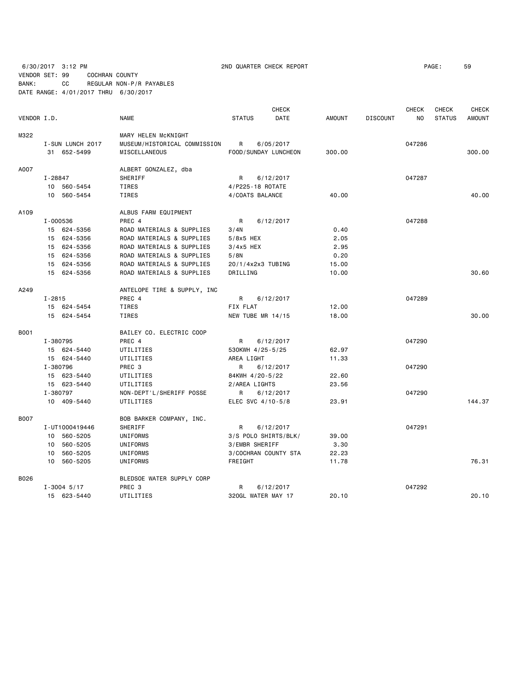6/30/2017 3:12 PM 2ND QUARTER CHECK REPORT PAGE: 59 VENDOR SET: 99 COCHRAN COUNTY BANK: CC REGULAR NON-P/R PAYABLES

DATE RANGE: 4/01/2017 THRU 6/30/2017

 CHECK CHECK CHECK CHECK VENDOR I.D. NAME STATUS DATE AMOUNT DISCOUNT NO STATUS AMOUNT M322 MARY HELEN McKNIGHT I-SUN LUNCH 2017 MUSEUM/HISTORICAL COMMISSION R 6/05/2017 047286 31 652-5499 MISCELLANEOUS FOOD/SUNDAY LUNCHEON 300.00 300.00 A007 ALBERT GONZALEZ, dba I-28847 SHERIFF R 6/12/2017 047287 10 560-5454 TIRES 4/P225-18 ROTATE 10 560-5454 TIRES 4/COATS BALANCE 40.00 40.00 A109 ALBUS FARM EQUIPMENT I-000536 PREC 4 R 6/12/2017 2088 15 624-5356 ROAD MATERIALS & SUPPLIES 3/4N 0.40 15 624-5356 ROAD MATERIALS & SUPPLIES 5/8x5 HEX 2.05 15 624-5356 ROAD MATERIALS & SUPPLIES 3/4x5 HEX 2.95 15 624-5356 ROAD MATERIALS & SUPPLIES 5/8N 0.20 15 624-5356 ROAD MATERIALS & SUPPLIES 20/1/4x2x3 TUBING 15.00 15 624-5356 ROAD MATERIALS & SUPPLIES DRILLING 10.00 30.60 A249 ANTELOPE TIRE & SUPPLY, INC I-2815 PREC 4 R 6/12/2017 R 6/12/2017 15 624-5454 TIRES FIX FLAT 12.00 15 624-5454 TIRES NEW TUBE MR 14/15 18.00 30.00 B001 BAILEY CO. ELECTRIC COOP I-380795 PREC 4 R 6/12/2017 047290 15 624-5440 UTILITIES 530KWH 4/25-5/25 62.97 15 624-5440 UTILITIES AREA LIGHT 11.33 I-380796 PREC 3 R 6/12/2017 047290 15 623-5440 UTILITIES 84KWH 4/20-5/22 22.60 15 623-5440 UTILITIES 2/AREA LIGHTS 23.56 I-380797 NON-DEPT'L/SHERIFF POSSE R 6/12/2017 047290 10 409-5440 UTILITIES ELEC SVC 4/10-5/8 23.91 144.37 BOO7 BOB BARKER COMPANY, INC. I-UT1000419446 SHERIFF R 6/12/2017 047291 10 560-5205 UNIFORMS 3/S POLO SHIRTS/BLK/ 39.00 10 560-5205 UNIFORMS 3/EMBR SHERIFF 3.30 10 560-5205 UNIFORMS 3/COCHRAN COUNTY STA 22.23 10 560-5205 UNIFORMS FREIGHT 11.78 76.31 B026 BLEDSOE WATER SUPPLY CORP I-3004 5/17 PREC 3 R 6/12/2017 047292 15 623-5440 UTILITIES 320GL WATER MAY 17 20.10 20.10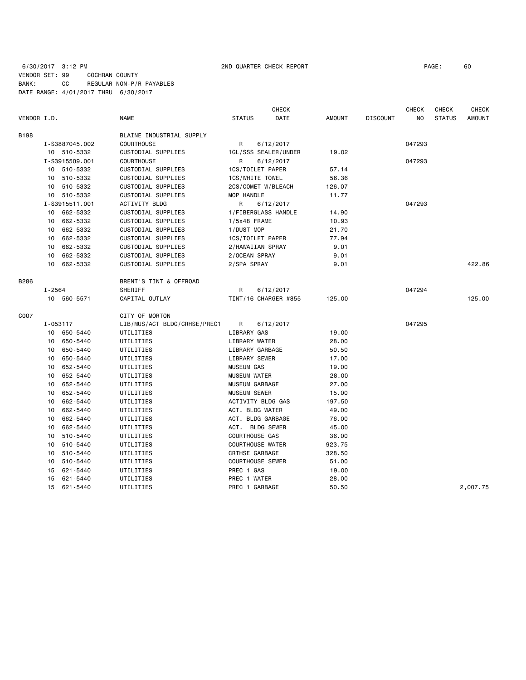# 6/30/2017 3:12 PM 2ND QUARTER CHECK REPORT PAGE: 60 VENDOR SET: 99 COCHRAN COUNTY BANK: CC REGULAR NON-P/R PAYABLES DATE RANGE: 4/01/2017 THRU 6/30/2017

| DATE<br><b>NO</b><br><b>STATUS</b><br><b>AMOUNT</b><br>VENDOR I.D.<br><b>NAME</b><br><b>STATUS</b><br><b>AMOUNT</b><br><b>DISCOUNT</b><br><b>B198</b><br>BLAINE INDUSTRIAL SUPPLY<br><b>COURTHOUSE</b><br>6/12/2017<br>047293<br>I-S3887045.002<br>R<br>CUSTODIAL SUPPLIES<br>10 510-5332<br>1GL/SSS SEALER/UNDER<br>19.02<br>I-S3915509.001<br><b>COURTHOUSE</b><br>047293<br>R<br>6/12/2017<br>10 510-5332<br>CUSTODIAL SUPPLIES<br>1CS/TOILET PAPER<br>57.14<br>510-5332<br>CUSTODIAL SUPPLIES<br>1CS/WHITE TOWEL<br>56.36<br>10<br>10 510-5332<br>CUSTODIAL SUPPLIES<br>2CS/COMET W/BLEACH<br>126.07<br>10 510-5332<br>CUSTODIAL SUPPLIES<br>MOP HANDLE<br>11.77<br>I-S3915511.001<br><b>ACTIVITY BLDG</b><br>R<br>047293<br>6/12/2017<br>10 662-5332<br>CUSTODIAL SUPPLIES<br>1/FIBERGLASS HANDLE<br>14.90<br>662-5332<br>CUSTODIAL SUPPLIES<br>1/5x48 FRAME<br>10<br>10.93<br>662-5332<br>CUSTODIAL SUPPLIES<br>1/DUST MOP<br>21.70<br>10<br>662-5332<br>10<br>CUSTODIAL SUPPLIES<br>1CS/TOILET PAPER<br>77.94<br>662-5332<br>CUSTODIAL SUPPLIES<br>2/HAWAIIAN SPRAY<br>9.01<br>10<br>662-5332<br>CUSTODIAL SUPPLIES<br>2/OCEAN SPRAY<br>9.01<br>10<br>422.86<br>662-5332<br>CUSTODIAL SUPPLIES<br>2/SPA SPRAY<br>9.01<br>10<br>B286<br>BRENT'S TINT & OFFROAD<br>$I - 2564$<br>SHERIFF<br>R<br>047294<br>6/12/2017<br>10 560-5571<br>CAPITAL OUTLAY<br>TINT/16 CHARGER #855<br>125.00<br>125,00<br>C007<br>CITY OF MORTON<br>047295<br>LIB/MUS/ACT BLDG/CRHSE/PREC1<br>R<br>I-053117<br>6/12/2017<br>LIBRARY GAS<br>19.00<br>10 650-5440<br>UTILITIES<br>650-5440<br>LIBRARY WATER<br>10<br>UTILITIES<br>28.00<br>650-5440<br>LIBRARY GARBAGE<br>UTILITIES<br>50.50<br>10<br>650-5440<br>LIBRARY SEWER<br>UTILITIES<br>17.00<br>10<br>652-5440<br>UTILITIES<br><b>MUSEUM GAS</b><br>19.00<br>10<br>652-5440<br>UTILITIES<br><b>MUSEUM WATER</b><br>28.00<br>10<br>652-5440<br>MUSEUM GARBAGE<br>27.00<br>10<br>UTILITIES<br>652-5440<br><b>MUSEUM SEWER</b><br>15.00<br>10<br>UTILITIES<br>662-5440<br>ACTIVITY BLDG GAS<br>10<br>UTILITIES<br>197.50<br>662-5440<br>ACT. BLDG WATER<br>UTILITIES<br>49.00<br>10<br>662-5440<br>ACT. BLDG GARBAGE<br>10<br>UTILITIES<br>76.00<br>ACT. BLDG SEWER<br>10<br>662-5440<br>UTILITIES<br>45.00<br><b>COURTHOUSE GAS</b><br>10<br>510-5440<br>UTILITIES<br>36.00<br>510-5440<br>UTILITIES<br><b>COURTHOUSE WATER</b><br>923.75<br>10<br>510-5440<br>UTILITIES<br>CRTHSE GARBAGE<br>328.50<br>10<br><b>COURTHOUSE SEWER</b><br>510-5440<br>UTILITIES<br>51.00<br>10<br>621-5440<br>PREC 1 GAS<br>UTILITIES<br>19.00<br>15<br>621-5440<br>UTILITIES<br>PREC 1 WATER<br>28.00<br>15<br>PREC 1 GARBAGE<br>50.50<br>2,007.75<br>15<br>621-5440<br>UTILITIES |  |  | <b>CHECK</b> |  | <b>CHECK</b> | <b>CHECK</b> | <b>CHECK</b> |
|--------------------------------------------------------------------------------------------------------------------------------------------------------------------------------------------------------------------------------------------------------------------------------------------------------------------------------------------------------------------------------------------------------------------------------------------------------------------------------------------------------------------------------------------------------------------------------------------------------------------------------------------------------------------------------------------------------------------------------------------------------------------------------------------------------------------------------------------------------------------------------------------------------------------------------------------------------------------------------------------------------------------------------------------------------------------------------------------------------------------------------------------------------------------------------------------------------------------------------------------------------------------------------------------------------------------------------------------------------------------------------------------------------------------------------------------------------------------------------------------------------------------------------------------------------------------------------------------------------------------------------------------------------------------------------------------------------------------------------------------------------------------------------------------------------------------------------------------------------------------------------------------------------------------------------------------------------------------------------------------------------------------------------------------------------------------------------------------------------------------------------------------------------------------------------------------------------------------------------------------------------------------------------------------------------------------------------------------------------------------------------------------------------------------------------------------------------------------------------------------------------------------------------------------------------------------------------------------------------------------------------------------------------------------------------------------------------|--|--|--------------|--|--------------|--------------|--------------|
|                                                                                                                                                                                                                                                                                                                                                                                                                                                                                                                                                                                                                                                                                                                                                                                                                                                                                                                                                                                                                                                                                                                                                                                                                                                                                                                                                                                                                                                                                                                                                                                                                                                                                                                                                                                                                                                                                                                                                                                                                                                                                                                                                                                                                                                                                                                                                                                                                                                                                                                                                                                                                                                                                                        |  |  |              |  |              |              |              |
|                                                                                                                                                                                                                                                                                                                                                                                                                                                                                                                                                                                                                                                                                                                                                                                                                                                                                                                                                                                                                                                                                                                                                                                                                                                                                                                                                                                                                                                                                                                                                                                                                                                                                                                                                                                                                                                                                                                                                                                                                                                                                                                                                                                                                                                                                                                                                                                                                                                                                                                                                                                                                                                                                                        |  |  |              |  |              |              |              |
|                                                                                                                                                                                                                                                                                                                                                                                                                                                                                                                                                                                                                                                                                                                                                                                                                                                                                                                                                                                                                                                                                                                                                                                                                                                                                                                                                                                                                                                                                                                                                                                                                                                                                                                                                                                                                                                                                                                                                                                                                                                                                                                                                                                                                                                                                                                                                                                                                                                                                                                                                                                                                                                                                                        |  |  |              |  |              |              |              |
|                                                                                                                                                                                                                                                                                                                                                                                                                                                                                                                                                                                                                                                                                                                                                                                                                                                                                                                                                                                                                                                                                                                                                                                                                                                                                                                                                                                                                                                                                                                                                                                                                                                                                                                                                                                                                                                                                                                                                                                                                                                                                                                                                                                                                                                                                                                                                                                                                                                                                                                                                                                                                                                                                                        |  |  |              |  |              |              |              |
|                                                                                                                                                                                                                                                                                                                                                                                                                                                                                                                                                                                                                                                                                                                                                                                                                                                                                                                                                                                                                                                                                                                                                                                                                                                                                                                                                                                                                                                                                                                                                                                                                                                                                                                                                                                                                                                                                                                                                                                                                                                                                                                                                                                                                                                                                                                                                                                                                                                                                                                                                                                                                                                                                                        |  |  |              |  |              |              |              |
|                                                                                                                                                                                                                                                                                                                                                                                                                                                                                                                                                                                                                                                                                                                                                                                                                                                                                                                                                                                                                                                                                                                                                                                                                                                                                                                                                                                                                                                                                                                                                                                                                                                                                                                                                                                                                                                                                                                                                                                                                                                                                                                                                                                                                                                                                                                                                                                                                                                                                                                                                                                                                                                                                                        |  |  |              |  |              |              |              |
|                                                                                                                                                                                                                                                                                                                                                                                                                                                                                                                                                                                                                                                                                                                                                                                                                                                                                                                                                                                                                                                                                                                                                                                                                                                                                                                                                                                                                                                                                                                                                                                                                                                                                                                                                                                                                                                                                                                                                                                                                                                                                                                                                                                                                                                                                                                                                                                                                                                                                                                                                                                                                                                                                                        |  |  |              |  |              |              |              |
|                                                                                                                                                                                                                                                                                                                                                                                                                                                                                                                                                                                                                                                                                                                                                                                                                                                                                                                                                                                                                                                                                                                                                                                                                                                                                                                                                                                                                                                                                                                                                                                                                                                                                                                                                                                                                                                                                                                                                                                                                                                                                                                                                                                                                                                                                                                                                                                                                                                                                                                                                                                                                                                                                                        |  |  |              |  |              |              |              |
|                                                                                                                                                                                                                                                                                                                                                                                                                                                                                                                                                                                                                                                                                                                                                                                                                                                                                                                                                                                                                                                                                                                                                                                                                                                                                                                                                                                                                                                                                                                                                                                                                                                                                                                                                                                                                                                                                                                                                                                                                                                                                                                                                                                                                                                                                                                                                                                                                                                                                                                                                                                                                                                                                                        |  |  |              |  |              |              |              |
|                                                                                                                                                                                                                                                                                                                                                                                                                                                                                                                                                                                                                                                                                                                                                                                                                                                                                                                                                                                                                                                                                                                                                                                                                                                                                                                                                                                                                                                                                                                                                                                                                                                                                                                                                                                                                                                                                                                                                                                                                                                                                                                                                                                                                                                                                                                                                                                                                                                                                                                                                                                                                                                                                                        |  |  |              |  |              |              |              |
|                                                                                                                                                                                                                                                                                                                                                                                                                                                                                                                                                                                                                                                                                                                                                                                                                                                                                                                                                                                                                                                                                                                                                                                                                                                                                                                                                                                                                                                                                                                                                                                                                                                                                                                                                                                                                                                                                                                                                                                                                                                                                                                                                                                                                                                                                                                                                                                                                                                                                                                                                                                                                                                                                                        |  |  |              |  |              |              |              |
|                                                                                                                                                                                                                                                                                                                                                                                                                                                                                                                                                                                                                                                                                                                                                                                                                                                                                                                                                                                                                                                                                                                                                                                                                                                                                                                                                                                                                                                                                                                                                                                                                                                                                                                                                                                                                                                                                                                                                                                                                                                                                                                                                                                                                                                                                                                                                                                                                                                                                                                                                                                                                                                                                                        |  |  |              |  |              |              |              |
|                                                                                                                                                                                                                                                                                                                                                                                                                                                                                                                                                                                                                                                                                                                                                                                                                                                                                                                                                                                                                                                                                                                                                                                                                                                                                                                                                                                                                                                                                                                                                                                                                                                                                                                                                                                                                                                                                                                                                                                                                                                                                                                                                                                                                                                                                                                                                                                                                                                                                                                                                                                                                                                                                                        |  |  |              |  |              |              |              |
|                                                                                                                                                                                                                                                                                                                                                                                                                                                                                                                                                                                                                                                                                                                                                                                                                                                                                                                                                                                                                                                                                                                                                                                                                                                                                                                                                                                                                                                                                                                                                                                                                                                                                                                                                                                                                                                                                                                                                                                                                                                                                                                                                                                                                                                                                                                                                                                                                                                                                                                                                                                                                                                                                                        |  |  |              |  |              |              |              |
|                                                                                                                                                                                                                                                                                                                                                                                                                                                                                                                                                                                                                                                                                                                                                                                                                                                                                                                                                                                                                                                                                                                                                                                                                                                                                                                                                                                                                                                                                                                                                                                                                                                                                                                                                                                                                                                                                                                                                                                                                                                                                                                                                                                                                                                                                                                                                                                                                                                                                                                                                                                                                                                                                                        |  |  |              |  |              |              |              |
|                                                                                                                                                                                                                                                                                                                                                                                                                                                                                                                                                                                                                                                                                                                                                                                                                                                                                                                                                                                                                                                                                                                                                                                                                                                                                                                                                                                                                                                                                                                                                                                                                                                                                                                                                                                                                                                                                                                                                                                                                                                                                                                                                                                                                                                                                                                                                                                                                                                                                                                                                                                                                                                                                                        |  |  |              |  |              |              |              |
|                                                                                                                                                                                                                                                                                                                                                                                                                                                                                                                                                                                                                                                                                                                                                                                                                                                                                                                                                                                                                                                                                                                                                                                                                                                                                                                                                                                                                                                                                                                                                                                                                                                                                                                                                                                                                                                                                                                                                                                                                                                                                                                                                                                                                                                                                                                                                                                                                                                                                                                                                                                                                                                                                                        |  |  |              |  |              |              |              |
|                                                                                                                                                                                                                                                                                                                                                                                                                                                                                                                                                                                                                                                                                                                                                                                                                                                                                                                                                                                                                                                                                                                                                                                                                                                                                                                                                                                                                                                                                                                                                                                                                                                                                                                                                                                                                                                                                                                                                                                                                                                                                                                                                                                                                                                                                                                                                                                                                                                                                                                                                                                                                                                                                                        |  |  |              |  |              |              |              |
|                                                                                                                                                                                                                                                                                                                                                                                                                                                                                                                                                                                                                                                                                                                                                                                                                                                                                                                                                                                                                                                                                                                                                                                                                                                                                                                                                                                                                                                                                                                                                                                                                                                                                                                                                                                                                                                                                                                                                                                                                                                                                                                                                                                                                                                                                                                                                                                                                                                                                                                                                                                                                                                                                                        |  |  |              |  |              |              |              |
|                                                                                                                                                                                                                                                                                                                                                                                                                                                                                                                                                                                                                                                                                                                                                                                                                                                                                                                                                                                                                                                                                                                                                                                                                                                                                                                                                                                                                                                                                                                                                                                                                                                                                                                                                                                                                                                                                                                                                                                                                                                                                                                                                                                                                                                                                                                                                                                                                                                                                                                                                                                                                                                                                                        |  |  |              |  |              |              |              |
|                                                                                                                                                                                                                                                                                                                                                                                                                                                                                                                                                                                                                                                                                                                                                                                                                                                                                                                                                                                                                                                                                                                                                                                                                                                                                                                                                                                                                                                                                                                                                                                                                                                                                                                                                                                                                                                                                                                                                                                                                                                                                                                                                                                                                                                                                                                                                                                                                                                                                                                                                                                                                                                                                                        |  |  |              |  |              |              |              |
|                                                                                                                                                                                                                                                                                                                                                                                                                                                                                                                                                                                                                                                                                                                                                                                                                                                                                                                                                                                                                                                                                                                                                                                                                                                                                                                                                                                                                                                                                                                                                                                                                                                                                                                                                                                                                                                                                                                                                                                                                                                                                                                                                                                                                                                                                                                                                                                                                                                                                                                                                                                                                                                                                                        |  |  |              |  |              |              |              |
|                                                                                                                                                                                                                                                                                                                                                                                                                                                                                                                                                                                                                                                                                                                                                                                                                                                                                                                                                                                                                                                                                                                                                                                                                                                                                                                                                                                                                                                                                                                                                                                                                                                                                                                                                                                                                                                                                                                                                                                                                                                                                                                                                                                                                                                                                                                                                                                                                                                                                                                                                                                                                                                                                                        |  |  |              |  |              |              |              |
|                                                                                                                                                                                                                                                                                                                                                                                                                                                                                                                                                                                                                                                                                                                                                                                                                                                                                                                                                                                                                                                                                                                                                                                                                                                                                                                                                                                                                                                                                                                                                                                                                                                                                                                                                                                                                                                                                                                                                                                                                                                                                                                                                                                                                                                                                                                                                                                                                                                                                                                                                                                                                                                                                                        |  |  |              |  |              |              |              |
|                                                                                                                                                                                                                                                                                                                                                                                                                                                                                                                                                                                                                                                                                                                                                                                                                                                                                                                                                                                                                                                                                                                                                                                                                                                                                                                                                                                                                                                                                                                                                                                                                                                                                                                                                                                                                                                                                                                                                                                                                                                                                                                                                                                                                                                                                                                                                                                                                                                                                                                                                                                                                                                                                                        |  |  |              |  |              |              |              |
|                                                                                                                                                                                                                                                                                                                                                                                                                                                                                                                                                                                                                                                                                                                                                                                                                                                                                                                                                                                                                                                                                                                                                                                                                                                                                                                                                                                                                                                                                                                                                                                                                                                                                                                                                                                                                                                                                                                                                                                                                                                                                                                                                                                                                                                                                                                                                                                                                                                                                                                                                                                                                                                                                                        |  |  |              |  |              |              |              |
|                                                                                                                                                                                                                                                                                                                                                                                                                                                                                                                                                                                                                                                                                                                                                                                                                                                                                                                                                                                                                                                                                                                                                                                                                                                                                                                                                                                                                                                                                                                                                                                                                                                                                                                                                                                                                                                                                                                                                                                                                                                                                                                                                                                                                                                                                                                                                                                                                                                                                                                                                                                                                                                                                                        |  |  |              |  |              |              |              |
|                                                                                                                                                                                                                                                                                                                                                                                                                                                                                                                                                                                                                                                                                                                                                                                                                                                                                                                                                                                                                                                                                                                                                                                                                                                                                                                                                                                                                                                                                                                                                                                                                                                                                                                                                                                                                                                                                                                                                                                                                                                                                                                                                                                                                                                                                                                                                                                                                                                                                                                                                                                                                                                                                                        |  |  |              |  |              |              |              |
|                                                                                                                                                                                                                                                                                                                                                                                                                                                                                                                                                                                                                                                                                                                                                                                                                                                                                                                                                                                                                                                                                                                                                                                                                                                                                                                                                                                                                                                                                                                                                                                                                                                                                                                                                                                                                                                                                                                                                                                                                                                                                                                                                                                                                                                                                                                                                                                                                                                                                                                                                                                                                                                                                                        |  |  |              |  |              |              |              |
|                                                                                                                                                                                                                                                                                                                                                                                                                                                                                                                                                                                                                                                                                                                                                                                                                                                                                                                                                                                                                                                                                                                                                                                                                                                                                                                                                                                                                                                                                                                                                                                                                                                                                                                                                                                                                                                                                                                                                                                                                                                                                                                                                                                                                                                                                                                                                                                                                                                                                                                                                                                                                                                                                                        |  |  |              |  |              |              |              |
|                                                                                                                                                                                                                                                                                                                                                                                                                                                                                                                                                                                                                                                                                                                                                                                                                                                                                                                                                                                                                                                                                                                                                                                                                                                                                                                                                                                                                                                                                                                                                                                                                                                                                                                                                                                                                                                                                                                                                                                                                                                                                                                                                                                                                                                                                                                                                                                                                                                                                                                                                                                                                                                                                                        |  |  |              |  |              |              |              |
|                                                                                                                                                                                                                                                                                                                                                                                                                                                                                                                                                                                                                                                                                                                                                                                                                                                                                                                                                                                                                                                                                                                                                                                                                                                                                                                                                                                                                                                                                                                                                                                                                                                                                                                                                                                                                                                                                                                                                                                                                                                                                                                                                                                                                                                                                                                                                                                                                                                                                                                                                                                                                                                                                                        |  |  |              |  |              |              |              |
|                                                                                                                                                                                                                                                                                                                                                                                                                                                                                                                                                                                                                                                                                                                                                                                                                                                                                                                                                                                                                                                                                                                                                                                                                                                                                                                                                                                                                                                                                                                                                                                                                                                                                                                                                                                                                                                                                                                                                                                                                                                                                                                                                                                                                                                                                                                                                                                                                                                                                                                                                                                                                                                                                                        |  |  |              |  |              |              |              |
|                                                                                                                                                                                                                                                                                                                                                                                                                                                                                                                                                                                                                                                                                                                                                                                                                                                                                                                                                                                                                                                                                                                                                                                                                                                                                                                                                                                                                                                                                                                                                                                                                                                                                                                                                                                                                                                                                                                                                                                                                                                                                                                                                                                                                                                                                                                                                                                                                                                                                                                                                                                                                                                                                                        |  |  |              |  |              |              |              |
|                                                                                                                                                                                                                                                                                                                                                                                                                                                                                                                                                                                                                                                                                                                                                                                                                                                                                                                                                                                                                                                                                                                                                                                                                                                                                                                                                                                                                                                                                                                                                                                                                                                                                                                                                                                                                                                                                                                                                                                                                                                                                                                                                                                                                                                                                                                                                                                                                                                                                                                                                                                                                                                                                                        |  |  |              |  |              |              |              |
|                                                                                                                                                                                                                                                                                                                                                                                                                                                                                                                                                                                                                                                                                                                                                                                                                                                                                                                                                                                                                                                                                                                                                                                                                                                                                                                                                                                                                                                                                                                                                                                                                                                                                                                                                                                                                                                                                                                                                                                                                                                                                                                                                                                                                                                                                                                                                                                                                                                                                                                                                                                                                                                                                                        |  |  |              |  |              |              |              |
|                                                                                                                                                                                                                                                                                                                                                                                                                                                                                                                                                                                                                                                                                                                                                                                                                                                                                                                                                                                                                                                                                                                                                                                                                                                                                                                                                                                                                                                                                                                                                                                                                                                                                                                                                                                                                                                                                                                                                                                                                                                                                                                                                                                                                                                                                                                                                                                                                                                                                                                                                                                                                                                                                                        |  |  |              |  |              |              |              |
|                                                                                                                                                                                                                                                                                                                                                                                                                                                                                                                                                                                                                                                                                                                                                                                                                                                                                                                                                                                                                                                                                                                                                                                                                                                                                                                                                                                                                                                                                                                                                                                                                                                                                                                                                                                                                                                                                                                                                                                                                                                                                                                                                                                                                                                                                                                                                                                                                                                                                                                                                                                                                                                                                                        |  |  |              |  |              |              |              |
|                                                                                                                                                                                                                                                                                                                                                                                                                                                                                                                                                                                                                                                                                                                                                                                                                                                                                                                                                                                                                                                                                                                                                                                                                                                                                                                                                                                                                                                                                                                                                                                                                                                                                                                                                                                                                                                                                                                                                                                                                                                                                                                                                                                                                                                                                                                                                                                                                                                                                                                                                                                                                                                                                                        |  |  |              |  |              |              |              |
|                                                                                                                                                                                                                                                                                                                                                                                                                                                                                                                                                                                                                                                                                                                                                                                                                                                                                                                                                                                                                                                                                                                                                                                                                                                                                                                                                                                                                                                                                                                                                                                                                                                                                                                                                                                                                                                                                                                                                                                                                                                                                                                                                                                                                                                                                                                                                                                                                                                                                                                                                                                                                                                                                                        |  |  |              |  |              |              |              |
|                                                                                                                                                                                                                                                                                                                                                                                                                                                                                                                                                                                                                                                                                                                                                                                                                                                                                                                                                                                                                                                                                                                                                                                                                                                                                                                                                                                                                                                                                                                                                                                                                                                                                                                                                                                                                                                                                                                                                                                                                                                                                                                                                                                                                                                                                                                                                                                                                                                                                                                                                                                                                                                                                                        |  |  |              |  |              |              |              |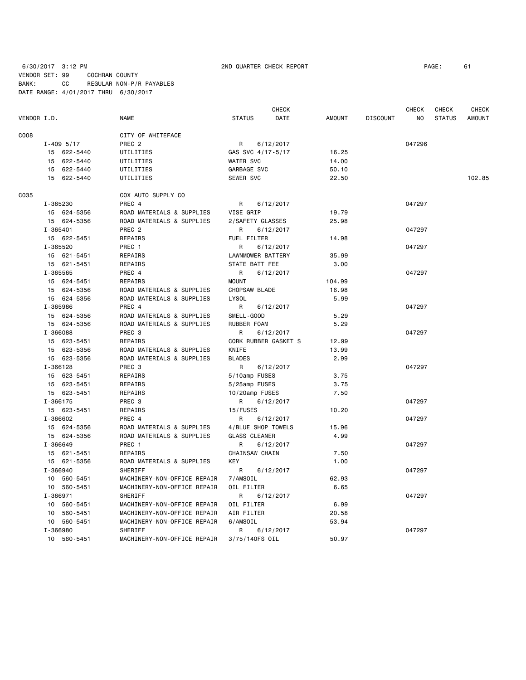6/30/2017 3:12 PM 2ND QUARTER CHECK REPORT PAGE: 61 VENDOR SET: 99 COCHRAN COUNTY BANK: CC REGULAR NON-P/R PAYABLES DATE RANGE: 4/01/2017 THRU 6/30/2017

| VENDOR I.D.    | <b>NAME</b>                 | <b>CHECK</b><br><b>STATUS</b><br>DATE | <b>AMOUNT</b> | <b>DISCOUNT</b> | CHECK<br>NO | <b>CHECK</b><br><b>STATUS</b> | <b>CHECK</b><br><b>AMOUNT</b> |
|----------------|-----------------------------|---------------------------------------|---------------|-----------------|-------------|-------------------------------|-------------------------------|
|                |                             |                                       |               |                 |             |                               |                               |
| C008           | CITY OF WHITEFACE           |                                       |               |                 |             |                               |                               |
| $I - 409$ 5/17 | PREC <sub>2</sub>           | 6/12/2017<br>R                        |               |                 | 047296      |                               |                               |
| 15 622-5440    | UTILITIES                   | GAS SVC 4/17-5/17                     | 16.25         |                 |             |                               |                               |
| 15 622-5440    | UTILITIES                   | <b>WATER SVC</b>                      | 14.00         |                 |             |                               |                               |
| 15 622-5440    | UTILITIES                   | GARBAGE SVC                           | 50.10         |                 |             |                               |                               |
| 15 622-5440    | UTILITIES                   | SEWER SVC                             | 22.50         |                 |             |                               | 102.85                        |
| C035           | COX AUTO SUPPLY CO          |                                       |               |                 |             |                               |                               |
| I-365230       | PREC 4                      | 6/12/2017<br>R                        |               |                 | 047297      |                               |                               |
| 15 624-5356    | ROAD MATERIALS & SUPPLIES   | VISE GRIP                             | 19.79         |                 |             |                               |                               |
| 15 624-5356    | ROAD MATERIALS & SUPPLIES   | 2/SAFETY GLASSES                      | 25.98         |                 |             |                               |                               |
| $I - 365401$   | PREC <sub>2</sub>           | R<br>6/12/2017                        |               |                 | 047297      |                               |                               |
| 15 622-5451    | REPAIRS                     | FUEL FILTER                           | 14.98         |                 |             |                               |                               |
| I-365520       | PREC 1                      | R<br>6/12/2017                        |               |                 | 047297      |                               |                               |
| 15 621-5451    | REPAIRS                     | LAWNMOWER BATTERY                     | 35.99         |                 |             |                               |                               |
| 15 621-5451    | REPAIRS                     | STATE BATT FEE                        | 3,00          |                 |             |                               |                               |
| I-365565       | PREC 4                      | R<br>6/12/2017                        |               |                 | 047297      |                               |                               |
| 15 624-5451    | REPAIRS                     | <b>MOUNT</b>                          | 104.99        |                 |             |                               |                               |
| 15 624-5356    | ROAD MATERIALS & SUPPLIES   | <b>CHOPSAW BLADE</b>                  | 16.98         |                 |             |                               |                               |
| 15 624-5356    | ROAD MATERIALS & SUPPLIES   | <b>LYSOL</b>                          | 5.99          |                 |             |                               |                               |
| I-365986       | PREC 4                      | R<br>6/12/2017                        |               |                 | 047297      |                               |                               |
| 15 624-5356    | ROAD MATERIALS & SUPPLIES   | SMELL-GOOD                            | 5.29          |                 |             |                               |                               |
| 15 624-5356    | ROAD MATERIALS & SUPPLIES   | RUBBER FOAM                           | 5.29          |                 |             |                               |                               |
| I-366088       | PREC 3                      | 6/12/2017<br>R                        |               |                 | 047297      |                               |                               |
| 15 623-5451    | REPAIRS                     | CORK RUBBER GASKET S                  | 12.99         |                 |             |                               |                               |
| 15 623-5356    | ROAD MATERIALS & SUPPLIES   | KNIFE                                 | 13.99         |                 |             |                               |                               |
| 15 623-5356    | ROAD MATERIALS & SUPPLIES   | <b>BLADES</b>                         | 2.99          |                 |             |                               |                               |
| I-366128       | PREC 3                      | R<br>6/12/2017                        |               |                 | 047297      |                               |                               |
| 15 623-5451    | REPAIRS                     | 5/10amp FUSES                         | 3.75          |                 |             |                               |                               |
| 15 623-5451    | REPAIRS                     | 5/25amp FUSES                         | 3.75          |                 |             |                               |                               |
| 15 623-5451    | REPAIRS                     | 10/20amp FUSES                        | 7.50          |                 |             |                               |                               |
| I-366175       | PREC 3                      | R<br>6/12/2017                        |               |                 | 047297      |                               |                               |
| 15 623-5451    | REPAIRS                     | 15/FUSES                              | 10.20         |                 |             |                               |                               |
| I-366602       | PREC 4                      | R<br>6/12/2017                        |               |                 | 047297      |                               |                               |
| 15 624-5356    | ROAD MATERIALS & SUPPLIES   | 4/BLUE SHOP TOWELS                    | 15.96         |                 |             |                               |                               |
| 15 624-5356    | ROAD MATERIALS & SUPPLIES   | <b>GLASS CLEANER</b>                  | 4.99          |                 |             |                               |                               |
| I-366649       | PREC 1                      | R<br>6/12/2017                        |               |                 | 047297      |                               |                               |
| 15 621-5451    | <b>REPAIRS</b>              | CHAINSAW CHAIN                        | 7.50          |                 |             |                               |                               |
| 15 621-5356    | ROAD MATERIALS & SUPPLIES   | <b>KEY</b>                            | 1.00          |                 |             |                               |                               |
| I-366940       | <b>SHERIFF</b>              | R<br>6/12/2017                        |               |                 | 047297      |                               |                               |
| 10 560-5451    | MACHINERY-NON-OFFICE REPAIR | 7/AMSOIL                              | 62.93         |                 |             |                               |                               |
| 10 560-5451    | MACHINERY-NON-OFFICE REPAIR | OIL FILTER                            | 6.65          |                 |             |                               |                               |
| I-366971       | SHERIFF                     | 6/12/2017<br>R                        |               |                 | 047297      |                               |                               |
| 10 560-5451    | MACHINERY-NON-OFFICE REPAIR | OIL FILTER                            | 6.99          |                 |             |                               |                               |
| 10 560-5451    | MACHINERY-NON-OFFICE REPAIR | AIR FILTER                            | 20.58         |                 |             |                               |                               |
| 10 560-5451    | MACHINERY-NON-OFFICE REPAIR | 6/AMSOIL                              | 53.94         |                 |             |                               |                               |
| I-366980       | <b>SHERIFF</b>              | R<br>6/12/2017                        |               |                 | 047297      |                               |                               |
| 10 560-5451    | MACHINERY-NON-OFFICE REPAIR | 3/75/140FS OIL                        | 50.97         |                 |             |                               |                               |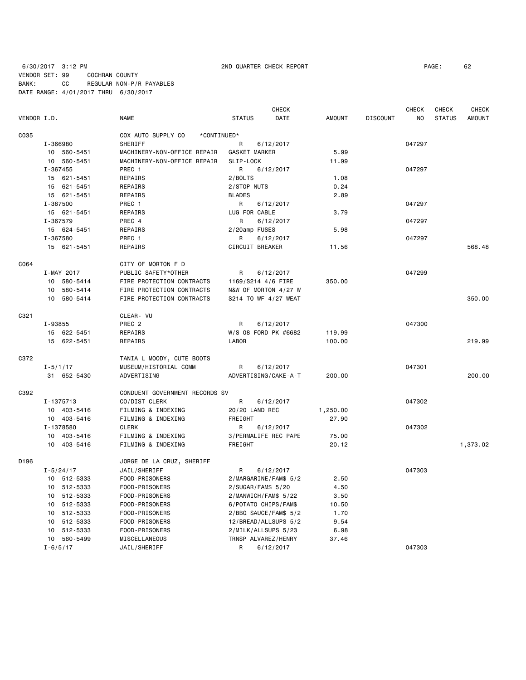6/30/2017 3:12 PM 2ND QUARTER CHECK REPORT PAGE: 62 VENDOR SET: 99 COCHRAN COUNTY BANK: CC REGULAR NON-P/R PAYABLES DATE RANGE: 4/01/2017 THRU 6/30/2017

|             |                |                                   |                       | <b>CHECK</b> |               |                 | <b>CHECK</b> | <b>CHECK</b>  | <b>CHECK</b>  |
|-------------|----------------|-----------------------------------|-----------------------|--------------|---------------|-----------------|--------------|---------------|---------------|
| VENDOR I.D. |                | <b>NAME</b>                       | <b>STATUS</b>         | DATE         | <b>AMOUNT</b> | <b>DISCOUNT</b> | NO           | <b>STATUS</b> | <b>AMOUNT</b> |
| C035        |                | COX AUTO SUPPLY CO<br>*CONTINUED* |                       |              |               |                 |              |               |               |
|             | I-366980       | SHERIFF                           | R                     | 6/12/2017    |               |                 | 047297       |               |               |
|             | 10 560-5451    | MACHINERY-NON-OFFICE REPAIR       | GASKET MARKER         |              | 5.99          |                 |              |               |               |
|             | 10 560-5451    | MACHINERY-NON-OFFICE REPAIR       | SLIP-LOCK             |              | 11.99         |                 |              |               |               |
|             | I-367455       | PREC 1                            | R                     | 6/12/2017    |               |                 | 047297       |               |               |
|             | 15 621-5451    | REPAIRS                           | 2/BOLTS               |              | 1.08          |                 |              |               |               |
|             | 15 621-5451    | REPAIRS                           | 2/STOP NUTS           |              | 0.24          |                 |              |               |               |
|             | 15 621-5451    | REPAIRS                           | <b>BLADES</b>         |              | 2.89          |                 |              |               |               |
|             | I-367500       | PREC 1                            | R                     | 6/12/2017    |               |                 | 047297       |               |               |
|             | 15 621-5451    | REPAIRS                           | LUG FOR CABLE         |              | 3.79          |                 |              |               |               |
|             | I-367579       | PREC 4                            | R                     | 6/12/2017    |               |                 | 047297       |               |               |
|             | 15 624-5451    | REPAIRS                           | 2/20amp FUSES         |              | 5.98          |                 |              |               |               |
|             | I-367580       | PREC 1                            | R                     | 6/12/2017    |               |                 | 047297       |               |               |
|             | 15 621-5451    | REPAIRS                           | CIRCUIT BREAKER       |              | 11.56         |                 |              |               | 568.48        |
| C064        |                | CITY OF MORTON F D                |                       |              |               |                 |              |               |               |
|             | I-MAY 2017     | PUBLIC SAFETY*OTHER               | R                     | 6/12/2017    |               |                 | 047299       |               |               |
|             | 580-5414<br>10 | FIRE PROTECTION CONTRACTS         | 1169/S214 4/6 FIRE    |              | 350.00        |                 |              |               |               |
|             | 580-5414<br>10 | FIRE PROTECTION CONTRACTS         | N&W OF MORTON 4/27 W  |              |               |                 |              |               |               |
|             | 10 580-5414    | FIRE PROTECTION CONTRACTS         | S214 TO WF 4/27 WEAT  |              |               |                 |              |               | 350.00        |
| C321        |                | CLEAR- VU                         |                       |              |               |                 |              |               |               |
|             | I-93855        | PREC <sub>2</sub>                 | R                     | 6/12/2017    |               |                 | 047300       |               |               |
|             | 15 622-5451    | REPAIRS                           | W/S 08 FORD PK #6682  |              | 119.99        |                 |              |               |               |
|             | 15 622-5451    | REPAIRS                           | <b>LABOR</b>          |              | 100.00        |                 |              |               | 219.99        |
| C372        |                | TANIA L MOODY, CUTE BOOTS         |                       |              |               |                 |              |               |               |
|             | $I - 5/1/17$   | MUSEUM/HISTORIAL COMM             | R                     | 6/12/2017    |               |                 | 047301       |               |               |
|             | 31 652-5430    | ADVERTISING                       | ADVERTISING/CAKE-A-T  |              | 200.00        |                 |              |               | 200,00        |
| C392        |                | CONDUENT GOVERNMENT RECORDS SV    |                       |              |               |                 |              |               |               |
|             | I-1375713      | CO/DIST CLERK                     | R                     | 6/12/2017    |               |                 | 047302       |               |               |
|             | 10 403-5416    | FILMING & INDEXING                | 20/20 LAND REC        |              | 1,250.00      |                 |              |               |               |
|             | 10 403-5416    | FILMING & INDEXING                | FREIGHT               |              | 27.90         |                 |              |               |               |
|             | I-1378580      | <b>CLERK</b>                      | R                     | 6/12/2017    |               |                 | 047302       |               |               |
|             | 10 403-5416    | FILMING & INDEXING                | 3/PERMALIFE REC PAPE  |              | 75.00         |                 |              |               |               |
|             | 403-5416<br>10 | FILMING & INDEXING                | FREIGHT               |              | 20.12         |                 |              |               | 1,373.02      |
| D196        |                | JORGE DE LA CRUZ, SHERIFF         |                       |              |               |                 |              |               |               |
|             | $I - 5/24/17$  | JAIL/SHERIFF                      | R                     | 6/12/2017    |               |                 | 047303       |               |               |
|             | 10 512-5333    | FOOD-PRISONERS                    | 2/MARGARINE/FAM\$ 5/2 |              | 2.50          |                 |              |               |               |
|             | 10<br>512-5333 | FOOD-PRISONERS                    | 2/SUGAR/FAM\$ 5/20    |              | 4.50          |                 |              |               |               |
|             | 10 512-5333    | FOOD-PRISONERS                    | 2/MANWICH/FAM\$ 5/22  |              | 3.50          |                 |              |               |               |
|             | 512-5333<br>10 | FOOD-PRISONERS                    | 6/POTATO CHIPS/FAM\$  |              | 10.50         |                 |              |               |               |
|             | 512-5333<br>10 | FOOD-PRISONERS                    | 2/BBQ SAUCE/FAM\$ 5/2 |              | 1.70          |                 |              |               |               |
|             | 512-5333<br>10 | FOOD-PRISONERS                    | 12/BREAD/ALLSUPS 5/2  |              | 9.54          |                 |              |               |               |
|             | 512-5333<br>10 | FOOD-PRISONERS                    | 2/MILK/ALLSUPS 5/23   |              | 6.98          |                 |              |               |               |
|             | 10 560-5499    | MISCELLANEOUS                     | TRNSP ALVAREZ/HENRY   |              | 37.46         |                 |              |               |               |
|             | $I - 6/5/17$   | JAIL/SHERIFF                      | R                     | 6/12/2017    |               |                 | 047303       |               |               |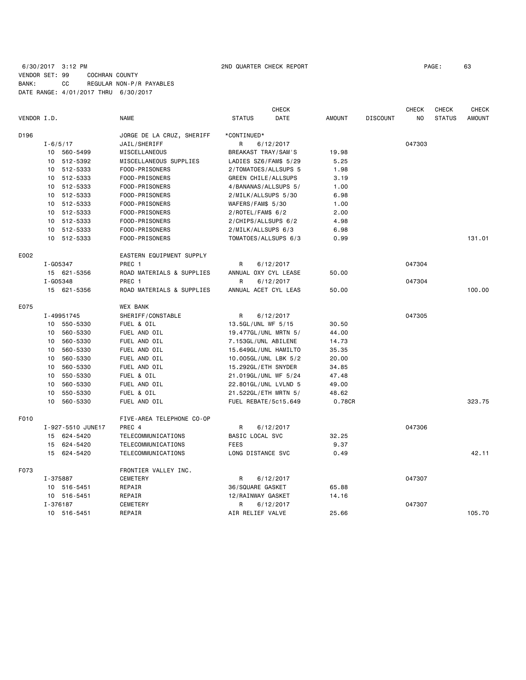# 6/30/2017 3:12 PM 2ND QUARTER CHECK REPORT PAGE: 63 VENDOR SET: 99 COCHRAN COUNTY BANK: CC REGULAR NON-P/R PAYABLES DATE RANGE: 4/01/2017 THRU 6/30/2017

|             |              |                   |                           |                     | <b>CHECK</b>          |               |                 | <b>CHECK</b> | <b>CHECK</b>  | <b>CHECK</b>  |
|-------------|--------------|-------------------|---------------------------|---------------------|-----------------------|---------------|-----------------|--------------|---------------|---------------|
| VENDOR I.D. |              |                   | <b>NAME</b>               | <b>STATUS</b>       | DATE                  | <b>AMOUNT</b> | <b>DISCOUNT</b> | NO.          | <b>STATUS</b> | <b>AMOUNT</b> |
| D196        |              |                   | JORGE DE LA CRUZ, SHERIFF | *CONTINUED*         |                       |               |                 |              |               |               |
|             | $I - 6/5/17$ |                   | JAIL/SHERIFF              | R                   | 6/12/2017             |               |                 | 047303       |               |               |
|             |              | 10 560-5499       | MISCELLANEOUS             | BREAKAST TRAY/SAM'S |                       | 19.98         |                 |              |               |               |
|             |              | 10 512-5392       | MISCELLANEOUS SUPPLIES    |                     | LADIES SZ6/FAM\$ 5/29 | 5.25          |                 |              |               |               |
|             |              | 10 512-5333       | FOOD-PRISONERS            |                     | 2/TOMATOES/ALLSUPS 5  | 1.98          |                 |              |               |               |
|             |              | 10 512-5333       | FOOD-PRISONERS            | GREEN CHILE/ALLSUPS |                       | 3.19          |                 |              |               |               |
|             |              | 10 512-5333       | FOOD-PRISONERS            |                     | 4/BANANAS/ALLSUPS 5/  | 1.00          |                 |              |               |               |
|             |              | 10 512-5333       | FOOD-PRISONERS            | 2/MILK/ALLSUPS 5/30 |                       | 6.98          |                 |              |               |               |
|             |              | 10 512-5333       | FOOD-PRISONERS            | WAFERS/FAM\$ 5/30   |                       | 1.00          |                 |              |               |               |
|             |              | 10 512-5333       | FOOD-PRISONERS            | $2/ROTEL/FAM$$ 6/2  |                       | 2.00          |                 |              |               |               |
|             |              | 10 512-5333       | FOOD-PRISONERS            | 2/CHIPS/ALLSUPS 6/2 |                       | 4.98          |                 |              |               |               |
|             |              | 10 512-5333       | FOOD-PRISONERS            | 2/MILK/ALLSUPS 6/3  |                       | 6.98          |                 |              |               |               |
|             |              | 10 512-5333       | FOOD-PRISONERS            |                     | TOMATOES/ALLSUPS 6/3  | 0.99          |                 |              |               | 131.01        |
| E002        |              |                   | EASTERN EQUIPMENT SUPPLY  |                     |                       |               |                 |              |               |               |
|             | I-G05347     |                   | PREC 1                    | R                   | 6/12/2017             |               |                 | 047304       |               |               |
|             |              | 15 621-5356       | ROAD MATERIALS & SUPPLIES |                     | ANNUAL OXY CYL LEASE  | 50.00         |                 |              |               |               |
|             | I-G05348     |                   | PREC 1                    | R                   | 6/12/2017             |               |                 | 047304       |               |               |
|             |              | 15 621-5356       | ROAD MATERIALS & SUPPLIES |                     | ANNUAL ACET CYL LEAS  | 50.00         |                 |              |               | 100.00        |
| E075        |              |                   | <b>WEX BANK</b>           |                     |                       |               |                 |              |               |               |
|             |              | I-49951745        | SHERIFF/CONSTABLE         | R                   | 6/12/2017             |               |                 | 047305       |               |               |
|             |              | 10 550-5330       | FUEL & OIL                | 13.5GL/UNL WF 5/15  |                       | 30.50         |                 |              |               |               |
|             |              | 10 560-5330       | FUEL AND OIL              |                     | 19.477GL/UNL MRTN 5/  | 44.00         |                 |              |               |               |
|             |              | 10 560-5330       | FUEL AND OIL              | 7.153GL/UNL ABILENE |                       | 14.73         |                 |              |               |               |
|             | 10           | 560-5330          | FUEL AND OIL              |                     | 15.649GL/UNL HAMILTO  | 35.35         |                 |              |               |               |
|             |              | 10 560-5330       | FUEL AND OIL              |                     | 10.005GL/UNL LBK 5/2  | 20.00         |                 |              |               |               |
|             | 10           | 560-5330          | FUEL AND OIL              | 15.292GL/ETH SNYDER |                       | 34.85         |                 |              |               |               |
|             | 10           | 550-5330          | FUEL & OIL                |                     | 21.019GL/UNL WF 5/24  | 47.48         |                 |              |               |               |
|             | 10           | 560-5330          | FUEL AND OIL              |                     | 22.801GL/UNL LVLND 5  | 49.00         |                 |              |               |               |
|             | 10           | 550-5330          | FUEL & OIL                |                     | 21.522GL/ETH MRTN 5/  | 48.62         |                 |              |               |               |
|             | 10           | 560-5330          | FUEL AND OIL              |                     | FUEL REBATE/5c15.649  | 0.78CR        |                 |              |               | 323.75        |
| F010        |              |                   | FIVE-AREA TELEPHONE CO-OP |                     |                       |               |                 |              |               |               |
|             |              | I-927-5510 JUNE17 | PREC 4                    | R                   | 6/12/2017             |               |                 | 047306       |               |               |
|             |              | 15 624-5420       | TELECOMMUNICATIONS        | BASIC LOCAL SVC     |                       | 32.25         |                 |              |               |               |
|             |              | 15 624-5420       | TELECOMMUNICATIONS        | <b>FEES</b>         |                       | 9.37          |                 |              |               |               |
|             |              | 15 624-5420       | TELECOMMUNICATIONS        | LONG DISTANCE SVC   |                       | 0.49          |                 |              |               | 42.11         |
| F073        |              |                   | FRONTIER VALLEY INC.      |                     |                       |               |                 |              |               |               |
|             | I-375887     |                   | <b>CEMETERY</b>           | R                   | 6/12/2017             |               |                 | 047307       |               |               |
|             |              | 10 516-5451       | REPAIR                    | 36/SQUARE GASKET    |                       | 65.88         |                 |              |               |               |
|             |              | 10 516-5451       | REPAIR                    | 12/RAINWAY GASKET   |                       | 14.16         |                 |              |               |               |
|             | I-376187     |                   | CEMETERY                  | R                   | 6/12/2017             |               |                 | 047307       |               |               |
|             |              | 10 516-5451       | REPAIR                    | AIR RELIEF VALVE    |                       | 25.66         |                 |              |               | 105.70        |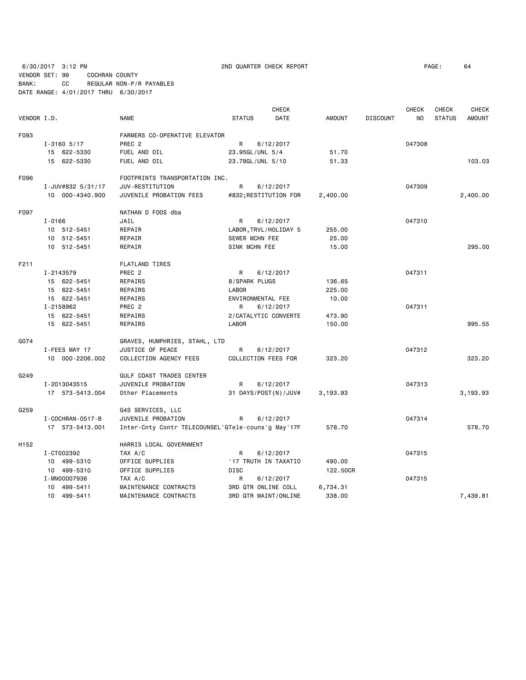6/30/2017 3:12 PM 2ND QUARTER CHECK REPORT PAGE: 64 VENDOR SET: 99 COCHRAN COUNTY BANK: CC REGULAR NON-P/R PAYABLES DATE RANGE: 4/01/2017 THRU 6/30/2017

|                  |                        |                                                    |                     | <b>CHECK</b>          |               |                 | <b>CHECK</b> | CHECK         | <b>CHECK</b>  |
|------------------|------------------------|----------------------------------------------------|---------------------|-----------------------|---------------|-----------------|--------------|---------------|---------------|
| VENDOR I.D.      |                        | <b>NAME</b>                                        | <b>STATUS</b>       | DATE                  | <b>AMOUNT</b> | <b>DISCOUNT</b> | NO           | <b>STATUS</b> | <b>AMOUNT</b> |
| F093             |                        | FARMERS CO-OPERATIVE ELEVATOR                      |                     |                       |               |                 |              |               |               |
|                  | $I - 3160$ 5/17        | PREC <sub>2</sub>                                  | R                   | 6/12/2017             |               |                 | 047308       |               |               |
|                  | 15 622-5330            | FUEL AND OIL                                       | 23.95GL/UNL 5/4     |                       | 51.70         |                 |              |               |               |
|                  | 15 622-5330            | FUEL AND OIL                                       | 23.78GL/UNL 5/10    |                       | 51.33         |                 |              |               | 103.03        |
| F096             |                        | FOOTPRINTS TRANSPORTATION INC.                     |                     |                       |               |                 |              |               |               |
|                  | I-JUV#832 5/31/17      | JUV-RESTITUTION                                    | R                   | 6/12/2017             |               |                 | 047309       |               |               |
|                  | 10 000-4340.900        | JUVENILE PROBATION FEES                            |                     | #832; RESTITUTION FOR | 2,400.00      |                 |              |               | 2,400.00      |
| F097             |                        | NATHAN D FOOS dba                                  |                     |                       |               |                 |              |               |               |
|                  | $I - 0166$             | JAIL                                               | R                   | 6/12/2017             |               |                 | 047310       |               |               |
|                  | 10 512-5451            | REPAIR                                             |                     | LABOR, TRVL/HOLIDAY 5 | 255.00        |                 |              |               |               |
|                  | 10 512-5451            | REPAIR                                             | SEWER MCHN FEE      |                       | 25.00         |                 |              |               |               |
|                  | 10 512-5451            | REPAIR                                             | SINK MCHN FEE       |                       | 15.00         |                 |              |               | 295.00        |
| F211             |                        | <b>FLATLAND TIRES</b>                              |                     |                       |               |                 |              |               |               |
|                  | I-2143579              | PREC <sub>2</sub>                                  | R                   | 6/12/2017             |               |                 | 047311       |               |               |
|                  | 15 622-5451            | REPAIRS                                            | 8/SPARK PLUGS       |                       | 136.65        |                 |              |               |               |
|                  | 15 622-5451            | REPAIRS                                            | LABOR               |                       | 225.00        |                 |              |               |               |
|                  | 15 622-5451            | REPAIRS                                            | ENVIRONMENTAL FEE   |                       | 10.00         |                 |              |               |               |
|                  | I-2158962              | PREC 2                                             | R                   | 6/12/2017             |               |                 | 047311       |               |               |
|                  | 15 622-5451            | REPAIRS                                            |                     | 2/CATALYTIC CONVERTE  | 473.90        |                 |              |               |               |
|                  | 15 622-5451            | REPAIRS                                            | <b>LABOR</b>        |                       | 150.00        |                 |              |               | 995.55        |
| G074             |                        | GRAVES, HUMPHRIES, STAHL, LTD                      |                     |                       |               |                 |              |               |               |
|                  | I-FEES MAY 17          | JUSTICE OF PEACE                                   | R                   | 6/12/2017             |               |                 | 047312       |               |               |
|                  | 10 000-2206.002        | COLLECTION AGENCY FEES                             | COLLECTION FEES FOR |                       | 323.20        |                 |              |               | 323.20        |
| G249             |                        | <b>GULF COAST TRADES CENTER</b>                    |                     |                       |               |                 |              |               |               |
|                  | I-2013043515           | JUVENILE PROBATION                                 | R                   | 6/12/2017             |               |                 | 047313       |               |               |
|                  | 17 573-5413.004        | Other Placements                                   |                     | 31 DAYS/POST(N)/JUV#  | 3,193.93      |                 |              |               | 3,193.93      |
| G259             |                        | G4S SERVICES, LLC                                  |                     |                       |               |                 |              |               |               |
|                  | I - COCHRAN - 0517 - B | JUVENILE PROBATION                                 | R                   | 6/12/2017             |               |                 | 047314       |               |               |
|                  | 17 573-5413.001        | Inter-Cnty Contr TELECOUNSEL'GTele-couns'g May'17F |                     |                       | 578.70        |                 |              |               | 578.70        |
| H <sub>152</sub> |                        | HARRIS LOCAL GOVERNMENT                            |                     |                       |               |                 |              |               |               |
|                  | I-CT002392             | TAX A/C                                            | R                   | 6/12/2017             |               |                 | 047315       |               |               |
|                  | 10 499-5310            | OFFICE SUPPLIES                                    |                     | '17 TRUTH IN TAXATIO  | 490.00        |                 |              |               |               |
|                  | 10 499-5310            | OFFICE SUPPLIES                                    | <b>DISC</b>         |                       | 122.50CR      |                 |              |               |               |
|                  | I-MN00007936           | TAX A/C                                            | R                   | 6/12/2017             |               |                 | 047315       |               |               |
|                  | 10 499-5411            | MAINTENANCE CONTRACTS                              | 3RD QTR ONLINE COLL |                       | 6,734.31      |                 |              |               |               |
|                  | 10 499-5411            | MAINTENANCE CONTRACTS                              |                     | 3RD QTR MAINT/ONLINE  | 338.00        |                 |              |               | 7,439.81      |
|                  |                        |                                                    |                     |                       |               |                 |              |               |               |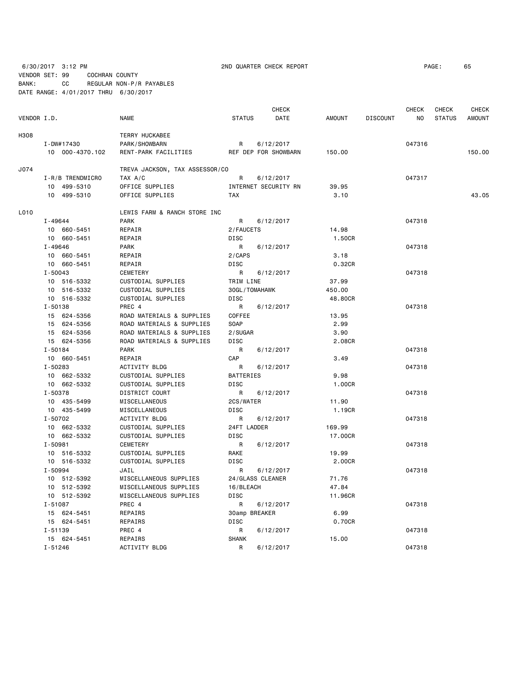6/30/2017 3:12 PM 2ND QUARTER CHECK REPORT PAGE: 65

VENDOR SET: 99 COCHRAN COUNTY BANK: CC REGULAR NON-P/R PAYABLES DATE RANGE: 4/01/2017 THRU 6/30/2017

 CHECK CHECK CHECK CHECK VENDOR I.D. NAME STATUS DATE AMOUNT DISCOUNT NO STATUS AMOUNT H308 TERRY HUCKABEE I-DW#17430 PARK/SHOWBARN R 6/12/2017 047316 10 000-4370.102 RENT-PARK FACILITIES REF DEP FOR SHOWBARN 150.00 150.00 J074 TREVA JACKSON, TAX ASSESSOR/CO I-R/B TRENDMICRO TAX A/C B 8/12/2017 R 6/12/2017 10 499-5310 OFFICE SUPPLIES INTERNET SECURITY RN 39.95 10 499-5310 OFFICE SUPPLIES TAX 3.10 3.10 499-5310 43.05 L010 LEWIS FARM & RANCH STORE INC I-49644 PARK R 6/12/2017 047318 10 660-5451 REPAIR 2/FAUCETS 14.98 10 660-5451 REPAIR DISC 1.50CR I-49646 PARK R 6/12/2017 047318 10 660-5451 REPAIR 2/CAPS 3.18 10 660-5451 REPAIR DISC 0.32CR I-50043 CEMETERY R 6/12/2017 047318 10 516-5332 CUSTODIAL SUPPLIES TRIM LINE 37.99 10 516-5332 CUSTODIAL SUPPLIES 30GL/TOMAHAWK 450.00 10 516-5332 CUSTODIAL SUPPLIES DISC 48.80CR I-50138 PREC 4 R 6/12/2017 047318 15 624-5356 ROAD MATERIALS & SUPPLIES COFFEE 13.95 15 624-5356 ROAD MATERIALS & SUPPLIES SOAP 2.99 15 624-5356 ROAD MATERIALS & SUPPLIES 2/SUGAR 3.90 15 624-5356 ROAD MATERIALS & SUPPLIES DISC 2.08CR I-50184 PARK R 6/12/2017 047318 10 660-5451 REPAIR CAP 3.49 I-50283 ACTIVITY BLDG R 6/12/2017 047318 10 662-5332 CUSTODIAL SUPPLIES BATTERIES 9.98 10 662-5332 CUSTODIAL SUPPLIES DISC 1.00CR I-50378 DISTRICT COURT R 6/12/2017 R 6/12/2017 047318 10 435-5499 MISCELLANEOUS 2CS/WATER 11.90 10 435-5499 MISCELLANEOUS DISC DISC 1.19CR I-50702 ACTIVITY BLDG R 6/12/2017 047318 10 662-5332 CUSTODIAL SUPPLIES 24FT LADDER 169.99 10 662-5332 CUSTODIAL SUPPLIES DISC 17.00CR I-50981 CEMETERY R 6/12/2017 047318 10 516-5332 CUSTODIAL SUPPLIES RAKE 19.99 10 516-5332 CUSTODIAL SUPPLIES DISC 2.00CR I-50994 JAIL R 6/12/2017 047318 10 512-5392 MISCELLANEOUS SUPPLIES 24/GLASS CLEANER 71.76 10 512-5392 MISCELLANEOUS SUPPLIES 16/BLEACH 47.84 10 512-5392 MISCELLANEOUS SUPPLIES DISC 11.96CR I-51087 PREC 4 R 6/12/2017 047318 15 624-5451 REPAIRS 30amp BREAKER 6.99 15 624-5451 REPAIRS DISC 0.70CR I-51139 PREC 4 R 6/12/2017 047318 15 624-5451 REPAIRS SHANK 15.00 I-51246 ACTIVITY BLDG R 6/12/2017 047318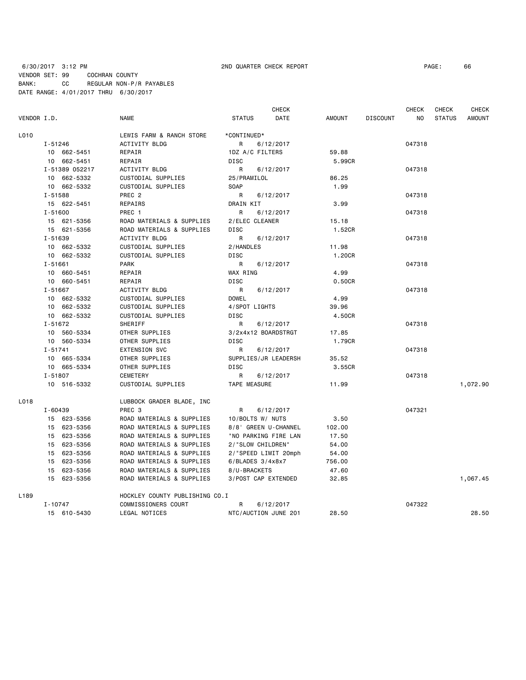# 6/30/2017 3:12 PM 2ND QUARTER CHECK REPORT PAGE: 66 VENDOR SET: 99 COCHRAN COUNTY BANK: CC REGULAR NON-P/R PAYABLES DATE RANGE: 4/01/2017 THRU 6/30/2017

|                  |                |                                | <b>CHECK</b>         |           |        |                 | CHECK  | CHECK         | <b>CHECK</b>  |
|------------------|----------------|--------------------------------|----------------------|-----------|--------|-----------------|--------|---------------|---------------|
| VENDOR I.D.      |                | <b>NAME</b>                    | <b>STATUS</b>        | DATE      | AMOUNT | <b>DISCOUNT</b> | NO.    | <b>STATUS</b> | <b>AMOUNT</b> |
| L010             |                | LEWIS FARM & RANCH STORE       | *CONTINUED*          |           |        |                 |        |               |               |
|                  | I-51246        | ACTIVITY BLDG                  | R                    | 6/12/2017 |        |                 | 047318 |               |               |
|                  | 10 662-5451    | REPAIR                         | 1DZ A/C FILTERS      |           | 59.88  |                 |        |               |               |
|                  | 10 662-5451    | REPAIR                         | <b>DISC</b>          |           | 5.99CR |                 |        |               |               |
|                  | I-51389 052217 | ACTIVITY BLDG                  | R                    | 6/12/2017 |        |                 | 047318 |               |               |
|                  | 10 662-5332    | CUSTODIAL SUPPLIES             | 25/PRAMILOL          |           | 86.25  |                 |        |               |               |
|                  | 10 662-5332    | CUSTODIAL SUPPLIES             | <b>SOAP</b>          |           | 1.99   |                 |        |               |               |
|                  | I-51588        | PREC <sub>2</sub>              | R                    | 6/12/2017 |        |                 | 047318 |               |               |
|                  | 15 622-5451    | REPAIRS                        | DRAIN KIT            |           | 3.99   |                 |        |               |               |
|                  | $I - 51600$    | PREC 1                         | R                    | 6/12/2017 |        |                 | 047318 |               |               |
|                  | 15 621-5356    | ROAD MATERIALS & SUPPLIES      | 2/ELEC CLEANER       |           | 15.18  |                 |        |               |               |
|                  | 15 621-5356    | ROAD MATERIALS & SUPPLIES      | DISC                 |           | 1.52CR |                 |        |               |               |
|                  | I-51639        | ACTIVITY BLDG                  | R                    | 6/12/2017 |        |                 | 047318 |               |               |
|                  | 10 662-5332    | CUSTODIAL SUPPLIES             | 2/HANDLES            |           | 11.98  |                 |        |               |               |
|                  | 10 662-5332    | CUSTODIAL SUPPLIES             | <b>DISC</b>          |           | 1.20CR |                 |        |               |               |
|                  | $I - 51661$    | <b>PARK</b>                    | R                    | 6/12/2017 |        |                 | 047318 |               |               |
|                  | 10 660-5451    | REPAIR                         | WAX RING             |           | 4.99   |                 |        |               |               |
|                  | 10 660-5451    | REPAIR                         | <b>DISC</b>          |           | 0.50CR |                 |        |               |               |
|                  | $I - 51667$    | ACTIVITY BLDG                  | R                    | 6/12/2017 |        |                 | 047318 |               |               |
|                  | 10 662-5332    | CUSTODIAL SUPPLIES             | <b>DOWEL</b>         |           | 4.99   |                 |        |               |               |
|                  | 10 662-5332    | CUSTODIAL SUPPLIES             | 4/SPOT LIGHTS        |           | 39.96  |                 |        |               |               |
|                  | 10 662-5332    | CUSTODIAL SUPPLIES             | DISC                 |           | 4.50CR |                 |        |               |               |
|                  | $I - 51672$    | SHERIFF                        | R                    | 6/12/2017 |        |                 | 047318 |               |               |
|                  | 10 560-5334    | OTHER SUPPLIES                 | 3/2x4x12 BOARDSTRGT  |           | 17.85  |                 |        |               |               |
|                  | 10 560-5334    | OTHER SUPPLIES                 | <b>DISC</b>          |           | 1.79CR |                 |        |               |               |
|                  | $I - 51741$    | <b>EXTENSION SVC</b>           | R                    | 6/12/2017 |        |                 | 047318 |               |               |
|                  | 10 665-5334    | OTHER SUPPLIES                 | SUPPLIES/JR LEADERSH |           | 35.52  |                 |        |               |               |
|                  | 10 665-5334    | OTHER SUPPLIES                 | <b>DISC</b>          |           | 3.55CR |                 |        |               |               |
|                  | $I - 51807$    | <b>CEMETERY</b>                | R                    | 6/12/2017 |        |                 | 047318 |               |               |
|                  | 10 516-5332    | CUSTODIAL SUPPLIES             | TAPE MEASURE         |           | 11.99  |                 |        |               | 1,072.90      |
| L018             |                | LUBBOCK GRADER BLADE, INC      |                      |           |        |                 |        |               |               |
|                  | $I - 60439$    | PREC <sub>3</sub>              | R                    | 6/12/2017 |        |                 | 047321 |               |               |
|                  | 15 623-5356    | ROAD MATERIALS & SUPPLIES      | 10/BOLTS W/ NUTS     |           | 3.50   |                 |        |               |               |
|                  | 15 623-5356    | ROAD MATERIALS & SUPPLIES      | 8/8' GREEN U-CHANNEL |           | 102.00 |                 |        |               |               |
|                  | 15 623-5356    | ROAD MATERIALS & SUPPLIES      | "NO PARKING FIRE LAN |           | 17.50  |                 |        |               |               |
|                  | 15 623-5356    | ROAD MATERIALS & SUPPLIES      | 2/"SLOW CHILDREN"    |           | 54.00  |                 |        |               |               |
|                  | 15 623-5356    | ROAD MATERIALS & SUPPLIES      | 2/"SPEED LIMIT 20mph |           | 54.00  |                 |        |               |               |
|                  | 15 623-5356    | ROAD MATERIALS & SUPPLIES      | $6/BLADES$ 3/4x8x7   |           | 756.00 |                 |        |               |               |
|                  | 15 623-5356    | ROAD MATERIALS & SUPPLIES      | 8/U-BRACKETS         |           | 47.60  |                 |        |               |               |
|                  | 15 623-5356    | ROAD MATERIALS & SUPPLIES      | 3/POST CAP EXTENDED  |           | 32.85  |                 |        |               | 1,067.45      |
| L <sub>189</sub> |                | HOCKLEY COUNTY PUBLISHING CO.I |                      |           |        |                 |        |               |               |
|                  | $I - 10747$    | COMMISSIONERS COURT            | R                    | 6/12/2017 |        |                 | 047322 |               |               |
|                  | 15 610-5430    | LEGAL NOTICES                  | NTC/AUCTION JUNE 201 |           | 28.50  |                 |        |               | 28.50         |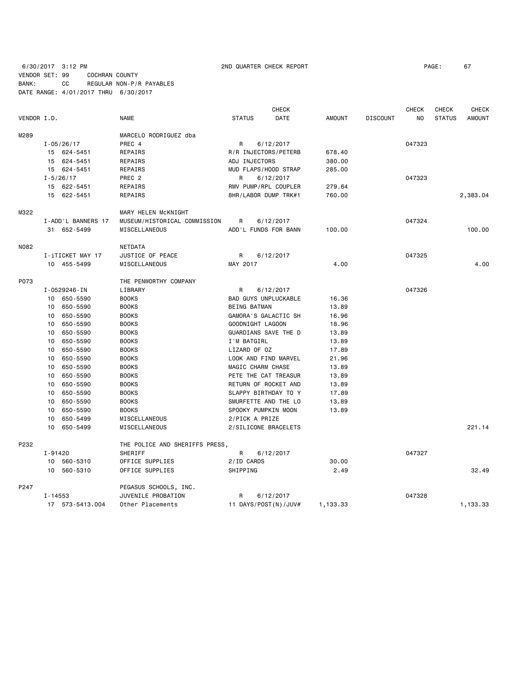6/30/2017 3:12 PM 2ND QUARTER CHECK REPORT PAGE: 67 VENDOR SET: 99 COCHRAN COUNTY BANK: CC REGULAR NON-P/R PAYABLES DATE RANGE: 4/01/2017 THRU 6/30/2017

|                 |                 |                    |                                | <b>CHECK</b><br><b>CHECK</b> |                  |                                          | <b>CHECK</b>  | <b>CHECK</b>    |        |               |               |
|-----------------|-----------------|--------------------|--------------------------------|------------------------------|------------------|------------------------------------------|---------------|-----------------|--------|---------------|---------------|
| VENDOR I.D.     |                 |                    | <b>NAME</b>                    | <b>STATUS</b>                |                  | DATE                                     | <b>AMOUNT</b> | <b>DISCOUNT</b> | NO     | <b>STATUS</b> | <b>AMOUNT</b> |
| M289            |                 |                    | MARCELO RODRIGUEZ dba          |                              |                  |                                          |               |                 |        |               |               |
|                 | $I - 05/26/17$  |                    | PREC 4                         | R                            |                  | 6/12/2017                                |               |                 | 047323 |               |               |
|                 |                 | 15 624-5451        | REPAIRS                        |                              |                  | R/R INJECTORS/PETERB                     | 678.40        |                 |        |               |               |
|                 |                 | 15 624-5451        | REPAIRS                        |                              | ADJ INJECTORS    |                                          | 380.00        |                 |        |               |               |
|                 |                 | 15 624-5451        | REPAIRS                        |                              |                  | MUD FLAPS/HOOD STRAP                     | 285.00        |                 |        |               |               |
|                 | $I - 5/26/17$   |                    | PREC <sub>2</sub>              | R                            |                  | 6/12/2017                                |               |                 | 047323 |               |               |
|                 |                 | 15 622-5451        | REPAIRS                        |                              |                  | RMV PUMP/RPL COUPLER                     | 279.64        |                 |        |               |               |
|                 |                 | 15 622-5451        | REPAIRS                        |                              |                  | 8HR/LABOR DUMP TRK#1                     | 760.00        |                 |        |               | 2,383.04      |
| M322            |                 |                    | MARY HELEN MCKNIGHT            |                              |                  |                                          |               |                 |        |               |               |
|                 |                 | I-ADD'L BANNERS 17 | MUSEUM/HISTORICAL COMMISSION   | R                            |                  | 6/12/2017                                |               |                 | 047324 |               |               |
|                 |                 | 31 652-5499        | MISCELLANEOUS                  |                              |                  | ADD'L FUNDS FOR BANN                     | 100.00        |                 |        |               | 100.00        |
| N082            |                 |                    | NETDATA                        |                              |                  |                                          |               |                 |        |               |               |
|                 |                 | I-iTICKET MAY 17   | JUSTICE OF PEACE               | R                            |                  | 6/12/2017                                |               |                 | 047325 |               |               |
|                 |                 | 10 455-5499        | MISCELLANEOUS                  | MAY 2017                     |                  |                                          | 4.00          |                 |        |               | 4.00          |
| P073            |                 |                    | THE PENWORTHY COMPANY          |                              |                  |                                          |               |                 |        |               |               |
|                 | I-0529246-IN    |                    | LIBRARY                        | R                            |                  |                                          |               |                 | 047326 |               |               |
|                 |                 | 10 650-5590        | <b>BOOKS</b>                   |                              |                  | 6/12/2017<br><b>BAD GUYS UNPLUCKABLE</b> | 16.36         |                 |        |               |               |
|                 | 10              | 650-5590           | <b>BOOKS</b>                   |                              | BEING BATMAN     |                                          | 13.89         |                 |        |               |               |
|                 | 10              | 650-5590           | <b>BOOKS</b>                   |                              |                  | GAMORA'S GALACTIC SH                     | 16.96         |                 |        |               |               |
|                 | 10              | 650-5590           | <b>BOOKS</b>                   |                              | GOODNIGHT LAGOON |                                          | 18.96         |                 |        |               |               |
|                 | 10              | 650-5590           | <b>BOOKS</b>                   |                              |                  | GUARDIANS SAVE THE D                     | 13.89         |                 |        |               |               |
|                 | 10              | 650-5590           | <b>BOOKS</b>                   |                              | I'M BATGIRL      |                                          | 13.89         |                 |        |               |               |
|                 | 10              | 650-5590           | <b>BOOKS</b>                   |                              | LIZARD OF OZ     |                                          | 17.89         |                 |        |               |               |
|                 | 10              | 650-5590           | <b>BOOKS</b>                   |                              |                  | LOOK AND FIND MARVEL                     | 21.96         |                 |        |               |               |
|                 | 10              | 650-5590           | <b>BOOKS</b>                   |                              |                  | MAGIC CHARM CHASE                        | 13.89         |                 |        |               |               |
|                 | 10              | 650-5590           | <b>BOOKS</b>                   |                              |                  | PETE THE CAT TREASUR                     | 13.89         |                 |        |               |               |
|                 | 10              | 650-5590           | <b>BOOKS</b>                   |                              |                  | RETURN OF ROCKET AND                     | 13.89         |                 |        |               |               |
|                 | 10              | 650-5590           | <b>BOOKS</b>                   |                              |                  | SLAPPY BIRTHDAY TO Y                     | 17.89         |                 |        |               |               |
|                 | 10              | 650-5590           | <b>BOOKS</b>                   |                              |                  | SMURFETTE AND THE LO                     | 13.89         |                 |        |               |               |
|                 | 10              | 650-5590           | <b>BOOKS</b>                   |                              |                  | SPOOKY PUMPKIN MOON                      | 13.89         |                 |        |               |               |
|                 | 10              | 650-5499           | MISCELLANEOUS                  |                              | 2/PICK A PRIZE   |                                          |               |                 |        |               |               |
|                 | 10 <sup>1</sup> | 650-5499           | MISCELLANEOUS                  |                              |                  | 2/SILICONE BRACELETS                     |               |                 |        |               | 221.14        |
|                 |                 |                    |                                |                              |                  |                                          |               |                 |        |               |               |
| P232            |                 |                    | THE POLICE AND SHERIFFS PRESS, |                              |                  |                                          |               |                 |        |               |               |
|                 | I-91420         |                    | SHERIFF                        | R                            |                  | 6/12/2017                                |               |                 | 047327 |               |               |
|                 |                 | 10 560-5310        | OFFICE SUPPLIES                | SHIPPING                     | 2/ID CARDS       |                                          | 30.00<br>2.49 |                 |        |               | 32.49         |
|                 |                 | 10 560-5310        | OFFICE SUPPLIES                |                              |                  |                                          |               |                 |        |               |               |
| P247            |                 |                    | PEGASUS SCHOOLS, INC.          |                              |                  |                                          |               |                 |        |               |               |
|                 | I-14553         |                    | JUVENILE PROBATION             | R                            |                  | 6/12/2017                                |               |                 | 047328 |               |               |
| 17 573-5413.004 |                 |                    | Other Placements               |                              |                  | 11 DAYS/POST(N)/JUV#                     | 1,133.33      |                 |        |               | 1,133.33      |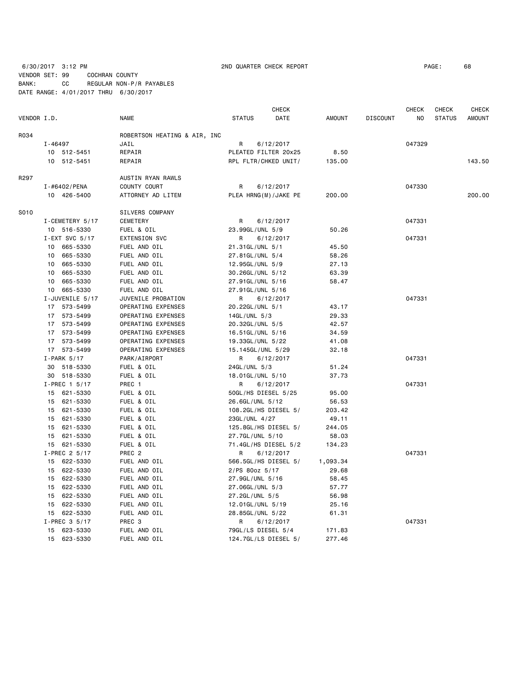6/30/2017 3:12 PM 2ND QUARTER CHECK REPORT PAGE: 68

VENDOR SET: 99 COCHRAN COUNTY BANK: CC REGULAR NON-P/R PAYABLES DATE RANGE: 4/01/2017 THRU 6/30/2017

 CHECK CHECK CHECK CHECK VENDOR I.D. NAME STATUS DATE AMOUNT DISCOUNT NO STATUS AMOUNT R034 ROBERTSON HEATING & AIR, INC I-46497 JAIL R 6/12/2017 047329 10 512-5451 REPAIR PLEATED FILTER 20x25 8.50 10 512-5451 REPAIR RPL FLTR/CHKED UNIT/ 135.00 143.50 R<sub>297</sub> AUSTIN RYAN RAWLS I-#6402/PENA COUNTY COURT R 6/12/2017 047330 10 426-5400 ATTORNEY AD LITEM PLEA HRNG(M)/JAKE PE 200.00 200.00 S010 SILVERS COMPANY I-CEMETERY 5/17 CEMETERY **CEMETERY R** 6/12/2017 **047331**  10 516-5330 FUEL & OIL 23.99GL/UNL 5/9 50.26 I-EXT SVC 5/17 EXTENSION SVC R 6/12/2017 047331 10 665-5330 FUEL AND OIL 21.31GL/UNL 5/1 45.50 10 665-5330 FUEL AND OIL 27.81GL/UNL 5/4 58.26 10 665-5330 FUEL AND OIL 12.95GL/UNL 5/9 27.13 10 665-5330 FUEL AND OIL 30.26GL/UNL 5/12 63.39 10 665-5330 FUEL AND OIL 27.91GL/UNL 5/16 58.47 10 665-5330 FUEL AND OIL 27.91GL/UNL 5/16 I-JUVENILE 5/17 JUVENILE PROBATION R 6/12/2017 047331 17 573-5499 OPERATING EXPENSES 20.22GL/UNL 5/1 43.17 17 573-5499 OPERATING EXPENSES 14GL/UNL 5/3 29.33 17 573-5499 OPERATING EXPENSES 20.32GL/UNL 5/5 42.57 17 573-5499 OPERATING EXPENSES 16.51GL/UNL 5/16 34.59 17 573-5499 OPERATING EXPENSES 19.33GL/UNL 5/22 41.08 17 573-5499 OPERATING EXPENSES 15.145GL/UNL 5/29 32.18 I-PARK 5/17 PARK/AIRPORT R 6/12/2017 047331 30 518-5330 FUEL & OIL 24GL/UNL 5/3 51.24 30 518-5330 FUEL & OIL 18.01GL/UNL 5/10 37.73 I-PREC 1 5/17 PREC 1 R 6/12/2017 1-PREC 1 047331 15 621-5330 FUEL & OIL 50GL/HS DIESEL 5/25 95.00 15 621-5330 FUEL & OIL 26.6GL/UNL 5/12 56.53 15 621-5330 FUEL & OIL 108.2GL/HS DIESEL 5/ 203.42 15 621-5330 FUEL & OIL 23GL/UNL 4/27 49.11<br>15 621-5330 FUEL & OIL 125.8GL/HS DIESEL 5/ 244.05 FUEL & OIL 125.8GL/HS DIESEL 5/ 244.05 15 621-5330 FUEL & OIL 27.7GL/UNL 5/10 58.03 15 621-5330 FUEL & OIL 71.4GL/HS DIESEL 5/2 134.23 I-PREC 2 5/17 PREC 2 R 6/12/2017 R 6/12/2017 047331 15 622-5330 FUEL AND OIL 566.5GL/HS DIESEL 5/ 1,093.34 15 622-5330 FUEL AND OIL 2/PS 80oz 5/17 29.68 15 622-5330 FUEL AND OIL 27.9GL/UNL 5/16 58.45 15 622-5330 FUEL AND OIL 27.06GL/UNL 5/3 57.77 15 622-5330 FUEL AND OIL 27.2GL/UNL 5/5 56.98 15 622-5330 FUEL AND OIL 12.01GL/UNL 5/19 25.16 15 622-5330 FUEL AND OIL 28.85GL/UNL 5/22 61.31 I-PREC 3 5/17 PREC 3 R 6/12/2017 2017 047331 15 623-5330 FUEL AND OIL 79GL/LS DIESEL 5/4 171.83 15 623-5330 FUEL AND OIL 124.7GL/LS DIESEL 5/ 277.46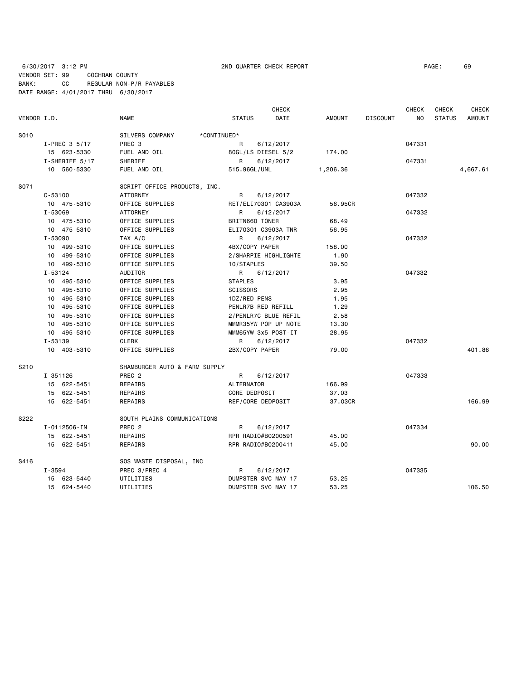6/30/2017 3:12 PM 2ND QUARTER CHECK REPORT PAGE: 69 VENDOR SET: 99 COCHRAN COUNTY BANK: CC REGULAR NON-P/R PAYABLES

DATE RANGE: 4/01/2017 THRU 6/30/2017

| VENDOR I.D. |                 | <b>NAME</b>                              | <b>STATUS</b>      | <b>CHECK</b><br>DATE | <b>AMOUNT</b> | <b>DISCOUNT</b> | <b>CHECK</b><br>NO. | CHECK<br><b>STATUS</b> | <b>CHECK</b><br><b>AMOUNT</b> |
|-------------|-----------------|------------------------------------------|--------------------|----------------------|---------------|-----------------|---------------------|------------------------|-------------------------------|
|             |                 |                                          |                    |                      |               |                 |                     |                        |                               |
| S010        | $I-PREC$ 3 5/17 | *CONTINUED*<br>SILVERS COMPANY<br>PREC 3 | R                  | 6/12/2017            |               |                 | 047331              |                        |                               |
|             | 15 623-5330     | FUEL AND OIL                             |                    | 80GL/LS DIESEL 5/2   | 174.00        |                 |                     |                        |                               |
|             | SHERIFF         |                                          |                    |                      |               |                 |                     |                        |                               |
|             | I-SHERIFF 5/17  |                                          | R                  | 6/12/2017            |               |                 | 047331              |                        |                               |
|             | 10 560-5330     | FUEL AND OIL                             | 515.96GL/UNL       |                      | 1,206.36      |                 |                     |                        | 4,667.61                      |
| S071        |                 | SCRIPT OFFICE PRODUCTS, INC.             |                    |                      |               |                 |                     |                        |                               |
|             | $C - 53100$     | <b>ATTORNEY</b>                          | R                  | 6/12/2017            |               |                 | 047332              |                        |                               |
|             | 10 475-5310     | OFFICE SUPPLIES                          |                    | RET/ELI70301 CA3903A | 56.95CR       |                 |                     |                        |                               |
|             | I-53069         | <b>ATTORNEY</b>                          | R                  | 6/12/2017            |               |                 | 047332              |                        |                               |
|             | 10 475-5310     | OFFICE SUPPLIES                          | BRITN660 TONER     |                      | 68.49         |                 |                     |                        |                               |
|             | 10 475-5310     | OFFICE SUPPLIES                          |                    | ELI70301 C3903A TNR  | 56.95         |                 |                     |                        |                               |
|             | I-53090         | TAX A/C                                  | R                  | 6/12/2017            |               |                 | 047332              |                        |                               |
|             | 10 499-5310     | OFFICE SUPPLIES                          | 4BX/COPY PAPER     |                      | 158.00        |                 |                     |                        |                               |
|             | 10 499-5310     | OFFICE SUPPLIES                          |                    | 2/SHARPIE HIGHLIGHTE | 1.90          |                 |                     |                        |                               |
|             | 10 499-5310     | OFFICE SUPPLIES                          | 10/STAPLES         |                      | 39.50         |                 |                     |                        |                               |
|             | I-53124         | <b>AUDITOR</b>                           | R                  | 6/12/2017            |               |                 | 047332              |                        |                               |
|             | 10 495-5310     | OFFICE SUPPLIES                          | <b>STAPLES</b>     |                      | 3.95          |                 |                     |                        |                               |
|             | 10 495-5310     | OFFICE SUPPLIES                          | <b>SCISSORS</b>    |                      | 2.95          |                 |                     |                        |                               |
|             | 10 495-5310     | OFFICE SUPPLIES                          | 1DZ/RED PENS       |                      | 1.95          |                 |                     |                        |                               |
|             | 10 495-5310     | OFFICE SUPPLIES                          |                    | PENLR7B RED REFILL   | 1.29          |                 |                     |                        |                               |
|             | 10 495-5310     | OFFICE SUPPLIES                          |                    | 2/PENLR7C BLUE REFIL | 2.58          |                 |                     |                        |                               |
|             | 10 495-5310     | OFFICE SUPPLIES                          |                    | MMMR35YW POP UP NOTE | 13.30         |                 |                     |                        |                               |
|             | 10 495-5310     | OFFICE SUPPLIES                          |                    | MMM65YW 3x5 POST-IT' | 28.95         |                 |                     |                        |                               |
|             | I-53139         | <b>CLERK</b>                             | R                  | 6/12/2017            |               |                 | 047332              |                        |                               |
|             | 10 403-5310     | OFFICE SUPPLIES                          | 2BX/COPY PAPER     |                      | 79.00         |                 |                     |                        | 401.86                        |
|             |                 |                                          |                    |                      |               |                 |                     |                        |                               |
| S210        |                 | SHAMBURGER AUTO & FARM SUPPLY            |                    |                      |               |                 | 047333              |                        |                               |
|             | I-351126        | PREC <sub>2</sub>                        | R                  | 6/12/2017            |               |                 |                     |                        |                               |
|             | 15 622-5451     | REPAIRS                                  | <b>ALTERNATOR</b>  |                      | 166.99        |                 |                     |                        |                               |
|             | 15 622-5451     | REPAIRS                                  | CORE DEDPOSIT      |                      | 37.03         |                 |                     |                        |                               |
|             | 15 622-5451     | REPAIRS                                  | REF/CORE DEDPOSIT  |                      | 37.03CR       |                 |                     |                        | 166.99                        |
| S222        |                 | SOUTH PLAINS COMMUNICATIONS              |                    |                      |               |                 |                     |                        |                               |
|             | I-0112506-IN    | PREC <sub>2</sub>                        | R                  | 6/12/2017            |               |                 | 047334              |                        |                               |
|             | 15 622-5451     | REPAIRS                                  | RPR RADIO#B0200591 |                      | 45.00         |                 |                     |                        |                               |
|             | 15 622-5451     | REPAIRS                                  | RPR RADIO#B0200411 |                      | 45.00         |                 |                     |                        | 90.00                         |
| S416        |                 | SOS WASTE DISPOSAL, INC                  |                    |                      |               |                 |                     |                        |                               |
|             | I-3594          | PREC 3/PREC 4                            | R                  | 6/12/2017            |               |                 | 047335              |                        |                               |
|             | 15 623-5440     | UTILITIES                                |                    | DUMPSTER SVC MAY 17  | 53.25         |                 |                     |                        |                               |
|             | 15 624-5440     | UTILITIES                                |                    | DUMPSTER SVC MAY 17  | 53.25         |                 |                     |                        | 106.50                        |
|             |                 |                                          |                    |                      |               |                 |                     |                        |                               |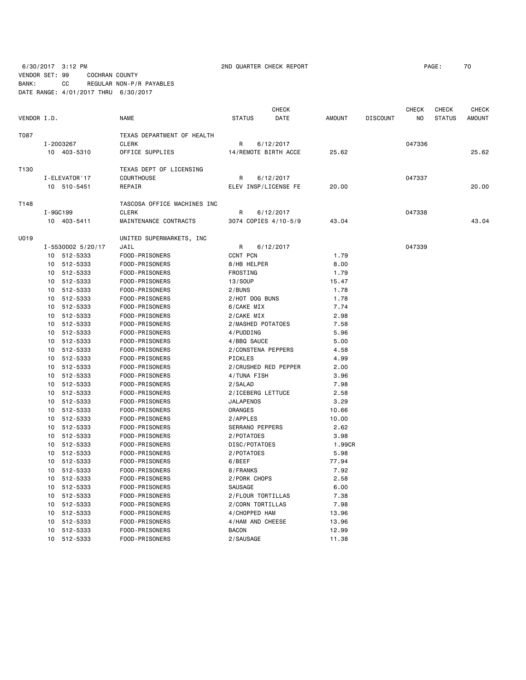6/30/2017 3:12 PM 2ND QUARTER CHECK REPORT PAGE: 70

VENDOR SET: 99 COCHRAN COUNTY BANK: CC REGULAR NON-P/R PAYABLES DATE RANGE: 4/01/2017 THRU 6/30/2017

|             |               |                   |                             |                      |                        | CHECK                |               |                 | CHECK  | CHECK         | <b>CHECK</b>  |
|-------------|---------------|-------------------|-----------------------------|----------------------|------------------------|----------------------|---------------|-----------------|--------|---------------|---------------|
| VENDOR I.D. |               |                   | <b>NAME</b>                 | <b>STATUS</b>        |                        | DATE                 | <b>AMOUNT</b> | <b>DISCOUNT</b> | NO.    | <b>STATUS</b> | <b>AMOUNT</b> |
| T087        |               |                   | TEXAS DEPARTMENT OF HEALTH  |                      |                        |                      |               |                 |        |               |               |
|             | I-2003267     |                   | <b>CLERK</b>                | R                    |                        | 6/12/2017            |               |                 | 047336 |               |               |
|             | 10 403-5310   |                   | OFFICE SUPPLIES             | 14/REMOTE BIRTH ACCE |                        | 25.62                |               |                 |        | 25.62         |               |
|             |               |                   |                             |                      |                        |                      |               |                 |        |               |               |
| T130        |               |                   | TEXAS DEPT OF LICENSING     |                      |                        |                      |               |                 |        |               |               |
|             | I-ELEVATOR'17 |                   | <b>COURTHOUSE</b>           | 6/12/2017<br>R       |                        |                      |               | 047337          |        |               |               |
|             |               | 10 510-5451       | REPAIR                      |                      |                        | ELEV INSP/LICENSE FE | 20.00         |                 |        |               | 20.00         |
| T148        |               |                   | TASCOSA OFFICE MACHINES INC |                      |                        |                      |               |                 |        |               |               |
|             | I-9GC199      |                   | <b>CLERK</b>                | R                    |                        | 6/12/2017            |               |                 | 047338 |               |               |
|             | 10 403-5411   |                   | MAINTENANCE CONTRACTS       | 3074 COPIES 4/10-5/9 |                        | 43.04                |               |                 |        | 43.04         |               |
| U019        |               |                   | UNITED SUPERMARKETS, INC    |                      |                        |                      |               |                 |        |               |               |
|             |               | I-5530002 5/20/17 | JAIL                        | R                    |                        | 6/12/2017            |               |                 | 047339 |               |               |
|             |               | 10 512-5333       | FOOD-PRISONERS              | CCNT PCN             |                        |                      | 1.79          |                 |        |               |               |
|             |               | 10 512-5333       | FOOD-PRISONERS              |                      | 8/HB HELPER            |                      | 8.00          |                 |        |               |               |
|             |               | 10 512-5333       | FOOD-PRISONERS              | FROSTING             |                        |                      | 1.79          |                 |        |               |               |
|             |               | 10 512-5333       | FOOD-PRISONERS              | 13/SOUP              |                        |                      | 15.47         |                 |        |               |               |
|             | 10            | 512-5333          | FOOD-PRISONERS              | 2/BUNS               |                        |                      | 1.78          |                 |        |               |               |
|             | 10            | 512-5333          | FOOD-PRISONERS              |                      | 2/HOT DOG BUNS         |                      | 1.78          |                 |        |               |               |
|             | 10            | 512-5333          | FOOD-PRISONERS              |                      | 6/CAKE MIX             |                      | 7.74          |                 |        |               |               |
|             | 10            | 512-5333          | FOOD-PRISONERS              | 2/CAKE MIX           |                        | 2.98                 |               |                 |        |               |               |
|             | 10            | 512-5333          | FOOD-PRISONERS              |                      |                        | 2/MASHED POTATOES    | 7.58          |                 |        |               |               |
|             |               | 10 512-5333       | FOOD-PRISONERS              |                      | 4/PUDDING              |                      | 5.96          |                 |        |               |               |
|             |               | 10 512-5333       | FOOD-PRISONERS              |                      | 4/BBQ SAUCE            |                      | 5.00          |                 |        |               |               |
|             |               | 10 512-5333       | FOOD-PRISONERS              |                      |                        | 2/CONSTENA PEPPERS   | 4.58          |                 |        |               |               |
|             | 10            | 512-5333          | FOOD-PRISONERS              | PICKLES              |                        |                      | 4.99          |                 |        |               |               |
|             |               | 10 512-5333       | FOOD-PRISONERS              |                      |                        | 2/CRUSHED RED PEPPER | 2.00          |                 |        |               |               |
|             | 10            | 512-5333          | FOOD-PRISONERS              |                      | 4/TUNA FISH            |                      | 3.96          |                 |        |               |               |
|             | 10            | 512-5333          | FOOD-PRISONERS              | 2/SALAD              |                        |                      | 7.98          |                 |        |               |               |
|             | 10            | 512-5333          | FOOD-PRISONERS              |                      |                        | 2/ICEBERG LETTUCE    | 2.58          |                 |        |               |               |
|             |               | 10 512-5333       | FOOD-PRISONERS              |                      | <b>JALAPENOS</b>       |                      | 3.29          |                 |        |               |               |
|             | 10            | 512-5333          | FOOD-PRISONERS              | ORANGES              |                        |                      | 10.66         |                 |        |               |               |
|             |               | 10 512-5333       | FOOD-PRISONERS              | 2/APPLES             |                        |                      | 10.00         |                 |        |               |               |
|             | 10            | 512-5333          | FOOD-PRISONERS              |                      | <b>SERRANO PEPPERS</b> |                      | 2.62          |                 |        |               |               |
|             | 10            | 512-5333          | FOOD-PRISONERS              |                      | 2/POTATOES             |                      | 3.98          |                 |        |               |               |
|             | 10            | 512-5333          | FOOD-PRISONERS              |                      | DISC/POTATOES          |                      | 1.99CR        |                 |        |               |               |
|             | 10            | 512-5333          | FOOD-PRISONERS              |                      | 2/POTATOES             |                      | 5.98          |                 |        |               |               |
|             | 10            | 512-5333          | FOOD-PRISONERS              | 6/BEEF               |                        |                      | 77.94         |                 |        |               |               |
|             | 10            | 512-5333          | FOOD-PRISONERS              | 8/FRANKS             |                        |                      | 7.92          |                 |        |               |               |
|             |               | 10 512-5333       | FOOD-PRISONERS              |                      | 2/PORK CHOPS           |                      | 2.58          |                 |        |               |               |
|             |               | 10 512-5333       | FOOD-PRISONERS              | SAUSAGE              |                        |                      | 6.00          |                 |        |               |               |
|             |               | 10 512-5333       | FOOD-PRISONERS              |                      |                        | 2/FLOUR TORTILLAS    | 7.38          |                 |        |               |               |
|             | 10            | 512-5333          | FOOD-PRISONERS              |                      |                        | 2/CORN TORTILLAS     | 7.98          |                 |        |               |               |
|             | 10            | 512-5333          | FOOD-PRISONERS              |                      | 4/CHOPPED HAM          |                      | 13.96         |                 |        |               |               |
|             | 10            | 512-5333          | FOOD-PRISONERS              |                      |                        | 4/HAM AND CHEESE     | 13.96         |                 |        |               |               |
|             | 10            | 512-5333          | FOOD-PRISONERS              | <b>BACON</b>         |                        |                      | 12.99         |                 |        |               |               |
|             |               | 10 512-5333       | FOOD-PRISONERS              |                      | 2/SAUSAGE              |                      | 11.38         |                 |        |               |               |
|             |               |                   |                             |                      |                        |                      |               |                 |        |               |               |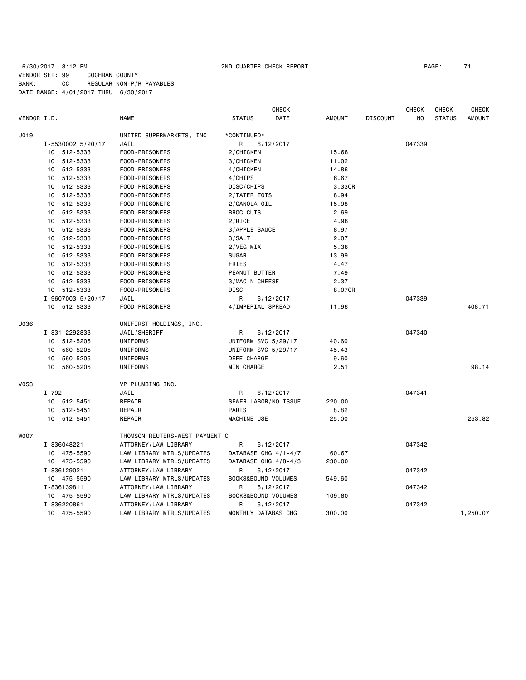# 6/30/2017 3:12 PM 2ND QUARTER CHECK REPORT PAGE: 71 VENDOR SET: 99 COCHRAN COUNTY BANK: CC REGULAR NON-P/R PAYABLES DATE RANGE: 4/01/2017 THRU 6/30/2017

|             |           |                   | <b>CHECK</b><br><b>CHECK</b><br>CHECK |                      |           |               |                 |        |               | <b>CHECK</b>  |  |  |
|-------------|-----------|-------------------|---------------------------------------|----------------------|-----------|---------------|-----------------|--------|---------------|---------------|--|--|
| VENDOR I.D. |           |                   | <b>NAME</b>                           | <b>STATUS</b>        | DATE      | <b>AMOUNT</b> | <b>DISCOUNT</b> | NO.    | <b>STATUS</b> | <b>AMOUNT</b> |  |  |
| U019        |           |                   | UNITED SUPERMARKETS, INC              | *CONTINUED*          |           |               |                 |        |               |               |  |  |
|             |           | I-5530002 5/20/17 | JAIL                                  | R                    | 6/12/2017 |               |                 | 047339 |               |               |  |  |
|             |           | 10 512-5333       | FOOD-PRISONERS                        | 2/CHICKEN            |           | 15.68         |                 |        |               |               |  |  |
|             |           | 10 512-5333       | FOOD-PRISONERS                        | 3/CHICKEN            |           | 11.02         |                 |        |               |               |  |  |
|             |           | 10 512-5333       | FOOD-PRISONERS                        | 4/CHICKEN            |           | 14.86         |                 |        |               |               |  |  |
|             |           | 10 512-5333       | FOOD-PRISONERS                        | 4/CHIPS              |           | 6.67          |                 |        |               |               |  |  |
|             |           | 10 512-5333       | FOOD-PRISONERS                        | DISC/CHIPS           |           | 3.33CR        |                 |        |               |               |  |  |
|             |           | 10 512-5333       | FOOD-PRISONERS                        | 2/TATER TOTS         |           | 8.94          |                 |        |               |               |  |  |
|             |           | 10 512-5333       | FOOD-PRISONERS                        | 2/CANOLA OIL         |           | 15.98         |                 |        |               |               |  |  |
|             |           | 10 512-5333       | FOOD-PRISONERS                        | <b>BROC CUTS</b>     |           | 2.69          |                 |        |               |               |  |  |
|             |           | 10 512-5333       | FOOD-PRISONERS                        | 2/RICE               |           | 4.98          |                 |        |               |               |  |  |
|             |           | 10 512-5333       | FOOD-PRISONERS                        | 3/APPLE SAUCE        |           | 8.97          |                 |        |               |               |  |  |
|             |           | 10 512-5333       | FOOD-PRISONERS                        | 3/SALT               |           | 2.07          |                 |        |               |               |  |  |
|             |           | 10 512-5333       | FOOD-PRISONERS                        | 2/VEG MIX            |           | 5.38          |                 |        |               |               |  |  |
|             |           | 10 512-5333       | FOOD-PRISONERS                        | <b>SUGAR</b>         |           | 13.99         |                 |        |               |               |  |  |
|             |           | 10 512-5333       | FOOD-PRISONERS                        | <b>FRIES</b>         |           | 4.47          |                 |        |               |               |  |  |
|             |           | 10 512-5333       | FOOD-PRISONERS                        | PEANUT BUTTER        |           | 7.49          |                 |        |               |               |  |  |
|             |           | 10 512-5333       | FOOD-PRISONERS                        | 3/MAC N CHEESE       |           | 2.37          |                 |        |               |               |  |  |
|             |           | 10 512-5333       | FOOD-PRISONERS                        | <b>DISC</b>          |           | 8.07CR        |                 |        |               |               |  |  |
|             |           | I-9607003 5/20/17 | JAIL                                  | R                    | 6/12/2017 |               |                 | 047339 |               |               |  |  |
|             |           | 10 512-5333       | FOOD-PRISONERS                        | 4/IMPERIAL SPREAD    |           | 11.96         |                 |        |               | 408.71        |  |  |
| U036        |           |                   | UNIFIRST HOLDINGS, INC.               |                      |           |               |                 |        |               |               |  |  |
|             |           | I-831 2292833     | JAIL/SHERIFF                          | R                    | 6/12/2017 |               |                 | 047340 |               |               |  |  |
|             |           | 10 512-5205       | UNIFORMS                              | UNIFORM SVC 5/29/17  |           | 40.60         |                 |        |               |               |  |  |
|             |           | 10 560-5205       | UNIFORMS                              | UNIFORM SVC 5/29/17  |           | 45.43         |                 |        |               |               |  |  |
|             | 10        | 560-5205          | UNIFORMS                              | DEFE CHARGE          |           | 9.60          |                 |        |               |               |  |  |
|             |           | 10 560-5205       | UNIFORMS                              | MIN CHARGE           |           | 2.51          |                 |        |               | 98.14         |  |  |
| <b>V053</b> |           |                   | VP PLUMBING INC.                      |                      |           |               |                 |        |               |               |  |  |
|             | $I - 792$ |                   | JAIL                                  | R                    | 6/12/2017 |               |                 | 047341 |               |               |  |  |
|             |           | 10 512-5451       | REPAIR                                | SEWER LABOR/NO ISSUE |           | 220.00        |                 |        |               |               |  |  |
|             |           | 10 512-5451       | REPAIR                                | <b>PARTS</b>         |           | 8.82          |                 |        |               |               |  |  |
|             |           | 10 512-5451       | REPAIR                                | MACHINE USE          |           | 25.00         |                 |        |               | 253.82        |  |  |
| <b>WOO7</b> |           |                   | THOMSON REUTERS-WEST PAYMENT C        |                      |           |               |                 |        |               |               |  |  |
|             |           | I-836048221       | ATTORNEY/LAW LIBRARY                  | R                    | 6/12/2017 |               |                 | 047342 |               |               |  |  |
|             |           | 10 475-5590       | LAW LIBRARY MTRLS/UPDATES             | DATABASE CHG 4/1-4/7 |           | 60.67         |                 |        |               |               |  |  |
|             |           | 10 475-5590       | LAW LIBRARY MTRLS/UPDATES             | DATABASE CHG 4/8-4/3 |           | 230.00        |                 |        |               |               |  |  |
|             |           | I-836129021       | ATTORNEY/LAW LIBRARY                  | R                    | 6/12/2017 |               |                 | 047342 |               |               |  |  |
|             |           | 10 475-5590       | LAW LIBRARY MTRLS/UPDATES             | BOOKS&BOUND VOLUMES  |           | 549.60        |                 |        |               |               |  |  |
|             |           | I-836139811       | ATTORNEY/LAW LIBRARY                  | R                    | 6/12/2017 |               |                 | 047342 |               |               |  |  |
|             |           | 10 475-5590       | LAW LIBRARY MTRLS/UPDATES             | BOOKS&BOUND VOLUMES  |           | 109.80        |                 |        |               |               |  |  |
|             |           | I-836220861       | ATTORNEY/LAW LIBRARY                  | R                    | 6/12/2017 |               |                 | 047342 |               |               |  |  |
|             |           | 10 475-5590       | LAW LIBRARY MTRLS/UPDATES             | MONTHLY DATABAS CHG  |           | 300.00        |                 |        |               | 1,250.07      |  |  |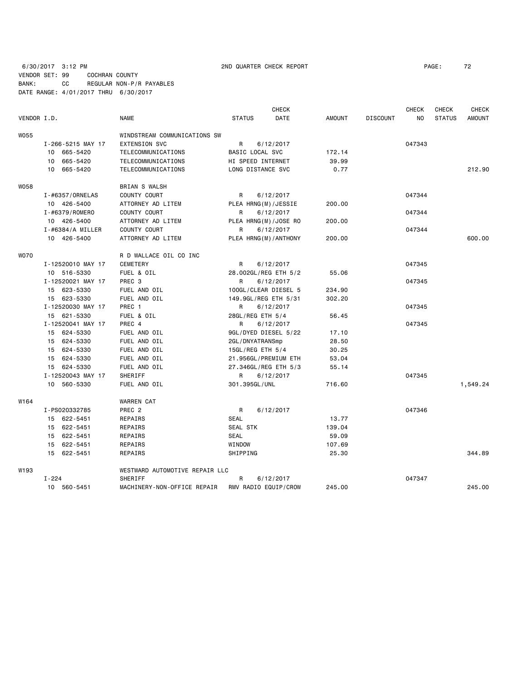6/30/2017 3:12 PM 2ND QUARTER CHECK REPORT PAGE: 72 VENDOR SET: 99 COCHRAN COUNTY BANK: CC REGULAR NON-P/R PAYABLES DATE RANGE: 4/01/2017 THRU 6/30/2017

|             |                      |                                |                         | <b>CHECK</b> |               |                 | <b>CHECK</b> | <b>CHECK</b>  | <b>CHECK</b>  |
|-------------|----------------------|--------------------------------|-------------------------|--------------|---------------|-----------------|--------------|---------------|---------------|
| VENDOR I.D. |                      | <b>NAME</b>                    | <b>STATUS</b>           | <b>DATE</b>  | <b>AMOUNT</b> | <b>DISCOUNT</b> | NO.          | <b>STATUS</b> | <b>AMOUNT</b> |
| <b>W055</b> |                      | WINDSTREAM COMMUNICATIONS SW   |                         |              |               |                 |              |               |               |
|             | I-266-5215 MAY 17    | <b>EXTENSION SVC</b>           | R                       | 6/12/2017    |               |                 | 047343       |               |               |
|             | 10 665-5420          | TELECOMMUNICATIONS             | BASIC LOCAL SVC         |              | 172.14        |                 |              |               |               |
|             | 665-5420<br>10       | TELECOMMUNICATIONS             | HI SPEED INTERNET       |              | 39.99         |                 |              |               |               |
|             | 10 665-5420          | TELECOMMUNICATIONS             | LONG DISTANCE SVC       |              | 0.77          |                 |              |               | 212.90        |
| <b>W058</b> |                      | BRIAN S WALSH                  |                         |              |               |                 |              |               |               |
|             | I-#6357/0RNELAS      | COUNTY COURT                   | R                       | 6/12/2017    |               |                 | 047344       |               |               |
|             | 10 426-5400          | ATTORNEY AD LITEM              | PLEA HRNG(M)/JESSIE     |              | 200.00        |                 |              |               |               |
|             | I-#6379/ROMERO       | COUNTY COURT                   | R.                      | 6/12/2017    |               |                 | 047344       |               |               |
|             | 10 426-5400          | ATTORNEY AD LITEM              | PLEA HRNG(M)/JOSE RO    |              | 200.00        |                 |              |               |               |
|             | $I - #6384/A$ MILLER | COUNTY COURT                   | R                       | 6/12/2017    |               |                 | 047344       |               |               |
|             | 10 426-5400          | ATTORNEY AD LITEM              | PLEA HRNG (M) / ANTHONY |              | 200,00        |                 |              |               | 600.00        |
| <b>WO70</b> |                      | R D WALLACE OIL CO INC         |                         |              |               |                 |              |               |               |
|             | I-12520010 MAY 17    | CEMETERY                       | R                       | 6/12/2017    |               |                 | 047345       |               |               |
|             | 10 516-5330          | FUEL & OIL                     | 28.002GL/REG ETH 5/2    |              | 55.06         |                 |              |               |               |
|             | I-12520021 MAY 17    | PREC <sub>3</sub>              | R                       | 6/12/2017    |               |                 | 047345       |               |               |
|             | 15 623-5330          | FUEL AND OIL                   | 100GL/CLEAR DIESEL 5    |              | 234.90        |                 |              |               |               |
|             | 15 623-5330          | FUEL AND OIL                   | 149.9GL/REG ETH 5/31    |              | 302.20        |                 |              |               |               |
|             | I-12520030 MAY 17    | PREC 1                         | R                       | 6/12/2017    |               |                 | 047345       |               |               |
|             | 15 621-5330          | FUEL & OIL                     | 28GL/REG ETH 5/4        |              | 56.45         |                 |              |               |               |
|             | I-12520041 MAY 17    | PREC 4                         | R                       | 6/12/2017    |               |                 | 047345       |               |               |
|             | 15 624-5330          | FUEL AND OIL                   | 9GL/DYED DIESEL 5/22    |              | 17.10         |                 |              |               |               |
|             | 15 624-5330          | FUEL AND OIL                   | 2GL/DNYATRANSmp         |              | 28.50         |                 |              |               |               |
|             | 15 624-5330          | FUEL AND OIL                   | 15GL/REG ETH 5/4        |              | 30.25         |                 |              |               |               |
|             | 15 624-5330          | FUEL AND OIL                   | 21.956GL/PREMIUM ETH    |              | 53.04         |                 |              |               |               |
|             | 15 624-5330          | FUEL AND OIL                   | 27.346GL/REG ETH 5/3    |              | 55.14         |                 |              |               |               |
|             | I-12520043 MAY 17    | SHERIFF                        | R                       | 6/12/2017    |               |                 | 047345       |               |               |
|             | 10 560-5330          | FUEL AND OIL                   | 301.395GL/UNL           |              | 716.60        |                 |              |               | 1,549.24      |
| W164        |                      | <b>WARREN CAT</b>              |                         |              |               |                 |              |               |               |
|             | I-PS020332785        | PREC <sub>2</sub>              | R                       | 6/12/2017    |               |                 | 047346       |               |               |
|             | 15 622-5451          | REPAIRS                        | <b>SEAL</b>             |              | 13.77         |                 |              |               |               |
|             | 15 622-5451          | REPAIRS                        | SEAL STK                |              | 139.04        |                 |              |               |               |
|             | 15 622-5451          | REPAIRS                        | <b>SEAL</b>             |              | 59.09         |                 |              |               |               |
|             | 15 622-5451          | REPAIRS                        | WINDOW                  |              | 107.69        |                 |              |               |               |
|             | 15 622-5451          | REPAIRS                        | SHIPPING                |              | 25.30         |                 |              |               | 344.89        |
| W193        |                      | WESTWARD AUTOMOTIVE REPAIR LLC |                         |              |               |                 |              |               |               |
|             | $I - 224$            | SHERIFF                        | R                       | 6/12/2017    |               |                 | 047347       |               |               |
|             | 10 560-5451          | MACHINERY-NON-OFFICE REPAIR    | RMV RADIO EQUIP/CROW    |              | 245.00        |                 |              |               | 245.00        |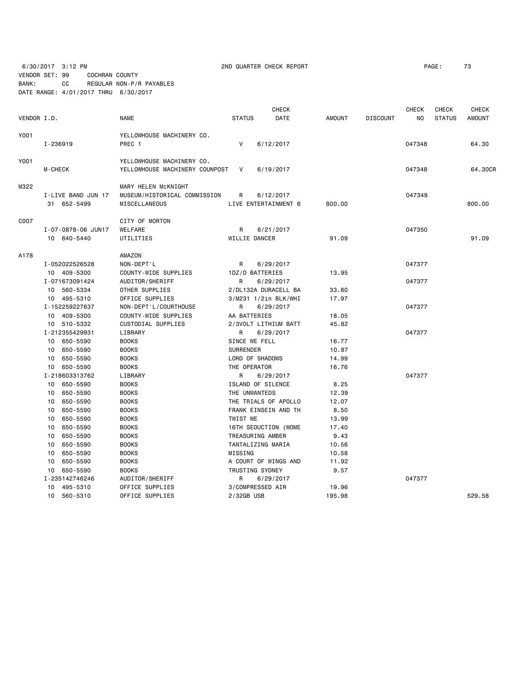VENDOR SET: 99 COCHRAN COUNTY

6/30/2017 3:12 PM **2ND QUARTER CHECK REPORT 200 200 200 200 200 200 200 200 200 200 200 200 200 200 200 200 200 200 200 200 200 200 200 200 200 200 200 200 200 20** 

BANK: CC REGULAR NON-P/R PAYABLES

| DATE RANGE: 4/01/2017 THRU 6/30/2017 |  |
|--------------------------------------|--|
|--------------------------------------|--|

|             |                    |                                | <b>CHECK</b>         |      |               |                 | <b>CHECK</b> | <b>CHECK</b>  | <b>CHECK</b>  |
|-------------|--------------------|--------------------------------|----------------------|------|---------------|-----------------|--------------|---------------|---------------|
| VENDOR I.D. |                    | <b>NAME</b>                    | <b>STATUS</b>        | DATE | <b>AMOUNT</b> | <b>DISCOUNT</b> | NO.          | <b>STATUS</b> | <b>AMOUNT</b> |
| Y001        |                    | YELLOWHOUSE MACHINERY CO.      |                      |      |               |                 |              |               |               |
|             | I-236919           | PREC 1                         | V<br>6/12/2017       |      |               |                 | 047348       |               | 64.30         |
|             |                    |                                |                      |      |               |                 |              |               |               |
| Y001        |                    | YELLOWHOUSE MACHINERY CO.      |                      |      |               |                 |              |               |               |
|             | <b>M-CHECK</b>     | YELLOWHOUSE MACHINERY COUNPOST | 6/19/2017<br>V       |      |               |                 | 047348       |               | 64.30CR       |
| M322        |                    | MARY HELEN MCKNIGHT            |                      |      |               |                 |              |               |               |
|             | I-LIVE BAND JUN 17 | MUSEUM/HISTORICAL COMMISSION   | 6/12/2017<br>R.      |      |               |                 | 047349       |               |               |
|             | 31 652-5499        | MISCELLANEOUS                  | LIVE ENTERTAINMENT 6 |      | 800.00        |                 |              |               | 800.00        |
|             |                    |                                |                      |      |               |                 |              |               |               |
| C007        |                    | CITY OF MORTON                 |                      |      |               |                 |              |               |               |
|             | I-07-0878-06 JUN17 | WELFARE                        | R<br>6/21/2017       |      |               |                 | 047350       |               |               |
|             | 10 640-5440        | UTILITIES                      | WILLIE DANCER        |      | 91.09         |                 |              |               | 91.09         |
| A178        |                    | AMAZON                         |                      |      |               |                 |              |               |               |
|             | I-052022526528     | NON-DEPT'L                     | 6/29/2017<br>R       |      |               |                 | 047377       |               |               |
|             | 10 409-5300        | COUNTY-WIDE SUPPLIES           | 1DZ/D BATTERIES      |      | 13.95         |                 |              |               |               |
|             | I-071673091424     | AUDITOR/SHERIFF                | R<br>6/29/2017       |      |               |                 | 047377       |               |               |
|             | 10 560-5334        | OTHER SUPPLIES                 | 2/DL132A DURACELL BA |      | 33.80         |                 |              |               |               |
|             | 10 495-5310        | OFFICE SUPPLIES                | 3/M231 1/2in BLK/WHI |      | 17.97         |                 |              |               |               |
|             | I-152259227637     | NON-DEPT'L/COURTHOUSE          | R<br>6/29/2017       |      |               |                 | 047377       |               |               |
|             | 10 409-5300        | COUNTY-WIDE SUPPLIES           | AA BATTERIES         |      | 18.05         |                 |              |               |               |
|             | 10 510-5332        | CUSTODIAL SUPPLIES             | 2/3VOLT LITHIUM BATT |      | 45.82         |                 |              |               |               |
|             | I-212355429931     | LIBRARY                        | 6/29/2017<br>R       |      |               |                 | 047377       |               |               |
|             | 10 650-5590        | <b>BOOKS</b>                   | SINCE WE FELL        |      | 16.77         |                 |              |               |               |
|             | 10 650-5590        | <b>BOOKS</b>                   | <b>SURRENDER</b>     |      | 10.87         |                 |              |               |               |
|             | 10 650-5590        | <b>BOOKS</b>                   | LORD OF SHADOWS      |      | 14.99         |                 |              |               |               |
|             | 10 650-5590        | <b>BOOKS</b>                   | THE OPERATOR         |      | 16.76         |                 |              |               |               |
|             | I-218603313762     | LIBRARY                        | R<br>6/29/2017       |      |               |                 | 047377       |               |               |
|             | 10 650-5590        | <b>BOOKS</b>                   | ISLAND OF SILENCE    |      | 8.25          |                 |              |               |               |
|             | 650-5590<br>10     | <b>BOOKS</b>                   | THE UNWANTEDS        |      | 12.39         |                 |              |               |               |
|             | 650-5590<br>10     | <b>BOOKS</b>                   | THE TRIALS OF APOLLO |      | 12.07         |                 |              |               |               |
|             | 650-5590<br>10     | <b>BOOKS</b>                   | FRANK EINSEIN AND TH |      | 8.50          |                 |              |               |               |
|             | 10<br>650-5590     | <b>BOOKS</b>                   | TWIST ME             |      | 13.99         |                 |              |               |               |
|             | 650-5590<br>10     | <b>BOOKS</b>                   | 16TH SEDUCTION (WOME |      | 17.40         |                 |              |               |               |
|             | 650-5590<br>10     | <b>BOOKS</b>                   | TREASURING AMBER     |      | 9.43          |                 |              |               |               |
|             | 650-5590<br>10     | <b>BOOKS</b>                   | TANTALIZING MARIA    |      | 10.56         |                 |              |               |               |
|             | 650-5590<br>10     | <b>BOOKS</b>                   | MISSING              |      | 10.58         |                 |              |               |               |
|             | 10<br>650-5590     | <b>BOOKS</b>                   | A COURT OF WINGS AND |      | 11.92         |                 |              |               |               |
|             | 10 650-5590        | <b>BOOKS</b>                   | TRUSTING SYDNEY      |      | 9.57          |                 |              |               |               |
|             | I-235142746246     | AUDITOR/SHERIFF                | 6/29/2017<br>R       |      |               |                 | 047377       |               |               |
|             | 10 495-5310        | OFFICE SUPPLIES                | 3/COMPRESSED AIR     |      | 19.96         |                 |              |               |               |
|             | 10 560-5310        | OFFICE SUPPLIES                | 2/32GB USB           |      | 195.98        |                 |              |               | 529.58        |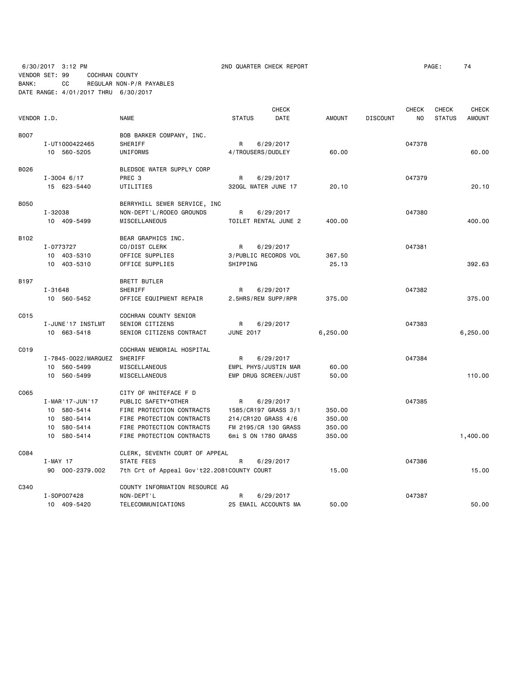6/30/2017 3:12 PM 2ND QUARTER CHECK REPORT PAGE: 74 VENDOR SET: 99 COCHRAN COUNTY BANK: CC REGULAR NON-P/R PAYABLES

DATE RANGE: 4/01/2017 THRU 6/30/2017

| VENDOR I.D. |                                                                               | <b>NAME</b>                                                                                                                                                      | <b>CHECK</b><br><b>STATUS</b><br><b>DATE</b>                                                                 | <b>AMOUNT</b>                        | <b>DISCOUNT</b> | <b>CHECK</b><br>NO. | <b>CHECK</b><br><b>STATUS</b> | <b>CHECK</b><br><b>AMOUNT</b> |
|-------------|-------------------------------------------------------------------------------|------------------------------------------------------------------------------------------------------------------------------------------------------------------|--------------------------------------------------------------------------------------------------------------|--------------------------------------|-----------------|---------------------|-------------------------------|-------------------------------|
| <b>B007</b> | I-UT1000422465<br>10 560-5205                                                 | BOB BARKER COMPANY, INC.<br>SHERIFF<br>UNIFORMS                                                                                                                  | R<br>6/29/2017<br>4/TROUSERS/DUDLEY                                                                          | 60.00                                |                 | 047378              |                               | 60.00                         |
| B026        | $I - 3004$ 6/17<br>15 623-5440                                                | BLEDSOE WATER SUPPLY CORP<br>PREC <sub>3</sub><br>UTILITIES                                                                                                      | 6/29/2017<br>R<br>320GL WATER JUNE 17                                                                        | 20.10                                |                 | 047379              |                               | 20.10                         |
| <b>B050</b> | I-32038<br>10 409-5499                                                        | BERRYHILL SEWER SERVICE, INC<br>NON-DEPT'L/RODEO GROUNDS<br>MISCELLANEOUS                                                                                        | R<br>6/29/2017<br>TOILET RENTAL JUNE 2                                                                       | 400.00                               |                 | 047380              |                               | 400.00                        |
| B102        | I-0773727<br>10 403-5310<br>10 403-5310                                       | BEAR GRAPHICS INC.<br>CO/DIST CLERK<br>OFFICE SUPPLIES<br>OFFICE SUPPLIES                                                                                        | R<br>6/29/2017<br>3/PUBLIC RECORDS VOL<br>SHIPPING                                                           | 367.50<br>25.13                      |                 | 047381              |                               | 392.63                        |
| B197        | I-31648<br>10 560-5452                                                        | <b>BRETT BUTLER</b><br>SHERIFF<br>OFFICE EQUIPMENT REPAIR                                                                                                        | R<br>6/29/2017<br>2.5HRS/REM SUPP/RPR                                                                        | 375.00                               |                 | 047382              |                               | 375.00                        |
| C015        | I-JUNE'17 INSTLMT<br>10 663-5418                                              | COCHRAN COUNTY SENIOR<br>SENIOR CITIZENS<br>SENIOR CITIZENS CONTRACT                                                                                             | R<br>6/29/2017<br><b>JUNE 2017</b>                                                                           | 6,250.00                             |                 | 047383              |                               | 6,250.00                      |
| C019        | I-7845-0022/MARQUEZ<br>10 560-5499<br>10 560-5499                             | COCHRAN MEMORIAL HOSPITAL<br>SHERIFF<br>MISCELLANEOUS<br>MISCELLANEOUS                                                                                           | R<br>6/29/2017<br>EMPL PHYS/JUSTIN MAR<br>EMP DRUG SCREEN/JUST                                               | 60.00<br>50.00                       |                 | 047384              |                               | 110.00                        |
| C065        | I-MAR '17-JUN '17<br>10 580-5414<br>10 580-5414<br>10 580-5414<br>10 580-5414 | CITY OF WHITEFACE F D<br>PUBLIC SAFETY*OTHER<br>FIRE PROTECTION CONTRACTS<br>FIRE PROTECTION CONTRACTS<br>FIRE PROTECTION CONTRACTS<br>FIRE PROTECTION CONTRACTS | 6/29/2017<br>R<br>1585/CR197 GRASS 3/1<br>214/CR120 GRASS 4/6<br>FM 2195/CR 130 GRASS<br>6mi S ON 1780 GRASS | 350.00<br>350.00<br>350.00<br>350.00 |                 | 047385              |                               | 1,400.00                      |
| C084        | I-MAY 17<br>90 000-2379.002                                                   | CLERK, SEVENTH COURT OF APPEAL<br>STATE FEES<br>7th Crt of Appeal Gov't22.2081COUNTY COURT                                                                       | R<br>6/29/2017                                                                                               | 15.00                                |                 | 047386              |                               | 15.00                         |
| C340        | I-S0P007428<br>10 409-5420                                                    | COUNTY INFORMATION RESOURCE AG<br>NON-DEPT'L<br>TELECOMMUNICATIONS                                                                                               | R<br>6/29/2017<br>25 EMAIL ACCOUNTS MA                                                                       | 50.00                                |                 | 047387              |                               | 50.00                         |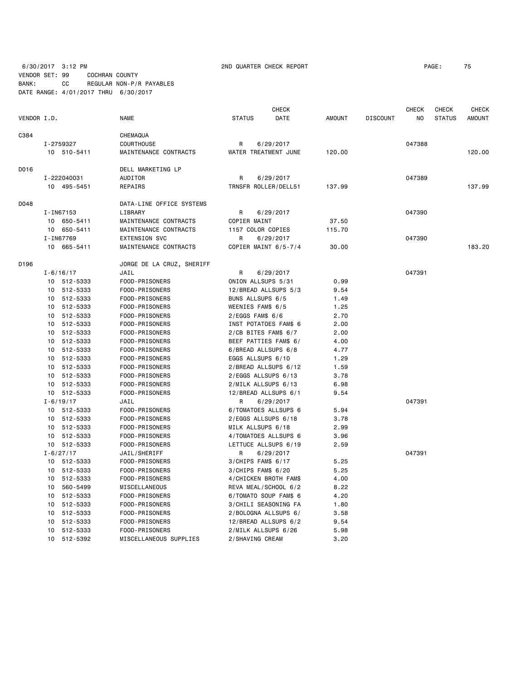# 6/30/2017 3:12 PM 2ND QUARTER CHECK REPORT PAGE: 75

VENDOR SET: 99 COCHRAN COUNTY BANK: CC REGULAR NON-P/R PAYABLES DATE RANGE: 4/01/2017 THRU 6/30/2017

|             |    |               | <b>CHECK</b>              |                       |           |               | <b>CHECK</b>    | <b>CHECK</b> | <b>CHECK</b>  |               |
|-------------|----|---------------|---------------------------|-----------------------|-----------|---------------|-----------------|--------------|---------------|---------------|
| VENDOR I.D. |    |               | <b>NAME</b>               | <b>STATUS</b>         | DATE      | <b>AMOUNT</b> | <b>DISCOUNT</b> | NO           | <b>STATUS</b> | <b>AMOUNT</b> |
| C384        |    |               | CHEMAQUA                  |                       |           |               |                 |              |               |               |
|             |    | I-2759327     | COURTHOUSE                | R                     | 6/29/2017 |               |                 | 047388       |               |               |
|             |    | 10 510-5411   | MAINTENANCE CONTRACTS     | WATER TREATMENT JUNE  |           | 120,00        |                 |              |               | 120,00        |
| D016        |    |               | DELL MARKETING LP         |                       |           |               |                 |              |               |               |
|             |    | I-222040031   | AUDITOR                   | R                     | 6/29/2017 |               |                 | 047389       |               |               |
|             |    | 10 495-5451   | REPAIRS                   | TRNSFR ROLLER/DELL51  |           | 137.99        |                 |              |               | 137.99        |
| D048        |    |               | DATA-LINE OFFICE SYSTEMS  |                       |           |               |                 |              |               |               |
|             |    | I-IN67153     | LIBRARY                   | R                     | 6/29/2017 |               |                 | 047390       |               |               |
|             |    | 10 650-5411   | MAINTENANCE CONTRACTS     | COPIER MAINT          |           | 37.50         |                 |              |               |               |
|             |    | 10 650-5411   | MAINTENANCE CONTRACTS     | 1157 COLOR COPIES     |           | 115.70        |                 |              |               |               |
|             |    | I-IN67769     | <b>EXTENSION SVC</b>      | R                     | 6/29/2017 |               |                 | 047390       |               |               |
|             |    | 10 665-5411   | MAINTENANCE CONTRACTS     | COPIER MAINT 6/5-7/4  |           | 30.00         |                 |              |               | 183.20        |
| D196        |    |               | JORGE DE LA CRUZ, SHERIFF |                       |           |               |                 |              |               |               |
|             |    | $I - 6/16/17$ | JAIL                      | R                     | 6/29/2017 |               |                 | 047391       |               |               |
|             |    | 10 512-5333   | FOOD-PRISONERS            | ONION ALLSUPS 5/31    |           | 0.99          |                 |              |               |               |
|             |    | 10 512-5333   | FOOD-PRISONERS            | 12/BREAD ALLSUPS 5/3  |           | 9.54          |                 |              |               |               |
|             |    | 10 512-5333   | FOOD-PRISONERS            | BUNS ALLSUPS 6/5      |           | 1.49          |                 |              |               |               |
|             |    | 10 512-5333   | FOOD-PRISONERS            | WEENIES FAM\$ 6/5     |           | 1.25          |                 |              |               |               |
|             |    | 10 512-5333   | FOOD-PRISONERS            | $2/EGGS$ FAM\$ $6/6$  |           | 2.70          |                 |              |               |               |
|             |    | 10 512-5333   | FOOD-PRISONERS            | INST POTATOES FAM\$ 6 |           | 2.00          |                 |              |               |               |
|             |    | 10 512-5333   | FOOD-PRISONERS            | 2/CB BITES FAM\$ 6/7  |           | 2.00          |                 |              |               |               |
|             |    | 10 512-5333   | FOOD-PRISONERS            | BEEF PATTIES FAM\$ 6/ |           | 4.00          |                 |              |               |               |
|             |    | 10 512-5333   | FOOD-PRISONERS            | 6/BREAD ALLSUPS 6/8   |           | 4.77          |                 |              |               |               |
|             |    | 10 512-5333   | FOOD-PRISONERS            | EGGS ALLSUPS 6/10     |           | 1.29          |                 |              |               |               |
|             |    | 10 512-5333   | FOOD-PRISONERS            | 2/BREAD ALLSUPS 6/12  |           | 1.59          |                 |              |               |               |
|             |    | 10 512-5333   | FOOD-PRISONERS            | 2/EGGS ALLSUPS 6/13   |           | 3.78          |                 |              |               |               |
|             | 10 | 512-5333      | FOOD-PRISONERS            | 2/MILK ALLSUPS 6/13   |           | 6.98          |                 |              |               |               |
|             |    | 10 512-5333   | FOOD-PRISONERS            | 12/BREAD ALLSUPS 6/1  |           | 9.54          |                 |              |               |               |
|             |    | $I - 6/19/17$ | JAIL                      | R                     | 6/29/2017 |               |                 | 047391       |               |               |
|             |    | 10 512-5333   | FOOD-PRISONERS            | 6/TOMATOES ALLSUPS 6  |           | 5.94          |                 |              |               |               |
|             |    | 10 512-5333   | FOOD-PRISONERS            | 2/EGGS ALLSUPS 6/18   |           | 3.78          |                 |              |               |               |
|             |    | 10 512-5333   | FOOD-PRISONERS            | MILK ALLSUPS 6/18     |           | 2.99          |                 |              |               |               |
|             | 10 | 512-5333      | FOOD-PRISONERS            | 4/TOMATOES ALLSUPS 6  |           | 3.96          |                 |              |               |               |
|             |    | 10 512-5333   | FOOD-PRISONERS            | LETTUCE ALLSUPS 6/19  |           | 2.59          |                 |              |               |               |
|             |    | $I - 6/27/17$ | JAIL/SHERIFF              | R                     | 6/29/2017 |               |                 | 047391       |               |               |
|             |    | 10 512-5333   | FOOD-PRISONERS            | 3/CHIPS FAM\$ 6/17    |           | 5.25          |                 |              |               |               |
|             |    | 10 512-5333   | FOOD-PRISONERS            | $3/CHIPS$ FAM\$ 6/20  |           | 5.25          |                 |              |               |               |
|             |    | 10 512-5333   | FOOD-PRISONERS            | 4/CHICKEN BROTH FAM\$ |           | 4.00          |                 |              |               |               |
|             |    | 10 560-5499   | MISCELLANEOUS             | REVA MEAL/SCHOOL 6/2  |           | 8.22          |                 |              |               |               |
|             |    | 10 512-5333   | FOOD-PRISONERS            | 6/TOMATO SOUP FAM\$ 6 |           | 4.20          |                 |              |               |               |
|             | 10 | 512-5333      | FOOD-PRISONERS            | 3/CHILI SEASONING FA  |           | 1.80          |                 |              |               |               |
|             | 10 | 512-5333      | FOOD-PRISONERS            | 2/BOLOGNA ALLSUPS 6/  |           | 3.58          |                 |              |               |               |
|             | 10 | 512-5333      | FOOD-PRISONERS            | 12/BREAD ALLSUPS 6/2  |           | 9.54          |                 |              |               |               |
|             | 10 | 512-5333      | FOOD-PRISONERS            | 2/MILK ALLSUPS 6/26   |           | 5.98          |                 |              |               |               |
|             |    | 10 512-5392   | MISCELLANEOUS SUPPLIES    | 2/SHAVING CREAM       |           | 3.20          |                 |              |               |               |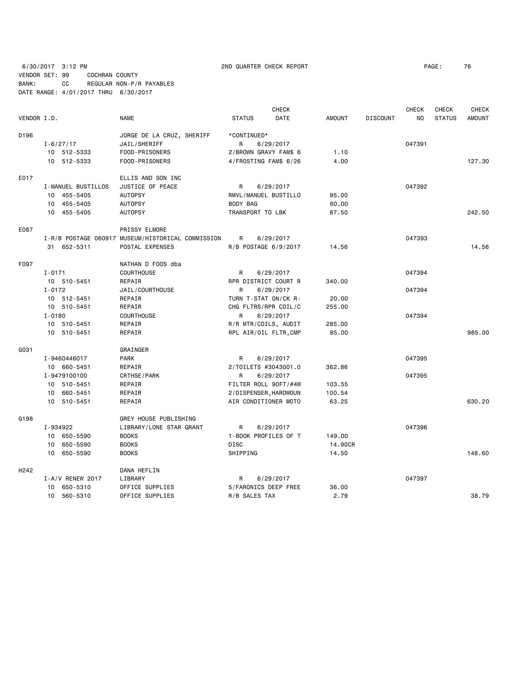6/30/2017 3:12 PM 2ND QUARTER CHECK REPORT PAGE: 76 VENDOR SET: 99 COCHRAN COUNTY BANK: CC REGULAR NON-P/R PAYABLES DATE RANGE: 4/01/2017 THRU 6/30/2017

|                  |                    |                                                   |                       | <b>CHECK</b> |               |                 | <b>CHECK</b> | <b>CHECK</b>  | <b>CHECK</b>  |
|------------------|--------------------|---------------------------------------------------|-----------------------|--------------|---------------|-----------------|--------------|---------------|---------------|
| VENDOR I.D.      |                    | <b>NAME</b>                                       | <b>STATUS</b>         | DATE         | <b>AMOUNT</b> | <b>DISCOUNT</b> | NO           | <b>STATUS</b> | <b>AMOUNT</b> |
| D196             |                    | JORGE DE LA CRUZ, SHERIFF                         | *CONTINUED*           |              |               |                 |              |               |               |
|                  | $I - 6/27/17$      | JAIL/SHERIFF                                      | R                     | 6/29/2017    |               |                 | 047391       |               |               |
|                  | 10 512-5333        | FOOD-PRISONERS                                    | 2/BROWN GRAVY FAM\$ 6 |              | 1.10          |                 |              |               |               |
|                  | 10 512-5333        | FOOD-PRISONERS                                    | 4/FROSTING FAM\$ 6/26 |              | 4.00          |                 |              |               | 127.30        |
| E017             |                    | ELLIS AND SON INC                                 |                       |              |               |                 |              |               |               |
|                  | I-MANUEL BUSTILLOS | JUSTICE OF PEACE                                  | R                     | 6/29/2017    |               |                 | 047392       |               |               |
|                  | 10 455-5405        | <b>AUTOPSY</b>                                    | RMVL/MANUEL BUSTILLO  |              | 95.00         |                 |              |               |               |
|                  | 10 455-5405        | <b>AUTOPSY</b>                                    | BODY BAG              |              | 60.00         |                 |              |               |               |
|                  | 10 455-5405        | <b>AUTOPSY</b>                                    | TRANSPORT TO LBK      |              | 87.50         |                 |              |               | 242.50        |
| E087             |                    | PRISSY ELMORE                                     |                       |              |               |                 |              |               |               |
|                  |                    | I-R/B POSTAGE 060917 MUSEUM/HISTORICAL COMMISSION | R                     | 6/29/2017    |               |                 | 047393       |               |               |
|                  | 31 652-5311        | POSTAL EXPENSES                                   | R/B POSTAGE 6/9/2017  |              | 14.56         |                 |              |               | 14.56         |
| F097             |                    | NATHAN D FOOS dba                                 |                       |              |               |                 |              |               |               |
|                  | $I - 0171$         | <b>COURTHOUSE</b>                                 | R                     | 6/29/2017    |               |                 | 047394       |               |               |
|                  | 10 510-5451        | REPAIR                                            | RPR DISTRICT COURT R  |              | 340.00        |                 |              |               |               |
|                  | $I - 0172$         | JAIL/COURTHOUSE                                   | R                     | 6/29/2017    |               |                 | 047394       |               |               |
|                  | 10 512-5451        | REPAIR                                            | TURN T-STAT ON/CK R-  |              | 20.00         |                 |              |               |               |
|                  | 10 510-5451        | REPAIR                                            | CHG FLTRS/RPR COIL/C  |              | 255.00        |                 |              |               |               |
|                  | $I - 0180$         | <b>COURTHOUSE</b>                                 | R                     | 6/29/2017    |               |                 | 047394       |               |               |
|                  | 10 510-5451        | REPAIR                                            | R/R MTR/COILS, AUDIT  |              | 285.00        |                 |              |               |               |
|                  | 10 510-5451        | REPAIR                                            | RPL AIR/OIL FLTR, CMP |              | 85.00         |                 |              |               | 985.00        |
| G031             |                    | GRAINGER                                          |                       |              |               |                 |              |               |               |
|                  | I-9460446017       | PARK                                              | R                     | 6/29/2017    |               |                 | 047395       |               |               |
|                  | 10 660-5451        | REPAIR                                            | 2/TOILETS #3043001.0  |              | 362.86        |                 |              |               |               |
|                  | I-9479100100       | CRTHSE/PARK                                       | R                     | 6/29/2017    |               |                 | 047395       |               |               |
|                  | 10 510-5451        | REPAIR                                            | FILTER ROLL 90FT/#4W  |              | 103.55        |                 |              |               |               |
|                  | 10 660-5451        | REPAIR                                            | 2/DISPENSER, HARDWOUN |              | 100.54        |                 |              |               |               |
|                  | 10 510-5451        | REPAIR                                            | AIR CONDITIONER MOTO  |              | 63.25         |                 |              |               | 630.20        |
| G198             |                    | GREY HOUSE PUBLISHING                             |                       |              |               |                 |              |               |               |
|                  | I-934922           | LIBRARY/LONE STAR GRANT                           | R                     | 6/29/2017    |               |                 | 047396       |               |               |
|                  | 10 650-5590        | <b>BOOKS</b>                                      | 1-BOOK PROFILES OF T  |              | 149.00        |                 |              |               |               |
|                  | 10 650-5590        | <b>BOOKS</b>                                      | <b>DISC</b>           |              | 14.90CR       |                 |              |               |               |
|                  | 650-5590<br>10     | <b>BOOKS</b>                                      | SHIPPING              |              | 14.50         |                 |              |               | 148.60        |
| H <sub>242</sub> |                    | DANA HEFLIN                                       |                       |              |               |                 |              |               |               |
|                  | I-A/V RENEW 2017   | LIBRARY                                           | R                     | 6/29/2017    |               |                 | 047397       |               |               |
|                  | 10 650-5310        | OFFICE SUPPLIES                                   | 5/FARONICS DEEP FREE  |              | 36.00         |                 |              |               |               |
|                  | 10 560-5310        | OFFICE SUPPLIES                                   | R/B SALES TAX         |              | 2.79          |                 |              |               | 38.79         |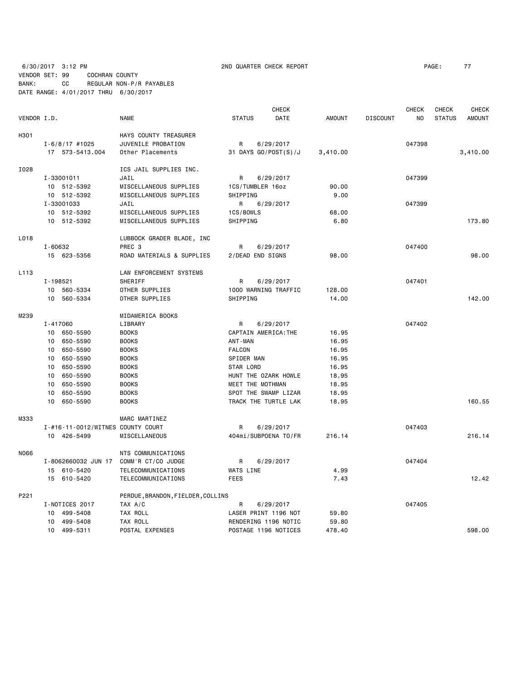6/30/2017 3:12 PM 2ND QUARTER CHECK REPORT PAGE: 77 VENDOR SET: 99 COCHRAN COUNTY BANK: CC REGULAR NON-P/R PAYABLES DATE RANGE: 4/01/2017 THRU 6/30/2017

|             |                                   |                                   |                      | CHECK                |               |                 | <b>CHECK</b>   | <b>CHECK</b>  | <b>CHECK</b>  |
|-------------|-----------------------------------|-----------------------------------|----------------------|----------------------|---------------|-----------------|----------------|---------------|---------------|
| VENDOR I.D. |                                   | <b>NAME</b>                       | <b>STATUS</b>        | DATE                 | <b>AMOUNT</b> | <b>DISCOUNT</b> | N <sub>O</sub> | <b>STATUS</b> | <b>AMOUNT</b> |
| H301        |                                   | HAYS COUNTY TREASURER             |                      |                      |               |                 |                |               |               |
|             | $I - 6/8/17$ #1025                | JUVENILE PROBATION                | R                    | 6/29/2017            |               |                 | 047398         |               |               |
|             | 17 573-5413.004                   | Other Placements                  |                      | 31 DAYS GO/POST(S)/J | 3,410.00      |                 |                |               | 3,410.00      |
| I028        |                                   | ICS JAIL SUPPLIES INC.            |                      |                      |               |                 |                |               |               |
|             | I-33001011                        | JAIL                              | R                    | 6/29/2017            |               |                 | 047399         |               |               |
|             | 10 512-5392                       | MISCELLANEOUS SUPPLIES            | 1CS/TUMBLER 16oz     |                      | 90.00         |                 |                |               |               |
|             | 10 512-5392                       | MISCELLANEOUS SUPPLIES            | SHIPPING             |                      | 9.00          |                 |                |               |               |
|             | I-33001033                        | JAIL                              | R                    | 6/29/2017            |               |                 | 047399         |               |               |
|             | 10 512-5392                       | MISCELLANEOUS SUPPLIES            | 1CS/BOWLS            |                      | 68,00         |                 |                |               |               |
|             | 10 512-5392                       | MISCELLANEOUS SUPPLIES            | SHIPPING             |                      | 6.80          |                 |                |               | 173.80        |
| L018        |                                   | LUBBOCK GRADER BLADE, INC         |                      |                      |               |                 |                |               |               |
|             | I-60632                           | PREC <sub>3</sub>                 | R                    | 6/29/2017            |               |                 | 047400         |               |               |
|             | 15 623-5356                       | ROAD MATERIALS & SUPPLIES         | 2/DEAD END SIGNS     |                      | 98.00         |                 |                |               | 98,00         |
| L113        |                                   | LAW ENFORCEMENT SYSTEMS           |                      |                      |               |                 |                |               |               |
|             | I-198521                          | SHERIFF                           | R                    | 6/29/2017            |               |                 | 047401         |               |               |
|             | 10 560-5334                       | OTHER SUPPLIES                    |                      | 1000 WARNING TRAFFIC | 128.00        |                 |                |               |               |
|             | 10 560-5334                       | OTHER SUPPLIES                    | SHIPPING             |                      | 14.00         |                 |                |               | 142.00        |
| M239        |                                   | MIDAMERICA BOOKS                  |                      |                      |               |                 |                |               |               |
|             | $I - 417060$                      | LIBRARY                           | R                    | 6/29/2017            |               |                 | 047402         |               |               |
|             | 10 650-5590                       | <b>BOOKS</b>                      | CAPTAIN AMERICA: THE |                      | 16.95         |                 |                |               |               |
|             | 650-5590<br>10                    | <b>BOOKS</b>                      | ANT-MAN              |                      | 16.95         |                 |                |               |               |
|             | 650-5590<br>10                    | <b>BOOKS</b>                      | <b>FALCON</b>        |                      | 16.95         |                 |                |               |               |
|             | 650-5590<br>10                    | <b>BOOKS</b>                      | SPIDER MAN           |                      | 16.95         |                 |                |               |               |
|             | 650-5590<br>10                    | <b>BOOKS</b>                      | STAR LORD            |                      | 16.95         |                 |                |               |               |
|             | 650-5590<br>10                    | <b>BOOKS</b>                      |                      | HUNT THE OZARK HOWLE | 18.95         |                 |                |               |               |
|             | 650-5590<br>10                    | <b>BOOKS</b>                      | MEET THE MOTHMAN     |                      | 18.95         |                 |                |               |               |
|             | 650-5590<br>10                    | <b>BOOKS</b>                      |                      | SPOT THE SWAMP LIZAR | 18.95         |                 |                |               |               |
|             | 10<br>650-5590                    | <b>BOOKS</b>                      |                      | TRACK THE TURTLE LAK | 18.95         |                 |                |               | 160.55        |
| M333        |                                   | MARC MARTINEZ                     |                      |                      |               |                 |                |               |               |
|             | I-#16-11-0012/WITNES COUNTY COURT |                                   | R                    | 6/29/2017            |               |                 | 047403         |               |               |
|             | 10 426-5499                       | MISCELLANEOUS                     |                      | 404mi/SUBPOENA TO/FR | 216.14        |                 |                |               | 216.14        |
| N066        |                                   | NTS COMMUNICATIONS                |                      |                      |               |                 |                |               |               |
|             | I-8062660032 JUN 17               | COMM'R CT/CO JUDGE                | R                    | 6/29/2017            |               |                 | 047404         |               |               |
|             | 15 610-5420                       | TELECOMMUNICATIONS                | WATS LINE            |                      | 4.99          |                 |                |               |               |
|             | 15 610-5420                       | TELECOMMUNICATIONS                | <b>FEES</b>          |                      | 7.43          |                 |                |               | 12.42         |
| P221        |                                   | PERDUE, BRANDON, FIELDER, COLLINS |                      |                      |               |                 |                |               |               |
|             | I-NOTICES 2017                    | TAX A/C                           | R                    | 6/29/2017            |               |                 | 047405         |               |               |
|             | 499-5408<br>10                    | TAX ROLL                          |                      | LASER PRINT 1196 NOT | 59.80         |                 |                |               |               |
|             | 499-5408<br>10                    | TAX ROLL                          |                      | RENDERING 1196 NOTIC | 59.80         |                 |                |               |               |
|             | 10 499-5311                       | POSTAL EXPENSES                   |                      | POSTAGE 1196 NOTICES | 478.40        |                 |                |               | 598.00        |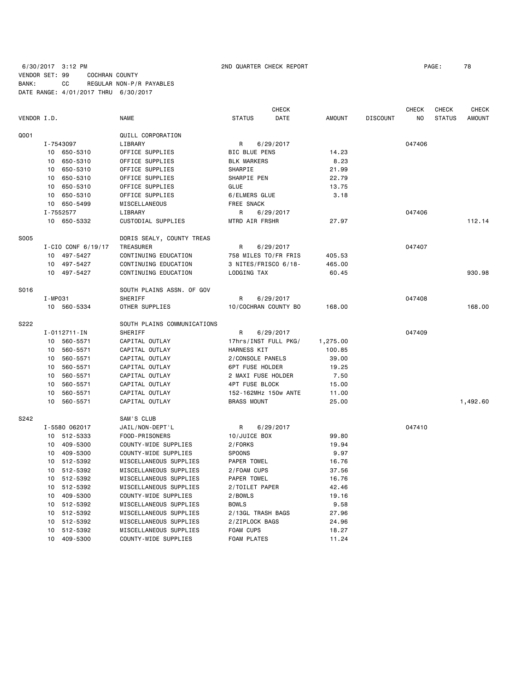### 6/30/2017 3:12 PM 2ND QUARTER CHECK REPORT PAGE: 78 VENDOR SET: 99 COCHRAN COUNTY BANK: CC REGULAR NON-P/R PAYABLES DATE RANGE: 4/01/2017 THRU 6/30/2017

|             |         |                    |                             |                      | <b>CHECK</b> |               |                 | CHECK  | CHECK         | CHECK         |
|-------------|---------|--------------------|-----------------------------|----------------------|--------------|---------------|-----------------|--------|---------------|---------------|
| VENDOR I.D. |         |                    | NAME                        | <b>STATUS</b>        | DATE         | <b>AMOUNT</b> | <b>DISCOUNT</b> | NO.    | <b>STATUS</b> | <b>AMOUNT</b> |
| Q001        |         |                    | QUILL CORPORATION           |                      |              |               |                 |        |               |               |
|             |         | I-7543097          | LIBRARY                     | R                    | 6/29/2017    |               |                 | 047406 |               |               |
|             |         | 10 650-5310        | OFFICE SUPPLIES             | <b>BIC BLUE PENS</b> |              | 14.23         |                 |        |               |               |
|             | 10      | 650-5310           | OFFICE SUPPLIES             | <b>BLK MARKERS</b>   |              | 8.23          |                 |        |               |               |
|             | 10      | 650-5310           | OFFICE SUPPLIES             | SHARPIE              |              | 21.99         |                 |        |               |               |
|             | 10      | 650-5310           | OFFICE SUPPLIES             | SHARPIE PEN          |              | 22.79         |                 |        |               |               |
|             | 10      | 650-5310           | OFFICE SUPPLIES             | <b>GLUE</b>          |              | 13.75         |                 |        |               |               |
|             | 10      | 650-5310           | OFFICE SUPPLIES             | 6/ELMERS GLUE        |              | 3.18          |                 |        |               |               |
|             | 10      | 650-5499           | MISCELLANEOUS               | FREE SNACK           |              |               |                 |        |               |               |
|             |         | I-7552577          | LIBRARY                     | R                    | 6/29/2017    |               |                 | 047406 |               |               |
|             |         | 10 650-5332        | CUSTODIAL SUPPLIES          | MTRD AIR FRSHR       |              | 27.97         |                 |        |               | 112.14        |
|             |         |                    |                             |                      |              |               |                 |        |               |               |
| <b>S005</b> |         |                    | DORIS SEALY, COUNTY TREAS   |                      |              |               |                 |        |               |               |
|             |         | I-CIO CONF 6/19/17 | TREASURER                   | R                    | 6/29/2017    |               |                 | 047407 |               |               |
|             |         | 10 497-5427        | CONTINUING EDUCATION        | 758 MILES TO/FR FRIS |              | 405.53        |                 |        |               |               |
|             |         | 10 497-5427        | CONTINUING EDUCATION        | 3 NITES/FRISCO 6/18- |              | 465.00        |                 |        |               |               |
|             |         | 10 497-5427        | CONTINUING EDUCATION        | LODGING TAX          |              | 60.45         |                 |        |               | 930.98        |
| S016        |         |                    | SOUTH PLAINS ASSN. OF GOV   |                      |              |               |                 |        |               |               |
|             | I-MP031 |                    | SHERIFF                     | R                    | 6/29/2017    |               |                 | 047408 |               |               |
|             |         | 10 560-5334        | OTHER SUPPLIES              | 10/COCHRAN COUNTY BO |              | 168.00        |                 |        |               | 168.00        |
| S222        |         |                    | SOUTH PLAINS COMMUNICATIONS |                      |              |               |                 |        |               |               |
|             |         | $I - 0112711 - IN$ | SHERIFF                     | R                    | 6/29/2017    |               |                 | 047409 |               |               |
|             |         | 10 560-5571        | CAPITAL OUTLAY              | 17hrs/INST FULL PKG/ |              | 1,275.00      |                 |        |               |               |
|             | 10      | 560-5571           | CAPITAL OUTLAY              | HARNESS KIT          |              | 100.85        |                 |        |               |               |
|             | 10      | 560-5571           | CAPITAL OUTLAY              | 2/CONSOLE PANELS     |              | 39.00         |                 |        |               |               |
|             | 10      | 560-5571           | CAPITAL OUTLAY              | 6PT FUSE HOLDER      |              | 19.25         |                 |        |               |               |
|             | 10      | 560-5571           | CAPITAL OUTLAY              | 2 MAXI FUSE HOLDER   |              | 7.50          |                 |        |               |               |
|             | 10      | 560-5571           | CAPITAL OUTLAY              | 4PT FUSE BLOCK       |              | 15.00         |                 |        |               |               |
|             | 10      | 560-5571           | CAPITAL OUTLAY              | 152-162MHz 150w ANTE |              | 11.00         |                 |        |               |               |
|             | 10      | 560-5571           | CAPITAL OUTLAY              | <b>BRASS MOUNT</b>   |              | 25.00         |                 |        |               | 1,492.60      |
|             |         |                    |                             |                      |              |               |                 |        |               |               |
| S242        |         |                    | SAM'S CLUB                  |                      |              |               |                 |        |               |               |
|             |         | I-5580 062017      | JAIL/NON-DEPT'L             | R                    | 6/29/2017    |               |                 | 047410 |               |               |
|             |         | 10 512-5333        | FOOD-PRISONERS              | 10/JUICE BOX         |              | 99.80         |                 |        |               |               |
|             |         | 10 409-5300        | COUNTY-WIDE SUPPLIES        | 2/FORKS              |              | 19.94         |                 |        |               |               |
|             | 10      | 409-5300           | COUNTY-WIDE SUPPLIES        | <b>SPOONS</b>        |              | 9.97          |                 |        |               |               |
|             | 10      | 512-5392           | MISCELLANEOUS SUPPLIES      | PAPER TOWEL          |              | 16.76         |                 |        |               |               |
|             | 10      | 512-5392           | MISCELLANEOUS SUPPLIES      | 2/FOAM CUPS          |              | 37.56         |                 |        |               |               |
|             | 10      | 512-5392           | MISCELLANEOUS SUPPLIES      | PAPER TOWEL          |              | 16.76         |                 |        |               |               |
|             |         | 10 512-5392        | MISCELLANEOUS SUPPLIES      | 2/TOILET PAPER       |              | 42.46         |                 |        |               |               |
|             | 10      | 409-5300           | COUNTY-WIDE SUPPLIES        | 2/BOWLS              |              | 19.16         |                 |        |               |               |
|             | 10      | 512-5392           | MISCELLANEOUS SUPPLIES      | <b>BOWLS</b>         |              | 9.58          |                 |        |               |               |
|             | 10      | 512-5392           | MISCELLANEOUS SUPPLIES      | 2/13GL TRASH BAGS    |              | 27.96         |                 |        |               |               |
|             | 10      | 512-5392           | MISCELLANEOUS SUPPLIES      | 2/ZIPLOCK BAGS       |              | 24.96         |                 |        |               |               |
|             | 10      | 512-5392           | MISCELLANEOUS SUPPLIES      | <b>FOAM CUPS</b>     |              | 18.27         |                 |        |               |               |
|             | 10      | 409-5300           | COUNTY-WIDE SUPPLIES        | <b>FOAM PLATES</b>   |              | 11.24         |                 |        |               |               |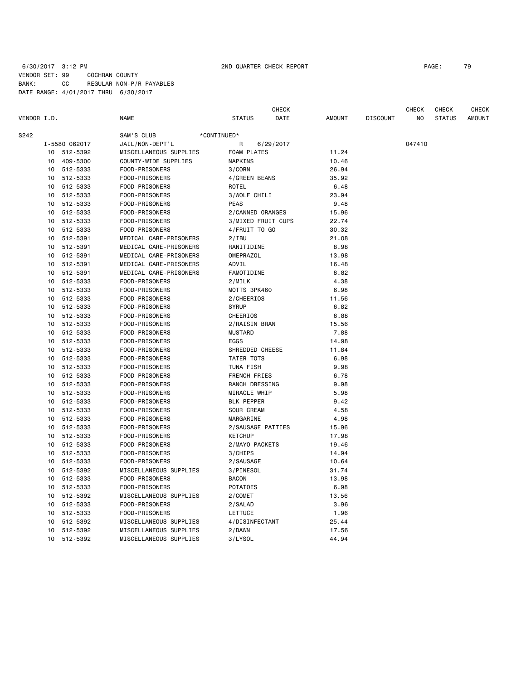### 6/30/2017 3:12 PM 2ND QUARTER CHECK REPORT PAGE: 79 VENDOR SET: 99 COCHRAN COUNTY BANK: CC REGULAR NON-P/R PAYABLES DATE RANGE: 4/01/2017 THRU 6/30/2017

 CHECK CHECK CHECK CHECK VENDOR I.D. NAME STATUS DATE AMOUNT DISCOUNT NO STATUS AMOUNT S242 SAM'S CLUB \*CONTINUED\* I-5580 062017 JAIL/NON-DEPT'L R 6/29/2017 047410 10 512-5392 MISCELLANEOUS SUPPLIES FOAM PLATES 11.24 10 409-5300 COUNTY-WIDE SUPPLIES NAPKINS 10.46 10 512-5333 FOOD-PRISONERS 3/CORN 26.94 10 512-5333 FOOD-PRISONERS 4/GREEN BEANS 35.92 10 512-5333 FOOD-PRISONERS ROTEL 6.48 10 512-5333 FOOD-PRISONERS 3/WOLF CHILI 23.94 10 512-5333 FOOD-PRISONERS PEAS 9.48 10 512-5333 FOOD-PRISONERS 2/CANNED ORANGES 15.96 10 512-5333 FOOD-PRISONERS 3/MIXED FRUIT CUPS 22.74 10 512-5333 FOOD-PRISONERS 4/FRUIT TO GO 30.32 10 512-5391 MEDICAL CARE-PRISONERS 2/IBU 21.08 10 512-5391 MEDICAL CARE-PRISONERS RANITIDINE 8.98 10 512-5391 MEDICAL CARE-PRISONERS OMEPRAZOL 13.98 10 512-5391 MEDICAL CARE-PRISONERS ADVIL 16.48 10 512-5391 MEDICAL CARE-PRISONERS FAMOTIDINE 8.82 10 512-5333 FOOD-PRISONERS 2/MILK 4.38 10 512-5333 FOOD-PRISONERS MOTTS 3PK460 6.98 10 512-5333 FOOD-PRISONERS 2/CHEERIOS 11.56 10 512-5333 FOOD-PRISONERS SYRUP 6.82 10 512-5333 FOOD-PRISONERS CHEERIOS 6.88 10 512-5333 FOOD-PRISONERS 2/RAISIN BRAN 15.56 10 512-5333 FOOD-PRISONERS MUSTARD 7.88 10 512-5333 FOOD-PRISONERS EGGS 14.98 10 512-5333 FOOD-PRISONERS SHREDDED CHEESE 11.84 10 512-5333 FOOD-PRISONERS TATER TOTS 6.98 10 512-5333 FOOD-PRISONERS TUNA FISH 9.98 10 512-5333 FOOD-PRISONERS FRENCH FRIES 6.78 10 512-5333 FOOD-PRISONERS RANCH DRESSING 9.98 10 512-5333 FOOD-PRISONERS MIRACLE WHIP 5.98 10 512-5333 FOOD-PRISONERS BLK PEPPER 9.42 10 512-5333 FOOD-PRISONERS SOUR CREAM 4.58 10 512-5333 FOOD-PRISONERS MARGARINE 4.98 10 512-5333 FOOD-PRISONERS 2/SAUSAGE PATTIES 15.96 10 512-5333 FOOD-PRISONERS KETCHUP 17.98 10 512-5333 FOOD-PRISONERS 2/MAYO PACKETS 19.46 10 512-5333 FOOD-PRISONERS 3/CHIPS 14.94 10 512-5333 FOOD-PRISONERS 2/SAUSAGE 10.64 10 512-5392 MISCELLANEOUS SUPPLIES 3/PINESOL 31.74 10 512-5333 FOOD-PRISONERS BACON 13.98 10 512-5333 FOOD-PRISONERS POTATOES 6.98 10 512-5392 MISCELLANEOUS SUPPLIES 2/COMET 13.56 10 512-5333 FOOD-PRISONERS 2/SALAD 3.96 10 512-5333 FOOD-PRISONERS LETTUCE 1.96 10 512-5392 MISCELLANEOUS SUPPLIES 4/DISINFECTANT 25.44 10 512-5392 MISCELLANEOUS SUPPLIES 2/DAWN 17.56 10 512-5392 MISCELLANEOUS SUPPLIES 3/LYSOL 44.94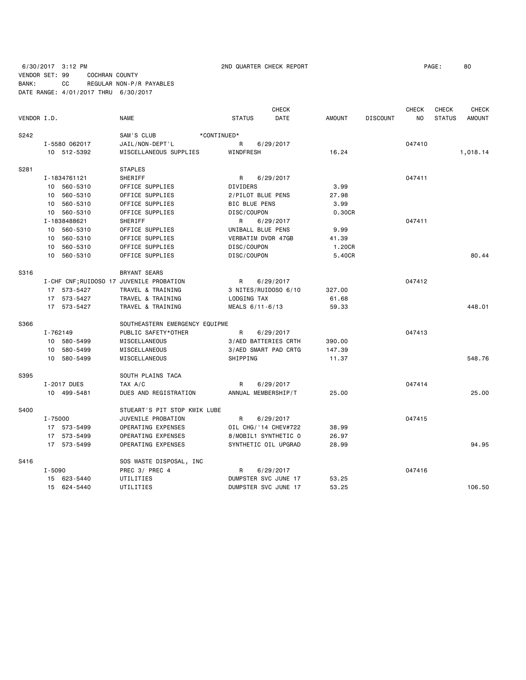6/30/2017 3:12 PM 2ND QUARTER CHECK REPORT PAGE: 80 VENDOR SET: 99 COCHRAN COUNTY BANK: CC REGULAR NON-P/R PAYABLES DATE RANGE: 4/01/2017 THRU 6/30/2017

|             |                                          |                                |                      | <b>CHECK</b>         |               |                 | <b>CHECK</b>   | <b>CHECK</b>  | <b>CHECK</b>  |
|-------------|------------------------------------------|--------------------------------|----------------------|----------------------|---------------|-----------------|----------------|---------------|---------------|
| VENDOR I.D. |                                          | <b>NAME</b>                    | <b>STATUS</b>        | DATE                 | <b>AMOUNT</b> | <b>DISCOUNT</b> | N <sub>O</sub> | <b>STATUS</b> | <b>AMOUNT</b> |
| S242        |                                          | SAM'S CLUB<br>*CONTINUED*      |                      |                      |               |                 |                |               |               |
|             | I-5580 062017                            | JAIL/NON-DEPT'L                | R                    | 6/29/2017            |               |                 | 047410         |               |               |
|             | 10 512-5392                              | MISCELLANEOUS SUPPLIES         | WINDFRESH            |                      | 16.24         |                 |                |               | 1,018.14      |
| S281        |                                          | <b>STAPLES</b>                 |                      |                      |               |                 |                |               |               |
|             | I-1834761121                             | SHERIFF                        | R                    | 6/29/2017            |               |                 | 047411         |               |               |
|             | 10 560-5310                              | OFFICE SUPPLIES                | DIVIDERS             |                      | 3.99          |                 |                |               |               |
|             | 560-5310<br>10                           | OFFICE SUPPLIES                | 2/PILOT BLUE PENS    |                      | 27.98         |                 |                |               |               |
|             | 10 560-5310                              | OFFICE SUPPLIES                | <b>BIC BLUE PENS</b> |                      | 3.99          |                 |                |               |               |
|             | 10 560-5310                              | OFFICE SUPPLIES                | DISC/COUPON          |                      | 0.30CR        |                 |                |               |               |
|             | I-1838488621                             | SHERIFF                        | R                    | 6/29/2017            |               |                 | 047411         |               |               |
|             | 10 560-5310                              | OFFICE SUPPLIES                | UNIBALL BLUE PENS    |                      | 9.99          |                 |                |               |               |
|             | 560-5310<br>10                           | OFFICE SUPPLIES                | VERBATIM DVDR 47GB   |                      | 41.39         |                 |                |               |               |
|             | 560-5310<br>10                           | OFFICE SUPPLIES                | DISC/COUPON          |                      | 1.20CR        |                 |                |               |               |
|             | 10 560-5310                              | OFFICE SUPPLIES                | DISC/COUPON          |                      | 5.40CR        |                 |                |               | 80.44         |
| S316        |                                          | BRYANT SEARS                   |                      |                      |               |                 |                |               |               |
|             | I-CHF CNF; RUIDOSO 17 JUVENILE PROBATION |                                | R                    | 6/29/2017            |               |                 | 047412         |               |               |
|             | 17 573-5427                              | TRAVEL & TRAINING              |                      | 3 NITES/RUIDOSO 6/10 | 327,00        |                 |                |               |               |
|             | 17 573-5427                              | TRAVEL & TRAINING              | LODGING TAX          |                      | 61.68         |                 |                |               |               |
|             | 17 573-5427                              | TRAVEL & TRAINING              | MEALS 6/11-6/13      |                      | 59.33         |                 |                |               | 448.01        |
| S366        |                                          | SOUTHEASTERN EMERGENCY EQUIPME |                      |                      |               |                 |                |               |               |
|             | I-762149                                 | PUBLIC SAFETY*OTHER            | R                    | 6/29/2017            |               |                 | 047413         |               |               |
|             | 10 580-5499                              | MISCELLANEOUS                  |                      | 3/AED BATTERIES CRTH | 390.00        |                 |                |               |               |
|             | 10 580-5499                              | MISCELLANEOUS                  |                      | 3/AED SMART PAD CRTG | 147.39        |                 |                |               |               |
|             | 10 580-5499                              | MISCELLANEOUS                  | SHIPPING             |                      | 11.37         |                 |                |               | 548.76        |
| S395        |                                          | SOUTH PLAINS TACA              |                      |                      |               |                 |                |               |               |
|             | I-2017 DUES                              | TAX A/C                        | R                    | 6/29/2017            |               |                 | 047414         |               |               |
|             | 10 499-5481                              | DUES AND REGISTRATION          | ANNUAL MEMBERSHIP/T  |                      | 25.00         |                 |                |               | 25.00         |
| S400        |                                          | STUEART'S PIT STOP KWIK LUBE   |                      |                      |               |                 |                |               |               |
|             | I-75000                                  | JUVENILE PROBATION             | R                    | 6/29/2017            |               |                 | 047415         |               |               |
|             | 17 573-5499                              | OPERATING EXPENSES             |                      | OIL CHG/'14 CHEV#722 | 38.99         |                 |                |               |               |
|             | 17 573-5499                              | OPERATING EXPENSES             |                      | 8/MOBIL1 SYNTHETIC 0 | 26.97         |                 |                |               |               |
|             | 17 573-5499                              | OPERATING EXPENSES             |                      | SYNTHETIC OIL UPGRAD | 28.99         |                 |                |               | 94.95         |
| S416        |                                          | SOS WASTE DISPOSAL, INC        |                      |                      |               |                 |                |               |               |
|             | $I - 5090$                               | PREC 3/ PREC 4                 | R                    | 6/29/2017            |               |                 | 047416         |               |               |
|             | 15 623-5440                              | UTILITIES                      |                      | DUMPSTER SVC JUNE 17 | 53.25         |                 |                |               |               |
|             | 15 624-5440                              | UTILITIES                      |                      | DUMPSTER SVC JUNE 17 | 53.25         |                 |                |               | 106.50        |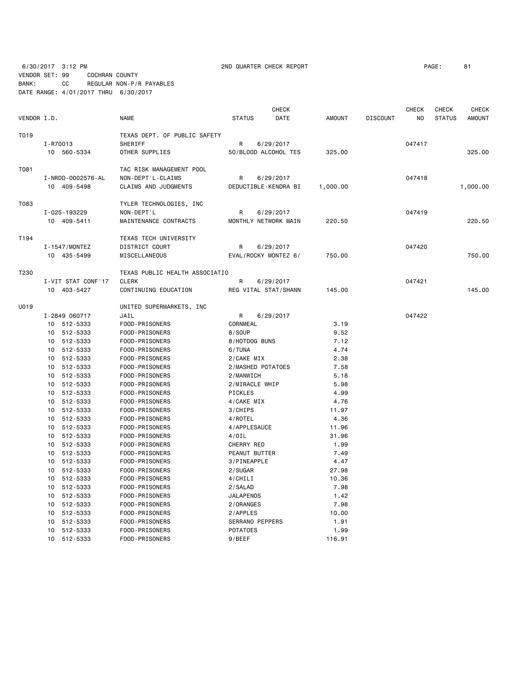6/30/2017 3:12 PM 2ND QUARTER CHECK REPORT PAGE: 81 VENDOR SET: 99 COCHRAN COUNTY

BANK: CC REGULAR NON-P/R PAYABLES DATE RANGE: 4/01/2017 THRU 6/30/2017

|             |                                        |                                                                              | CHECK                                  |               |                 | CHECK  | CHECK         | CHECK         |
|-------------|----------------------------------------|------------------------------------------------------------------------------|----------------------------------------|---------------|-----------------|--------|---------------|---------------|
| VENDOR I.D. |                                        | <b>NAME</b>                                                                  | <b>STATUS</b><br>DATE                  | <b>AMOUNT</b> | <b>DISCOUNT</b> | NO     | <b>STATUS</b> | <b>AMOUNT</b> |
| T019        | I-R70013<br>10 560-5334                | TEXAS DEPT. OF PUBLIC SAFETY<br>SHERIFF<br>OTHER SUPPLIES                    | 6/29/2017<br>R<br>50/BLOOD ALCOHOL TES | 325.00        |                 | 047417 |               | 325.00        |
|             |                                        |                                                                              |                                        |               |                 |        |               |               |
| T081        | I - NRDD - 0002576 - AL<br>10 409-5498 | TAC RISK MANAGEMENT POOL<br>NON-DEPT'L-CLAIMS<br><b>CLAIMS AND JUDGMENTS</b> | 6/29/2017<br>R<br>DEDUCTIBLE-KENDRA BI | 1,000.00      |                 | 047418 |               | 1,000.00      |
|             |                                        |                                                                              |                                        |               |                 |        |               |               |
| T083        |                                        | TYLER TECHNOLOGIES, INC                                                      |                                        |               |                 |        |               |               |
|             | I-025-193229                           | NON-DEPT'L                                                                   | R<br>6/29/2017                         |               |                 | 047419 |               |               |
|             | 10 409-5411                            | MAINTENANCE CONTRACTS                                                        | MONTHLY NETWORK MAIN                   | 220.50        |                 |        |               | 220.50        |
| T194        |                                        | TEXAS TECH UNIVERSITY                                                        |                                        |               |                 |        |               |               |
|             | I-1547/MONTEZ                          | DISTRICT COURT                                                               | 6/29/2017<br>R                         |               |                 | 047420 |               |               |
|             | 10 435-5499                            | MISCELLANEOUS                                                                | EVAL/ROCKY MONTEZ 6/                   | 750.00        |                 |        |               | 750.00        |
| T230        |                                        | TEXAS PUBLIC HEALTH ASSOCIATIO                                               |                                        |               |                 |        |               |               |
|             | I-VIT STAT CONF'17                     | <b>CLERK</b>                                                                 | R<br>6/29/2017                         |               |                 | 047421 |               |               |
|             | 10 403-5427                            | CONTINUING EDUCATION                                                         | REG VITAL STAT/SHANN                   | 145.00        |                 |        |               | 145.00        |
|             |                                        |                                                                              |                                        |               |                 |        |               |               |
| U019        |                                        | UNITED SUPERMARKETS, INC                                                     |                                        |               |                 |        |               |               |
|             | I-2849 060717                          | JAIL                                                                         | R<br>6/29/2017                         |               |                 | 047422 |               |               |
|             | 10 512-5333                            | FOOD-PRISONERS                                                               | CORNMEAL<br>8/S0UP                     | 3.19          |                 |        |               |               |
|             | 10 512-5333<br>10 512-5333             | FOOD-PRISONERS<br>FOOD-PRISONERS                                             | 8/HOTDOG BUNS                          | 9.52<br>7.12  |                 |        |               |               |
|             | 512-5333<br>10                         | FOOD-PRISONERS                                                               | 6/TUNA                                 | 4.74          |                 |        |               |               |
|             | 10<br>512-5333                         | FOOD-PRISONERS                                                               | 2/CAKE MIX                             | 2.38          |                 |        |               |               |
|             | 512-5333<br>10                         |                                                                              | 2/MASHED POTATOES                      | 7.58          |                 |        |               |               |
|             | 512-5333                               | FOOD-PRISONERS<br>FOOD-PRISONERS                                             |                                        | 5.18          |                 |        |               |               |
|             | 10<br>512-5333<br>10                   |                                                                              | 2/MANWICH<br>2/MIRACLE WHIP            | 5.98          |                 |        |               |               |
|             | 10 512-5333                            | FOOD-PRISONERS<br>FOOD-PRISONERS                                             | PICKLES                                | 4.99          |                 |        |               |               |
|             | 10 512-5333                            | FOOD-PRISONERS                                                               | 4/CAKE MIX                             | 4.76          |                 |        |               |               |
|             | 512-5333<br>10                         | FOOD-PRISONERS                                                               | 3/CHIPS                                | 11.97         |                 |        |               |               |
|             | 10 512-5333                            | FOOD-PRISONERS                                                               | 4/ROTEL                                | 4.36          |                 |        |               |               |
|             | 10 512-5333                            | FOOD-PRISONERS                                                               | 4/APPLESAUCE                           | 11.96         |                 |        |               |               |
|             | 10 512-5333                            | FOOD-PRISONERS                                                               | $4/0$ IL                               | 31.96         |                 |        |               |               |
|             | 10<br>512-5333                         | FOOD-PRISONERS                                                               | CHERRY RED                             | 1.99          |                 |        |               |               |
|             | 10 512-5333                            | FOOD-PRISONERS                                                               | PEANUT BUTTER                          | 7.49          |                 |        |               |               |
|             | 512-5333<br>10                         | FOOD-PRISONERS                                                               | 3/PINEAPPLE                            | 4.47          |                 |        |               |               |
|             | 512-5333<br>10                         | FOOD-PRISONERS                                                               | 2/SUGAR                                | 27.98         |                 |        |               |               |
|             | 512-5333<br>10                         | FOOD-PRISONERS                                                               | 4/CHILI                                | 10.36         |                 |        |               |               |
|             | 10 512-5333                            | FOOD-PRISONERS                                                               | 2/SALAD                                | 7.98          |                 |        |               |               |
|             | 10 512-5333                            | FOOD-PRISONERS                                                               | <b>JALAPENOS</b>                       | 1.42          |                 |        |               |               |
|             | 10 512-5333                            | FOOD-PRISONERS                                                               | 2/ORANGES                              | 7.98          |                 |        |               |               |
|             | 512-5333<br>10                         | FOOD-PRISONERS                                                               | 2/APPLES                               | 10.00         |                 |        |               |               |
|             | 512-5333<br>10                         | FOOD-PRISONERS                                                               | SERRANO PEPPERS                        | 1.91          |                 |        |               |               |
|             | 512-5333<br>10                         | FOOD-PRISONERS                                                               | <b>POTATOES</b>                        | 1.99          |                 |        |               |               |
|             | 10<br>512-5333                         | FOOD-PRISONERS                                                               | 9/BEEF                                 | 116.91        |                 |        |               |               |
|             |                                        |                                                                              |                                        |               |                 |        |               |               |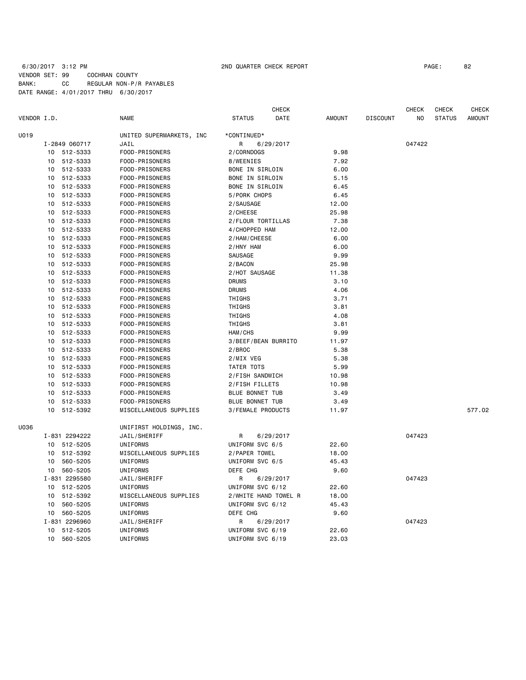### 6/30/2017 3:12 PM 2ND QUARTER CHECK REPORT PAGE: 82 VENDOR SET: 99 COCHRAN COUNTY BANK: CC REGULAR NON-P/R PAYABLES DATE RANGE: 4/01/2017 THRU 6/30/2017

|             |                                  |               |                          |                          | <b>CHECK</b>         |               |                 | <b>CHECK</b> | CHECK         | <b>CHECK</b>  |
|-------------|----------------------------------|---------------|--------------------------|--------------------------|----------------------|---------------|-----------------|--------------|---------------|---------------|
| VENDOR I.D. |                                  |               | NAME                     | <b>STATUS</b>            | DATE                 | <b>AMOUNT</b> | <b>DISCOUNT</b> | ΝO           | <b>STATUS</b> | <b>AMOUNT</b> |
| U019        |                                  |               | UNITED SUPERMARKETS, INC | *CONTINUED*              |                      |               |                 |              |               |               |
|             |                                  | I-2849 060717 | JAIL                     | R                        | 6/29/2017            |               |                 | 047422       |               |               |
|             |                                  | 10 512-5333   | FOOD-PRISONERS           | 2/CORNDOGS               |                      | 9.98          |                 |              |               |               |
|             |                                  | 10 512-5333   | FOOD-PRISONERS           | 8/WEENIES                |                      | 7.92          |                 |              |               |               |
|             | 10                               | 512-5333      | FOOD-PRISONERS           | BONE IN SIRLOIN          |                      | 6.00          |                 |              |               |               |
|             | 512-5333<br>FOOD-PRISONERS<br>10 |               |                          | BONE IN SIRLOIN          |                      | 5.15          |                 |              |               |               |
|             | 10                               | 512-5333      | FOOD-PRISONERS           | BONE IN SIRLOIN          |                      | 6.45          |                 |              |               |               |
|             | 10                               | 512-5333      | FOOD-PRISONERS           | 5/PORK CHOPS             |                      | 6.45          |                 |              |               |               |
|             | 10                               | 512-5333      | FOOD-PRISONERS           | 2/SAUSAGE                |                      | 12.00         |                 |              |               |               |
|             | 10                               | 512-5333      | FOOD-PRISONERS           | 2/CHEESE                 |                      | 25.98         |                 |              |               |               |
|             | 10                               | 512-5333      | FOOD-PRISONERS           | 2/FLOUR TORTILLAS        |                      | 7.38          |                 |              |               |               |
|             | 10                               | 512-5333      | FOOD-PRISONERS           | 4/CHOPPED HAM            |                      | 12.00         |                 |              |               |               |
|             |                                  | 10 512-5333   | FOOD-PRISONERS           | 2/HAM/CHEESE             |                      | 6.00          |                 |              |               |               |
|             | 10                               | 512-5333      | FOOD-PRISONERS           | 2/HNY HAM                |                      | 6.00          |                 |              |               |               |
|             |                                  | 10 512-5333   | FOOD-PRISONERS           | SAUSAGE                  |                      | 9.99          |                 |              |               |               |
|             |                                  | 10 512-5333   | FOOD-PRISONERS           | 2/BACON                  |                      | 25.98         |                 |              |               |               |
|             |                                  | 10 512-5333   | FOOD-PRISONERS           | 2/HOT SAUSAGE            |                      | 11.38         |                 |              |               |               |
|             | 10                               | 512-5333      | FOOD-PRISONERS           | <b>DRUMS</b>             |                      | 3.10          |                 |              |               |               |
|             | 10                               | 512-5333      | FOOD-PRISONERS           | <b>DRUMS</b>             |                      | 4.06          |                 |              |               |               |
|             | 10                               | 512-5333      | FOOD-PRISONERS           | THIGHS                   |                      | 3.71          |                 |              |               |               |
|             | 10                               | 512-5333      | FOOD-PRISONERS           | THIGHS                   |                      | 3.81          |                 |              |               |               |
|             | 10                               | 512-5333      | FOOD-PRISONERS           | THIGHS                   |                      | 4.08          |                 |              |               |               |
|             | 10                               | 512-5333      | FOOD-PRISONERS           | THIGHS                   |                      | 3.81          |                 |              |               |               |
|             | 10                               | 512-5333      | FOOD-PRISONERS           | HAM/CHS                  |                      | 9.99          |                 |              |               |               |
|             | 10                               | 512-5333      | FOOD-PRISONERS           | 3/BEEF/BEAN BURRITO      |                      | 11.97         |                 |              |               |               |
|             | 10                               | 512-5333      | FOOD-PRISONERS           | 2/BROC                   |                      | 5.38          |                 |              |               |               |
|             | 10                               | 512-5333      | FOOD-PRISONERS           | 2/MIX VEG                |                      | 5.38          |                 |              |               |               |
|             | 10                               | 512-5333      |                          | TATER TOTS               |                      | 5.99          |                 |              |               |               |
|             |                                  |               | FOOD-PRISONERS           |                          |                      |               |                 |              |               |               |
|             | 10                               | 512-5333      | FOOD-PRISONERS           | 2/FISH SANDWICH          |                      | 10.98         |                 |              |               |               |
|             | 10                               | 512-5333      | FOOD-PRISONERS           | 2/FISH FILLETS           |                      | 10.98         |                 |              |               |               |
|             | 10                               | 512-5333      | FOOD-PRISONERS           | BLUE BONNET TUB          |                      | 3.49          |                 |              |               |               |
|             | 10                               | 512-5333      | FOOD-PRISONERS           | BLUE BONNET TUB          |                      | 3.49          |                 |              |               | 577.02        |
|             | 10                               | 512-5392      | MISCELLANEOUS SUPPLIES   | <b>3/FEMALE PRODUCTS</b> |                      | 11.97         |                 |              |               |               |
| U036        |                                  |               | UNIFIRST HOLDINGS, INC.  |                          |                      |               |                 |              |               |               |
|             |                                  | I-831 2294222 | JAIL/SHERIFF             | R                        | 6/29/2017            |               |                 | 047423       |               |               |
|             |                                  | 10 512-5205   | UNIFORMS                 | UNIFORM SVC 6/5          |                      | 22.60         |                 |              |               |               |
|             |                                  | 10 512-5392   | MISCELLANEOUS SUPPLIES   | 2/PAPER TOWEL            |                      | 18.00         |                 |              |               |               |
|             | 10                               | 560-5205      | UNIFORMS                 | UNIFORM SVC 6/5          |                      | 45.43         |                 |              |               |               |
|             |                                  | 10 560-5205   | UNIFORMS                 | DEFE CHG                 |                      | 9.60          |                 |              |               |               |
|             |                                  | I-831 2295580 | JAIL/SHERIFF             | R                        | 6/29/2017            |               |                 | 047423       |               |               |
|             |                                  | 10 512-5205   | UNIFORMS                 | UNIFORM SVC 6/12         |                      | 22.60         |                 |              |               |               |
|             | 10                               | 512-5392      | MISCELLANEOUS SUPPLIES   |                          | 2/WHITE HAND TOWEL R | 18.00         |                 |              |               |               |
|             | 10                               | 560-5205      | UNIFORMS                 | UNIFORM SVC 6/12         |                      | 45.43         |                 |              |               |               |
|             | 10                               | 560-5205      | UNIFORMS                 | DEFE CHG                 |                      | 9.60          |                 |              |               |               |
|             |                                  | I-831 2296960 | JAIL/SHERIFF             | R                        | 6/29/2017            |               |                 | 047423       |               |               |
|             | 10                               | 512-5205      | <b>UNIFORMS</b>          | UNIFORM SVC 6/19         |                      | 22.60         |                 |              |               |               |
|             | 10                               | 560-5205      | <b>UNIFORMS</b>          | UNIFORM SVC 6/19         |                      | 23.03         |                 |              |               |               |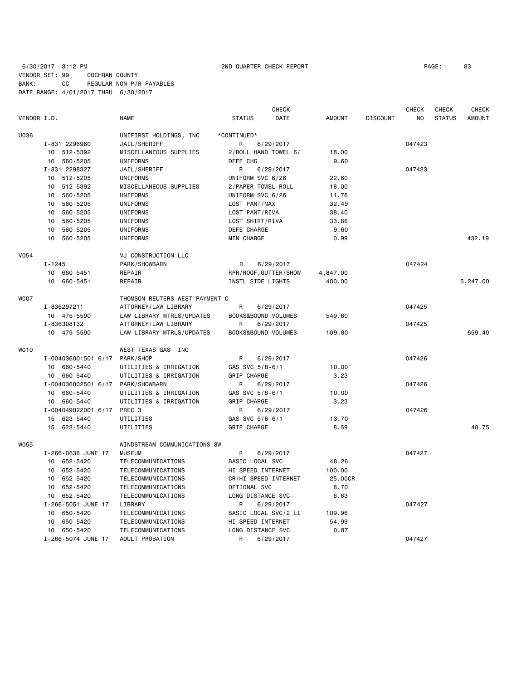### 6/30/2017 3:12 PM 2ND QUARTER CHECK REPORT PAGE: 83 VENDOR SET: 99 COCHRAN COUNTY BANK: CC REGULAR NON-P/R PAYABLES DATE RANGE: 4/01/2017 THRU 6/30/2017

|             |                                   |                                | CHECK                 |               |                 | <b>CHECK</b> | CHECK         | <b>CHECK</b>  |
|-------------|-----------------------------------|--------------------------------|-----------------------|---------------|-----------------|--------------|---------------|---------------|
| VENDOR I.D. |                                   | NAME                           | <b>STATUS</b><br>DATE | <b>AMOUNT</b> | <b>DISCOUNT</b> | NO.          | <b>STATUS</b> | <b>AMOUNT</b> |
| U036        |                                   | UNIFIRST HOLDINGS, INC         | *CONTINUED*           |               |                 |              |               |               |
|             | I-831 2296960                     | JAIL/SHERIFF                   | 6/29/2017<br>R        |               |                 | 047423       |               |               |
|             | 10 512-5392                       | MISCELLANEOUS SUPPLIES         | 2/ROLL HAND TOWEL 6/  | 18.00         |                 |              |               |               |
|             | 10 560-5205                       | UNIFORMS                       | DEFE CHG              | 9.60          |                 |              |               |               |
|             | I-831 2298327                     | JAIL/SHERIFF                   | R<br>6/29/2017        |               |                 | 047423       |               |               |
|             | 10 512-5205                       | UNIFORMS                       | UNIFORM SVC 6/26      | 22.60         |                 |              |               |               |
|             | 512-5392<br>10                    | MISCELLANEOUS SUPPLIES         | 2/PAPER TOWEL ROLL    | 18.00         |                 |              |               |               |
|             | 10<br>560-5205                    | UNIFORMS                       | UNIFORM SVC 6/26      | 11.76         |                 |              |               |               |
|             | 560-5205<br>10                    | UNIFORMS                       | LOST PANT/MAX         | 32.49         |                 |              |               |               |
|             | 560-5205<br>10                    | UNIFORMS                       | LOST PANT/RIVA        | 38.40         |                 |              |               |               |
|             | 560-5205<br>10                    | UNIFORMS                       | LOST SHIRT/RIVA       | 33.86         |                 |              |               |               |
|             | 560-5205<br>10                    | UNIFORMS                       | DEFE CHARGE           | 9.60          |                 |              |               |               |
|             | 10 560-5205                       | UNIFORMS                       | MIN CHARGE            | 0.99          |                 |              |               | 432.19        |
|             |                                   |                                |                       |               |                 |              |               |               |
| V054        |                                   | VJ CONSTRUCTION LLC            |                       |               |                 |              |               |               |
|             | $I - 1245$                        | PARK/SHOWBARN                  | R<br>6/29/2017        |               |                 | 047424       |               |               |
|             | 10 660-5451                       | REPAIR                         | RPR/ROOF, GUTTER/SHOW | 4,847.00      |                 |              |               |               |
|             | 10 660-5451                       | REPAIR                         | INSTL SIDE LIGHTS     | 400.00        |                 |              |               | 5,247.00      |
| <b>WOO7</b> |                                   | THOMSON REUTERS-WEST PAYMENT C |                       |               |                 |              |               |               |
|             | I-836297211                       | ATTORNEY/LAW LIBRARY           | R<br>6/29/2017        |               |                 | 047425       |               |               |
|             | 10 475-5590                       | LAW LIBRARY MTRLS/UPDATES      | BOOKS&BOUND VOLUMES   | 549.60        |                 |              |               |               |
|             | I-836308132                       | ATTORNEY/LAW LIBRARY           | R<br>6/29/2017        |               |                 | 047425       |               |               |
|             | 10 475-5590                       | LAW LIBRARY MTRLS/UPDATES      | BOOKS&BOUND VOLUMES   | 109.80        |                 |              |               | 659.40        |
|             |                                   |                                |                       |               |                 |              |               |               |
| WO10        |                                   | WEST TEXAS GAS INC             |                       |               |                 |              |               |               |
|             | I-004036001501 6/17               | PARK/SHOP                      | R<br>6/29/2017        |               |                 | 047426       |               |               |
|             | 10 660-5440                       | UTILITIES & IRRIGATION         | GAS SVC 5/8-6/1       | 10.00         |                 |              |               |               |
|             | 10 660-5440                       | UTILITIES & IRRIGATION         | GRIP CHARGE           | 3.23          |                 |              |               |               |
|             | I-004036002501 6/17 PARK/SHOWBARN |                                | R<br>6/29/2017        |               |                 | 047426       |               |               |
|             | 10<br>660-5440                    | UTILITIES & IRRIGATION         | GAS SVC 5/8-6/1       | 10.00         |                 |              |               |               |
|             | 660-5440<br>10                    | UTILITIES & IRRIGATION         | <b>GRIP CHARGE</b>    | 3.23          |                 |              |               |               |
|             | I-004049022001 6/17 PREC 3        |                                | R<br>6/29/2017        |               |                 | 047426       |               |               |
|             | 15 623-5440                       | UTILITIES                      | GAS SVC 5/8-6/1       | 13.70         |                 |              |               |               |
|             | 15 623-5440                       | UTILITIES                      | GRIP CHARGE           | 8.59          |                 |              |               | 48.75         |
| W055        |                                   | WINDSTREAM COMMUNICATIONS SW   |                       |               |                 |              |               |               |
|             | I-266-0638 JUNE 17                | <b>MUSEUM</b>                  | R<br>6/29/2017        |               |                 | 047427       |               |               |
|             | 10 652-5420                       | TELECOMMUNICATIONS             | BASIC LOCAL SVC       | 48.26         |                 |              |               |               |
|             | 10 652-5420                       | TELECOMMUNICATIONS             | HI SPEED INTERNET     | 100.00        |                 |              |               |               |
|             | 10 652-5420                       | TELECOMMUNICATIONS             | CR/HI SPEED INTERNET  | 25.00CR       |                 |              |               |               |
|             | 10 652-5420                       | TELECOMMUNICATIONS             | OPTIONAL SVC          | 8.70          |                 |              |               |               |
|             |                                   |                                |                       |               |                 |              |               |               |
|             | 10 652-5420<br>I-266-5051 JUNE 17 | TELECOMMUNICATIONS<br>LIBRARY  | LONG DISTANCE SVC     | 6.63          |                 | 047427       |               |               |
|             | 10                                |                                | 6/29/2017<br>R        |               |                 |              |               |               |
|             | 650-5420                          | TELECOMMUNICATIONS             | BASIC LOCAL SVC/2 LI  | 109.96        |                 |              |               |               |
|             | 650-5420<br>10 <sub>1</sub>       | TELECOMMUNICATIONS             | HI SPEED INTERNET     | 54.99         |                 |              |               |               |
|             | 10 650-5420                       | TELECOMMUNICATIONS             | LONG DISTANCE SVC     | 0.87          |                 | 047427       |               |               |
|             | I-266-5074 JUNE 17                | ADULT PROBATION                | R<br>6/29/2017        |               |                 |              |               |               |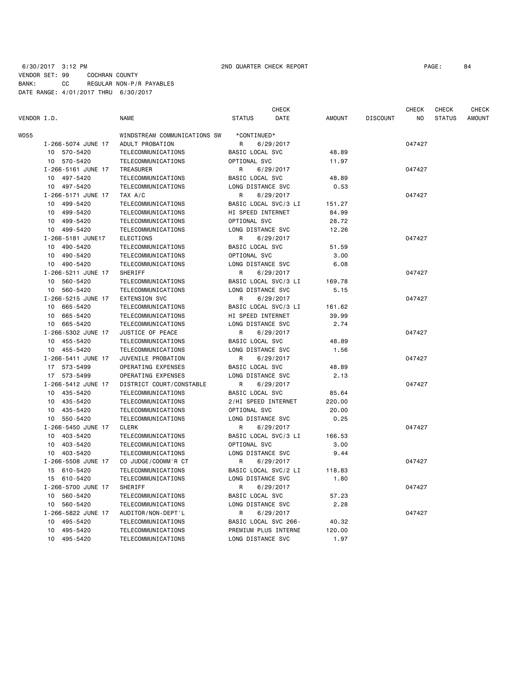### 6/30/2017 3:12 PM 2ND QUARTER CHECK REPORT PAGE: 84 VENDOR SET: 99 COCHRAN COUNTY BANK: CC REGULAR NON-P/R PAYABLES DATE RANGE: 4/01/2017 THRU 6/30/2017

| VENDOR I.D. |                    | <b>NAME</b>                  | <b>STATUS</b>            | <b>CHECK</b><br>DATE | <b>AMOUNT</b> | <b>DISCOUNT</b> | <b>CHECK</b><br>NO | <b>CHECK</b><br><b>STATUS</b> | <b>CHECK</b><br><b>AMOUNT</b> |
|-------------|--------------------|------------------------------|--------------------------|----------------------|---------------|-----------------|--------------------|-------------------------------|-------------------------------|
| W055        |                    | WINDSTREAM COMMUNICATIONS SW | *CONTINUED*              |                      |               |                 |                    |                               |                               |
|             | I-266-5074 JUNE 17 | ADULT PROBATION              | R                        | 6/29/2017            |               |                 | 047427             |                               |                               |
|             | 10 570-5420        | TELECOMMUNICATIONS           | BASIC LOCAL SVC          |                      | 48.89         |                 |                    |                               |                               |
|             | 10 570-5420        | TELECOMMUNICATIONS           | OPTIONAL SVC             |                      | 11.97         |                 |                    |                               |                               |
|             | I-266-5161 JUNE 17 | TREASURER                    | R                        | 6/29/2017            |               |                 | 047427             |                               |                               |
|             | 10 497-5420        | TELECOMMUNICATIONS           | BASIC LOCAL SVC          |                      | 48.89         |                 |                    |                               |                               |
|             | 10 497-5420        | TELECOMMUNICATIONS           | LONG DISTANCE SVC        |                      | 0.53          |                 |                    |                               |                               |
|             | I-266-5171 JUNE 17 | TAX A/C                      | R                        | 6/29/2017            |               |                 | 047427             |                               |                               |
|             | 10 499-5420        | TELECOMMUNICATIONS           | BASIC LOCAL SVC/3 LI     |                      | 151.27        |                 |                    |                               |                               |
|             | 10<br>499-5420     | TELECOMMUNICATIONS           | <b>HI SPEED INTERNET</b> |                      | 84.99         |                 |                    |                               |                               |
|             | 499-5420<br>10     | TELECOMMUNICATIONS           | OPTIONAL SVC             |                      | 28.72         |                 |                    |                               |                               |
|             | 10 499-5420        | TELECOMMUNICATIONS           | LONG DISTANCE SVC        |                      | 12.26         |                 |                    |                               |                               |
|             | I-266-5181 JUNE17  | <b>ELECTIONS</b>             | R                        | 6/29/2017            |               |                 | 047427             |                               |                               |
|             | 10 490-5420        | TELECOMMUNICATIONS           | BASIC LOCAL SVC          |                      | 51.59         |                 |                    |                               |                               |
|             | 10 490-5420        | TELECOMMUNICATIONS           | OPTIONAL SVC             |                      | 3.00          |                 |                    |                               |                               |
|             | 10 490-5420        | TELECOMMUNICATIONS           | LONG DISTANCE SVC        |                      | 6.08          |                 |                    |                               |                               |
|             | I-266-5211 JUNE 17 | SHERIFF                      | R                        | 6/29/2017            |               |                 | 047427             |                               |                               |
|             | 10 560-5420        | TELECOMMUNICATIONS           | BASIC LOCAL SVC/3 LI     |                      | 169.78        |                 |                    |                               |                               |
|             | 560-5420<br>10     | TELECOMMUNICATIONS           | LONG DISTANCE SVC        |                      | 5.15          |                 |                    |                               |                               |
|             | I-266-5215 JUNE 17 | EXTENSION SVC                | R                        | 6/29/2017            |               |                 | 047427             |                               |                               |
|             | 10 665-5420        | TELECOMMUNICATIONS           | BASIC LOCAL SVC/3 LI     |                      | 161.62        |                 |                    |                               |                               |
|             | 665-5420<br>10     | TELECOMMUNICATIONS           | HI SPEED INTERNET        |                      | 39.99         |                 |                    |                               |                               |
|             | 10 665-5420        | TELECOMMUNICATIONS           | LONG DISTANCE SVC        |                      | 2.74          |                 |                    |                               |                               |
|             | I-266-5302 JUNE 17 | JUSTICE OF PEACE             | R                        | 6/29/2017            |               |                 | 047427             |                               |                               |
|             | 10 455-5420        | TELECOMMUNICATIONS           | BASIC LOCAL SVC          |                      | 48.89         |                 |                    |                               |                               |
|             | 10 455-5420        | TELECOMMUNICATIONS           | LONG DISTANCE SVC        |                      | 1.56          |                 |                    |                               |                               |
|             | I-266-5411 JUNE 17 | JUVENILE PROBATION           | R                        | 6/29/2017            |               |                 | 047427             |                               |                               |
|             | 17 573-5499        | OPERATING EXPENSES           | BASIC LOCAL SVC          |                      | 48.89         |                 |                    |                               |                               |
|             | 17 573-5499        | OPERATING EXPENSES           | LONG DISTANCE SVC        |                      | 2.13          |                 |                    |                               |                               |
|             | I-266-5412 JUNE 17 | DISTRICT COURT/CONSTABLE     | R                        | 6/29/2017            |               |                 | 047427             |                               |                               |
|             | 10 435-5420        | TELECOMMUNICATIONS           | BASIC LOCAL SVC          |                      | 85.64         |                 |                    |                               |                               |
|             | 435-5420<br>10     | TELECOMMUNICATIONS           | 2/HI SPEED INTERNET      |                      | 220.00        |                 |                    |                               |                               |
|             | 435-5420<br>10     | TELECOMMUNICATIONS           | OPTIONAL SVC             |                      | 20.00         |                 |                    |                               |                               |
|             | 550-5420<br>10     | TELECOMMUNICATIONS           | LONG DISTANCE SVC        |                      | 0.25          |                 |                    |                               |                               |
|             | I-266-5450 JUNE 17 | <b>CLERK</b>                 | R                        | 6/29/2017            |               |                 | 047427             |                               |                               |
|             | 10<br>403-5420     | TELECOMMUNICATIONS           | BASIC LOCAL SVC/3 LI     |                      | 166.53        |                 |                    |                               |                               |
|             | 403-5420<br>10     | TELECOMMUNICATIONS           | OPTIONAL SVC             |                      | 3.00          |                 |                    |                               |                               |
|             | 10 403-5420        | TELECOMMUNICATIONS           | LONG DISTANCE SVC        |                      | 9.44          |                 |                    |                               |                               |
|             | I-266-5508 JUNE 17 | CO JUDGE/COOMM'R CT          | R                        | 6/29/2017            |               |                 | 047427             |                               |                               |
|             | 15 610-5420        | TELECOMMUNICATIONS           | BASIC LOCAL SVC/2 LI     |                      | 118.83        |                 |                    |                               |                               |
|             | 15 610-5420        | TELECOMMUNICATIONS           | LONG DISTANCE SVC        |                      | 1.80          |                 |                    |                               |                               |
|             | I-266-5700 JUNE 17 | SHERIFF                      | R                        | 6/29/2017            |               |                 | 047427             |                               |                               |
|             | 10 560-5420        | TELECOMMUNICATIONS           | BASIC LOCAL SVC          |                      | 57.23         |                 |                    |                               |                               |
|             | 10 560-5420        | TELECOMMUNICATIONS           | LONG DISTANCE SVC        |                      | 2.28          |                 |                    |                               |                               |
|             | I-266-5822 JUNE 17 | AUDITOR/NON-DEPT'L           | R                        | 6/29/2017            |               |                 | 047427             |                               |                               |
|             | 495-5420<br>10     | TELECOMMUNICATIONS           | BASIC LOCAL SVC 266-     |                      | 40.32         |                 |                    |                               |                               |
|             | 10<br>495-5420     | TELECOMMUNICATIONS           | PREMIUM PLUS INTERNE     |                      | 120.00        |                 |                    |                               |                               |
|             | 10<br>495-5420     | TELECOMMUNICATIONS           | LONG DISTANCE SVC        |                      | 1.97          |                 |                    |                               |                               |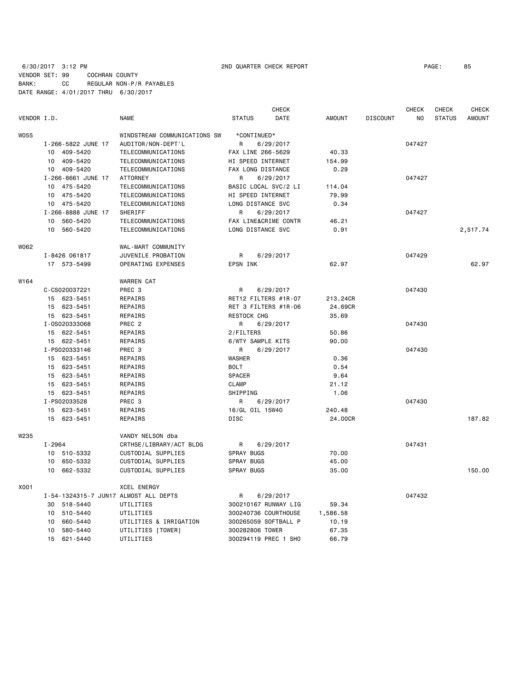### 6/30/2017 3:12 PM 2ND QUARTER CHECK REPORT PAGE: 85 VENDOR SET: 99 COCHRAN COUNTY BANK: CC REGULAR NON-P/R PAYABLES DATE RANGE: 4/01/2017 THRU 6/30/2017

|             |                    |                                       |                   | <b>CHECK</b>         |               |                 | <b>CHECK</b> | CHECK         | <b>CHECK</b>  |
|-------------|--------------------|---------------------------------------|-------------------|----------------------|---------------|-----------------|--------------|---------------|---------------|
| VENDOR I.D. |                    | <b>NAME</b>                           | <b>STATUS</b>     | DATE                 | <b>AMOUNT</b> | <b>DISCOUNT</b> | NO           | <b>STATUS</b> | <b>AMOUNT</b> |
| <b>W055</b> |                    | WINDSTREAM COMMUNICATIONS SW          | *CONTINUED*       |                      |               |                 |              |               |               |
|             | I-266-5822 JUNE 17 | AUDITOR/NON-DEPT'L                    | R                 | 6/29/2017            |               |                 | 047427       |               |               |
|             | 10 409-5420        | TELECOMMUNICATIONS                    | FAX LINE 266-5629 |                      | 40.33         |                 |              |               |               |
|             | 10 409-5420        | TELECOMMUNICATIONS                    | HI SPEED INTERNET |                      | 154.99        |                 |              |               |               |
|             | 10 409-5420        | TELECOMMUNICATIONS                    | FAX LONG DISTANCE |                      | 0.29          |                 |              |               |               |
|             | I-266-8661 JUNE 17 | <b>ATTORNEY</b>                       | R                 | 6/29/2017            |               |                 | 047427       |               |               |
|             | 10<br>475-5420     | TELECOMMUNICATIONS                    |                   | BASIC LOCAL SVC/2 LI | 114.04        |                 |              |               |               |
|             | 10<br>475-5420     | TELECOMMUNICATIONS                    | HI SPEED INTERNET |                      | 79.99         |                 |              |               |               |
|             | 10 475-5420        | TELECOMMUNICATIONS                    | LONG DISTANCE SVC |                      | 0.34          |                 |              |               |               |
|             | I-266-8888 JUNE 17 | SHERIFF                               | R                 | 6/29/2017            |               |                 | 047427       |               |               |
|             | 560-5420<br>10     | TELECOMMUNICATIONS                    |                   | FAX LINE&CRIME CONTR | 46.21         |                 |              |               |               |
|             | 560-5420<br>10     | TELECOMMUNICATIONS                    | LONG DISTANCE SVC |                      | 0.91          |                 |              |               | 2,517.74      |
| W062        |                    | WAL-MART COMMUNITY                    |                   |                      |               |                 |              |               |               |
|             | I-8426 061817      | JUVENILE PROBATION                    | R                 | 6/29/2017            |               |                 | 047429       |               |               |
|             | 17 573-5499        | OPERATING EXPENSES                    | EPSN INK          |                      | 62.97         |                 |              |               | 62.97         |
| W164        |                    | <b>WARREN CAT</b>                     |                   |                      |               |                 |              |               |               |
|             | C-CS020037221      | PREC <sub>3</sub>                     | R                 | 6/29/2017            |               |                 | 047430       |               |               |
|             | 15 623-5451        | REPAIRS                               |                   | RET12 FILTERS #1R-07 | 213,24CR      |                 |              |               |               |
|             | 15 623-5451        | REPAIRS                               |                   | RET 3 FILTERS #1R-06 | 24.69CR       |                 |              |               |               |
|             | 15 623-5451        | REPAIRS                               | RESTOCK CHG       |                      | 35.69         |                 |              |               |               |
|             | I-0S020333068      | PREC <sub>2</sub>                     | R                 | 6/29/2017            |               |                 | 047430       |               |               |
|             | 15 622-5451        | REPAIRS                               | 2/FILTERS         |                      | 50.86         |                 |              |               |               |
|             | 15 622-5451        | REPAIRS                               | 6/WTY SAMPLE KITS |                      | 90.00         |                 |              |               |               |
|             | I-PS020333146      | PREC <sub>3</sub>                     | R                 | 6/29/2017            |               |                 | 047430       |               |               |
|             | 15 623-5451        | REPAIRS                               | <b>WASHER</b>     |                      | 0.36          |                 |              |               |               |
|             | 15 623-5451        | REPAIRS                               | <b>BOLT</b>       |                      | 0.54          |                 |              |               |               |
|             | 623-5451<br>15     | REPAIRS                               | <b>SPACER</b>     |                      | 9.64          |                 |              |               |               |
|             | 15<br>623-5451     | REPAIRS                               | <b>CLAMP</b>      |                      | 21.12         |                 |              |               |               |
|             | 15 623-5451        | REPAIRS                               | SHIPPING          |                      | 1.06          |                 |              |               |               |
|             | I-PS02033528       | PREC <sub>3</sub>                     | R                 | 6/29/2017            |               |                 | 047430       |               |               |
|             | 15 623-5451        | REPAIRS                               | 16/GL OIL 15W40   |                      | 240.48        |                 |              |               |               |
|             | 15 623-5451        | REPAIRS                               | DISC              |                      | 24.00CR       |                 |              |               | 187.82        |
| W235        |                    | VANDY NELSON dba                      |                   |                      |               |                 |              |               |               |
|             | I-2964             | CRTHSE/LIBRARY/ACT BLDG               | R                 | 6/29/2017            |               |                 | 047431       |               |               |
|             | 10 510-5332        | CUSTODIAL SUPPLIES                    | <b>SPRAY BUGS</b> |                      | 70.00         |                 |              |               |               |
|             | 650-5332<br>10     | CUSTODIAL SUPPLIES                    | <b>SPRAY BUGS</b> |                      | 45.00         |                 |              |               |               |
|             | 10<br>662-5332     | CUSTODIAL SUPPLIES                    | <b>SPRAY BUGS</b> |                      | 35.00         |                 |              |               | 150.00        |
| X001        |                    | <b>XCEL ENERGY</b>                    |                   |                      |               |                 |              |               |               |
|             |                    | I-54-1324315-7 JUN17 ALMOST ALL DEPTS | R                 | 6/29/2017            |               |                 | 047432       |               |               |
|             | 30 518-5440        | UTILITIES                             |                   | 300210167 RUNWAY LIG | 59.34         |                 |              |               |               |
|             | 510-5440<br>10     | UTILITIES                             |                   | 300240736 COURTHOUSE | 1,586.58      |                 |              |               |               |
|             | 10<br>660-5440     | UTILITIES & IRRIGATION                |                   | 300265059 SOFTBALL P | 10.19         |                 |              |               |               |
|             | 580-5440<br>10     | UTILITIES [TOWER]                     | 300282806 TOWER   |                      | 67.35         |                 |              |               |               |
|             | 15<br>621-5440     | UTILITIES                             |                   | 300294119 PREC 1 SHO | 66.79         |                 |              |               |               |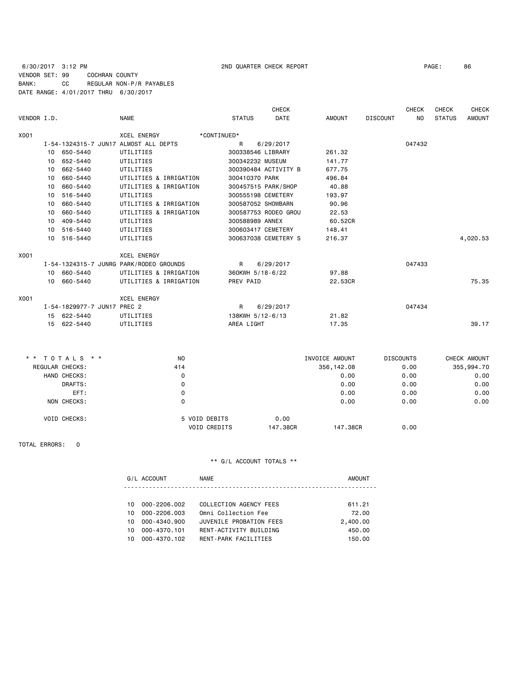### 6/30/2017 3:12 PM 2ND QUARTER CHECK REPORT PAGE: 86 VENDOR SET: 99 COCHRAN COUNTY BANK: CC REGULAR NON-P/R PAYABLES DATE RANGE: 4/01/2017 THRU 6/30/2017

|             |    |                             |                                         |               | <b>CHECK</b>         |         |                 | CHECK  | <b>CHECK</b>  | <b>CHECK</b>  |
|-------------|----|-----------------------------|-----------------------------------------|---------------|----------------------|---------|-----------------|--------|---------------|---------------|
| VENDOR I.D. |    |                             | <b>NAME</b>                             | <b>STATUS</b> | <b>DATE</b>          | AMOUNT  | <b>DISCOUNT</b> | NO.    | <b>STATUS</b> | <b>AMOUNT</b> |
| X001        |    |                             | <b>XCEL ENERGY</b>                      | *CONTINUED*   |                      |         |                 |        |               |               |
|             |    |                             | I-54-1324315-7 JUN17 ALMOST ALL DEPTS   | $\mathsf{R}$  | 6/29/2017            |         |                 | 047432 |               |               |
|             |    | 10 650-5440                 | UTILITIES                               |               | 300338546 LIBRARY    | 261.32  |                 |        |               |               |
|             | 10 | 652-5440                    | UTILITIES                               |               | 300342232 MUSEUM     | 141.77  |                 |        |               |               |
|             | 10 | 662-5440                    | UTILITIES                               |               | 300390484 ACTIVITY B | 677.75  |                 |        |               |               |
|             | 10 | 660-5440                    | UTILITIES & IRRIGATION                  |               | 300410370 PARK       | 496.84  |                 |        |               |               |
|             | 10 | 660-5440                    | UTILITIES & IRRIGATION                  |               | 300457515 PARK/SHOP  | 40.88   |                 |        |               |               |
|             | 10 | 516-5440                    | UTILITIES                               |               | 300555198 CEMETERY   | 193.97  |                 |        |               |               |
|             | 10 | 660-5440                    | UTILITIES & IRRIGATION                  |               | 300587052 SHOWBARN   | 90.96   |                 |        |               |               |
|             | 10 | 660-5440                    | UTILITIES & IRRIGATION                  |               | 300587753 RODEO GROU | 22.53   |                 |        |               |               |
|             | 10 | 409-5440                    | UTILITIES                               |               | 300588989 ANNEX      | 60.52CR |                 |        |               |               |
|             | 10 | 516-5440                    | UTILITIES                               |               | 300603417 CEMETERY   | 148.41  |                 |        |               |               |
|             | 10 | 516-5440                    | UTILITIES                               |               | 300637038 CEMETERY S | 216.37  |                 |        |               | 4,020.53      |
| X001        |    |                             | <b>XCEL ENERGY</b>                      |               |                      |         |                 |        |               |               |
|             |    |                             | I-54-1324315-7 JUNRG PARK/RODEO GROUNDS | R             | 6/29/2017            |         |                 | 047433 |               |               |
|             |    | 10 660-5440                 | UTILITIES & IRRIGATION                  |               | 360KWH 5/18-6/22     | 97.88   |                 |        |               |               |
|             |    | 10 660-5440                 | UTILITIES & IRRIGATION                  | PREV PAID     |                      | 22,53CR |                 |        |               | 75.35         |
| X001        |    |                             | <b>XCEL ENERGY</b>                      |               |                      |         |                 |        |               |               |
|             |    | I-54-1829977-7 JUN17 PREC 2 |                                         | $\mathsf{R}$  | 6/29/2017            |         |                 | 047434 |               |               |
|             |    | 15 622-5440                 | UTILITIES                               |               | 138KWH 5/12-6/13     | 21.82   |                 |        |               |               |
|             |    | 15 622-5440                 | UTILITIES                               | AREA LIGHT    |                      | 17.35   |                 |        |               | 39.17         |

| * * TOTALS * * |                     | N <sub>0</sub>      | INVOICE AMOUNT |          | <b>DISCOUNTS</b> | CHECK AMOUNT |
|----------------|---------------------|---------------------|----------------|----------|------------------|--------------|
|                | REGULAR CHECKS:     | 414                 | 356,142.08     |          | 0.00             | 355,994.70   |
|                | HAND CHECKS:        | 0                   |                | 0.00     | 0.00             | 0.00         |
|                | DRAFTS:             | 0                   |                | 0.00     | 0.00             | 0.00         |
|                | EFT:                | 0                   |                | 0.00     | 0.00             | 0.00         |
|                | NON CHECKS:         | 0                   |                | 0.00     | 0.00             | 0.00         |
|                | <b>VOID CHECKS:</b> | 5 VOID DEBITS       | 0.00           |          |                  |              |
|                |                     | <b>VOID CREDITS</b> | 147.38CR       | 147.38CR | 0.00             |              |

TOTAL ERRORS: 0

|     | G/L ACCOUNT  | NAME                    | AMOUNT   |
|-----|--------------|-------------------------|----------|
|     |              |                         |          |
| 10  | 000-2206.002 | COLLECTION AGENCY FEES  | 611.21   |
| 10. | 000-2206.003 | Omni Collection Fee     | 72.00    |
| 10. | 000-4340.900 | JUVENILE PROBATION FEES | 2,400.00 |
| 10. | 000-4370.101 | RENT-ACTIVITY BUILDING  | 450.00   |
| 10. | 000-4370.102 | RENT-PARK FACILITIES    | 150.00   |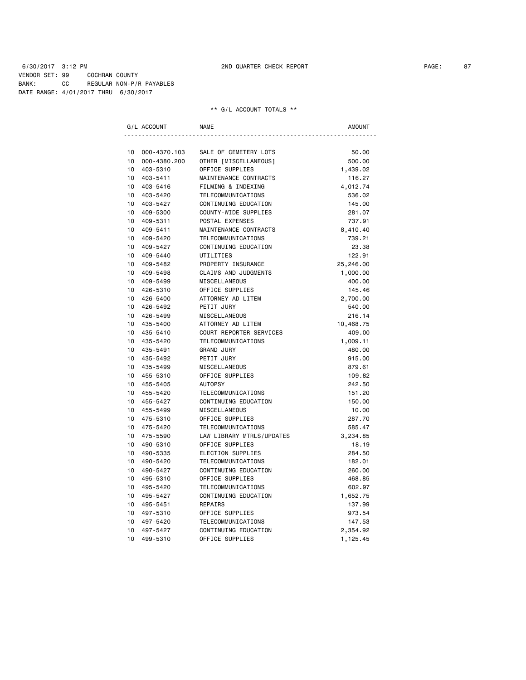6/30/2017 3:12 PM 2ND QUARTER CHECK REPORT PAGE: 87 VENDOR SET: 99 COCHRAN COUNTY BANK: CC REGULAR NON-P/R PAYABLES DATE RANGE: 4/01/2017 THRU 6/30/2017

|    | G/L ACCOUNT  | <b>NAME</b>                 | AMOUNT    |
|----|--------------|-----------------------------|-----------|
|    |              |                             |           |
| 10 | 000-4370.103 | SALE OF CEMETERY LOTS       | 50.00     |
| 10 | 000-4380.200 | OTHER [MISCELLANEOUS]       | 500.00    |
| 10 | 403-5310     | OFFICE SUPPLIES             | 1,439.02  |
| 10 | 403-5411     | MAINTENANCE CONTRACTS       | 116.27    |
| 10 | 403-5416     | FILMING & INDEXING          | 4,012.74  |
| 10 | 403-5420     | TELECOMMUNICATIONS          | 536.02    |
| 10 | 403-5427     | CONTINUING EDUCATION        | 145.00    |
| 10 | 409-5300     | COUNTY-WIDE SUPPLIES        | 281.07    |
| 10 | 409-5311     | POSTAL EXPENSES             | 737.91    |
| 10 | 409-5411     | MAINTENANCE CONTRACTS       | 8,410.40  |
| 10 | 409-5420     | TELECOMMUNICATIONS          | 739.21    |
| 10 | 409-5427     | CONTINUING EDUCATION        | 23.38     |
| 10 | 409-5440     | UTILITIES                   | 122.91    |
| 10 | 409-5482     | PROPERTY INSURANCE          | 25,246.00 |
| 10 | 409-5498     | <b>CLAIMS AND JUDGMENTS</b> | 1,000.00  |
| 10 | 409-5499     | MISCELLANEOUS               | 400.00    |
| 10 | 426-5310     | OFFICE SUPPLIES             | 145.46    |
| 10 | 426-5400     | ATTORNEY AD LITEM           | 2,700.00  |
| 10 | 426-5492     | PETIT JURY                  | 540.00    |
| 10 | 426-5499     | MISCELLANEOUS               | 216.14    |
| 10 | 435-5400     | ATTORNEY AD LITEM           | 10,468.75 |
| 10 | 435-5410     | COURT REPORTER SERVICES     | 409.00    |
| 10 | 435-5420     | TELECOMMUNICATIONS          | 1,009.11  |
| 10 | 435-5491     | <b>GRAND JURY</b>           | 480.00    |
| 10 | 435-5492     | PETIT JURY                  | 915.00    |
| 10 | 435-5499     | MISCELLANEOUS               | 879.61    |
| 10 | 455-5310     | OFFICE SUPPLIES             | 109.82    |
| 10 | 455-5405     | <b>AUTOPSY</b>              | 242.50    |
| 10 | 455-5420     | TELECOMMUNICATIONS          | 151.20    |
| 10 | 455-5427     | CONTINUING EDUCATION        | 150.00    |
| 10 | 455-5499     | MISCELLANEOUS               | 10.00     |
| 10 | 475-5310     | OFFICE SUPPLIES             | 287.70    |
| 10 | 475-5420     | TELECOMMUNICATIONS          | 585.47    |
| 10 | 475-5590     | LAW LIBRARY MTRLS/UPDATES   | 3,234.85  |
| 10 | 490-5310     | OFFICE SUPPLIES             | 18.19     |
| 10 | 490-5335     | ELECTION SUPPLIES           | 284.50    |
| 10 | 490-5420     | TELECOMMUNICATIONS          | 182.01    |
| 10 | 490-5427     | CONTINUING EDUCATION        | 260.00    |
| 10 | 495-5310     | OFFICE SUPPLIES             | 468.85    |
| 10 | 495-5420     | TELECOMMUNICATIONS          | 602.97    |
| 10 | 495-5427     | CONTINUING EDUCATION        | 1,652.75  |
| 10 | 495-5451     | REPAIRS                     | 137.99    |
| 10 | 497-5310     | OFFICE SUPPLIES             | 973.54    |
| 10 | 497-5420     | TELECOMMUNICATIONS          | 147.53    |
| 10 | 497-5427     | CONTINUING EDUCATION        | 2,354.92  |
| 10 | 499-5310     | OFFICE SUPPLIES             | 1,125.45  |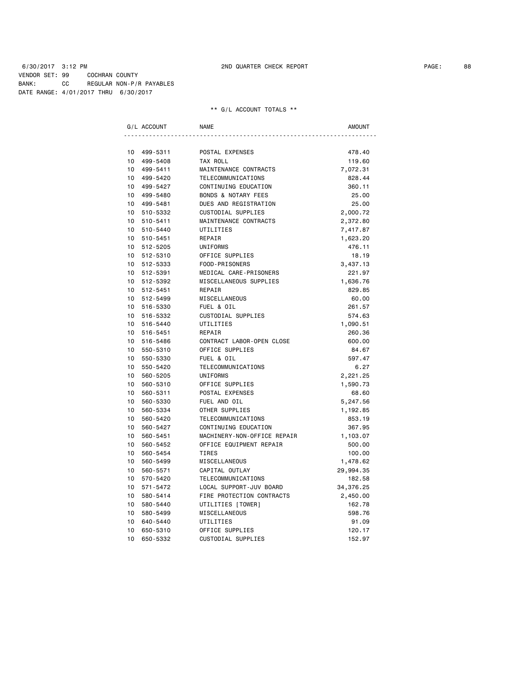6/30/2017 3:12 PM 2ND QUARTER CHECK REPORT PAGE: 88 VENDOR SET: 99 COCHRAN COUNTY BANK: CC REGULAR NON-P/R PAYABLES DATE RANGE: 4/01/2017 THRU 6/30/2017

| G/L ACCOUNT                 | <b>NAME</b>                    | AMOUNT    |
|-----------------------------|--------------------------------|-----------|
|                             |                                |           |
| 10<br>499-5311              | POSTAL EXPENSES                | 478.40    |
| 10<br>499-5408              | TAX ROLL                       | 119.60    |
| 10<br>499-5411              | MAINTENANCE CONTRACTS          | 7,072.31  |
| 10<br>499-5420              | TELECOMMUNICATIONS             | 828.44    |
| 10<br>499-5427              | CONTINUING EDUCATION           | 360.11    |
| 10<br>499-5480              | <b>BONDS &amp; NOTARY FEES</b> | 25.00     |
| 10<br>499-5481              | DUES AND REGISTRATION          | 25.00     |
| $10-10$<br>510-5332         | CUSTODIAL SUPPLIES             | 2,000.72  |
| 10<br>510-5411              | MAINTENANCE CONTRACTS          | 2,372.80  |
| 10 <sup>1</sup><br>510-5440 | UTILITIES                      | 7,417.87  |
| 10<br>510-5451              | REPAIR                         | 1,623.20  |
| 10<br>512-5205              | UNIFORMS                       | 476.11    |
| 10<br>512-5310              | OFFICE SUPPLIES                | 18.19     |
| 10<br>512-5333              | FOOD-PRISONERS                 | 3,437.13  |
| 10<br>512-5391              | MEDICAL CARE-PRISONERS         | 221.97    |
| 10<br>512-5392              | MISCELLANEOUS SUPPLIES         | 1,636.76  |
| 10 512-5451                 | REPAIR                         | 829.85    |
| 10<br>512-5499              | MISCELLANEOUS                  | 60.00     |
| $10-10$<br>516-5330         | FUEL & OIL                     | 261.57    |
| 10<br>516-5332              | CUSTODIAL SUPPLIES             | 574.63    |
| 10<br>516-5440              | UTILITIES                      | 1,090.51  |
| 10<br>516-5451              | REPAIR                         | 260.36    |
| 10<br>516-5486              | CONTRACT LABOR-OPEN CLOSE      | 600.00    |
| 10<br>550-5310              | OFFICE SUPPLIES                | 84.67     |
| 10<br>550-5330              | FUEL & OIL                     | 597.47    |
| 10<br>550-5420              | TELECOMMUNICATIONS             | 6.27      |
| 10<br>560-5205              | UNIFORMS                       | 2,221.25  |
| 10<br>560-5310              | OFFICE SUPPLIES                | 1,590.73  |
| 10<br>560-5311              | POSTAL EXPENSES                | 68.60     |
| 10<br>560-5330              | FUEL AND OIL                   | 5,247.56  |
| 10<br>560-5334              | OTHER SUPPLIES                 | 1,192.85  |
| 10<br>560-5420              | TELECOMMUNICATIONS             | 853.19    |
| 10<br>560-5427              | CONTINUING EDUCATION           | 367.95    |
| 10<br>560-5451              | MACHINERY-NON-OFFICE REPAIR    | 1,103.07  |
| 10<br>560-5452              | OFFICE EQUIPMENT REPAIR        | 500.00    |
| 10<br>560-5454              | <b>TIRES</b>                   | 100.00    |
| 10<br>560-5499              | MISCELLANEOUS                  | 1,478.62  |
| 10<br>560-5571              | CAPITAL OUTLAY                 | 29,994.35 |
| 10<br>570-5420              | TELECOMMUNICATIONS             | 182.58    |
| 10<br>571-5472              | LOCAL SUPPORT-JUV BOARD        | 34,376.25 |
| 10<br>580-5414              | FIRE PROTECTION CONTRACTS      | 2,450.00  |
| 10<br>580-5440              | UTILITIES [TOWER]              | 162.78    |
| 10<br>580-5499              | MISCELLANEOUS                  | 598.76    |
| 10<br>640-5440              | UTILITIES                      | 91.09     |
| 10<br>650-5310              | OFFICE SUPPLIES                | 120.17    |
| 10<br>650-5332              | CUSTODIAL SUPPLIES             | 152.97    |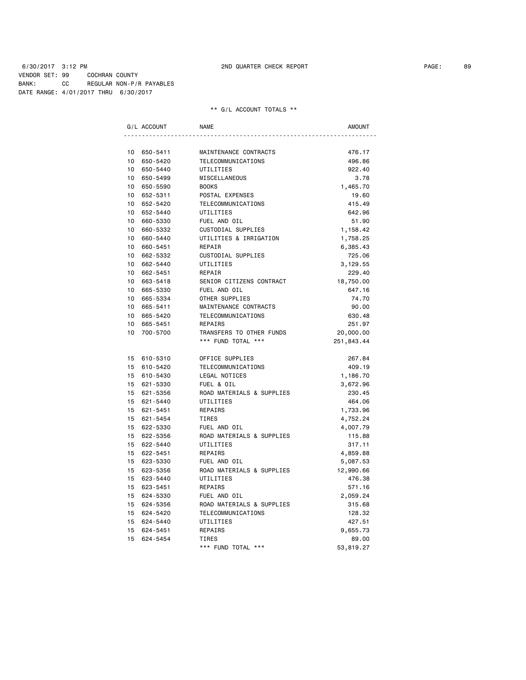6/30/2017 3:12 PM 2ND QUARTER CHECK REPORT PAGE: 89 VENDOR SET: 99 COCHRAN COUNTY BANK: CC REGULAR NON-P/R PAYABLES DATE RANGE: 4/01/2017 THRU 6/30/2017

|         | G/L ACCOUNT | <b>NAME</b>               | AMOUNT     |
|---------|-------------|---------------------------|------------|
|         |             |                           |            |
|         | 10 650-5411 | MAINTENANCE CONTRACTS     | 476.17     |
|         | 10 650-5420 | TELECOMMUNICATIONS        | 496.86     |
|         | 10 650-5440 | UTILITIES                 | 922.40     |
|         | 10 650-5499 | MISCELLANEOUS             | 3.78       |
|         | 10 650-5590 | <b>BOOKS</b>              | 1,465.70   |
|         | 10 652-5311 | POSTAL EXPENSES           | 19.60      |
|         | 10 652-5420 | TELECOMMUNICATIONS        | 415.49     |
|         | 10 652-5440 | UTILITIES                 | 642.96     |
|         | 10 660-5330 | FUEL AND OIL              | 51.90      |
|         | 10 660-5332 | CUSTODIAL SUPPLIES        | 1,158.42   |
|         | 10 660-5440 | UTILITIES & IRRIGATION    | 1,758.25   |
|         | 10 660-5451 | REPAIR                    | 6,385.43   |
|         | 10 662-5332 | CUSTODIAL SUPPLIES        | 725.06     |
|         | 10 662-5440 | UTILITIES                 | 3,129.55   |
|         | 10 662-5451 | REPAIR                    | 229.40     |
|         | 10 663-5418 | SENIOR CITIZENS CONTRACT  | 18,750.00  |
|         | 10 665-5330 | FUEL AND OIL              | 647.16     |
|         | 10 665-5334 | OTHER SUPPLIES            | 74.70      |
|         | 10 665-5411 | MAINTENANCE CONTRACTS     | 90.00      |
|         | 10 665-5420 | TELECOMMUNICATIONS        | 630.48     |
| $10-10$ | 665-5451    | REPAIRS                   | 251.97     |
|         | 10 700-5700 | TRANSFERS TO OTHER FUNDS  | 20,000.00  |
|         |             | *** FUND TOTAL ***        | 251,843.44 |
|         | 15 610-5310 | OFFICE SUPPLIES           | 267.84     |
|         | 15 610-5420 | TELECOMMUNICATIONS        | 409.19     |
|         | 15 610-5430 | LEGAL NOTICES             | 1,186.70   |
|         | 15 621-5330 | FUEL & OIL                | 3,672.96   |
|         | 15 621-5356 | ROAD MATERIALS & SUPPLIES | 230.45     |
|         | 15 621-5440 | UTILITIES                 | 464.06     |
|         | 15 621-5451 | REPAIRS                   | 1,733.96   |
|         | 15 621-5454 | <b>TIRES</b>              | 4,752.24   |
|         | 15 622-5330 | FUEL AND OIL              | 4,007.79   |
|         | 15 622-5356 | ROAD MATERIALS & SUPPLIES | 115.88     |
|         | 15 622-5440 | UTILITIES                 | 317.11     |
|         | 15 622-5451 | REPAIRS                   | 4,859.88   |
|         | 15 623-5330 | FUEL AND OIL              | 5,087.53   |
|         | 15 623-5356 | ROAD MATERIALS & SUPPLIES | 12,990.66  |
|         | 15 623-5440 | UTILITIES                 | 476.38     |
|         | 15 623-5451 | REPAIRS                   | 571.16     |
|         | 15 624-5330 | FUEL AND OIL              | 2,059.24   |
|         | 15 624-5356 | ROAD MATERIALS & SUPPLIES | 315.68     |
|         | 15 624-5420 | TELECOMMUNICATIONS        | 128.32     |
|         | 15 624-5440 | UTILITIES                 | 427.51     |
|         | 15 624-5451 | REPAIRS                   | 9,655.73   |
|         | 15 624-5454 | TIRES                     | 89.00      |
|         |             | *** FUND TOTAL ***        | 53,819.27  |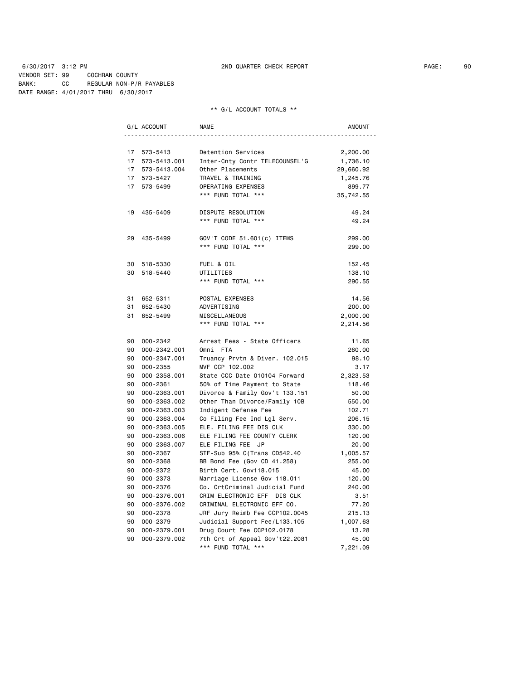6/30/2017 3:12 PM 2ND QUARTER CHECK REPORT PAGE: 90 VENDOR SET: 99 COCHRAN COUNTY BANK: CC REGULAR NON-P/R PAYABLES DATE RANGE: 4/01/2017 THRU 6/30/2017

|    | G/L ACCOUNT     | <b>NAME</b>                    | AMOUNT    |
|----|-----------------|--------------------------------|-----------|
|    |                 |                                |           |
|    | 17 573-5413     | Detention Services             | 2,200.00  |
| 17 | 573-5413.001    | Inter-Cnty Contr TELECOUNSEL'G | 1,736.10  |
|    | 17 573-5413.004 | Other Placements               | 29,660.92 |
|    | 17 573-5427     | TRAVEL & TRAINING              | 1,245.76  |
|    | 17 573-5499     | OPERATING EXPENSES             | 899.77    |
|    |                 | *** FUND TOTAL ***             | 35,742.55 |
|    | 19 435-5409     | DISPUTE RESOLUTION             | 49.24     |
|    |                 | *** FUND TOTAL ***             | 49.24     |
| 29 | 435-5499        | GOV'T CODE 51.601(c) ITEMS     | 299.00    |
|    |                 | *** FUND TOTAL ***             | 299.00    |
|    | 30 518-5330     | FUEL & OIL                     | 152.45    |
| 30 | 518-5440        | UTILITIES                      | 138.10    |
|    |                 | *** FUND TOTAL ***             | 290.55    |
| 31 | 652-5311        | POSTAL EXPENSES                | 14.56     |
| 31 | 652-5430        | ADVERTISING                    | 200.00    |
| 31 | 652-5499        | MISCELLANEOUS                  | 2,000.00  |
|    |                 | *** FUND TOTAL ***             | 2,214.56  |
|    | 90 000-2342     | Arrest Fees - State Officers   | 11.65     |
|    | 90 000-2342.001 | Omni FTA                       | 260.00    |
|    | 90 000-2347.001 | Truancy Prvtn & Diver. 102.015 | 98.10     |
|    | 90 000-2355     | MVF CCP 102.002                | 3.17      |
| 90 | 000-2358.001    | State CCC Date 010104 Forward  | 2,323.53  |
| 90 | 000-2361        | 50% of Time Payment to State   | 118.46    |
| 90 | 000-2363.001    | Divorce & Family Gov't 133.151 | 50.00     |
| 90 | 000-2363.002    | Other Than Divorce/Family 10B  | 550.00    |
| 90 | 000-2363.003    | Indigent Defense Fee           | 102.71    |
| 90 | 000-2363.004    | Co Filing Fee Ind Lgl Serv.    | 206.15    |
| 90 | 000-2363.005    | ELE. FILING FEE DIS CLK        | 330.00    |
| 90 | 000-2363.006    | ELE FILING FEE COUNTY CLERK    | 120.00    |
| 90 | 000-2363.007    | ELE FILING FEE JP              | 20.00     |
| 90 | 000-2367        | STF-Sub 95% C(Trans CD542.40   | 1,005.57  |
| 90 | 000-2368        | BB Bond Fee (Gov CD 41.258)    | 255.00    |
| 90 | 000-2372        | Birth Cert. Gov118.015         | 45.00     |
| 90 | 000-2373        | Marriage License Gov 118.011   | 120.00    |
| 90 | 000-2376        | Co. CrtCriminal Judicial Fund  | 240.00    |
| 90 | 000-2376.001    | CRIM ELECTRONIC EFF DIS CLK    | 3.51      |
|    | 90 000-2376.002 | CRIMINAL ELECTRONIC EFF CO.    | 77.20     |
| 90 | 000-2378        | JRF Jury Reimb Fee CCP102.0045 | 215.13    |
| 90 | 000-2379        | Judicial Support Fee/L133.105  | 1,007.63  |
| 90 | 000-2379.001    | Drug Court Fee CCP102.0178     | 13.28     |
| 90 | 000-2379.002    | 7th Crt of Appeal Gov't22.2081 | 45.00     |
|    |                 | *** FUND TOTAL ***             | 7,221.09  |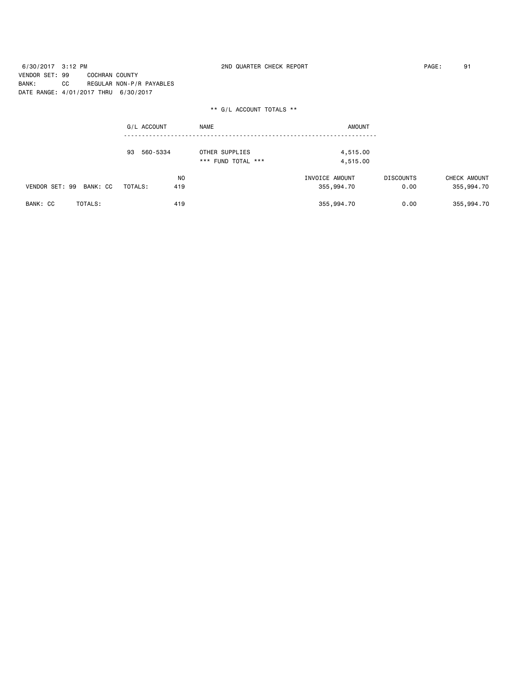6/30/2017 3:12 PM 2ND QUARTER CHECK REPORT PAGE: 91 VENDOR SET: 99 COCHRAN COUNTY BANK: CC REGULAR NON-P/R PAYABLES DATE RANGE: 4/01/2017 THRU 6/30/2017

|                            | G/L ACCOUNT    | <b>NAME</b>                          | <b>AMOUNT</b>        |                  |              |
|----------------------------|----------------|--------------------------------------|----------------------|------------------|--------------|
|                            | 560-5334<br>93 | OTHER SUPPLIES<br>*** FUND TOTAL *** | 4,515.00<br>4,515.00 |                  |              |
|                            | N <sub>0</sub> |                                      | INVOICE AMOUNT       | <b>DISCOUNTS</b> | CHECK AMOUNT |
| VENDOR SET: 99<br>BANK: CC | TOTALS:<br>419 |                                      | 355,994.70           | 0.00             | 355,994.70   |
| BANK: CC<br>TOTALS:        | 419            |                                      | 355,994.70           | 0.00             | 355,994.70   |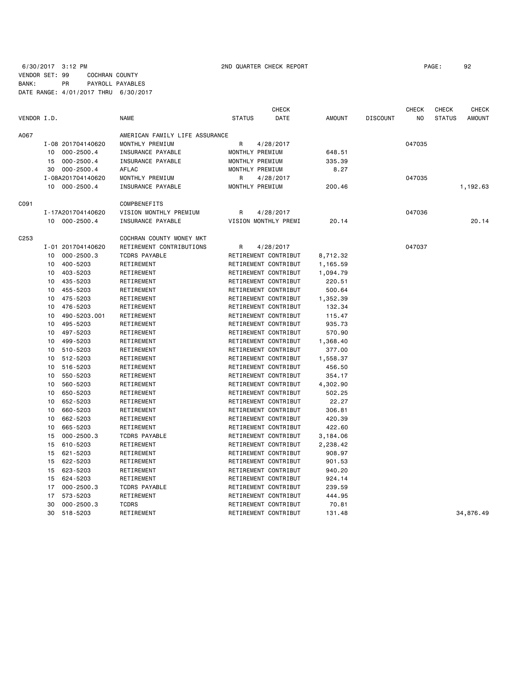6/30/2017 3:12 PM 2ND QUARTER CHECK REPORT PAGE: 92 VENDOR SET: 99 COCHRAN COUNTY BANK: PR PAYROLL PAYABLES DATE RANGE: 4/01/2017 THRU 6/30/2017

|             |    |                   |                                |                 | <b>CHECK</b>         |               |                 | <b>CHECK</b> | <b>CHECK</b>  | <b>CHECK</b>  |
|-------------|----|-------------------|--------------------------------|-----------------|----------------------|---------------|-----------------|--------------|---------------|---------------|
| VENDOR I.D. |    |                   | <b>NAME</b>                    | <b>STATUS</b>   | DATE                 | <b>AMOUNT</b> | <b>DISCOUNT</b> | NO           | <b>STATUS</b> | <b>AMOUNT</b> |
| A067        |    |                   | AMERICAN FAMILY LIFE ASSURANCE |                 |                      |               |                 |              |               |               |
|             |    | I-08 201704140620 | MONTHLY PREMIUM                | R               | 4/28/2017            |               |                 | 047035       |               |               |
|             | 10 | $000 - 2500.4$    | INSURANCE PAYABLE              | MONTHLY PREMIUM |                      | 648.51        |                 |              |               |               |
|             | 15 | 000-2500.4        | INSURANCE PAYABLE              | MONTHLY PREMIUM |                      | 335.39        |                 |              |               |               |
|             | 30 | 000-2500.4        | AFLAC                          | MONTHLY PREMIUM |                      | 8.27          |                 |              |               |               |
|             |    | I-08A201704140620 | MONTHLY PREMIUM                | R               | 4/28/2017            |               |                 | 047035       |               |               |
|             | 10 | $000 - 2500.4$    | INSURANCE PAYABLE              | MONTHLY PREMIUM |                      | 200.46        |                 |              |               | 1,192.63      |
| C091        |    |                   | COMPBENEFITS                   |                 |                      |               |                 |              |               |               |
|             |    | I-17A201704140620 | VISION MONTHLY PREMIUM         | R               | 4/28/2017            |               |                 | 047036       |               |               |
|             |    | 10 000-2500.4     | INSURANCE PAYABLE              |                 | VISION MONTHLY PREMI | 20.14         |                 |              |               | 20.14         |
| C253        |    |                   | COCHRAN COUNTY MONEY MKT       |                 |                      |               |                 |              |               |               |
|             |    | I-01 201704140620 | RETIREMENT CONTRIBUTIONS       | R               | 4/28/2017            |               |                 | 047037       |               |               |
|             | 10 | $000 - 2500.3$    | <b>TCDRS PAYABLE</b>           |                 | RETIREMENT CONTRIBUT | 8,712.32      |                 |              |               |               |
|             | 10 | 400-5203          | RETIREMENT                     |                 | RETIREMENT CONTRIBUT | 1,165.59      |                 |              |               |               |
|             | 10 | 403-5203          | RETIREMENT                     |                 | RETIREMENT CONTRIBUT | 1,094.79      |                 |              |               |               |
|             | 10 | 435-5203          | RETIREMENT                     |                 | RETIREMENT CONTRIBUT | 220.51        |                 |              |               |               |
|             | 10 | 455-5203          | RETIREMENT                     |                 | RETIREMENT CONTRIBUT | 500.64        |                 |              |               |               |
|             | 10 | 475-5203          | RETIREMENT                     |                 | RETIREMENT CONTRIBUT | 1,352.39      |                 |              |               |               |
|             | 10 | 476-5203          | RETIREMENT                     |                 | RETIREMENT CONTRIBUT | 132.34        |                 |              |               |               |
|             | 10 | 490-5203.001      | RETIREMENT                     |                 | RETIREMENT CONTRIBUT | 115.47        |                 |              |               |               |
|             | 10 | 495-5203          | RETIREMENT                     |                 | RETIREMENT CONTRIBUT | 935.73        |                 |              |               |               |
|             | 10 | 497-5203          | RETIREMENT                     |                 | RETIREMENT CONTRIBUT | 570.90        |                 |              |               |               |
|             | 10 | 499-5203          | RETIREMENT                     |                 | RETIREMENT CONTRIBUT | 1,368.40      |                 |              |               |               |
|             | 10 | 510-5203          | RETIREMENT                     |                 | RETIREMENT CONTRIBUT | 377.00        |                 |              |               |               |
|             | 10 | 512-5203          | RETIREMENT                     |                 | RETIREMENT CONTRIBUT | 1,558.37      |                 |              |               |               |
|             | 10 | 516-5203          | RETIREMENT                     |                 | RETIREMENT CONTRIBUT | 456.50        |                 |              |               |               |
|             | 10 | 550-5203          | RETIREMENT                     |                 | RETIREMENT CONTRIBUT | 354.17        |                 |              |               |               |
|             | 10 | 560-5203          | RETIREMENT                     |                 | RETIREMENT CONTRIBUT | 4,302.90      |                 |              |               |               |
|             | 10 | 650-5203          | RETIREMENT                     |                 | RETIREMENT CONTRIBUT | 502.25        |                 |              |               |               |
|             | 10 | 652-5203          | RETIREMENT                     |                 | RETIREMENT CONTRIBUT | 22.27         |                 |              |               |               |
|             | 10 | 660-5203          | RETIREMENT                     |                 | RETIREMENT CONTRIBUT | 306.81        |                 |              |               |               |
|             | 10 | 662-5203          | RETIREMENT                     |                 | RETIREMENT CONTRIBUT | 420.39        |                 |              |               |               |
|             | 10 | 665-5203          | RETIREMENT                     |                 | RETIREMENT CONTRIBUT | 422.60        |                 |              |               |               |
|             | 15 | $000 - 2500.3$    | <b>TCDRS PAYABLE</b>           |                 | RETIREMENT CONTRIBUT | 3,184.06      |                 |              |               |               |
|             | 15 | 610-5203          | RETIREMENT                     |                 | RETIREMENT CONTRIBUT | 2,238.42      |                 |              |               |               |
|             | 15 | 621-5203          | RETIREMENT                     |                 | RETIREMENT CONTRIBUT | 908.97        |                 |              |               |               |
|             | 15 | 622-5203          | RETIREMENT                     |                 | RETIREMENT CONTRIBUT | 901.53        |                 |              |               |               |
|             | 15 | 623-5203          | RETIREMENT                     |                 | RETIREMENT CONTRIBUT | 940.20        |                 |              |               |               |
|             | 15 | 624-5203          | RETIREMENT                     |                 | RETIREMENT CONTRIBUT | 924.14        |                 |              |               |               |
|             | 17 | $000 - 2500.3$    | <b>TCDRS PAYABLE</b>           |                 | RETIREMENT CONTRIBUT | 239.59        |                 |              |               |               |
|             | 17 | 573-5203          | RETIREMENT                     |                 | RETIREMENT CONTRIBUT | 444.95        |                 |              |               |               |
|             | 30 | $000 - 2500.3$    | <b>TCDRS</b>                   |                 | RETIREMENT CONTRIBUT | 70.81         |                 |              |               |               |
|             | 30 | 518-5203          | RETIREMENT                     |                 | RETIREMENT CONTRIBUT | 131.48        |                 |              |               | 34,876.49     |
|             |    |                   |                                |                 |                      |               |                 |              |               |               |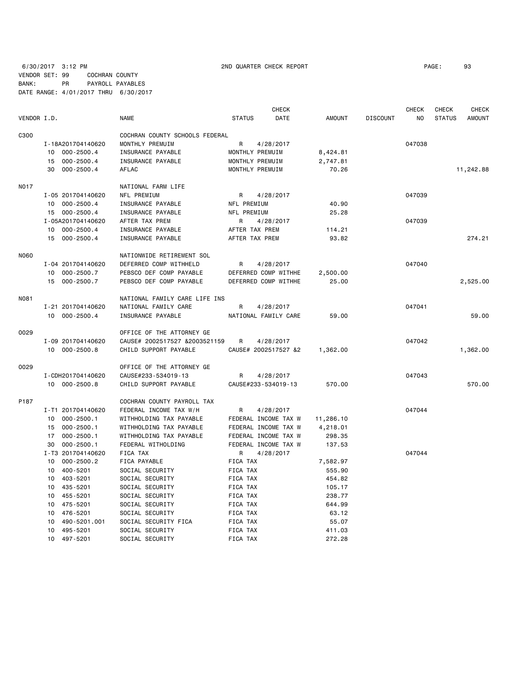6/30/2017 3:12 PM 2ND QUARTER CHECK REPORT PAGE: 93 VENDOR SET: 99 COCHRAN COUNTY BANK: PR PAYROLL PAYABLES DATE RANGE: 4/01/2017 THRU 6/30/2017

|             |                      |                                |                 | <b>CHECK</b>         |           |                 | CHECK          | CHECK         | CHECK         |
|-------------|----------------------|--------------------------------|-----------------|----------------------|-----------|-----------------|----------------|---------------|---------------|
| VENDOR I.D. |                      | <b>NAME</b>                    | <b>STATUS</b>   | DATE                 | AMOUNT    | <b>DISCOUNT</b> | N <sub>O</sub> | <b>STATUS</b> | <b>AMOUNT</b> |
| C300        |                      | COCHRAN COUNTY SCHOOLS FEDERAL |                 |                      |           |                 |                |               |               |
|             | I-18A201704140620    | MONTHLY PREMUIM                | R               | 4/28/2017            |           |                 | 047038         |               |               |
|             | 10 000-2500.4        | INSURANCE PAYABLE              | MONTHLY PREMUIM |                      | 8,424.81  |                 |                |               |               |
|             | 000-2500.4<br>15     | INSURANCE PAYABLE              | MONTHLY PREMUIM |                      | 2,747.81  |                 |                |               |               |
|             | 30<br>$000 - 2500.4$ | AFLAC                          | MONTHLY PREMUIM |                      | 70.26     |                 |                |               | 11,242.88     |
| <b>NO17</b> |                      | NATIONAL FARM LIFE             |                 |                      |           |                 |                |               |               |
|             | I-05 201704140620    | NFL PREMIUM                    | R               | 4/28/2017            |           |                 | 047039         |               |               |
|             | 10 000-2500.4        | INSURANCE PAYABLE              | NFL PREMIUM     |                      | 40.90     |                 |                |               |               |
|             | 15 000-2500.4        | INSURANCE PAYABLE              | NFL PREMIUM     |                      | 25.28     |                 |                |               |               |
|             | I-05A201704140620    | AFTER TAX PREM                 | R               | 4/28/2017            |           |                 | 047039         |               |               |
|             | 10<br>$000 - 2500.4$ | INSURANCE PAYABLE              | AFTER TAX PREM  |                      | 114.21    |                 |                |               |               |
|             | 15 000-2500.4        | INSURANCE PAYABLE              | AFTER TAX PREM  |                      | 93.82     |                 |                |               | 274.21        |
| N060        |                      | NATIONWIDE RETIREMENT SOL      |                 |                      |           |                 |                |               |               |
|             | I-04 201704140620    | DEFERRED COMP WITHHELD         | R               | 4/28/2017            |           |                 | 047040         |               |               |
|             | $000 - 2500.7$<br>10 | PEBSCO DEF COMP PAYABLE        |                 | DEFERRED COMP WITHHE | 2,500.00  |                 |                |               |               |
|             | 15 000-2500.7        | PEBSCO DEF COMP PAYABLE        |                 | DEFERRED COMP WITHHE | 25.00     |                 |                |               | 2,525.00      |
|             |                      |                                |                 |                      |           |                 |                |               |               |
| N081        |                      | NATIONAL FAMILY CARE LIFE INS  |                 |                      |           |                 |                |               |               |
|             | I-21 201704140620    | NATIONAL FAMILY CARE           | R               | 4/28/2017            |           |                 | 047041         |               |               |
|             | 10 000-2500.4        | INSURANCE PAYABLE              |                 | NATIONAL FAMILY CARE | 59.00     |                 |                |               | 59.00         |
| 0029        |                      | OFFICE OF THE ATTORNEY GE      |                 |                      |           |                 |                |               |               |
|             | I-09 201704140620    | CAUSE# 2002517527 &2003521159  | R               | 4/28/2017            |           |                 | 047042         |               |               |
|             | 10 000-2500.8        | CHILD SUPPORT PAYABLE          |                 | CAUSE# 2002517527 &2 | 1,362.00  |                 |                |               | 1,362.00      |
| 0029        |                      | OFFICE OF THE ATTORNEY GE      |                 |                      |           |                 |                |               |               |
|             | I-CDH201704140620    | CAUSE#233-534019-13            | R               | 4/28/2017            |           |                 | 047043         |               |               |
|             | 10 000-2500.8        | CHILD SUPPORT PAYABLE          |                 | CAUSE#233-534019-13  | 570.00    |                 |                |               | 570.00        |
| P187        |                      | COCHRAN COUNTY PAYROLL TAX     |                 |                      |           |                 |                |               |               |
|             | I-T1 201704140620    | FEDERAL INCOME TAX W/H         | R               | 4/28/2017            |           |                 | 047044         |               |               |
|             | 10<br>$000 - 2500.1$ | WITHHOLDING TAX PAYABLE        |                 | FEDERAL INCOME TAX W | 11,286.10 |                 |                |               |               |
|             | $000 - 2500.1$<br>15 | WITHHOLDING TAX PAYABLE        |                 | FEDERAL INCOME TAX W | 4,218.01  |                 |                |               |               |
|             | $000 - 2500.1$<br>17 | WITHHOLDING TAX PAYABLE        |                 | FEDERAL INCOME TAX W | 298.35    |                 |                |               |               |
|             | $000 - 2500.1$<br>30 | FEDERAL WITHOLDING             |                 | FEDERAL INCOME TAX W | 137.53    |                 |                |               |               |
|             | I-T3 201704140620    | <b>FICA TAX</b>                | R               | 4/28/2017            |           |                 | 047044         |               |               |
|             | $000 - 2500.2$<br>10 | FICA PAYABLE                   | FICA TAX        |                      | 7,582.97  |                 |                |               |               |
|             | 400-5201<br>10       | SOCIAL SECURITY                | FICA TAX        |                      | 555.90    |                 |                |               |               |
|             | 403-5201<br>10       | SOCIAL SECURITY                | FICA TAX        |                      | 454.82    |                 |                |               |               |
|             | 10<br>435-5201       | SOCIAL SECURITY                | FICA TAX        |                      | 105.17    |                 |                |               |               |
|             | 455-5201<br>10       | SOCIAL SECURITY                | FICA TAX        |                      | 238.77    |                 |                |               |               |
|             | 475-5201<br>10       | SOCIAL SECURITY                | FICA TAX        |                      | 644.99    |                 |                |               |               |
|             | 10<br>476-5201       | SOCIAL SECURITY                | FICA TAX        |                      | 63.12     |                 |                |               |               |
|             | 490-5201.001<br>10   | SOCIAL SECURITY FICA           | FICA TAX        |                      | 55.07     |                 |                |               |               |
|             | 10<br>495-5201       | SOCIAL SECURITY                | FICA TAX        |                      | 411.03    |                 |                |               |               |

10 497-5201 SOCIAL SECURITY FICA TAX 272.28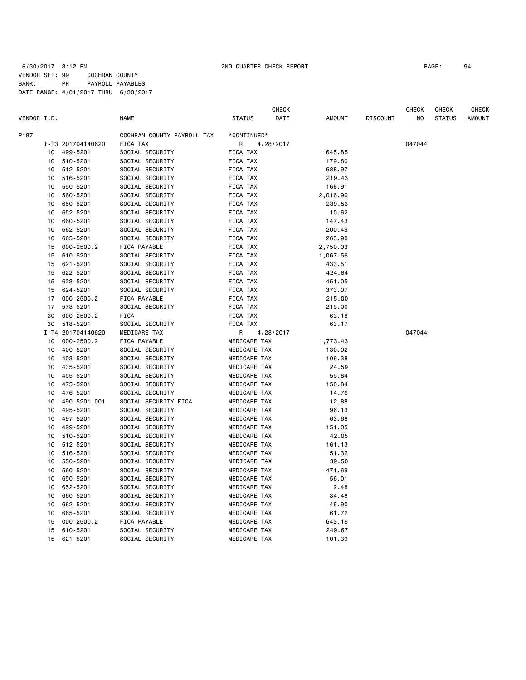| VENDOR I.D. |          |                            | <b>NAME</b>                        | <b>STATUS</b>               | CHECK<br>DATE | <b>AMOUNT</b>      | <b>DISCOUNT</b> | CHECK<br>NO | CHECK<br><b>STATUS</b> | CHECK<br><b>AMOUNT</b> |
|-------------|----------|----------------------------|------------------------------------|-----------------------------|---------------|--------------------|-----------------|-------------|------------------------|------------------------|
|             |          |                            |                                    |                             |               |                    |                 |             |                        |                        |
| P187        |          |                            | COCHRAN COUNTY PAYROLL TAX         | *CONTINUED*                 |               |                    |                 |             |                        |                        |
|             |          | I-T3 201704140620          | FICA TAX                           | R                           | 4/28/2017     | 645.85             |                 | 047044      |                        |                        |
|             | 10       | 499-5201                   | SOCIAL SECURITY                    | FICA TAX<br><b>FICA TAX</b> |               |                    |                 |             |                        |                        |
|             | 10       | 510-5201                   | SOCIAL SECURITY                    |                             |               | 179.80             |                 |             |                        |                        |
|             | 10       | 512-5201                   | SOCIAL SECURITY                    | FICA TAX                    |               | 688.97             |                 |             |                        |                        |
|             | 10       | 516-5201                   | SOCIAL SECURITY                    | FICA TAX                    |               | 219.43             |                 |             |                        |                        |
|             | 10       | 550-5201                   | SOCIAL SECURITY                    | FICA TAX                    |               | 168.91             |                 |             |                        |                        |
|             | 10       | 560-5201<br>650-5201       | SOCIAL SECURITY<br>SOCIAL SECURITY | FICA TAX<br>FICA TAX        |               | 2,016.90<br>239.53 |                 |             |                        |                        |
|             | 10       |                            |                                    |                             |               |                    |                 |             |                        |                        |
|             | 10       | 652-5201                   | SOCIAL SECURITY                    | FICA TAX                    |               | 10.62              |                 |             |                        |                        |
|             | 10       | 660-5201                   | SOCIAL SECURITY                    | FICA TAX                    |               | 147.43             |                 |             |                        |                        |
|             | 10       | 662-5201                   | SOCIAL SECURITY                    | FICA TAX                    |               | 200.49             |                 |             |                        |                        |
|             | 10       | 665-5201                   | SOCIAL SECURITY                    | FICA TAX                    |               | 263.90             |                 |             |                        |                        |
|             | 15       | $000 - 2500.2$<br>610-5201 | FICA PAYABLE                       | FICA TAX                    |               | 2,750.03           |                 |             |                        |                        |
|             | 15       |                            | SOCIAL SECURITY                    | FICA TAX                    |               | 1,067.56           |                 |             |                        |                        |
|             | 15       | 621-5201<br>622-5201       | SOCIAL SECURITY                    | FICA TAX<br><b>FICA TAX</b> |               | 433.51             |                 |             |                        |                        |
|             | 15       |                            | SOCIAL SECURITY                    |                             |               | 424.84             |                 |             |                        |                        |
|             | 15<br>15 | 623-5201                   | SOCIAL SECURITY<br>SOCIAL SECURITY | FICA TAX                    |               | 451.05             |                 |             |                        |                        |
|             |          | 624-5201<br>$000 - 2500.2$ | FICA PAYABLE                       | FICA TAX<br>FICA TAX        |               | 373.07<br>215.00   |                 |             |                        |                        |
|             | 17<br>17 | 573-5201                   | SOCIAL SECURITY                    | FICA TAX                    |               | 215.00             |                 |             |                        |                        |
|             | 30       | $000 - 2500.2$             | <b>FICA</b>                        | FICA TAX                    |               | 63.18              |                 |             |                        |                        |
|             | 30       | 518-5201                   | SOCIAL SECURITY                    | FICA TAX                    |               | 63.17              |                 |             |                        |                        |
|             |          | I-T4 201704140620          | MEDICARE TAX                       | R                           | 4/28/2017     |                    |                 | 047044      |                        |                        |
|             | 10       | $000 - 2500.2$             | FICA PAYABLE                       | MEDICARE TAX                |               | 1,773.43           |                 |             |                        |                        |
|             | 10       | 400-5201                   | SOCIAL SECURITY                    | MEDICARE TAX                |               | 130.02             |                 |             |                        |                        |
|             | 10       | 403-5201                   | SOCIAL SECURITY                    | MEDICARE TAX                |               | 106.38             |                 |             |                        |                        |
|             | 10       | 435-5201                   | SOCIAL SECURITY                    | MEDICARE TAX                |               | 24.59              |                 |             |                        |                        |
|             | 10       | 455-5201                   | SOCIAL SECURITY                    | MEDICARE TAX                |               | 55.84              |                 |             |                        |                        |
|             | 10       | 475-5201                   | SOCIAL SECURITY                    | MEDICARE TAX                |               | 150.84             |                 |             |                        |                        |
|             | 10       | 476-5201                   | SOCIAL SECURITY                    | MEDICARE TAX                |               | 14.76              |                 |             |                        |                        |
|             | 10       | 490-5201.001               | SOCIAL SECURITY FICA               | MEDICARE TAX                |               | 12.88              |                 |             |                        |                        |
|             | 10       | 495-5201                   | SOCIAL SECURITY                    | MEDICARE TAX                |               | 96.13              |                 |             |                        |                        |
|             | 10       | 497-5201                   | SOCIAL SECURITY                    | MEDICARE TAX                |               | 63.68              |                 |             |                        |                        |
|             | 10       | 499-5201                   | SOCIAL SECURITY                    | MEDICARE TAX                |               | 151.05             |                 |             |                        |                        |
|             | 10       | 510-5201                   | SOCIAL SECURITY                    | MEDICARE TAX                |               | 42.05              |                 |             |                        |                        |
|             | 10       | 512-5201                   | SOCIAL SECURITY                    | MEDICARE TAX                |               | 161.13             |                 |             |                        |                        |
|             | 10       | 516-5201                   | SOCIAL SECURITY                    | MEDICARE TAX                |               | 51.32              |                 |             |                        |                        |
|             | 10       | 550-5201                   | SOCIAL SECURITY                    | MEDICARE TAX                |               | 39.50              |                 |             |                        |                        |
|             | 10       | 560-5201                   | SOCIAL SECURITY                    | MEDICARE TAX                |               | 471.69             |                 |             |                        |                        |
|             | 10       | 650-5201                   | SOCIAL SECURITY                    | MEDICARE TAX                |               | 56.01              |                 |             |                        |                        |
|             | 10       | 652-5201                   | SOCIAL SECURITY                    | MEDICARE TAX                |               | 2.48               |                 |             |                        |                        |
|             | 10       | 660-5201                   | SOCIAL SECURITY                    | MEDICARE TAX                |               | 34.48              |                 |             |                        |                        |
|             | 10       | 662-5201                   | SOCIAL SECURITY                    | MEDICARE TAX                |               | 46.90              |                 |             |                        |                        |
|             | 10       | 665-5201                   | SOCIAL SECURITY                    | MEDICARE TAX                |               | 61.72              |                 |             |                        |                        |
|             | 15       | $000 - 2500.2$             | FICA PAYABLE                       | MEDICARE TAX                |               | 643.16             |                 |             |                        |                        |
|             | 15       | 610-5201                   | SOCIAL SECURITY                    | MEDICARE TAX                |               | 249.67             |                 |             |                        |                        |
|             | 15       | 621-5201                   | SOCIAL SECURITY                    | MEDICARE TAX                |               | 101.39             |                 |             |                        |                        |
|             |          |                            |                                    |                             |               |                    |                 |             |                        |                        |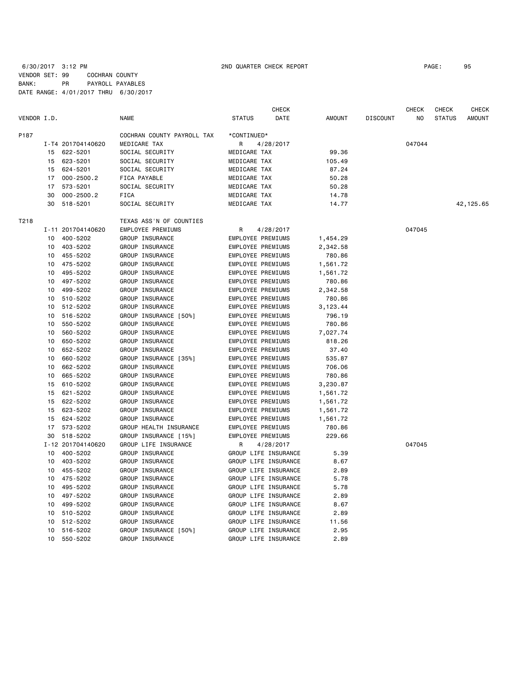|             |    |                   |                            |                          | <b>CHECK</b>         |          |                 | <b>CHECK</b>   | <b>CHECK</b>  | <b>CHECK</b>  |
|-------------|----|-------------------|----------------------------|--------------------------|----------------------|----------|-----------------|----------------|---------------|---------------|
| VENDOR I.D. |    |                   | <b>NAME</b>                | <b>STATUS</b>            | DATE                 | AMOUNT   | <b>DISCOUNT</b> | N <sub>0</sub> | <b>STATUS</b> | <b>AMOUNT</b> |
| P187        |    |                   | COCHRAN COUNTY PAYROLL TAX | *CONTINUED*              |                      |          |                 |                |               |               |
|             |    | I-T4 201704140620 | MEDICARE TAX               | R                        | 4/28/2017            |          |                 | 047044         |               |               |
|             | 15 | 622-5201          | SOCIAL SECURITY            | MEDICARE TAX             |                      | 99.36    |                 |                |               |               |
|             | 15 | 623-5201          | SOCIAL SECURITY            | MEDICARE TAX             |                      | 105.49   |                 |                |               |               |
|             | 15 | 624-5201          | SOCIAL SECURITY            | MEDICARE TAX             |                      | 87.24    |                 |                |               |               |
|             | 17 | $000 - 2500.2$    | FICA PAYABLE               | MEDICARE TAX             |                      | 50.28    |                 |                |               |               |
|             | 17 | 573-5201          | SOCIAL SECURITY            | MEDICARE TAX             |                      | 50.28    |                 |                |               |               |
|             | 30 | $000 - 2500.2$    | FICA                       | MEDICARE TAX             |                      | 14.78    |                 |                |               |               |
|             | 30 | 518-5201          | SOCIAL SECURITY            | MEDICARE TAX             |                      | 14.77    |                 |                |               | 42,125.65     |
| T218        |    |                   | TEXAS ASS'N OF COUNTIES    |                          |                      |          |                 |                |               |               |
|             |    | I-11 201704140620 | EMPLOYEE PREMIUMS          | R                        | 4/28/2017            |          |                 | 047045         |               |               |
|             | 10 | 400-5202          | GROUP INSURANCE            | EMPLOYEE PREMIUMS        |                      | 1,454.29 |                 |                |               |               |
|             | 10 | 403-5202          | GROUP INSURANCE            | EMPLOYEE PREMIUMS        |                      | 2,342.58 |                 |                |               |               |
|             | 10 | 455-5202          | GROUP INSURANCE            | EMPLOYEE PREMIUMS        |                      | 780.86   |                 |                |               |               |
|             | 10 | 475-5202          | GROUP INSURANCE            | EMPLOYEE PREMIUMS        |                      | 1,561.72 |                 |                |               |               |
|             | 10 | 495-5202          | GROUP INSURANCE            | EMPLOYEE PREMIUMS        |                      | 1,561.72 |                 |                |               |               |
|             | 10 | 497-5202          | GROUP INSURANCE            | EMPLOYEE PREMIUMS        |                      | 780.86   |                 |                |               |               |
|             | 10 | 499-5202          | GROUP INSURANCE            | EMPLOYEE PREMIUMS        |                      | 2,342.58 |                 |                |               |               |
|             | 10 | 510-5202          | GROUP INSURANCE            | EMPLOYEE PREMIUMS        |                      | 780.86   |                 |                |               |               |
|             | 10 | 512-5202          | GROUP INSURANCE            | EMPLOYEE PREMIUMS        |                      | 3,123.44 |                 |                |               |               |
|             | 10 | 516-5202          | GROUP INSURANCE [50%]      | EMPLOYEE PREMIUMS        |                      | 796.19   |                 |                |               |               |
|             | 10 | 550-5202          | GROUP INSURANCE            | EMPLOYEE PREMIUMS        |                      | 780.86   |                 |                |               |               |
|             | 10 | 560-5202          | GROUP INSURANCE            | EMPLOYEE PREMIUMS        |                      | 7,027.74 |                 |                |               |               |
|             | 10 | 650-5202          | GROUP INSURANCE            | EMPLOYEE PREMIUMS        |                      | 818.26   |                 |                |               |               |
|             | 10 | 652-5202          | GROUP INSURANCE            | <b>EMPLOYEE PREMIUMS</b> |                      | 37.40    |                 |                |               |               |
|             | 10 | 660-5202          | GROUP INSURANCE [35%]      | EMPLOYEE PREMIUMS        |                      | 535.87   |                 |                |               |               |
|             | 10 | 662-5202          | GROUP INSURANCE            | EMPLOYEE PREMIUMS        |                      | 706.06   |                 |                |               |               |
|             | 10 | 665-5202          | GROUP INSURANCE            | EMPLOYEE PREMIUMS        |                      | 780.86   |                 |                |               |               |
|             | 15 | 610-5202          | GROUP INSURANCE            | EMPLOYEE PREMIUMS        |                      | 3,230.87 |                 |                |               |               |
|             |    | 15 621-5202       | GROUP INSURANCE            | EMPLOYEE PREMIUMS        |                      | 1,561.72 |                 |                |               |               |
|             | 15 | 622-5202          | GROUP INSURANCE            | <b>EMPLOYEE PREMIUMS</b> |                      | 1,561.72 |                 |                |               |               |
|             | 15 | 623-5202          | GROUP INSURANCE            | EMPLOYEE PREMIUMS        |                      | 1,561.72 |                 |                |               |               |
|             | 15 | 624-5202          | GROUP INSURANCE            | EMPLOYEE PREMIUMS        |                      | 1,561.72 |                 |                |               |               |
|             | 17 | 573-5202          | GROUP HEALTH INSURANCE     | EMPLOYEE PREMIUMS        |                      | 780.86   |                 |                |               |               |
|             | 30 | 518-5202          | GROUP INSURANCE [15%]      | EMPLOYEE PREMIUMS        |                      | 229.66   |                 |                |               |               |
|             |    | I-12 201704140620 | GROUP LIFE INSURANCE       | R                        | 4/28/2017            |          |                 | 047045         |               |               |
|             | 10 | 400-5202          | GROUP INSURANCE            |                          | GROUP LIFE INSURANCE | 5.39     |                 |                |               |               |
|             | 10 | 403-5202          | GROUP INSURANCE            |                          | GROUP LIFE INSURANCE | 8.67     |                 |                |               |               |
|             | 10 | 455-5202          | GROUP INSURANCE            |                          | GROUP LIFE INSURANCE | 2.89     |                 |                |               |               |
|             | 10 | 475-5202          | GROUP INSURANCE            |                          | GROUP LIFE INSURANCE | 5.78     |                 |                |               |               |
|             | 10 | 495-5202          | GROUP INSURANCE            |                          | GROUP LIFE INSURANCE | 5.78     |                 |                |               |               |
|             | 10 | 497-5202          | GROUP INSURANCE            |                          | GROUP LIFE INSURANCE | 2.89     |                 |                |               |               |
|             | 10 | 499-5202          | GROUP INSURANCE            |                          | GROUP LIFE INSURANCE | 8.67     |                 |                |               |               |
|             | 10 | 510-5202          | GROUP INSURANCE            |                          | GROUP LIFE INSURANCE | 2.89     |                 |                |               |               |
|             | 10 | 512-5202          | GROUP INSURANCE            |                          | GROUP LIFE INSURANCE | 11.56    |                 |                |               |               |
|             | 10 | 516-5202          | GROUP INSURANCE [50%]      |                          | GROUP LIFE INSURANCE | 2.95     |                 |                |               |               |
|             | 10 | 550-5202          | GROUP INSURANCE            |                          | GROUP LIFE INSURANCE | 2.89     |                 |                |               |               |
|             |    |                   |                            |                          |                      |          |                 |                |               |               |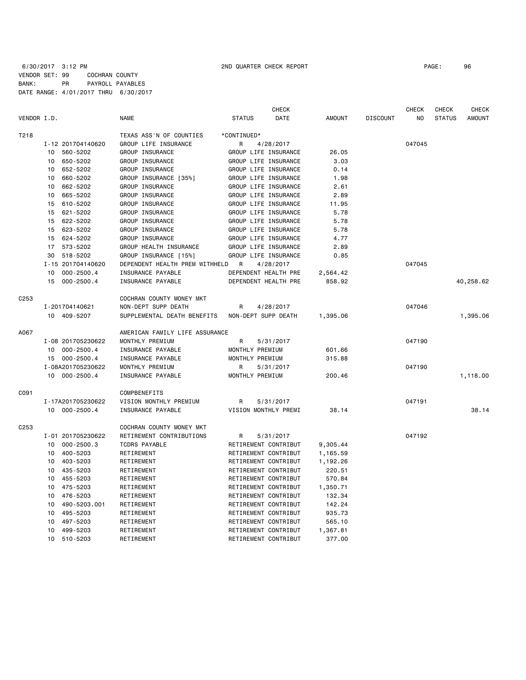6/30/2017 3:12 PM 2ND QUARTER CHECK REPORT PAGE: 96 VENDOR SET: 99 COCHRAN COUNTY BANK: PR PAYROLL PAYABLES DATE RANGE: 4/01/2017 THRU 6/30/2017

|                  |                      |                                | <b>CHECK</b>                 |               |                 | <b>CHECK</b>   | <b>CHECK</b>  | CHECK         |
|------------------|----------------------|--------------------------------|------------------------------|---------------|-----------------|----------------|---------------|---------------|
| VENDOR I.D.      |                      | <b>NAME</b>                    | <b>STATUS</b><br><b>DATE</b> | <b>AMOUNT</b> | <b>DISCOUNT</b> | N <sub>O</sub> | <b>STATUS</b> | <b>AMOUNT</b> |
| T218             |                      | TEXAS ASS'N OF COUNTIES        | *CONTINUED*                  |               |                 |                |               |               |
|                  | I-12 201704140620    | GROUP LIFE INSURANCE           | 4/28/2017<br>R               |               |                 | 047045         |               |               |
|                  | 560-5202<br>10       | GROUP INSURANCE                | GROUP LIFE INSURANCE         | 26.05         |                 |                |               |               |
|                  | 650-5202<br>10       | GROUP INSURANCE                | GROUP LIFE INSURANCE         | 3.03          |                 |                |               |               |
|                  | 652-5202<br>10       | GROUP INSURANCE                | GROUP LIFE INSURANCE         | 0.14          |                 |                |               |               |
|                  | 660-5202<br>10       | GROUP INSURANCE [35%]          | GROUP LIFE INSURANCE         | 1.98          |                 |                |               |               |
|                  | 662-5202<br>10       | GROUP INSURANCE                | GROUP LIFE INSURANCE         | 2.61          |                 |                |               |               |
|                  | 665-5202<br>10       | GROUP INSURANCE                | GROUP LIFE INSURANCE         | 2.89          |                 |                |               |               |
|                  | 610-5202<br>15       | GROUP INSURANCE                | GROUP LIFE INSURANCE         | 11.95         |                 |                |               |               |
|                  | 621-5202<br>15       | GROUP INSURANCE                | GROUP LIFE INSURANCE         | 5.78          |                 |                |               |               |
|                  | 622-5202<br>15       | GROUP INSURANCE                | GROUP LIFE INSURANCE         | 5.78          |                 |                |               |               |
|                  | 623-5202<br>15       | GROUP INSURANCE                | GROUP LIFE INSURANCE         | 5.78          |                 |                |               |               |
|                  | 624-5202<br>15       | GROUP INSURANCE                | GROUP LIFE INSURANCE         | 4.77          |                 |                |               |               |
|                  | 573-5202<br>17       | GROUP HEALTH INSURANCE         | GROUP LIFE INSURANCE         | 2.89          |                 |                |               |               |
|                  | 30<br>518-5202       | GROUP INSURANCE [15%]          | GROUP LIFE INSURANCE         | 0.85          |                 |                |               |               |
|                  | I-15 201704140620    | DEPENDENT HEALTH PREM WITHHELD | R<br>4/28/2017               |               |                 | 047045         |               |               |
|                  | $000 - 2500.4$<br>10 | INSURANCE PAYABLE              | DEPENDENT HEALTH PRE         | 2,564.42      |                 |                |               |               |
|                  | 15<br>$000 - 2500.4$ | INSURANCE PAYABLE              | DEPENDENT HEALTH PRE         | 858.92        |                 |                |               | 40,258.62     |
| C <sub>253</sub> |                      | COCHRAN COUNTY MONEY MKT       |                              |               |                 |                |               |               |
|                  | I-201704140621       | NON-DEPT SUPP DEATH            | R<br>4/28/2017               |               |                 | 047046         |               |               |
|                  | 10 409-5207          | SUPPLEMENTAL DEATH BENEFITS    | NON-DEPT SUPP DEATH          | 1,395.06      |                 |                |               | 1,395.06      |
| A067             |                      | AMERICAN FAMILY LIFE ASSURANCE |                              |               |                 |                |               |               |
|                  | I-08 201705230622    | MONTHLY PREMIUM                | R<br>5/31/2017               |               |                 | 047190         |               |               |
|                  | 10 000-2500.4        | INSURANCE PAYABLE              | MONTHLY PREMIUM              | 601.66        |                 |                |               |               |
|                  | 15 000-2500.4        | INSURANCE PAYABLE              | MONTHLY PREMIUM              | 315.88        |                 |                |               |               |
|                  | I-08A201705230622    | MONTHLY PREMIUM                | R<br>5/31/2017               |               |                 | 047190         |               |               |
|                  | 10 000-2500.4        | INSURANCE PAYABLE              | MONTHLY PREMIUM              | 200.46        |                 |                |               | 1,118.00      |
| C091             |                      | COMPBENEFITS                   |                              |               |                 |                |               |               |
|                  | I-17A201705230622    | VISION MONTHLY PREMIUM         | R<br>5/31/2017               |               |                 | 047191         |               |               |
|                  | 10 000-2500.4        | INSURANCE PAYABLE              | VISION MONTHLY PREMI         | 38.14         |                 |                |               | 38.14         |
| C <sub>253</sub> |                      | COCHRAN COUNTY MONEY MKT       |                              |               |                 |                |               |               |
|                  | I-01 201705230622    | RETIREMENT CONTRIBUTIONS       | R<br>5/31/2017               |               |                 | 047192         |               |               |
|                  | $000 - 2500.3$<br>10 | <b>TCDRS PAYABLE</b>           | RETIREMENT CONTRIBUT         | 9,305.44      |                 |                |               |               |
|                  | 400-5203<br>10       | RETIREMENT                     | RETIREMENT CONTRIBUT         | 1,165.59      |                 |                |               |               |
|                  | 403-5203<br>10       | RETIREMENT                     | RETIREMENT CONTRIBUT         | 1,192.26      |                 |                |               |               |
|                  | 435-5203<br>10       | RETIREMENT                     | RETIREMENT CONTRIBUT         | 220.51        |                 |                |               |               |
|                  | 455-5203<br>10       | RETIREMENT                     | RETIREMENT CONTRIBUT         | 570.84        |                 |                |               |               |
|                  | 10<br>475-5203       | RETIREMENT                     | RETIREMENT CONTRIBUT         | 1,350.71      |                 |                |               |               |
|                  | 476-5203<br>10       | RETIREMENT                     | RETIREMENT CONTRIBUT         | 132.34        |                 |                |               |               |
|                  | 490-5203.001<br>10   | RETIREMENT                     | RETIREMENT CONTRIBUT         | 142.24        |                 |                |               |               |
|                  | 495-5203<br>10       | RETIREMENT                     | RETIREMENT CONTRIBUT         | 935.73        |                 |                |               |               |
|                  | 497-5203<br>10       | RETIREMENT                     | RETIREMENT CONTRIBUT         | 565.10        |                 |                |               |               |
|                  | 10<br>499-5203       | RETIREMENT                     | RETIREMENT CONTRIBUT         | 1,367.81      |                 |                |               |               |

10 510-5203 RETIREMENT RETIREMENT CONTRIBUT 377.00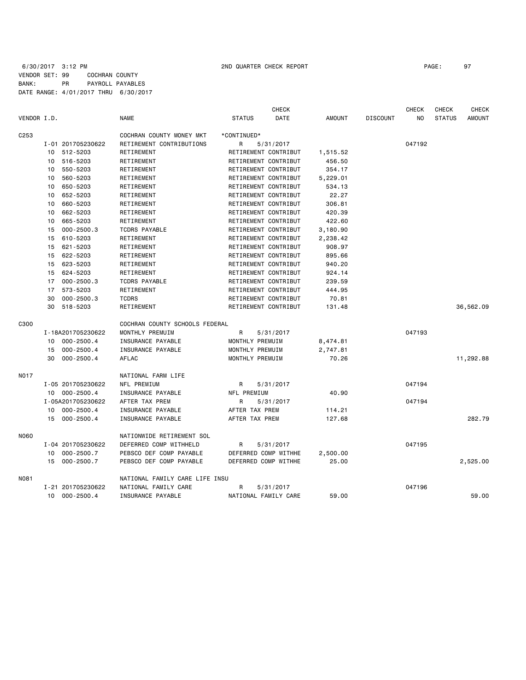|                  |    |                   |                                |                      | <b>CHECK</b> |               |                 | <b>CHECK</b> | <b>CHECK</b>  | <b>CHECK</b>  |
|------------------|----|-------------------|--------------------------------|----------------------|--------------|---------------|-----------------|--------------|---------------|---------------|
| VENDOR I.D.      |    |                   | <b>NAME</b>                    | <b>STATUS</b>        | DATE         | <b>AMOUNT</b> | <b>DISCOUNT</b> | NO           | <b>STATUS</b> | <b>AMOUNT</b> |
| C <sub>253</sub> |    |                   | COCHRAN COUNTY MONEY MKT       | *CONTINUED*          |              |               |                 |              |               |               |
|                  |    | I-01 201705230622 | RETIREMENT CONTRIBUTIONS       | R                    | 5/31/2017    |               |                 | 047192       |               |               |
|                  |    | 10 512-5203       | RETIREMENT                     | RETIREMENT CONTRIBUT |              | 1,515.52      |                 |              |               |               |
|                  | 10 | 516-5203          | RETIREMENT                     | RETIREMENT CONTRIBUT |              | 456.50        |                 |              |               |               |
|                  |    | 10 550-5203       | RETIREMENT                     | RETIREMENT CONTRIBUT |              | 354.17        |                 |              |               |               |
|                  | 10 | 560-5203          | RETIREMENT                     | RETIREMENT CONTRIBUT |              | 5,229.01      |                 |              |               |               |
|                  | 10 | 650-5203          | RETIREMENT                     | RETIREMENT CONTRIBUT |              | 534.13        |                 |              |               |               |
|                  | 10 | 652-5203          | RETIREMENT                     | RETIREMENT CONTRIBUT |              | 22.27         |                 |              |               |               |
|                  | 10 | 660-5203          | RETIREMENT                     | RETIREMENT CONTRIBUT |              | 306.81        |                 |              |               |               |
|                  | 10 | 662-5203          | RETIREMENT                     | RETIREMENT CONTRIBUT |              | 420.39        |                 |              |               |               |
|                  | 10 | 665-5203          | RETIREMENT                     | RETIREMENT CONTRIBUT |              | 422.60        |                 |              |               |               |
|                  | 15 | $000 - 2500.3$    | <b>TCDRS PAYABLE</b>           | RETIREMENT CONTRIBUT |              | 3,180.90      |                 |              |               |               |
|                  | 15 | 610-5203          | RETIREMENT                     | RETIREMENT CONTRIBUT |              | 2,238.42      |                 |              |               |               |
|                  | 15 | 621-5203          | RETIREMENT                     | RETIREMENT CONTRIBUT |              | 908.97        |                 |              |               |               |
|                  | 15 | 622-5203          | RETIREMENT                     | RETIREMENT CONTRIBUT |              | 895.66        |                 |              |               |               |
|                  | 15 | 623-5203          | RETIREMENT                     | RETIREMENT CONTRIBUT |              | 940.20        |                 |              |               |               |
|                  | 15 | 624-5203          | RETIREMENT                     | RETIREMENT CONTRIBUT |              | 924.14        |                 |              |               |               |
|                  | 17 | $000 - 2500.3$    | <b>TCDRS PAYABLE</b>           | RETIREMENT CONTRIBUT |              | 239.59        |                 |              |               |               |
|                  | 17 | 573-5203          | RETIREMENT                     | RETIREMENT CONTRIBUT |              | 444.95        |                 |              |               |               |
|                  | 30 | $000 - 2500.3$    | <b>TCDRS</b>                   | RETIREMENT CONTRIBUT |              | 70.81         |                 |              |               |               |
|                  | 30 | 518-5203          | RETIREMENT                     | RETIREMENT CONTRIBUT |              | 131.48        |                 |              |               | 36,562.09     |
| C300             |    |                   | COCHRAN COUNTY SCHOOLS FEDERAL |                      |              |               |                 |              |               |               |
|                  |    | I-18A201705230622 | MONTHLY PREMUIM                | R                    | 5/31/2017    |               |                 | 047193       |               |               |
|                  | 10 | $000 - 2500.4$    | INSURANCE PAYABLE              | MONTHLY PREMUIM      |              | 8,474.81      |                 |              |               |               |
|                  | 15 | $000 - 2500.4$    | INSURANCE PAYABLE              | MONTHLY PREMUIM      |              | 2,747.81      |                 |              |               |               |
|                  | 30 | $000 - 2500.4$    | AFLAC                          | MONTHLY PREMUIM      |              | 70.26         |                 |              |               | 11,292.88     |
| <b>NO17</b>      |    |                   | NATIONAL FARM LIFE             |                      |              |               |                 |              |               |               |
|                  |    | I-05 201705230622 | NFL PREMIUM                    | R                    | 5/31/2017    |               |                 | 047194       |               |               |
|                  |    | 10 000-2500.4     | INSURANCE PAYABLE              | NFL PREMIUM          |              | 40.90         |                 |              |               |               |
|                  |    | I-05A201705230622 | AFTER TAX PREM                 | R                    | 5/31/2017    |               |                 | 047194       |               |               |
|                  |    | 10 000-2500.4     | INSURANCE PAYABLE              | AFTER TAX PREM       |              | 114.21        |                 |              |               |               |
|                  |    | 15 000-2500.4     | INSURANCE PAYABLE              | AFTER TAX PREM       |              | 127.68        |                 |              |               | 282.79        |
| <b>N060</b>      |    |                   | NATIONWIDE RETIREMENT SOL      |                      |              |               |                 |              |               |               |
|                  |    | I-04 201705230622 | DEFERRED COMP WITHHELD         | R                    | 5/31/2017    |               |                 | 047195       |               |               |
|                  | 10 | $000 - 2500.7$    | PEBSCO DEF COMP PAYABLE        | DEFERRED COMP WITHHE |              | 2,500.00      |                 |              |               |               |
|                  | 15 | $000 - 2500.7$    | PEBSCO DEF COMP PAYABLE        | DEFERRED COMP WITHHE |              | 25,00         |                 |              |               | 2,525.00      |
| N081             |    |                   | NATIONAL FAMILY CARE LIFE INSU |                      |              |               |                 |              |               |               |
|                  |    | I-21 201705230622 | NATIONAL FAMILY CARE           | R                    | 5/31/2017    |               |                 | 047196       |               |               |
|                  | 10 | $000 - 2500.4$    | INSURANCE PAYABLE              | NATIONAL FAMILY CARE |              | 59.00         |                 |              |               | 59.00         |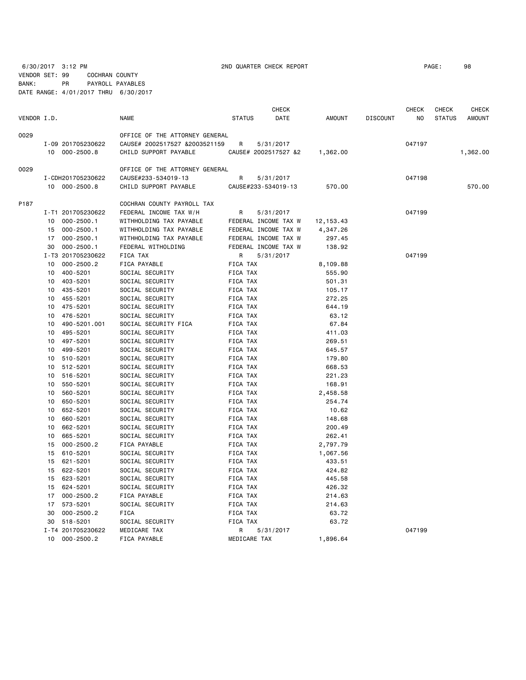6/30/2017 3:12 PM 2ND QUARTER CHECK REPORT PAGE: 98 VENDOR SET: 99 COCHRAN COUNTY BANK: PR PAYROLL PAYABLES DATE RANGE: 4/01/2017 THRU 6/30/2017

| VENDOR I.D. |                 |                      | <b>NAME</b>                    | <b>STATUS</b>   | <b>CHECK</b><br>DATE | AMOUNT     | <b>DISCOUNT</b> | CHECK<br>NO. | <b>CHECK</b><br><b>STATUS</b> | <b>CHECK</b><br><b>AMOUNT</b> |
|-------------|-----------------|----------------------|--------------------------------|-----------------|----------------------|------------|-----------------|--------------|-------------------------------|-------------------------------|
| 0029        |                 |                      | OFFICE OF THE ATTORNEY GENERAL |                 |                      |            |                 |              |                               |                               |
|             |                 | I-09 201705230622    | CAUSE# 2002517527 &2003521159  | R               | 5/31/2017            |            |                 | 047197       |                               |                               |
|             |                 | 10 000-2500.8        | CHILD SUPPORT PAYABLE          |                 | CAUSE# 2002517527 &2 | 1,362.00   |                 |              |                               | 1,362.00                      |
| 0029        |                 |                      | OFFICE OF THE ATTORNEY GENERAL |                 |                      |            |                 |              |                               |                               |
|             |                 | I-CDH201705230622    | CAUSE#233-534019-13            | R               | 5/31/2017            |            |                 | 047198       |                               |                               |
|             |                 | 10 000-2500.8        | CHILD SUPPORT PAYABLE          |                 | CAUSE#233-534019-13  | 570.00     |                 |              |                               | 570.00                        |
| P187        |                 |                      | COCHRAN COUNTY PAYROLL TAX     |                 |                      |            |                 |              |                               |                               |
|             |                 | I-T1 201705230622    | FEDERAL INCOME TAX W/H         | R               | 5/31/2017            |            |                 | 047199       |                               |                               |
|             | 10              | $000 - 2500.1$       | WITHHOLDING TAX PAYABLE        |                 | FEDERAL INCOME TAX W | 12, 153.43 |                 |              |                               |                               |
|             | 15              | 000-2500.1           | WITHHOLDING TAX PAYABLE        |                 | FEDERAL INCOME TAX W | 4,347.26   |                 |              |                               |                               |
|             | 17              | $000 - 2500.1$       | WITHHOLDING TAX PAYABLE        |                 | FEDERAL INCOME TAX W | 297.45     |                 |              |                               |                               |
|             | 30              | $000 - 2500.1$       | FEDERAL WITHOLDING             |                 | FEDERAL INCOME TAX W | 138.92     |                 |              |                               |                               |
|             |                 | I-T3 201705230622    | FICA TAX                       | R               | 5/31/2017            |            |                 | 047199       |                               |                               |
|             | 10              | $000 - 2500.2$       | FICA PAYABLE                   | FICA TAX        |                      | 8,109.88   |                 |              |                               |                               |
|             | 10              | 400-5201             | SOCIAL SECURITY                | <b>FICA TAX</b> |                      | 555.90     |                 |              |                               |                               |
|             | 10              | 403-5201             | SOCIAL SECURITY                | FICA TAX        |                      | 501.31     |                 |              |                               |                               |
|             | 10              | 435-5201             | SOCIAL SECURITY                | FICA TAX        |                      | 105.17     |                 |              |                               |                               |
|             | 10              | 455-5201             | SOCIAL SECURITY                | FICA TAX        |                      | 272.25     |                 |              |                               |                               |
|             | 10              | 475-5201             | SOCIAL SECURITY                | FICA TAX        |                      | 644.19     |                 |              |                               |                               |
|             | 10              | 476-5201             | SOCIAL SECURITY                | FICA TAX        |                      | 63.12      |                 |              |                               |                               |
|             | 10              | 490-5201.001         | SOCIAL SECURITY FICA           | FICA TAX        |                      | 67.84      |                 |              |                               |                               |
|             | 10              | 495-5201             | SOCIAL SECURITY                | FICA TAX        |                      | 411.03     |                 |              |                               |                               |
|             | 10              | 497-5201             | SOCIAL SECURITY                | FICA TAX        |                      | 269.51     |                 |              |                               |                               |
|             | 10              | 499-5201             | SOCIAL SECURITY                | <b>FICA TAX</b> |                      | 645.57     |                 |              |                               |                               |
|             | 10              | 510-5201             | SOCIAL SECURITY                | FICA TAX        |                      | 179.80     |                 |              |                               |                               |
|             | 10              | 512-5201             | SOCIAL SECURITY                | FICA TAX        |                      | 668.53     |                 |              |                               |                               |
|             | 10              | 516-5201             | SOCIAL SECURITY                | <b>FICA TAX</b> |                      | 221.23     |                 |              |                               |                               |
|             | 10              | 550-5201             | SOCIAL SECURITY                | FICA TAX        |                      | 168.91     |                 |              |                               |                               |
|             | 10              | 560-5201             | SOCIAL SECURITY                | FICA TAX        |                      | 2,458.58   |                 |              |                               |                               |
|             | 10              | 650-5201             | SOCIAL SECURITY                | FICA TAX        |                      | 254.74     |                 |              |                               |                               |
|             | 10              | 652-5201             | SOCIAL SECURITY                | FICA TAX        |                      | 10.62      |                 |              |                               |                               |
|             |                 |                      | SOCIAL SECURITY                |                 |                      |            |                 |              |                               |                               |
|             | 10              | 660-5201             |                                | FICA TAX        |                      | 148.68     |                 |              |                               |                               |
|             | 10<br>10        | 662-5201<br>665-5201 | SOCIAL SECURITY                | FICA TAX        |                      | 200.49     |                 |              |                               |                               |
|             |                 |                      | SOCIAL SECURITY                | FICA TAX        |                      | 262.41     |                 |              |                               |                               |
|             | 15              | $000 - 2500.2$       | FICA PAYABLE                   | FICA TAX        |                      | 2,797.79   |                 |              |                               |                               |
|             | 15              | 610-5201             | SOCIAL SECURITY                | FICA TAX        |                      | 1,067.56   |                 |              |                               |                               |
|             | 15              | 621-5201             | SOCIAL SECURITY                | FICA TAX        |                      | 433.51     |                 |              |                               |                               |
|             | 15              | 622-5201             | SOCIAL SECURITY                | FICA TAX        |                      | 424.82     |                 |              |                               |                               |
|             | 15              | 623-5201             | SOCIAL SECURITY                | FICA TAX        |                      | 445.58     |                 |              |                               |                               |
|             | 15              | 624-5201             | SOCIAL SECURITY                | FICA TAX        |                      | 426.32     |                 |              |                               |                               |
|             | 17              | 000-2500.2           | FICA PAYABLE                   | FICA TAX        |                      | 214.63     |                 |              |                               |                               |
|             | 17              | 573-5201             | SOCIAL SECURITY                | FICA TAX        |                      | 214.63     |                 |              |                               |                               |
|             | 30              | $000 - 2500.2$       | FICA                           | FICA TAX        |                      | 63.72      |                 |              |                               |                               |
|             | 30              | 518-5201             | SOCIAL SECURITY                | FICA TAX        |                      | 63.72      |                 |              |                               |                               |
|             |                 | I-T4 201705230622    | MEDICARE TAX                   | R               | 5/31/2017            |            |                 | 047199       |                               |                               |
|             | 10 <sup>1</sup> | $000 - 2500.2$       | FICA PAYABLE                   | MEDICARE TAX    |                      | 1,896.64   |                 |              |                               |                               |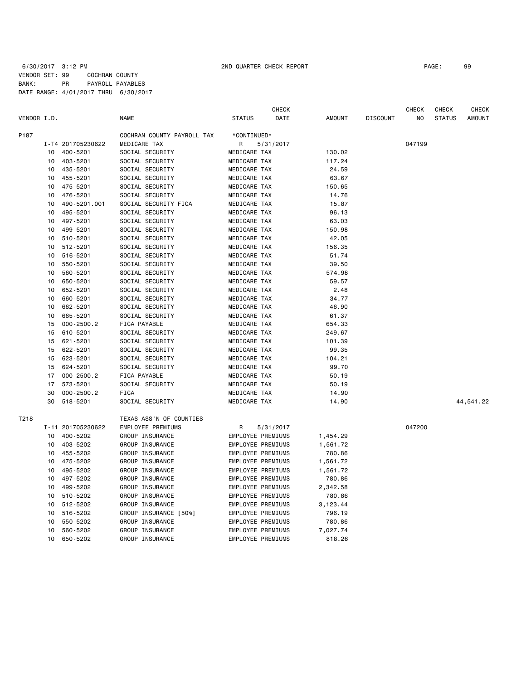### 6/30/2017 3:12 PM 2ND QUARTER CHECK REPORT PAGE: 99 VENDOR SET: 99 COCHRAN COUNTY BANK: PR PAYROLL PAYABLES DATE RANGE: 4/01/2017 THRU 6/30/2017

|             |    |                   |                            |                          | CHECK     |               |                 | CHECK  | CHECK         | CHECK         |
|-------------|----|-------------------|----------------------------|--------------------------|-----------|---------------|-----------------|--------|---------------|---------------|
| VENDOR I.D. |    |                   | <b>NAME</b>                | <b>STATUS</b>            | DATE      | <b>AMOUNT</b> | <b>DISCOUNT</b> | NO     | <b>STATUS</b> | <b>AMOUNT</b> |
| P187        |    |                   | COCHRAN COUNTY PAYROLL TAX | *CONTINUED*              |           |               |                 |        |               |               |
|             |    | I-T4 201705230622 | MEDICARE TAX               | R                        | 5/31/2017 |               |                 | 047199 |               |               |
|             | 10 | 400-5201          | SOCIAL SECURITY            | MEDICARE TAX             |           | 130.02        |                 |        |               |               |
|             | 10 | 403-5201          | SOCIAL SECURITY            | MEDICARE TAX             |           | 117.24        |                 |        |               |               |
|             | 10 | 435-5201          | SOCIAL SECURITY            | MEDICARE TAX             |           | 24.59         |                 |        |               |               |
|             | 10 | 455-5201          | SOCIAL SECURITY            | MEDICARE TAX             |           | 63.67         |                 |        |               |               |
|             | 10 | 475-5201          | SOCIAL SECURITY            | MEDICARE TAX             |           | 150.65        |                 |        |               |               |
|             | 10 | 476-5201          | SOCIAL SECURITY            | MEDICARE TAX             |           | 14.76         |                 |        |               |               |
|             | 10 | 490-5201.001      | SOCIAL SECURITY FICA       | MEDICARE TAX             |           | 15.87         |                 |        |               |               |
|             | 10 | 495-5201          | SOCIAL SECURITY            | MEDICARE TAX             |           | 96.13         |                 |        |               |               |
|             | 10 | 497-5201          | SOCIAL SECURITY            | MEDICARE TAX             |           | 63.03         |                 |        |               |               |
|             | 10 | 499-5201          | SOCIAL SECURITY            | MEDICARE TAX             |           | 150.98        |                 |        |               |               |
|             | 10 | 510-5201          | SOCIAL SECURITY            | MEDICARE TAX             |           | 42.05         |                 |        |               |               |
|             | 10 | 512-5201          | SOCIAL SECURITY            | MEDICARE TAX             |           | 156.35        |                 |        |               |               |
|             | 10 | 516-5201          | SOCIAL SECURITY            | MEDICARE TAX             |           | 51.74         |                 |        |               |               |
|             | 10 | 550-5201          | SOCIAL SECURITY            | MEDICARE TAX             |           | 39.50         |                 |        |               |               |
|             | 10 | 560-5201          | SOCIAL SECURITY            | MEDICARE TAX             |           | 574.98        |                 |        |               |               |
|             | 10 | 650-5201          | SOCIAL SECURITY            | MEDICARE TAX             |           | 59.57         |                 |        |               |               |
|             | 10 | 652-5201          | SOCIAL SECURITY            | MEDICARE TAX             |           | 2.48          |                 |        |               |               |
|             | 10 | 660-5201          | SOCIAL SECURITY            | MEDICARE TAX             |           | 34.77         |                 |        |               |               |
|             | 10 | 662-5201          | SOCIAL SECURITY            | MEDICARE TAX             |           | 46.90         |                 |        |               |               |
|             | 10 | 665-5201          | SOCIAL SECURITY            | MEDICARE TAX             |           | 61.37         |                 |        |               |               |
|             | 15 | $000 - 2500.2$    | FICA PAYABLE               | MEDICARE TAX             |           | 654.33        |                 |        |               |               |
|             | 15 | 610-5201          | SOCIAL SECURITY            | MEDICARE TAX             |           | 249.67        |                 |        |               |               |
|             | 15 | 621-5201          | SOCIAL SECURITY            | MEDICARE TAX             |           | 101.39        |                 |        |               |               |
|             | 15 | 622-5201          | SOCIAL SECURITY            | MEDICARE TAX             |           | 99.35         |                 |        |               |               |
|             | 15 | 623-5201          | SOCIAL SECURITY            | MEDICARE TAX             |           | 104.21        |                 |        |               |               |
|             | 15 | 624-5201          | SOCIAL SECURITY            | MEDICARE TAX             |           | 99.70         |                 |        |               |               |
|             | 17 | $000 - 2500.2$    | FICA PAYABLE               | MEDICARE TAX             |           | 50.19         |                 |        |               |               |
|             | 17 | 573-5201          | SOCIAL SECURITY            | MEDICARE TAX             |           | 50.19         |                 |        |               |               |
|             | 30 | $000 - 2500.2$    | FICA                       | MEDICARE TAX             |           | 14.90         |                 |        |               |               |
|             | 30 | 518-5201          | SOCIAL SECURITY            | MEDICARE TAX             |           | 14.90         |                 |        |               | 44,541.22     |
|             |    |                   |                            |                          |           |               |                 |        |               |               |
| T218        |    |                   | TEXAS ASS'N OF COUNTIES    |                          |           |               |                 |        |               |               |
|             |    | I-11 201705230622 | EMPLOYEE PREMIUMS          | R                        | 5/31/2017 |               |                 | 047200 |               |               |
|             | 10 | 400-5202          | GROUP INSURANCE            | EMPLOYEE PREMIUMS        |           | 1,454.29      |                 |        |               |               |
|             | 10 | 403-5202          | GROUP INSURANCE            | EMPLOYEE PREMIUMS        |           | 1,561.72      |                 |        |               |               |
|             | 10 | 455-5202          | GROUP INSURANCE            | <b>EMPLOYEE PREMIUMS</b> |           | 780.86        |                 |        |               |               |
|             | 10 | 475-5202          | GROUP INSURANCE            | EMPLOYEE PREMIUMS        |           | 1,561.72      |                 |        |               |               |
|             | 10 | 495-5202          | GROUP INSURANCE            | EMPLOYEE PREMIUMS        |           | 1,561.72      |                 |        |               |               |
|             | 10 | 497-5202          | GROUP INSURANCE            | EMPLOYEE PREMIUMS        |           | 780.86        |                 |        |               |               |
|             | 10 | 499-5202          | GROUP INSURANCE            | EMPLOYEE PREMIUMS        |           | 2,342.58      |                 |        |               |               |
|             | 10 | 510-5202          | GROUP INSURANCE            | EMPLOYEE PREMIUMS        |           | 780.86        |                 |        |               |               |
|             | 10 | 512-5202          | GROUP INSURANCE            | EMPLOYEE PREMIUMS        |           | 3,123.44      |                 |        |               |               |
|             | 10 | 516-5202          | GROUP INSURANCE [50%]      | EMPLOYEE PREMIUMS        |           | 796.19        |                 |        |               |               |
|             | 10 | 550-5202          | GROUP INSURANCE            | EMPLOYEE PREMIUMS        |           | 780.86        |                 |        |               |               |
|             | 10 | 560-5202          | GROUP INSURANCE            | <b>EMPLOYEE PREMIUMS</b> |           | 7,027.74      |                 |        |               |               |
|             | 10 | 650-5202          | GROUP INSURANCE            | EMPLOYEE PREMIUMS        |           | 818.26        |                 |        |               |               |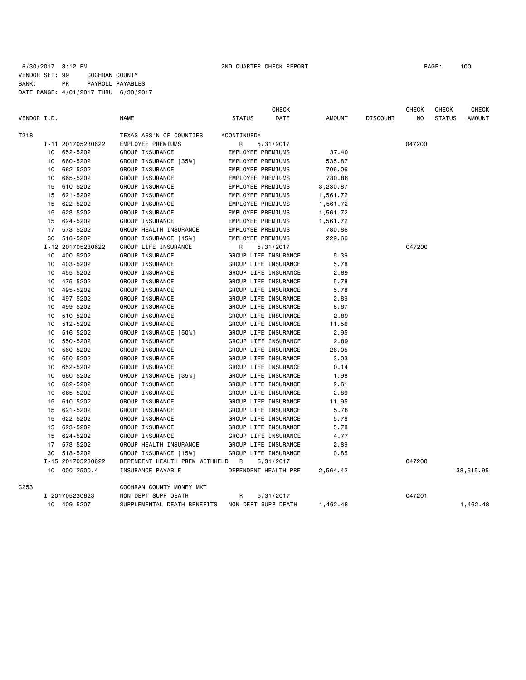|                  |    |                   |                                |                          | <b>CHECK</b>         |          |                 | <b>CHECK</b> | <b>CHECK</b>  | CHECK         |
|------------------|----|-------------------|--------------------------------|--------------------------|----------------------|----------|-----------------|--------------|---------------|---------------|
| VENDOR I.D.      |    |                   | NAME                           | <b>STATUS</b>            | DATE                 | AMOUNT   | <b>DISCOUNT</b> | NO.          | <b>STATUS</b> | <b>AMOUNT</b> |
| T218             |    |                   | TEXAS ASS'N OF COUNTIES        | *CONTINUED*              |                      |          |                 |              |               |               |
|                  |    | I-11 201705230622 | EMPLOYEE PREMIUMS              | R                        | 5/31/2017            |          |                 | 047200       |               |               |
|                  |    | 10 652-5202       | GROUP INSURANCE                | EMPLOYEE PREMIUMS        |                      | 37.40    |                 |              |               |               |
|                  | 10 | 660-5202          | GROUP INSURANCE [35%]          | <b>EMPLOYEE PREMIUMS</b> |                      | 535.87   |                 |              |               |               |
|                  | 10 | 662-5202          | GROUP INSURANCE                | EMPLOYEE PREMIUMS        |                      | 706.06   |                 |              |               |               |
|                  | 10 | 665-5202          | GROUP INSURANCE                | EMPLOYEE PREMIUMS        |                      | 780.86   |                 |              |               |               |
|                  | 15 | 610-5202          | GROUP INSURANCE                | EMPLOYEE PREMIUMS        |                      | 3,230.87 |                 |              |               |               |
|                  | 15 | 621-5202          | GROUP INSURANCE                | EMPLOYEE PREMIUMS        |                      | 1,561.72 |                 |              |               |               |
|                  | 15 | 622-5202          | GROUP INSURANCE                | EMPLOYEE PREMIUMS        |                      | 1,561.72 |                 |              |               |               |
|                  | 15 | 623-5202          | GROUP INSURANCE                | EMPLOYEE PREMIUMS        |                      | 1,561.72 |                 |              |               |               |
|                  | 15 | 624-5202          | GROUP INSURANCE                | EMPLOYEE PREMIUMS        |                      | 1,561.72 |                 |              |               |               |
|                  |    | 17 573-5202       | GROUP HEALTH INSURANCE         | EMPLOYEE PREMIUMS        |                      | 780.86   |                 |              |               |               |
|                  |    | 30 518-5202       | GROUP INSURANCE [15%]          | EMPLOYEE PREMIUMS        |                      | 229.66   |                 |              |               |               |
|                  |    | I-12 201705230622 | GROUP LIFE INSURANCE           | R                        | 5/31/2017            |          |                 | 047200       |               |               |
|                  | 10 | 400-5202          | GROUP INSURANCE                |                          | GROUP LIFE INSURANCE | 5.39     |                 |              |               |               |
|                  | 10 | 403-5202          | GROUP INSURANCE                |                          | GROUP LIFE INSURANCE | 5.78     |                 |              |               |               |
|                  | 10 | 455-5202          | GROUP INSURANCE                |                          | GROUP LIFE INSURANCE | 2.89     |                 |              |               |               |
|                  |    | 10 475-5202       | GROUP INSURANCE                |                          | GROUP LIFE INSURANCE | 5.78     |                 |              |               |               |
|                  | 10 | 495-5202          | GROUP INSURANCE                |                          | GROUP LIFE INSURANCE | 5.78     |                 |              |               |               |
|                  | 10 | 497-5202          | GROUP INSURANCE                |                          | GROUP LIFE INSURANCE | 2.89     |                 |              |               |               |
|                  | 10 | 499-5202          | GROUP INSURANCE                |                          | GROUP LIFE INSURANCE | 8.67     |                 |              |               |               |
|                  |    | 10 510-5202       | GROUP INSURANCE                |                          | GROUP LIFE INSURANCE | 2.89     |                 |              |               |               |
|                  | 10 | 512-5202          | GROUP INSURANCE                |                          | GROUP LIFE INSURANCE | 11.56    |                 |              |               |               |
|                  | 10 | 516-5202          | GROUP INSURANCE [50%]          |                          | GROUP LIFE INSURANCE | 2.95     |                 |              |               |               |
|                  | 10 | 550-5202          | GROUP INSURANCE                |                          | GROUP LIFE INSURANCE | 2.89     |                 |              |               |               |
|                  | 10 | 560-5202          | GROUP INSURANCE                |                          | GROUP LIFE INSURANCE | 26.05    |                 |              |               |               |
|                  | 10 | 650-5202          | GROUP INSURANCE                |                          | GROUP LIFE INSURANCE | 3.03     |                 |              |               |               |
|                  | 10 | 652-5202          | GROUP INSURANCE                |                          | GROUP LIFE INSURANCE | 0.14     |                 |              |               |               |
|                  | 10 | 660-5202          | GROUP INSURANCE [35%]          |                          | GROUP LIFE INSURANCE | 1.98     |                 |              |               |               |
|                  | 10 | 662-5202          | GROUP INSURANCE                |                          | GROUP LIFE INSURANCE | 2.61     |                 |              |               |               |
|                  | 10 | 665-5202          | GROUP INSURANCE                |                          | GROUP LIFE INSURANCE | 2.89     |                 |              |               |               |
|                  | 15 | 610-5202          | GROUP INSURANCE                |                          | GROUP LIFE INSURANCE | 11.95    |                 |              |               |               |
|                  | 15 | 621-5202          | GROUP INSURANCE                |                          | GROUP LIFE INSURANCE | 5.78     |                 |              |               |               |
|                  | 15 | 622-5202          | GROUP INSURANCE                |                          | GROUP LIFE INSURANCE | 5.78     |                 |              |               |               |
|                  | 15 | 623-5202          | GROUP INSURANCE                |                          | GROUP LIFE INSURANCE | 5.78     |                 |              |               |               |
|                  | 15 | 624-5202          | GROUP INSURANCE                |                          | GROUP LIFE INSURANCE | 4.77     |                 |              |               |               |
|                  | 17 | 573-5202          | GROUP HEALTH INSURANCE         |                          | GROUP LIFE INSURANCE | 2.89     |                 |              |               |               |
|                  | 30 | 518-5202          | GROUP INSURANCE [15%]          |                          | GROUP LIFE INSURANCE | 0.85     |                 |              |               |               |
|                  |    | I-15 201705230622 | DEPENDENT HEALTH PREM WITHHELD | $\overline{R}$           | 5/31/2017            |          |                 | 047200       |               |               |
|                  |    | 10 000-2500.4     | INSURANCE PAYABLE              |                          | DEPENDENT HEALTH PRE | 2,564.42 |                 |              |               | 38,615.95     |
| C <sub>253</sub> |    |                   | COCHRAN COUNTY MONEY MKT       |                          |                      |          |                 |              |               |               |
|                  |    | I-201705230623    | NON-DEPT SUPP DEATH            | R                        | 5/31/2017            |          |                 | 047201       |               |               |
|                  |    | 10 409-5207       | SUPPLEMENTAL DEATH BENEFITS    |                          | NON-DEPT SUPP DEATH  | 1,462.48 |                 |              |               | 1,462.48      |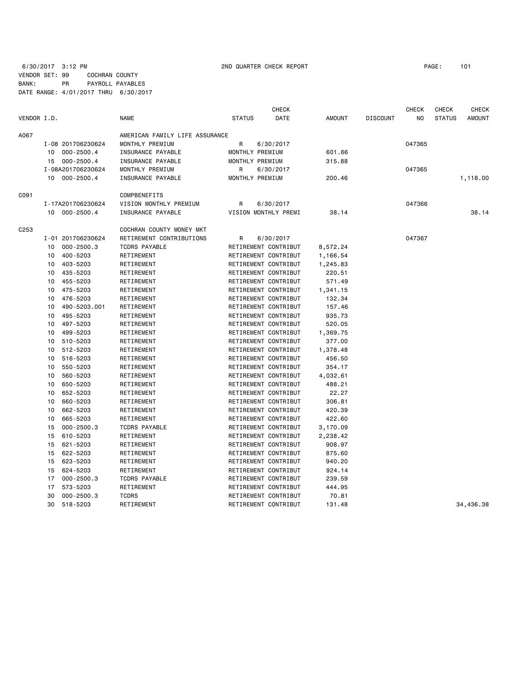6/30/2017 3:12 PM 2ND QUARTER CHECK REPORT PAGE: 101 VENDOR SET: 99 COCHRAN COUNTY BANK: PR PAYROLL PAYABLES DATE RANGE: 4/01/2017 THRU 6/30/2017

|                  |    |                   |                                |                 | <b>CHECK</b>         |               |                 | <b>CHECK</b> | <b>CHECK</b>  | <b>CHECK</b>  |
|------------------|----|-------------------|--------------------------------|-----------------|----------------------|---------------|-----------------|--------------|---------------|---------------|
| VENDOR I.D.      |    |                   | <b>NAME</b>                    | <b>STATUS</b>   | DATE                 | <b>AMOUNT</b> | <b>DISCOUNT</b> | NO           | <b>STATUS</b> | <b>AMOUNT</b> |
| A067             |    |                   | AMERICAN FAMILY LIFE ASSURANCE |                 |                      |               |                 |              |               |               |
|                  |    | I-08 201706230624 | MONTHLY PREMIUM                | R               | 6/30/2017            |               |                 | 047365       |               |               |
|                  | 10 | $000 - 2500.4$    | INSURANCE PAYABLE              | MONTHLY PREMIUM |                      | 601.66        |                 |              |               |               |
|                  |    | 15 000-2500.4     | INSURANCE PAYABLE              | MONTHLY PREMIUM |                      | 315.88        |                 |              |               |               |
|                  |    | I-08A201706230624 | MONTHLY PREMIUM                | R               |                      |               |                 | 047365       |               |               |
|                  |    | 10 000-2500.4     | INSURANCE PAYABLE              | MONTHLY PREMIUM | 6/30/2017            |               |                 |              |               |               |
|                  |    |                   |                                |                 |                      | 200.46        |                 |              |               | 1,118.00      |
| C091             |    |                   | <b>COMPBENEFITS</b>            |                 |                      |               |                 |              |               |               |
|                  |    | I-17A201706230624 | VISION MONTHLY PREMIUM         | R               | 6/30/2017            |               |                 | 047366       |               |               |
|                  |    | 10 000-2500.4     | INSURANCE PAYABLE              |                 | VISION MONTHLY PREMI | 38.14         |                 |              |               | 38.14         |
| C <sub>253</sub> |    |                   | COCHRAN COUNTY MONEY MKT       |                 |                      |               |                 |              |               |               |
|                  |    | I-01 201706230624 | RETIREMENT CONTRIBUTIONS       | R               | 6/30/2017            |               |                 | 047367       |               |               |
|                  | 10 | $000 - 2500.3$    | <b>TCDRS PAYABLE</b>           |                 | RETIREMENT CONTRIBUT | 8,572.24      |                 |              |               |               |
|                  | 10 | 400-5203          | RETIREMENT                     |                 | RETIREMENT CONTRIBUT |               |                 |              |               |               |
|                  |    |                   |                                |                 |                      | 1,166.54      |                 |              |               |               |
|                  | 10 | 403-5203          | RETIREMENT                     |                 | RETIREMENT CONTRIBUT | 1,245.83      |                 |              |               |               |
|                  | 10 | 435-5203          | RETIREMENT                     |                 | RETIREMENT CONTRIBUT | 220.51        |                 |              |               |               |
|                  | 10 | 455-5203          | RETIREMENT                     |                 | RETIREMENT CONTRIBUT | 571.49        |                 |              |               |               |
|                  | 10 | 475-5203          | RETIREMENT                     |                 | RETIREMENT CONTRIBUT | 1,341.15      |                 |              |               |               |
|                  | 10 | 476-5203          | RETIREMENT                     |                 | RETIREMENT CONTRIBUT | 132.34        |                 |              |               |               |
|                  | 10 | 490-5203.001      | RETIREMENT                     |                 | RETIREMENT CONTRIBUT | 157.46        |                 |              |               |               |
|                  | 10 | 495-5203          | RETIREMENT                     |                 | RETIREMENT CONTRIBUT | 935.73        |                 |              |               |               |
|                  | 10 | 497-5203          | RETIREMENT                     |                 | RETIREMENT CONTRIBUT | 520.05        |                 |              |               |               |
|                  | 10 | 499-5203          | RETIREMENT                     |                 | RETIREMENT CONTRIBUT | 1,369.75      |                 |              |               |               |
|                  | 10 | 510-5203          | RETIREMENT                     |                 | RETIREMENT CONTRIBUT | 377.00        |                 |              |               |               |
|                  | 10 | 512-5203          | RETIREMENT                     |                 | RETIREMENT CONTRIBUT | 1,378.48      |                 |              |               |               |
|                  | 10 | 516-5203          | RETIREMENT                     |                 | RETIREMENT CONTRIBUT | 456.50        |                 |              |               |               |
|                  | 10 | 550-5203          | RETIREMENT                     |                 | RETIREMENT CONTRIBUT | 354.17        |                 |              |               |               |
|                  | 10 | 560-5203          | RETIREMENT                     |                 | RETIREMENT CONTRIBUT | 4,032.61      |                 |              |               |               |
|                  | 10 | 650-5203          | RETIREMENT                     |                 | RETIREMENT CONTRIBUT | 488.21        |                 |              |               |               |
|                  | 10 | 652-5203          | RETIREMENT                     |                 | RETIREMENT CONTRIBUT | 22.27         |                 |              |               |               |
|                  | 10 | 660-5203          | RETIREMENT                     |                 | RETIREMENT CONTRIBUT | 306.81        |                 |              |               |               |
|                  | 10 | 662-5203          | RETIREMENT                     |                 | RETIREMENT CONTRIBUT | 420.39        |                 |              |               |               |
|                  | 10 | 665-5203          | RETIREMENT                     |                 | RETIREMENT CONTRIBUT | 422.60        |                 |              |               |               |
|                  | 15 | $000 - 2500.3$    | <b>TCDRS PAYABLE</b>           |                 | RETIREMENT CONTRIBUT | 3,170.09      |                 |              |               |               |
|                  | 15 | 610-5203          | RETIREMENT                     |                 | RETIREMENT CONTRIBUT | 2,238.42      |                 |              |               |               |
|                  | 15 | 621-5203          | RETIREMENT                     |                 | RETIREMENT CONTRIBUT | 908.97        |                 |              |               |               |
|                  | 15 | 622-5203          | RETIREMENT                     |                 | RETIREMENT CONTRIBUT | 875.60        |                 |              |               |               |
|                  | 15 | 623-5203          | RETIREMENT                     |                 | RETIREMENT CONTRIBUT | 940.20        |                 |              |               |               |
|                  | 15 | 624-5203          | RETIREMENT                     |                 | RETIREMENT CONTRIBUT | 924.14        |                 |              |               |               |
|                  | 17 | $000 - 2500.3$    | <b>TCDRS PAYABLE</b>           |                 | RETIREMENT CONTRIBUT | 239.59        |                 |              |               |               |
|                  | 17 | 573-5203          | RETIREMENT                     |                 | RETIREMENT CONTRIBUT | 444.95        |                 |              |               |               |
|                  | 30 | $000 - 2500.3$    | <b>TCDRS</b>                   |                 | RETIREMENT CONTRIBUT | 70.81         |                 |              |               |               |
|                  | 30 | 518-5203          | RETIREMENT                     |                 | RETIREMENT CONTRIBUT | 131.48        |                 |              |               | 34,436,38     |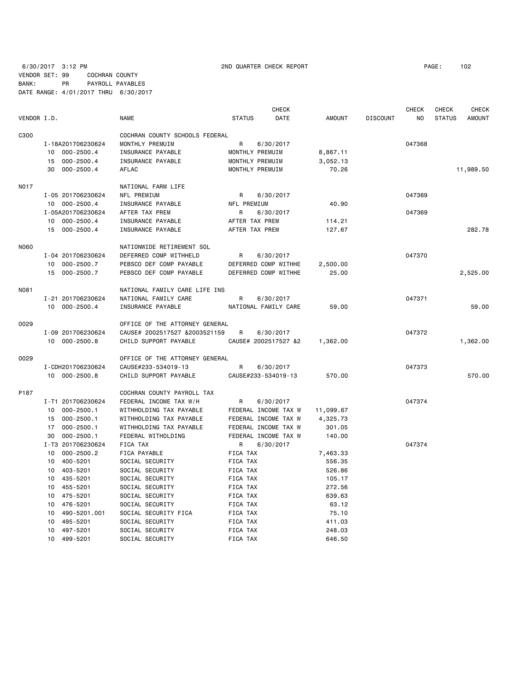6/30/2017 3:12 PM 2ND QUARTER CHECK REPORT PAGE: 102 VENDOR SET: 99 COCHRAN COUNTY BANK: PR PAYROLL PAYABLES DATE RANGE: 4/01/2017 THRU 6/30/2017

|             |                      |                                |                 | <b>CHECK</b>         |               |                 | <b>CHECK</b> | <b>CHECK</b>  | <b>CHECK</b>  |
|-------------|----------------------|--------------------------------|-----------------|----------------------|---------------|-----------------|--------------|---------------|---------------|
| VENDOR I.D. |                      | <b>NAME</b>                    | <b>STATUS</b>   | <b>DATE</b>          | <b>AMOUNT</b> | <b>DISCOUNT</b> | NO           | <b>STATUS</b> | <b>AMOUNT</b> |
| C300        |                      | COCHRAN COUNTY SCHOOLS FEDERAL |                 |                      |               |                 |              |               |               |
|             | I-18A201706230624    | MONTHLY PREMUIM                | $\mathsf{R}$    | 6/30/2017            |               |                 | 047368       |               |               |
|             | 000-2500.4<br>10     | INSURANCE PAYABLE              | MONTHLY PREMUIM |                      | 8,867.11      |                 |              |               |               |
|             | $000 - 2500.4$<br>15 | INSURANCE PAYABLE              | MONTHLY PREMUIM |                      | 3,052.13      |                 |              |               |               |
|             | $000 - 2500.4$<br>30 | AFLAC                          | MONTHLY PREMUIM |                      | 70.26         |                 |              |               | 11,989.50     |
| N017        |                      | NATIONAL FARM LIFE             |                 |                      |               |                 |              |               |               |
|             | I-05 201706230624    | NFL PREMIUM                    | R               | 6/30/2017            |               |                 | 047369       |               |               |
|             | 10 000-2500.4        | INSURANCE PAYABLE              | NFL PREMIUM     |                      | 40.90         |                 |              |               |               |
|             | I-05A201706230624    | AFTER TAX PREM                 | R               | 6/30/2017            |               |                 | 047369       |               |               |
|             | 10 000-2500.4        | INSURANCE PAYABLE              | AFTER TAX PREM  |                      | 114.21        |                 |              |               |               |
|             | 15 000-2500.4        | INSURANCE PAYABLE              | AFTER TAX PREM  |                      | 127.67        |                 |              |               | 282.78        |
| N060        |                      | NATIONWIDE RETIREMENT SOL      |                 |                      |               |                 |              |               |               |
|             | I-04 201706230624    | DEFERRED COMP WITHHELD         | R               | 6/30/2017            |               |                 | 047370       |               |               |
|             | 10 000-2500.7        | PEBSCO DEF COMP PAYABLE        |                 | DEFERRED COMP WITHHE | 2,500.00      |                 |              |               |               |
|             | 15 000-2500.7        | PEBSCO DEF COMP PAYABLE        |                 | DEFERRED COMP WITHHE | 25.00         |                 |              |               | 2,525.00      |
| N081        |                      | NATIONAL FAMILY CARE LIFE INS  |                 |                      |               |                 |              |               |               |
|             | I-21 201706230624    | NATIONAL FAMILY CARE           | R               | 6/30/2017            |               |                 | 047371       |               |               |
|             | 10 000-2500.4        | INSURANCE PAYABLE              |                 | NATIONAL FAMILY CARE | 59.00         |                 |              |               | 59.00         |
| 0029        |                      | OFFICE OF THE ATTORNEY GENERAL |                 |                      |               |                 |              |               |               |
|             | I-09 201706230624    | CAUSE# 2002517527 &2003521159  | R               | 6/30/2017            |               |                 | 047372       |               |               |
|             | 10 000-2500.8        | CHILD SUPPORT PAYABLE          |                 | CAUSE# 2002517527 &2 | 1,362.00      |                 |              |               | 1,362.00      |
| 0029        |                      | OFFICE OF THE ATTORNEY GENERAL |                 |                      |               |                 |              |               |               |
|             | I-CDH201706230624    | CAUSE#233-534019-13            | R               | 6/30/2017            |               |                 | 047373       |               |               |
|             | 10 000-2500.8        | CHILD SUPPORT PAYABLE          |                 | CAUSE#233-534019-13  | 570.00        |                 |              |               | 570.00        |
| P187        |                      | COCHRAN COUNTY PAYROLL TAX     |                 |                      |               |                 |              |               |               |
|             | I-T1 201706230624    | FEDERAL INCOME TAX W/H         | R               | 6/30/2017            |               |                 | 047374       |               |               |
|             | 10<br>$000 - 2500.1$ | WITHHOLDING TAX PAYABLE        |                 | FEDERAL INCOME TAX W | 11,099.67     |                 |              |               |               |
|             | 000-2500.1<br>15     | WITHHOLDING TAX PAYABLE        |                 | FEDERAL INCOME TAX W | 4,325.73      |                 |              |               |               |
|             | $000 - 2500.1$<br>17 | WITHHOLDING TAX PAYABLE        |                 | FEDERAL INCOME TAX W | 301.05        |                 |              |               |               |
|             | $000 - 2500.1$<br>30 | FEDERAL WITHOLDING             |                 | FEDERAL INCOME TAX W | 140.00        |                 |              |               |               |
|             | I-T3 201706230624    | FICA TAX                       | R               | 6/30/2017            |               |                 | 047374       |               |               |
|             | $000 - 2500.2$<br>10 | FICA PAYABLE                   | FICA TAX        |                      | 7,463.33      |                 |              |               |               |
|             | 400-5201<br>10       | SOCIAL SECURITY                | FICA TAX        |                      | 556.35        |                 |              |               |               |
|             | 403-5201<br>10       | SOCIAL SECURITY                | FICA TAX        |                      | 526.86        |                 |              |               |               |
|             | 435-5201<br>10       | SOCIAL SECURITY                | FICA TAX        |                      | 105.17        |                 |              |               |               |
|             | 455-5201<br>10       | SOCIAL SECURITY                | FICA TAX        |                      | 272.56        |                 |              |               |               |
|             | 475-5201<br>10       | SOCIAL SECURITY                | FICA TAX        |                      | 639.63        |                 |              |               |               |
|             | 10<br>476-5201       | SOCIAL SECURITY                | FICA TAX        |                      | 63.12         |                 |              |               |               |
|             | 10<br>490-5201.001   | SOCIAL SECURITY FICA           | FICA TAX        |                      | 75.10         |                 |              |               |               |
|             | 495-5201<br>10       | SOCIAL SECURITY                | FICA TAX        |                      | 411.03        |                 |              |               |               |
|             | 10<br>497-5201       | SOCIAL SECURITY                | FICA TAX        |                      | 248.03        |                 |              |               |               |
|             | 10<br>499-5201       | SOCIAL SECURITY                | FICA TAX        |                      | 646.50        |                 |              |               |               |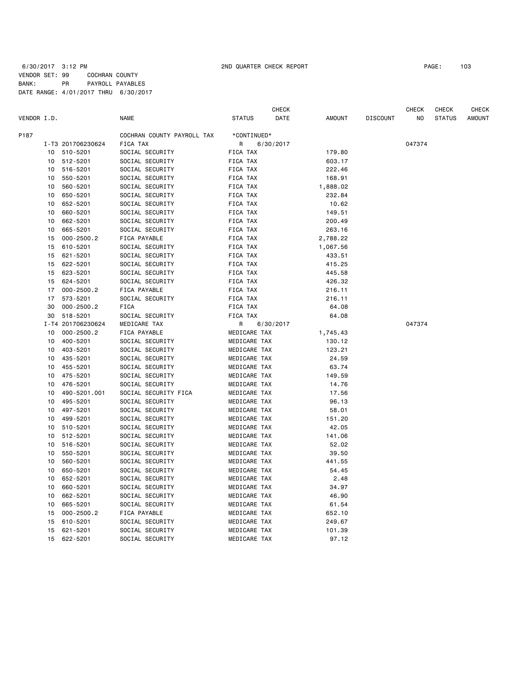| COCHRAN COUNTY PAYROLL TAX<br>P187<br>*CONTINUED*<br>FICA TAX<br>047374<br>I-T3 201706230624<br>6/30/2017<br>R.<br><b>FICA TAX</b><br>10<br>510-5201<br>SOCIAL SECURITY<br>179.80<br>512-5201<br>SOCIAL SECURITY<br>FICA TAX<br>603.17<br>10<br>516-5201<br>FICA TAX<br>222.46<br>10<br>SOCIAL SECURITY<br>550-5201<br>SOCIAL SECURITY<br>FICA TAX<br>168.91<br>10<br>560-5201<br>SOCIAL SECURITY<br>FICA TAX<br>10<br>1,888.02<br>650-5201<br>SOCIAL SECURITY<br>FICA TAX<br>232.84<br>10<br>FICA TAX<br>652-5201<br>SOCIAL SECURITY<br>10.62<br>10<br>660-5201<br>SOCIAL SECURITY<br>FICA TAX<br>149.51<br>10<br>662-5201<br>SOCIAL SECURITY<br>FICA TAX<br>200.49<br>10<br>SOCIAL SECURITY<br>263.16<br>665-5201<br>FICA TAX<br>10<br>$000 - 2500.2$<br>FICA PAYABLE<br>FICA TAX<br>2,788.22<br>15<br>610-5201<br>SOCIAL SECURITY<br>FICA TAX<br>1,067.56<br>15<br>621-5201<br>SOCIAL SECURITY<br>FICA TAX<br>433.51<br>15<br>622-5201<br>SOCIAL SECURITY<br>FICA TAX<br>415.25<br>15<br>623-5201<br>SOCIAL SECURITY<br>FICA TAX<br>445.58<br>15<br>624-5201<br>SOCIAL SECURITY<br>FICA TAX<br>426.32<br>15<br>$000 - 2500.2$<br>FICA PAYABLE<br>FICA TAX<br>17<br>216.11<br>573-5201<br>SOCIAL SECURITY<br>FICA TAX<br>216.11<br>17<br>$000 - 2500.2$<br><b>FICA</b><br>64.08<br>30<br>FICA TAX<br>518-5201<br>SOCIAL SECURITY<br>FICA TAX<br>64.08<br>30<br>I-T4 201706230624<br>MEDICARE TAX<br>R<br>6/30/2017<br>047374<br>10<br>$000 - 2500.2$<br>FICA PAYABLE<br>MEDICARE TAX<br>1,745.43<br>400-5201<br>MEDICARE TAX<br>SOCIAL SECURITY<br>130.12<br>10<br>403-5201<br>SOCIAL SECURITY<br>MEDICARE TAX<br>123.21<br>10<br>MEDICARE TAX<br>435-5201<br>SOCIAL SECURITY<br>24.59<br>10<br>MEDICARE TAX<br>455-5201<br>SOCIAL SECURITY<br>63.74<br>10<br>475-5201<br>SOCIAL SECURITY<br>MEDICARE TAX<br>149.59<br>10<br>10<br>476-5201<br>SOCIAL SECURITY<br>MEDICARE TAX<br>14.76<br>490-5201.001<br>SOCIAL SECURITY FICA<br>MEDICARE TAX<br>17.56<br>10<br>495-5201<br>SOCIAL SECURITY<br>MEDICARE TAX<br>96.13<br>10<br>497-5201<br>SOCIAL SECURITY<br>MEDICARE TAX<br>10<br>58.01<br>499-5201<br>SOCIAL SECURITY<br>MEDICARE TAX<br>151.20<br>10<br>510-5201<br>SOCIAL SECURITY<br>MEDICARE TAX<br>42.05<br>10<br>512-5201<br>SOCIAL SECURITY<br>MEDICARE TAX<br>10<br>141.06<br>SOCIAL SECURITY<br>MEDICARE TAX<br>10<br>516-5201<br>52.02<br>550-5201<br>SOCIAL SECURITY<br>MEDICARE TAX<br>39.50<br>10<br>560-5201<br>SOCIAL SECURITY<br>MEDICARE TAX<br>441.55<br>10<br>650-5201<br>MEDICARE TAX<br>SOCIAL SECURITY<br>54.45<br>10<br>652-5201<br>SOCIAL SECURITY<br>MEDICARE TAX<br>2.48<br>10<br>10<br>660-5201<br>SOCIAL SECURITY<br>MEDICARE TAX<br>34.97<br>662-5201<br>SOCIAL SECURITY<br>MEDICARE TAX<br>46.90<br>10<br>SOCIAL SECURITY<br>665-5201<br>MEDICARE TAX<br>61.54<br>10<br>$000 - 2500.2$<br>FICA PAYABLE<br>MEDICARE TAX<br>15<br>652.10<br>15<br>610-5201<br>SOCIAL SECURITY<br>MEDICARE TAX<br>249.67<br>621-5201<br>SOCIAL SECURITY<br>MEDICARE TAX<br>101.39<br>15<br>15<br>622-5201<br>SOCIAL SECURITY<br>MEDICARE TAX<br>97.12 | VENDOR I.D. |  | <b>NAME</b> | <b>STATUS</b> | <b>CHECK</b><br>DATE | <b>AMOUNT</b> | <b>DISCOUNT</b> | <b>CHECK</b><br>NO | <b>CHECK</b><br><b>STATUS</b> | <b>CHECK</b><br><b>AMOUNT</b> |
|------------------------------------------------------------------------------------------------------------------------------------------------------------------------------------------------------------------------------------------------------------------------------------------------------------------------------------------------------------------------------------------------------------------------------------------------------------------------------------------------------------------------------------------------------------------------------------------------------------------------------------------------------------------------------------------------------------------------------------------------------------------------------------------------------------------------------------------------------------------------------------------------------------------------------------------------------------------------------------------------------------------------------------------------------------------------------------------------------------------------------------------------------------------------------------------------------------------------------------------------------------------------------------------------------------------------------------------------------------------------------------------------------------------------------------------------------------------------------------------------------------------------------------------------------------------------------------------------------------------------------------------------------------------------------------------------------------------------------------------------------------------------------------------------------------------------------------------------------------------------------------------------------------------------------------------------------------------------------------------------------------------------------------------------------------------------------------------------------------------------------------------------------------------------------------------------------------------------------------------------------------------------------------------------------------------------------------------------------------------------------------------------------------------------------------------------------------------------------------------------------------------------------------------------------------------------------------------------------------------------------------------------------------------------------------------------------------------------------------------------------------------------------------------------------------------------------------------------------------------------------------------------------------------------------------------------------------------------------------------------------------------------------------------------------------------------|-------------|--|-------------|---------------|----------------------|---------------|-----------------|--------------------|-------------------------------|-------------------------------|
|                                                                                                                                                                                                                                                                                                                                                                                                                                                                                                                                                                                                                                                                                                                                                                                                                                                                                                                                                                                                                                                                                                                                                                                                                                                                                                                                                                                                                                                                                                                                                                                                                                                                                                                                                                                                                                                                                                                                                                                                                                                                                                                                                                                                                                                                                                                                                                                                                                                                                                                                                                                                                                                                                                                                                                                                                                                                                                                                                                                                                                                                        |             |  |             |               |                      |               |                 |                    |                               |                               |
|                                                                                                                                                                                                                                                                                                                                                                                                                                                                                                                                                                                                                                                                                                                                                                                                                                                                                                                                                                                                                                                                                                                                                                                                                                                                                                                                                                                                                                                                                                                                                                                                                                                                                                                                                                                                                                                                                                                                                                                                                                                                                                                                                                                                                                                                                                                                                                                                                                                                                                                                                                                                                                                                                                                                                                                                                                                                                                                                                                                                                                                                        |             |  |             |               |                      |               |                 |                    |                               |                               |
|                                                                                                                                                                                                                                                                                                                                                                                                                                                                                                                                                                                                                                                                                                                                                                                                                                                                                                                                                                                                                                                                                                                                                                                                                                                                                                                                                                                                                                                                                                                                                                                                                                                                                                                                                                                                                                                                                                                                                                                                                                                                                                                                                                                                                                                                                                                                                                                                                                                                                                                                                                                                                                                                                                                                                                                                                                                                                                                                                                                                                                                                        |             |  |             |               |                      |               |                 |                    |                               |                               |
|                                                                                                                                                                                                                                                                                                                                                                                                                                                                                                                                                                                                                                                                                                                                                                                                                                                                                                                                                                                                                                                                                                                                                                                                                                                                                                                                                                                                                                                                                                                                                                                                                                                                                                                                                                                                                                                                                                                                                                                                                                                                                                                                                                                                                                                                                                                                                                                                                                                                                                                                                                                                                                                                                                                                                                                                                                                                                                                                                                                                                                                                        |             |  |             |               |                      |               |                 |                    |                               |                               |
|                                                                                                                                                                                                                                                                                                                                                                                                                                                                                                                                                                                                                                                                                                                                                                                                                                                                                                                                                                                                                                                                                                                                                                                                                                                                                                                                                                                                                                                                                                                                                                                                                                                                                                                                                                                                                                                                                                                                                                                                                                                                                                                                                                                                                                                                                                                                                                                                                                                                                                                                                                                                                                                                                                                                                                                                                                                                                                                                                                                                                                                                        |             |  |             |               |                      |               |                 |                    |                               |                               |
|                                                                                                                                                                                                                                                                                                                                                                                                                                                                                                                                                                                                                                                                                                                                                                                                                                                                                                                                                                                                                                                                                                                                                                                                                                                                                                                                                                                                                                                                                                                                                                                                                                                                                                                                                                                                                                                                                                                                                                                                                                                                                                                                                                                                                                                                                                                                                                                                                                                                                                                                                                                                                                                                                                                                                                                                                                                                                                                                                                                                                                                                        |             |  |             |               |                      |               |                 |                    |                               |                               |
|                                                                                                                                                                                                                                                                                                                                                                                                                                                                                                                                                                                                                                                                                                                                                                                                                                                                                                                                                                                                                                                                                                                                                                                                                                                                                                                                                                                                                                                                                                                                                                                                                                                                                                                                                                                                                                                                                                                                                                                                                                                                                                                                                                                                                                                                                                                                                                                                                                                                                                                                                                                                                                                                                                                                                                                                                                                                                                                                                                                                                                                                        |             |  |             |               |                      |               |                 |                    |                               |                               |
|                                                                                                                                                                                                                                                                                                                                                                                                                                                                                                                                                                                                                                                                                                                                                                                                                                                                                                                                                                                                                                                                                                                                                                                                                                                                                                                                                                                                                                                                                                                                                                                                                                                                                                                                                                                                                                                                                                                                                                                                                                                                                                                                                                                                                                                                                                                                                                                                                                                                                                                                                                                                                                                                                                                                                                                                                                                                                                                                                                                                                                                                        |             |  |             |               |                      |               |                 |                    |                               |                               |
|                                                                                                                                                                                                                                                                                                                                                                                                                                                                                                                                                                                                                                                                                                                                                                                                                                                                                                                                                                                                                                                                                                                                                                                                                                                                                                                                                                                                                                                                                                                                                                                                                                                                                                                                                                                                                                                                                                                                                                                                                                                                                                                                                                                                                                                                                                                                                                                                                                                                                                                                                                                                                                                                                                                                                                                                                                                                                                                                                                                                                                                                        |             |  |             |               |                      |               |                 |                    |                               |                               |
|                                                                                                                                                                                                                                                                                                                                                                                                                                                                                                                                                                                                                                                                                                                                                                                                                                                                                                                                                                                                                                                                                                                                                                                                                                                                                                                                                                                                                                                                                                                                                                                                                                                                                                                                                                                                                                                                                                                                                                                                                                                                                                                                                                                                                                                                                                                                                                                                                                                                                                                                                                                                                                                                                                                                                                                                                                                                                                                                                                                                                                                                        |             |  |             |               |                      |               |                 |                    |                               |                               |
|                                                                                                                                                                                                                                                                                                                                                                                                                                                                                                                                                                                                                                                                                                                                                                                                                                                                                                                                                                                                                                                                                                                                                                                                                                                                                                                                                                                                                                                                                                                                                                                                                                                                                                                                                                                                                                                                                                                                                                                                                                                                                                                                                                                                                                                                                                                                                                                                                                                                                                                                                                                                                                                                                                                                                                                                                                                                                                                                                                                                                                                                        |             |  |             |               |                      |               |                 |                    |                               |                               |
|                                                                                                                                                                                                                                                                                                                                                                                                                                                                                                                                                                                                                                                                                                                                                                                                                                                                                                                                                                                                                                                                                                                                                                                                                                                                                                                                                                                                                                                                                                                                                                                                                                                                                                                                                                                                                                                                                                                                                                                                                                                                                                                                                                                                                                                                                                                                                                                                                                                                                                                                                                                                                                                                                                                                                                                                                                                                                                                                                                                                                                                                        |             |  |             |               |                      |               |                 |                    |                               |                               |
|                                                                                                                                                                                                                                                                                                                                                                                                                                                                                                                                                                                                                                                                                                                                                                                                                                                                                                                                                                                                                                                                                                                                                                                                                                                                                                                                                                                                                                                                                                                                                                                                                                                                                                                                                                                                                                                                                                                                                                                                                                                                                                                                                                                                                                                                                                                                                                                                                                                                                                                                                                                                                                                                                                                                                                                                                                                                                                                                                                                                                                                                        |             |  |             |               |                      |               |                 |                    |                               |                               |
|                                                                                                                                                                                                                                                                                                                                                                                                                                                                                                                                                                                                                                                                                                                                                                                                                                                                                                                                                                                                                                                                                                                                                                                                                                                                                                                                                                                                                                                                                                                                                                                                                                                                                                                                                                                                                                                                                                                                                                                                                                                                                                                                                                                                                                                                                                                                                                                                                                                                                                                                                                                                                                                                                                                                                                                                                                                                                                                                                                                                                                                                        |             |  |             |               |                      |               |                 |                    |                               |                               |
|                                                                                                                                                                                                                                                                                                                                                                                                                                                                                                                                                                                                                                                                                                                                                                                                                                                                                                                                                                                                                                                                                                                                                                                                                                                                                                                                                                                                                                                                                                                                                                                                                                                                                                                                                                                                                                                                                                                                                                                                                                                                                                                                                                                                                                                                                                                                                                                                                                                                                                                                                                                                                                                                                                                                                                                                                                                                                                                                                                                                                                                                        |             |  |             |               |                      |               |                 |                    |                               |                               |
|                                                                                                                                                                                                                                                                                                                                                                                                                                                                                                                                                                                                                                                                                                                                                                                                                                                                                                                                                                                                                                                                                                                                                                                                                                                                                                                                                                                                                                                                                                                                                                                                                                                                                                                                                                                                                                                                                                                                                                                                                                                                                                                                                                                                                                                                                                                                                                                                                                                                                                                                                                                                                                                                                                                                                                                                                                                                                                                                                                                                                                                                        |             |  |             |               |                      |               |                 |                    |                               |                               |
|                                                                                                                                                                                                                                                                                                                                                                                                                                                                                                                                                                                                                                                                                                                                                                                                                                                                                                                                                                                                                                                                                                                                                                                                                                                                                                                                                                                                                                                                                                                                                                                                                                                                                                                                                                                                                                                                                                                                                                                                                                                                                                                                                                                                                                                                                                                                                                                                                                                                                                                                                                                                                                                                                                                                                                                                                                                                                                                                                                                                                                                                        |             |  |             |               |                      |               |                 |                    |                               |                               |
|                                                                                                                                                                                                                                                                                                                                                                                                                                                                                                                                                                                                                                                                                                                                                                                                                                                                                                                                                                                                                                                                                                                                                                                                                                                                                                                                                                                                                                                                                                                                                                                                                                                                                                                                                                                                                                                                                                                                                                                                                                                                                                                                                                                                                                                                                                                                                                                                                                                                                                                                                                                                                                                                                                                                                                                                                                                                                                                                                                                                                                                                        |             |  |             |               |                      |               |                 |                    |                               |                               |
|                                                                                                                                                                                                                                                                                                                                                                                                                                                                                                                                                                                                                                                                                                                                                                                                                                                                                                                                                                                                                                                                                                                                                                                                                                                                                                                                                                                                                                                                                                                                                                                                                                                                                                                                                                                                                                                                                                                                                                                                                                                                                                                                                                                                                                                                                                                                                                                                                                                                                                                                                                                                                                                                                                                                                                                                                                                                                                                                                                                                                                                                        |             |  |             |               |                      |               |                 |                    |                               |                               |
|                                                                                                                                                                                                                                                                                                                                                                                                                                                                                                                                                                                                                                                                                                                                                                                                                                                                                                                                                                                                                                                                                                                                                                                                                                                                                                                                                                                                                                                                                                                                                                                                                                                                                                                                                                                                                                                                                                                                                                                                                                                                                                                                                                                                                                                                                                                                                                                                                                                                                                                                                                                                                                                                                                                                                                                                                                                                                                                                                                                                                                                                        |             |  |             |               |                      |               |                 |                    |                               |                               |
|                                                                                                                                                                                                                                                                                                                                                                                                                                                                                                                                                                                                                                                                                                                                                                                                                                                                                                                                                                                                                                                                                                                                                                                                                                                                                                                                                                                                                                                                                                                                                                                                                                                                                                                                                                                                                                                                                                                                                                                                                                                                                                                                                                                                                                                                                                                                                                                                                                                                                                                                                                                                                                                                                                                                                                                                                                                                                                                                                                                                                                                                        |             |  |             |               |                      |               |                 |                    |                               |                               |
|                                                                                                                                                                                                                                                                                                                                                                                                                                                                                                                                                                                                                                                                                                                                                                                                                                                                                                                                                                                                                                                                                                                                                                                                                                                                                                                                                                                                                                                                                                                                                                                                                                                                                                                                                                                                                                                                                                                                                                                                                                                                                                                                                                                                                                                                                                                                                                                                                                                                                                                                                                                                                                                                                                                                                                                                                                                                                                                                                                                                                                                                        |             |  |             |               |                      |               |                 |                    |                               |                               |
|                                                                                                                                                                                                                                                                                                                                                                                                                                                                                                                                                                                                                                                                                                                                                                                                                                                                                                                                                                                                                                                                                                                                                                                                                                                                                                                                                                                                                                                                                                                                                                                                                                                                                                                                                                                                                                                                                                                                                                                                                                                                                                                                                                                                                                                                                                                                                                                                                                                                                                                                                                                                                                                                                                                                                                                                                                                                                                                                                                                                                                                                        |             |  |             |               |                      |               |                 |                    |                               |                               |
|                                                                                                                                                                                                                                                                                                                                                                                                                                                                                                                                                                                                                                                                                                                                                                                                                                                                                                                                                                                                                                                                                                                                                                                                                                                                                                                                                                                                                                                                                                                                                                                                                                                                                                                                                                                                                                                                                                                                                                                                                                                                                                                                                                                                                                                                                                                                                                                                                                                                                                                                                                                                                                                                                                                                                                                                                                                                                                                                                                                                                                                                        |             |  |             |               |                      |               |                 |                    |                               |                               |
|                                                                                                                                                                                                                                                                                                                                                                                                                                                                                                                                                                                                                                                                                                                                                                                                                                                                                                                                                                                                                                                                                                                                                                                                                                                                                                                                                                                                                                                                                                                                                                                                                                                                                                                                                                                                                                                                                                                                                                                                                                                                                                                                                                                                                                                                                                                                                                                                                                                                                                                                                                                                                                                                                                                                                                                                                                                                                                                                                                                                                                                                        |             |  |             |               |                      |               |                 |                    |                               |                               |
|                                                                                                                                                                                                                                                                                                                                                                                                                                                                                                                                                                                                                                                                                                                                                                                                                                                                                                                                                                                                                                                                                                                                                                                                                                                                                                                                                                                                                                                                                                                                                                                                                                                                                                                                                                                                                                                                                                                                                                                                                                                                                                                                                                                                                                                                                                                                                                                                                                                                                                                                                                                                                                                                                                                                                                                                                                                                                                                                                                                                                                                                        |             |  |             |               |                      |               |                 |                    |                               |                               |
|                                                                                                                                                                                                                                                                                                                                                                                                                                                                                                                                                                                                                                                                                                                                                                                                                                                                                                                                                                                                                                                                                                                                                                                                                                                                                                                                                                                                                                                                                                                                                                                                                                                                                                                                                                                                                                                                                                                                                                                                                                                                                                                                                                                                                                                                                                                                                                                                                                                                                                                                                                                                                                                                                                                                                                                                                                                                                                                                                                                                                                                                        |             |  |             |               |                      |               |                 |                    |                               |                               |
|                                                                                                                                                                                                                                                                                                                                                                                                                                                                                                                                                                                                                                                                                                                                                                                                                                                                                                                                                                                                                                                                                                                                                                                                                                                                                                                                                                                                                                                                                                                                                                                                                                                                                                                                                                                                                                                                                                                                                                                                                                                                                                                                                                                                                                                                                                                                                                                                                                                                                                                                                                                                                                                                                                                                                                                                                                                                                                                                                                                                                                                                        |             |  |             |               |                      |               |                 |                    |                               |                               |
|                                                                                                                                                                                                                                                                                                                                                                                                                                                                                                                                                                                                                                                                                                                                                                                                                                                                                                                                                                                                                                                                                                                                                                                                                                                                                                                                                                                                                                                                                                                                                                                                                                                                                                                                                                                                                                                                                                                                                                                                                                                                                                                                                                                                                                                                                                                                                                                                                                                                                                                                                                                                                                                                                                                                                                                                                                                                                                                                                                                                                                                                        |             |  |             |               |                      |               |                 |                    |                               |                               |
|                                                                                                                                                                                                                                                                                                                                                                                                                                                                                                                                                                                                                                                                                                                                                                                                                                                                                                                                                                                                                                                                                                                                                                                                                                                                                                                                                                                                                                                                                                                                                                                                                                                                                                                                                                                                                                                                                                                                                                                                                                                                                                                                                                                                                                                                                                                                                                                                                                                                                                                                                                                                                                                                                                                                                                                                                                                                                                                                                                                                                                                                        |             |  |             |               |                      |               |                 |                    |                               |                               |
|                                                                                                                                                                                                                                                                                                                                                                                                                                                                                                                                                                                                                                                                                                                                                                                                                                                                                                                                                                                                                                                                                                                                                                                                                                                                                                                                                                                                                                                                                                                                                                                                                                                                                                                                                                                                                                                                                                                                                                                                                                                                                                                                                                                                                                                                                                                                                                                                                                                                                                                                                                                                                                                                                                                                                                                                                                                                                                                                                                                                                                                                        |             |  |             |               |                      |               |                 |                    |                               |                               |
|                                                                                                                                                                                                                                                                                                                                                                                                                                                                                                                                                                                                                                                                                                                                                                                                                                                                                                                                                                                                                                                                                                                                                                                                                                                                                                                                                                                                                                                                                                                                                                                                                                                                                                                                                                                                                                                                                                                                                                                                                                                                                                                                                                                                                                                                                                                                                                                                                                                                                                                                                                                                                                                                                                                                                                                                                                                                                                                                                                                                                                                                        |             |  |             |               |                      |               |                 |                    |                               |                               |
|                                                                                                                                                                                                                                                                                                                                                                                                                                                                                                                                                                                                                                                                                                                                                                                                                                                                                                                                                                                                                                                                                                                                                                                                                                                                                                                                                                                                                                                                                                                                                                                                                                                                                                                                                                                                                                                                                                                                                                                                                                                                                                                                                                                                                                                                                                                                                                                                                                                                                                                                                                                                                                                                                                                                                                                                                                                                                                                                                                                                                                                                        |             |  |             |               |                      |               |                 |                    |                               |                               |
|                                                                                                                                                                                                                                                                                                                                                                                                                                                                                                                                                                                                                                                                                                                                                                                                                                                                                                                                                                                                                                                                                                                                                                                                                                                                                                                                                                                                                                                                                                                                                                                                                                                                                                                                                                                                                                                                                                                                                                                                                                                                                                                                                                                                                                                                                                                                                                                                                                                                                                                                                                                                                                                                                                                                                                                                                                                                                                                                                                                                                                                                        |             |  |             |               |                      |               |                 |                    |                               |                               |
|                                                                                                                                                                                                                                                                                                                                                                                                                                                                                                                                                                                                                                                                                                                                                                                                                                                                                                                                                                                                                                                                                                                                                                                                                                                                                                                                                                                                                                                                                                                                                                                                                                                                                                                                                                                                                                                                                                                                                                                                                                                                                                                                                                                                                                                                                                                                                                                                                                                                                                                                                                                                                                                                                                                                                                                                                                                                                                                                                                                                                                                                        |             |  |             |               |                      |               |                 |                    |                               |                               |
|                                                                                                                                                                                                                                                                                                                                                                                                                                                                                                                                                                                                                                                                                                                                                                                                                                                                                                                                                                                                                                                                                                                                                                                                                                                                                                                                                                                                                                                                                                                                                                                                                                                                                                                                                                                                                                                                                                                                                                                                                                                                                                                                                                                                                                                                                                                                                                                                                                                                                                                                                                                                                                                                                                                                                                                                                                                                                                                                                                                                                                                                        |             |  |             |               |                      |               |                 |                    |                               |                               |
|                                                                                                                                                                                                                                                                                                                                                                                                                                                                                                                                                                                                                                                                                                                                                                                                                                                                                                                                                                                                                                                                                                                                                                                                                                                                                                                                                                                                                                                                                                                                                                                                                                                                                                                                                                                                                                                                                                                                                                                                                                                                                                                                                                                                                                                                                                                                                                                                                                                                                                                                                                                                                                                                                                                                                                                                                                                                                                                                                                                                                                                                        |             |  |             |               |                      |               |                 |                    |                               |                               |
|                                                                                                                                                                                                                                                                                                                                                                                                                                                                                                                                                                                                                                                                                                                                                                                                                                                                                                                                                                                                                                                                                                                                                                                                                                                                                                                                                                                                                                                                                                                                                                                                                                                                                                                                                                                                                                                                                                                                                                                                                                                                                                                                                                                                                                                                                                                                                                                                                                                                                                                                                                                                                                                                                                                                                                                                                                                                                                                                                                                                                                                                        |             |  |             |               |                      |               |                 |                    |                               |                               |
|                                                                                                                                                                                                                                                                                                                                                                                                                                                                                                                                                                                                                                                                                                                                                                                                                                                                                                                                                                                                                                                                                                                                                                                                                                                                                                                                                                                                                                                                                                                                                                                                                                                                                                                                                                                                                                                                                                                                                                                                                                                                                                                                                                                                                                                                                                                                                                                                                                                                                                                                                                                                                                                                                                                                                                                                                                                                                                                                                                                                                                                                        |             |  |             |               |                      |               |                 |                    |                               |                               |
|                                                                                                                                                                                                                                                                                                                                                                                                                                                                                                                                                                                                                                                                                                                                                                                                                                                                                                                                                                                                                                                                                                                                                                                                                                                                                                                                                                                                                                                                                                                                                                                                                                                                                                                                                                                                                                                                                                                                                                                                                                                                                                                                                                                                                                                                                                                                                                                                                                                                                                                                                                                                                                                                                                                                                                                                                                                                                                                                                                                                                                                                        |             |  |             |               |                      |               |                 |                    |                               |                               |
|                                                                                                                                                                                                                                                                                                                                                                                                                                                                                                                                                                                                                                                                                                                                                                                                                                                                                                                                                                                                                                                                                                                                                                                                                                                                                                                                                                                                                                                                                                                                                                                                                                                                                                                                                                                                                                                                                                                                                                                                                                                                                                                                                                                                                                                                                                                                                                                                                                                                                                                                                                                                                                                                                                                                                                                                                                                                                                                                                                                                                                                                        |             |  |             |               |                      |               |                 |                    |                               |                               |
|                                                                                                                                                                                                                                                                                                                                                                                                                                                                                                                                                                                                                                                                                                                                                                                                                                                                                                                                                                                                                                                                                                                                                                                                                                                                                                                                                                                                                                                                                                                                                                                                                                                                                                                                                                                                                                                                                                                                                                                                                                                                                                                                                                                                                                                                                                                                                                                                                                                                                                                                                                                                                                                                                                                                                                                                                                                                                                                                                                                                                                                                        |             |  |             |               |                      |               |                 |                    |                               |                               |
|                                                                                                                                                                                                                                                                                                                                                                                                                                                                                                                                                                                                                                                                                                                                                                                                                                                                                                                                                                                                                                                                                                                                                                                                                                                                                                                                                                                                                                                                                                                                                                                                                                                                                                                                                                                                                                                                                                                                                                                                                                                                                                                                                                                                                                                                                                                                                                                                                                                                                                                                                                                                                                                                                                                                                                                                                                                                                                                                                                                                                                                                        |             |  |             |               |                      |               |                 |                    |                               |                               |
|                                                                                                                                                                                                                                                                                                                                                                                                                                                                                                                                                                                                                                                                                                                                                                                                                                                                                                                                                                                                                                                                                                                                                                                                                                                                                                                                                                                                                                                                                                                                                                                                                                                                                                                                                                                                                                                                                                                                                                                                                                                                                                                                                                                                                                                                                                                                                                                                                                                                                                                                                                                                                                                                                                                                                                                                                                                                                                                                                                                                                                                                        |             |  |             |               |                      |               |                 |                    |                               |                               |
|                                                                                                                                                                                                                                                                                                                                                                                                                                                                                                                                                                                                                                                                                                                                                                                                                                                                                                                                                                                                                                                                                                                                                                                                                                                                                                                                                                                                                                                                                                                                                                                                                                                                                                                                                                                                                                                                                                                                                                                                                                                                                                                                                                                                                                                                                                                                                                                                                                                                                                                                                                                                                                                                                                                                                                                                                                                                                                                                                                                                                                                                        |             |  |             |               |                      |               |                 |                    |                               |                               |
|                                                                                                                                                                                                                                                                                                                                                                                                                                                                                                                                                                                                                                                                                                                                                                                                                                                                                                                                                                                                                                                                                                                                                                                                                                                                                                                                                                                                                                                                                                                                                                                                                                                                                                                                                                                                                                                                                                                                                                                                                                                                                                                                                                                                                                                                                                                                                                                                                                                                                                                                                                                                                                                                                                                                                                                                                                                                                                                                                                                                                                                                        |             |  |             |               |                      |               |                 |                    |                               |                               |
|                                                                                                                                                                                                                                                                                                                                                                                                                                                                                                                                                                                                                                                                                                                                                                                                                                                                                                                                                                                                                                                                                                                                                                                                                                                                                                                                                                                                                                                                                                                                                                                                                                                                                                                                                                                                                                                                                                                                                                                                                                                                                                                                                                                                                                                                                                                                                                                                                                                                                                                                                                                                                                                                                                                                                                                                                                                                                                                                                                                                                                                                        |             |  |             |               |                      |               |                 |                    |                               |                               |
|                                                                                                                                                                                                                                                                                                                                                                                                                                                                                                                                                                                                                                                                                                                                                                                                                                                                                                                                                                                                                                                                                                                                                                                                                                                                                                                                                                                                                                                                                                                                                                                                                                                                                                                                                                                                                                                                                                                                                                                                                                                                                                                                                                                                                                                                                                                                                                                                                                                                                                                                                                                                                                                                                                                                                                                                                                                                                                                                                                                                                                                                        |             |  |             |               |                      |               |                 |                    |                               |                               |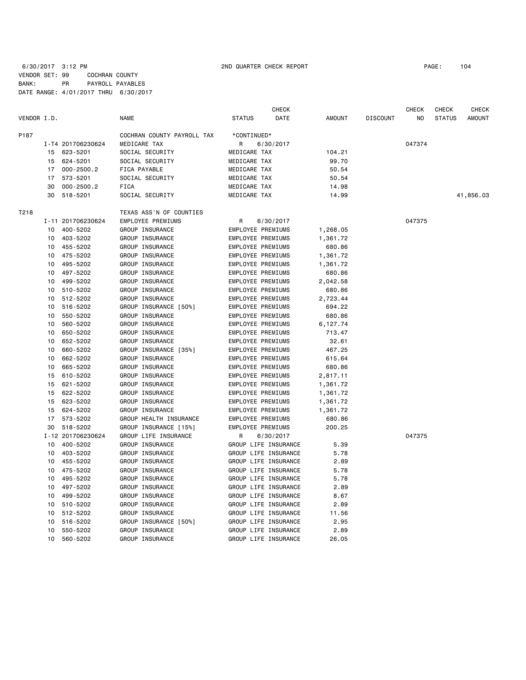|             |    |                   |                            |                          | <b>CHECK</b>         |               |                 | <b>CHECK</b>   | <b>CHECK</b>  | CHECK     |
|-------------|----|-------------------|----------------------------|--------------------------|----------------------|---------------|-----------------|----------------|---------------|-----------|
| VENDOR I.D. |    |                   | NAME                       | <b>STATUS</b>            | DATE                 | <b>AMOUNT</b> | <b>DISCOUNT</b> | N <sub>O</sub> | <b>STATUS</b> | AMOUNT    |
| P187        |    |                   | COCHRAN COUNTY PAYROLL TAX | *CONTINUED*              |                      |               |                 |                |               |           |
|             |    | I-T4 201706230624 | MEDICARE TAX               | R                        | 6/30/2017            |               |                 | 047374         |               |           |
|             | 15 | 623-5201          | SOCIAL SECURITY            | MEDICARE TAX             |                      | 104.21        |                 |                |               |           |
|             | 15 | 624-5201          | SOCIAL SECURITY            | MEDICARE TAX             |                      | 99.70         |                 |                |               |           |
|             | 17 | $000 - 2500.2$    | FICA PAYABLE               | MEDICARE TAX             |                      | 50.54         |                 |                |               |           |
|             | 17 | 573-5201          | SOCIAL SECURITY            | MEDICARE TAX             |                      | 50.54         |                 |                |               |           |
|             | 30 | $000 - 2500.2$    | FICA                       | MEDICARE TAX             |                      | 14.98         |                 |                |               |           |
|             | 30 | 518-5201          | SOCIAL SECURITY            | MEDICARE TAX             |                      | 14.99         |                 |                |               | 41,856.03 |
| T218        |    |                   | TEXAS ASS'N OF COUNTIES    |                          |                      |               |                 |                |               |           |
|             |    | I-11 201706230624 | EMPLOYEE PREMIUMS          | R                        | 6/30/2017            |               |                 | 047375         |               |           |
|             | 10 | 400-5202          | GROUP INSURANCE            | EMPLOYEE PREMIUMS        |                      | 1,268.05      |                 |                |               |           |
|             | 10 | 403-5202          | GROUP INSURANCE            | EMPLOYEE PREMIUMS        |                      | 1,361.72      |                 |                |               |           |
|             | 10 | 455-5202          | GROUP INSURANCE            | EMPLOYEE PREMIUMS        |                      | 680.86        |                 |                |               |           |
|             | 10 | 475-5202          | GROUP INSURANCE            | EMPLOYEE PREMIUMS        |                      | 1,361.72      |                 |                |               |           |
|             | 10 | 495-5202          | GROUP INSURANCE            | <b>EMPLOYEE PREMIUMS</b> |                      | 1,361.72      |                 |                |               |           |
|             | 10 | 497-5202          | GROUP INSURANCE            | <b>EMPLOYEE PREMIUMS</b> |                      | 680.86        |                 |                |               |           |
|             | 10 | 499-5202          | GROUP INSURANCE            | EMPLOYEE PREMIUMS        |                      | 2,042.58      |                 |                |               |           |
|             | 10 | 510-5202          | GROUP INSURANCE            | EMPLOYEE PREMIUMS        |                      | 680.86        |                 |                |               |           |
|             | 10 | 512-5202          | GROUP INSURANCE            | EMPLOYEE PREMIUMS        |                      | 2,723.44      |                 |                |               |           |
|             | 10 | 516-5202          | GROUP INSURANCE [50%]      | EMPLOYEE PREMIUMS        |                      | 694.22        |                 |                |               |           |
|             | 10 | 550-5202          | GROUP INSURANCE            | EMPLOYEE PREMIUMS        |                      | 680.86        |                 |                |               |           |
|             | 10 | 560-5202          | GROUP INSURANCE            | EMPLOYEE PREMIUMS        |                      | 6,127.74      |                 |                |               |           |
|             | 10 | 650-5202          | GROUP INSURANCE            | EMPLOYEE PREMIUMS        |                      | 713.47        |                 |                |               |           |
|             | 10 | 652-5202          | GROUP INSURANCE            | EMPLOYEE PREMIUMS        |                      | 32.61         |                 |                |               |           |
|             | 10 | 660-5202          | GROUP INSURANCE [35%]      | EMPLOYEE PREMIUMS        |                      | 467.25        |                 |                |               |           |
|             | 10 | 662-5202          | GROUP INSURANCE            | EMPLOYEE PREMIUMS        |                      | 615.64        |                 |                |               |           |
|             | 10 | 665-5202          | GROUP INSURANCE            | EMPLOYEE PREMIUMS        |                      | 680.86        |                 |                |               |           |
|             | 15 | 610-5202          | GROUP INSURANCE            | EMPLOYEE PREMIUMS        |                      | 2,817.11      |                 |                |               |           |
|             | 15 | 621-5202          | GROUP INSURANCE            | EMPLOYEE PREMIUMS        |                      | 1,361.72      |                 |                |               |           |
|             | 15 | 622-5202          | GROUP INSURANCE            | <b>EMPLOYEE PREMIUMS</b> |                      | 1,361.72      |                 |                |               |           |
|             | 15 | 623-5202          | GROUP INSURANCE            | EMPLOYEE PREMIUMS        |                      | 1,361.72      |                 |                |               |           |
|             | 15 | 624-5202          | GROUP INSURANCE            | EMPLOYEE PREMIUMS        |                      | 1,361.72      |                 |                |               |           |
|             | 17 | 573-5202          | GROUP HEALTH INSURANCE     | EMPLOYEE PREMIUMS        |                      | 680.86        |                 |                |               |           |
|             | 30 | 518-5202          | GROUP INSURANCE [15%]      | <b>EMPLOYEE PREMIUMS</b> |                      | 200.25        |                 |                |               |           |
|             |    | I-12 201706230624 | GROUP LIFE INSURANCE       | R                        | 6/30/2017            |               |                 | 047375         |               |           |
|             | 10 | 400-5202          | GROUP INSURANCE            |                          | GROUP LIFE INSURANCE | 5.39          |                 |                |               |           |
|             | 10 | 403-5202          | GROUP INSURANCE            |                          | GROUP LIFE INSURANCE | 5.78          |                 |                |               |           |
|             | 10 | 455-5202          | GROUP INSURANCE            |                          | GROUP LIFE INSURANCE | 2.89          |                 |                |               |           |
|             | 10 | 475-5202          | GROUP INSURANCE            |                          | GROUP LIFE INSURANCE | 5.78          |                 |                |               |           |
|             | 10 | 495-5202          | GROUP INSURANCE            |                          | GROUP LIFE INSURANCE | 5.78          |                 |                |               |           |
|             | 10 | 497-5202          | GROUP INSURANCE            |                          | GROUP LIFE INSURANCE | 2.89          |                 |                |               |           |
|             | 10 | 499-5202          | GROUP INSURANCE            |                          | GROUP LIFE INSURANCE | 8.67          |                 |                |               |           |
|             | 10 | 510-5202          | GROUP INSURANCE            |                          | GROUP LIFE INSURANCE | 2.89          |                 |                |               |           |
|             | 10 | 512-5202          | GROUP INSURANCE            |                          | GROUP LIFE INSURANCE | 11.56         |                 |                |               |           |
|             | 10 | 516-5202          | GROUP INSURANCE [50%]      |                          | GROUP LIFE INSURANCE | 2.95          |                 |                |               |           |
|             | 10 | 550-5202          | GROUP INSURANCE            |                          | GROUP LIFE INSURANCE | 2.89          |                 |                |               |           |
|             | 10 | 560-5202          | GROUP INSURANCE            |                          | GROUP LIFE INSURANCE | 26.05         |                 |                |               |           |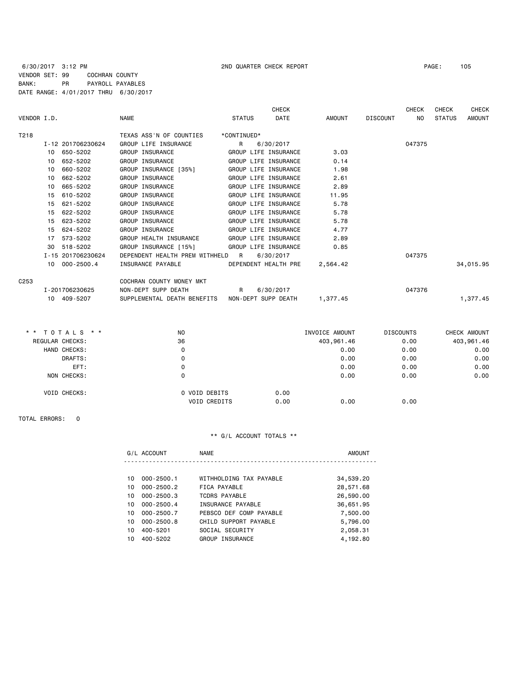6/30/2017 3:12 PM 2ND QUARTER CHECK REPORT PAGE: 105 VENDOR SET: 99 COCHRAN COUNTY BANK: PR PAYROLL PAYABLES DATE RANGE: 4/01/2017 THRU 6/30/2017

| VENDOR I.D.      |                             | <b>NAME</b>                      | <b>STATUS</b>       | <b>CHECK</b><br><b>DATE</b> | AMOUNT   | DISCOUNT | <b>CHECK</b><br>NO. | <b>CHECK</b><br><b>STATUS</b> | <b>CHECK</b><br><b>AMOUNT</b> |
|------------------|-----------------------------|----------------------------------|---------------------|-----------------------------|----------|----------|---------------------|-------------------------------|-------------------------------|
| T218             |                             | TEXAS ASS'N OF COUNTIES          | *CONTINUED*         |                             |          |          |                     |                               |                               |
|                  | I-12 201706230624           | GROUP LIFE INSURANCE             | R                   | 6/30/2017                   |          |          | 047375              |                               |                               |
|                  | 10 650-5202                 | GROUP INSURANCE                  |                     | GROUP LIFE INSURANCE        | 3.03     |          |                     |                               |                               |
|                  | 652-5202<br>10 <sup>1</sup> | GROUP INSURANCE                  |                     | GROUP LIFE INSURANCE        | 0.14     |          |                     |                               |                               |
|                  | 660-5202<br>10              | GROUP INSURANCE [35%]            |                     | GROUP LIFE INSURANCE        | 1.98     |          |                     |                               |                               |
|                  | 662-5202<br>10 <sup>1</sup> | GROUP INSURANCE                  |                     | GROUP LIFE INSURANCE        | 2.61     |          |                     |                               |                               |
|                  | 665-5202<br>10 <sup>1</sup> | GROUP INSURANCE                  |                     | GROUP LIFE INSURANCE        | 2.89     |          |                     |                               |                               |
|                  | 610-5202<br>15              | GROUP INSURANCE                  |                     | GROUP LIFE INSURANCE        | 11.95    |          |                     |                               |                               |
|                  | 621-5202<br>15              | GROUP INSURANCE                  |                     | GROUP LIFE INSURANCE        | 5.78     |          |                     |                               |                               |
|                  | 622-5202<br>15              | GROUP INSURANCE                  |                     | GROUP LIFE INSURANCE        | 5.78     |          |                     |                               |                               |
|                  | 623-5202<br>15              | GROUP INSURANCE                  |                     | GROUP LIFE INSURANCE        | 5.78     |          |                     |                               |                               |
|                  | 624-5202<br>15              | GROUP INSURANCE                  |                     | GROUP LIFE INSURANCE        | 4.77     |          |                     |                               |                               |
|                  | 573-5202<br>17              | GROUP HEALTH INSURANCE           |                     | GROUP LIFE INSURANCE        | 2.89     |          |                     |                               |                               |
|                  | 30<br>518-5202              | GROUP INSURANCE [15%]            |                     | GROUP LIFE INSURANCE        | 0.85     |          |                     |                               |                               |
|                  | I-15 201706230624           | DEPENDENT HEALTH PREM WITHHELD R |                     | 6/30/2017                   |          |          | 047375              |                               |                               |
|                  | 10 000-2500.4               | INSURANCE PAYABLE                |                     | DEPENDENT HEALTH PRE        | 2,564.42 |          |                     |                               | 34,015.95                     |
| C <sub>253</sub> |                             | COCHRAN COUNTY MONEY MKT         |                     |                             |          |          |                     |                               |                               |
|                  | I-201706230625              | NON-DEPT SUPP DEATH              | $\overline{R}$      | 6/30/2017                   |          |          | 047376              |                               |                               |
|                  | 10 409-5207                 | SUPPLEMENTAL DEATH BENEFITS      | NON-DEPT SUPP DEATH |                             | 1,377.45 |          |                     |                               | 1,377.45                      |

| ** TOTALS **        | N <sub>0</sub>      | INVOICE AMOUNT |            | <b>DISCOUNTS</b><br>CHECK AMOUNT |            |
|---------------------|---------------------|----------------|------------|----------------------------------|------------|
| REGULAR CHECKS:     | 36                  |                | 403,961.46 | 0.00                             | 403,961.46 |
| HAND CHECKS:        | 0                   |                | 0.00       | 0.00                             | 0.00       |
| DRAFTS:             | 0                   |                | 0.00       | 0.00                             | 0.00       |
| EFT:                | 0                   |                | 0.00       | 0.00                             | 0.00       |
| NON CHECKS:         | 0                   |                | 0.00       | 0.00                             | 0.00       |
| <b>VOID CHECKS:</b> | O VOID DEBITS       | 0.00           |            |                                  |            |
|                     | <b>VOID CREDITS</b> | 0.00           | 0.00       | 0.00                             |            |
|                     |                     |                |            |                                  |            |

TOTAL ERRORS: 0

|     | G/L ACCOUNT    | <b>NAME</b>             | <b>AMOUNT</b> |
|-----|----------------|-------------------------|---------------|
|     |                |                         |               |
| 10  | $000 - 2500.1$ | WITHHOLDING TAX PAYABLE | 34,539.20     |
| 10  | $000 - 2500.2$ | FICA PAYABLE            | 28,571.68     |
| 10  | $000 - 2500.3$ | TCDRS PAYABLE           | 26,590.00     |
| 10  | $000 - 2500.4$ | INSURANCE PAYABLE       | 36,651.95     |
| 10  | $000 - 2500.7$ | PEBSCO DEF COMP PAYABLE | 7,500.00      |
| 10  | $000 - 2500.8$ | CHILD SUPPORT PAYABLE   | 5,796.00      |
| 10  | 400-5201       | SOCIAL SECURITY         | 2,058.31      |
| 10. | 400-5202       | GROUP INSURANCE         | 4,192.80      |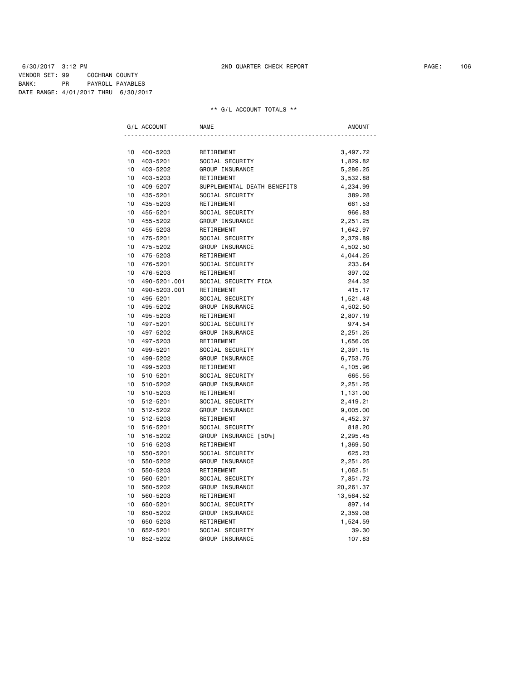6/30/2017 3:12 PM 2ND QUARTER CHECK REPORT PAGE: 106 VENDOR SET: 99 COCHRAN COUNTY BANK: PR PAYROLL PAYABLES DATE RANGE: 4/01/2017 THRU 6/30/2017

|    | G/L ACCOUNT  | <b>NAME</b>                 | <b>AMOUNT</b> |
|----|--------------|-----------------------------|---------------|
|    |              |                             |               |
| 10 | 400-5203     | RETIREMENT                  | 3,497.72      |
| 10 | 403-5201     | SOCIAL SECURITY             | 1,829.82      |
| 10 | 403-5202     | GROUP INSURANCE             | 5,286.25      |
| 10 | 403-5203     | RETIREMENT                  | 3,532.88      |
| 10 | 409-5207     | SUPPLEMENTAL DEATH BENEFITS | 4,234.99      |
| 10 | 435-5201     | SOCIAL SECURITY             | 389.28        |
| 10 | 435-5203     | RETIREMENT                  | 661.53        |
| 10 | 455-5201     | SOCIAL SECURITY             | 966.83        |
| 10 | 455-5202     | GROUP INSURANCE             | 2,251.25      |
| 10 | 455-5203     | RETIREMENT                  | 1,642.97      |
| 10 | 475-5201     | SOCIAL SECURITY             | 2,379.89      |
| 10 | 475-5202     | GROUP INSURANCE             | 4,502.50      |
| 10 | 475-5203     | RETIREMENT                  | 4,044.25      |
| 10 | 476-5201     | SOCIAL SECURITY             | 233.64        |
| 10 | 476-5203     | RETIREMENT                  | 397.02        |
| 10 | 490-5201.001 | SOCIAL SECURITY FICA        | 244.32        |
| 10 | 490-5203.001 | RETIREMENT                  | 415.17        |
| 10 | 495-5201     | SOCIAL SECURITY             | 1,521.48      |
| 10 | 495-5202     | GROUP INSURANCE             | 4,502.50      |
| 10 | 495-5203     | RETIREMENT                  | 2,807.19      |
| 10 | 497-5201     | SOCIAL SECURITY             | 974.54        |
| 10 | 497-5202     | GROUP INSURANCE             | 2,251.25      |
| 10 | 497-5203     | RETIREMENT                  | 1,656.05      |
| 10 | 499-5201     | SOCIAL SECURITY             | 2,391.15      |
| 10 | 499-5202     | GROUP INSURANCE             | 6,753.75      |
| 10 | 499-5203     | RETIREMENT                  | 4,105.96      |
| 10 | 510-5201     | SOCIAL SECURITY             | 665.55        |
| 10 | 510-5202     | GROUP INSURANCE             | 2,251.25      |
| 10 | 510-5203     | RETIREMENT                  | 1,131.00      |
| 10 | 512-5201     | SOCIAL SECURITY             | 2,419.21      |
| 10 | 512-5202     | GROUP INSURANCE             | 9,005.00      |
| 10 | 512-5203     | RETIREMENT                  | 4,452.37      |
| 10 | 516-5201     | SOCIAL SECURITY             | 818.20        |
| 10 | 516-5202     | GROUP INSURANCE [50%]       | 2,295.45      |
| 10 | 516-5203     | RETIREMENT                  | 1,369.50      |
| 10 | 550-5201     | SOCIAL SECURITY             | 625.23        |
| 10 | 550-5202     | GROUP INSURANCE             | 2,251.25      |
| 10 | 550-5203     | RETIREMENT                  | 1,062.51      |
| 10 | 560-5201     | SOCIAL SECURITY             | 7,851.72      |
| 10 | 560-5202     | GROUP INSURANCE             | 20,261.37     |
| 10 | 560-5203     | RETIREMENT                  | 13,564.52     |
| 10 | 650-5201     | SOCIAL SECURITY             | 897.14        |
| 10 | 650-5202     | GROUP INSURANCE             | 2,359.08      |
| 10 | 650-5203     | RETIREMENT                  | 1,524.59      |
| 10 | 652-5201     | SOCIAL SECURITY             | 39.30         |
| 10 | 652-5202     | GROUP INSURANCE             | 107.83        |
|    |              |                             |               |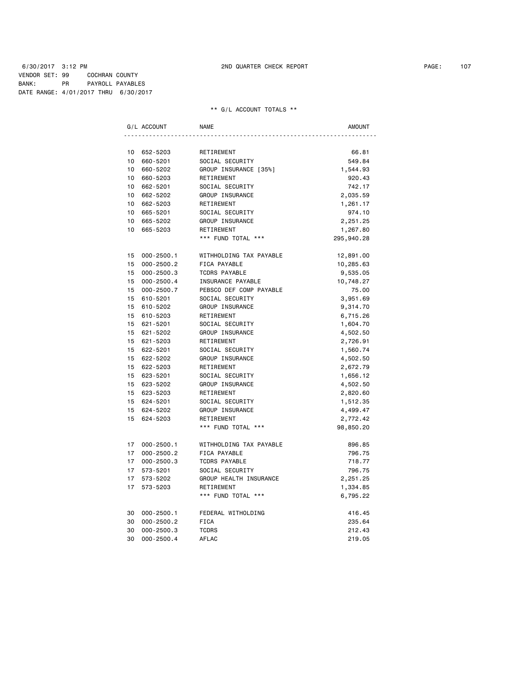### 6/30/2017 3:12 PM 2ND QUARTER CHECK REPORT PAGE: 107 VENDOR SET: 99 COCHRAN COUNTY BANK: PR PAYROLL PAYABLES DATE RANGE: 4/01/2017 THRU 6/30/2017

|                 | G/L ACCOUNT    | <b>NAME</b>             | AMOUNT     |
|-----------------|----------------|-------------------------|------------|
|                 |                |                         |            |
| 10              | 652-5203       | RETIREMENT              | 66.81      |
| 10              | 660-5201       | SOCIAL SECURITY         | 549.84     |
| 10              | 660-5202       | GROUP INSURANCE [35%]   | 1,544.93   |
| 10 <sup>1</sup> | 660-5203       | RETIREMENT              | 920.43     |
| 10              | 662-5201       | SOCIAL SECURITY         | 742.17     |
| $10-10$         | 662-5202       | GROUP INSURANCE         | 2,035.59   |
| 10              | 662-5203       | RETIREMENT              | 1,261.17   |
| $10-10$         | 665-5201       | SOCIAL SECURITY         | 974.10     |
| 10              | 665-5202       | GROUP INSURANCE         | 2,251.25   |
| 10 <sup>1</sup> | 665-5203       | RETIREMENT              | 1,267.80   |
|                 |                | *** FUND TOTAL ***      | 295,940.28 |
| 15              | $000 - 2500.1$ | WITHHOLDING TAX PAYABLE | 12,891.00  |
| 15              | $000 - 2500.2$ | FICA PAYABLE            | 10,285.63  |
| 15              | $000 - 2500.3$ | <b>TCDRS PAYABLE</b>    | 9,535.05   |
| 15              | $000 - 2500.4$ | INSURANCE PAYABLE       | 10,748.27  |
| 15              | 000-2500.7     | PEBSCO DEF COMP PAYABLE | 75.00      |
| 15              | 610-5201       | SOCIAL SECURITY         | 3,951.69   |
| 15              | 610-5202       | GROUP INSURANCE         | 9,314.70   |
| 15              | 610-5203       | RETIREMENT              | 6,715.26   |
| 15              | 621-5201       | SOCIAL SECURITY         | 1,604.70   |
| 15              | 621-5202       | GROUP INSURANCE         | 4,502.50   |
| 15              | 621-5203       | RETIREMENT              | 2,726.91   |
| 15              | 622-5201       | SOCIAL SECURITY         | 1,560.74   |
| 15              | 622-5202       | GROUP INSURANCE         | 4,502.50   |
|                 | 15 622-5203    | RETIREMENT              | 2,672.79   |
|                 | 15 623-5201    | SOCIAL SECURITY         | 1,656.12   |
|                 | 15 623-5202    | GROUP INSURANCE         | 4,502.50   |
|                 | 15 623-5203    | RETIREMENT              | 2,820.60   |
| 15              | 624-5201       | SOCIAL SECURITY         | 1,512.35   |
|                 | 15 624-5202    | GROUP INSURANCE         | 4,499.47   |
| 15              | 624-5203       | RETIREMENT              | 2,772.42   |
|                 |                | *** FUND TOTAL ***      | 98,850.20  |
|                 | 17 000-2500.1  | WITHHOLDING TAX PAYABLE | 896.85     |
| 17              | $000 - 2500.2$ | FICA PAYABLE            | 796.75     |
| 17              | $000 - 2500.3$ | TCDRS PAYABLE           | 718.77     |
| 17              | 573-5201       | SOCIAL SECURITY         | 796.75     |
| 17              | 573-5202       | GROUP HEALTH INSURANCE  | 2,251.25   |
| 17              | 573-5203       | RETIREMENT              | 1,334.85   |
|                 |                | *** FUND TOTAL ***      | 6,795.22   |
| 30              | $000 - 2500.1$ | FEDERAL WITHOLDING      | 416.45     |
| 30              | $000 - 2500.2$ | <b>FICA</b>             | 235.64     |
| 30              | $000 - 2500.3$ | <b>TCDRS</b>            | 212.43     |
| 30              | $000 - 2500.4$ | AFLAC                   | 219.05     |
|                 |                |                         |            |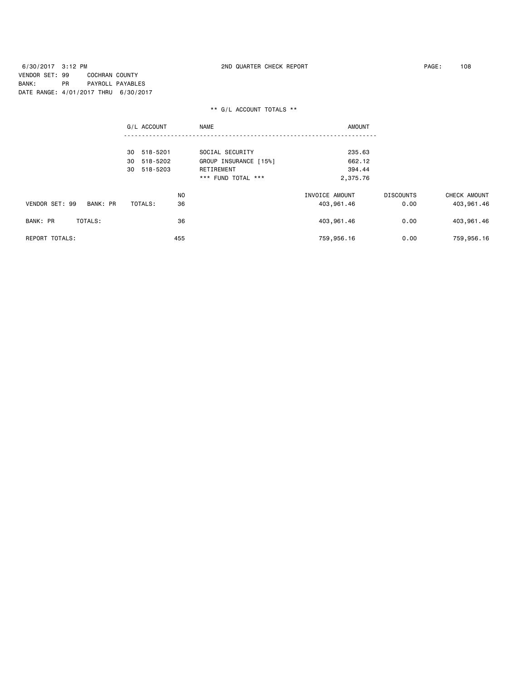6/30/2017 3:12 PM 2ND QUARTER CHECK REPORT PAGE: 108 VENDOR SET: 99 COCHRAN COUNTY BANK: PR PAYROLL PAYABLES DATE RANGE: 4/01/2017 THRU 6/30/2017

|                            | G/L ACCOUNT    | <b>NAME</b><br><b>AMOUNT</b> |                |                  |              |
|----------------------------|----------------|------------------------------|----------------|------------------|--------------|
|                            | 518-5201<br>30 | SOCIAL SECURITY              | 235.63         |                  |              |
|                            | 518-5202<br>30 | GROUP INSURANCE [15%]        | 662.12         |                  |              |
|                            | 30<br>518-5203 | RETIREMENT                   | 394.44         |                  |              |
|                            |                | *** FUND TOTAL ***           | 2,375.76       |                  |              |
|                            | N <sub>0</sub> |                              | INVOICE AMOUNT | <b>DISCOUNTS</b> | CHECK AMOUNT |
| VENDOR SET: 99<br>BANK: PR | 36<br>TOTALS:  |                              | 403,961.46     | 0.00             | 403,961.46   |
| BANK: PR<br>TOTALS:        | 36             |                              | 403,961.46     | 0.00             | 403,961.46   |
| <b>REPORT TOTALS:</b>      | 455            |                              | 759,956.16     | 0.00             | 759,956.16   |